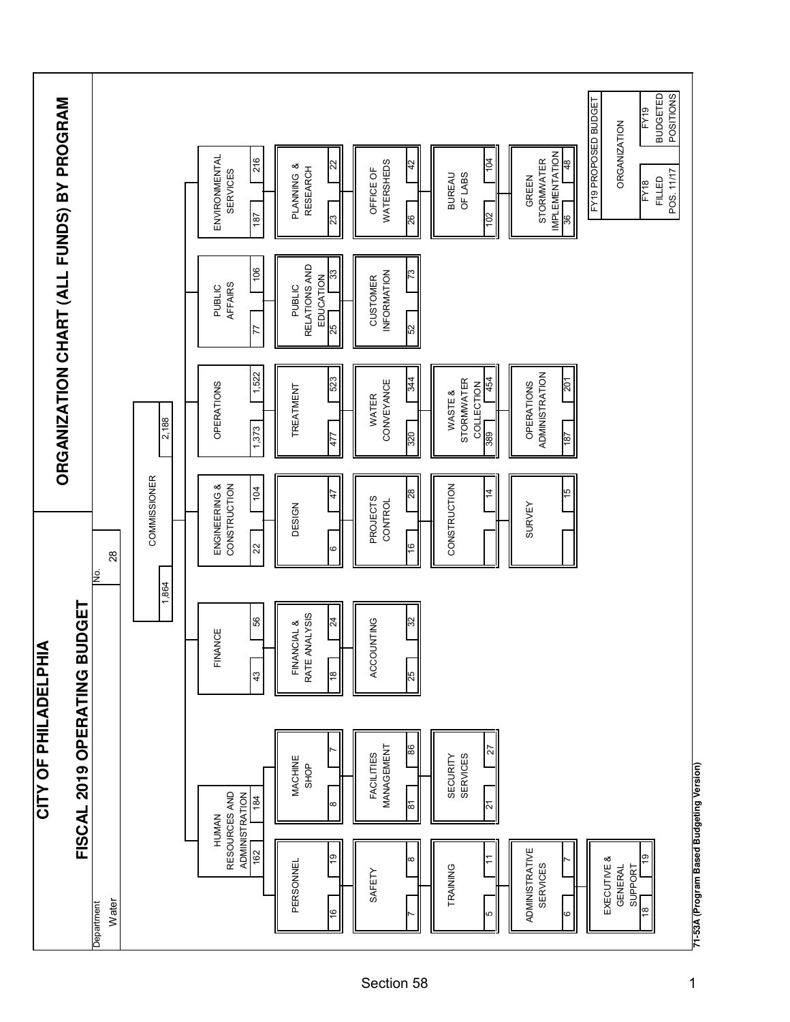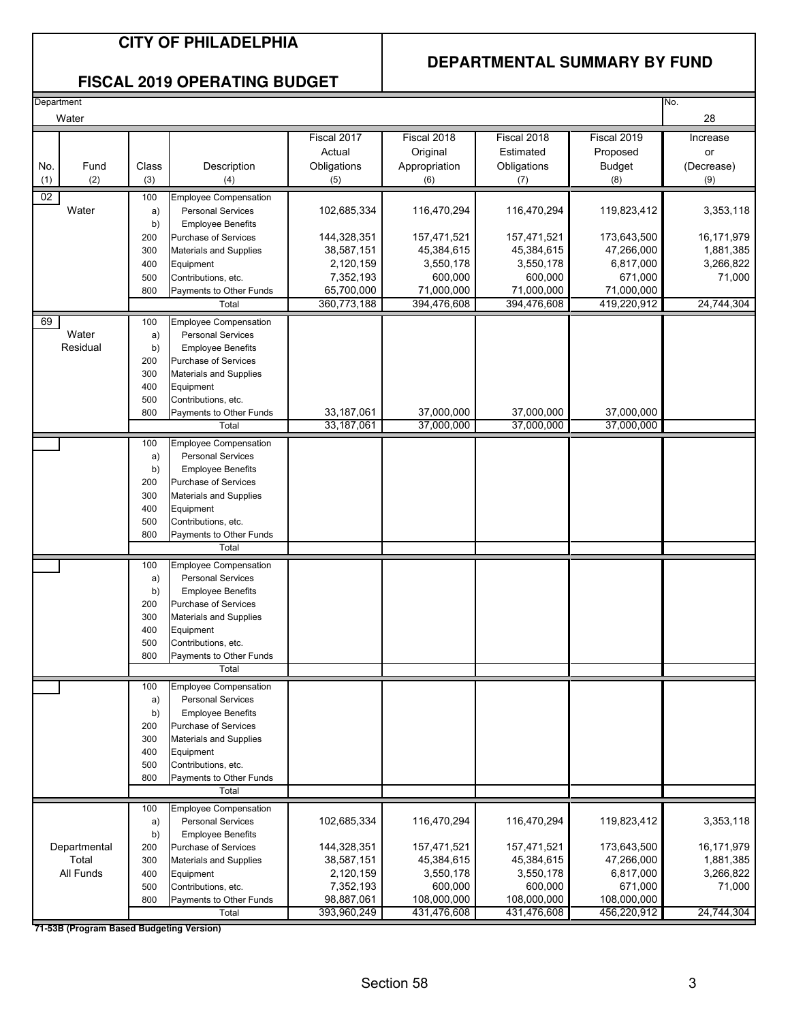#### **DEPARTMENTAL SUMMARY BY FUND**

#### **FISCAL 2019 OPERATING BUDGET**

| No.<br>Department |              |       |                               |             |               |             |               |            |
|-------------------|--------------|-------|-------------------------------|-------------|---------------|-------------|---------------|------------|
|                   | Water        |       |                               |             |               |             |               | 28         |
|                   |              |       |                               |             |               |             |               |            |
|                   |              |       |                               | Fiscal 2017 | Fiscal 2018   | Fiscal 2018 | Fiscal 2019   | Increase   |
|                   |              |       |                               | Actual      | Original      | Estimated   | Proposed      | or         |
| No.               | Fund         | Class | Description                   | Obligations | Appropriation | Obligations | <b>Budget</b> | (Decrease) |
| (1)               | (2)          | (3)   | (4)                           | (5)         | (6)           | (7)         | (8)           | (9)        |
|                   |              |       |                               |             |               |             |               |            |
| 02                |              | 100   | <b>Employee Compensation</b>  |             |               |             |               |            |
|                   | Water        | a)    | <b>Personal Services</b>      | 102,685,334 | 116,470,294   | 116,470,294 | 119,823,412   | 3,353,118  |
|                   |              | b)    | <b>Employee Benefits</b>      |             |               |             |               |            |
|                   |              | 200   | <b>Purchase of Services</b>   | 144,328,351 | 157,471,521   | 157,471,521 | 173,643,500   | 16,171,979 |
|                   |              | 300   | <b>Materials and Supplies</b> | 38,587,151  | 45,384,615    | 45,384,615  | 47,266,000    | 1,881,385  |
|                   |              | 400   | Equipment                     | 2,120,159   | 3,550,178     | 3,550,178   | 6,817,000     | 3,266,822  |
|                   |              | 500   | Contributions, etc.           | 7,352,193   | 600,000       | 600,000     | 671,000       | 71,000     |
|                   |              | 800   | Payments to Other Funds       | 65,700,000  | 71,000,000    | 71,000,000  | 71,000,000    |            |
|                   |              |       | Total                         | 360,773,188 | 394,476,608   | 394,476,608 | 419,220,912   | 24,744,304 |
| 69                |              | 100   | <b>Employee Compensation</b>  |             |               |             |               |            |
|                   | Water        | a)    | <b>Personal Services</b>      |             |               |             |               |            |
|                   | Residual     | b)    | <b>Employee Benefits</b>      |             |               |             |               |            |
|                   |              | 200   | Purchase of Services          |             |               |             |               |            |
|                   |              | 300   | <b>Materials and Supplies</b> |             |               |             |               |            |
|                   |              | 400   | Equipment                     |             |               |             |               |            |
|                   |              |       |                               |             |               |             |               |            |
|                   |              | 500   | Contributions, etc.           |             |               |             |               |            |
|                   |              | 800   | Payments to Other Funds       | 33,187,061  | 37,000,000    | 37,000,000  | 37,000,000    |            |
|                   |              |       | Total                         | 33,187,061  | 37,000,000    | 37,000,000  | 37,000,000    |            |
|                   |              | 100   | Employee Compensation         |             |               |             |               |            |
|                   |              | a)    | <b>Personal Services</b>      |             |               |             |               |            |
|                   |              | b)    | <b>Employee Benefits</b>      |             |               |             |               |            |
|                   |              | 200   | <b>Purchase of Services</b>   |             |               |             |               |            |
|                   |              | 300   | <b>Materials and Supplies</b> |             |               |             |               |            |
|                   |              | 400   | Equipment                     |             |               |             |               |            |
|                   |              | 500   | Contributions, etc.           |             |               |             |               |            |
|                   |              | 800   | Payments to Other Funds       |             |               |             |               |            |
|                   |              |       | Total                         |             |               |             |               |            |
|                   |              |       |                               |             |               |             |               |            |
|                   |              | 100   | <b>Employee Compensation</b>  |             |               |             |               |            |
|                   |              | a)    | <b>Personal Services</b>      |             |               |             |               |            |
|                   |              | b)    | <b>Employee Benefits</b>      |             |               |             |               |            |
|                   |              | 200   | <b>Purchase of Services</b>   |             |               |             |               |            |
|                   |              | 300   | <b>Materials and Supplies</b> |             |               |             |               |            |
|                   |              | 400   | Equipment                     |             |               |             |               |            |
|                   |              | 500   | Contributions, etc.           |             |               |             |               |            |
|                   |              | 800   | Payments to Other Funds       |             |               |             |               |            |
|                   |              |       | Total                         |             |               |             |               |            |
|                   |              | 100   | <b>Employee Compensation</b>  |             |               |             |               |            |
|                   |              | a)    | <b>Personal Services</b>      |             |               |             |               |            |
|                   |              | b)    | <b>Employee Benefits</b>      |             |               |             |               |            |
|                   |              | 200   | Purchase of Services          |             |               |             |               |            |
|                   |              |       |                               |             |               |             |               |            |
|                   |              | 300   | <b>Materials and Supplies</b> |             |               |             |               |            |
|                   |              | 400   | Equipment                     |             |               |             |               |            |
|                   |              | 500   | Contributions, etc.           |             |               |             |               |            |
|                   |              | 800   | Payments to Other Funds       |             |               |             |               |            |
|                   |              |       | Total                         |             |               |             |               |            |
|                   |              | 100   | <b>Employee Compensation</b>  |             |               |             |               |            |
|                   |              | a)    | <b>Personal Services</b>      | 102,685,334 | 116,470,294   | 116,470,294 | 119,823,412   | 3,353,118  |
|                   |              | b)    | <b>Employee Benefits</b>      |             |               |             |               |            |
|                   | Departmental | 200   | Purchase of Services          | 144,328,351 | 157,471,521   | 157,471,521 | 173,643,500   | 16,171,979 |
|                   | Total        | 300   | <b>Materials and Supplies</b> | 38,587,151  | 45,384,615    | 45,384,615  | 47,266,000    | 1,881,385  |
|                   | All Funds    | 400   | Equipment                     | 2,120,159   | 3,550,178     | 3,550,178   | 6,817,000     | 3,266,822  |
|                   |              | 500   | Contributions, etc.           | 7,352,193   | 600,000       | 600,000     | 671,000       | 71,000     |
|                   |              | 800   | Payments to Other Funds       | 98,887,061  | 108,000,000   | 108,000,000 | 108,000,000   |            |
|                   |              |       | Total                         | 393,960,249 | 431,476,608   | 431,476,608 | 456,220,912   | 24,744,304 |
|                   |              |       |                               |             |               |             |               |            |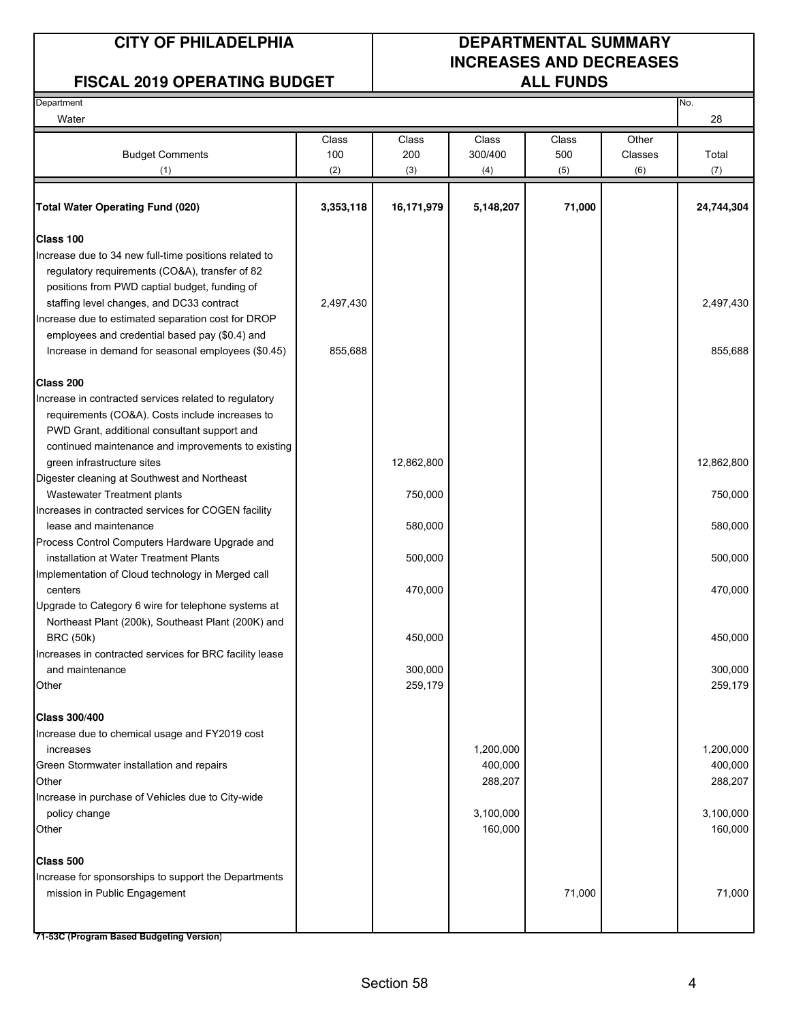#### **FISCAL 2019 OPERATING BUDGET**

## **CITY OF PHILADELPHIA DEPARTMENTAL SUMMARY INCREASES AND DECREASES**

| Department                                                             |           |            |           |        |         | No.        |
|------------------------------------------------------------------------|-----------|------------|-----------|--------|---------|------------|
| Water                                                                  |           |            |           |        |         | 28         |
|                                                                        | Class     | Class      | Class     | Class  | Other   |            |
| <b>Budget Comments</b>                                                 | 100       | 200        | 300/400   | 500    | Classes | Total      |
| (1)                                                                    | (2)       | (3)        | (4)       | (5)    | (6)     | (7)        |
| <b>Total Water Operating Fund (020)</b>                                | 3,353,118 | 16,171,979 | 5,148,207 | 71,000 |         | 24,744,304 |
|                                                                        |           |            |           |        |         |            |
| Class 100                                                              |           |            |           |        |         |            |
| Increase due to 34 new full-time positions related to                  |           |            |           |        |         |            |
| regulatory requirements (CO&A), transfer of 82                         |           |            |           |        |         |            |
| positions from PWD captial budget, funding of                          |           |            |           |        |         |            |
| staffing level changes, and DC33 contract                              | 2,497,430 |            |           |        |         | 2,497,430  |
| Increase due to estimated separation cost for DROP                     |           |            |           |        |         |            |
| employees and credential based pay (\$0.4) and                         |           |            |           |        |         |            |
| Increase in demand for seasonal employees (\$0.45)                     | 855,688   |            |           |        |         | 855,688    |
| Class 200                                                              |           |            |           |        |         |            |
| Increase in contracted services related to regulatory                  |           |            |           |        |         |            |
| requirements (CO&A). Costs include increases to                        |           |            |           |        |         |            |
| PWD Grant, additional consultant support and                           |           |            |           |        |         |            |
| continued maintenance and improvements to existing                     |           |            |           |        |         |            |
| green infrastructure sites                                             |           | 12,862,800 |           |        |         | 12,862,800 |
| Digester cleaning at Southwest and Northeast                           |           |            |           |        |         |            |
| Wastewater Treatment plants                                            |           | 750,000    |           |        |         | 750,000    |
| Increases in contracted services for COGEN facility                    |           |            |           |        |         |            |
| lease and maintenance                                                  |           | 580,000    |           |        |         | 580,000    |
| Process Control Computers Hardware Upgrade and                         |           |            |           |        |         |            |
| installation at Water Treatment Plants                                 |           | 500,000    |           |        |         | 500,000    |
| Implementation of Cloud technology in Merged call                      |           |            |           |        |         |            |
| centers                                                                |           | 470,000    |           |        |         | 470,000    |
| Upgrade to Category 6 wire for telephone systems at                    |           |            |           |        |         |            |
| Northeast Plant (200k), Southeast Plant (200K) and<br><b>BRC (50k)</b> |           | 450,000    |           |        |         | 450,000    |
| Increases in contracted services for BRC facility lease                |           |            |           |        |         |            |
| and maintenance                                                        |           | 300,000    |           |        |         | 300,000    |
| Other                                                                  |           | 259,179    |           |        |         | 259,179    |
|                                                                        |           |            |           |        |         |            |
| <b>Class 300/400</b>                                                   |           |            |           |        |         |            |
| Increase due to chemical usage and FY2019 cost                         |           |            |           |        |         |            |
| increases                                                              |           |            | 1,200,000 |        |         | 1,200,000  |
| Green Stormwater installation and repairs                              |           |            | 400,000   |        |         | 400,000    |
| Other                                                                  |           |            | 288,207   |        |         | 288,207    |
| Increase in purchase of Vehicles due to City-wide                      |           |            |           |        |         |            |
| policy change                                                          |           |            | 3,100,000 |        |         | 3,100,000  |
| Other                                                                  |           |            | 160,000   |        |         | 160,000    |
| Class 500                                                              |           |            |           |        |         |            |
| Increase for sponsorships to support the Departments                   |           |            |           |        |         |            |
| mission in Public Engagement                                           |           |            |           | 71,000 |         | 71,000     |
|                                                                        |           |            |           |        |         |            |
|                                                                        |           |            |           |        |         |            |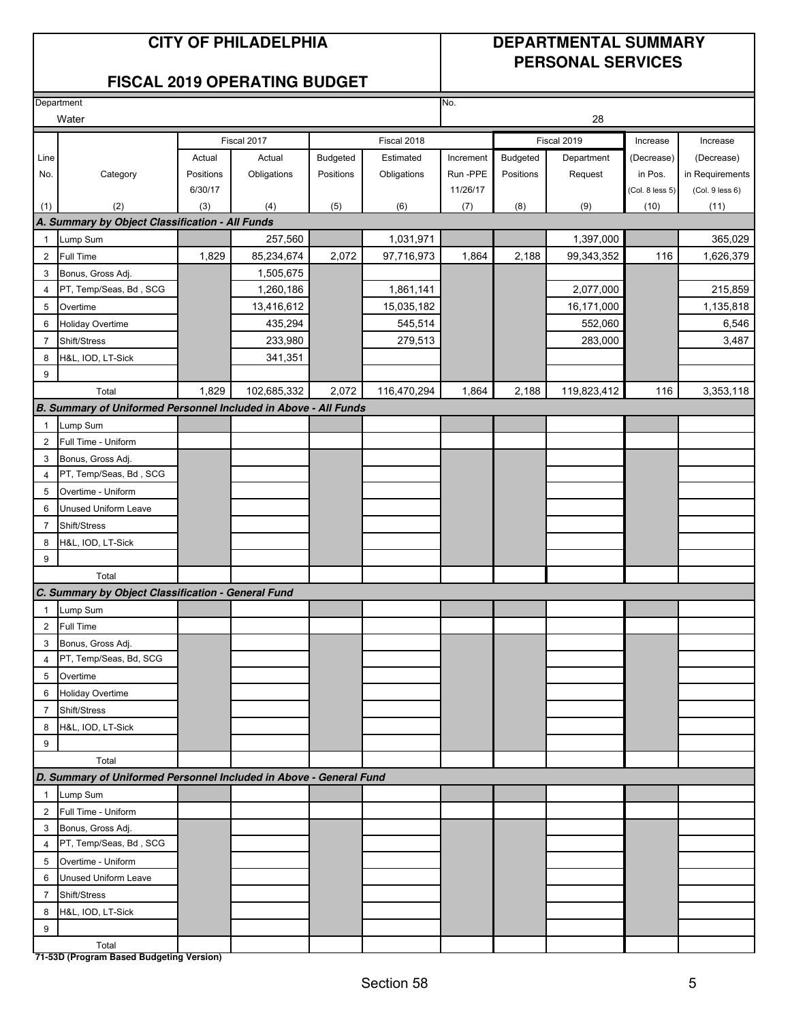#### **CITY OF PHILADELPHIA DEPARTMENTAL SUMMARY**

## **PERSONAL SERVICES**

|                | Department                                                         |           |             |                 |             | No.       |                 |             |                 |                 |
|----------------|--------------------------------------------------------------------|-----------|-------------|-----------------|-------------|-----------|-----------------|-------------|-----------------|-----------------|
|                | Water                                                              |           |             |                 |             |           |                 | 28          |                 |                 |
|                |                                                                    |           | Fiscal 2017 |                 | Fiscal 2018 |           |                 | Fiscal 2019 | Increase        | Increase        |
| Line           |                                                                    | Actual    | Actual      | <b>Budgeted</b> | Estimated   | Increment | <b>Budgeted</b> | Department  | (Decrease)      | (Decrease)      |
| No.            | Category                                                           | Positions | Obligations | Positions       | Obligations | Run-PPE   | Positions       | Request     | in Pos.         | in Requirements |
|                |                                                                    | 6/30/17   |             |                 |             | 11/26/17  |                 |             | (Col. 8 less 5) | (Col. 9 less 6) |
| (1)            | (2)                                                                | (3)       | (4)         | (5)             | (6)         | (7)       | (8)             | (9)         | (10)            | (11)            |
|                | A. Summary by Object Classification - All Funds                    |           |             |                 |             |           |                 |             |                 |                 |
| 1              | Lump Sum                                                           |           | 257,560     |                 | 1,031,971   |           |                 | 1,397,000   |                 | 365,029         |
| $\overline{2}$ | Full Time                                                          | 1,829     | 85,234,674  | 2,072           | 97,716,973  | 1,864     | 2,188           | 99,343,352  | 116             | 1,626,379       |
| 3              | Bonus, Gross Adj.                                                  |           | 1,505,675   |                 |             |           |                 |             |                 |                 |
| 4              | PT, Temp/Seas, Bd, SCG                                             |           | 1,260,186   |                 | 1,861,141   |           |                 | 2,077,000   |                 | 215,859         |
| 5              | Overtime                                                           |           | 13,416,612  |                 | 15,035,182  |           |                 | 16,171,000  |                 | 1,135,818       |
| 6              | <b>Holiday Overtime</b>                                            |           | 435,294     |                 | 545,514     |           |                 | 552,060     |                 | 6,546           |
| $\overline{7}$ | Shift/Stress                                                       |           | 233,980     |                 | 279,513     |           |                 | 283,000     |                 | 3,487           |
| 8              | H&L, IOD, LT-Sick                                                  |           | 341,351     |                 |             |           |                 |             |                 |                 |
| 9              |                                                                    |           |             |                 |             |           |                 |             |                 |                 |
|                | Total                                                              | 1,829     | 102,685,332 | 2,072           | 116,470,294 | 1,864     | 2,188           | 119,823,412 | 116             | 3,353,118       |
|                | B. Summary of Uniformed Personnel Included in Above - All Funds    |           |             |                 |             |           |                 |             |                 |                 |
| 1              | Lump Sum                                                           |           |             |                 |             |           |                 |             |                 |                 |
| $\overline{2}$ | Full Time - Uniform                                                |           |             |                 |             |           |                 |             |                 |                 |
| 3              | Bonus, Gross Adj.                                                  |           |             |                 |             |           |                 |             |                 |                 |
| 4              | PT, Temp/Seas, Bd, SCG                                             |           |             |                 |             |           |                 |             |                 |                 |
| 5              | Overtime - Uniform                                                 |           |             |                 |             |           |                 |             |                 |                 |
| 6              | Unused Uniform Leave                                               |           |             |                 |             |           |                 |             |                 |                 |
| 7              | Shift/Stress                                                       |           |             |                 |             |           |                 |             |                 |                 |
| 8              | H&L, IOD, LT-Sick                                                  |           |             |                 |             |           |                 |             |                 |                 |
| 9              |                                                                    |           |             |                 |             |           |                 |             |                 |                 |
|                | Total                                                              |           |             |                 |             |           |                 |             |                 |                 |
|                | C. Summary by Object Classification - General Fund                 |           |             |                 |             |           |                 |             |                 |                 |
| $\mathbf{1}$   | Lump Sum                                                           |           |             |                 |             |           |                 |             |                 |                 |
| $\overline{2}$ | <b>Full Time</b>                                                   |           |             |                 |             |           |                 |             |                 |                 |
| 3              | Bonus, Gross Adj.                                                  |           |             |                 |             |           |                 |             |                 |                 |
| 4              | PT, Temp/Seas, Bd, SCG                                             |           |             |                 |             |           |                 |             |                 |                 |
| 5              | Overtime                                                           |           |             |                 |             |           |                 |             |                 |                 |
| 6              | <b>Holiday Overtime</b>                                            |           |             |                 |             |           |                 |             |                 |                 |
| 7              | Shift/Stress                                                       |           |             |                 |             |           |                 |             |                 |                 |
| 8              | H&L, IOD, LT-Sick                                                  |           |             |                 |             |           |                 |             |                 |                 |
| 9              |                                                                    |           |             |                 |             |           |                 |             |                 |                 |
|                | Total                                                              |           |             |                 |             |           |                 |             |                 |                 |
|                | D. Summary of Uniformed Personnel Included in Above - General Fund |           |             |                 |             |           |                 |             |                 |                 |
| 1              | Lump Sum                                                           |           |             |                 |             |           |                 |             |                 |                 |
| $\overline{2}$ | Full Time - Uniform                                                |           |             |                 |             |           |                 |             |                 |                 |
| 3              | Bonus, Gross Adj.                                                  |           |             |                 |             |           |                 |             |                 |                 |
| 4              | PT, Temp/Seas, Bd, SCG                                             |           |             |                 |             |           |                 |             |                 |                 |
| 5              | Overtime - Uniform                                                 |           |             |                 |             |           |                 |             |                 |                 |
| 6              | <b>Unused Uniform Leave</b>                                        |           |             |                 |             |           |                 |             |                 |                 |
| $\overline{7}$ | Shift/Stress                                                       |           |             |                 |             |           |                 |             |                 |                 |
| 8              | H&L, IOD, LT-Sick                                                  |           |             |                 |             |           |                 |             |                 |                 |
| 9              |                                                                    |           |             |                 |             |           |                 |             |                 |                 |
|                | Total                                                              |           |             |                 |             |           |                 |             |                 |                 |
|                | 71-53D (Program Based Budgeting Version)                           |           |             |                 |             |           |                 |             |                 |                 |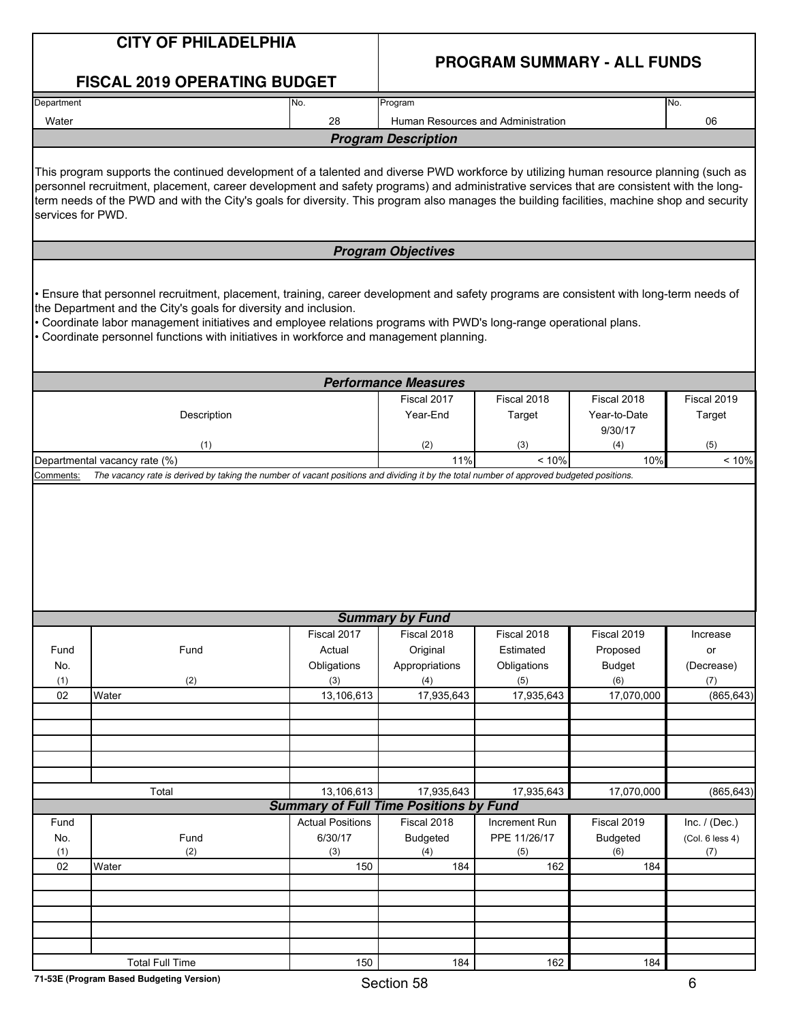|                   | <b>CITY OF PHILADELPHIA</b>                                                                                                                                                                                                                                                                                                                                                                                                      |                                               |                             |                                    |                 |                 |
|-------------------|----------------------------------------------------------------------------------------------------------------------------------------------------------------------------------------------------------------------------------------------------------------------------------------------------------------------------------------------------------------------------------------------------------------------------------|-----------------------------------------------|-----------------------------|------------------------------------|-----------------|-----------------|
|                   | <b>FISCAL 2019 OPERATING BUDGET</b>                                                                                                                                                                                                                                                                                                                                                                                              |                                               |                             | <b>PROGRAM SUMMARY - ALL FUNDS</b> |                 |                 |
| Department        |                                                                                                                                                                                                                                                                                                                                                                                                                                  | No.                                           | Program                     |                                    |                 | No.             |
| Water             |                                                                                                                                                                                                                                                                                                                                                                                                                                  | 28                                            |                             | Human Resources and Administration |                 | 06              |
|                   |                                                                                                                                                                                                                                                                                                                                                                                                                                  |                                               | <b>Program Description</b>  |                                    |                 |                 |
| services for PWD. | This program supports the continued development of a talented and diverse PWD workforce by utilizing human resource planning (such as<br>personnel recruitment, placement, career development and safety programs) and administrative services that are consistent with the long-<br>term needs of the PWD and with the City's goals for diversity. This program also manages the building facilities, machine shop and security |                                               |                             |                                    |                 |                 |
|                   |                                                                                                                                                                                                                                                                                                                                                                                                                                  |                                               | <b>Program Objectives</b>   |                                    |                 |                 |
|                   | Ensure that personnel recruitment, placement, training, career development and safety programs are consistent with long-term needs of<br>the Department and the City's goals for diversity and inclusion.<br>. Coordinate labor management initiatives and employee relations programs with PWD's long-range operational plans.<br>• Coordinate personnel functions with initiatives in workforce and management planning.       |                                               |                             |                                    |                 |                 |
|                   |                                                                                                                                                                                                                                                                                                                                                                                                                                  |                                               | <b>Performance Measures</b> |                                    |                 |                 |
|                   |                                                                                                                                                                                                                                                                                                                                                                                                                                  |                                               | Fiscal 2017                 | Fiscal 2018                        | Fiscal 2018     | Fiscal 2019     |
|                   | Description                                                                                                                                                                                                                                                                                                                                                                                                                      |                                               | Year-End                    | Target                             | Year-to-Date    | Target          |
|                   |                                                                                                                                                                                                                                                                                                                                                                                                                                  |                                               |                             |                                    | 9/30/17         |                 |
|                   | (1)                                                                                                                                                                                                                                                                                                                                                                                                                              |                                               | (2)<br>11%                  | (3)<br>< 10%                       | (4)<br>10%      | (5)<br>< 10%    |
| Comments:         | Departmental vacancy rate (%)<br>The vacancy rate is derived by taking the number of vacant positions and dividing it by the total number of approved budgeted positions.                                                                                                                                                                                                                                                        |                                               |                             |                                    |                 |                 |
|                   |                                                                                                                                                                                                                                                                                                                                                                                                                                  |                                               |                             |                                    |                 |                 |
|                   |                                                                                                                                                                                                                                                                                                                                                                                                                                  |                                               | <b>Summary by Fund</b>      |                                    |                 |                 |
|                   |                                                                                                                                                                                                                                                                                                                                                                                                                                  | Fiscal 2017                                   | Fiscal 2018                 | Fiscal 2018                        | Fiscal 2019     | Increase        |
| Fund              | Fund                                                                                                                                                                                                                                                                                                                                                                                                                             | Actual                                        | Original                    | Estimated                          | Proposed        | or              |
| No.               |                                                                                                                                                                                                                                                                                                                                                                                                                                  | Obligations                                   | Appropriations              | Obligations                        | <b>Budget</b>   | (Decrease)      |
| (1)               | (2)                                                                                                                                                                                                                                                                                                                                                                                                                              | (3)                                           | (4)                         | (5)                                | (6)             | (7)             |
| 02                | Water                                                                                                                                                                                                                                                                                                                                                                                                                            | 13,106,613                                    | 17,935,643                  | 17,935,643                         | 17,070,000      | (865, 643)      |
|                   |                                                                                                                                                                                                                                                                                                                                                                                                                                  |                                               |                             |                                    |                 |                 |
|                   |                                                                                                                                                                                                                                                                                                                                                                                                                                  |                                               |                             |                                    |                 |                 |
|                   | Total                                                                                                                                                                                                                                                                                                                                                                                                                            | 13,106,613                                    | 17,935,643                  |                                    |                 |                 |
|                   |                                                                                                                                                                                                                                                                                                                                                                                                                                  | <b>Summary of Full Time Positions by Fund</b> |                             | 17,935,643                         | 17,070,000      | (865, 643)      |
| Fund              |                                                                                                                                                                                                                                                                                                                                                                                                                                  | <b>Actual Positions</b>                       | Fiscal 2018                 | Increment Run                      | Fiscal 2019     | Inc. $/$ (Dec.) |
| No.               | Fund                                                                                                                                                                                                                                                                                                                                                                                                                             | 6/30/17                                       | <b>Budgeted</b>             | PPE 11/26/17                       | <b>Budgeted</b> | (Col. 6 less 4) |
| (1)               | (2)                                                                                                                                                                                                                                                                                                                                                                                                                              | (3)                                           | (4)                         | (5)                                | (6)             | (7)             |
| 02                | Water                                                                                                                                                                                                                                                                                                                                                                                                                            | 150                                           | 184                         | 162                                | 184             |                 |
|                   |                                                                                                                                                                                                                                                                                                                                                                                                                                  |                                               |                             |                                    |                 |                 |
|                   |                                                                                                                                                                                                                                                                                                                                                                                                                                  |                                               |                             |                                    |                 |                 |
|                   |                                                                                                                                                                                                                                                                                                                                                                                                                                  |                                               |                             |                                    |                 |                 |
|                   |                                                                                                                                                                                                                                                                                                                                                                                                                                  |                                               |                             |                                    |                 |                 |
|                   | <b>Total Full Time</b>                                                                                                                                                                                                                                                                                                                                                                                                           | 150                                           | 184                         | 162                                | 184             |                 |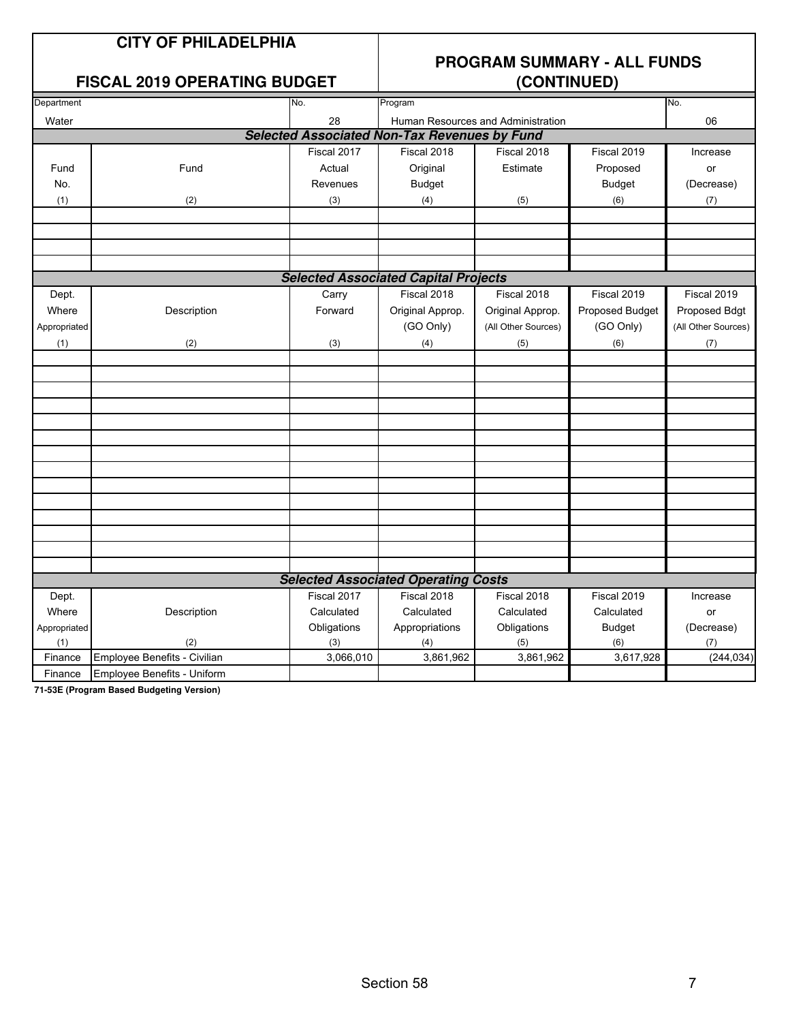#### **FISCAL 2019 OPERATING BUDGET**

# **PROGRAM SUMMARY - ALL FUNDS**

| Department   |                              | No.         | Program                                             |                                    | No.             |                     |
|--------------|------------------------------|-------------|-----------------------------------------------------|------------------------------------|-----------------|---------------------|
| Water        |                              | 28          |                                                     | Human Resources and Administration |                 | 06                  |
|              |                              |             | <b>Selected Associated Non-Tax Revenues by Fund</b> |                                    |                 |                     |
|              |                              | Fiscal 2017 | Fiscal 2018                                         | Fiscal 2018                        | Fiscal 2019     | Increase            |
| Fund         | Fund                         | Actual      | Original                                            | Estimate                           | Proposed        | or                  |
| No.          |                              | Revenues    | <b>Budget</b>                                       |                                    | <b>Budget</b>   | (Decrease)          |
| (1)          | (2)                          | (3)         | (4)                                                 | (5)                                | (6)             | (7)                 |
|              |                              |             |                                                     |                                    |                 |                     |
|              |                              |             |                                                     |                                    |                 |                     |
|              |                              |             |                                                     |                                    |                 |                     |
|              |                              |             |                                                     |                                    |                 |                     |
|              |                              |             | <b>Selected Associated Capital Projects</b>         |                                    |                 |                     |
| Dept.        |                              | Carry       | Fiscal 2018                                         | Fiscal 2018                        | Fiscal 2019     | Fiscal 2019         |
| Where        | Description                  | Forward     | Original Approp.                                    | Original Approp.                   | Proposed Budget | Proposed Bdgt       |
| Appropriated |                              |             | (GO Only)                                           | (All Other Sources)                | (GO Only)       | (All Other Sources) |
| (1)          | (2)                          | (3)         | (4)                                                 | (5)                                | (6)             | (7)                 |
|              |                              |             |                                                     |                                    |                 |                     |
|              |                              |             |                                                     |                                    |                 |                     |
|              |                              |             |                                                     |                                    |                 |                     |
|              |                              |             |                                                     |                                    |                 |                     |
|              |                              |             |                                                     |                                    |                 |                     |
|              |                              |             |                                                     |                                    |                 |                     |
|              |                              |             |                                                     |                                    |                 |                     |
|              |                              |             |                                                     |                                    |                 |                     |
|              |                              |             |                                                     |                                    |                 |                     |
|              |                              |             |                                                     |                                    |                 |                     |
|              |                              |             |                                                     |                                    |                 |                     |
|              |                              |             |                                                     |                                    |                 |                     |
|              |                              |             |                                                     |                                    |                 |                     |
|              |                              |             |                                                     |                                    |                 |                     |
|              |                              |             | <b>Selected Associated Operating Costs</b>          |                                    |                 |                     |
| Dept.        |                              | Fiscal 2017 | Fiscal 2018                                         | Fiscal 2018                        | Fiscal 2019     | Increase            |
| Where        | Description                  | Calculated  | Calculated                                          | Calculated                         | Calculated      | or                  |
| Appropriated |                              | Obligations | Appropriations                                      | Obligations                        | <b>Budget</b>   | (Decrease)          |
| (1)          | (2)                          | (3)         | (4)                                                 | (5)                                | (6)             | (7)                 |
| Finance      | Employee Benefits - Civilian | 3,066,010   | 3,861,962                                           | 3,861,962                          | 3,617,928       | (244, 034)          |
| Finance      | Employee Benefits - Uniform  |             |                                                     |                                    |                 |                     |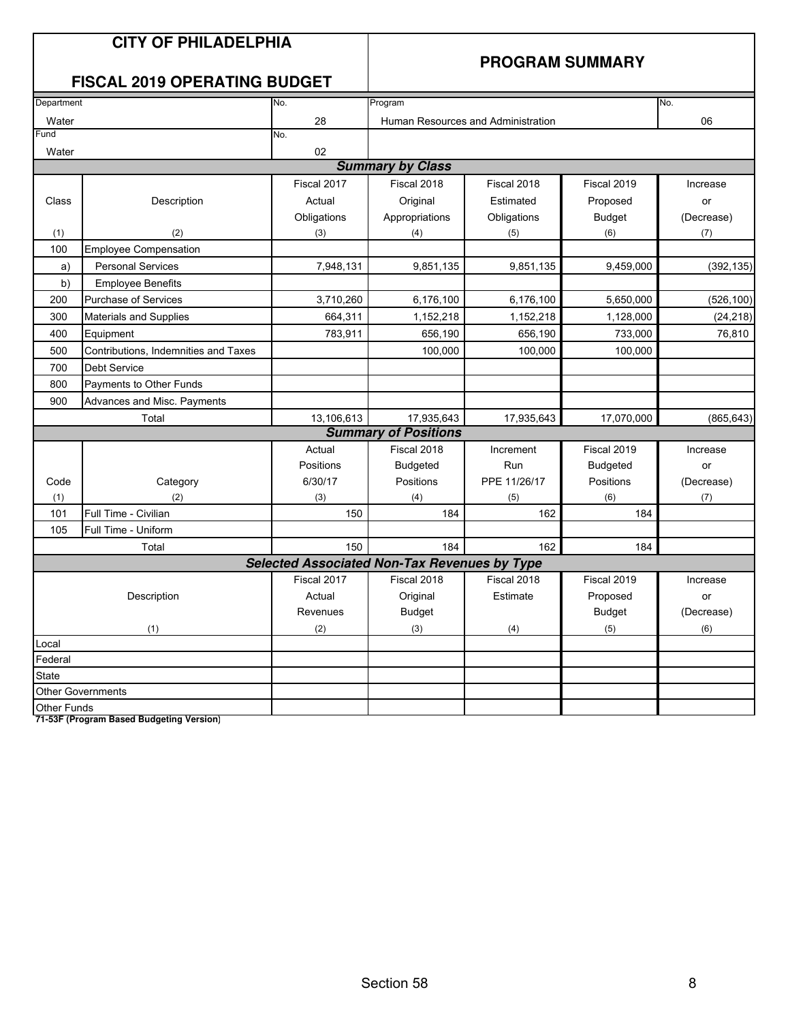|              | <b>CITY OF PHILADELPHIA</b><br><b>FISCAL 2019 OPERATING BUDGET</b> |             | <b>PROGRAM SUMMARY</b>                              |                                    |                 |            |  |
|--------------|--------------------------------------------------------------------|-------------|-----------------------------------------------------|------------------------------------|-----------------|------------|--|
| Department   |                                                                    | No.         | Program                                             |                                    |                 | No.        |  |
| Water        |                                                                    | 28          |                                                     | Human Resources and Administration |                 | 06         |  |
| Fund         |                                                                    | No.         |                                                     |                                    |                 |            |  |
| Water        |                                                                    | 02          |                                                     |                                    |                 |            |  |
|              |                                                                    |             | <b>Summary by Class</b>                             |                                    |                 |            |  |
|              |                                                                    | Fiscal 2017 | Fiscal 2018                                         | Fiscal 2018                        | Fiscal 2019     | Increase   |  |
| Class        | Description                                                        | Actual      | Original                                            | Estimated                          | Proposed        | or         |  |
|              |                                                                    | Obligations | Appropriations                                      | Obligations                        | <b>Budget</b>   | (Decrease) |  |
| (1)          | (2)                                                                | (3)         | (4)                                                 | (5)                                | (6)             | (7)        |  |
| 100          | <b>Employee Compensation</b>                                       |             |                                                     |                                    |                 |            |  |
| a)           | <b>Personal Services</b>                                           | 7,948,131   | 9,851,135                                           | 9,851,135                          | 9,459,000       | (392, 135) |  |
| b)           | <b>Employee Benefits</b>                                           |             |                                                     |                                    |                 |            |  |
| 200          | <b>Purchase of Services</b>                                        | 3,710,260   | 6,176,100                                           | 6,176,100                          | 5,650,000       | (526, 100) |  |
| 300          | Materials and Supplies                                             | 664,311     | 1,152,218                                           | 1,152,218                          | 1,128,000       | (24, 218)  |  |
| 400          | Equipment                                                          | 783,911     | 656,190                                             | 656,190                            | 733,000         | 76,810     |  |
| 500          | Contributions, Indemnities and Taxes                               |             | 100,000                                             | 100,000                            | 100,000         |            |  |
| 700          | <b>Debt Service</b>                                                |             |                                                     |                                    |                 |            |  |
| 800          | Payments to Other Funds                                            |             |                                                     |                                    |                 |            |  |
| 900          | Advances and Misc. Payments                                        |             |                                                     |                                    |                 |            |  |
|              | Total                                                              | 13,106,613  | 17,935,643                                          | 17,935,643                         | 17,070,000      | (865, 643) |  |
|              |                                                                    |             | <b>Summary of Positions</b>                         |                                    |                 |            |  |
|              |                                                                    | Actual      | Fiscal 2018                                         | Increment                          | Fiscal 2019     | Increase   |  |
|              |                                                                    | Positions   | <b>Budgeted</b>                                     | Run                                | <b>Budgeted</b> | or         |  |
| Code         | Category                                                           | 6/30/17     | Positions                                           | PPE 11/26/17                       | Positions       | (Decrease) |  |
| (1)          | (2)                                                                | (3)         | (4)                                                 | (5)                                | (6)             | (7)        |  |
| 101          | Full Time - Civilian                                               | 150         | 184                                                 | 162                                | 184             |            |  |
| 105          | Full Time - Uniform                                                |             |                                                     |                                    |                 |            |  |
|              | Total                                                              | 150         | 184                                                 | 162                                | 184             |            |  |
|              |                                                                    |             | <b>Selected Associated Non-Tax Revenues by Type</b> |                                    |                 |            |  |
|              |                                                                    | Fiscal 2017 | Fiscal 2018                                         | Fiscal 2018                        | Fiscal 2019     | Increase   |  |
|              | Description                                                        | Actual      | Original                                            | Estimate                           | Proposed        | or         |  |
|              |                                                                    | Revenues    | <b>Budget</b>                                       |                                    | <b>Budget</b>   | (Decrease) |  |
|              | (1)                                                                | (2)         | (3)                                                 | (4)                                | (5)             | (6)        |  |
| Local        |                                                                    |             |                                                     |                                    |                 |            |  |
| Federal      |                                                                    |             |                                                     |                                    |                 |            |  |
| <b>State</b> |                                                                    |             |                                                     |                                    |                 |            |  |
|              | <b>Other Governments</b>                                           |             |                                                     |                                    |                 |            |  |
| Other Funds  |                                                                    |             |                                                     |                                    |                 |            |  |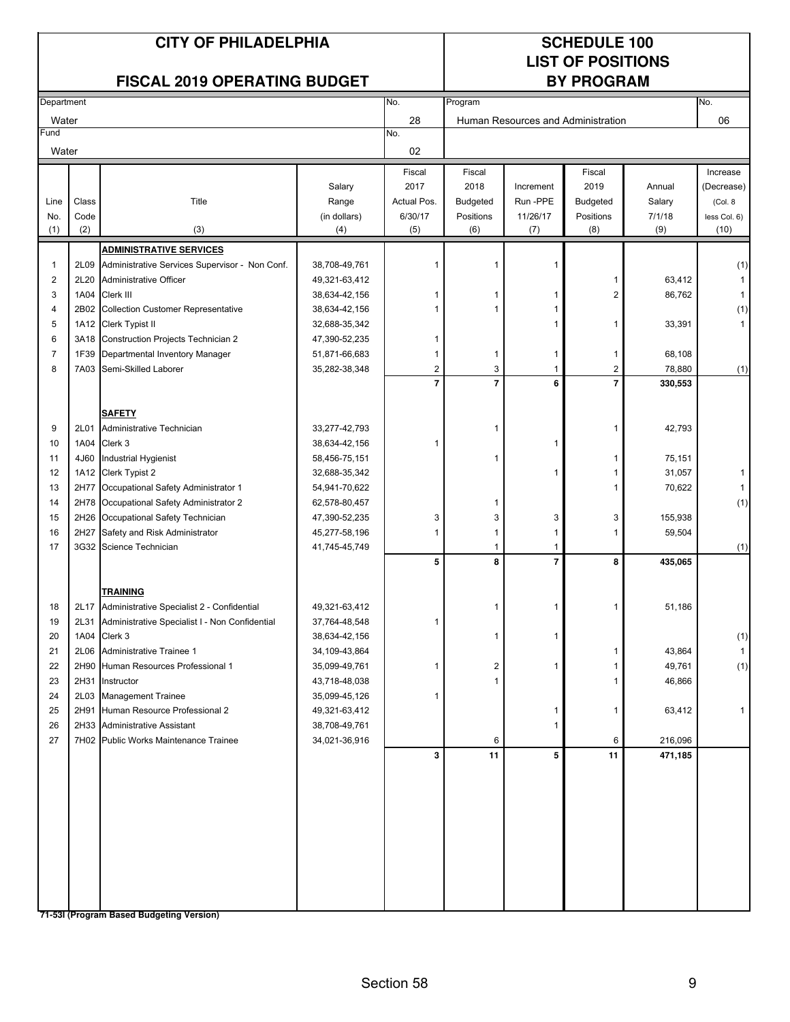# **LIST OF POSITIONS**

### FISCAL 2019 OPERATING BUDGET BY PROGRAM

| Department              |       |                                                                    |                 | No.            | Program         |                |                                    |         | No.                 |
|-------------------------|-------|--------------------------------------------------------------------|-----------------|----------------|-----------------|----------------|------------------------------------|---------|---------------------|
| Water                   |       |                                                                    |                 | 28             |                 |                | Human Resources and Administration |         | 06                  |
| Fund                    |       |                                                                    |                 | No.            |                 |                |                                    |         |                     |
| Water                   |       |                                                                    |                 | 02             |                 |                |                                    |         |                     |
|                         |       |                                                                    |                 | Fiscal         | Fiscal          |                | Fiscal                             |         | Increase            |
|                         |       |                                                                    | Salary          | 2017           | 2018            | Increment      | 2019                               | Annual  | (Decrease)          |
| Line                    | Class | Title                                                              | Range           | Actual Pos.    | <b>Budgeted</b> | Run -PPE       | <b>Budgeted</b>                    | Salary  | (Col. 8             |
| No.                     | Code  |                                                                    | (in dollars)    | 6/30/17        | Positions       | 11/26/17       | Positions                          | 7/1/18  | less Col. 6)        |
| (1)                     | (2)   | (3)                                                                | (4)             | (5)            | (6)             | (7)            | (8)                                | (9)     | (10)                |
|                         |       | <b>ADMINISTRATIVE SERVICES</b>                                     |                 |                |                 |                |                                    |         |                     |
| 1                       |       | 2L09 Administrative Services Supervisor - Non Conf.                | 38,708-49,761   | -1             | 1               | 1              |                                    |         | (1)                 |
| $\overline{\mathbf{c}}$ |       | 2L20 Administrative Officer                                        | 49,321-63,412   |                |                 |                | 1                                  | 63,412  | $\mathbf{1}$        |
| 3                       |       | 1A04 Clerk III                                                     | 38,634-42,156   | 1              | 1               |                | 2                                  | 86,762  | $\mathbf{1}$        |
| 4                       |       | 2B02 Collection Customer Representative                            | 38,634-42,156   | 1              | 1               |                |                                    |         | (1)                 |
| 5                       |       | 1A12 Clerk Typist II                                               | 32,688-35,342   |                |                 | 1              | 1                                  | 33,391  | $\mathbf{1}$        |
| 6                       |       | 3A18 Construction Projects Technician 2                            | 47,390-52,235   | 1              |                 |                |                                    |         |                     |
| 7                       | 1F39  | Departmental Inventory Manager                                     | 51,871-66,683   | 1              | 1               | -1             | 1                                  | 68,108  |                     |
| 8                       |       | 7A03 Semi-Skilled Laborer                                          | 35,282-38,348   | $\overline{2}$ | 3               | $\mathbf{1}$   | 2                                  | 78,880  | (1)                 |
|                         |       |                                                                    |                 | $\overline{7}$ | $\overline{7}$  | 6              | $\overline{7}$                     | 330,553 |                     |
|                         |       |                                                                    |                 |                |                 |                |                                    |         |                     |
|                         |       | <b>SAFETY</b>                                                      |                 |                |                 |                |                                    |         |                     |
| 9                       |       | 2L01 Administrative Technician                                     | 33,277-42,793   |                | 1               |                | 1                                  | 42,793  |                     |
| 10                      |       | 1A04 Clerk 3                                                       | 38,634-42,156   | 1              |                 | 1              |                                    |         |                     |
| 11                      |       | 4J60 Industrial Hygienist                                          | 58,456-75,151   |                | 1               |                | 1                                  | 75,151  |                     |
| 12                      |       | 1A12 Clerk Typist 2                                                | 32,688-35,342   |                |                 | 1              | 1                                  | 31,057  | 1                   |
| 13                      |       | 2H77 Occupational Safety Administrator 1                           | 54,941-70,622   |                |                 |                |                                    | 70,622  | $\mathbf{1}$        |
| 14                      |       | 2H78 Occupational Safety Administrator 2                           | 62,578-80,457   |                | 1               |                |                                    |         | (1)                 |
| 15                      |       | 2H26 Occupational Safety Technician                                | 47,390-52,235   | 3              | 3               | 3              | 3                                  | 155,938 |                     |
| 16                      | 2H27  | Safety and Risk Administrator                                      | 45,277-58,196   | 1              | 1               | -1             | 1                                  | 59,504  |                     |
| 17                      |       | 3G32 Science Technician                                            | 41,745-45,749   |                | 1               | $\mathbf 1$    |                                    |         | (1)                 |
|                         |       |                                                                    |                 | 5              | 8               | $\overline{7}$ | 8                                  | 435,065 |                     |
|                         |       |                                                                    |                 |                |                 |                |                                    |         |                     |
| 18                      |       | <b>TRAINING</b><br>2L17 Administrative Specialist 2 - Confidential | 49,321-63,412   |                | 1               | 1              | 1                                  | 51,186  |                     |
| 19                      |       | 2L31 Administrative Specialist I - Non Confidential                | 37,764-48,548   | 1              |                 |                |                                    |         |                     |
| 20                      |       | 1A04 Clerk 3                                                       | 38,634-42,156   |                | 1               |                |                                    |         |                     |
| 21                      |       | 2L06 Administrative Trainee 1                                      | 34, 109-43, 864 |                |                 |                |                                    | 43,864  | (1)<br>$\mathbf{1}$ |
| 22                      |       | 2H90 Human Resources Professional 1                                | 35,099-49,761   | $\mathbf{1}$   | 2               | 1              | 1                                  | 49,761  | (1)                 |
| 23                      |       | 2H31 Instructor                                                    | 43,718-48,038   |                | 1               |                | 1                                  | 46,866  |                     |
| 24                      |       | 2L03 Management Trainee                                            | 35,099-45,126   | -1             |                 |                |                                    |         |                     |
| 25                      |       | 2H91 Human Resource Professional 2                                 | 49,321-63,412   |                |                 | -1             | 1                                  | 63,412  | 1                   |
| 26                      |       | 2H33 Administrative Assistant                                      | 38,708-49,761   |                |                 | -1             |                                    |         |                     |
| 27                      |       | 7H02 Public Works Maintenance Trainee                              | 34,021-36,916   |                | 6               |                | 6                                  | 216,096 |                     |
|                         |       |                                                                    |                 | 3              | 11              | 5              | 11                                 | 471,185 |                     |
|                         |       |                                                                    |                 |                |                 |                |                                    |         |                     |
|                         |       |                                                                    |                 |                |                 |                |                                    |         |                     |
|                         |       |                                                                    |                 |                |                 |                |                                    |         |                     |
|                         |       |                                                                    |                 |                |                 |                |                                    |         |                     |
|                         |       |                                                                    |                 |                |                 |                |                                    |         |                     |
|                         |       |                                                                    |                 |                |                 |                |                                    |         |                     |
|                         |       |                                                                    |                 |                |                 |                |                                    |         |                     |
|                         |       |                                                                    |                 |                |                 |                |                                    |         |                     |
|                         |       |                                                                    |                 |                |                 |                |                                    |         |                     |
|                         |       |                                                                    |                 |                |                 |                |                                    |         |                     |
|                         |       | 71-53I (Program Based Budgeting Version)                           |                 |                |                 |                |                                    |         |                     |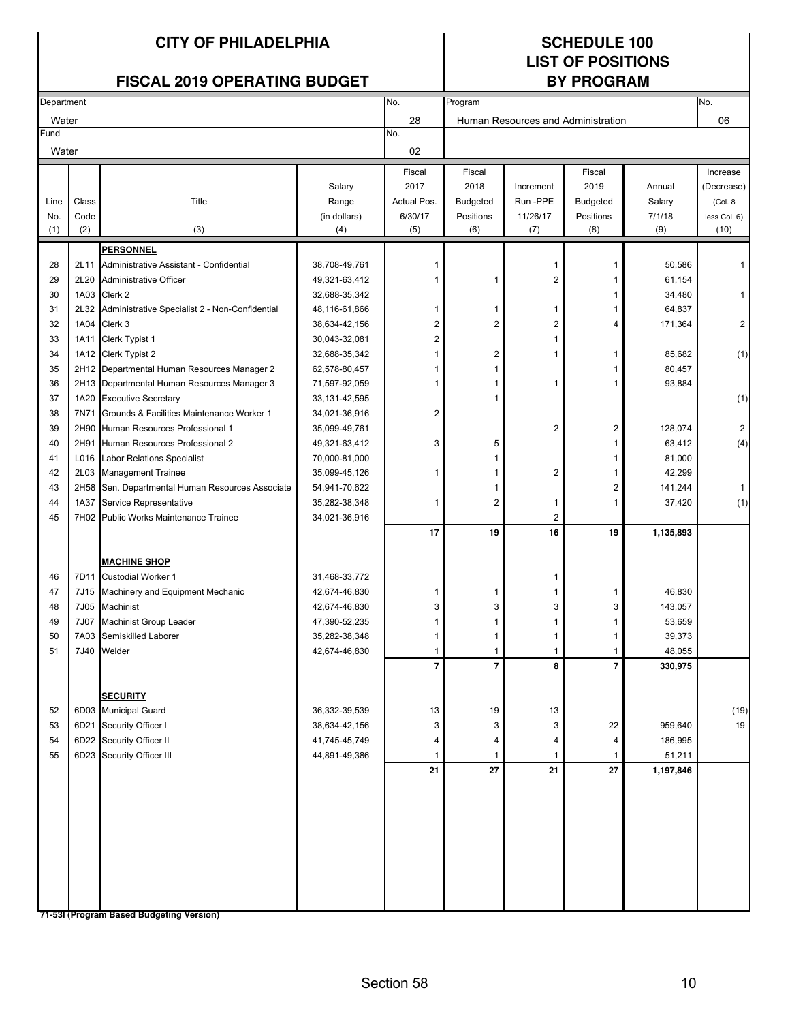# **LIST OF POSITIONS**

| Department |       |                                                |                 | No.            | Program                  |                                    |                |           | No.            |
|------------|-------|------------------------------------------------|-----------------|----------------|--------------------------|------------------------------------|----------------|-----------|----------------|
| Water      |       |                                                |                 | 28             |                          | Human Resources and Administration |                |           | 06             |
| Fund       |       |                                                |                 | No.            |                          |                                    |                |           |                |
| Water      |       |                                                |                 | 02             |                          |                                    |                |           |                |
|            |       |                                                |                 | Fiscal         | Fiscal                   |                                    | Fiscal         |           | Increase       |
|            |       |                                                | Salary          | 2017           | 2018                     | Increment                          | 2019           | Annual    | (Decrease)     |
| Line       | Class | Title                                          | Range           | Actual Pos.    | <b>Budgeted</b>          | Run-PPE                            | Budgeted       | Salary    | (Col. 8)       |
| No.        | Code  |                                                | (in dollars)    | 6/30/17        | Positions                | 11/26/17                           | Positions      | 7/1/18    | less Col. 6)   |
| (1)        | (2)   | (3)                                            | (4)             | (5)            | (6)                      | (7)                                | (8)            | (9)       | (10)           |
|            |       | <b>PERSONNEL</b>                               |                 |                |                          |                                    |                |           |                |
| 28         | 2L11  | Administrative Assistant - Confidential        | 38,708-49,761   | 1              |                          | $\mathbf{1}$                       | 1              | 50,586    |                |
| 29         | 2L20  | Administrative Officer                         | 49,321-63,412   | 1              | 1                        | $\sqrt{2}$                         | 1              | 61,154    |                |
| 30         |       | 1A03 Clerk 2                                   | 32,688-35,342   |                |                          |                                    | 1              | 34,480    | 1              |
| 31         | 2L32  | Administrative Specialist 2 - Non-Confidential | 48,116-61,866   | 1              | 1                        | 1                                  | 1              | 64,837    |                |
| 32         | 1A04  | Clerk 3                                        | 38,634-42,156   | $\overline{2}$ | $\overline{2}$           | $\overline{2}$                     | 4              | 171,364   | 2              |
| 33         | 1A11  | Clerk Typist 1                                 | 30,043-32,081   | $\overline{2}$ |                          | 1                                  |                |           |                |
| 34         |       | 1A12 Clerk Typist 2                            | 32,688-35,342   |                | 2                        | 1                                  | 1              | 85,682    | (1)            |
| 35         |       | 2H12 Departmental Human Resources Manager 2    | 62,578-80,457   |                | 1                        |                                    |                | 80,457    |                |
| 36         |       | 2H13 Departmental Human Resources Manager 3    | 71,597-92,059   | 1              | 1                        | 1                                  |                | 93,884    |                |
| 37         |       | 1A20 Executive Secretary                       | 33, 131-42, 595 |                | 1                        |                                    |                |           | (1)            |
| 38         |       | 7N71 Grounds & Facilities Maintenance Worker 1 | 34,021-36,916   | $\overline{2}$ |                          |                                    |                |           |                |
| 39         |       | 2H90 Human Resources Professional 1            | 35,099-49,761   |                |                          | $\overline{2}$                     | 2              | 128,074   | $\overline{2}$ |
| 40         |       | 2H91 Human Resources Professional 2            | 49,321-63,412   | 3              | 5                        |                                    | 1              | 63,412    | (4)            |
| 41         |       | L016 Labor Relations Specialist                | 70,000-81,000   |                | 1                        |                                    | 1              | 81,000    |                |
| 42         |       | 2L03 Management Trainee                        | 35,099-45,126   | -1             | 1                        | $\overline{c}$                     | 1              | 42,299    |                |
| 43         | 2H58  | Sen. Departmental Human Resources Associate    | 54,941-70,622   |                | 1                        |                                    | 2              | 141,244   | 1              |
| 44         | 1A37  | Service Representative                         | 35,282-38,348   | $\mathbf{1}$   | $\overline{2}$           | $\mathbf{1}$                       | 1              | 37,420    | (1)            |
| 45         |       | 7H02 Public Works Maintenance Trainee          | 34,021-36,916   |                |                          | 2                                  |                |           |                |
|            |       |                                                |                 | 17             | 19                       | 16                                 | 19             | 1,135,893 |                |
|            |       |                                                |                 |                |                          |                                    |                |           |                |
|            |       | <b>MACHINE SHOP</b>                            |                 |                |                          |                                    |                |           |                |
| 46         |       | 7D11 Custodial Worker 1                        | 31,468-33,772   |                |                          | 1                                  |                |           |                |
| 47         |       | 7J15 Machinery and Equipment Mechanic          | 42,674-46,830   | 1              | 1                        | 1                                  | 1              | 46,830    |                |
| 48         |       | 7J05 Machinist                                 | 42,674-46,830   | 3              | 3                        | 3                                  | 3              | 143,057   |                |
| 49         |       | 7J07 Machinist Group Leader                    | 47,390-52,235   |                | 1                        | $\mathbf{1}$                       | 1              | 53,659    |                |
| 50         | 7A03  | Semiskilled Laborer                            | 35,282-38,348   | 1              | 1                        | $\mathbf{1}$                       | 1              | 39,373    |                |
| 51         | 7J40  | Welder                                         | 42,674-46,830   | 1              | 1                        | 1                                  | 1              | 48,055    |                |
|            |       |                                                |                 | $\overline{7}$ | $\overline{\phantom{a}}$ | 8                                  | $\overline{7}$ | 330,975   |                |
|            |       |                                                |                 |                |                          |                                    |                |           |                |
|            |       | <b>SECURITY</b>                                |                 |                |                          |                                    |                |           |                |
| 52         |       | 6D03 Municipal Guard                           | 36,332-39,539   | 13             | 19                       | 13                                 |                |           | (19)           |
| 53         |       | 6D21 Security Officer I                        | 38,634-42,156   | 3              | 3                        | 3                                  | 22             | 959,640   | 19             |
| 54         |       | 6D22 Security Officer II                       | 41,745-45,749   | 4              | 4                        | 4                                  | 4              | 186,995   |                |
| 55         |       | 6D23 Security Officer III                      | 44,891-49,386   | 1              | 1                        | $\mathbf{1}$                       | $\mathbf{1}$   | 51,211    |                |
|            |       |                                                |                 | 21             | 27                       | 21                                 | 27             | 1,197,846 |                |
|            |       |                                                |                 |                |                          |                                    |                |           |                |
|            |       |                                                |                 |                |                          |                                    |                |           |                |
|            |       |                                                |                 |                |                          |                                    |                |           |                |
|            |       |                                                |                 |                |                          |                                    |                |           |                |
|            |       |                                                |                 |                |                          |                                    |                |           |                |
|            |       |                                                |                 |                |                          |                                    |                |           |                |
|            |       |                                                |                 |                |                          |                                    |                |           |                |
|            |       |                                                |                 |                |                          |                                    |                |           |                |
|            |       |                                                |                 |                |                          |                                    |                |           |                |
|            |       | 71-53I (Program Based Budgeting Version)       |                 |                |                          |                                    |                |           |                |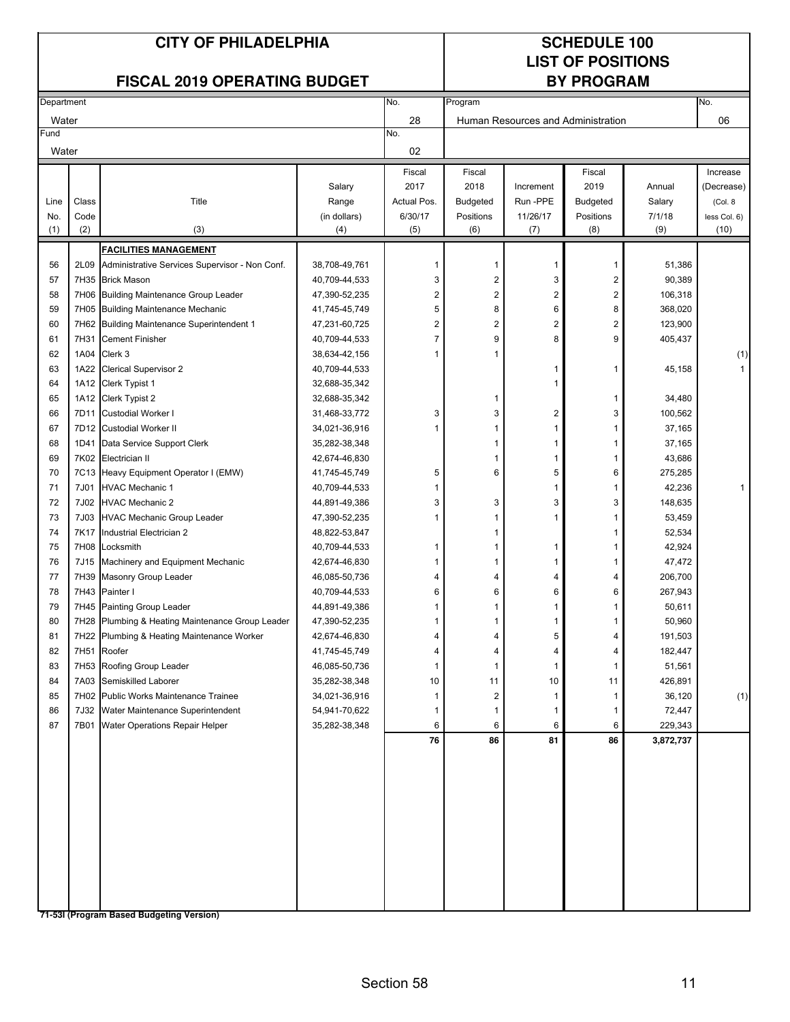# **LIST OF POSITIONS**

| Department |                  |                                                     |               | No.            | Program                 |                         |                                    | No.       |              |
|------------|------------------|-----------------------------------------------------|---------------|----------------|-------------------------|-------------------------|------------------------------------|-----------|--------------|
| Water      |                  |                                                     |               | 28             |                         |                         | Human Resources and Administration |           | 06           |
| Fund       |                  |                                                     |               | No.            |                         |                         |                                    |           |              |
| Water      |                  |                                                     |               | 02             |                         |                         |                                    |           |              |
|            |                  |                                                     |               | Fiscal         | Fiscal                  |                         | Fiscal                             |           | Increase     |
|            |                  |                                                     | Salary        | 2017           | 2018                    | Increment               | 2019                               | Annual    | (Decrease)   |
| Line       | Class            | Title                                               | Range         | Actual Pos.    | <b>Budgeted</b>         | Run-PPE                 | <b>Budgeted</b>                    | Salary    | (Col. 8      |
| No.        | Code             |                                                     | (in dollars)  | 6/30/17        | Positions               | 11/26/17                | Positions                          | 7/1/18    | less Col. 6) |
| (1)        | (2)              | (3)                                                 | (4)           | (5)            | (6)                     | (7)                     | (8)                                | (9)       | (10)         |
|            |                  | <b>FACILITIES MANAGEMENT</b>                        |               |                |                         |                         |                                    |           |              |
| 56         |                  | 2L09 Administrative Services Supervisor - Non Conf. | 38,708-49,761 | $\mathbf 1$    | 1                       | $\mathbf{1}$            | 1                                  | 51,386    |              |
| 57         |                  | 7H35 Brick Mason                                    | 40,709-44,533 | 3              | $\overline{\mathbf{c}}$ | 3                       | $\overline{c}$                     | 90,389    |              |
| 58         |                  | 7H06 Building Maintenance Group Leader              | 47,390-52,235 | $\overline{2}$ | $\overline{\mathbf{c}}$ | $\overline{\mathbf{c}}$ | $\mathbf 2$                        | 106,318   |              |
| 59         |                  | 7H05 Building Maintenance Mechanic                  | 41,745-45,749 | 5              | 8                       | 6                       | 8                                  | 368,020   |              |
| 60         |                  | 7H62 Building Maintenance Superintendent 1          | 47,231-60,725 | $\overline{2}$ | 2                       | 2                       | $\overline{c}$                     | 123,900   |              |
| 61         | 7H31             | <b>Cement Finisher</b>                              | 40,709-44,533 | $\overline{7}$ | 9                       | 8                       | 9                                  | 405,437   |              |
| 62         |                  | 1A04 Clerk 3                                        | 38,634-42,156 | 1              | 1                       |                         |                                    |           | (1)          |
| 63         |                  | 1A22 Clerical Supervisor 2                          | 40,709-44,533 |                |                         | 1                       | $\mathbf{1}$                       | 45,158    | 1            |
| 64         |                  | 1A12 Clerk Typist 1                                 | 32,688-35,342 |                |                         | 1                       |                                    |           |              |
| 65         |                  | 1A12 Clerk Typist 2                                 | 32,688-35,342 |                | 1                       |                         | 1                                  | 34,480    |              |
| 66         |                  | 7D11 Custodial Worker I                             | 31,468-33,772 | 3              | 3                       | 2                       | 3                                  | 100,562   |              |
| 67         |                  | 7D12 Custodial Worker II                            | 34,021-36,916 |                | 1                       | 1                       | 1                                  | 37,165    |              |
| 68         |                  | 1D41 Data Service Support Clerk                     | 35,282-38,348 |                | 1                       | 1                       | 1                                  | 37,165    |              |
| 69         |                  | 7K02 Electrician II                                 | 42,674-46,830 |                | 1                       | $\mathbf{1}$            | 1                                  | 43,686    |              |
| 70         |                  | 7C13 Heavy Equipment Operator I (EMW)               | 41,745-45,749 | 5              | 6                       | 5                       | 6                                  | 275,285   |              |
|            | 7J01             |                                                     |               |                |                         | $\mathbf{1}$            |                                    |           | 1            |
| 71<br>72   |                  | <b>HVAC Mechanic 1</b><br><b>HVAC Mechanic 2</b>    | 40,709-44,533 | 3              | 3                       | 3                       | 1<br>3                             | 42,236    |              |
|            | 7J02             |                                                     | 44,891-49,386 |                |                         |                         |                                    | 148,635   |              |
| 73         | 7J03             | <b>HVAC Mechanic Group Leader</b>                   | 47,390-52,235 |                | 1                       | 1                       | 1                                  | 53,459    |              |
| 74         | 7K17             | Industrial Electrician 2                            | 48,822-53,847 |                | 1                       |                         | 1                                  | 52,534    |              |
| 75         |                  | 7H08 Locksmith                                      | 40,709-44,533 | 1              | 1                       | 1                       | 1                                  | 42,924    |              |
| 76         |                  | 7J15 Machinery and Equipment Mechanic               | 42,674-46,830 | 1              | 1                       | 1                       | 1                                  | 47,472    |              |
| 77         |                  | 7H39 Masonry Group Leader                           | 46,085-50,736 | 4              | 4                       | 4                       | 4                                  | 206,700   |              |
| 78         |                  | 7H43 Painter I                                      | 40,709-44,533 | 6              | 6                       | 6                       | 6                                  | 267,943   |              |
| 79         |                  | 7H45 Painting Group Leader                          | 44,891-49,386 | 1              | 1                       | 1                       | 1                                  | 50,611    |              |
| 80         |                  | 7H28 Plumbing & Heating Maintenance Group Leader    | 47,390-52,235 | 1              | 1                       | 1                       | 1                                  | 50,960    |              |
| 81         |                  | 7H22 Plumbing & Heating Maintenance Worker          | 42,674-46,830 | 4              | 4                       | 5                       | 4                                  | 191,503   |              |
| 82         | 7H <sub>51</sub> | Roofer                                              | 41,745-45,749 | 4              | 4                       | 4                       | 4                                  | 182,447   |              |
| 83         |                  | 7H53 Roofing Group Leader                           | 46,085-50,736 | 1              | 1                       | $\mathbf{1}$            | 1                                  | 51,561    |              |
| 84         |                  | 7A03 Semiskilled Laborer                            | 35,282-38,348 | 10             | 11                      | 10 <sup>1</sup>         | 11                                 | 426,891   |              |
| 85         |                  | 7H02 Public Works Maintenance Trainee               | 34,021-36,916 |                | 2                       | $\mathbf{1}$            | 1                                  | 36,120    | (1)          |
| 86         |                  | 7J32 Water Maintenance Superintendent               | 54,941-70,622 |                | 1                       | 1                       | 1                                  | 72,447    |              |
| 87         |                  | 7B01 Water Operations Repair Helper                 | 35,282-38,348 | 6              | 6                       | 6                       | 6                                  | 229,343   |              |
|            |                  |                                                     |               | 76             | 86                      | 81                      | 86                                 | 3,872,737 |              |
|            |                  |                                                     |               |                |                         |                         |                                    |           |              |
|            |                  |                                                     |               |                |                         |                         |                                    |           |              |
|            |                  |                                                     |               |                |                         |                         |                                    |           |              |
|            |                  |                                                     |               |                |                         |                         |                                    |           |              |
|            |                  |                                                     |               |                |                         |                         |                                    |           |              |
|            |                  |                                                     |               |                |                         |                         |                                    |           |              |
|            |                  |                                                     |               |                |                         |                         |                                    |           |              |
|            |                  |                                                     |               |                |                         |                         |                                    |           |              |
|            |                  |                                                     |               |                |                         |                         |                                    |           |              |
|            |                  |                                                     |               |                |                         |                         |                                    |           |              |
|            |                  |                                                     |               |                |                         |                         |                                    |           |              |
|            |                  | 71-53I (Program Based Budgeting Version)            |               |                |                         |                         |                                    |           |              |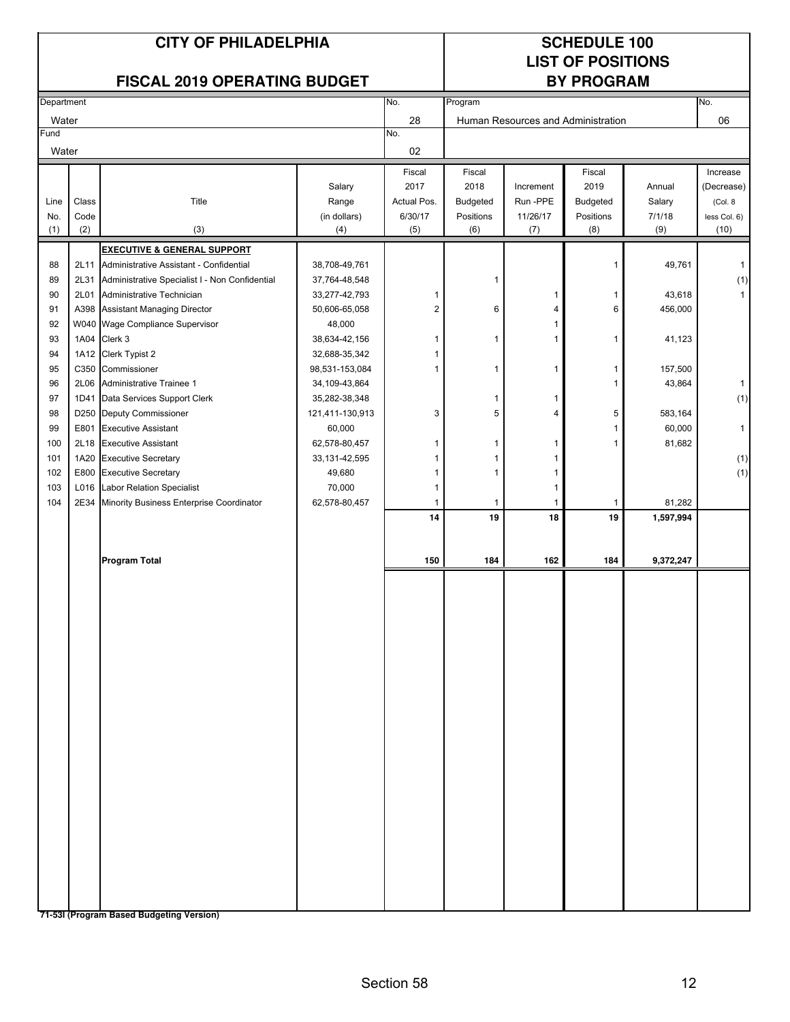# **LIST OF POSITIONS**

| No.<br>No.<br>Department<br>Program |                  |                                                     |                 |                         |                 |                                    |           |           |              |
|-------------------------------------|------------------|-----------------------------------------------------|-----------------|-------------------------|-----------------|------------------------------------|-----------|-----------|--------------|
| Water                               |                  |                                                     |                 | 28                      |                 | Human Resources and Administration |           |           | 06           |
| Fund                                |                  |                                                     |                 | No.                     |                 |                                    |           |           |              |
| Water                               |                  |                                                     |                 | 02                      |                 |                                    |           |           |              |
|                                     |                  |                                                     |                 | Fiscal                  | Fiscal          |                                    | Fiscal    |           | Increase     |
|                                     |                  |                                                     | Salary          | 2017                    | 2018            | Increment                          | 2019      | Annual    | (Decrease)   |
| Line                                | $\textsf{Class}$ | Title                                               | Range           | Actual Pos.             | <b>Budgeted</b> | Run -PPE                           | Budgeted  | Salary    | (Col. 8      |
| No.                                 | Code             |                                                     | (in dollars)    | 6/30/17                 | Positions       | 11/26/17                           | Positions | 7/1/18    | less Col. 6) |
| (1)                                 | (2)              | (3)                                                 | (4)             | (5)                     | (6)             | (7)                                | (8)       | (9)       | (10)         |
|                                     |                  | <b>EXECUTIVE &amp; GENERAL SUPPORT</b>              |                 |                         |                 |                                    |           |           |              |
| 88                                  |                  | 2L11 Administrative Assistant - Confidential        | 38,708-49,761   |                         |                 |                                    | 1         | 49,761    | 1            |
| 89                                  |                  | 2L31 Administrative Specialist I - Non Confidential | 37,764-48,548   |                         | 1               |                                    |           |           | (1)          |
| 90                                  |                  | 2L01 Administrative Technician                      | 33,277-42,793   | 1                       |                 | 1                                  | 1         | 43,618    | $\mathbf{1}$ |
| 91                                  |                  | A398 Assistant Managing Director                    | 50,606-65,058   | $\overline{\mathbf{c}}$ | 6               | 4                                  | 6         | 456,000   |              |
| 92                                  |                  | W040 Wage Compliance Supervisor                     | 48,000          |                         |                 | $\mathbf{1}$                       |           |           |              |
| 93                                  |                  | 1A04 Clerk 3                                        | 38,634-42,156   | 1                       | 1               | 1                                  | 1         | 41,123    |              |
| 94                                  |                  | 1A12 Clerk Typist 2                                 | 32,688-35,342   |                         |                 |                                    |           |           |              |
| 95                                  |                  | C350 Commissioner                                   | 98,531-153,084  | 1                       | 1               | 1                                  | 1         | 157,500   |              |
| 96                                  | 2L06             | Administrative Trainee 1                            | 34,109-43,864   |                         |                 |                                    | 1         | 43,864    | $\mathbf{1}$ |
| 97                                  | 1D41             | Data Services Support Clerk                         | 35,282-38,348   |                         | 1               | 1                                  |           |           | (1)          |
| 98                                  |                  | D250 Deputy Commissioner                            | 121,411-130,913 | 3                       | 5               | 4                                  | 5         | 583,164   |              |
| 99                                  | E801             | <b>Executive Assistant</b>                          | 60,000          |                         |                 |                                    | 1         | 60,000    | $\mathbf{1}$ |
| 100                                 |                  | 2L18 Executive Assistant                            | 62,578-80,457   | 1                       | 1               | 1                                  | 1         | 81,682    |              |
| 101                                 | 1A20             | <b>Executive Secretary</b>                          | 33,131-42,595   |                         | 1               | 1                                  |           |           | (1)          |
| 102                                 |                  | E800 Executive Secretary                            | 49,680          | 1                       | 1               | 1                                  |           |           | (1)          |
| 103                                 | L016             | Labor Relation Specialist                           | 70,000          | 1                       |                 | 1                                  |           |           |              |
| 104                                 | 2E34             | Minority Business Enterprise Coordinator            | 62,578-80,457   | 1                       | 1               | 1                                  | 1         | 81,282    |              |
|                                     |                  |                                                     |                 | 14                      | 19              | ${\bf 18}$                         | 19        | 1,597,994 |              |
|                                     |                  |                                                     |                 |                         |                 |                                    |           |           |              |
|                                     |                  |                                                     |                 |                         |                 |                                    |           |           |              |
|                                     |                  | <b>Program Total</b>                                |                 | 150                     | 184             | 162                                | 184       | 9,372,247 |              |
|                                     |                  |                                                     |                 |                         |                 |                                    |           |           |              |
|                                     |                  |                                                     |                 |                         |                 |                                    |           |           |              |
|                                     |                  |                                                     |                 |                         |                 |                                    |           |           |              |
|                                     |                  |                                                     |                 |                         |                 |                                    |           |           |              |
|                                     |                  |                                                     |                 |                         |                 |                                    |           |           |              |
|                                     |                  |                                                     |                 |                         |                 |                                    |           |           |              |
|                                     |                  |                                                     |                 |                         |                 |                                    |           |           |              |
|                                     |                  |                                                     |                 |                         |                 |                                    |           |           |              |
|                                     |                  |                                                     |                 |                         |                 |                                    |           |           |              |
|                                     |                  |                                                     |                 |                         |                 |                                    |           |           |              |
|                                     |                  |                                                     |                 |                         |                 |                                    |           |           |              |
|                                     |                  |                                                     |                 |                         |                 |                                    |           |           |              |
|                                     |                  |                                                     |                 |                         |                 |                                    |           |           |              |
|                                     |                  |                                                     |                 |                         |                 |                                    |           |           |              |
|                                     |                  |                                                     |                 |                         |                 |                                    |           |           |              |
|                                     |                  |                                                     |                 |                         |                 |                                    |           |           |              |
|                                     |                  |                                                     |                 |                         |                 |                                    |           |           |              |
|                                     |                  |                                                     |                 |                         |                 |                                    |           |           |              |
|                                     |                  |                                                     |                 |                         |                 |                                    |           |           |              |
|                                     |                  |                                                     |                 |                         |                 |                                    |           |           |              |
|                                     |                  |                                                     |                 |                         |                 |                                    |           |           |              |
|                                     |                  |                                                     |                 |                         |                 |                                    |           |           |              |
|                                     |                  |                                                     |                 |                         |                 |                                    |           |           |              |
|                                     |                  | 71-53I (Program Based Budgeting Version)            |                 |                         |                 |                                    |           |           |              |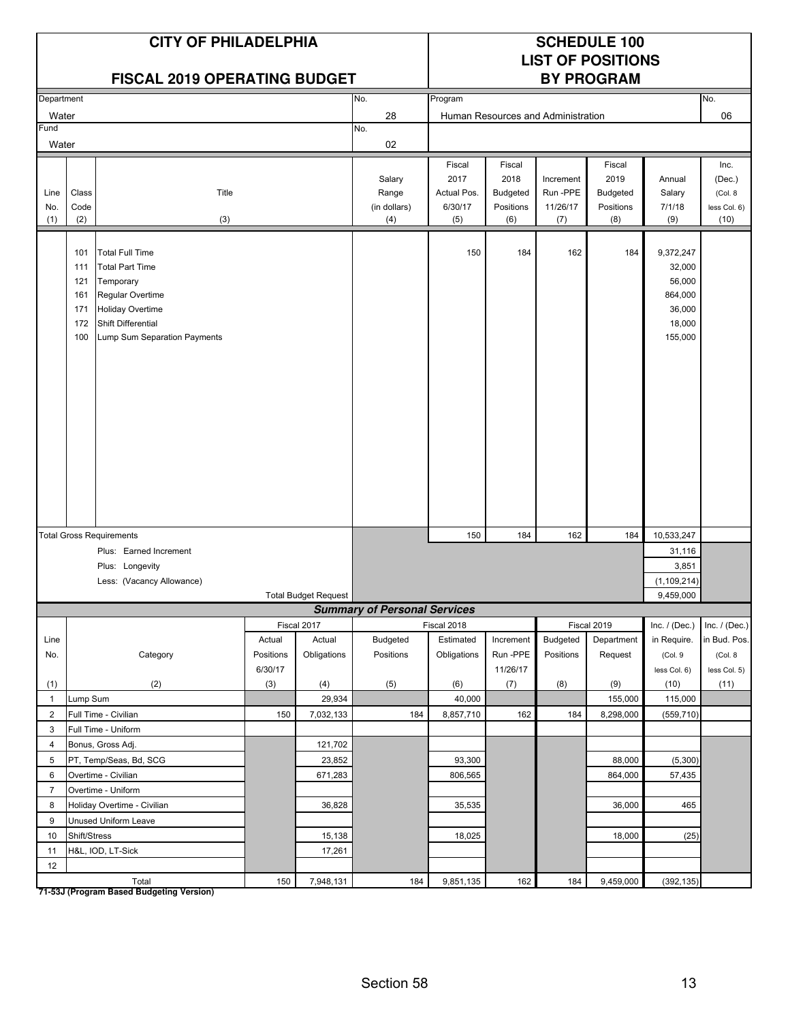|                    |                                               | <b>CITY OF PHILADELPHIA</b><br><b>FISCAL 2019 OPERATING BUDGET</b>                                                                                                 |                     |                             |                                        |                                                 |                                                       |                                         | <b>SCHEDULE 100</b><br><b>LIST OF POSITIONS</b><br><b>BY PROGRAM</b> |                                                                         |                                                   |
|--------------------|-----------------------------------------------|--------------------------------------------------------------------------------------------------------------------------------------------------------------------|---------------------|-----------------------------|----------------------------------------|-------------------------------------------------|-------------------------------------------------------|-----------------------------------------|----------------------------------------------------------------------|-------------------------------------------------------------------------|---------------------------------------------------|
| Department         |                                               |                                                                                                                                                                    |                     |                             | No.                                    | Program                                         |                                                       |                                         |                                                                      |                                                                         | No.                                               |
| Water              |                                               |                                                                                                                                                                    |                     |                             | 28                                     |                                                 |                                                       | Human Resources and Administration      |                                                                      |                                                                         | 06                                                |
| Fund               |                                               |                                                                                                                                                                    |                     |                             | No.                                    |                                                 |                                                       |                                         |                                                                      |                                                                         |                                                   |
| Water              |                                               |                                                                                                                                                                    |                     |                             | 02                                     |                                                 |                                                       |                                         |                                                                      |                                                                         |                                                   |
| Line<br>No.<br>(1) | Class<br>Code<br>(2)                          | Title<br>(3)                                                                                                                                                       |                     |                             | Salary<br>Range<br>(in dollars)<br>(4) | Fiscal<br>2017<br>Actual Pos.<br>6/30/17<br>(5) | Fiscal<br>2018<br><b>Budgeted</b><br>Positions<br>(6) | Increment<br>Run-PPE<br>11/26/17<br>(7) | Fiscal<br>2019<br><b>Budgeted</b><br>Positions<br>(8)                | Annual<br>Salary<br>7/1/18<br>(9)                                       | Inc.<br>(Dec.)<br>(Col. 8<br>less Col. 6)<br>(10) |
|                    | 101<br>111<br>121<br>161<br>171<br>172<br>100 | <b>Total Full Time</b><br><b>Total Part Time</b><br>Temporary<br>Regular Overtime<br><b>Holiday Overtime</b><br>Shift Differential<br>Lump Sum Separation Payments |                     |                             |                                        | 150                                             | 184                                                   | 162                                     | 184                                                                  | 9,372,247<br>32,000<br>56,000<br>864,000<br>36,000<br>18,000<br>155,000 |                                                   |
|                    |                                               | <b>Total Gross Requirements</b>                                                                                                                                    |                     |                             |                                        | 150                                             | 184                                                   | 162                                     | 184                                                                  | 10,533,247                                                              |                                                   |
|                    |                                               | Plus: Earned Increment                                                                                                                                             |                     |                             |                                        |                                                 |                                                       |                                         |                                                                      | 31,116                                                                  |                                                   |
|                    |                                               | Plus: Longevity                                                                                                                                                    |                     |                             |                                        |                                                 |                                                       |                                         |                                                                      | 3,851                                                                   |                                                   |
|                    |                                               | Less: (Vacancy Allowance)                                                                                                                                          |                     |                             |                                        |                                                 |                                                       |                                         |                                                                      | (1, 109, 214)                                                           |                                                   |
|                    |                                               |                                                                                                                                                                    |                     | <b>Total Budget Request</b> |                                        |                                                 |                                                       |                                         |                                                                      | 9,459,000                                                               |                                                   |
|                    |                                               |                                                                                                                                                                    |                     |                             | <b>Summary of Personal Services</b>    |                                                 |                                                       |                                         |                                                                      |                                                                         |                                                   |
|                    |                                               |                                                                                                                                                                    |                     | Fiscal 2017                 |                                        | Fiscal 2018                                     |                                                       |                                         | Fiscal 2019                                                          | Inc. $/$ (Dec.)                                                         | Inc. $/$ (Dec.)                                   |
| Line<br>No.        |                                               | Category                                                                                                                                                           | Actual<br>Positions | Actual<br>Obligations       | <b>Budgeted</b><br>Positions           | Estimated<br>Obligations                        | Increment<br>Run-PPE                                  | <b>Budgeted</b><br>Positions            | Department<br>Request                                                | in Require.<br>(Col. 9                                                  | in Bud. Pos.<br>(Col. 8                           |
|                    |                                               |                                                                                                                                                                    | 6/30/17             |                             |                                        |                                                 | 11/26/17                                              |                                         |                                                                      | less Col. 6)                                                            | less Col. 5)                                      |
| (1)                |                                               | (2)                                                                                                                                                                | (3)                 | (4)                         | (5)                                    | (6)                                             | (7)                                                   | (8)                                     | (9)                                                                  | (10)                                                                    | (11)                                              |
| $\mathbf{1}$       | Lump Sum                                      |                                                                                                                                                                    |                     | 29,934                      |                                        | 40,000                                          |                                                       |                                         | 155,000                                                              | 115,000                                                                 |                                                   |
| $\overline{2}$     |                                               | Full Time - Civilian                                                                                                                                               | 150                 | 7,032,133                   | 184                                    | 8,857,710                                       | 162                                                   | 184                                     | 8,298,000                                                            | (559, 710)                                                              |                                                   |
| 3                  |                                               | Full Time - Uniform                                                                                                                                                |                     |                             |                                        |                                                 |                                                       |                                         |                                                                      |                                                                         |                                                   |
| 4                  |                                               | Bonus, Gross Adj.                                                                                                                                                  |                     | 121,702                     |                                        |                                                 |                                                       |                                         |                                                                      |                                                                         |                                                   |
| 5                  |                                               | PT, Temp/Seas, Bd, SCG                                                                                                                                             |                     | 23,852                      |                                        | 93,300                                          |                                                       |                                         | 88,000                                                               | (5,300)                                                                 |                                                   |
| 6                  |                                               | Overtime - Civilian                                                                                                                                                |                     | 671,283                     |                                        | 806,565                                         |                                                       |                                         | 864,000                                                              | 57,435                                                                  |                                                   |
| $\overline{7}$     |                                               | Overtime - Uniform                                                                                                                                                 |                     |                             |                                        |                                                 |                                                       |                                         |                                                                      |                                                                         |                                                   |
| 8                  |                                               | Holiday Overtime - Civilian                                                                                                                                        |                     | 36,828                      |                                        | 35,535                                          |                                                       |                                         | 36,000                                                               | 465                                                                     |                                                   |
| 9                  |                                               | Unused Uniform Leave                                                                                                                                               |                     |                             |                                        |                                                 |                                                       |                                         |                                                                      |                                                                         |                                                   |
| 10                 | Shift/Stress                                  |                                                                                                                                                                    |                     | 15,138                      |                                        | 18,025                                          |                                                       |                                         | 18,000                                                               | (25)                                                                    |                                                   |
| 11                 |                                               | H&L, IOD, LT-Sick                                                                                                                                                  |                     | 17,261                      |                                        |                                                 |                                                       |                                         |                                                                      |                                                                         |                                                   |
| 12                 |                                               |                                                                                                                                                                    |                     |                             |                                        |                                                 |                                                       |                                         |                                                                      |                                                                         |                                                   |
|                    |                                               | Total                                                                                                                                                              | 150                 | 7,948,131                   | 184                                    | 9,851,135                                       | 162                                                   | 184                                     | 9,459,000                                                            | (392, 135)                                                              |                                                   |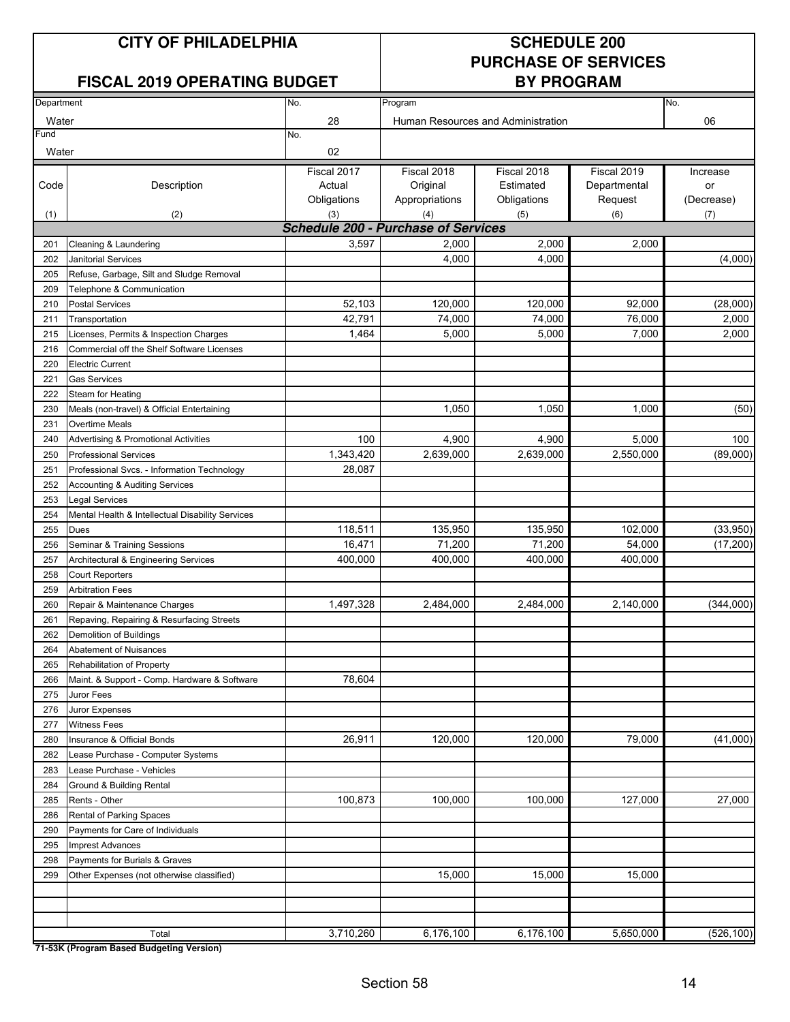### **FISCAL 2019 OPERATING BUDGET**

# **PURCHASE OF SERVICES**

| Department |                                                  | No.                                        | Program        |                                    |              | No.        |
|------------|--------------------------------------------------|--------------------------------------------|----------------|------------------------------------|--------------|------------|
| Water      |                                                  | 28                                         |                | Human Resources and Administration |              | 06         |
| Fund       |                                                  | No.                                        |                |                                    |              |            |
| Water      |                                                  | 02                                         |                |                                    |              |            |
|            |                                                  | Fiscal 2017                                | Fiscal 2018    | Fiscal 2018                        | Fiscal 2019  | Increase   |
| Code       | Description                                      | Actual                                     | Original       | Estimated                          | Departmental | or         |
|            |                                                  | Obligations                                | Appropriations | Obligations                        | Request      | (Decrease) |
| (1)        | (2)                                              | (3)                                        | (4)            | (5)                                | (6)          | (7)        |
|            |                                                  | <b>Schedule 200 - Purchase of Services</b> |                |                                    |              |            |
| 201        | Cleaning & Laundering                            | 3,597                                      | 2,000          | 2,000                              | 2,000        |            |
| 202        | <b>Janitorial Services</b>                       |                                            | 4.000          | 4,000                              |              | (4,000)    |
| 205        | Refuse, Garbage, Silt and Sludge Removal         |                                            |                |                                    |              |            |
| 209        | Telephone & Communication                        |                                            |                |                                    |              |            |
| 210        | <b>Postal Services</b>                           | 52,103                                     | 120,000        | 120,000                            | 92,000       | (28,000)   |
| 211        | Transportation                                   | 42,791                                     | 74,000         | 74,000                             | 76,000       | 2,000      |
| 215        | Licenses, Permits & Inspection Charges           | 1,464                                      | 5,000          | 5,000                              | 7,000        | 2,000      |
| 216        | Commercial off the Shelf Software Licenses       |                                            |                |                                    |              |            |
| 220        | <b>Electric Current</b>                          |                                            |                |                                    |              |            |
| 221        | <b>Gas Services</b>                              |                                            |                |                                    |              |            |
| 222        | Steam for Heating                                |                                            |                |                                    |              |            |
| 230        | Meals (non-travel) & Official Entertaining       |                                            | 1,050          | 1,050                              | 1,000        | (50)       |
| 231        | <b>Overtime Meals</b>                            |                                            |                |                                    |              |            |
| 240        | <b>Advertising &amp; Promotional Activities</b>  | 100                                        | 4,900          | 4,900                              | 5,000        | 100        |
| 250        | <b>Professional Services</b>                     | 1,343,420                                  | 2,639,000      | 2,639,000                          | 2,550,000    | (89,000)   |
| 251        | Professional Svcs. - Information Technology      | 28,087                                     |                |                                    |              |            |
| 252        | Accounting & Auditing Services                   |                                            |                |                                    |              |            |
| 253        | <b>Legal Services</b>                            |                                            |                |                                    |              |            |
| 254        | Mental Health & Intellectual Disability Services |                                            |                |                                    |              |            |
| 255        | <b>Dues</b>                                      | 118,511                                    | 135,950        | 135,950                            | 102,000      | (33,950)   |
| 256        | Seminar & Training Sessions                      | 16,471                                     | 71,200         | 71,200                             | 54,000       | (17, 200)  |
| 257        | Architectural & Engineering Services             | 400,000                                    | 400,000        | 400,000                            | 400,000      |            |
| 258        | <b>Court Reporters</b>                           |                                            |                |                                    |              |            |
| 259        | <b>Arbitration Fees</b>                          |                                            |                |                                    |              |            |
| 260        | Repair & Maintenance Charges                     | 1,497,328                                  | 2,484,000      | 2,484,000                          | 2,140,000    | (344,000)  |
| 261        | Repaving, Repairing & Resurfacing Streets        |                                            |                |                                    |              |            |
| 262        | Demolition of Buildings                          |                                            |                |                                    |              |            |
| 264        | Abatement of Nuisances                           |                                            |                |                                    |              |            |
| 265        | Rehabilitation of Property                       |                                            |                |                                    |              |            |
| 266        | Maint. & Support - Comp. Hardware & Software     | 78,604                                     |                |                                    |              |            |
| 275        | Juror Fees                                       |                                            |                |                                    |              |            |
| 276        | Juror Expenses                                   |                                            |                |                                    |              |            |
| 277        | <b>Witness Fees</b>                              |                                            |                |                                    |              |            |
| 280        | Insurance & Official Bonds                       | 26,911                                     | 120,000        | 120,000                            | 79,000       | (41,000)   |
| 282        | Lease Purchase - Computer Systems                |                                            |                |                                    |              |            |
| 283        | Lease Purchase - Vehicles                        |                                            |                |                                    |              |            |
| 284        | Ground & Building Rental                         |                                            |                |                                    |              |            |
| 285        | Rents - Other                                    | 100,873                                    | 100,000        | 100,000                            | 127,000      | 27,000     |
| 286        | Rental of Parking Spaces                         |                                            |                |                                    |              |            |
| 290        | Payments for Care of Individuals                 |                                            |                |                                    |              |            |
| 295        | <b>Imprest Advances</b>                          |                                            |                |                                    |              |            |
| 298        | Payments for Burials & Graves                    |                                            |                |                                    |              |            |
| 299        | Other Expenses (not otherwise classified)        |                                            | 15,000         | 15,000                             | 15,000       |            |
|            |                                                  |                                            |                |                                    |              |            |
|            |                                                  |                                            |                |                                    |              |            |
|            |                                                  |                                            |                |                                    |              |            |
|            | Total                                            | 3,710,260                                  | 6,176,100      | 6,176,100                          | 5,650,000    | (526, 100) |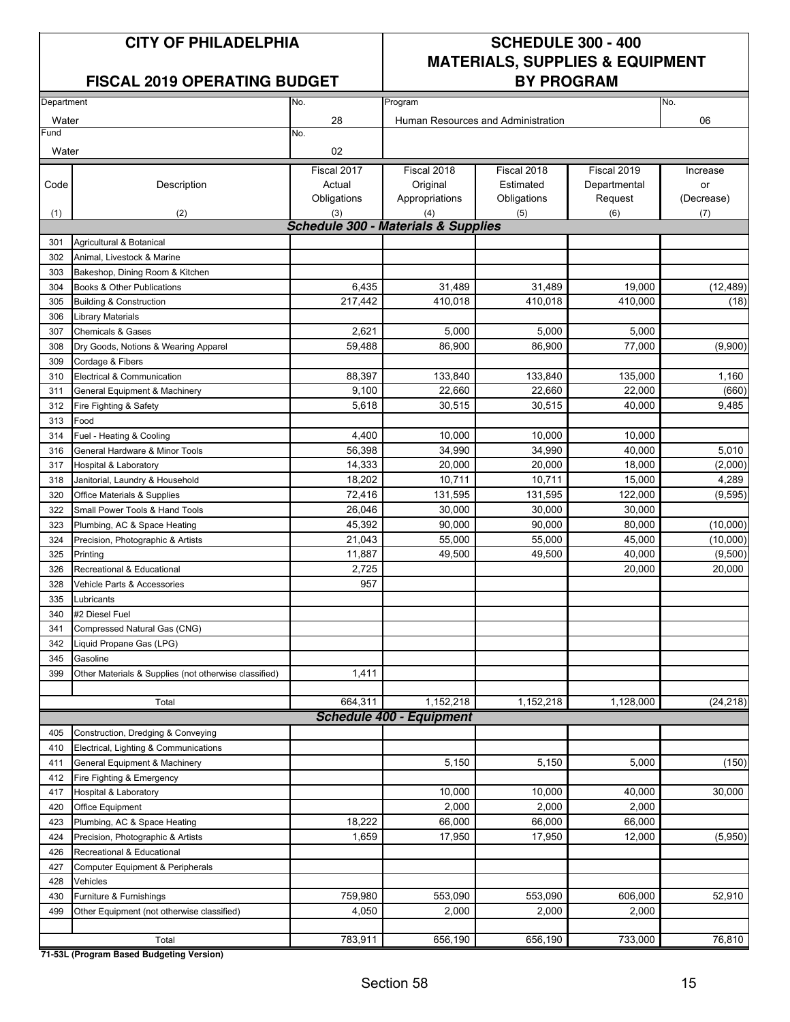#### **FISCAL 2019 OPERATING BUDGET BY PROGRAM**

## **CITY OF PHILADELPHIA SCHEDULE 300 - 400 MATERIALS, SUPPLIES & EQUIPMENT**

| Department |                                                       | No.                                            | Program                                      |                                    |              | No.        |
|------------|-------------------------------------------------------|------------------------------------------------|----------------------------------------------|------------------------------------|--------------|------------|
| Water      |                                                       | 28                                             |                                              | Human Resources and Administration |              | 06         |
| Fund       |                                                       | No.                                            |                                              |                                    |              |            |
| Water      |                                                       | 02                                             |                                              |                                    |              |            |
|            |                                                       | Fiscal 2017                                    | Fiscal 2018                                  | Fiscal 2018                        | Fiscal 2019  | Increase   |
| Code       | Description                                           | Actual                                         | Original                                     | Estimated                          | Departmental | or         |
|            |                                                       | Obligations                                    | Appropriations                               | Obligations                        | Request      | (Decrease) |
| (1)        | (2)                                                   | (3)                                            | (4)                                          | (5)                                | (6)          | (7)        |
|            |                                                       | <b>Schedule 300 - Materials &amp; Supplies</b> |                                              |                                    |              |            |
| 301        | Agricultural & Botanical                              |                                                |                                              |                                    |              |            |
| 302        | Animal, Livestock & Marine                            |                                                |                                              |                                    |              |            |
| 303        | Bakeshop, Dining Room & Kitchen                       |                                                |                                              |                                    |              |            |
| 304        | Books & Other Publications                            | 6,435                                          | 31,489                                       | 31,489                             | 19,000       | (12, 489)  |
| 305        | <b>Building &amp; Construction</b>                    | 217,442                                        | 410,018                                      | 410,018                            | 410,000      | (18)       |
| 306        | <b>Library Materials</b>                              |                                                |                                              |                                    |              |            |
| 307        | <b>Chemicals &amp; Gases</b>                          | 2,621                                          | 5,000                                        | 5,000                              | 5,000        |            |
| 308        | Dry Goods, Notions & Wearing Apparel                  | 59.488                                         | 86.900                                       | 86.900                             | 77,000       | (9,900)    |
| 309        | Cordage & Fibers                                      |                                                |                                              |                                    |              |            |
| 310        | Electrical & Communication                            | 88,397                                         | 133.840                                      | 133,840                            | 135,000      | 1,160      |
| 311        | General Equipment & Machinery                         | 9,100                                          | 22,660                                       | 22.660                             | 22,000       | (660)      |
| 312        | Fire Fighting & Safety                                | 5,618                                          | 30,515                                       | 30,515                             | 40,000       | 9,485      |
| 313        | Food                                                  |                                                |                                              |                                    |              |            |
| 314        | Fuel - Heating & Cooling                              | 4,400                                          | 10.000                                       | 10.000                             | 10,000       |            |
| 316        | General Hardware & Minor Tools                        | 56,398                                         | 34,990                                       | 34,990                             | 40,000       | 5,010      |
| 317        | <b>Hospital &amp; Laboratory</b>                      | 14,333                                         | 20,000                                       | 20,000                             | 18,000       | (2,000)    |
| 318        | Janitorial, Laundry & Household                       | 18,202                                         | 10,711                                       | 10,711                             | 15,000       | 4,289      |
| 320        | Office Materials & Supplies                           | 72,416                                         | 131,595                                      | 131,595                            | 122,000      | (9, 595)   |
| 322        | Small Power Tools & Hand Tools                        | 26,046                                         | 30,000                                       | 30,000                             | 30,000       |            |
| 323        | Plumbing, AC & Space Heating                          | 45,392                                         | 90,000                                       | 90,000                             | 80,000       | (10,000)   |
| 324        | Precision, Photographic & Artists                     | 21,043                                         | 55,000                                       | 55,000                             | 45,000       | (10,000)   |
| 325        | Printing                                              | 11,887                                         | 49,500                                       | 49,500                             | 40,000       | (9,500)    |
| 326        | Recreational & Educational                            | 2,725                                          |                                              |                                    | 20,000       | 20,000     |
| 328        | Vehicle Parts & Accessories                           | 957                                            |                                              |                                    |              |            |
| 335        | Lubricants                                            |                                                |                                              |                                    |              |            |
| 340        | #2 Diesel Fuel                                        |                                                |                                              |                                    |              |            |
| 341        | Compressed Natural Gas (CNG)                          |                                                |                                              |                                    |              |            |
| 342        | Liquid Propane Gas (LPG)                              |                                                |                                              |                                    |              |            |
| 345        | Gasoline                                              |                                                |                                              |                                    |              |            |
| 399        | Other Materials & Supplies (not otherwise classified) | 1,411                                          |                                              |                                    |              |            |
|            |                                                       |                                                |                                              |                                    |              |            |
|            | Total                                                 | 664,311                                        | 1,152,218<br><b>Schedule 400 - Equipment</b> | 1,152,218                          | 1,128,000    | (24, 218)  |
| 405        | Construction, Dredging & Conveying                    |                                                |                                              |                                    |              |            |
| 410        | Electrical, Lighting & Communications                 |                                                |                                              |                                    |              |            |
| 411        | General Equipment & Machinery                         |                                                | 5,150                                        | 5,150                              | 5,000        | (150)      |
| 412        | Fire Fighting & Emergency                             |                                                |                                              |                                    |              |            |
| 417        | Hospital & Laboratory                                 |                                                | 10,000                                       | 10,000                             | 40,000       | 30,000     |
| 420        | Office Equipment                                      |                                                | 2,000                                        | 2,000                              | 2,000        |            |
| 423        | Plumbing, AC & Space Heating                          | 18,222                                         | 66,000                                       | 66,000                             | 66,000       |            |
| 424        | Precision, Photographic & Artists                     | 1,659                                          | 17,950                                       | 17,950                             | 12,000       | (5,950)    |
| 426        | Recreational & Educational                            |                                                |                                              |                                    |              |            |
| 427        |                                                       |                                                |                                              |                                    |              |            |
| 428        | Computer Equipment & Peripherals<br>Vehicles          |                                                |                                              |                                    |              |            |
| 430        | Furniture & Furnishings                               | 759,980                                        | 553,090                                      | 553,090                            | 606,000      | 52,910     |
| 499        | Other Equipment (not otherwise classified)            | 4,050                                          | 2,000                                        | 2,000                              | 2,000        |            |
|            |                                                       |                                                |                                              |                                    |              |            |
|            | Total                                                 | 783,911                                        | 656,190                                      | 656,190                            | 733,000      | 76,810     |
|            |                                                       |                                                |                                              |                                    |              |            |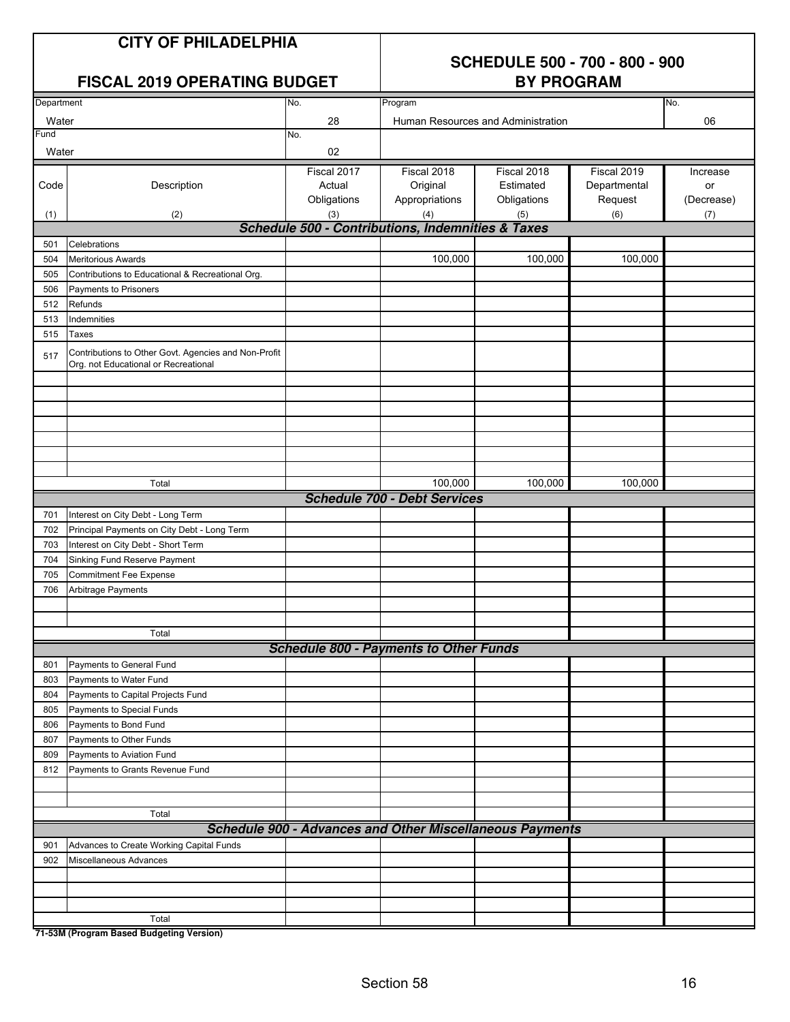## **SCHEDULE 500 - 700 - 800 - 900**

|            | <b>FISCAL 2019 OPERATING BUDGET</b>                  |             | <b>BY PROGRAM</b>                                               |                                    |              |            |  |  |
|------------|------------------------------------------------------|-------------|-----------------------------------------------------------------|------------------------------------|--------------|------------|--|--|
| Department |                                                      | No.         | Program                                                         |                                    |              | No.        |  |  |
| Water      |                                                      | 28          |                                                                 | Human Resources and Administration |              | 06         |  |  |
| Fund       |                                                      | No.         |                                                                 |                                    |              |            |  |  |
| Water      |                                                      | 02          |                                                                 |                                    |              |            |  |  |
|            |                                                      | Fiscal 2017 | Fiscal 2018                                                     | Fiscal 2018                        | Fiscal 2019  | Increase   |  |  |
| Code       | Description                                          | Actual      | Original                                                        | Estimated                          | Departmental | or         |  |  |
|            |                                                      | Obligations | Appropriations                                                  | Obligations                        | Request      | (Decrease) |  |  |
| (1)        | (2)                                                  | (3)         | (4)                                                             | (5)                                | (6)          | (7)        |  |  |
|            |                                                      |             | <b>Schedule 500 - Contributions, Indemnities &amp; Taxes</b>    |                                    |              |            |  |  |
| 501        | Celebrations                                         |             |                                                                 |                                    |              |            |  |  |
| 504        | <b>Meritorious Awards</b>                            |             | 100,000                                                         | 100,000                            | 100,000      |            |  |  |
| 505        | Contributions to Educational & Recreational Org.     |             |                                                                 |                                    |              |            |  |  |
| 506        | Payments to Prisoners                                |             |                                                                 |                                    |              |            |  |  |
| 512        | Refunds                                              |             |                                                                 |                                    |              |            |  |  |
| 513        | Indemnities                                          |             |                                                                 |                                    |              |            |  |  |
| 515        | Taxes                                                |             |                                                                 |                                    |              |            |  |  |
| 517        | Contributions to Other Govt. Agencies and Non-Profit |             |                                                                 |                                    |              |            |  |  |
|            | Org. not Educational or Recreational                 |             |                                                                 |                                    |              |            |  |  |
|            |                                                      |             |                                                                 |                                    |              |            |  |  |
|            |                                                      |             |                                                                 |                                    |              |            |  |  |
|            |                                                      |             |                                                                 |                                    |              |            |  |  |
|            |                                                      |             |                                                                 |                                    |              |            |  |  |
|            |                                                      |             |                                                                 |                                    |              |            |  |  |
|            |                                                      |             |                                                                 |                                    |              |            |  |  |
|            | Total                                                |             | 100,000                                                         | 100,000                            | 100,000      |            |  |  |
|            |                                                      |             | <b>Schedule 700 - Debt Services</b>                             |                                    |              |            |  |  |
| 701        | Interest on City Debt - Long Term                    |             |                                                                 |                                    |              |            |  |  |
| 702        | Principal Payments on City Debt - Long Term          |             |                                                                 |                                    |              |            |  |  |
| 703        | Interest on City Debt - Short Term                   |             |                                                                 |                                    |              |            |  |  |
| 704        | Sinking Fund Reserve Payment                         |             |                                                                 |                                    |              |            |  |  |
| 705        | <b>Commitment Fee Expense</b>                        |             |                                                                 |                                    |              |            |  |  |
| 706        | Arbitrage Payments                                   |             |                                                                 |                                    |              |            |  |  |
|            |                                                      |             |                                                                 |                                    |              |            |  |  |
|            |                                                      |             |                                                                 |                                    |              |            |  |  |
|            | Total                                                |             |                                                                 |                                    |              |            |  |  |
|            |                                                      |             | <b>Schedule 800 - Payments to Other Funds</b>                   |                                    |              |            |  |  |
| 801        | Payments to General Fund                             |             |                                                                 |                                    |              |            |  |  |
| 803        | Payments to Water Fund                               |             |                                                                 |                                    |              |            |  |  |
| 804        | Payments to Capital Projects Fund                    |             |                                                                 |                                    |              |            |  |  |
| 805        | Payments to Special Funds                            |             |                                                                 |                                    |              |            |  |  |
| 806        | Payments to Bond Fund                                |             |                                                                 |                                    |              |            |  |  |
| 807        | Payments to Other Funds                              |             |                                                                 |                                    |              |            |  |  |
| 809        | Payments to Aviation Fund                            |             |                                                                 |                                    |              |            |  |  |
| 812        | Payments to Grants Revenue Fund                      |             |                                                                 |                                    |              |            |  |  |
|            |                                                      |             |                                                                 |                                    |              |            |  |  |
|            |                                                      |             |                                                                 |                                    |              |            |  |  |
|            | Total                                                |             |                                                                 |                                    |              |            |  |  |
|            |                                                      |             | <b>Schedule 900 - Advances and Other Miscellaneous Payments</b> |                                    |              |            |  |  |
| 901        | Advances to Create Working Capital Funds             |             |                                                                 |                                    |              |            |  |  |
| 902        | Miscellaneous Advances                               |             |                                                                 |                                    |              |            |  |  |
|            |                                                      |             |                                                                 |                                    |              |            |  |  |
|            |                                                      |             |                                                                 |                                    |              |            |  |  |
|            | Total                                                |             |                                                                 |                                    |              |            |  |  |
|            |                                                      |             |                                                                 |                                    |              |            |  |  |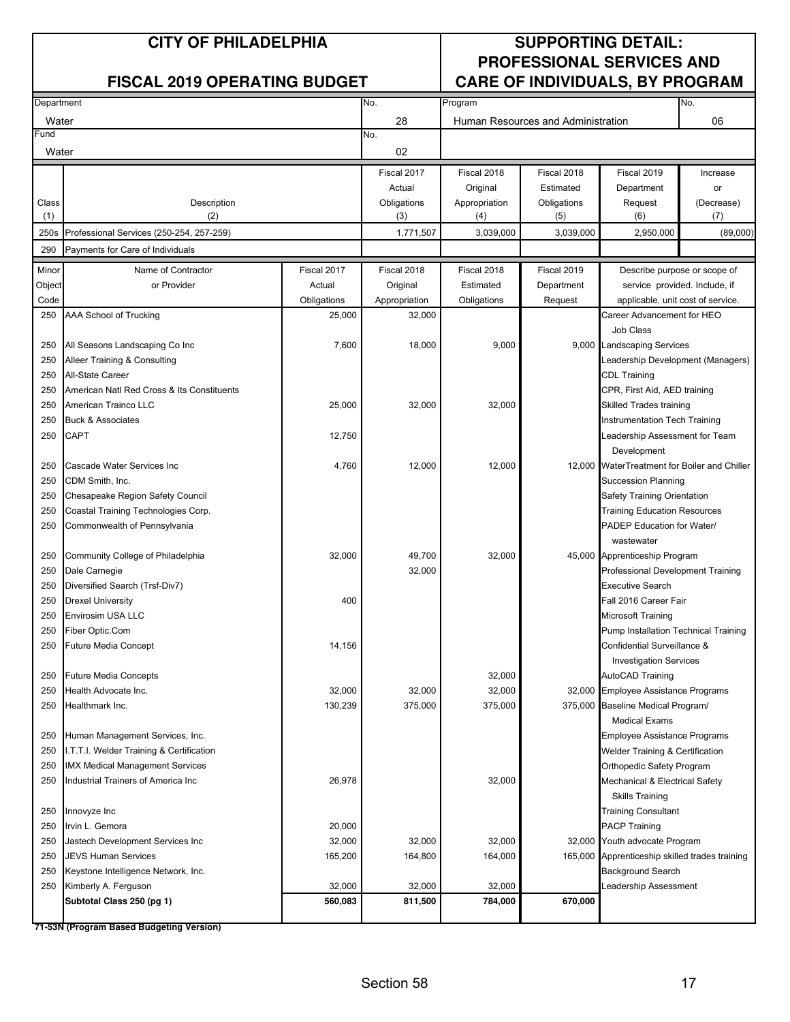#### **CITY OF PHILADELPHIA SUPPORTING DETAIL: PROFESSIONAL SERVICES AND** FISCAL 2019 OPERATING BUDGET **CARE OF INDIVIDUALS, BY PROGRAM**

| Department |                                            |             | No.           | Program       |                                    |                                                | No.                           |  |
|------------|--------------------------------------------|-------------|---------------|---------------|------------------------------------|------------------------------------------------|-------------------------------|--|
| Water      |                                            |             | 28            |               | Human Resources and Administration |                                                | 06                            |  |
| Fund       |                                            |             | No.           |               |                                    |                                                |                               |  |
| Water      |                                            |             | 02            |               |                                    |                                                |                               |  |
|            |                                            |             | Fiscal 2017   | Fiscal 2018   | Fiscal 2018                        | Fiscal 2019                                    | Increase                      |  |
|            |                                            |             | Actual        | Original      | Estimated                          | Department                                     | or                            |  |
| Class      | Description                                |             | Obligations   | Appropriation | Obligations                        | Request                                        | (Decrease)                    |  |
| (1)        | (2)                                        |             | (3)           | (4)           | (5)                                | (6)                                            | (7)                           |  |
| 250s       | Professional Services (250-254, 257-259)   |             | 1,771,507     | 3,039,000     | 3,039,000                          | 2,950,000                                      | (89,000)                      |  |
| 290        | Payments for Care of Individuals           |             |               |               |                                    |                                                |                               |  |
| Minor      | Name of Contractor                         | Fiscal 2017 | Fiscal 2018   | Fiscal 2018   | Fiscal 2019                        | Describe purpose or scope of                   |                               |  |
| Object     | or Provider                                | Actual      | Original      | Estimated     | Department                         |                                                | service provided. Include, if |  |
| Code       |                                            | Obligations | Appropriation | Obligations   | Request                            | applicable, unit cost of service.              |                               |  |
| 250        | AAA School of Trucking                     | 25,000      | 32,000        |               |                                    | Career Advancement for HEO                     |                               |  |
|            |                                            |             |               |               |                                    | Job Class                                      |                               |  |
| 250        | All Seasons Landscaping Co Inc             | 7,600       | 18,000        | 9,000         |                                    | 9,000 Landscaping Services                     |                               |  |
| 250        | Alleer Training & Consulting               |             |               |               |                                    | eadership Development (Managers)               |                               |  |
| 250        | All-State Career                           |             |               |               |                                    | <b>CDL Training</b>                            |                               |  |
| 250        | American Natl Red Cross & Its Constituents |             |               |               |                                    | CPR, First Aid, AED training                   |                               |  |
| 250        | American Trainco LLC                       | 25,000      | 32,000        | 32,000        |                                    | Skilled Trades training                        |                               |  |
| 250        | <b>Buck &amp; Associates</b>               |             |               |               |                                    | <b>Instrumentation Tech Training</b>           |                               |  |
| 250        | CAPT                                       | 12,750      |               |               |                                    | eadership Assessment for Team                  |                               |  |
|            |                                            |             |               |               |                                    | Development                                    |                               |  |
| 250        | Cascade Water Services Inc                 | 4,760       | 12,000        | 12,000        |                                    | 12,000 WaterTreatment for Boiler and Chiller   |                               |  |
| 250        | CDM Smith, Inc.                            |             |               |               |                                    | <b>Succession Planning</b>                     |                               |  |
| 250        | Chesapeake Region Safety Council           |             |               |               |                                    | Safety Training Orientation                    |                               |  |
| 250        | Coastal Training Technologies Corp.        |             |               |               |                                    | <b>Training Education Resources</b>            |                               |  |
| 250        | Commonwealth of Pennsylvania               |             |               |               |                                    | PADEP Education for Water/                     |                               |  |
|            |                                            |             |               |               |                                    | wastewater                                     |                               |  |
| 250        | Community College of Philadelphia          | 32,000      | 49,700        | 32,000        |                                    | 45,000 Apprenticeship Program                  |                               |  |
| 250        | Dale Carnegie                              |             | 32,000        |               |                                    | Professional Development Training              |                               |  |
| 250        | Diversified Search (Trsf-Div7)             |             |               |               |                                    | Executive Search                               |                               |  |
| 250        | <b>Drexel University</b>                   | 400         |               |               |                                    | Fall 2016 Career Fair                          |                               |  |
| 250        | Envirosim USA LLC                          |             |               |               |                                    | Microsoft Training                             |                               |  |
| 250        | Fiber Optic.Com                            |             |               |               |                                    | Pump Installation Technical Training           |                               |  |
| 250        | <b>Future Media Concept</b>                | 14,156      |               |               |                                    | Confidential Surveillance &                    |                               |  |
|            |                                            |             |               |               |                                    | <b>Investigation Services</b>                  |                               |  |
| 250        | <b>Future Media Concepts</b>               |             |               | 32,000        |                                    | AutoCAD Training                               |                               |  |
| 250        | Health Advocate Inc.                       | 32,000      | 32,000        | 32,000        |                                    | 32,000 Employee Assistance Programs            |                               |  |
| 250        | Healthmark Inc.                            | 130,239     | 375,000       | 375,000       |                                    | 375,000 Baseline Medical Program/              |                               |  |
|            |                                            |             |               |               |                                    | <b>Medical Exams</b>                           |                               |  |
| 250        | Human Management Services, Inc.            |             |               |               |                                    | Employee Assistance Programs                   |                               |  |
| 250        | I.T.T.I. Welder Training & Certification   |             |               |               |                                    | Welder Training & Certification                |                               |  |
| 250        | <b>IMX Medical Management Services</b>     |             |               |               |                                    | Orthopedic Safety Program                      |                               |  |
| 250        | Industrial Trainers of America Inc         | 26,978      |               | 32,000        |                                    | Mechanical & Electrical Safety                 |                               |  |
|            |                                            |             |               |               |                                    | <b>Skills Training</b>                         |                               |  |
| 250        | Innovyze Inc                               |             |               |               |                                    | <b>Training Consultant</b>                     |                               |  |
| 250        | Irvin L. Gemora                            | 20,000      |               |               |                                    | <b>PACP Training</b>                           |                               |  |
| 250        | 32,000<br>Jastech Development Services Inc |             | 32,000        | 32,000        |                                    | 32,000 Youth advocate Program                  |                               |  |
| 250        | 165,200<br><b>JEVS Human Services</b>      |             | 164,800       | 164,000       |                                    | 165,000 Apprenticeship skilled trades training |                               |  |
| 250        | Keystone Intelligence Network, Inc.        |             |               |               |                                    | Background Search                              |                               |  |
| 250        | Kimberly A. Ferguson                       | 32,000      | 32,000        | 32,000        |                                    | Leadership Assessment                          |                               |  |
|            | Subtotal Class 250 (pg 1)                  | 560,083     | 811,500       | 784,000       | 670,000                            |                                                |                               |  |
|            |                                            |             |               |               |                                    |                                                |                               |  |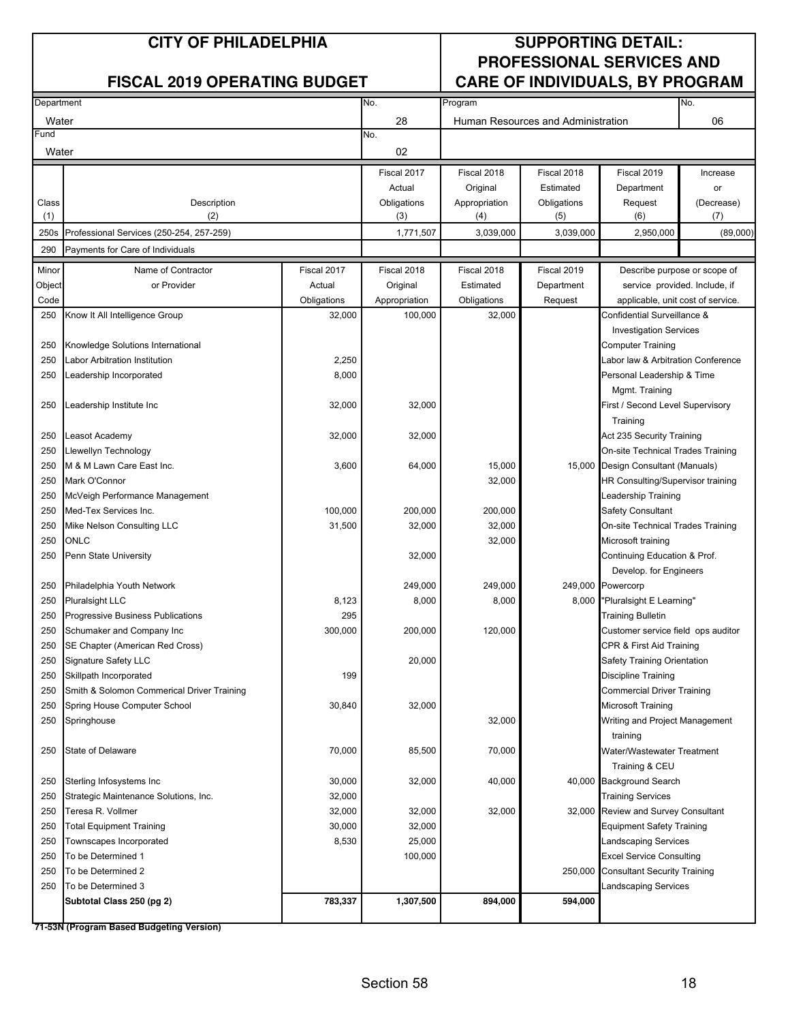#### **CITY OF PHILADELPHIA SUPPORTING DETAIL: PROFESSIONAL SERVICES AND** FISCAL 2019 OPERATING BUDGET **CARE OF INDIVIDUALS, BY PROGRAM**

| Department   |                                                      |                | No.                | Program              |                                    | No.                                                        |                   |
|--------------|------------------------------------------------------|----------------|--------------------|----------------------|------------------------------------|------------------------------------------------------------|-------------------|
| Water        |                                                      |                | 28                 |                      | Human Resources and Administration |                                                            | 06                |
| Fund         |                                                      |                | No.                |                      |                                    |                                                            |                   |
| Water        |                                                      |                | 02                 |                      |                                    |                                                            |                   |
|              |                                                      |                |                    |                      |                                    |                                                            |                   |
|              |                                                      |                | Fiscal 2017        | Fiscal 2018          | Fiscal 2018                        | Fiscal 2019                                                | Increase          |
|              |                                                      |                | Actual             | Original             | Estimated                          | Department                                                 | or                |
| Class<br>(1) | Description<br>(2)                                   |                | Obligations<br>(3) | Appropriation<br>(4) | Obligations<br>(5)                 | Request<br>(6)                                             | (Decrease)<br>(7) |
| 250s         | Professional Services (250-254, 257-259)             |                | 1,771,507          | 3,039,000            | 3,039,000                          | 2,950,000                                                  | (89,000)          |
|              |                                                      |                |                    |                      |                                    |                                                            |                   |
| 290          | Payments for Care of Individuals                     |                |                    |                      |                                    |                                                            |                   |
| Minor        | Name of Contractor                                   | Fiscal 2017    | Fiscal 2018        | Fiscal 2018          | Fiscal 2019                        | Describe purpose or scope of                               |                   |
| Object       | or Provider                                          | Actual         | Original           | Estimated            | Department                         | service provided. Include, if                              |                   |
| Code         |                                                      | Obligations    | Appropriation      | Obligations          | Request                            | applicable, unit cost of service.                          |                   |
| 250          | Know It All Intelligence Group                       | 32,000         | 100,000            | 32,000               |                                    | Confidential Surveillance &                                |                   |
|              |                                                      |                |                    |                      |                                    | <b>Investigation Services</b>                              |                   |
| 250          | Knowledge Solutions International                    |                |                    |                      |                                    | Computer Training                                          |                   |
| 250          | Labor Arbitration Institution                        | 2,250<br>8,000 |                    |                      |                                    | Labor law & Arbitration Conference                         |                   |
| 250          | Leadership Incorporated                              |                |                    |                      |                                    | Personal Leadership & Time                                 |                   |
|              |                                                      |                |                    |                      |                                    | Mgmt. Training                                             |                   |
| 250          | Leadership Institute Inc                             | 32,000         | 32,000             |                      |                                    | First / Second Level Supervisory                           |                   |
|              |                                                      |                |                    |                      |                                    | Training                                                   |                   |
| 250          | Leasot Academy                                       | 32,000         | 32,000             |                      |                                    | Act 235 Security Training                                  |                   |
| 250          | Llewellyn Technology                                 |                |                    |                      |                                    | On-site Technical Trades Training                          |                   |
| 250          | M & M Lawn Care East Inc.                            | 3,600          | 64,000             | 15,000               | 15,000                             | Design Consultant (Manuals)                                |                   |
| 250          | Mark O'Connor                                        |                |                    | 32,000               |                                    | HR Consulting/Supervisor training                          |                   |
| 250          | McVeigh Performance Management                       |                |                    |                      |                                    | Leadership Training                                        |                   |
| 250          | Med-Tex Services Inc.                                | 100,000        | 200,000            | 200,000              |                                    | <b>Safety Consultant</b>                                   |                   |
| 250          | Mike Nelson Consulting LLC                           | 31,500         | 32,000             | 32,000               |                                    | On-site Technical Trades Training                          |                   |
| 250          | ONLC                                                 |                |                    | 32,000               | Microsoft training                 |                                                            |                   |
| 250          | Penn State University                                |                | 32,000             |                      |                                    | Continuing Education & Prof.<br>Develop. for Engineers     |                   |
| 250          |                                                      |                |                    |                      |                                    |                                                            |                   |
| 250          | Philadelphia Youth Network<br><b>Pluralsight LLC</b> | 8,123          | 249,000<br>8,000   | 249,000<br>8,000     |                                    | 249,000 Powercorp                                          |                   |
| 250          | Progressive Business Publications                    | 295            |                    |                      |                                    | 8,000 "Pluralsight E Learning"<br><b>Training Bulletin</b> |                   |
| 250          | Schumaker and Company Inc                            | 300,000        | 200,000            | 120,000              |                                    | Customer service field ops auditor                         |                   |
| 250          | SE Chapter (American Red Cross)                      |                |                    |                      |                                    | CPR & First Aid Training                                   |                   |
| 250          | Signature Safety LLC                                 |                | 20,000             |                      |                                    | Safety Training Orientation                                |                   |
| 250          | Skillpath Incorporated                               | 199            |                    |                      |                                    | <b>Discipline Training</b>                                 |                   |
| 250          | Smith & Solomon Commerical Driver Training           |                |                    |                      |                                    | <b>Commercial Driver Training</b>                          |                   |
| 250          | Spring House Computer School                         | 30,840         | 32,000             |                      |                                    | Microsoft Training                                         |                   |
| 250          | Springhouse                                          |                |                    | 32,000               |                                    | Writing and Project Management                             |                   |
|              |                                                      |                |                    |                      |                                    | training                                                   |                   |
| 250          | State of Delaware                                    | 70,000         | 85,500             | 70,000               |                                    | Water/Wastewater Treatment                                 |                   |
|              |                                                      |                |                    |                      |                                    | Training & CEU                                             |                   |
| 250          | Sterling Infosystems Inc                             | 30,000         | 32,000             | 40,000               |                                    | 40,000 Background Search                                   |                   |
| 250          | Strategic Maintenance Solutions, Inc.                | 32,000         |                    |                      |                                    | <b>Training Services</b>                                   |                   |
| 250          | Teresa R. Vollmer                                    | 32,000         | 32,000             | 32,000               |                                    | 32,000 Review and Survey Consultant                        |                   |
| 250          | <b>Total Equipment Training</b>                      | 30,000         | 32,000             |                      |                                    | <b>Equipment Safety Training</b>                           |                   |
| 250          | Townscapes Incorporated                              | 8,530          | 25,000             |                      |                                    | Landscaping Services                                       |                   |
| 250          | To be Determined 1                                   |                | 100,000            |                      |                                    | <b>Excel Service Consulting</b>                            |                   |
| 250          | To be Determined 2                                   |                |                    |                      |                                    | 250,000 Consultant Security Training                       |                   |
| 250          | To be Determined 3                                   |                |                    |                      |                                    | Landscaping Services                                       |                   |
|              | Subtotal Class 250 (pg 2)                            | 783,337        | 1,307,500          | 894,000              | 594,000                            |                                                            |                   |
|              |                                                      |                |                    |                      |                                    |                                                            |                   |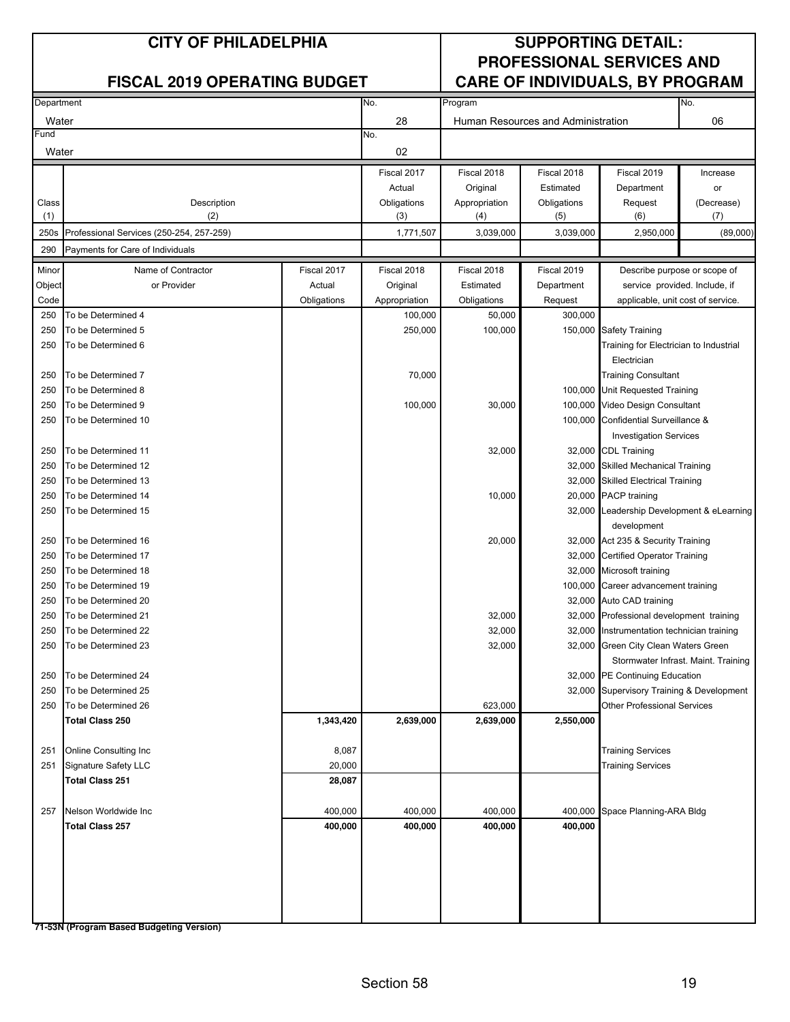#### No. No. 28 06 Water Human Resources and Administration No. 02 Fiscal 2017 Fiscal 2018 Fiscal 2018 Fiscal 2019 Increase Actual Original Estimated Department or Class **Obligation** Class Obligations **Class** Appropriation Obligations Request (Decrease) (1) (1) (3) (4) (5) (6) (6) (7) 250s 1,771,507 3,039,000 3,039,000 2,950,000 (89,000) Professional Services (250-254, 257-259) 290 Minor Name of Contractor **Fiscal 2017** Fiscal 2018 Fiscal 2018 Fiscal 2019 Fiscal 2019 Object **or Provider Actual Constructer Constructer** Constructer Constructer Constructer Constructer Constructer Code | Collegations | Collegations | Appropriation | Obligations | Request 250 To be Determined 4 100,000 50,000 300,000 250 To be Determined 5 250,000 100,000 150,000 150,000 150,000 150,000 150,000 150,000 150,000 150,000 150,000 1 250 To be Determined 6 250 To be Determined 7 70,000 250 To be Determined 8 100,000 250 To be Determined 9 250 To be Determined 9 250 To be Determined 9 250 To be Determined 9 250 To be Determined 10 100,000 250 To be Determined 11 32,000 32,000 250 To be Determined 12 32,000 250 To be Determined 13 32,000 250 To be Determined 14 20,000 20,000 20,000 20,000 20,000 20,000 20,000 20,000 20,000 20,000 20,000 20,000 20,000 20,000 20,000 20,000 20,000 20,000 20,000 20,000 20,000 20,000 20,000 20,000 20,000 20,000 20,000 20,000 20 250 To be Determined 15 32,000 250 To be Determined 16 20,000 32,000 250 To be Determined 17 250 To be Determined 18 250 To be Determined 19 100,000 and the Determined 19 100,000 and the Determined 19 100,000 and the Determined 19 100,000 and the Determined 19 100,000 and the Determined 19 100,000 and the Determined 19 100,000 and the De 250 To be Determined 20 32,000 250 To be Determined 21 32,000 32,000 32,000 32,000 32,000 32,000 32,000 32,000 32,000 32,000 32,000 32,000 32,000 32,000 32,000 32,000 32,000 32,000 32,000 32,000 32,000 32,000 32,000 32,000 32,000 32,000 32,000 32,000 32 250 To be Determined 22 32,000 32,000 32,000 32,000 32,000 32,000 32,000 32,000 32,000 32,000 32,000 32,000 32,000 32,000 32,000 32,000 32,000 32,000 32,000 32,000 32,000 32,000 32,000 32,000 32,000 32,000 32,000 32,000 32 250 To be Determined 23 **32,000** 32,000 32,000 250 To be Determined 24 32,000 250 To be Determined 25 32,000 250 To be Determined 26 623,000 and the set of the set of the set of the set of the set of the set of the set of the set of the set of the set of the set of the set of the set of the set of the set of the set of the set of **Total Class 250 1,343,420 2,639,000 2,639,000 2,550,000** 251 Online Consulting Inc 8,087 251 Signature Safety LLC 20,000 **Total Class 251 28,087** 257 Nelson Worldwide Inc 400,000 400,000 400,000 400,000 **Total Class 257 400,000 400,000 400,000 400,000** Fund **Water CITY OF PHILADELPHIA SUPPORTING DETAIL: PROFESSIONAL SERVICES AND FISCAL 2019 OPERATING BUDGET CARE OF INDIVIDUALS, BY PROGRAM** Department Program **Program** Program Program **Program** Program Program Program Program Program Program Program Program Program Program Program Program Program Program Program Program Program Program Program Program Program Safety Training Description (2) Payments for Care of Individuals Describe purpose or scope of service provided. Include, if applicable, unit cost of service. 32,000 Certified Operator Training Training for Electrician to Industrial Training Consultant Unit Requested Training Video Design Consultant Confidential Surveillance & CDL Training development Supervisory Training & Development Other Professional Services Electrician Investigation Services Stormwater Infrast. Maint. Training 32,000 Microsoft training Career advancement training Auto CAD training Professional development training Instrumentation technician training Green City Clean Waters Green Skilled Mechanical Training Skilled Electrical Training 20,000 PACP training Leadership Development & eLearning Act 235 & Security Training Space Planning-ARA Bldg Training Services Training Services PE Continuing Education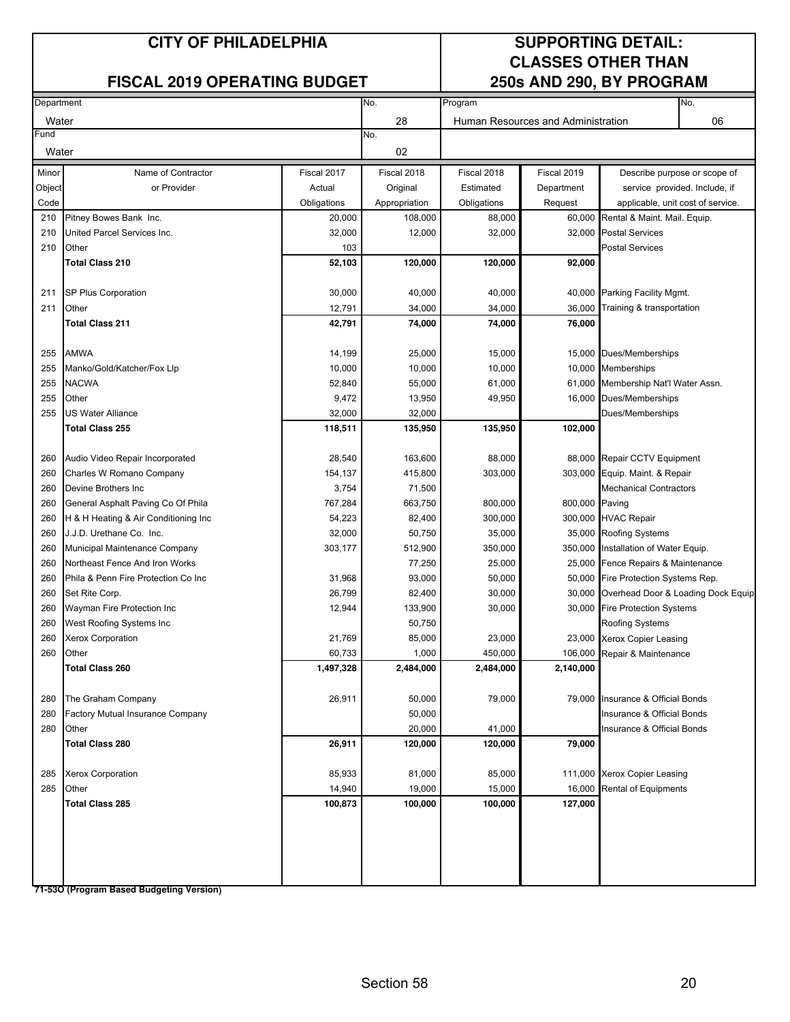#### **CITY OF PHILADELPHIA SUPPORTING DETAIL:**

#### **FISCAL 2019 OPERATING BUDGET**

# **CLASSES OTHER THAN**

| Department |                                      |             | No.<br>Program |             |                                    |                                   | No.                                |
|------------|--------------------------------------|-------------|----------------|-------------|------------------------------------|-----------------------------------|------------------------------------|
| Water      |                                      |             | 28             |             | Human Resources and Administration |                                   | 06                                 |
| Fund       |                                      |             | No.            |             |                                    |                                   |                                    |
| Water      |                                      |             | 02             |             |                                    |                                   |                                    |
| Minor      | Name of Contractor                   | Fiscal 2017 | Fiscal 2018    | Fiscal 2018 | Fiscal 2019                        |                                   | Describe purpose or scope of       |
| Object     | or Provider                          | Actual      | Original       | Estimated   | Department                         |                                   | service provided. Include, if      |
| Code       |                                      | Obligations | Appropriation  | Obligations | Request                            | applicable, unit cost of service. |                                    |
| 210        | Pitney Bowes Bank Inc.               | 20,000      | 108,000        | 88,000      | 60,000                             | Rental & Maint. Mail. Equip.      |                                    |
| 210        | United Parcel Services Inc.          | 32,000      | 12,000         | 32,000      | 32,000                             | <b>Postal Services</b>            |                                    |
| 210        | Other                                | 103         |                |             |                                    | <b>Postal Services</b>            |                                    |
|            | <b>Total Class 210</b>               | 52,103      | 120,000        | 120,000     | 92,000                             |                                   |                                    |
|            |                                      |             |                |             |                                    |                                   |                                    |
| 211        | SP Plus Corporation                  | 30,000      | 40,000         | 40,000      |                                    | 40,000 Parking Facility Mgmt.     |                                    |
| 211        | Other                                | 12,791      | 34,000         | 34,000      | 36,000                             | Training & transportation         |                                    |
|            | <b>Total Class 211</b>               | 42,791      | 74,000         | 74,000      | 76,000                             |                                   |                                    |
|            |                                      |             |                |             |                                    |                                   |                                    |
| 255        | AMWA                                 | 14,199      | 25,000         | 15,000      |                                    | 15,000 Dues/Memberships           |                                    |
| 255        | Manko/Gold/Katcher/Fox Llp           | 10,000      | 10,000         | 10,000      | 10,000                             | <b>Memberships</b>                |                                    |
| 255        | <b>NACWA</b>                         | 52,840      | 55,000         | 61,000      | 61,000                             | Membership Nat'l Water Assn.      |                                    |
| 255        | Other                                | 9,472       | 13,950         | 49,950      | 16,000                             | Dues/Memberships                  |                                    |
| 255        | US Water Alliance                    | 32,000      | 32,000         |             |                                    | Dues/Memberships                  |                                    |
|            | Total Class 255                      | 118,511     | 135,950        | 135,950     | 102,000                            |                                   |                                    |
|            |                                      |             |                |             |                                    |                                   |                                    |
| 260        | Audio Video Repair Incorporated      | 28,540      | 163,600        | 88,000      |                                    | 88,000 Repair CCTV Equipment      |                                    |
| 260        | Charles W Romano Company             | 154,137     | 415,800        | 303,000     |                                    | 303,000 Equip. Maint. & Repair    |                                    |
| 260        | Devine Brothers Inc                  | 3,754       | 71,500         |             |                                    | <b>Mechanical Contractors</b>     |                                    |
| 260        | General Asphalt Paving Co Of Phila   | 767,284     | 663,750        | 800,000     | 800,000                            | Paving                            |                                    |
| 260        | H & H Heating & Air Conditioning Inc | 54,223      | 82,400         | 300,000     | 300,000                            | <b>HVAC Repair</b>                |                                    |
| 260        | J.J.D. Urethane Co. Inc.             | 32,000      | 50,750         | 35,000      |                                    | 35,000 Roofing Systems            |                                    |
| 260        | Municipal Maintenance Company        | 303,177     | 512,900        | 350,000     | 350,000                            | Installation of Water Equip.      |                                    |
| 260        | Northeast Fence And Iron Works       |             | 77,250         | 25,000      | 25,000                             | Fence Repairs & Maintenance       |                                    |
| 260        | Phila & Penn Fire Protection Co Inc  | 31,968      | 93,000         | 50,000      | 50,000                             | Fire Protection Systems Rep.      |                                    |
| 260        | Set Rite Corp.                       | 26,799      | 82,400         | 30,000      | 30,000                             |                                   | Overhead Door & Loading Dock Equip |
| 260        | Wayman Fire Protection Inc           | 12,944      | 133,900        | 30,000      | 30,000                             | <b>Fire Protection Systems</b>    |                                    |
| 260        | West Roofing Systems Inc             |             | 50,750         |             |                                    | Roofing Systems                   |                                    |
| 260        | Xerox Corporation                    | 21,769      | 85,000         | 23,000      | 23,000                             | Xerox Copier Leasing              |                                    |
| 260        | Other                                | 60,733      | 1,000          | 450,000     | 106,000                            | Repair & Maintenance              |                                    |
|            | <b>Total Class 260</b>               | 1,497,328   | 2,484,000      | 2,484,000   | 2,140,000                          |                                   |                                    |
| 280        | The Graham Company                   | 26,911      | 50,000         | 79,000      | 79,000                             | Insurance & Official Bonds        |                                    |
| 280        | Factory Mutual Insurance Company     |             | 50,000         |             |                                    | Insurance & Official Bonds        |                                    |
| 280        | Other                                |             | 20,000         | 41,000      |                                    | Insurance & Official Bonds        |                                    |
|            | <b>Total Class 280</b>               | 26,911      | 120,000        | 120,000     | 79,000                             |                                   |                                    |
|            |                                      |             |                |             |                                    |                                   |                                    |
| 285        | <b>Xerox Corporation</b>             | 85,933      | 81,000         | 85,000      |                                    | 111,000 Xerox Copier Leasing      |                                    |
| 285        | Other                                | 14,940      | 19,000         | 15,000      | 16,000                             | Rental of Equipments              |                                    |
|            | <b>Total Class 285</b>               | 100,873     | 100,000        | 100,000     | 127,000                            |                                   |                                    |
|            |                                      |             |                |             |                                    |                                   |                                    |
|            |                                      |             |                |             |                                    |                                   |                                    |
|            |                                      |             |                |             |                                    |                                   |                                    |
|            |                                      |             |                |             |                                    |                                   |                                    |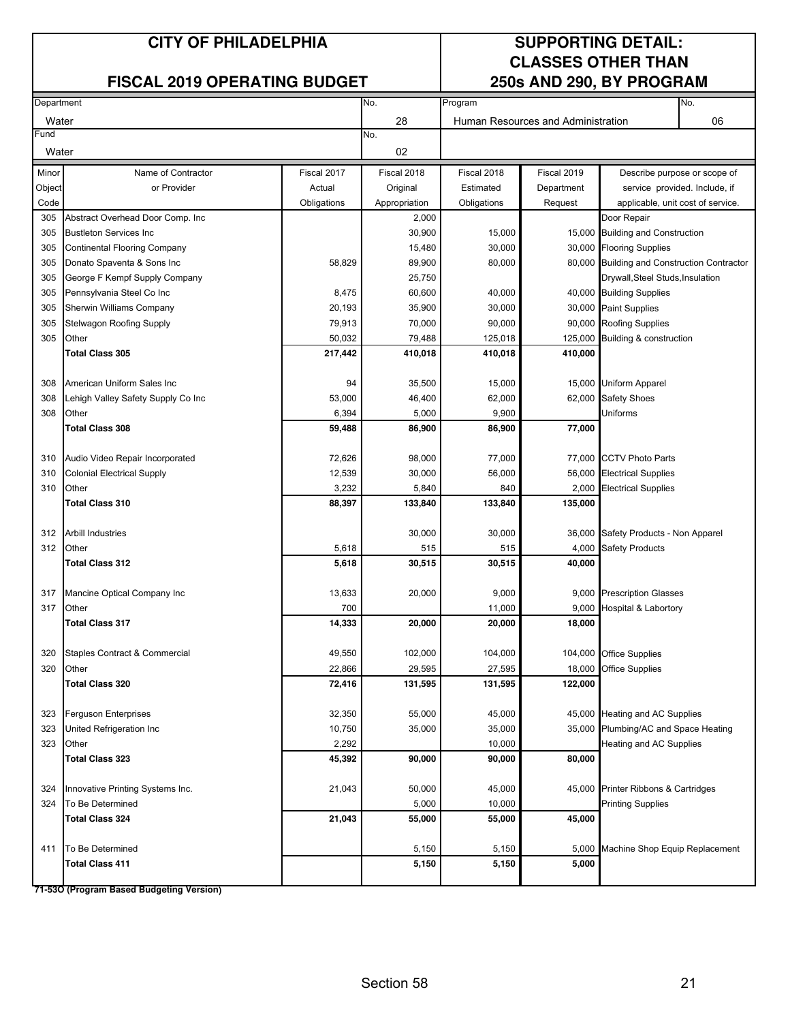#### **CITY OF PHILADELPHIA SUPPORTING DETAIL:**

#### **FISCAL 2019 OPERATING BUDGET**

# **CLASSES OTHER THAN**

| Department |                                     |             | No.           | No.<br>Program |                                    |                                             |                               |
|------------|-------------------------------------|-------------|---------------|----------------|------------------------------------|---------------------------------------------|-------------------------------|
| Water      |                                     |             | 28            |                | Human Resources and Administration |                                             | 06                            |
| Fund       |                                     |             | No.           |                |                                    |                                             |                               |
| Water      |                                     |             | 02            |                |                                    |                                             |                               |
| Minor      | Name of Contractor                  | Fiscal 2017 | Fiscal 2018   | Fiscal 2018    | Fiscal 2019                        |                                             | Describe purpose or scope of  |
| Object     | or Provider                         | Actual      | Original      | Estimated      | Department                         |                                             | service provided. Include, if |
| Code       |                                     | Obligations | Appropriation | Obligations    | Request                            | applicable, unit cost of service.           |                               |
| 305        | Abstract Overhead Door Comp. Inc    |             | 2,000         |                |                                    | Door Repair                                 |                               |
| 305        | <b>Bustleton Services Inc.</b>      |             | 30,900        | 15,000         |                                    | 15,000 Building and Construction            |                               |
| 305        | <b>Continental Flooring Company</b> |             | 15,480        | 30,000         |                                    | 30,000 Flooring Supplies                    |                               |
| 305        | Donato Spaventa & Sons Inc          | 58,829      | 89,900        | 80,000         |                                    | 80,000 Building and Construction Contractor |                               |
| 305        | George F Kempf Supply Company       |             | 25,750        |                |                                    | Drywall,Steel Studs,Insulation              |                               |
| 305        | Pennsylvania Steel Co Inc           | 8,475       | 60,600        | 40,000         |                                    | 40,000 Building Supplies                    |                               |
| 305        | Sherwin Williams Company            | 20,193      | 35,900        | 30,000         | 30,000                             | <b>Paint Supplies</b>                       |                               |
| 305        | <b>Stelwagon Roofing Supply</b>     | 79,913      | 70,000        | 90,000         | 90,000                             | <b>Roofing Supplies</b>                     |                               |
| 305        | Other                               | 50,032      | 79,488        | 125,018        | 125,000                            | Building & construction                     |                               |
|            | <b>Total Class 305</b>              | 217,442     | 410,018       | 410,018        | 410,000                            |                                             |                               |
|            |                                     |             |               |                |                                    |                                             |                               |
| 308        | American Uniform Sales Inc          | 94          | 35,500        | 15,000         |                                    | 15,000 Uniform Apparel                      |                               |
| 308        | Lehigh Valley Safety Supply Co Inc  | 53,000      | 46,400        | 62,000         | 62,000                             | Safety Shoes                                |                               |
| 308        | Other                               | 6,394       | 5,000         | 9,900          |                                    | Uniforms                                    |                               |
|            | <b>Total Class 308</b>              | 59,488      | 86,900        | 86,900         | 77,000                             |                                             |                               |
|            |                                     |             |               |                |                                    |                                             |                               |
| 310        | Audio Video Repair Incorporated     | 72,626      | 98,000        | 77,000         | 77,000                             | <b>CCTV Photo Parts</b>                     |                               |
| 310        | <b>Colonial Electrical Supply</b>   | 12,539      | 30,000        | 56,000         | 56,000                             | <b>Electrical Supplies</b>                  |                               |
| 310        | Other                               | 3,232       | 5,840         | 840            | 2,000                              | <b>Electrical Supplies</b>                  |                               |
|            | <b>Total Class 310</b>              | 88,397      | 133,840       | 133,840        | 135,000                            |                                             |                               |
|            |                                     |             |               |                |                                    |                                             |                               |
| 312        | <b>Arbill Industries</b>            |             | 30,000        | 30,000         | 36,000                             | Safety Products - Non Apparel               |                               |
| 312        | Other                               | 5,618       | 515           | 515            | 4,000                              | <b>Safety Products</b>                      |                               |
|            | <b>Total Class 312</b>              | 5,618       | 30,515        | 30,515         | 40,000                             |                                             |                               |
|            |                                     |             |               |                |                                    |                                             |                               |
| 317        | Mancine Optical Company Inc         | 13,633      | 20,000        | 9,000          |                                    | 9,000 Prescription Glasses                  |                               |
| 317        | Other                               | 700         |               | 11,000         | 9,000                              | Hospital & Labortory                        |                               |
|            | <b>Total Class 317</b>              | 14,333      | 20,000        | 20,000         | 18,000                             |                                             |                               |
|            |                                     |             |               |                |                                    |                                             |                               |
| 320        | Staples Contract & Commercial       | 49,550      | 102,000       | 104,000        |                                    | 104,000 Office Supplies                     |                               |
| 320        | Other                               | 22,866      | 29,595        | 27,595         |                                    | 18,000 Office Supplies                      |                               |
|            | <b>Total Class 320</b>              | 72,416      | 131,595       | 131,595        | 122,000                            |                                             |                               |
|            |                                     |             |               |                |                                    |                                             |                               |
| 323        | Ferguson Enterprises                | 32,350      | 55,000        | 45,000         | 45,000                             | <b>Heating and AC Supplies</b>              |                               |
| 323        | United Refrigeration Inc            | 10,750      | 35,000        | 35,000         |                                    | 35,000 Plumbing/AC and Space Heating        |                               |
| 323        | <b>Other</b>                        | 2,292       |               | 10,000         |                                    | Heating and AC Supplies                     |                               |
|            | <b>Total Class 323</b>              | 45,392      | 90,000        | 90,000         | 80,000                             |                                             |                               |
|            |                                     |             |               |                |                                    |                                             |                               |
| 324        | Innovative Printing Systems Inc.    | 21,043      | 50,000        | 45,000         | 45,000                             | Printer Ribbons & Cartridges                |                               |
| 324        | To Be Determined                    |             | 5,000         | 10,000         |                                    | <b>Printing Supplies</b>                    |                               |
|            | <b>Total Class 324</b>              | 21,043      | 55,000        | 55,000         | 45,000                             |                                             |                               |
|            |                                     |             |               |                |                                    |                                             |                               |
| 411        | To Be Determined                    |             | 5,150         | 5,150          | 5,000                              | Machine Shop Equip Replacement              |                               |
|            | Total Class 411                     |             | 5,150         | 5,150          | 5,000                              |                                             |                               |
|            |                                     |             |               |                |                                    |                                             |                               |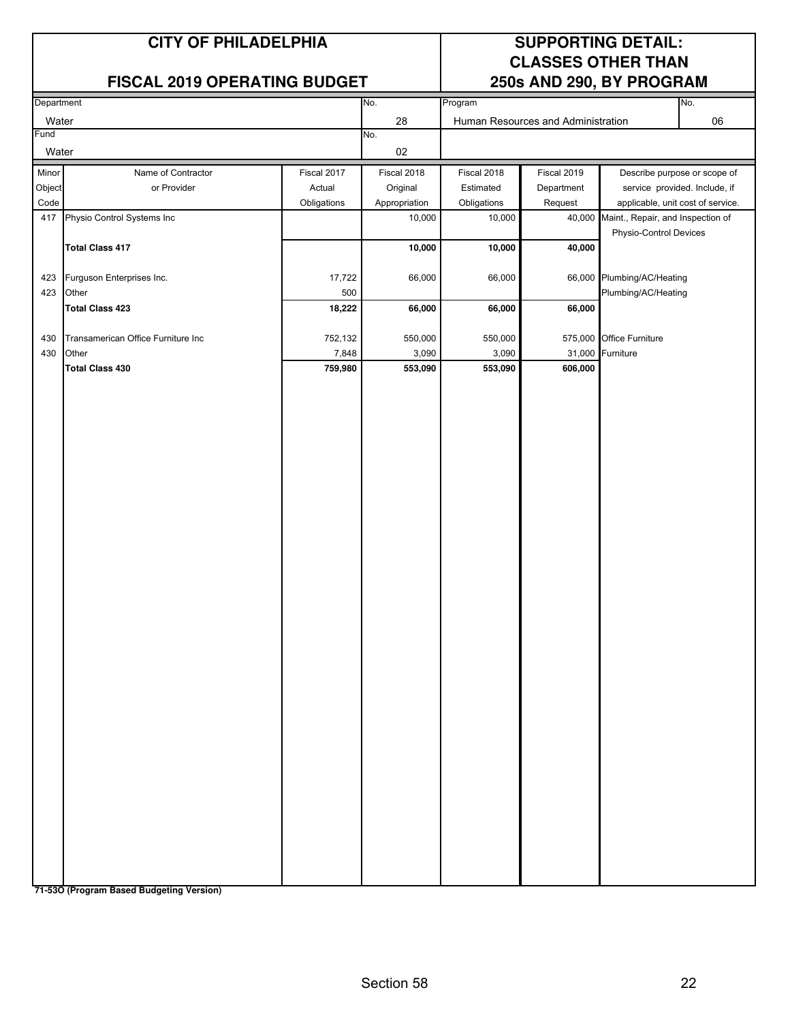#### **FISCAL 2019 OPERATING BUDGET**

## **CITY OF PHILADELPHIA SUPPORTING DETAIL: CLASSES OTHER THAN**

| Department |                                    |             | No.           | Program     |                                    |                                                             | No.                               |
|------------|------------------------------------|-------------|---------------|-------------|------------------------------------|-------------------------------------------------------------|-----------------------------------|
| Water      |                                    |             | 28            |             | Human Resources and Administration |                                                             | 06                                |
| Fund       |                                    |             | No.           |             |                                    |                                                             |                                   |
| Water      |                                    |             | $02\,$        |             |                                    |                                                             |                                   |
| Minor      | Name of Contractor                 | Fiscal 2017 | Fiscal 2018   | Fiscal 2018 | Fiscal 2019                        |                                                             | Describe purpose or scope of      |
| Object     | or Provider                        | Actual      | Original      | Estimated   | Department                         |                                                             | service provided. Include, if     |
| Code       |                                    | Obligations | Appropriation | Obligations | Request                            |                                                             | applicable, unit cost of service. |
| 417        | Physio Control Systems Inc         |             | 10,000        | 10,000      | 40,000                             | Maint., Repair, and Inspection of<br>Physio-Control Devices |                                   |
|            | <b>Total Class 417</b>             |             | 10,000        | 10,000      | 40,000                             |                                                             |                                   |
|            |                                    |             |               |             |                                    |                                                             |                                   |
| 423        | Furguson Enterprises Inc.          | 17,722      | 66,000        | 66,000      |                                    | 66,000 Plumbing/AC/Heating                                  |                                   |
| 423        | Other                              | 500         |               |             |                                    | Plumbing/AC/Heating                                         |                                   |
|            | <b>Total Class 423</b>             | 18,222      | 66,000        | 66,000      | 66,000                             |                                                             |                                   |
| 430        | Transamerican Office Furniture Inc | 752,132     | 550,000       | 550,000     |                                    | 575,000 Office Furniture                                    |                                   |
| 430        | Other                              | 7,848       | 3,090         | 3,090       |                                    | 31,000 Furniture                                            |                                   |
|            | <b>Total Class 430</b>             | 759,980     | 553,090       | 553,090     | 606,000                            |                                                             |                                   |
|            |                                    |             |               |             |                                    |                                                             |                                   |
|            |                                    |             |               |             |                                    |                                                             |                                   |
|            |                                    |             |               |             |                                    |                                                             |                                   |
|            |                                    |             |               |             |                                    |                                                             |                                   |
|            |                                    |             |               |             |                                    |                                                             |                                   |
|            |                                    |             |               |             |                                    |                                                             |                                   |
|            |                                    |             |               |             |                                    |                                                             |                                   |
|            |                                    |             |               |             |                                    |                                                             |                                   |
|            |                                    |             |               |             |                                    |                                                             |                                   |
|            |                                    |             |               |             |                                    |                                                             |                                   |
|            |                                    |             |               |             |                                    |                                                             |                                   |
|            |                                    |             |               |             |                                    |                                                             |                                   |
|            |                                    |             |               |             |                                    |                                                             |                                   |
|            |                                    |             |               |             |                                    |                                                             |                                   |
|            |                                    |             |               |             |                                    |                                                             |                                   |
|            |                                    |             |               |             |                                    |                                                             |                                   |
|            |                                    |             |               |             |                                    |                                                             |                                   |
|            |                                    |             |               |             |                                    |                                                             |                                   |
|            |                                    |             |               |             |                                    |                                                             |                                   |
|            |                                    |             |               |             |                                    |                                                             |                                   |
|            |                                    |             |               |             |                                    |                                                             |                                   |
|            |                                    |             |               |             |                                    |                                                             |                                   |
|            |                                    |             |               |             |                                    |                                                             |                                   |
|            |                                    |             |               |             |                                    |                                                             |                                   |
|            |                                    |             |               |             |                                    |                                                             |                                   |
|            |                                    |             |               |             |                                    |                                                             |                                   |
|            |                                    |             |               |             |                                    |                                                             |                                   |
|            |                                    |             |               |             |                                    |                                                             |                                   |
|            |                                    |             |               |             |                                    |                                                             |                                   |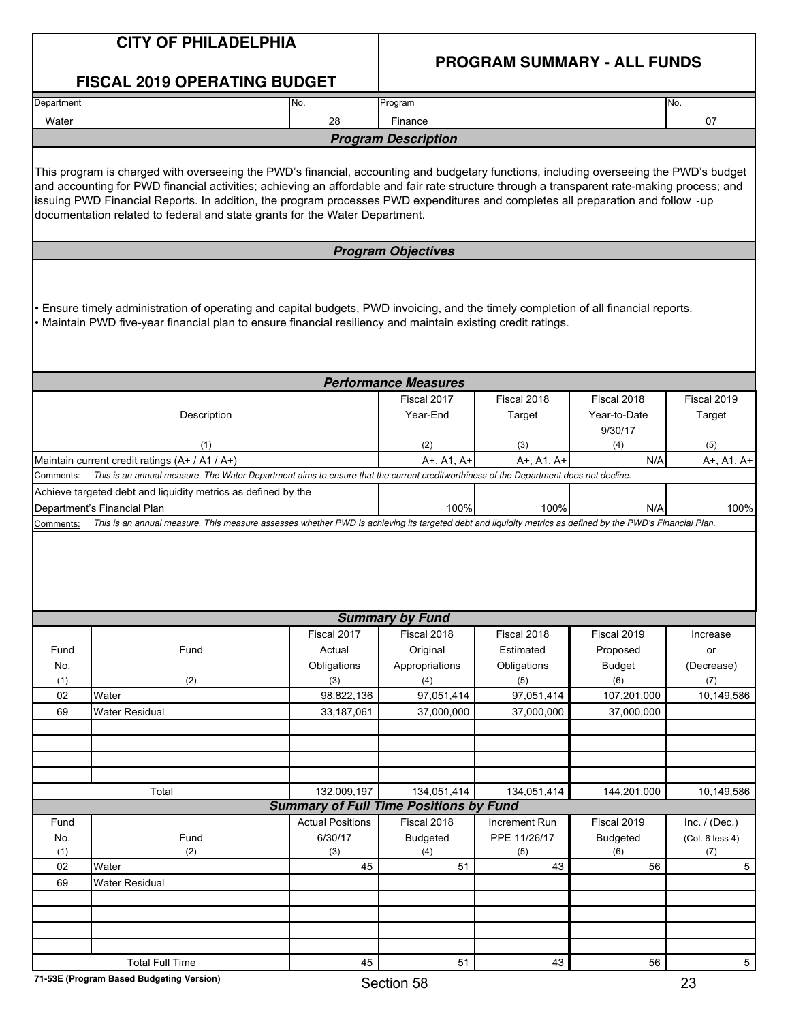|                    | <b>CITY OF PHILADELPHIA</b><br><b>FISCAL 2019 OPERATING BUDGET</b>                                                                                                                                                                                                                                                                                                                                                                                                                                      |                                                              | <b>PROGRAM SUMMARY - ALL FUNDS</b>               |                                                |                                                 |                                     |  |  |  |
|--------------------|---------------------------------------------------------------------------------------------------------------------------------------------------------------------------------------------------------------------------------------------------------------------------------------------------------------------------------------------------------------------------------------------------------------------------------------------------------------------------------------------------------|--------------------------------------------------------------|--------------------------------------------------|------------------------------------------------|-------------------------------------------------|-------------------------------------|--|--|--|
| Department         |                                                                                                                                                                                                                                                                                                                                                                                                                                                                                                         | No.                                                          | Program                                          |                                                |                                                 | No.                                 |  |  |  |
| Water              |                                                                                                                                                                                                                                                                                                                                                                                                                                                                                                         | 28                                                           | Finance                                          |                                                |                                                 | 07                                  |  |  |  |
|                    |                                                                                                                                                                                                                                                                                                                                                                                                                                                                                                         |                                                              | <b>Program Description</b>                       |                                                |                                                 |                                     |  |  |  |
|                    | This program is charged with overseeing the PWD's financial, accounting and budgetary functions, including overseeing the PWD's budget<br>and accounting for PWD financial activities; achieving an affordable and fair rate structure through a transparent rate-making process; and<br>issuing PWD Financial Reports. In addition, the program processes PWD expenditures and completes all preparation and follow -up<br>documentation related to federal and state grants for the Water Department. |                                                              |                                                  |                                                |                                                 |                                     |  |  |  |
|                    |                                                                                                                                                                                                                                                                                                                                                                                                                                                                                                         |                                                              | <b>Program Objectives</b>                        |                                                |                                                 |                                     |  |  |  |
|                    | Ensure timely administration of operating and capital budgets, PWD invoicing, and the timely completion of all financial reports.<br>• Maintain PWD five-year financial plan to ensure financial resiliency and maintain existing credit ratings.                                                                                                                                                                                                                                                       |                                                              |                                                  |                                                |                                                 |                                     |  |  |  |
|                    |                                                                                                                                                                                                                                                                                                                                                                                                                                                                                                         |                                                              | <b>Performance Measures</b>                      |                                                |                                                 |                                     |  |  |  |
|                    | Description<br>(1)                                                                                                                                                                                                                                                                                                                                                                                                                                                                                      |                                                              | Fiscal 2017<br>Year-End<br>(2)                   | Fiscal 2018<br>Target<br>(3)                   | Fiscal 2018<br>Year-to-Date<br>9/30/17<br>(4)   | Fiscal 2019<br>Target<br>(5)        |  |  |  |
|                    | Maintain current credit ratings (A+ / A1 / A+)                                                                                                                                                                                                                                                                                                                                                                                                                                                          |                                                              | A+, A1, A+                                       | A+, A1, A+                                     | N/A                                             | A+, A1, A+                          |  |  |  |
| Comments:          | This is an annual measure. The Water Department aims to ensure that the current creditworthiness of the Department does not decline.                                                                                                                                                                                                                                                                                                                                                                    |                                                              |                                                  |                                                |                                                 |                                     |  |  |  |
|                    | Achieve targeted debt and liquidity metrics as defined by the<br>Department's Financial Plan                                                                                                                                                                                                                                                                                                                                                                                                            |                                                              | 100%                                             | 100%                                           | N/A                                             | 100%                                |  |  |  |
| Comments:          | This is an annual measure. This measure assesses whether PWD is achieving its targeted debt and liquidity metrics as defined by the PWD's Financial Plan.                                                                                                                                                                                                                                                                                                                                               |                                                              |                                                  |                                                |                                                 |                                     |  |  |  |
|                    |                                                                                                                                                                                                                                                                                                                                                                                                                                                                                                         |                                                              |                                                  |                                                |                                                 |                                     |  |  |  |
|                    |                                                                                                                                                                                                                                                                                                                                                                                                                                                                                                         | Fiscal 2017                                                  | <b>Summary by Fund</b>                           |                                                |                                                 |                                     |  |  |  |
| Fund<br>No.<br>(1) | Fund<br>(2)                                                                                                                                                                                                                                                                                                                                                                                                                                                                                             | Actual<br>Obligations<br>(3)                                 | Fiscal 2018<br>Original<br>Appropriations<br>(4) | Fiscal 2018<br>Estimated<br>Obligations<br>(5) | Fiscal 2019<br>Proposed<br><b>Budget</b><br>(6) | Increase<br>or<br>(Decrease)<br>(7) |  |  |  |
| 02                 | Water                                                                                                                                                                                                                                                                                                                                                                                                                                                                                                   | 98,822,136                                                   | 97,051,414                                       | 97,051,414                                     | 107,201,000                                     | 10,149,586                          |  |  |  |
| 69                 | <b>Water Residual</b>                                                                                                                                                                                                                                                                                                                                                                                                                                                                                   | 33,187,061                                                   | 37,000,000                                       | 37,000,000                                     | 37,000,000                                      |                                     |  |  |  |
|                    |                                                                                                                                                                                                                                                                                                                                                                                                                                                                                                         |                                                              |                                                  |                                                |                                                 |                                     |  |  |  |
|                    |                                                                                                                                                                                                                                                                                                                                                                                                                                                                                                         |                                                              |                                                  |                                                |                                                 |                                     |  |  |  |
|                    | Total                                                                                                                                                                                                                                                                                                                                                                                                                                                                                                   | 132,009,197<br><b>Summary of Full Time Positions by Fund</b> | 134,051,414                                      | 134,051,414                                    | 144,201,000                                     | 10,149,586                          |  |  |  |
| Fund               |                                                                                                                                                                                                                                                                                                                                                                                                                                                                                                         | <b>Actual Positions</b>                                      | Fiscal 2018                                      | Increment Run                                  | Fiscal 2019                                     | Inc. $/$ (Dec.)                     |  |  |  |
| No.<br>(1)         | Fund<br>(2)                                                                                                                                                                                                                                                                                                                                                                                                                                                                                             | 6/30/17<br>(3)                                               | <b>Budgeted</b><br>(4)                           | PPE 11/26/17<br>(5)                            | <b>Budgeted</b><br>(6)                          | (Col. 6 less 4)<br>(7)              |  |  |  |
| 02                 | Water                                                                                                                                                                                                                                                                                                                                                                                                                                                                                                   | 45                                                           | 51                                               | 43                                             | 56                                              | 5                                   |  |  |  |
| 69                 | <b>Water Residual</b>                                                                                                                                                                                                                                                                                                                                                                                                                                                                                   |                                                              |                                                  |                                                |                                                 |                                     |  |  |  |
|                    |                                                                                                                                                                                                                                                                                                                                                                                                                                                                                                         |                                                              |                                                  |                                                |                                                 |                                     |  |  |  |
|                    |                                                                                                                                                                                                                                                                                                                                                                                                                                                                                                         |                                                              |                                                  |                                                |                                                 |                                     |  |  |  |
|                    |                                                                                                                                                                                                                                                                                                                                                                                                                                                                                                         |                                                              |                                                  |                                                |                                                 |                                     |  |  |  |
|                    | <b>Total Full Time</b>                                                                                                                                                                                                                                                                                                                                                                                                                                                                                  | 45                                                           | 51                                               | 43                                             | 56                                              | 5                                   |  |  |  |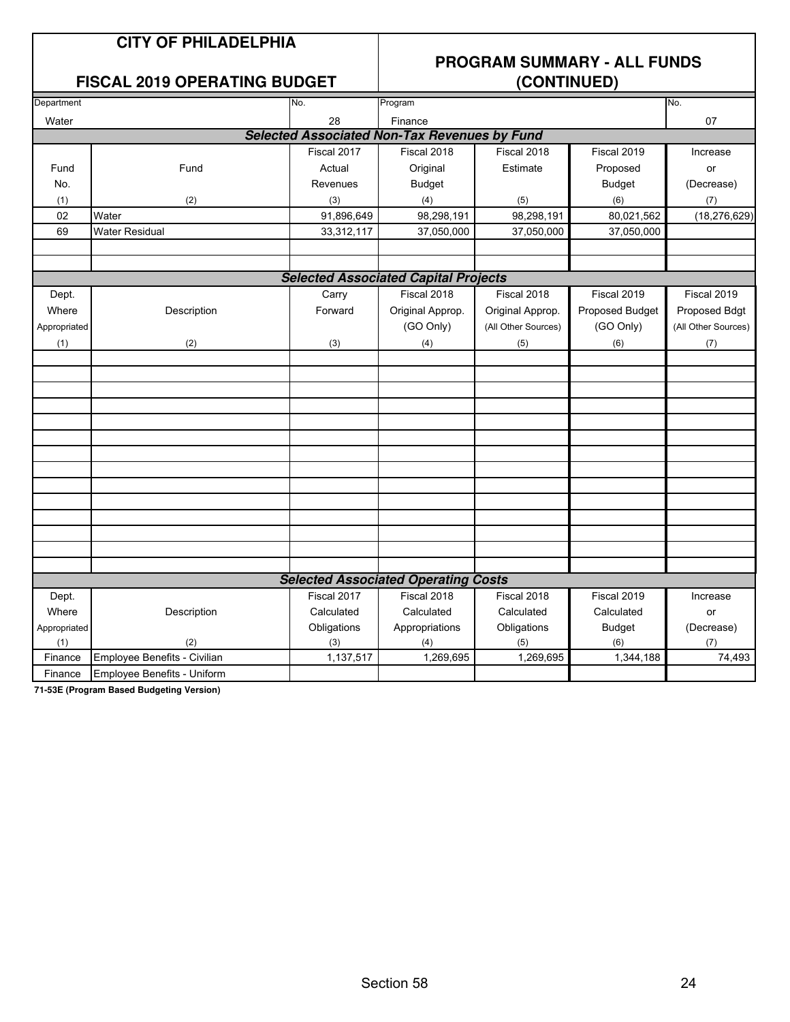#### **FISCAL 2019 OPERATING BUDGET**

## **PROGRAM SUMMARY - ALL FUNDS**

| Department   |                                    | No.         | Program                                             |                     |                 | No.                 |
|--------------|------------------------------------|-------------|-----------------------------------------------------|---------------------|-----------------|---------------------|
| Water        |                                    | 28          | Finance                                             |                     |                 | 07                  |
|              |                                    |             | <b>Selected Associated Non-Tax Revenues by Fund</b> |                     |                 |                     |
|              |                                    | Fiscal 2017 | Fiscal 2018                                         | Fiscal 2018         | Fiscal 2019     | Increase            |
| Fund         | Fund                               | Actual      | Original                                            | Estimate            | Proposed        | or                  |
| No.          |                                    | Revenues    | <b>Budget</b>                                       |                     | <b>Budget</b>   | (Decrease)          |
| (1)          | (2)                                | (3)         | (4)                                                 | (5)                 | (6)             | (7)                 |
| 02           | Water                              | 91,896,649  | 98,298,191                                          | 98,298,191          | 80,021,562      | (18, 276, 629)      |
| 69           | <b>Water Residual</b>              | 33,312,117  | 37,050,000                                          | 37,050,000          | 37,050,000      |                     |
|              |                                    |             |                                                     |                     |                 |                     |
|              |                                    |             |                                                     |                     |                 |                     |
|              |                                    |             | <b>Selected Associated Capital Projects</b>         |                     |                 |                     |
| Dept.        |                                    | Carry       | Fiscal 2018                                         | Fiscal 2018         | Fiscal 2019     | Fiscal 2019         |
| Where        | Description                        | Forward     | Original Approp.                                    | Original Approp.    | Proposed Budget | Proposed Bdgt       |
| Appropriated |                                    |             | (GO Only)                                           | (All Other Sources) | (GO Only)       | (All Other Sources) |
| (1)          | (2)                                | (3)         | (4)                                                 | (5)                 | (6)             | (7)                 |
|              |                                    |             |                                                     |                     |                 |                     |
|              |                                    |             |                                                     |                     |                 |                     |
|              |                                    |             |                                                     |                     |                 |                     |
|              |                                    |             |                                                     |                     |                 |                     |
|              |                                    |             |                                                     |                     |                 |                     |
|              |                                    |             |                                                     |                     |                 |                     |
|              |                                    |             |                                                     |                     |                 |                     |
|              |                                    |             |                                                     |                     |                 |                     |
|              |                                    |             |                                                     |                     |                 |                     |
|              |                                    |             |                                                     |                     |                 |                     |
|              |                                    |             |                                                     |                     |                 |                     |
|              |                                    |             |                                                     |                     |                 |                     |
|              |                                    |             |                                                     |                     |                 |                     |
|              |                                    |             |                                                     |                     |                 |                     |
|              |                                    |             | <b>Selected Associated Operating Costs</b>          |                     |                 |                     |
| Dept.        |                                    | Fiscal 2017 | Fiscal 2018                                         | Fiscal 2018         | Fiscal 2019     | Increase            |
| Where        | Description                        | Calculated  | Calculated                                          | Calculated          | Calculated      | or                  |
| Appropriated |                                    | Obligations | Appropriations                                      | Obligations         | <b>Budget</b>   | (Decrease)          |
| (1)          | (2)                                | (3)         | (4)                                                 | (5)                 | (6)             | (7)                 |
| Finance      | Employee Benefits - Civilian       | 1,137,517   | 1,269,695                                           | 1,269,695           | 1,344,188       | 74,493              |
| Finance      | <b>Employee Benefits - Uniform</b> |             |                                                     |                     |                 |                     |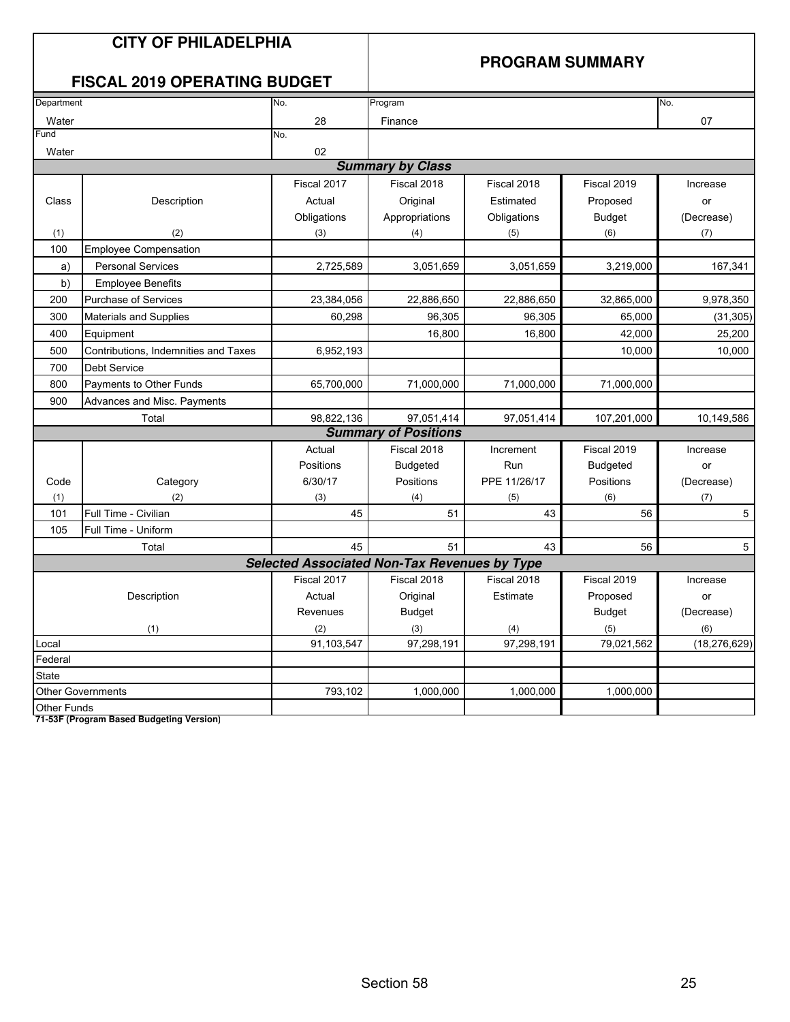#### **PROGRAM SUMMARY**

## **FISCAL 2019 OPERATING BUDGET**

| Department         |                                      | No.                                                 | Program                     |              |                 | No.            |
|--------------------|--------------------------------------|-----------------------------------------------------|-----------------------------|--------------|-----------------|----------------|
| Water              |                                      | 28                                                  | Finance                     |              |                 | 07             |
| Fund               |                                      | No.                                                 |                             |              |                 |                |
| Water              |                                      | 02                                                  |                             |              |                 |                |
|                    |                                      |                                                     | <b>Summary by Class</b>     |              |                 |                |
|                    |                                      | Fiscal 2017                                         | Fiscal 2018                 | Fiscal 2018  | Fiscal 2019     | Increase       |
| Class              | Description                          | Actual                                              | Original                    | Estimated    | Proposed        | or             |
|                    |                                      | Obligations                                         | Appropriations              | Obligations  | <b>Budget</b>   | (Decrease)     |
| (1)                | (2)                                  | (3)                                                 | (4)                         | (5)          | (6)             | (7)            |
| 100                | <b>Employee Compensation</b>         |                                                     |                             |              |                 |                |
| a)                 | <b>Personal Services</b>             | 2,725,589                                           | 3,051,659                   | 3,051,659    | 3,219,000       | 167,341        |
| b)                 | <b>Employee Benefits</b>             |                                                     |                             |              |                 |                |
| 200                | Purchase of Services                 | 23,384,056                                          | 22,886,650                  | 22,886,650   | 32,865,000      | 9,978,350      |
| 300                | Materials and Supplies               | 60,298                                              | 96,305                      | 96,305       | 65,000          | (31, 305)      |
| 400                | Equipment                            |                                                     | 16,800                      | 16,800       | 42,000          | 25.200         |
| 500                | Contributions, Indemnities and Taxes | 6,952,193                                           |                             |              | 10,000          | 10,000         |
| 700                | <b>Debt Service</b>                  |                                                     |                             |              |                 |                |
| 800                | Payments to Other Funds              | 65,700,000                                          | 71,000,000                  | 71,000,000   | 71,000,000      |                |
| 900                | Advances and Misc. Payments          |                                                     |                             |              |                 |                |
|                    | Total                                | 98,822,136                                          | 97,051,414                  | 97,051,414   | 107,201,000     | 10,149,586     |
|                    |                                      |                                                     | <b>Summary of Positions</b> |              |                 |                |
|                    |                                      | Actual                                              | Fiscal 2018                 | Increment    | Fiscal 2019     | Increase       |
|                    |                                      | Positions                                           | <b>Budgeted</b>             | Run          | <b>Budgeted</b> | or             |
| Code               | Category                             | 6/30/17                                             | Positions                   | PPE 11/26/17 | Positions       | (Decrease)     |
| (1)                | (2)                                  | (3)                                                 | (4)                         | (5)          | (6)             | (7)            |
| 101                | Full Time - Civilian                 | 45                                                  | 51                          | 43           | 56              | 5              |
| 105                | Full Time - Uniform                  |                                                     |                             |              |                 |                |
|                    | Total                                | 45                                                  | 51                          | 43           | 56              | 5              |
|                    |                                      | <b>Selected Associated Non-Tax Revenues by Type</b> |                             |              |                 |                |
|                    |                                      | Fiscal 2017                                         | Fiscal 2018                 | Fiscal 2018  | Fiscal 2019     | Increase       |
|                    | Description                          | Actual                                              | Original                    | Estimate     | Proposed        | or             |
|                    |                                      | Revenues                                            | <b>Budget</b>               |              | <b>Budget</b>   | (Decrease)     |
|                    | (1)                                  | (2)                                                 | (3)                         | (4)          | (5)             | (6)            |
| Local              |                                      | 91,103,547                                          | 97,298,191                  | 97,298,191   | 79,021,562      | (18, 276, 629) |
| Federal            |                                      |                                                     |                             |              |                 |                |
| <b>State</b>       |                                      |                                                     |                             |              |                 |                |
|                    | <b>Other Governments</b>             | 793,102                                             | 1,000,000                   | 1,000,000    | 1,000,000       |                |
| <b>Other Funds</b> |                                      |                                                     |                             |              |                 |                |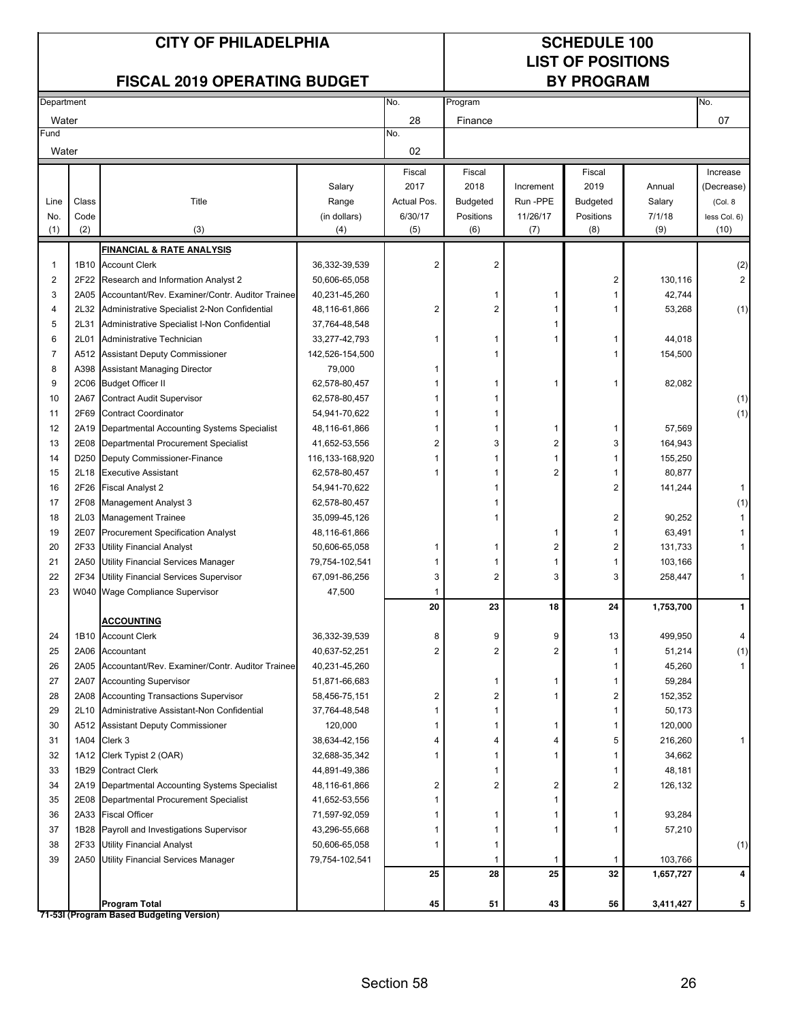# **LIST OF POSITIONS**

|            |                  | <b>FISCAL 2019 OPERATING BUDGET</b>                                             |                         |                |                         | <b>BY PROGRAM</b> |                 |           |              |
|------------|------------------|---------------------------------------------------------------------------------|-------------------------|----------------|-------------------------|-------------------|-----------------|-----------|--------------|
| Department |                  |                                                                                 |                         | No.            | Program                 |                   |                 |           | No.          |
| Water      |                  |                                                                                 |                         | 28             | Finance                 |                   |                 |           | 07           |
| Fund       |                  |                                                                                 |                         | No.            |                         |                   |                 |           |              |
| Water      |                  |                                                                                 |                         | 02             |                         |                   |                 |           |              |
|            |                  |                                                                                 |                         | Fiscal         | Fiscal                  |                   | Fiscal          |           | Increase     |
|            |                  |                                                                                 | Salary                  | 2017           | 2018                    | Increment         | 2019            | Annual    | (Decrease)   |
| Line       | Class            | Title                                                                           | Range                   | Actual Pos.    | <b>Budgeted</b>         | Run-PPE           | <b>Budgeted</b> | Salary    | (Col. 8      |
| No.        | Code             |                                                                                 | (in dollars)            | 6/30/17        | Positions               | 11/26/17          | Positions       | 7/1/18    | less Col. 6) |
| (1)        | (2)              | (3)                                                                             | (4)                     | (5)            | (6)                     | (7)               | (8)             | (9)       | (10)         |
|            |                  | <b>FINANCIAL &amp; RATE ANALYSIS</b>                                            |                         |                |                         |                   |                 |           |              |
| 1          | 1B10             | <b>Account Clerk</b>                                                            | 36,332-39,539           | 2              | $\overline{\mathbf{c}}$ |                   |                 |           | (2)          |
| 2          | 2F22             | Research and Information Analyst 2                                              | 50,606-65,058           |                |                         |                   | 2               | 130,116   | 2            |
| 3          | 2A05             | Accountant/Rev. Examiner/Contr. Auditor Trainee                                 | 40,231-45,260           |                |                         | 1                 | 1               | 42,744    |              |
| 4          | 2L32             | Administrative Specialist 2-Non Confidential                                    | 48,116-61,866           | 2              | 2                       | 1                 |                 | 53,268    | (1)          |
| 5          | 2L31             | Administrative Specialist I-Non Confidential                                    | 37,764-48,548           |                |                         | 1                 |                 |           |              |
| 6          | 2L01             | Administrative Technician                                                       | 33,277-42,793           | 1              |                         | 1                 | 1               | 44,018    |              |
| 7          |                  | A512 Assistant Deputy Commissioner                                              | 142,526-154,500         |                |                         |                   |                 | 154,500   |              |
| 8          |                  | A398 Assistant Managing Director                                                | 79,000                  | 1              |                         |                   |                 |           |              |
| 9          |                  | 2C06 Budget Officer II                                                          | 62,578-80,457           | 1              |                         | 1                 | 1               | 82,082    |              |
| 10         | 2A67             | <b>Contract Audit Supervisor</b>                                                | 62,578-80,457           | 1              | 1                       |                   |                 |           | (1)          |
| 11         | 2F69             | <b>Contract Coordinator</b>                                                     | 54,941-70,622           | 1              | 1                       |                   |                 |           | (1)          |
| 12         | 2A19             | Departmental Accounting Systems Specialist                                      | 48,116-61,866           | 1              | 1                       | 1                 | 1               | 57,569    |              |
| 13         | 2E08             | Departmental Procurement Specialist                                             | 41,652-53,556           | $\overline{2}$ | 3                       | 2                 | 3               | 164,943   |              |
| 14         | D <sub>250</sub> | Deputy Commissioner-Finance                                                     | 116,133-168,920         | 1              |                         | 1                 |                 | 155,250   |              |
| 15         | 2L18             | <b>Executive Assistant</b>                                                      | 62,578-80,457           | 1              |                         | 2                 |                 | 80,877    |              |
| 16         | 2F26             | <b>Fiscal Analyst 2</b>                                                         | 54,941-70,622           |                |                         |                   | 2               | 141,244   | 1            |
| 17         | 2F08             | Management Analyst 3                                                            | 62,578-80,457           |                |                         |                   |                 |           | (1)          |
| 18         | 2L03             | <b>Management Trainee</b>                                                       | 35,099-45,126           |                |                         |                   | 2               | 90,252    | $\mathbf{1}$ |
| 19         | 2E07             | <b>Procurement Specification Analyst</b>                                        | 48,116-61,866           |                |                         | 1                 | 1               | 63,491    |              |
| 20         | 2F33             | <b>Utility Financial Analyst</b>                                                | 50,606-65,058           |                |                         | 2                 | 2               | 131,733   |              |
| 21<br>22   | 2A50<br>2F34     | <b>Utility Financial Services Manager</b>                                       | 79,754-102,541          | 1              | 1<br>$\overline{2}$     | 1                 | 1<br>3          | 103,166   |              |
| 23         |                  | <b>Utility Financial Services Supervisor</b><br>W040 Wage Compliance Supervisor | 67,091-86,256<br>47,500 | 3<br>1         |                         | 3                 |                 | 258,447   | 1            |
|            |                  |                                                                                 |                         | 20             | 23                      | 18                | 24              | 1,753,700 | $\mathbf{1}$ |
|            |                  | <b>ACCOUNTING</b>                                                               |                         |                |                         |                   |                 |           |              |
| 24         |                  | 1B10 Account Clerk                                                              | 36,332-39,539           | 8              | 9                       | 9                 | 13              | 499,950   | 4            |
| 25         |                  | 2A06 Accountant                                                                 | 40,637-52,251           | 2              | $\overline{2}$          | $\overline{c}$    | 1               | 51,214    | (1)          |
| 26         |                  | 2A05 Accountant/Rev. Examiner/Contr. Auditor Trainee                            | 40,231-45,260           |                |                         |                   |                 | 45,260    | 1            |
| 27         | 2A07             | <b>Accounting Supervisor</b>                                                    | 51,871-66,683           |                | 1                       | 1                 | 1               | 59,284    |              |
| 28         |                  | 2A08 Accounting Transactions Supervisor                                         | 58,456-75,151           | 2              | 2                       | 1                 | 2               | 152,352   |              |
| 29         |                  | 2L10 Administrative Assistant-Non Confidential                                  | 37,764-48,548           | 1              | 1                       |                   | 1               | 50,173    |              |
| 30         |                  | A512 Assistant Deputy Commissioner                                              | 120,000                 | 1              | 1                       | 1                 | 1               | 120,000   |              |
| 31         |                  | 1A04 Clerk 3                                                                    | 38,634-42,156           | 4              | 4                       | 4                 | 5               | 216,260   | 1            |
| 32         | 1A12             | Clerk Typist 2 (OAR)                                                            | 32,688-35,342           | 1              | 1                       | 1                 | 1               | 34,662    |              |
| 33         |                  | 1B29 Contract Clerk                                                             | 44,891-49,386           |                | 1                       |                   | 1               | 48,181    |              |
| 34         | 2A19             | Departmental Accounting Systems Specialist                                      | 48,116-61,866           | 2              | 2                       | 2                 | 2               | 126,132   |              |
| 35         | 2E08             | Departmental Procurement Specialist                                             | 41,652-53,556           | 1              |                         | 1                 |                 |           |              |
| 36         | 2A33             | <b>Fiscal Officer</b>                                                           | 71,597-92,059           | 1              | 1                       | 1                 | 1               | 93,284    |              |
| 37         | 1B28             | Payroll and Investigations Supervisor                                           | 43,296-55,668           | 1              | 1                       | 1                 |                 | 57,210    |              |
| 38         | 2F33             | <b>Utility Financial Analyst</b>                                                | 50,606-65,058           | 1              | 1                       |                   |                 |           | (1)          |
| 39         |                  | 2A50 Utility Financial Services Manager                                         | 79,754-102,541          |                | 1                       | 1                 | 1               | 103,766   |              |
|            |                  |                                                                                 |                         | 25             | 28                      | 25                | 32              | 1,657,727 | 4            |
|            |                  |                                                                                 |                         |                |                         |                   |                 |           |              |
|            |                  | Program Total                                                                   |                         | 45             | 51                      | 43                | 56              | 3,411,427 | 5            |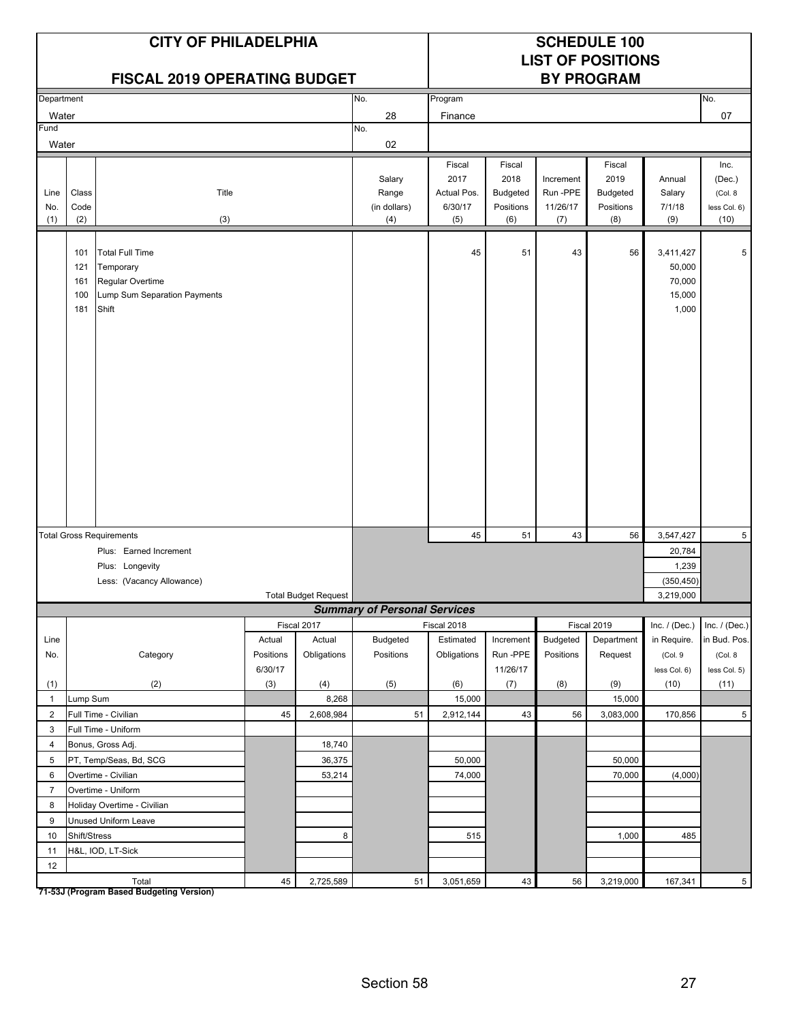|                    |                                 | <b>CITY OF PHILADELPHIA</b><br><b>FISCAL 2019 OPERATING BUDGET</b>                               |           |                             |                                        |                                                 | <b>SCHEDULE 100</b><br><b>LIST OF POSITIONS</b><br><b>BY PROGRAM</b> |                                          |                                                       |                                                  |                                                   |
|--------------------|---------------------------------|--------------------------------------------------------------------------------------------------|-----------|-----------------------------|----------------------------------------|-------------------------------------------------|----------------------------------------------------------------------|------------------------------------------|-------------------------------------------------------|--------------------------------------------------|---------------------------------------------------|
| Department         |                                 |                                                                                                  |           |                             | No.                                    | Program                                         |                                                                      |                                          |                                                       |                                                  | No.                                               |
| Water              |                                 |                                                                                                  |           |                             | 28                                     | Finance                                         |                                                                      |                                          |                                                       |                                                  | 07                                                |
| Fund               |                                 |                                                                                                  |           |                             | No.                                    |                                                 |                                                                      |                                          |                                                       |                                                  |                                                   |
| Water              |                                 |                                                                                                  |           |                             | 02                                     |                                                 |                                                                      |                                          |                                                       |                                                  |                                                   |
| Line<br>No.<br>(1) | Class<br>Code<br>(2)            | Title<br>(3)                                                                                     |           |                             | Salary<br>Range<br>(in dollars)<br>(4) | Fiscal<br>2017<br>Actual Pos.<br>6/30/17<br>(5) | Fiscal<br>2018<br><b>Budgeted</b><br>Positions<br>(6)                | Increment<br>Run -PPE<br>11/26/17<br>(7) | Fiscal<br>2019<br><b>Budgeted</b><br>Positions<br>(8) | Annual<br>Salary<br>7/1/18<br>(9)                | Inc.<br>(Dec.)<br>(Col. 8<br>less Col. 6)<br>(10) |
|                    | 101<br>121<br>161<br>100<br>181 | <b>Total Full Time</b><br>Temporary<br>Regular Overtime<br>Lump Sum Separation Payments<br>Shift |           |                             |                                        | 45                                              | 51                                                                   | 43                                       | 56                                                    | 3,411,427<br>50,000<br>70,000<br>15,000<br>1,000 | 5                                                 |
|                    |                                 | <b>Total Gross Requirements</b>                                                                  |           |                             |                                        | 45                                              | 51                                                                   | 43                                       | 56                                                    | 3,547,427                                        | 5                                                 |
|                    |                                 | Plus: Earned Increment                                                                           |           |                             |                                        |                                                 |                                                                      |                                          |                                                       | 20,784                                           |                                                   |
|                    |                                 | Plus: Longevity                                                                                  |           |                             |                                        |                                                 |                                                                      |                                          |                                                       | 1,239                                            |                                                   |
|                    |                                 | Less: (Vacancy Allowance)                                                                        |           |                             |                                        |                                                 |                                                                      |                                          |                                                       | (350, 450)                                       |                                                   |
|                    |                                 |                                                                                                  |           | <b>Total Budget Request</b> |                                        |                                                 |                                                                      |                                          |                                                       | 3,219,000                                        |                                                   |
|                    |                                 |                                                                                                  |           |                             | <b>Summary of Personal Services</b>    |                                                 |                                                                      |                                          |                                                       |                                                  |                                                   |
|                    |                                 |                                                                                                  |           | Fiscal 2017                 |                                        | Fiscal 2018                                     |                                                                      |                                          | Fiscal 2019                                           | Inc. $/$ (Dec.)                                  | Inc. $/$ (Dec.)                                   |
| Line               |                                 |                                                                                                  | Actual    | Actual                      | Budgeted                               | Estimated                                       | Increment                                                            | Budgeted                                 | Department                                            | in Require.                                      | in Bud. Pos.                                      |
| No.                |                                 | Category                                                                                         | Positions | Obligations                 | Positions                              | Obligations                                     | Run -PPE                                                             | Positions                                | Request                                               | (Col.9                                           | (Col. 8                                           |
|                    |                                 |                                                                                                  | 6/30/17   |                             |                                        |                                                 | 11/26/17                                                             |                                          |                                                       | less Col. 6)                                     | less Col. 5)                                      |
| (1)                |                                 | (2)                                                                                              | (3)       | (4)                         | (5)                                    | (6)                                             | (7)                                                                  | (8)                                      | (9)                                                   | (10)                                             | (11)                                              |
| $\mathbf{1}$       | Lump Sum                        |                                                                                                  |           | 8,268                       |                                        | 15,000                                          |                                                                      |                                          | 15,000                                                |                                                  |                                                   |
| $\overline{2}$     |                                 | Full Time - Civilian                                                                             | 45        | 2,608,984                   | 51                                     | 2,912,144                                       | 43                                                                   | 56                                       | 3,083,000                                             | 170,856                                          | $5\phantom{.0}$                                   |
| 3                  |                                 | Full Time - Uniform                                                                              |           |                             |                                        |                                                 |                                                                      |                                          |                                                       |                                                  |                                                   |
| $\overline{4}$     |                                 | Bonus, Gross Adj.                                                                                |           | 18,740                      |                                        |                                                 |                                                                      |                                          |                                                       |                                                  |                                                   |
| 5                  |                                 | PT, Temp/Seas, Bd, SCG                                                                           |           | 36,375                      |                                        | 50,000                                          |                                                                      |                                          | 50,000                                                |                                                  |                                                   |
| 6                  |                                 | Overtime - Civilian                                                                              |           | 53,214                      |                                        | 74,000                                          |                                                                      |                                          | 70,000                                                | (4,000)                                          |                                                   |
| $\overline{7}$     |                                 | Overtime - Uniform                                                                               |           |                             |                                        |                                                 |                                                                      |                                          |                                                       |                                                  |                                                   |
| 8                  |                                 | Holiday Overtime - Civilian                                                                      |           |                             |                                        |                                                 |                                                                      |                                          |                                                       |                                                  |                                                   |
| 9                  |                                 | Unused Uniform Leave                                                                             |           |                             |                                        |                                                 |                                                                      |                                          |                                                       |                                                  |                                                   |
| 10                 | Shift/Stress                    |                                                                                                  |           | 8                           |                                        | 515                                             |                                                                      |                                          | 1,000                                                 | 485                                              |                                                   |
| 11                 |                                 | H&L, IOD, LT-Sick                                                                                |           |                             |                                        |                                                 |                                                                      |                                          |                                                       |                                                  |                                                   |
| 12                 |                                 | Total                                                                                            | 45        | 2,725,589                   | 51                                     | 3,051,659                                       | 43                                                                   | 56                                       | 3,219,000                                             | 167,341                                          | 5 <sup>5</sup>                                    |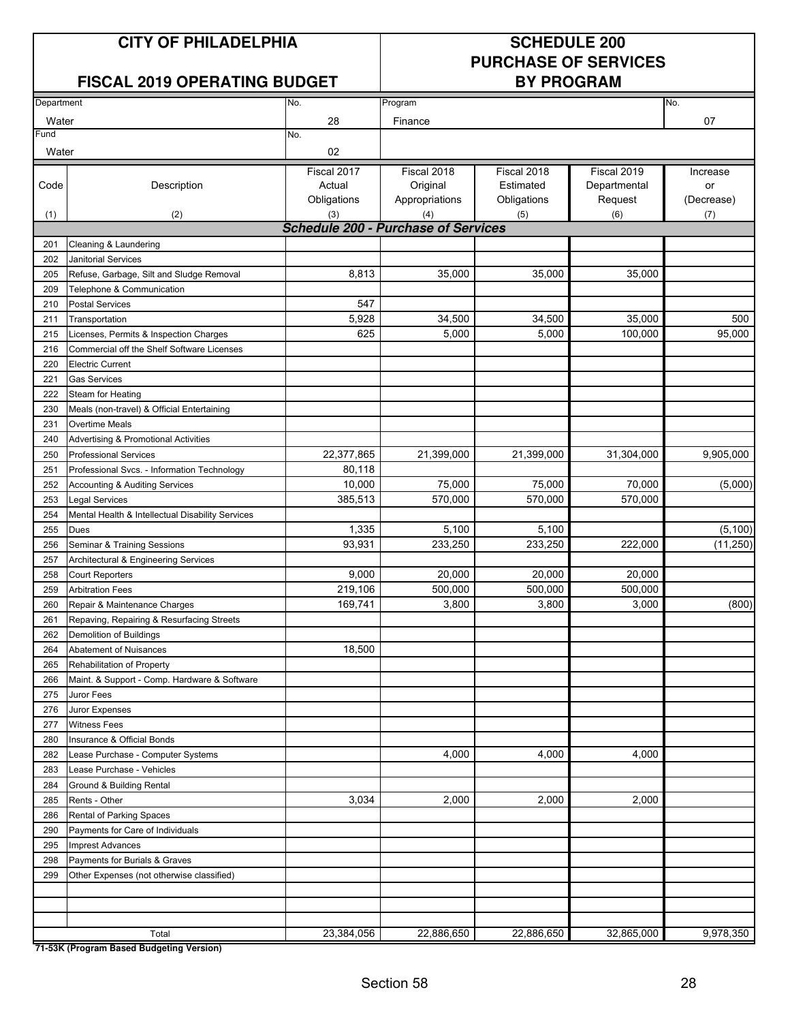# **PURCHASE OF SERVICES**

| Department |                                                          | No.         | Program                                    |             |              | No.        |
|------------|----------------------------------------------------------|-------------|--------------------------------------------|-------------|--------------|------------|
| Water      |                                                          | 28          | Finance                                    |             | 07           |            |
| Fund       |                                                          | No.         |                                            |             |              |            |
| Water      |                                                          | 02          |                                            |             |              |            |
|            |                                                          | Fiscal 2017 | Fiscal 2018                                | Fiscal 2018 | Fiscal 2019  | Increase   |
| Code       | Description                                              | Actual      | Original                                   | Estimated   | Departmental | or         |
|            |                                                          | Obligations | Appropriations                             | Obligations | Request      | (Decrease) |
| (1)        | (2)                                                      | (3)         | (4)                                        | (5)         | (6)          | (7)        |
|            |                                                          |             | <b>Schedule 200 - Purchase of Services</b> |             |              |            |
| 201        | Cleaning & Laundering                                    |             |                                            |             |              |            |
| 202        | <b>Janitorial Services</b>                               |             |                                            |             |              |            |
| 205        | Refuse, Garbage, Silt and Sludge Removal                 | 8,813       | 35,000                                     | 35,000      | 35,000       |            |
| 209        | Telephone & Communication                                |             |                                            |             |              |            |
| 210        | <b>Postal Services</b>                                   | 547         |                                            |             |              |            |
| 211        | Transportation                                           | 5,928       | 34,500                                     | 34,500      | 35,000       | 500        |
| 215        | Licenses, Permits & Inspection Charges                   | 625         | 5,000                                      | 5,000       | 100,000      | 95,000     |
| 216        | Commercial off the Shelf Software Licenses               |             |                                            |             |              |            |
| 220        | <b>Electric Current</b>                                  |             |                                            |             |              |            |
| 221        | <b>Gas Services</b>                                      |             |                                            |             |              |            |
| 222        | Steam for Heating                                        |             |                                            |             |              |            |
| 230        | Meals (non-travel) & Official Entertaining               |             |                                            |             |              |            |
| 231        | <b>Overtime Meals</b>                                    |             |                                            |             |              |            |
| 240        | <b>Advertising &amp; Promotional Activities</b>          |             |                                            |             |              |            |
| 250        | <b>Professional Services</b>                             | 22,377,865  | 21,399,000                                 | 21,399,000  | 31,304,000   | 9,905,000  |
| 251        | Professional Svcs. - Information Technology              | 80,118      |                                            |             |              |            |
| 252        | Accounting & Auditing Services                           | 10,000      | 75,000                                     | 75,000      | 70,000       | (5,000)    |
| 253        | Legal Services                                           | 385,513     | 570,000                                    | 570,000     | 570,000      |            |
| 254        |                                                          |             |                                            |             |              |            |
| 255        | Mental Health & Intellectual Disability Services<br>Dues | 1,335       | 5,100                                      | 5,100       |              | (5, 100)   |
|            |                                                          | 93,931      | 233,250                                    | 233,250     | 222,000      |            |
| 256        | Seminar & Training Sessions                              |             |                                            |             |              | (11, 250)  |
| 257        | Architectural & Engineering Services                     |             |                                            |             |              |            |
| 258        | <b>Court Reporters</b>                                   | 9,000       | 20,000                                     | 20,000      | 20,000       |            |
| 259        | <b>Arbitration Fees</b>                                  | 219,106     | 500,000                                    | 500,000     | 500,000      |            |
| 260        | Repair & Maintenance Charges                             | 169,741     | 3,800                                      | 3,800       | 3,000        | (800)      |
| 261        | Repaving, Repairing & Resurfacing Streets                |             |                                            |             |              |            |
| 262        | Demolition of Buildings                                  |             |                                            |             |              |            |
| 264        | Abatement of Nuisances                                   | 18,500      |                                            |             |              |            |
| 265        | Rehabilitation of Property                               |             |                                            |             |              |            |
| 266        | Maint. & Support - Comp. Hardware & Software             |             |                                            |             |              |            |
| 275        | Juror Fees                                               |             |                                            |             |              |            |
| 276        | Juror Expenses                                           |             |                                            |             |              |            |
| 277        | <b>Witness Fees</b>                                      |             |                                            |             |              |            |
| 280        | Insurance & Official Bonds                               |             |                                            |             |              |            |
| 282        | Lease Purchase - Computer Systems                        |             | 4,000                                      | 4,000       | 4,000        |            |
| 283        | Lease Purchase - Vehicles                                |             |                                            |             |              |            |
| 284        | Ground & Building Rental                                 |             |                                            |             |              |            |
| 285        | Rents - Other                                            | 3,034       | 2,000                                      | 2,000       | 2,000        |            |
| 286        | Rental of Parking Spaces                                 |             |                                            |             |              |            |
| 290        | Payments for Care of Individuals                         |             |                                            |             |              |            |
| 295        | <b>Imprest Advances</b>                                  |             |                                            |             |              |            |
| 298        | Payments for Burials & Graves                            |             |                                            |             |              |            |
| 299        | Other Expenses (not otherwise classified)                |             |                                            |             |              |            |
|            |                                                          |             |                                            |             |              |            |
|            |                                                          |             |                                            |             |              |            |
|            |                                                          | 23,384,056  | 22,886,650                                 | 22,886,650  | 32,865,000   | 9,978,350  |
|            | Total<br>71-53K (Program Based Budgeting Version)        |             |                                            |             |              |            |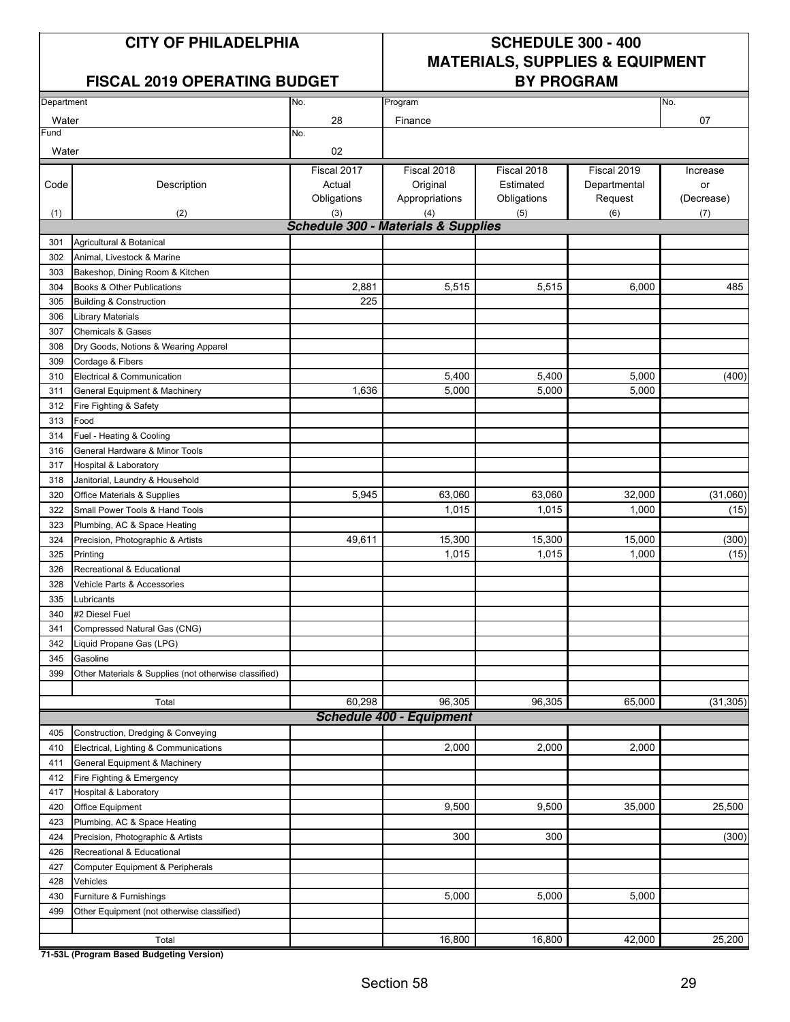#### **FISCAL 2019 OPERATING BUDGET BY PROGRAM**

## **CITY OF PHILADELPHIA SCHEDULE 300 - 400 MATERIALS, SUPPLIES & EQUIPMENT**

| Department |                                                       | No.                                            | Program                         |             |              | No.        |
|------------|-------------------------------------------------------|------------------------------------------------|---------------------------------|-------------|--------------|------------|
| Water      |                                                       | 28                                             | Finance                         |             |              | 07         |
| Fund       |                                                       | No.                                            |                                 |             |              |            |
| Water      |                                                       | 02                                             |                                 |             |              |            |
|            |                                                       | Fiscal 2017                                    | Fiscal 2018                     | Fiscal 2018 | Fiscal 2019  | Increase   |
| Code       | Description                                           | Actual                                         | Original                        | Estimated   | Departmental | or         |
|            |                                                       | Obligations                                    | Appropriations                  | Obligations | Request      | (Decrease) |
| (1)        | (2)                                                   | (3)                                            | (4)                             | (5)         | (6)          | (7)        |
|            |                                                       | <b>Schedule 300 - Materials &amp; Supplies</b> |                                 |             |              |            |
| 301        | Agricultural & Botanical                              |                                                |                                 |             |              |            |
| 302        | Animal, Livestock & Marine                            |                                                |                                 |             |              |            |
| 303        | Bakeshop, Dining Room & Kitchen                       |                                                |                                 |             |              |            |
| 304        | Books & Other Publications                            | 2,881                                          | 5,515                           | 5,515       | 6,000        | 485        |
| 305        | <b>Building &amp; Construction</b>                    | 225                                            |                                 |             |              |            |
| 306        | <b>Library Materials</b>                              |                                                |                                 |             |              |            |
| 307        | <b>Chemicals &amp; Gases</b>                          |                                                |                                 |             |              |            |
| 308        | Dry Goods, Notions & Wearing Apparel                  |                                                |                                 |             |              |            |
| 309        | Cordage & Fibers                                      |                                                |                                 |             |              |            |
| 310        | Electrical & Communication                            |                                                | 5,400                           | 5,400       | 5,000        | (400)      |
| 311        | General Equipment & Machinery                         | 1,636                                          | 5,000                           | 5,000       | 5,000        |            |
| 312        | Fire Fighting & Safety                                |                                                |                                 |             |              |            |
| 313        | Food                                                  |                                                |                                 |             |              |            |
| 314        | Fuel - Heating & Cooling                              |                                                |                                 |             |              |            |
| 316        | General Hardware & Minor Tools                        |                                                |                                 |             |              |            |
| 317        | Hospital & Laboratory                                 |                                                |                                 |             |              |            |
| 318        | Janitorial, Laundry & Household                       |                                                |                                 |             |              |            |
| 320        | Office Materials & Supplies                           | 5,945                                          | 63,060                          | 63,060      | 32,000       | (31,060)   |
| 322        | Small Power Tools & Hand Tools                        |                                                | 1,015                           | 1,015       | 1,000        | (15)       |
| 323        | Plumbing, AC & Space Heating                          |                                                |                                 |             |              |            |
| 324        | Precision, Photographic & Artists                     | 49,611                                         | 15,300                          | 15,300      | 15,000       | (300)      |
| 325        | Printing                                              |                                                | 1,015                           | 1,015       | 1,000        | (15)       |
| 326        | Recreational & Educational                            |                                                |                                 |             |              |            |
| 328        | Vehicle Parts & Accessories                           |                                                |                                 |             |              |            |
| 335        | Lubricants                                            |                                                |                                 |             |              |            |
| 340        | #2 Diesel Fuel                                        |                                                |                                 |             |              |            |
| 341        | Compressed Natural Gas (CNG)                          |                                                |                                 |             |              |            |
| 342        | Liquid Propane Gas (LPG)                              |                                                |                                 |             |              |            |
| 345        | Gasoline                                              |                                                |                                 |             |              |            |
| 399        | Other Materials & Supplies (not otherwise classified) |                                                |                                 |             |              |            |
|            |                                                       |                                                |                                 |             |              |            |
|            | Total                                                 | 60,298                                         | 96,305                          | 96,305      | 65,000       | (31, 305)  |
|            |                                                       |                                                | <b>Schedule 400 - Equipment</b> |             |              |            |
| 405        | Construction, Dredging & Conveying                    |                                                |                                 |             |              |            |
| 410        | Electrical, Lighting & Communications                 |                                                | 2,000                           | 2,000       | 2,000        |            |
| 411        | General Equipment & Machinery                         |                                                |                                 |             |              |            |
| 412        | Fire Fighting & Emergency                             |                                                |                                 |             |              |            |
| 417        | Hospital & Laboratory                                 |                                                |                                 |             |              |            |
| 420        | Office Equipment                                      |                                                | 9,500                           | 9,500       | 35,000       | 25,500     |
| 423        | Plumbing, AC & Space Heating                          |                                                |                                 |             |              |            |
| 424        | Precision, Photographic & Artists                     |                                                | 300                             | 300         |              | (300)      |
| 426        | Recreational & Educational                            |                                                |                                 |             |              |            |
| 427        | Computer Equipment & Peripherals                      |                                                |                                 |             |              |            |
| 428        | Vehicles                                              |                                                |                                 |             |              |            |
| 430        | Furniture & Furnishings                               |                                                | 5,000                           | 5,000       | 5,000        |            |
| 499        | Other Equipment (not otherwise classified)            |                                                |                                 |             |              |            |
|            |                                                       |                                                |                                 |             |              |            |
|            | Total                                                 |                                                | 16,800                          | 16,800      | 42,000       | 25,200     |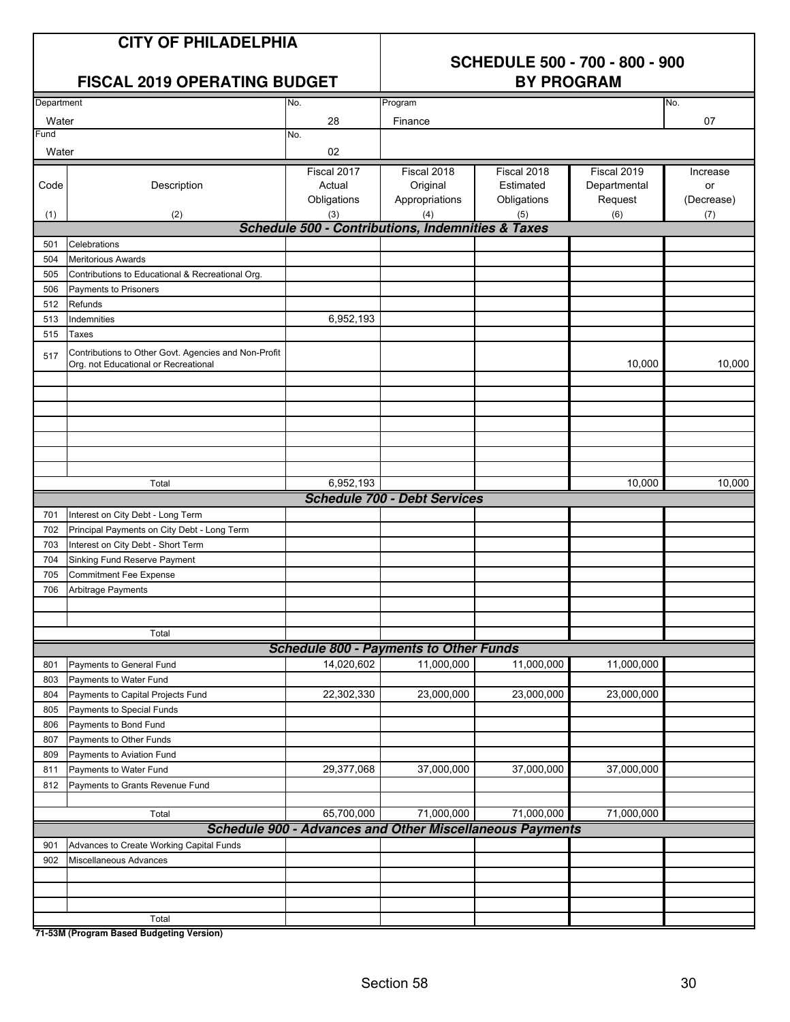#### **SCHEDULE 500 - 700 - 800 - 900 BY PROGRAM**

| <b>FISCAL 2019 OPERATING BUDGET</b> |  |  |
|-------------------------------------|--|--|
|-------------------------------------|--|--|

| Department |                                                                                              | No.         | Program                                           |                                                                 |              | No.        |
|------------|----------------------------------------------------------------------------------------------|-------------|---------------------------------------------------|-----------------------------------------------------------------|--------------|------------|
| Water      |                                                                                              | 28          | Finance                                           | 07                                                              |              |            |
| Fund       |                                                                                              | No.         |                                                   |                                                                 |              |            |
| Water      |                                                                                              | 02          |                                                   |                                                                 |              |            |
|            |                                                                                              | Fiscal 2017 | Fiscal 2018                                       | Fiscal 2018                                                     | Fiscal 2019  | Increase   |
| Code       | Description                                                                                  | Actual      | Original                                          | Estimated                                                       | Departmental | or         |
|            |                                                                                              | Obligations | Appropriations                                    | Obligations                                                     | Request      | (Decrease) |
| (1)        | (2)                                                                                          | (3)         | (4)                                               | (5)                                                             | (6)          | (7)        |
|            |                                                                                              |             | Schedule 500 - Contributions, Indemnities & Taxes |                                                                 |              |            |
| 501        | Celebrations                                                                                 |             |                                                   |                                                                 |              |            |
| 504        | <b>Meritorious Awards</b>                                                                    |             |                                                   |                                                                 |              |            |
| 505        | Contributions to Educational & Recreational Org.                                             |             |                                                   |                                                                 |              |            |
| 506        | Payments to Prisoners                                                                        |             |                                                   |                                                                 |              |            |
| 512        | Refunds                                                                                      |             |                                                   |                                                                 |              |            |
| 513        | Indemnities                                                                                  | 6,952,193   |                                                   |                                                                 |              |            |
| 515        | Taxes                                                                                        |             |                                                   |                                                                 |              |            |
| 517        | Contributions to Other Govt. Agencies and Non-Profit<br>Org. not Educational or Recreational |             |                                                   |                                                                 | 10,000       | 10,000     |
|            |                                                                                              |             |                                                   |                                                                 |              |            |
|            |                                                                                              |             |                                                   |                                                                 |              |            |
|            |                                                                                              |             |                                                   |                                                                 |              |            |
|            |                                                                                              |             |                                                   |                                                                 |              |            |
|            |                                                                                              |             |                                                   |                                                                 |              |            |
|            |                                                                                              |             |                                                   |                                                                 |              |            |
|            |                                                                                              |             |                                                   |                                                                 |              |            |
|            | Total                                                                                        | 6,952,193   |                                                   |                                                                 | 10,000       | 10,000     |
|            |                                                                                              |             | <b>Schedule 700 - Debt Services</b>               |                                                                 |              |            |
| 701        | Interest on City Debt - Long Term                                                            |             |                                                   |                                                                 |              |            |
| 702        | Principal Payments on City Debt - Long Term                                                  |             |                                                   |                                                                 |              |            |
| 703        | Interest on City Debt - Short Term                                                           |             |                                                   |                                                                 |              |            |
| 704        | Sinking Fund Reserve Payment                                                                 |             |                                                   |                                                                 |              |            |
| 705        | <b>Commitment Fee Expense</b>                                                                |             |                                                   |                                                                 |              |            |
| 706        | Arbitrage Payments                                                                           |             |                                                   |                                                                 |              |            |
|            |                                                                                              |             |                                                   |                                                                 |              |            |
|            |                                                                                              |             |                                                   |                                                                 |              |            |
|            | Total                                                                                        |             |                                                   |                                                                 |              |            |
|            |                                                                                              |             | <b>Schedule 800 - Payments to Other Funds</b>     |                                                                 |              |            |
| 801        | Payments to General Fund                                                                     | 14,020,602  | 11,000,000                                        | 11,000,000                                                      | 11,000,000   |            |
| 803        | Payments to Water Fund                                                                       |             |                                                   |                                                                 |              |            |
| 804        | Payments to Capital Projects Fund                                                            | 22,302,330  | 23,000,000                                        | 23,000,000                                                      | 23,000,000   |            |
| 805        | Payments to Special Funds                                                                    |             |                                                   |                                                                 |              |            |
| 806        | Payments to Bond Fund                                                                        |             |                                                   |                                                                 |              |            |
| 807        | Payments to Other Funds                                                                      |             |                                                   |                                                                 |              |            |
| 809        | Payments to Aviation Fund                                                                    |             |                                                   |                                                                 |              |            |
| 811        | Payments to Water Fund                                                                       | 29,377,068  | 37,000,000                                        | 37,000,000                                                      | 37,000,000   |            |
| 812        | Payments to Grants Revenue Fund                                                              |             |                                                   |                                                                 |              |            |
|            |                                                                                              |             |                                                   |                                                                 |              |            |
|            | Total                                                                                        | 65,700,000  | 71,000,000                                        | 71,000,000                                                      | 71,000,000   |            |
|            |                                                                                              |             |                                                   | <b>Schedule 900 - Advances and Other Miscellaneous Payments</b> |              |            |
| 901        | Advances to Create Working Capital Funds                                                     |             |                                                   |                                                                 |              |            |
| 902        | Miscellaneous Advances                                                                       |             |                                                   |                                                                 |              |            |
|            |                                                                                              |             |                                                   |                                                                 |              |            |
|            |                                                                                              |             |                                                   |                                                                 |              |            |
|            |                                                                                              |             |                                                   |                                                                 |              |            |
|            | Total<br>71-52M (Drogram Racod Rudgeting Vorsion)                                            |             |                                                   |                                                                 |              |            |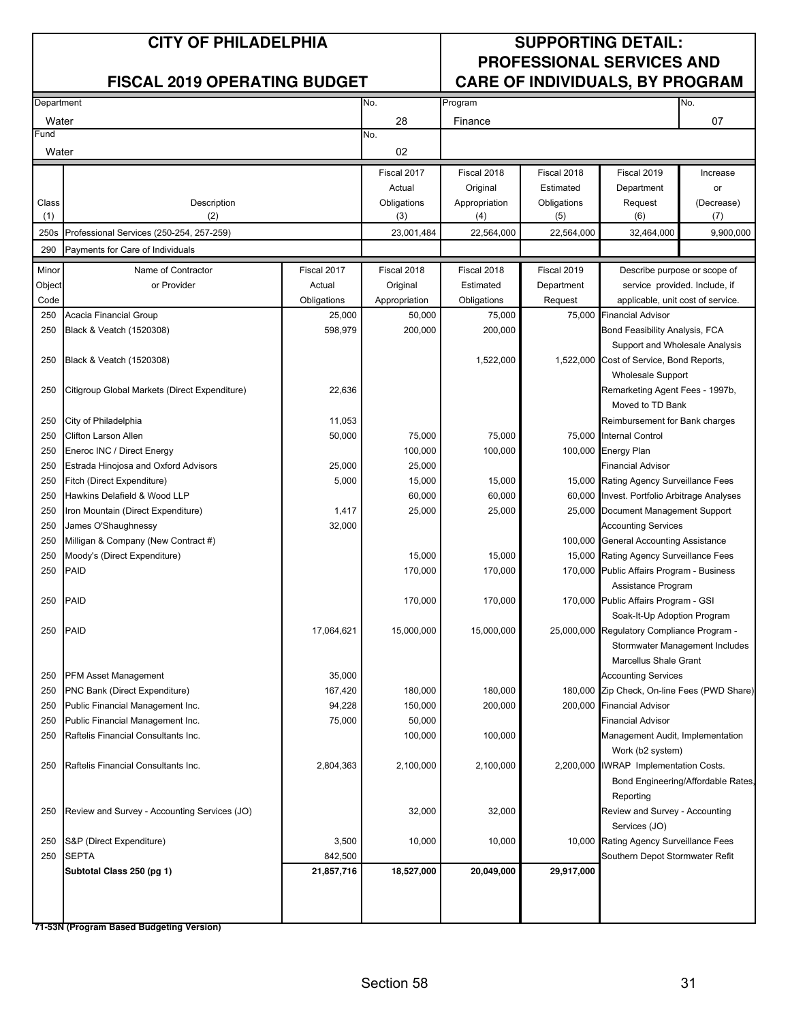#### **CITY OF PHILADELPHIA SUPPORTING DETAIL: PROFESSIONAL SERVICES AND** FISCAL 2019 OPERATING BUDGET **CARE OF INDIVIDUALS, BY PROGRAM**

| Department |                                               |             | No.<br>Program |               |             |                                             | No.                                |
|------------|-----------------------------------------------|-------------|----------------|---------------|-------------|---------------------------------------------|------------------------------------|
| Water      |                                               |             | 28             | Finance       |             |                                             | 07                                 |
| Fund       |                                               |             | No.            |               |             |                                             |                                    |
| Water      |                                               |             | 02             |               |             |                                             |                                    |
|            |                                               |             | Fiscal 2017    | Fiscal 2018   | Fiscal 2018 | Fiscal 2019                                 | Increase                           |
|            |                                               |             | Actual         | Original      | Estimated   | Department                                  | or                                 |
| Class      | Description                                   |             | Obligations    | Appropriation | Obligations | Request                                     | (Decrease)                         |
| (1)        | (2)                                           |             | (3)            | (4)           | (5)         | (6)                                         | (7)                                |
| 250s       | Professional Services (250-254, 257-259)      |             | 23,001,484     | 22,564,000    | 22.564.000  | 32,464,000                                  | 9,900,000                          |
|            |                                               |             |                |               |             |                                             |                                    |
| 290        | Payments for Care of Individuals              |             |                |               |             |                                             |                                    |
| Minor      | Name of Contractor                            | Fiscal 2017 | Fiscal 2018    | Fiscal 2018   | Fiscal 2019 | Describe purpose or scope of                |                                    |
| Object     | or Provider                                   | Actual      | Original       | Estimated     | Department  | service provided. Include, if               |                                    |
| Code       |                                               | Obligations | Appropriation  | Obligations   | Request     | applicable, unit cost of service.           |                                    |
| 250        | Acacia Financial Group                        | 25,000      | 50,000         | 75,000        | 75,000      | <b>Financial Advisor</b>                    |                                    |
| 250        | Black & Veatch (1520308)                      | 598,979     | 200,000        | 200,000       |             | Bond Feasibility Analysis, FCA              |                                    |
|            |                                               |             |                |               |             | Support and Wholesale Analysis              |                                    |
| 250        | Black & Veatch (1520308)                      |             |                | 1,522,000     |             | 1,522,000 Cost of Service, Bond Reports,    |                                    |
|            |                                               |             |                |               |             | <b>Wholesale Support</b>                    |                                    |
| 250        | Citigroup Global Markets (Direct Expenditure) | 22,636      |                |               |             | Remarketing Agent Fees - 1997b,             |                                    |
|            |                                               |             |                |               |             | Moved to TD Bank                            |                                    |
| 250        | City of Philadelphia                          | 11,053      |                |               |             | Reimbursement for Bank charges              |                                    |
| 250        | Clifton Larson Allen                          | 50,000      | 75,000         | 75,000        |             | 75,000 Internal Control                     |                                    |
| 250        | Eneroc INC / Direct Energy                    |             | 100,000        | 100,000       |             | 100,000 Energy Plan                         |                                    |
| 250        | Estrada Hinojosa and Oxford Advisors          | 25,000      | 25,000         |               |             | <b>Financial Advisor</b>                    |                                    |
| 250        | Fitch (Direct Expenditure)                    | 5,000       | 15,000         | 15,000        |             | 15,000 Rating Agency Surveillance Fees      |                                    |
| 250        | Hawkins Delafield & Wood LLP                  |             | 60,000         | 60,000        |             | 60,000 Invest. Portfolio Arbitrage Analyses |                                    |
| 250        | Iron Mountain (Direct Expenditure)            | 1,417       | 25,000         | 25,000        |             | 25,000 Document Management Support          |                                    |
| 250        | James O'Shaughnessy                           | 32,000      |                |               |             | <b>Accounting Services</b>                  |                                    |
| 250        | Milligan & Company (New Contract #)           |             |                |               |             | 100,000 General Accounting Assistance       |                                    |
| 250        | Moody's (Direct Expenditure)                  |             | 15,000         | 15,000        |             | 15,000 Rating Agency Surveillance Fees      |                                    |
| 250        | <b>PAID</b>                                   |             | 170,000        | 170,000       |             | 170,000 Public Affairs Program - Business   |                                    |
|            |                                               |             |                |               |             |                                             |                                    |
|            |                                               |             |                |               |             | Assistance Program                          |                                    |
| 250        | <b>PAID</b>                                   |             | 170,000        | 170,000       |             | 170,000 Public Affairs Program - GSI        |                                    |
|            |                                               |             |                |               |             | Soak-It-Up Adoption Program                 |                                    |
| 250        | <b>PAID</b>                                   | 17,064,621  | 15,000,000     | 15,000,000    |             | 25,000,000 Regulatory Compliance Program -  |                                    |
|            |                                               |             |                |               |             |                                             | Stormwater Management Includes     |
|            |                                               |             |                |               |             | Marcellus Shale Grant                       |                                    |
| 250        | <b>PFM Asset Management</b>                   | 35,000      |                |               |             | <b>Accounting Services</b>                  |                                    |
| 250        | PNC Bank (Direct Expenditure)                 | 167,420     | 180,000        | 180,000       |             | 180,000 Zip Check, On-line Fees (PWD Share) |                                    |
| 250        | Public Financial Management Inc.              | 94,228      | 150,000        | 200,000       |             | 200,000 Financial Advisor                   |                                    |
| 250        | Public Financial Management Inc.              | 75,000      | 50,000         |               |             | <b>Financial Advisor</b>                    |                                    |
| 250        | Raftelis Financial Consultants Inc.           |             | 100,000        | 100,000       |             | Management Audit, Implementation            |                                    |
|            |                                               |             |                |               |             | Work (b2 system)                            |                                    |
| 250        | Raftelis Financial Consultants Inc.           | 2,804,363   | 2,100,000      | 2,100,000     |             | 2,200,000 IWRAP Implementation Costs.       |                                    |
|            |                                               |             |                |               |             |                                             | Bond Engineering/Affordable Rates, |
|            |                                               |             |                |               |             | Reporting                                   |                                    |
| 250        | Review and Survey - Accounting Services (JO)  |             | 32,000         | 32,000        |             | Review and Survey - Accounting              |                                    |
|            |                                               |             |                |               |             | Services (JO)                               |                                    |
| 250        | S&P (Direct Expenditure)                      | 3,500       | 10,000         | 10,000        |             | 10,000 Rating Agency Surveillance Fees      |                                    |
| 250        | <b>SEPTA</b>                                  | 842,500     |                |               |             | Southern Depot Stormwater Refit             |                                    |
|            | Subtotal Class 250 (pg 1)                     | 21,857,716  | 18,527,000     | 20,049,000    | 29,917,000  |                                             |                                    |
|            |                                               |             |                |               |             |                                             |                                    |
|            |                                               |             |                |               |             |                                             |                                    |
|            |                                               |             |                |               |             |                                             |                                    |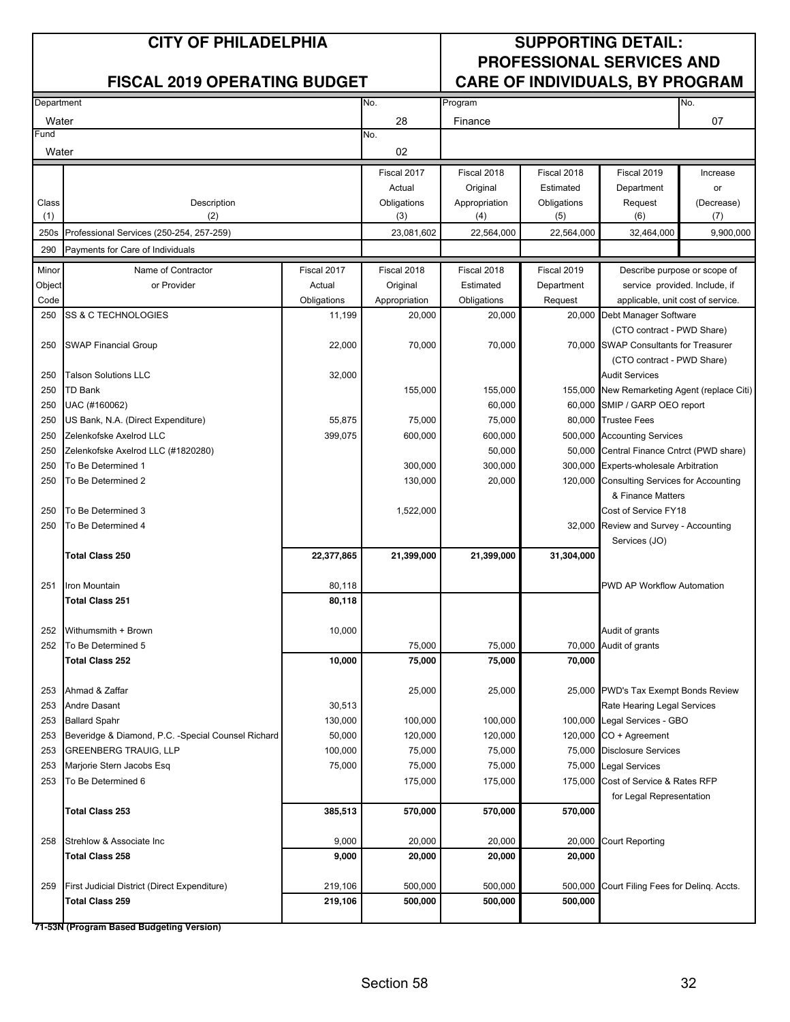#### **CITY OF PHILADELPHIA SUPPORTING DETAIL: PROFESSIONAL SERVICES AND** FISCAL 2019 OPERATING BUDGET **CARE OF INDIVIDUALS, BY PROGRAM**

| Department |                                                                            |                   | No.                | Program           |             |                                                          | No.                          |
|------------|----------------------------------------------------------------------------|-------------------|--------------------|-------------------|-------------|----------------------------------------------------------|------------------------------|
| Water      |                                                                            |                   | 28                 | Finance           |             |                                                          | 07                           |
| Fund       |                                                                            |                   | No.                |                   |             |                                                          |                              |
| Water      |                                                                            |                   | 02                 |                   |             |                                                          |                              |
|            |                                                                            |                   | Fiscal 2017        | Fiscal 2018       | Fiscal 2018 | Fiscal 2019                                              | Increase                     |
|            |                                                                            |                   | Actual             | Original          | Estimated   | Department                                               | or                           |
| Class      | Description                                                                |                   | Obligations        | Appropriation     | Obligations | Request                                                  | (Decrease)                   |
| (1)        | (2)                                                                        |                   | (3)                | (4)               | (5)         | (6)                                                      | (7)                          |
| 250s       | Professional Services (250-254, 257-259)                                   |                   | 23,081,602         | 22,564,000        | 22,564,000  | 32,464,000                                               | 9,900,000                    |
| 290        | Payments for Care of Individuals                                           |                   |                    |                   |             |                                                          |                              |
| Minor      | Name of Contractor                                                         | Fiscal 2017       | Fiscal 2018        | Fiscal 2018       | Fiscal 2019 |                                                          | Describe purpose or scope of |
| Object     | or Provider                                                                | Actual            | Original           | Estimated         | Department  | service provided. Include, if                            |                              |
| Code       |                                                                            | Obligations       | Appropriation      | Obligations       | Request     | applicable, unit cost of service.                        |                              |
| 250        | SS & C TECHNOLOGIES                                                        | 11,199            | 20,000             | 20,000            |             | 20,000 Debt Manager Software                             |                              |
|            |                                                                            |                   |                    |                   |             | (CTO contract - PWD Share)                               |                              |
| 250        | <b>SWAP Financial Group</b>                                                | 22,000            | 70,000             | 70,000            |             | 70,000 SWAP Consultants for Treasurer                    |                              |
|            |                                                                            |                   |                    |                   |             | (CTO contract - PWD Share)                               |                              |
| 250        | <b>Talson Solutions LLC</b>                                                | 32,000            |                    |                   |             | <b>Audit Services</b>                                    |                              |
| 250        | <b>TD Bank</b>                                                             |                   | 155,000            | 155,000           |             | 155,000 New Remarketing Agent (replace Citi)             |                              |
| 250        | UAC (#160062)                                                              |                   |                    | 60,000            |             | 60,000 SMIP / GARP OEO report                            |                              |
| 250        | US Bank, N.A. (Direct Expenditure)                                         | 55,875            | 75,000             | 75,000            |             | 80,000 Trustee Fees                                      |                              |
| 250        | Zelenkofske Axelrod LLC                                                    | 399,075           | 600,000            | 600,000           |             | 500,000 Accounting Services                              |                              |
| 250        | Zelenkofske Axelrod LLC (#1820280)                                         |                   |                    | 50,000            |             | 50,000 Central Finance Cntrct (PWD share)                |                              |
| 250        | To Be Determined 1                                                         |                   | 300,000            | 300,000           |             | 300,000 Experts-wholesale Arbitration                    |                              |
| 250        | To Be Determined 2                                                         |                   | 130,000            | 20,000            |             | 120,000 Consulting Services for Accounting               |                              |
|            |                                                                            |                   |                    |                   |             | & Finance Matters                                        |                              |
| 250<br>250 | To Be Determined 3<br>To Be Determined 4                                   |                   | 1,522,000          |                   |             | Cost of Service FY18                                     |                              |
|            |                                                                            |                   |                    |                   |             | 32,000 Review and Survey - Accounting<br>Services (JO)   |                              |
|            | <b>Total Class 250</b>                                                     | 22,377,865        | 21,399,000         | 21,399,000        | 31,304,000  |                                                          |                              |
|            |                                                                            |                   |                    |                   |             |                                                          |                              |
| 251        | Iron Mountain                                                              | 80,118            |                    |                   |             | PWD AP Workflow Automation                               |                              |
|            | <b>Total Class 251</b>                                                     | 80,118            |                    |                   |             |                                                          |                              |
| 252        | Withumsmith + Brown                                                        | 10,000            |                    |                   |             | Audit of grants                                          |                              |
| 252        | To Be Determined 5                                                         |                   | 75,000             | 75,000            |             | 70,000 Audit of grants                                   |                              |
|            | <b>Total Class 252</b>                                                     | 10,000            | 75,000             | 75,000            | 70,000      |                                                          |                              |
|            |                                                                            |                   |                    |                   |             |                                                          |                              |
| 253        | Ahmad & Zaffar                                                             |                   | 25,000             | 25,000            |             | 25,000 PWD's Tax Exempt Bonds Review                     |                              |
| 253        | Andre Dasant                                                               | 30,513            |                    |                   |             | Rate Hearing Legal Services                              |                              |
| 253<br>253 | <b>Ballard Spahr</b><br>Beveridge & Diamond, P.C. -Special Counsel Richard | 130,000<br>50,000 | 100,000<br>120,000 | 100,000           |             | 100,000 Legal Services - GBO<br>$120,000$ CO + Agreement |                              |
| 253        | <b>GREENBERG TRAUIG, LLP</b>                                               | 100,000           | 75,000             | 120,000<br>75,000 |             | 75,000 Disclosure Services                               |                              |
| 253        | Marjorie Stern Jacobs Esq                                                  | 75,000            | 75,000             | 75,000            |             | 75,000 Legal Services                                    |                              |
| 253        | To Be Determined 6                                                         |                   | 175,000            | 175,000           |             | 175,000 Cost of Service & Rates RFP                      |                              |
|            |                                                                            |                   |                    |                   |             | for Legal Representation                                 |                              |
|            | Total Class 253                                                            | 385,513           | 570,000            | 570,000           | 570,000     |                                                          |                              |
|            |                                                                            |                   |                    |                   |             |                                                          |                              |
| 258        | Strehlow & Associate Inc.                                                  | 9,000             | 20,000             | 20,000            | 20,000      | <b>Court Reporting</b>                                   |                              |
|            | <b>Total Class 258</b>                                                     | 9,000             | 20,000             | 20,000            | 20,000      |                                                          |                              |
|            |                                                                            |                   |                    |                   |             |                                                          |                              |
| 259        | First Judicial District (Direct Expenditure)                               | 219,106           | 500,000            | 500,000           |             | 500,000 Court Filing Fees for Deling. Accts.             |                              |
|            | <b>Total Class 259</b>                                                     | 219,106           | 500,000            | 500,000           | 500,000     |                                                          |                              |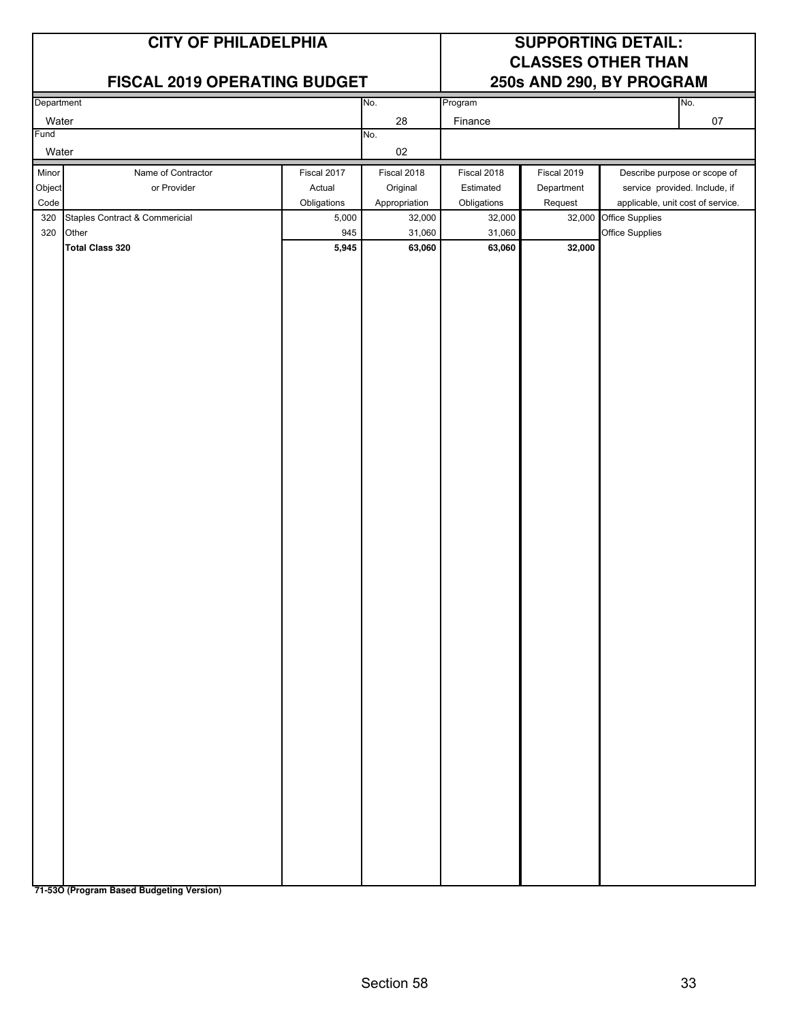#### **FISCAL 2019 OPERATING BUDGET**

## **CITY OF PHILADELPHIA SUPPORTING DETAIL: CLASSES OTHER THAN**

| Department        |                                |             | No.           | Program     |             | No.                               |
|-------------------|--------------------------------|-------------|---------------|-------------|-------------|-----------------------------------|
|                   |                                |             |               |             |             |                                   |
| Water             |                                |             | 28            | Finance     |             | $07\,$                            |
| Fund              |                                |             | No.           |             |             |                                   |
| Water             |                                |             | $02\,$        |             |             |                                   |
| Minor             | Name of Contractor             | Fiscal 2017 | Fiscal 2018   | Fiscal 2018 | Fiscal 2019 | Describe purpose or scope of      |
| Object            | or Provider                    | Actual      | Original      | Estimated   | Department  | service provided. Include, if     |
| $\textsf{Code}{}$ |                                | Obligations | Appropriation | Obligations | Request     | applicable, unit cost of service. |
| 320               | Staples Contract & Commericial | 5,000       | 32,000        | 32,000      | 32,000      | Office Supplies                   |
| 320               | Other                          | 945         | 31,060        | 31,060      |             | Office Supplies                   |
|                   | <b>Total Class 320</b>         | 5,945       | 63,060        | 63,060      | 32,000      |                                   |
|                   |                                |             |               |             |             |                                   |
|                   |                                |             |               |             |             |                                   |
|                   |                                |             |               |             |             |                                   |
|                   |                                |             |               |             |             |                                   |
|                   |                                |             |               |             |             |                                   |
|                   |                                |             |               |             |             |                                   |
|                   |                                |             |               |             |             |                                   |
|                   |                                |             |               |             |             |                                   |
|                   |                                |             |               |             |             |                                   |
|                   |                                |             |               |             |             |                                   |
|                   |                                |             |               |             |             |                                   |
|                   |                                |             |               |             |             |                                   |
|                   |                                |             |               |             |             |                                   |
|                   |                                |             |               |             |             |                                   |
|                   |                                |             |               |             |             |                                   |
|                   |                                |             |               |             |             |                                   |
|                   |                                |             |               |             |             |                                   |
|                   |                                |             |               |             |             |                                   |
|                   |                                |             |               |             |             |                                   |
|                   |                                |             |               |             |             |                                   |
|                   |                                |             |               |             |             |                                   |
|                   |                                |             |               |             |             |                                   |
|                   |                                |             |               |             |             |                                   |
|                   |                                |             |               |             |             |                                   |
|                   |                                |             |               |             |             |                                   |
|                   |                                |             |               |             |             |                                   |
|                   |                                |             |               |             |             |                                   |
|                   |                                |             |               |             |             |                                   |
|                   |                                |             |               |             |             |                                   |
|                   |                                |             |               |             |             |                                   |
|                   |                                |             |               |             |             |                                   |
|                   |                                |             |               |             |             |                                   |
|                   |                                |             |               |             |             |                                   |
|                   |                                |             |               |             |             |                                   |
|                   |                                |             |               |             |             |                                   |
|                   |                                |             |               |             |             |                                   |
|                   |                                |             |               |             |             |                                   |
|                   |                                |             |               |             |             |                                   |
|                   |                                |             |               |             |             |                                   |
|                   |                                |             |               |             |             |                                   |
|                   |                                |             |               |             |             |                                   |
|                   |                                |             |               |             |             |                                   |
|                   |                                |             |               |             |             |                                   |
|                   |                                |             |               |             |             |                                   |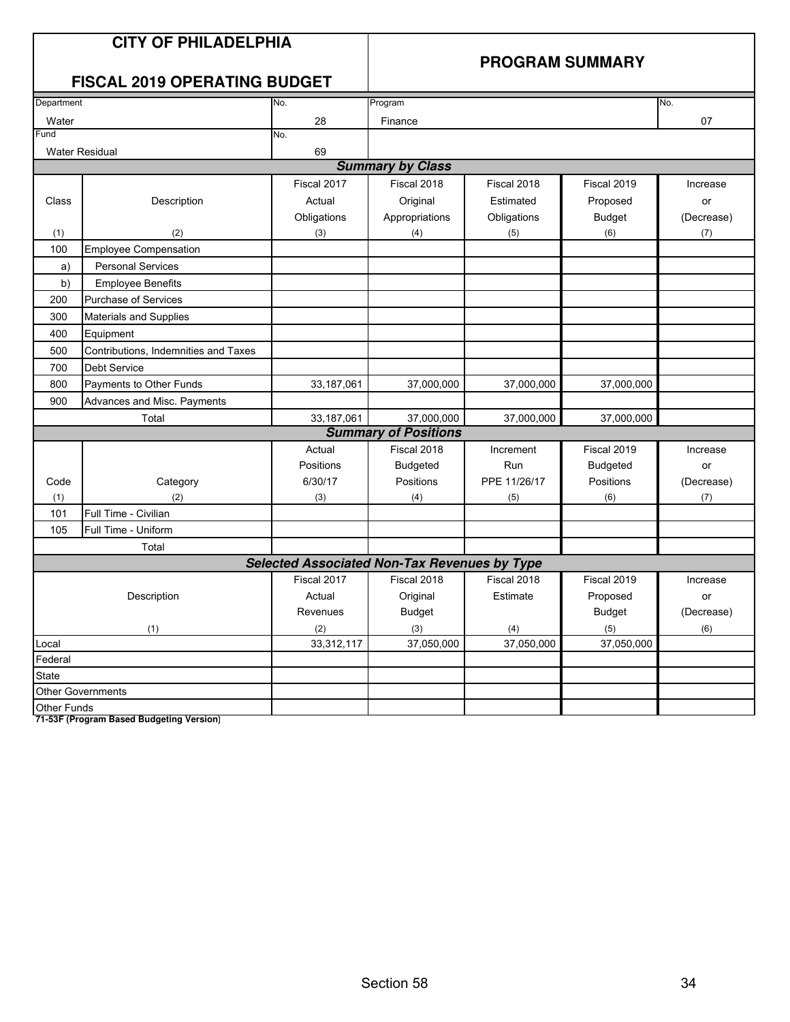#### **PROGRAM SUMMARY**

## **FISCAL 2019 OPERATING BUDGET**

|                          | 1 IUUAL 40 I J<br>$V = U \cup U$     |             |                                                     |              |                 |            |
|--------------------------|--------------------------------------|-------------|-----------------------------------------------------|--------------|-----------------|------------|
| Department               |                                      | No.         | Program                                             |              |                 | No.        |
| Water                    |                                      | 28          | Finance                                             |              |                 | 07         |
| Fund                     |                                      | No.         |                                                     |              |                 |            |
| <b>Water Residual</b>    |                                      | 69          |                                                     |              |                 |            |
|                          |                                      |             | <b>Summary by Class</b>                             |              |                 |            |
|                          |                                      | Fiscal 2017 | Fiscal 2018                                         | Fiscal 2018  | Fiscal 2019     | Increase   |
| Class                    | Description                          | Actual      | Original                                            | Estimated    | Proposed        | or         |
|                          |                                      | Obligations | Appropriations                                      | Obligations  | <b>Budget</b>   | (Decrease) |
| (1)                      | (2)                                  | (3)         | (4)                                                 | (5)          | (6)             | (7)        |
| 100                      | <b>Employee Compensation</b>         |             |                                                     |              |                 |            |
| a)                       | <b>Personal Services</b>             |             |                                                     |              |                 |            |
| b)                       | <b>Employee Benefits</b>             |             |                                                     |              |                 |            |
| 200                      | <b>Purchase of Services</b>          |             |                                                     |              |                 |            |
| 300                      | Materials and Supplies               |             |                                                     |              |                 |            |
| 400                      | Equipment                            |             |                                                     |              |                 |            |
| 500                      | Contributions, Indemnities and Taxes |             |                                                     |              |                 |            |
| 700                      | <b>Debt Service</b>                  |             |                                                     |              |                 |            |
| 800                      | Payments to Other Funds              | 33,187,061  | 37,000,000                                          | 37,000,000   | 37,000,000      |            |
| 900                      | Advances and Misc. Payments          |             |                                                     |              |                 |            |
|                          | Total                                | 33,187,061  | 37,000,000                                          | 37,000,000   | 37,000,000      |            |
|                          |                                      |             | <b>Summary of Positions</b>                         |              |                 |            |
|                          |                                      | Actual      | Fiscal 2018                                         | Increment    | Fiscal 2019     | Increase   |
|                          |                                      | Positions   | <b>Budgeted</b>                                     | Run          | <b>Budgeted</b> | or         |
| Code                     | Category                             | 6/30/17     | Positions                                           | PPE 11/26/17 | Positions       | (Decrease) |
| (1)                      | (2)                                  | (3)         | (4)                                                 | (5)          | (6)             | (7)        |
| 101                      | Full Time - Civilian                 |             |                                                     |              |                 |            |
| 105                      | Full Time - Uniform                  |             |                                                     |              |                 |            |
|                          | Total                                |             |                                                     |              |                 |            |
|                          |                                      |             | <b>Selected Associated Non-Tax Revenues by Type</b> |              |                 |            |
|                          |                                      | Fiscal 2017 | Fiscal 2018                                         | Fiscal 2018  | Fiscal 2019     | Increase   |
|                          | Description                          | Actual      | Original                                            | Estimate     | Proposed        | or         |
|                          |                                      | Revenues    | <b>Budget</b>                                       |              | <b>Budget</b>   | (Decrease) |
|                          | (1)                                  | (2)         | (3)                                                 | (4)          | (5)             | (6)        |
| Local                    |                                      | 33,312,117  | 37,050,000                                          | 37,050,000   | 37,050,000      |            |
| Federal                  |                                      |             |                                                     |              |                 |            |
| State                    |                                      |             |                                                     |              |                 |            |
| <b>Other Governments</b> |                                      |             |                                                     |              |                 |            |
| <b>Other Funds</b>       |                                      |             |                                                     |              |                 |            |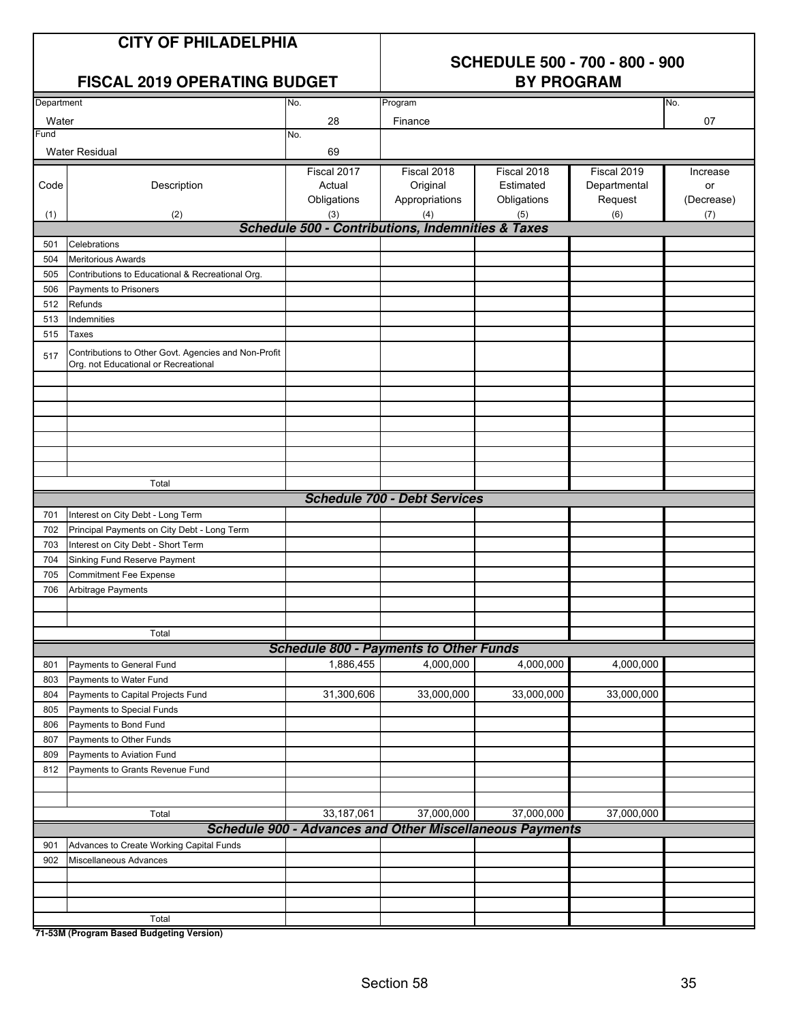## **SCHEDULE 500 - 700 - 800 - 900**

| <b>FISCAL 2019 OPERATING BUDGET</b> |                                                                                              |                                                                               | <b>BY PROGRAM</b>                   |             |              |            |  |
|-------------------------------------|----------------------------------------------------------------------------------------------|-------------------------------------------------------------------------------|-------------------------------------|-------------|--------------|------------|--|
| Department                          |                                                                                              | No.                                                                           | Program                             |             |              | No.        |  |
| Water                               |                                                                                              | 28                                                                            | Finance                             |             |              | 07         |  |
| Fund                                |                                                                                              | No.                                                                           |                                     |             |              |            |  |
|                                     | <b>Water Residual</b>                                                                        | 69                                                                            |                                     |             |              |            |  |
|                                     |                                                                                              | Fiscal 2017                                                                   | Fiscal 2018                         | Fiscal 2018 | Fiscal 2019  | Increase   |  |
| Code                                | Description                                                                                  | Actual                                                                        | Original                            | Estimated   | Departmental | or         |  |
|                                     |                                                                                              | Obligations                                                                   | Appropriations                      | Obligations | Request      | (Decrease) |  |
| (1)                                 | (2)                                                                                          | (3)                                                                           | (4)                                 | (5)         | (6)          | (7)        |  |
|                                     |                                                                                              | <b>Schedule 500 - Contributions, Indemnities &amp; Taxes</b>                  |                                     |             |              |            |  |
| 501                                 | Celebrations                                                                                 |                                                                               |                                     |             |              |            |  |
| 504                                 | <b>Meritorious Awards</b>                                                                    |                                                                               |                                     |             |              |            |  |
| 505                                 | Contributions to Educational & Recreational Org.                                             |                                                                               |                                     |             |              |            |  |
| 506                                 | Payments to Prisoners                                                                        |                                                                               |                                     |             |              |            |  |
| 512                                 | Refunds                                                                                      |                                                                               |                                     |             |              |            |  |
| 513                                 | Indemnities                                                                                  |                                                                               |                                     |             |              |            |  |
| 515                                 | Taxes                                                                                        |                                                                               |                                     |             |              |            |  |
| 517                                 | Contributions to Other Govt. Agencies and Non-Profit<br>Org. not Educational or Recreational |                                                                               |                                     |             |              |            |  |
|                                     |                                                                                              |                                                                               |                                     |             |              |            |  |
|                                     |                                                                                              |                                                                               |                                     |             |              |            |  |
|                                     |                                                                                              |                                                                               |                                     |             |              |            |  |
|                                     |                                                                                              |                                                                               |                                     |             |              |            |  |
|                                     |                                                                                              |                                                                               |                                     |             |              |            |  |
|                                     |                                                                                              |                                                                               |                                     |             |              |            |  |
|                                     | Total                                                                                        |                                                                               |                                     |             |              |            |  |
|                                     |                                                                                              |                                                                               | <b>Schedule 700 - Debt Services</b> |             |              |            |  |
| 701                                 | Interest on City Debt - Long Term                                                            |                                                                               |                                     |             |              |            |  |
| 702                                 | Principal Payments on City Debt - Long Term                                                  |                                                                               |                                     |             |              |            |  |
| 703                                 | Interest on City Debt - Short Term                                                           |                                                                               |                                     |             |              |            |  |
| 704                                 | Sinking Fund Reserve Payment                                                                 |                                                                               |                                     |             |              |            |  |
| 705                                 | <b>Commitment Fee Expense</b>                                                                |                                                                               |                                     |             |              |            |  |
| 706                                 | Arbitrage Payments                                                                           |                                                                               |                                     |             |              |            |  |
|                                     |                                                                                              |                                                                               |                                     |             |              |            |  |
|                                     |                                                                                              |                                                                               |                                     |             |              |            |  |
|                                     | Total                                                                                        |                                                                               |                                     |             |              |            |  |
|                                     |                                                                                              | <b>Schedule 800 - Payments to Other Funds</b>                                 |                                     |             |              |            |  |
| 801                                 | Payments to General Fund                                                                     | 1,886,455                                                                     | 4,000,000                           | 4,000,000   | 4,000,000    |            |  |
| 803                                 | Payments to Water Fund                                                                       |                                                                               |                                     |             |              |            |  |
| 804                                 | Payments to Capital Projects Fund                                                            | 31,300,606                                                                    | 33,000,000                          | 33,000,000  | 33,000,000   |            |  |
| 805                                 | Payments to Special Funds                                                                    |                                                                               |                                     |             |              |            |  |
| 806                                 | Payments to Bond Fund                                                                        |                                                                               |                                     |             |              |            |  |
| 807                                 | Payments to Other Funds                                                                      |                                                                               |                                     |             |              |            |  |
| 809                                 | Payments to Aviation Fund                                                                    |                                                                               |                                     |             |              |            |  |
| 812                                 | Payments to Grants Revenue Fund                                                              |                                                                               |                                     |             |              |            |  |
|                                     |                                                                                              |                                                                               |                                     |             |              |            |  |
|                                     |                                                                                              |                                                                               |                                     |             | 37,000,000   |            |  |
|                                     | Total                                                                                        | 33,187,061<br><b>Schedule 900 - Advances and Other Miscellaneous Payments</b> | 37,000,000                          | 37,000,000  |              |            |  |
|                                     |                                                                                              |                                                                               |                                     |             |              |            |  |
| 901<br>902                          | Advances to Create Working Capital Funds<br>Miscellaneous Advances                           |                                                                               |                                     |             |              |            |  |
|                                     |                                                                                              |                                                                               |                                     |             |              |            |  |
|                                     |                                                                                              |                                                                               |                                     |             |              |            |  |
|                                     |                                                                                              |                                                                               |                                     |             |              |            |  |
|                                     | Total                                                                                        |                                                                               |                                     |             |              |            |  |
|                                     |                                                                                              |                                                                               |                                     |             |              |            |  |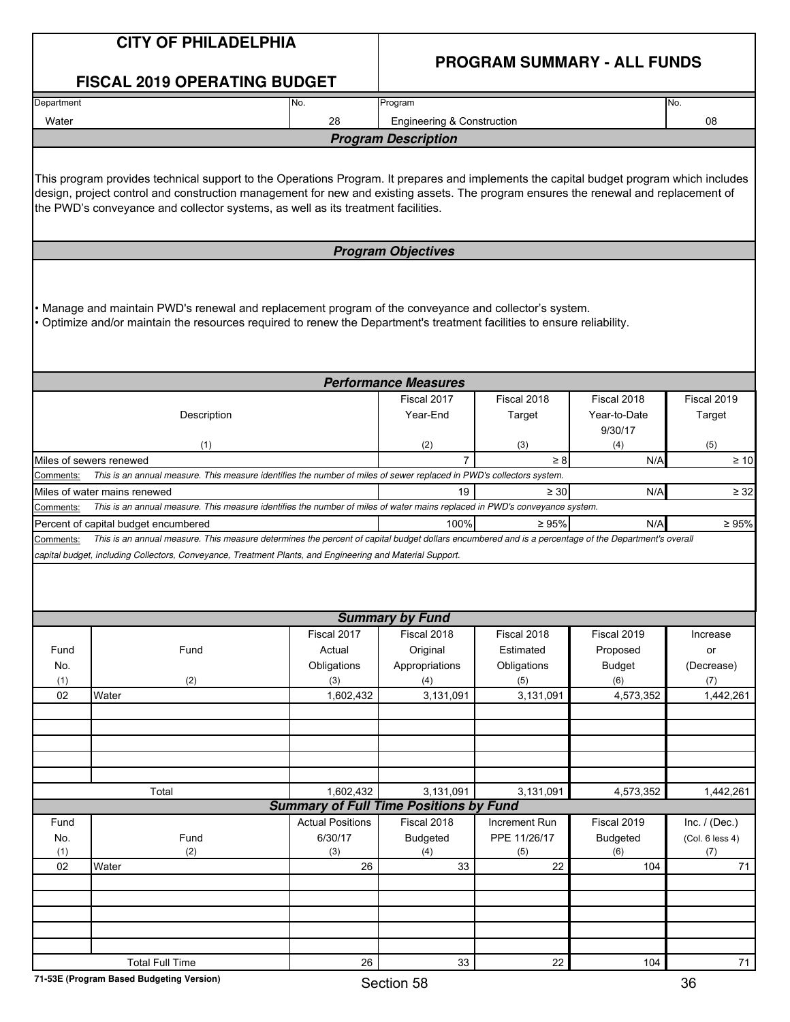|            | <b>CITY OF PHILADELPHIA</b>                                                                                                                                                                                                                                                                                                                                        | <b>PROGRAM SUMMARY - ALL FUNDS</b>            |                                            |                     |                         |                        |
|------------|--------------------------------------------------------------------------------------------------------------------------------------------------------------------------------------------------------------------------------------------------------------------------------------------------------------------------------------------------------------------|-----------------------------------------------|--------------------------------------------|---------------------|-------------------------|------------------------|
|            | <b>FISCAL 2019 OPERATING BUDGET</b>                                                                                                                                                                                                                                                                                                                                |                                               |                                            |                     |                         |                        |
| Department |                                                                                                                                                                                                                                                                                                                                                                    | No.                                           | Program                                    |                     |                         | No.                    |
| Water      |                                                                                                                                                                                                                                                                                                                                                                    | 28                                            | <b>Engineering &amp; Construction</b>      |                     |                         | 08                     |
|            |                                                                                                                                                                                                                                                                                                                                                                    |                                               | <b>Program Description</b>                 |                     |                         |                        |
|            | This program provides technical support to the Operations Program. It prepares and implements the capital budget program which includes<br>design, project control and construction management for new and existing assets. The program ensures the renewal and replacement of<br>the PWD's conveyance and collector systems, as well as its treatment facilities. |                                               |                                            |                     |                         |                        |
|            |                                                                                                                                                                                                                                                                                                                                                                    |                                               | <b>Program Objectives</b>                  |                     |                         |                        |
|            | Manage and maintain PWD's renewal and replacement program of the conveyance and collector's system.<br>. Optimize and/or maintain the resources required to renew the Department's treatment facilities to ensure reliability.                                                                                                                                     |                                               |                                            |                     |                         |                        |
|            |                                                                                                                                                                                                                                                                                                                                                                    |                                               | <b>Performance Measures</b><br>Fiscal 2017 | Fiscal 2018         | Fiscal 2018             | Fiscal 2019            |
|            | Description                                                                                                                                                                                                                                                                                                                                                        |                                               | Year-End                                   | Target              | Year-to-Date<br>9/30/17 | Target                 |
|            | (1)                                                                                                                                                                                                                                                                                                                                                                |                                               | (2)                                        | (3)                 | (4)                     | (5)                    |
|            | Miles of sewers renewed<br>This is an annual measure. This measure identifies the number of miles of sewer replaced in PWD's collectors system.                                                                                                                                                                                                                    |                                               |                                            | $\geq 8$            | N/A                     | $\geq 10$              |
| Comments:  | Miles of water mains renewed                                                                                                                                                                                                                                                                                                                                       |                                               | 19                                         | $\geq 30$           | N/A                     | $\geq 32$              |
| Comments:  | This is an annual measure. This measure identifies the number of miles of water mains replaced in PWD's conveyance system.                                                                                                                                                                                                                                         |                                               |                                            |                     |                         |                        |
|            | Percent of capital budget encumbered                                                                                                                                                                                                                                                                                                                               |                                               | 100%                                       | $\geq 95\%$         | N/A                     | $\geq 95\%$            |
| Comments:  | This is an annual measure. This measure determines the percent of capital budget dollars encumbered and is a percentage of the Department's overall                                                                                                                                                                                                                |                                               |                                            |                     |                         |                        |
|            | capital budget, including Collectors, Conveyance, Treatment Plants, and Engineering and Material Support.                                                                                                                                                                                                                                                          |                                               |                                            |                     |                         |                        |
|            |                                                                                                                                                                                                                                                                                                                                                                    |                                               | <b>Summary by Fund</b>                     |                     |                         |                        |
|            |                                                                                                                                                                                                                                                                                                                                                                    | Fiscal 2017                                   | Fiscal 2018                                | Fiscal 2018         | Fiscal 2019             | Increase               |
| Fund       | Fund                                                                                                                                                                                                                                                                                                                                                               | Actual                                        | Original                                   | Estimated           | Proposed                | or                     |
| No.<br>(1) | (2)                                                                                                                                                                                                                                                                                                                                                                | Obligations                                   | Appropriations                             | Obligations         | <b>Budget</b><br>(6)    | (Decrease)<br>(7)      |
| 02         | Water                                                                                                                                                                                                                                                                                                                                                              | (3)<br>1,602,432                              | (4)<br>3,131,091                           | (5)<br>3,131,091    | 4,573,352               | 1,442,261              |
|            |                                                                                                                                                                                                                                                                                                                                                                    |                                               |                                            |                     |                         |                        |
|            |                                                                                                                                                                                                                                                                                                                                                                    |                                               |                                            |                     |                         |                        |
|            |                                                                                                                                                                                                                                                                                                                                                                    |                                               |                                            |                     |                         |                        |
|            |                                                                                                                                                                                                                                                                                                                                                                    |                                               |                                            |                     |                         |                        |
|            | Total                                                                                                                                                                                                                                                                                                                                                              | 1,602,432                                     | 3,131,091                                  | 3,131,091           | 4,573,352               | 1,442,261              |
|            |                                                                                                                                                                                                                                                                                                                                                                    | <b>Summary of Full Time Positions by Fund</b> |                                            |                     |                         |                        |
| Fund       |                                                                                                                                                                                                                                                                                                                                                                    | <b>Actual Positions</b>                       | Fiscal 2018                                | Increment Run       | Fiscal 2019             | Inc. $/$ (Dec.)        |
| No.<br>(1) | Fund<br>(2)                                                                                                                                                                                                                                                                                                                                                        | 6/30/17<br>(3)                                | <b>Budgeted</b><br>(4)                     | PPE 11/26/17<br>(5) | <b>Budgeted</b><br>(6)  | (Col. 6 less 4)<br>(7) |
| 02         | Water                                                                                                                                                                                                                                                                                                                                                              | 26                                            | 33                                         | 22                  | 104                     | 71                     |
|            |                                                                                                                                                                                                                                                                                                                                                                    |                                               |                                            |                     |                         |                        |
|            |                                                                                                                                                                                                                                                                                                                                                                    |                                               |                                            |                     |                         |                        |
|            |                                                                                                                                                                                                                                                                                                                                                                    |                                               |                                            |                     |                         |                        |
|            |                                                                                                                                                                                                                                                                                                                                                                    |                                               |                                            |                     |                         |                        |
|            | <b>Total Full Time</b>                                                                                                                                                                                                                                                                                                                                             | 26                                            | 33                                         | 22                  | 104                     | 71                     |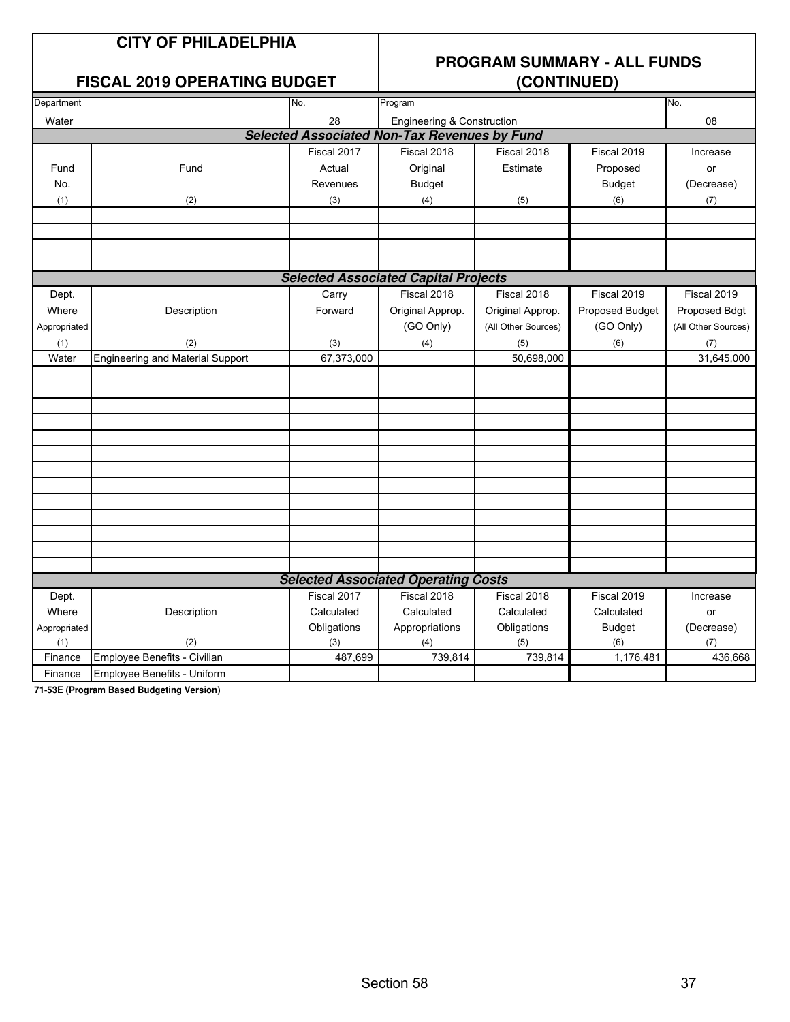#### **FISCAL 2019 OPERATING BUDGET**

### **PROGRAM SUMMARY - ALL FUNDS**

| Department   |                                         | No.         | Program                                             |                     |                 | No.                 |
|--------------|-----------------------------------------|-------------|-----------------------------------------------------|---------------------|-----------------|---------------------|
| Water        |                                         | 28          | <b>Engineering &amp; Construction</b>               |                     |                 | 08                  |
|              |                                         |             | <b>Selected Associated Non-Tax Revenues by Fund</b> |                     |                 |                     |
|              |                                         | Fiscal 2017 | Fiscal 2018                                         | Fiscal 2018         | Fiscal 2019     | Increase            |
| Fund         | Fund                                    | Actual      | Original                                            | Estimate            | Proposed        | or                  |
| No.          |                                         | Revenues    | <b>Budget</b>                                       |                     | <b>Budget</b>   | (Decrease)          |
| (1)          | (2)                                     | (3)         | (4)                                                 | (5)                 | (6)             | (7)                 |
|              |                                         |             |                                                     |                     |                 |                     |
|              |                                         |             |                                                     |                     |                 |                     |
|              |                                         |             |                                                     |                     |                 |                     |
|              |                                         |             |                                                     |                     |                 |                     |
|              |                                         |             | <b>Selected Associated Capital Projects</b>         |                     |                 |                     |
| Dept.        |                                         | Carry       | Fiscal 2018                                         | Fiscal 2018         | Fiscal 2019     | Fiscal 2019         |
| Where        | Description                             | Forward     | Original Approp.                                    | Original Approp.    | Proposed Budget | Proposed Bdgt       |
| Appropriated |                                         |             | (GO Only)                                           | (All Other Sources) | (GO Only)       | (All Other Sources) |
| (1)          | (2)                                     | (3)         | (4)                                                 | (5)                 | (6)             | (7)                 |
| Water        | <b>Engineering and Material Support</b> | 67,373,000  |                                                     | 50,698,000          |                 | 31,645,000          |
|              |                                         |             |                                                     |                     |                 |                     |
|              |                                         |             |                                                     |                     |                 |                     |
|              |                                         |             |                                                     |                     |                 |                     |
|              |                                         |             |                                                     |                     |                 |                     |
|              |                                         |             |                                                     |                     |                 |                     |
|              |                                         |             |                                                     |                     |                 |                     |
|              |                                         |             |                                                     |                     |                 |                     |
|              |                                         |             |                                                     |                     |                 |                     |
|              |                                         |             |                                                     |                     |                 |                     |
|              |                                         |             |                                                     |                     |                 |                     |
|              |                                         |             |                                                     |                     |                 |                     |
|              |                                         |             |                                                     |                     |                 |                     |
|              |                                         |             |                                                     |                     |                 |                     |
|              |                                         |             | <b>Selected Associated Operating Costs</b>          |                     |                 |                     |
| Dept.        |                                         | Fiscal 2017 | Fiscal 2018                                         | Fiscal 2018         | Fiscal 2019     | Increase            |
| Where        | Description                             | Calculated  | Calculated                                          | Calculated          | Calculated      | or                  |
| Appropriated |                                         | Obligations | Appropriations                                      | Obligations         | <b>Budget</b>   | (Decrease)          |
| (1)          | (2)                                     | (3)         | (4)                                                 | (5)                 | (6)             | (7)                 |
| Finance      | Employee Benefits - Civilian            | 487,699     | 739,814                                             | 739,814             | 1,176,481       | 436,668             |
| Finance      | Employee Benefits - Uniform             |             |                                                     |                     |                 |                     |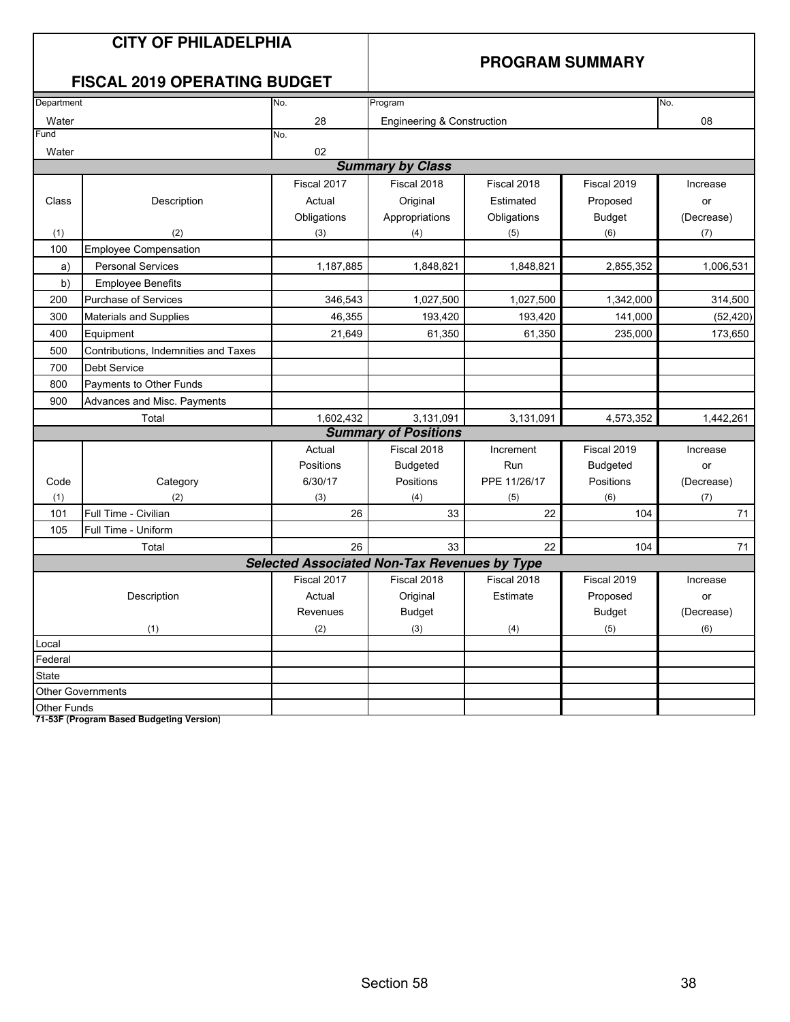|               | <b>CITY OF PHILADELPHIA</b><br><b>FISCAL 2019 OPERATING BUDGET</b> |             | <b>PROGRAM SUMMARY</b>                              |              |                 |            |  |  |
|---------------|--------------------------------------------------------------------|-------------|-----------------------------------------------------|--------------|-----------------|------------|--|--|
|               |                                                                    |             |                                                     |              |                 |            |  |  |
| Department    |                                                                    | No.         | Program                                             | No.          |                 |            |  |  |
| Water<br>Fund |                                                                    | 28<br>No.   | Engineering & Construction                          |              |                 | 08         |  |  |
| Water         |                                                                    | 02          |                                                     |              |                 |            |  |  |
|               |                                                                    |             | <b>Summary by Class</b>                             |              |                 |            |  |  |
|               |                                                                    | Fiscal 2017 | Fiscal 2018                                         | Fiscal 2018  | Fiscal 2019     | Increase   |  |  |
| Class         | Description                                                        | Actual      | Original                                            | Estimated    | Proposed        | or         |  |  |
|               |                                                                    | Obligations | Appropriations                                      | Obligations  | <b>Budget</b>   | (Decrease) |  |  |
| (1)           | (2)                                                                | (3)         | (4)                                                 | (5)          | (6)             | (7)        |  |  |
| 100           | <b>Employee Compensation</b>                                       |             |                                                     |              |                 |            |  |  |
| a)            | <b>Personal Services</b>                                           | 1,187,885   | 1,848,821                                           | 1,848,821    | 2,855,352       | 1,006,531  |  |  |
| b)            | <b>Employee Benefits</b>                                           |             |                                                     |              |                 |            |  |  |
| 200           | <b>Purchase of Services</b>                                        | 346,543     | 1,027,500                                           | 1,027,500    | 1,342,000       | 314,500    |  |  |
| 300           | <b>Materials and Supplies</b>                                      | 46,355      | 193,420                                             | 193,420      | 141,000         | (52, 420)  |  |  |
| 400           | Equipment                                                          | 21,649      | 61,350                                              | 61,350       | 235,000         | 173,650    |  |  |
| 500           | Contributions, Indemnities and Taxes                               |             |                                                     |              |                 |            |  |  |
| 700           | <b>Debt Service</b>                                                |             |                                                     |              |                 |            |  |  |
| 800           | Payments to Other Funds                                            |             |                                                     |              |                 |            |  |  |
| 900           | Advances and Misc. Payments                                        |             |                                                     |              |                 |            |  |  |
|               | Total                                                              | 1,602,432   | 3,131,091                                           | 3,131,091    | 4,573,352       | 1,442,261  |  |  |
|               |                                                                    |             | <b>Summary of Positions</b>                         |              |                 |            |  |  |
|               |                                                                    | Actual      | Fiscal 2018                                         | Increment    | Fiscal 2019     | Increase   |  |  |
|               |                                                                    | Positions   | <b>Budgeted</b>                                     | Run          | <b>Budgeted</b> | or         |  |  |
| Code          | Category                                                           | 6/30/17     | Positions                                           | PPE 11/26/17 | Positions       | (Decrease) |  |  |
| (1)           | (2)                                                                | (3)         | (4)                                                 | (5)          | (6)             | (7)        |  |  |
| 101           | Full Time - Civilian                                               | 26          | 33                                                  | 22           | 104             | 71         |  |  |
| 105           | Full Time - Uniform                                                |             |                                                     |              |                 |            |  |  |
|               | Total                                                              | 26          | 33                                                  | 22           | 104             | 71         |  |  |
|               |                                                                    |             | <b>Selected Associated Non-Tax Revenues by Type</b> |              |                 |            |  |  |
|               |                                                                    | Fiscal 2017 | Fiscal 2018                                         | Fiscal 2018  | Fiscal 2019     | Increase   |  |  |
|               | Description                                                        | Actual      | Original                                            | Estimate     | Proposed        | or         |  |  |
|               |                                                                    | Revenues    | <b>Budget</b>                                       |              | <b>Budget</b>   | (Decrease) |  |  |
|               | (1)                                                                | (2)         | (3)                                                 | (4)          | (5)             | (6)        |  |  |
| Local         |                                                                    |             |                                                     |              |                 |            |  |  |
| Federal       |                                                                    |             |                                                     |              |                 |            |  |  |
| State         |                                                                    |             |                                                     |              |                 |            |  |  |
|               | <b>Other Governments</b>                                           |             |                                                     |              |                 |            |  |  |
| Other Funds   |                                                                    |             |                                                     |              |                 |            |  |  |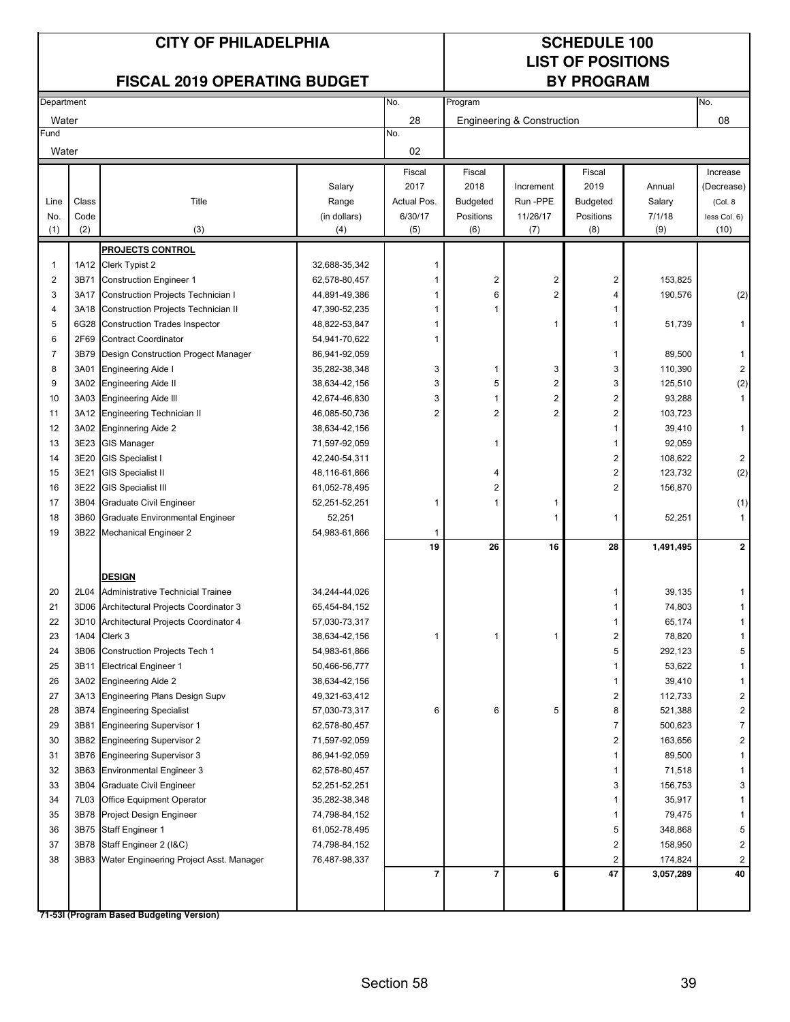### **LIST OF POSITIONS**

#### **FISCAL 2019 OPERATING BUDGET**

|                         | Department |                                           | No.                            | Program        |                          |                            |           | No.       |                         |
|-------------------------|------------|-------------------------------------------|--------------------------------|----------------|--------------------------|----------------------------|-----------|-----------|-------------------------|
| Water                   |            |                                           |                                | 28             |                          | Engineering & Construction |           |           | 08                      |
| Fund                    |            |                                           |                                | No.            |                          |                            |           |           |                         |
| Water                   |            |                                           |                                | 02             |                          |                            |           |           |                         |
|                         |            |                                           |                                | Fiscal         | Fiscal                   |                            | Fiscal    |           | Increase                |
|                         |            |                                           | Salary                         | 2017           | 2018                     | Increment                  | 2019      | Annual    | (Decrease)              |
| Line                    | Class      | Title                                     | Range                          | Actual Pos.    | <b>Budgeted</b>          | Run-PPE                    | Budgeted  | Salary    | (Col. 8                 |
| No.                     | Code       |                                           | (in dollars)                   | 6/30/17        | Positions                | 11/26/17                   | Positions | 7/1/18    | less Col. 6)            |
| (1)                     | (2)        | (3)                                       | (4)                            | (5)            | (6)                      | (7)                        | (8)       | (9)       | (10)                    |
|                         |            | <b>PROJECTS CONTROL</b>                   |                                |                |                          |                            |           |           |                         |
| $\mathbf 1$             |            | 1A12 Clerk Typist 2                       | 32,688-35,342                  | 1              |                          |                            |           |           |                         |
| $\overline{\mathbf{c}}$ | 3B71       | <b>Construction Engineer 1</b>            | 62,578-80,457                  | 1              | 2                        | 2                          | 2         | 153,825   |                         |
| 3                       | 3A17       | Construction Projects Technician I        | 44,891-49,386                  | 1              | 6                        | $\overline{2}$             | 4         | 190,576   | (2)                     |
| $\overline{4}$          | 3A18       | Construction Projects Technician II       | 47,390-52,235                  | 1              | 1                        |                            | 1         |           |                         |
| 5                       | 6G28       | Construction Trades Inspector             | 48,822-53,847                  | 1              |                          | 1                          | 1         | 51,739    | 1                       |
| 6                       | 2F69       | <b>Contract Coordinator</b>               | 54,941-70,622                  | 1              |                          |                            |           |           |                         |
| 7                       | 3B79       | Design Construction Progect Manager       | 86,941-92,059                  |                |                          |                            | 1         | 89,500    | $\mathbf{1}$            |
| 8                       | 3A01       | <b>Engineering Aide I</b>                 | 35,282-38,348                  | 3              | 1                        | 3                          | 3         | 110,390   | $\overline{c}$          |
| 9                       |            | 3A02 Engineering Aide II                  | 38,634-42,156                  | 3              | 5                        | 2                          | 3         | 125,510   |                         |
| 10                      |            | 3A03 Engineering Aide III                 |                                | 3              | 1                        | $\overline{\mathbf{c}}$    | 2         | 93,288    | (2)<br>$\mathbf{1}$     |
| 11                      |            | <b>Engineering Technician II</b>          | 42,674-46,830<br>46,085-50,736 | $\overline{2}$ | 2                        | $\overline{2}$             | 2         | 103,723   |                         |
|                         | 3A12       |                                           |                                |                |                          |                            |           |           |                         |
| 12                      | 3A02       | <b>Enginnering Aide 2</b>                 | 38,634-42,156                  |                |                          |                            | 1         | 39,410    | 1                       |
| 13                      | 3E23       | <b>GIS Manager</b>                        | 71,597-92,059                  |                | 1                        |                            | 1         | 92,059    |                         |
| 14                      | 3E20       | <b>GIS Specialist I</b>                   | 42,240-54,311                  |                |                          |                            | 2         | 108,622   | 2                       |
| 15                      | 3E21       | <b>GIS Specialist II</b>                  | 48,116-61,866                  |                | 4                        |                            | 2         | 123,732   | (2)                     |
| 16                      | 3E22       | <b>GIS Specialist III</b>                 | 61,052-78,495                  |                | $\overline{2}$           |                            | 2         | 156,870   |                         |
| 17                      | 3B04       | Graduate Civil Engineer                   | 52,251-52,251                  | 1              | 1                        |                            |           |           | (1)                     |
| 18                      | 3B60       | Graduate Environmental Engineer           | 52,251                         |                |                          | 1                          | 1         | 52,251    | 1                       |
| 19                      | 3B22       | <b>Mechanical Engineer 2</b>              | 54,983-61,866                  | 1              |                          |                            |           |           |                         |
|                         |            |                                           |                                | 19             | 26                       | 16                         | 28        | 1,491,495 | $\mathbf 2$             |
|                         |            |                                           |                                |                |                          |                            |           |           |                         |
|                         |            | <b>DESIGN</b>                             |                                |                |                          |                            |           |           |                         |
| 20                      |            | 2L04 Administrative Technicial Trainee    | 34,244-44,026                  |                |                          |                            | 1         | 39,135    |                         |
| 21                      |            | 3D06 Architectural Projects Coordinator 3 | 65,454-84,152                  |                |                          |                            | 1         | 74,803    |                         |
| 22                      |            | 3D10 Architectural Projects Coordinator 4 | 57,030-73,317                  |                |                          |                            | 1         | 65,174    |                         |
| 23                      |            | 1A04 Clerk 3                              | 38,634-42,156                  | 1              | 1                        | 1                          | 2         | 78,820    |                         |
| 24                      | 3B06       | <b>Construction Projects Tech 1</b>       | 54,983-61,866                  |                |                          |                            | 5         | 292,123   | 5                       |
| 25                      | 3B11       | <b>Electrical Engineer 1</b>              | 50,466-56,777                  |                |                          |                            | 1         | 53,622    | 1                       |
| 26                      |            | 3A02 Engineering Aide 2                   | 38,634-42,156                  |                |                          |                            | 1         | 39,410    | 1                       |
| 27                      | 3A13       | <b>Engineering Plans Design Supv</b>      | 49,321-63,412                  |                |                          |                            | 2         | 112,733   | $\overline{\mathbf{c}}$ |
| 28                      | 3B74       | <b>Engineering Specialist</b>             | 57,030-73,317                  | 6              | 6                        | 5                          | 8         | 521,388   | $\overline{\mathbf{c}}$ |
| 29                      | 3B81       | <b>Engineering Supervisor 1</b>           | 62,578-80,457                  |                |                          |                            | 7         | 500,623   | $\overline{7}$          |
| 30                      | 3B82       | <b>Engineering Supervisor 2</b>           | 71,597-92,059                  |                |                          |                            | 2         | 163,656   | $\overline{\mathbf{c}}$ |
| 31                      | 3B76       | <b>Engineering Supervisor 3</b>           | 86,941-92,059                  |                |                          |                            | 1         | 89,500    | 1                       |
| 32                      |            | 3B63 Environmental Engineer 3             | 62,578-80,457                  |                |                          |                            | 1         | 71,518    | 1                       |
| 33                      | 3B04       | <b>Graduate Civil Engineer</b>            | 52,251-52,251                  |                |                          |                            | 3         | 156,753   | 3                       |
| 34                      | 7L03       | Office Equipment Operator                 | 35,282-38,348                  |                |                          |                            | 1         | 35,917    | 1                       |
| 35                      | 3B78       | Project Design Engineer                   | 74,798-84,152                  |                |                          |                            | 1         | 79,475    | 1                       |
| 36                      | 3B75       | Staff Engineer 1                          | 61,052-78,495                  |                |                          |                            | 5         | 348,868   | 5                       |
| 37                      | 3B78       | Staff Engineer 2 (I&C)                    | 74,798-84,152                  |                |                          |                            | 2         | 158,950   | 2                       |
| 38                      | 3B83       | Water Engineering Project Asst. Manager   | 76,487-98,337                  |                |                          |                            | 2         | 174,824   | 2                       |
|                         |            |                                           |                                | $\overline{7}$ | $\overline{\phantom{a}}$ | 6                          | 47        | 3,057,289 | 40                      |
|                         |            |                                           |                                |                |                          |                            |           |           |                         |
|                         |            | 71-53I (Program Based Budgeting Version)  |                                |                |                          |                            |           |           |                         |
|                         |            |                                           |                                |                |                          |                            |           |           |                         |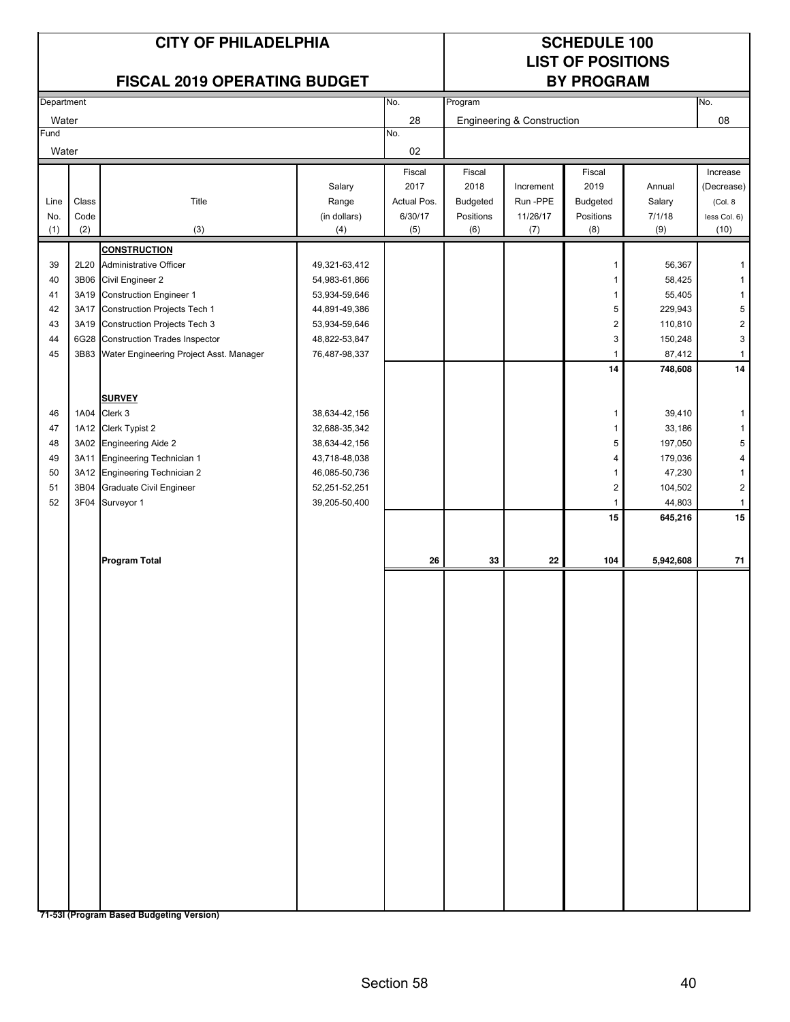# **LIST OF POSITIONS**

#### **FISCAL 2019 OPERATING BUDGET**

|       | Department |                                              |               | No.<br>Program |           |                            |           |           | No.                     |
|-------|------------|----------------------------------------------|---------------|----------------|-----------|----------------------------|-----------|-----------|-------------------------|
| Water |            |                                              |               | 28             |           | Engineering & Construction |           |           | 08                      |
| Fund  |            |                                              |               | No.            |           |                            |           |           |                         |
| Water |            |                                              |               | 02             |           |                            |           |           |                         |
|       |            |                                              |               | Fiscal         | Fiscal    |                            | Fiscal    |           | Increase                |
|       |            |                                              | Salary        | 2017           | 2018      | Increment                  | 2019      | Annual    | (Decrease)              |
| Line  | Class      | Title                                        | Range         | Actual Pos.    | Budgeted  | Run -PPE                   | Budgeted  | Salary    | (Col. 8                 |
| No.   | Code       |                                              | (in dollars)  | 6/30/17        | Positions | 11/26/17                   | Positions | 7/1/18    | less Col. 6)            |
| (1)   | (2)        | (3)                                          | (4)           | (5)            | (6)       | (7)                        | (8)       | (9)       | (10)                    |
|       |            | <b>CONSTRUCTION</b>                          |               |                |           |                            |           |           |                         |
| 39    |            | 2L20 Administrative Officer                  | 49,321-63,412 |                |           |                            | 1         | 56,367    | 1                       |
| 40    |            | 3B06 Civil Engineer 2                        | 54,983-61,866 |                |           |                            | 1         | 58,425    | $\mathbf{1}$            |
| 41    |            | 3A19 Construction Engineer 1                 | 53,934-59,646 |                |           |                            | 1         | 55,405    | $\mathbf{1}$            |
| 42    |            | 3A17 Construction Projects Tech 1            | 44,891-49,386 |                |           |                            | 5         | 229,943   | 5                       |
| 43    |            | 3A19 Construction Projects Tech 3            | 53,934-59,646 |                |           |                            | 2         | 110,810   | $\overline{\mathbf{c}}$ |
| 44    |            | 6G28 Construction Trades Inspector           | 48,822-53,847 |                |           |                            | 3         | 150,248   | 3                       |
| 45    |            | 3B83 Water Engineering Project Asst. Manager | 76,487-98,337 |                |           |                            | 1         | 87,412    | $\mathbf{1}$            |
|       |            |                                              |               |                |           |                            | 14        | 748,608   | ${\bf 14}$              |
|       |            |                                              |               |                |           |                            |           |           |                         |
|       |            | <b>SURVEY</b>                                |               |                |           |                            |           |           |                         |
| 46    |            | 1A04 Clerk 3                                 | 38,634-42,156 |                |           |                            | 1         | 39,410    | $\mathbf{1}$            |
| 47    |            | 1A12 Clerk Typist 2                          | 32,688-35,342 |                |           |                            | 1         | 33,186    | $\mathbf{1}$            |
| 48    |            | 3A02 Engineering Aide 2                      | 38,634-42,156 |                |           |                            | 5         | 197,050   | 5                       |
| 49    |            | 3A11 Engineering Technician 1                | 43,718-48,038 |                |           |                            | 4         | 179,036   | 4                       |
| 50    |            | 3A12 Engineering Technician 2                | 46,085-50,736 |                |           |                            | 1         | 47,230    | $\mathbf{1}$            |
| 51    | 3B04       | <b>Graduate Civil Engineer</b>               | 52,251-52,251 |                |           |                            | 2         | 104,502   | $\sqrt{2}$              |
| 52    |            | 3F04 Surveyor 1                              | 39,205-50,400 |                |           |                            | 1         | 44,803    | $\mathbf{1}$            |
|       |            |                                              |               |                |           |                            | 15        | 645,216   | 15                      |
|       |            |                                              |               |                |           |                            |           |           |                         |
|       |            |                                              |               |                |           |                            |           |           |                         |
|       |            | <b>Program Total</b>                         |               | 26             | 33        | 22                         | 104       | 5,942,608 | 71                      |
|       |            |                                              |               |                |           |                            |           |           |                         |
|       |            |                                              |               |                |           |                            |           |           |                         |
|       |            |                                              |               |                |           |                            |           |           |                         |
|       |            |                                              |               |                |           |                            |           |           |                         |
|       |            |                                              |               |                |           |                            |           |           |                         |
|       |            |                                              |               |                |           |                            |           |           |                         |
|       |            |                                              |               |                |           |                            |           |           |                         |
|       |            |                                              |               |                |           |                            |           |           |                         |
|       |            |                                              |               |                |           |                            |           |           |                         |
|       |            |                                              |               |                |           |                            |           |           |                         |
|       |            |                                              |               |                |           |                            |           |           |                         |
|       |            |                                              |               |                |           |                            |           |           |                         |
|       |            |                                              |               |                |           |                            |           |           |                         |
|       |            |                                              |               |                |           |                            |           |           |                         |
|       |            |                                              |               |                |           |                            |           |           |                         |
|       |            |                                              |               |                |           |                            |           |           |                         |
|       |            |                                              |               |                |           |                            |           |           |                         |
|       |            |                                              |               |                |           |                            |           |           |                         |
|       |            |                                              |               |                |           |                            |           |           |                         |
|       |            |                                              |               |                |           |                            |           |           |                         |
|       |            |                                              |               |                |           |                            |           |           |                         |
|       |            |                                              |               |                |           |                            |           |           |                         |
|       |            | 71-53I (Program Based Budgeting Version)     |               |                |           |                            |           |           |                         |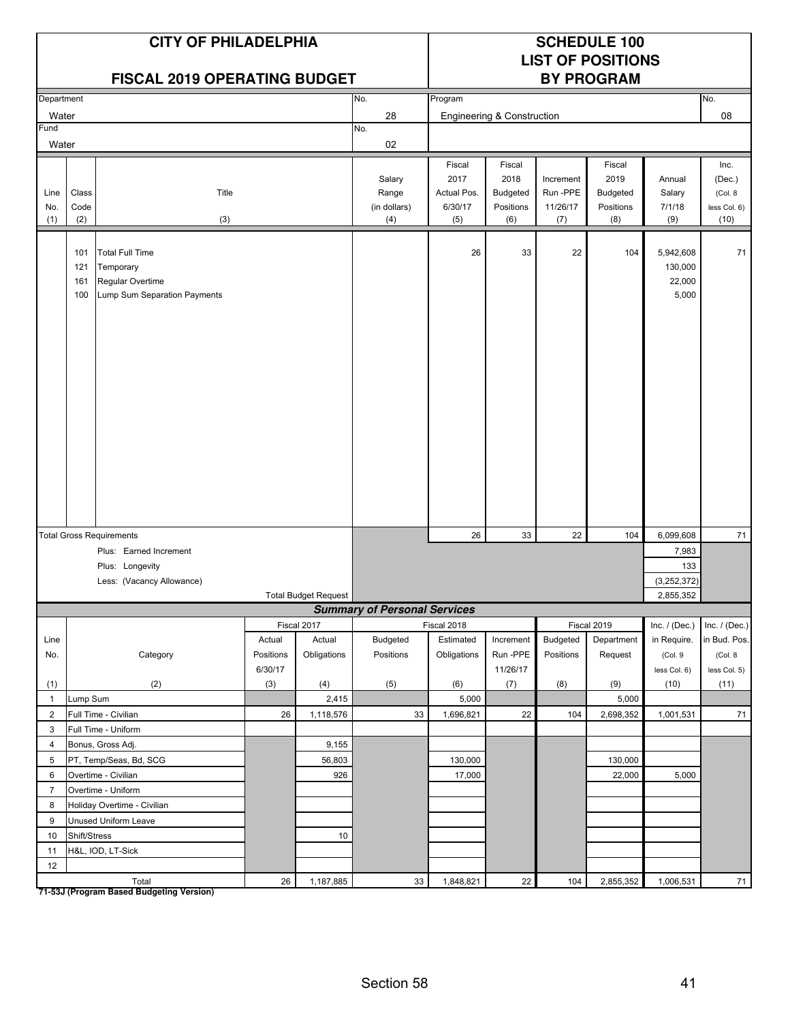| <b>CITY OF PHILADELPHIA</b><br><b>FISCAL 2019 OPERATING BUDGET</b> |                          |                                                                                         |           | <b>SCHEDULE 100</b><br><b>LIST OF POSITIONS</b><br><b>BY PROGRAM</b> |                                        |                                                 |                                                       |                                         |                                                |                                         |                                                   |
|--------------------------------------------------------------------|--------------------------|-----------------------------------------------------------------------------------------|-----------|----------------------------------------------------------------------|----------------------------------------|-------------------------------------------------|-------------------------------------------------------|-----------------------------------------|------------------------------------------------|-----------------------------------------|---------------------------------------------------|
| Department                                                         |                          |                                                                                         |           |                                                                      | No.                                    | Program                                         |                                                       |                                         |                                                |                                         | No.                                               |
| Water                                                              |                          |                                                                                         |           |                                                                      | 28                                     |                                                 | <b>Engineering &amp; Construction</b>                 |                                         |                                                |                                         | 08                                                |
| Fund                                                               |                          |                                                                                         |           |                                                                      | No.                                    |                                                 |                                                       |                                         |                                                |                                         |                                                   |
| Water                                                              |                          |                                                                                         |           |                                                                      | 02                                     |                                                 |                                                       |                                         |                                                |                                         |                                                   |
| Line<br>No.<br>(1)                                                 | Class<br>Code<br>(2)     | Title<br>(3)                                                                            |           |                                                                      | Salary<br>Range<br>(in dollars)<br>(4) | Fiscal<br>2017<br>Actual Pos.<br>6/30/17<br>(5) | Fiscal<br>2018<br><b>Budgeted</b><br>Positions<br>(6) | Increment<br>Run-PPE<br>11/26/17<br>(7) | Fiscal<br>2019<br>Budgeted<br>Positions<br>(8) | Annual<br>Salary<br>7/1/18<br>(9)       | Inc.<br>(Dec.)<br>(Col. 8<br>less Col. 6)<br>(10) |
|                                                                    | 101<br>121<br>161<br>100 | <b>Total Full Time</b><br>Temporary<br>Regular Overtime<br>Lump Sum Separation Payments |           |                                                                      |                                        | 26                                              | 33                                                    | 22                                      | 104                                            | 5,942,608<br>130,000<br>22,000<br>5,000 | 71                                                |
|                                                                    |                          | <b>Total Gross Requirements</b>                                                         |           |                                                                      |                                        | 26                                              | 33                                                    | 22                                      | 104                                            | 6,099,608                               | 71                                                |
|                                                                    |                          | Plus: Earned Increment                                                                  |           |                                                                      |                                        |                                                 |                                                       |                                         |                                                | 7,983                                   |                                                   |
|                                                                    |                          | Plus: Longevity                                                                         |           |                                                                      |                                        |                                                 |                                                       |                                         |                                                | 133                                     |                                                   |
|                                                                    |                          | Less: (Vacancy Allowance)                                                               |           |                                                                      |                                        |                                                 |                                                       |                                         |                                                | (3, 252, 372)                           |                                                   |
|                                                                    |                          |                                                                                         |           | <b>Total Budget Request</b>                                          |                                        |                                                 |                                                       |                                         |                                                | 2,855,352                               |                                                   |
|                                                                    |                          |                                                                                         |           |                                                                      | <b>Summary of Personal Services</b>    |                                                 |                                                       |                                         |                                                |                                         |                                                   |
|                                                                    |                          |                                                                                         |           | Fiscal 2017                                                          |                                        | Fiscal 2018                                     |                                                       |                                         | Fiscal 2019                                    | Inc. $/$ (Dec.)                         | Inc. $/$ (Dec.)                                   |
| Line                                                               |                          |                                                                                         | Actual    | Actual                                                               | Budgeted                               | Estimated                                       | Increment                                             | Budgeted                                | Department                                     | in Require.                             | in Bud. Pos.                                      |
| No.                                                                |                          | Category                                                                                | Positions | Obligations                                                          | Positions                              | Obligations                                     | Run-PPE                                               | Positions                               | Request                                        | (Col.9                                  | (Col. 8                                           |
|                                                                    |                          |                                                                                         | 6/30/17   |                                                                      |                                        |                                                 | 11/26/17                                              |                                         |                                                | less Col. 6)                            | less Col. 5)                                      |
| (1)                                                                |                          | (2)                                                                                     | (3)       | (4)                                                                  | (5)                                    | (6)                                             | (7)                                                   | (8)                                     | (9)                                            | (10)                                    | (11)                                              |
| $\mathbf{1}$<br>$\overline{2}$                                     | Lump Sum                 | Full Time - Civilian                                                                    | 26        | 2,415<br>1,118,576                                                   | 33                                     | 5,000<br>1,696,821                              | 22                                                    | 104                                     | 5,000<br>2,698,352                             | 1,001,531                               | 71                                                |
| 3                                                                  |                          | Full Time - Uniform                                                                     |           |                                                                      |                                        |                                                 |                                                       |                                         |                                                |                                         |                                                   |
| $\overline{4}$                                                     |                          | Bonus, Gross Adj.                                                                       |           | 9,155                                                                |                                        |                                                 |                                                       |                                         |                                                |                                         |                                                   |
| 5                                                                  |                          | PT, Temp/Seas, Bd, SCG                                                                  |           | 56,803                                                               |                                        | 130,000                                         |                                                       |                                         | 130,000                                        |                                         |                                                   |
| 6                                                                  |                          | Overtime - Civilian                                                                     |           | 926                                                                  |                                        | 17,000                                          |                                                       |                                         | 22,000                                         | 5,000                                   |                                                   |
| $\overline{7}$                                                     |                          | Overtime - Uniform                                                                      |           |                                                                      |                                        |                                                 |                                                       |                                         |                                                |                                         |                                                   |
| 8                                                                  |                          | Holiday Overtime - Civilian                                                             |           |                                                                      |                                        |                                                 |                                                       |                                         |                                                |                                         |                                                   |
| 9                                                                  |                          | Unused Uniform Leave                                                                    |           |                                                                      |                                        |                                                 |                                                       |                                         |                                                |                                         |                                                   |
| 10                                                                 | Shift/Stress             |                                                                                         |           | 10                                                                   |                                        |                                                 |                                                       |                                         |                                                |                                         |                                                   |
| 11                                                                 |                          | H&L, IOD, LT-Sick                                                                       |           |                                                                      |                                        |                                                 |                                                       |                                         |                                                |                                         |                                                   |
| 12                                                                 |                          |                                                                                         |           |                                                                      |                                        |                                                 |                                                       |                                         |                                                |                                         |                                                   |
|                                                                    |                          | Total                                                                                   | $26\,$    | 1,187,885                                                            | 33                                     | 1,848,821                                       | 22                                                    | 104                                     | 2,855,352                                      | 1,006,531                               | 71                                                |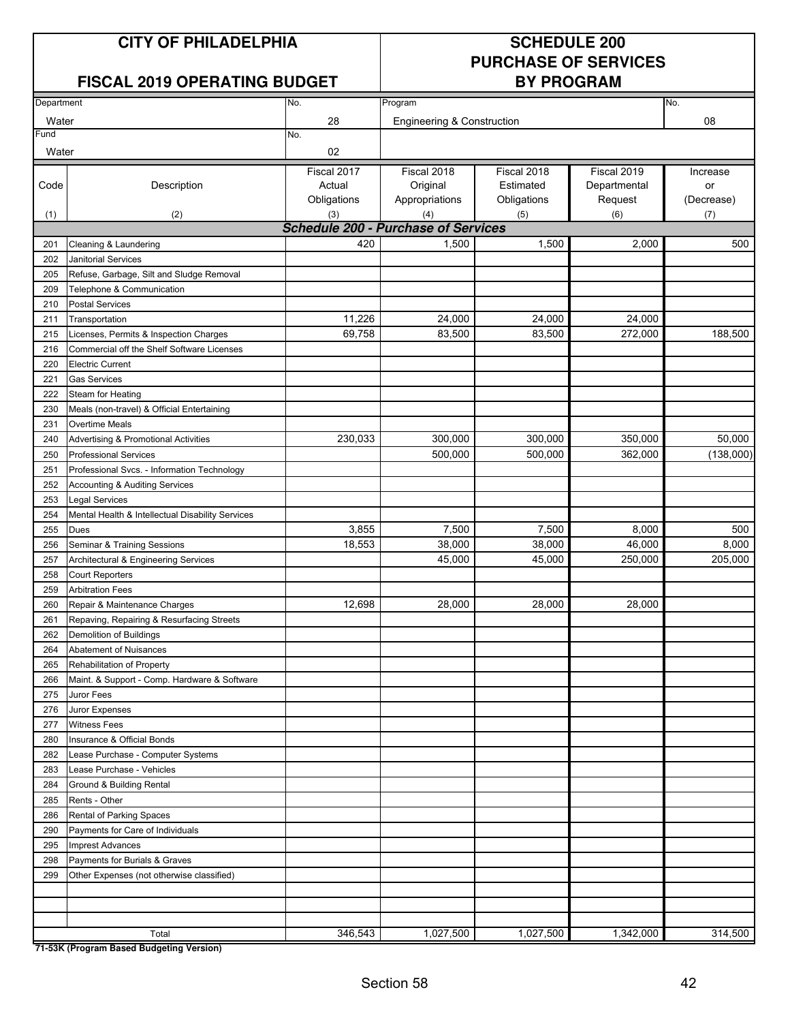#### **FISCAL 2019 OPERATING BUDGET**

### **PURCHASE OF SERVICES**

| Department |                                                  | No.                                        | Program                    |             |              | No.        |  |  |  |
|------------|--------------------------------------------------|--------------------------------------------|----------------------------|-------------|--------------|------------|--|--|--|
| Water      |                                                  | 28                                         | Engineering & Construction |             |              | 08         |  |  |  |
| Fund       |                                                  | No.                                        |                            |             |              |            |  |  |  |
| Water      |                                                  | 02                                         |                            |             |              |            |  |  |  |
|            |                                                  | Fiscal 2017                                | Fiscal 2018                | Fiscal 2018 | Fiscal 2019  | Increase   |  |  |  |
| Code       | Description                                      | Actual                                     | Original                   | Estimated   | Departmental | or         |  |  |  |
|            |                                                  | Obligations                                | Appropriations             | Obligations | Request      | (Decrease) |  |  |  |
| (1)        | (2)                                              | (3)                                        | (4)                        | (5)         | (6)          | (7)        |  |  |  |
|            |                                                  | <b>Schedule 200 - Purchase of Services</b> |                            |             |              |            |  |  |  |
| 201        | Cleaning & Laundering                            | 420                                        | 1,500                      | 1,500       | 2,000        | 500        |  |  |  |
| 202        | Janitorial Services                              |                                            |                            |             |              |            |  |  |  |
| 205        | Refuse, Garbage, Silt and Sludge Removal         |                                            |                            |             |              |            |  |  |  |
| 209        | Telephone & Communication                        |                                            |                            |             |              |            |  |  |  |
| 210        | <b>Postal Services</b>                           |                                            |                            |             |              |            |  |  |  |
| 211        | Transportation                                   | 11,226                                     | 24,000                     | 24,000      | 24,000       |            |  |  |  |
| 215        | Licenses, Permits & Inspection Charges           | 69,758                                     | 83,500                     | 83,500      | 272,000      | 188,500    |  |  |  |
| 216        | Commercial off the Shelf Software Licenses       |                                            |                            |             |              |            |  |  |  |
| 220        | <b>Electric Current</b>                          |                                            |                            |             |              |            |  |  |  |
| 221        | <b>Gas Services</b>                              |                                            |                            |             |              |            |  |  |  |
| 222        | Steam for Heating                                |                                            |                            |             |              |            |  |  |  |
| 230        | Meals (non-travel) & Official Entertaining       |                                            |                            |             |              |            |  |  |  |
| 231        | Overtime Meals                                   |                                            |                            |             |              |            |  |  |  |
| 240        | Advertising & Promotional Activities             | 230,033                                    | 300,000                    | 300,000     | 350,000      | 50,000     |  |  |  |
| 250        | <b>Professional Services</b>                     |                                            | 500,000                    | 500,000     | 362,000      | (138,000)  |  |  |  |
| 251        | Professional Svcs. - Information Technology      |                                            |                            |             |              |            |  |  |  |
| 252        | Accounting & Auditing Services                   |                                            |                            |             |              |            |  |  |  |
| 253        | <b>Legal Services</b>                            |                                            |                            |             |              |            |  |  |  |
| 254        | Mental Health & Intellectual Disability Services |                                            |                            |             |              |            |  |  |  |
| 255        | <b>Dues</b>                                      | 3,855                                      | 7,500                      | 7,500       | 8,000        | 500        |  |  |  |
| 256        | Seminar & Training Sessions                      | 18,553                                     | 38,000                     | 38,000      | 46,000       | 8,000      |  |  |  |
| 257        | Architectural & Engineering Services             |                                            | 45,000                     | 45,000      | 250,000      | 205,000    |  |  |  |
| 258        | <b>Court Reporters</b>                           |                                            |                            |             |              |            |  |  |  |
| 259        | <b>Arbitration Fees</b>                          |                                            |                            |             |              |            |  |  |  |
| 260        | Repair & Maintenance Charges                     | 12,698                                     | 28,000                     | 28,000      | 28,000       |            |  |  |  |
| 261        | Repaving, Repairing & Resurfacing Streets        |                                            |                            |             |              |            |  |  |  |
| 262        | Demolition of Buildings                          |                                            |                            |             |              |            |  |  |  |
| 264        | Abatement of Nuisances                           |                                            |                            |             |              |            |  |  |  |
| 265        | Rehabilitation of Property                       |                                            |                            |             |              |            |  |  |  |
| 266        | Maint. & Support - Comp. Hardware & Software     |                                            |                            |             |              |            |  |  |  |
| 275        | Juror Fees                                       |                                            |                            |             |              |            |  |  |  |
| 276        | Juror Expenses                                   |                                            |                            |             |              |            |  |  |  |
| 277        | <b>Witness Fees</b>                              |                                            |                            |             |              |            |  |  |  |
| 280        | Insurance & Official Bonds                       |                                            |                            |             |              |            |  |  |  |
| 282        | Lease Purchase - Computer Systems                |                                            |                            |             |              |            |  |  |  |
| 283        | Lease Purchase - Vehicles                        |                                            |                            |             |              |            |  |  |  |
| 284        | Ground & Building Rental                         |                                            |                            |             |              |            |  |  |  |
| 285        | Rents - Other                                    |                                            |                            |             |              |            |  |  |  |
| 286        | Rental of Parking Spaces                         |                                            |                            |             |              |            |  |  |  |
| 290        | Payments for Care of Individuals                 |                                            |                            |             |              |            |  |  |  |
| 295        | <b>Imprest Advances</b>                          |                                            |                            |             |              |            |  |  |  |
| 298        | Payments for Burials & Graves                    |                                            |                            |             |              |            |  |  |  |
| 299        | Other Expenses (not otherwise classified)        |                                            |                            |             |              |            |  |  |  |
|            |                                                  |                                            |                            |             |              |            |  |  |  |
|            |                                                  |                                            |                            |             |              |            |  |  |  |
|            |                                                  |                                            |                            |             |              | 314,500    |  |  |  |
|            | Total                                            | 346,543                                    | 1,027,500                  | 1,027,500   | 1,342,000    |            |  |  |  |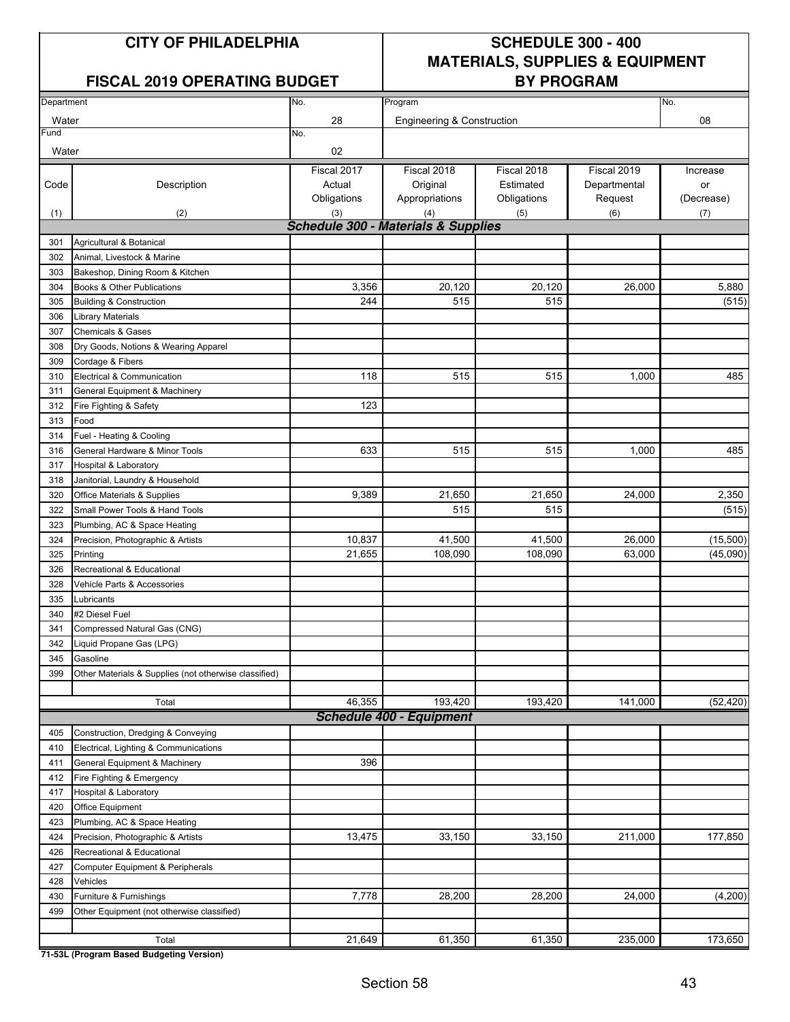#### FISCAL 2019 OPERATING BUDGET **BY PROGRAM**

### **CITY OF PHILADELPHIA SCHEDULE 300 - 400 MATERIALS, SUPPLIES & EQUIPMENT**

|            |                                                       |                                                |                                 |             | No.          |            |
|------------|-------------------------------------------------------|------------------------------------------------|---------------------------------|-------------|--------------|------------|
| Department |                                                       | No.                                            | Program                         |             |              |            |
| Water      |                                                       | 28                                             | Engineering & Construction      |             |              | 08         |
| Fund       |                                                       | No.                                            |                                 |             |              |            |
| Water      |                                                       | 02                                             |                                 |             |              |            |
|            |                                                       | Fiscal 2017                                    | Fiscal 2018                     | Fiscal 2018 | Fiscal 2019  | Increase   |
| Code       | Description                                           | Actual                                         | Original                        | Estimated   | Departmental | or         |
|            |                                                       | Obligations                                    | Appropriations                  | Obligations | Request      | (Decrease) |
| (1)        | (2)                                                   | (3)                                            | (4)                             | (5)         | (6)          | (7)        |
|            |                                                       | <b>Schedule 300 - Materials &amp; Supplies</b> |                                 |             |              |            |
| 301        | Agricultural & Botanical                              |                                                |                                 |             |              |            |
| 302        | Animal. Livestock & Marine                            |                                                |                                 |             |              |            |
| 303        | Bakeshop, Dining Room & Kitchen                       |                                                |                                 |             |              |            |
| 304        | Books & Other Publications                            | 3,356                                          | 20,120                          | 20,120      | 26,000       | 5,880      |
| 305        | <b>Building &amp; Construction</b>                    | 244                                            | 515                             | 515         |              | (515)      |
| 306        | <b>Library Materials</b>                              |                                                |                                 |             |              |            |
| 307        | <b>Chemicals &amp; Gases</b>                          |                                                |                                 |             |              |            |
| 308        | Dry Goods, Notions & Wearing Apparel                  |                                                |                                 |             |              |            |
| 309        | Cordage & Fibers                                      |                                                |                                 |             |              |            |
| 310        | Electrical & Communication                            | 118                                            | 515                             | 515         | 1,000        | 485        |
| 311        | General Equipment & Machinery                         |                                                |                                 |             |              |            |
| 312        | Fire Fighting & Safety                                | 123                                            |                                 |             |              |            |
| 313        | Food                                                  |                                                |                                 |             |              |            |
| 314        | Fuel - Heating & Cooling                              |                                                |                                 |             |              |            |
| 316        | General Hardware & Minor Tools                        | 633                                            | 515                             | 515         | 1,000        | 485        |
| 317        | <b>Hospital &amp; Laboratory</b>                      |                                                |                                 |             |              |            |
| 318        | Janitorial, Laundry & Household                       |                                                |                                 |             |              |            |
| 320        | Office Materials & Supplies                           | 9,389                                          | 21,650                          | 21,650      | 24,000       | 2,350      |
| 322        | Small Power Tools & Hand Tools                        |                                                | 515                             | 515         |              | (515)      |
| 323        | Plumbing, AC & Space Heating                          |                                                |                                 |             |              |            |
| 324        | Precision, Photographic & Artists                     | 10,837                                         | 41,500                          | 41,500      | 26,000       | (15,500)   |
| 325        | Printing                                              | 21,655                                         | 108,090                         | 108,090     | 63,000       | (45,090)   |
| 326        | Recreational & Educational                            |                                                |                                 |             |              |            |
| 328        | Vehicle Parts & Accessories                           |                                                |                                 |             |              |            |
| 335        | Lubricants                                            |                                                |                                 |             |              |            |
| 340        | #2 Diesel Fuel                                        |                                                |                                 |             |              |            |
| 341        | Compressed Natural Gas (CNG)                          |                                                |                                 |             |              |            |
| 342        | Liquid Propane Gas (LPG)                              |                                                |                                 |             |              |            |
| 345        | Gasoline                                              |                                                |                                 |             |              |            |
| 399        | Other Materials & Supplies (not otherwise classified) |                                                |                                 |             |              |            |
|            |                                                       |                                                |                                 |             |              |            |
|            | Total                                                 | 46,355                                         | 193,420                         | 193,420     | 141,000      | (52, 420)  |
|            |                                                       |                                                | <b>Schedule 400 - Equipment</b> |             |              |            |
| 405        | Construction, Dredging & Conveying                    |                                                |                                 |             |              |            |
| 410        | Electrical, Lighting & Communications                 |                                                |                                 |             |              |            |
| 411        | General Equipment & Machinery                         | 396                                            |                                 |             |              |            |
| 412        | Fire Fighting & Emergency                             |                                                |                                 |             |              |            |
| 417        | Hospital & Laboratory                                 |                                                |                                 |             |              |            |
| 420        | Office Equipment                                      |                                                |                                 |             |              |            |
|            | Plumbing, AC & Space Heating                          |                                                |                                 |             |              |            |
| 423        |                                                       | 13,475                                         | 33,150                          |             |              | 177,850    |
| 424        | Precision, Photographic & Artists                     |                                                |                                 | 33,150      | 211,000      |            |
| 426        | Recreational & Educational                            |                                                |                                 |             |              |            |
| 427        | Computer Equipment & Peripherals                      |                                                |                                 |             |              |            |
| 428        | Vehicles                                              |                                                |                                 |             |              |            |
| 430        | Furniture & Furnishings                               | 7,778                                          | 28,200                          | 28,200      | 24,000       | (4,200)    |
| 499        | Other Equipment (not otherwise classified)            |                                                |                                 |             |              |            |
|            | Total                                                 | 21,649                                         | 61,350                          | 61,350      | 235,000      | 173,650    |
|            |                                                       |                                                |                                 |             |              |            |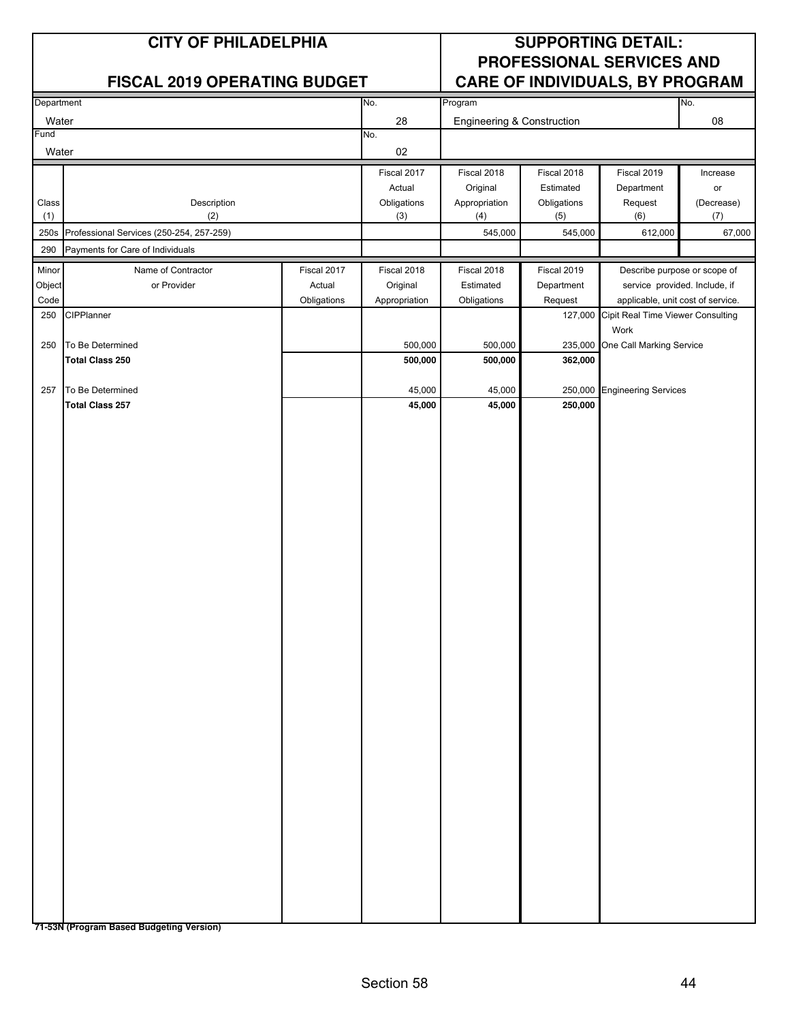|               | <b>CITY OF PHILADELPHIA</b>                |             | <b>SUPPORTING DETAIL:</b><br>PROFESSIONAL SERVICES AND<br><b>CARE OF INDIVIDUALS, BY PROGRAM</b> |                            |             |                                   |            |
|---------------|--------------------------------------------|-------------|--------------------------------------------------------------------------------------------------|----------------------------|-------------|-----------------------------------|------------|
| Department    | FISCAL 2019 OPERATING BUDGET               |             | No.                                                                                              | Program                    |             |                                   | No.        |
|               |                                            |             |                                                                                                  |                            |             |                                   |            |
| Water<br>Fund |                                            |             | 28<br>No.                                                                                        | Engineering & Construction |             |                                   | 08         |
| Water         |                                            |             | 02                                                                                               |                            |             |                                   |            |
|               |                                            |             | Fiscal 2017                                                                                      | Fiscal 2018                | Fiscal 2018 | Fiscal 2019                       | Increase   |
|               |                                            |             | Actual                                                                                           | Original                   | Estimated   | Department                        | or         |
| Class         | Description                                |             | Obligations                                                                                      | Appropriation              | Obligations | Request                           | (Decrease) |
| (1)           | (2)                                        |             | (3)                                                                                              | (4)                        | (5)         | (6)                               | (7)        |
| 250s          | Professional Services (250-254, 257-259)   |             |                                                                                                  | 545,000                    | 545,000     | 612,000                           | 67,000     |
| 290           | Payments for Care of Individuals           |             |                                                                                                  |                            |             |                                   |            |
| Minor         | Name of Contractor                         | Fiscal 2017 | Fiscal 2018                                                                                      | Fiscal 2018                | Fiscal 2019 | Describe purpose or scope of      |            |
| Object        | or Provider                                | Actual      | Original                                                                                         | Estimated                  | Department  | service provided. Include, if     |            |
| Code          |                                            | Obligations | Appropriation                                                                                    | Obligations                | Request     | applicable, unit cost of service. |            |
| 250           | CIPPlanner                                 |             |                                                                                                  |                            | 127,000     | Cipit Real Time Viewer Consulting |            |
|               |                                            |             |                                                                                                  |                            |             | Work                              |            |
| 250           | To Be Determined                           |             | 500,000                                                                                          | 500,000                    | 235,000     | One Call Marking Service          |            |
|               | <b>Total Class 250</b>                     |             | 500,000                                                                                          | 500,000                    | 362,000     |                                   |            |
|               |                                            |             |                                                                                                  |                            |             |                                   |            |
| 257           | To Be Determined<br><b>Total Class 257</b> |             | 45,000<br>45,000                                                                                 | 45,000<br>45,000           | 250,000     | 250,000 Engineering Services      |            |
|               |                                            |             |                                                                                                  |                            |             |                                   |            |
|               |                                            |             |                                                                                                  |                            |             |                                   |            |
|               |                                            |             |                                                                                                  |                            |             |                                   |            |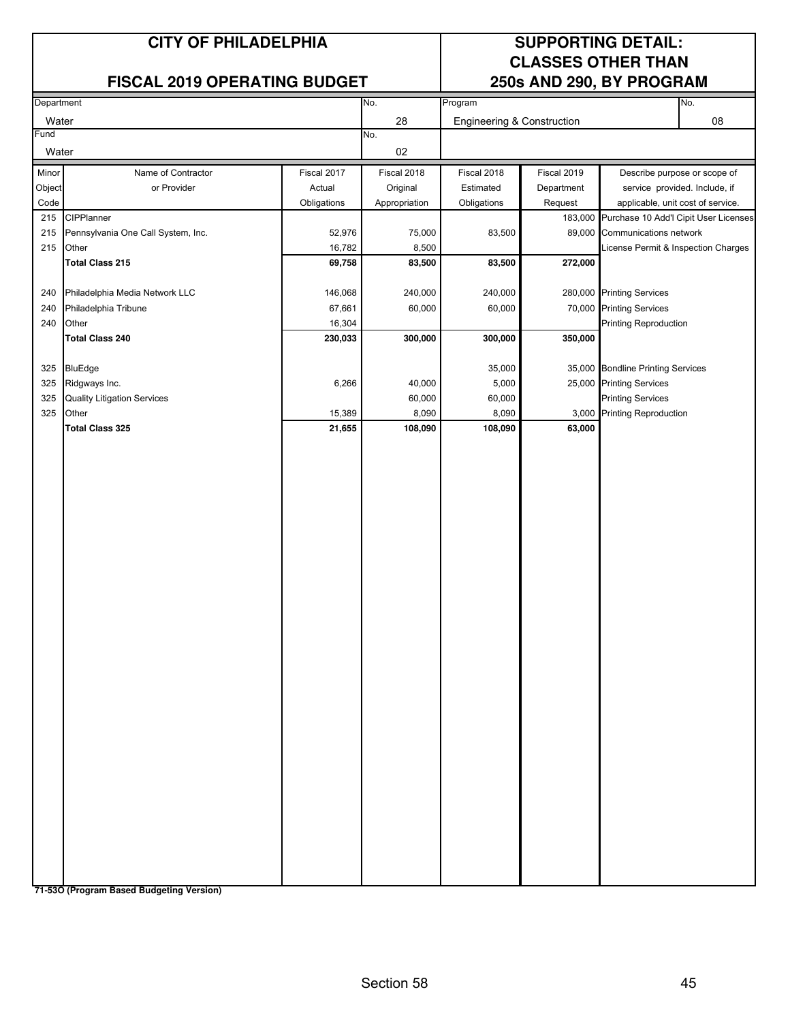#### **FISCAL 2019 OPERATING BUDGET**

# **CLASSES OTHER THAN**

| Department     |                                    |             | No.           | Program                    |             | No.                                                                                |
|----------------|------------------------------------|-------------|---------------|----------------------------|-------------|------------------------------------------------------------------------------------|
| Water          |                                    |             | 28            | Engineering & Construction |             | 08                                                                                 |
| Fund           |                                    |             | No.           |                            |             |                                                                                    |
| Water          |                                    |             | 02            |                            |             |                                                                                    |
| Minor          | Name of Contractor                 | Fiscal 2017 | Fiscal 2018   | Fiscal 2018                | Fiscal 2019 | Describe purpose or scope of                                                       |
|                | or Provider                        | Actual      |               | Estimated                  | Department  | service provided. Include, if                                                      |
| Object<br>Code |                                    |             | Original      |                            |             |                                                                                    |
|                | 215 CIPPlanner                     | Obligations | Appropriation | Obligations                | Request     | applicable, unit cost of service.<br>183,000 Purchase 10 Add'l Cipit User Licenses |
| 215            | Pennsylvania One Call System, Inc. | 52,976      | 75,000        | 83,500                     |             | 89,000 Communications network                                                      |
| 215            | Other                              | 16,782      | 8,500         |                            |             | License Permit & Inspection Charges                                                |
|                | <b>Total Class 215</b>             | 69,758      | 83,500        | 83,500                     | 272,000     |                                                                                    |
|                |                                    |             |               |                            |             |                                                                                    |
| 240            | Philadelphia Media Network LLC     | 146,068     | 240,000       | 240,000                    |             | 280,000 Printing Services                                                          |
| 240            | Philadelphia Tribune               | 67,661      | 60,000        | 60,000                     |             | 70,000 Printing Services                                                           |
| 240            | Other                              | 16,304      |               |                            |             | <b>Printing Reproduction</b>                                                       |
|                | <b>Total Class 240</b>             | 230,033     | 300,000       | 300,000                    | 350,000     |                                                                                    |
|                |                                    |             |               |                            |             |                                                                                    |
| 325            | BluEdge                            |             |               | 35,000                     |             | 35,000 Bondline Printing Services                                                  |
| 325            | Ridgways Inc.                      | 6,266       | 40,000        | 5,000                      |             | 25,000 Printing Services                                                           |
| 325            | <b>Quality Litigation Services</b> |             | 60,000        | 60,000                     |             | <b>Printing Services</b>                                                           |
| 325            | Other                              | 15,389      | 8,090         | 8,090                      |             | 3,000 Printing Reproduction                                                        |
|                | <b>Total Class 325</b>             | 21,655      | 108,090       | 108,090                    | 63,000      |                                                                                    |
|                |                                    |             |               |                            |             |                                                                                    |
|                |                                    |             |               |                            |             |                                                                                    |
|                |                                    |             |               |                            |             |                                                                                    |
|                |                                    |             |               |                            |             |                                                                                    |
|                |                                    |             |               |                            |             |                                                                                    |
|                |                                    |             |               |                            |             |                                                                                    |
|                |                                    |             |               |                            |             |                                                                                    |
|                |                                    |             |               |                            |             |                                                                                    |
|                |                                    |             |               |                            |             |                                                                                    |
|                |                                    |             |               |                            |             |                                                                                    |
|                |                                    |             |               |                            |             |                                                                                    |
|                |                                    |             |               |                            |             |                                                                                    |
|                |                                    |             |               |                            |             |                                                                                    |
|                |                                    |             |               |                            |             |                                                                                    |
|                |                                    |             |               |                            |             |                                                                                    |
|                |                                    |             |               |                            |             |                                                                                    |
|                |                                    |             |               |                            |             |                                                                                    |
|                |                                    |             |               |                            |             |                                                                                    |
|                |                                    |             |               |                            |             |                                                                                    |
|                |                                    |             |               |                            |             |                                                                                    |
|                |                                    |             |               |                            |             |                                                                                    |
|                |                                    |             |               |                            |             |                                                                                    |
|                |                                    |             |               |                            |             |                                                                                    |
|                |                                    |             |               |                            |             |                                                                                    |
|                |                                    |             |               |                            |             |                                                                                    |
|                |                                    |             |               |                            |             |                                                                                    |
|                |                                    |             |               |                            |             |                                                                                    |
|                |                                    |             |               |                            |             |                                                                                    |
|                |                                    |             |               |                            |             |                                                                                    |
|                |                                    |             |               |                            |             |                                                                                    |
|                |                                    |             |               |                            |             |                                                                                    |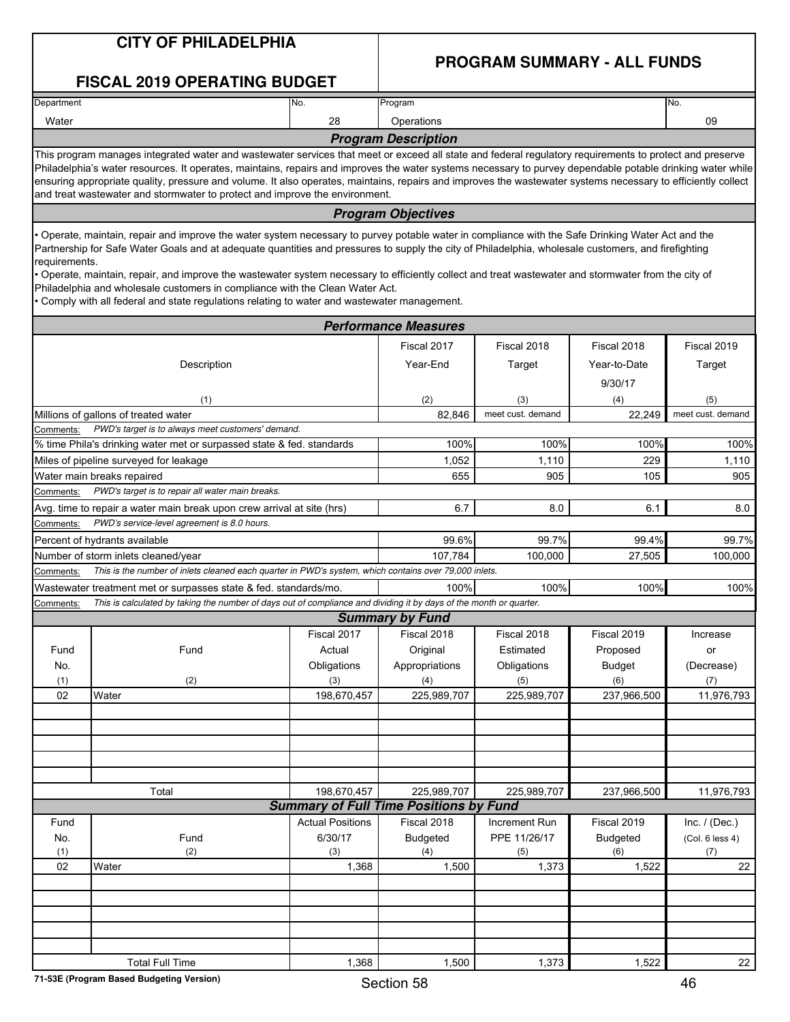#### **PROGRAM SUMMARY - ALL FUNDS**

|                                                                 | <b>FISCAL 2019 OPERATING BUDGET</b>                                                                                                                                                                                                                                                                                                                                                                                                                                                                                                                                                                                                              |                         |                                                              |                          |                                        |                       |
|-----------------------------------------------------------------|--------------------------------------------------------------------------------------------------------------------------------------------------------------------------------------------------------------------------------------------------------------------------------------------------------------------------------------------------------------------------------------------------------------------------------------------------------------------------------------------------------------------------------------------------------------------------------------------------------------------------------------------------|-------------------------|--------------------------------------------------------------|--------------------------|----------------------------------------|-----------------------|
| Department                                                      |                                                                                                                                                                                                                                                                                                                                                                                                                                                                                                                                                                                                                                                  | No.                     | Program                                                      |                          |                                        | No.                   |
| Water                                                           |                                                                                                                                                                                                                                                                                                                                                                                                                                                                                                                                                                                                                                                  | 28                      | Operations                                                   |                          |                                        | 09                    |
|                                                                 |                                                                                                                                                                                                                                                                                                                                                                                                                                                                                                                                                                                                                                                  |                         | <b>Program Description</b>                                   |                          |                                        |                       |
|                                                                 | This program manages integrated water and wastewater services that meet or exceed all state and federal regulatory requirements to protect and preserve<br>Philadelphia's water resources. It operates, maintains, repairs and improves the water systems necessary to purvey dependable potable drinking water while<br>ensuring appropriate quality, pressure and volume. It also operates, maintains, repairs and improves the wastewater systems necessary to efficiently collect<br>and treat wastewater and stormwater to protect and improve the environment.                                                                             |                         |                                                              |                          |                                        |                       |
|                                                                 |                                                                                                                                                                                                                                                                                                                                                                                                                                                                                                                                                                                                                                                  |                         | <b>Program Objectives</b>                                    |                          |                                        |                       |
| requirements.                                                   | • Operate, maintain, repair and improve the water system necessary to purvey potable water in compliance with the Safe Drinking Water Act and the<br>Partnership for Safe Water Goals and at adequate quantities and pressures to supply the city of Philadelphia, wholesale customers, and firefighting<br>· Operate, maintain, repair, and improve the wastewater system necessary to efficiently collect and treat wastewater and stormwater from the city of<br>Philadelphia and wholesale customers in compliance with the Clean Water Act.<br>• Comply with all federal and state regulations relating to water and wastewater management. |                         |                                                              |                          |                                        |                       |
|                                                                 |                                                                                                                                                                                                                                                                                                                                                                                                                                                                                                                                                                                                                                                  |                         | <b>Performance Measures</b>                                  |                          |                                        |                       |
|                                                                 | Description                                                                                                                                                                                                                                                                                                                                                                                                                                                                                                                                                                                                                                      |                         | Fiscal 2017<br>Year-End                                      | Fiscal 2018<br>Target    | Fiscal 2018<br>Year-to-Date<br>9/30/17 | Fiscal 2019<br>Target |
|                                                                 | (1)                                                                                                                                                                                                                                                                                                                                                                                                                                                                                                                                                                                                                                              |                         | (2)                                                          | (3)                      | (4)                                    | (5)                   |
|                                                                 | Millions of gallons of treated water                                                                                                                                                                                                                                                                                                                                                                                                                                                                                                                                                                                                             |                         | 82,846                                                       | meet cust. demand        | 22.249                                 | meet cust. demand     |
| Comments:                                                       | PWD's target is to always meet customers' demand.                                                                                                                                                                                                                                                                                                                                                                                                                                                                                                                                                                                                |                         |                                                              |                          |                                        |                       |
|                                                                 | % time Phila's drinking water met or surpassed state & fed. standards                                                                                                                                                                                                                                                                                                                                                                                                                                                                                                                                                                            |                         | 100%                                                         | 100%                     | 100%                                   | 100%<br>1,110         |
| 1,052<br>229<br>Miles of pipeline surveyed for leakage<br>1,110 |                                                                                                                                                                                                                                                                                                                                                                                                                                                                                                                                                                                                                                                  |                         |                                                              |                          |                                        |                       |
| Comments:                                                       | Water main breaks repaired<br>PWD's target is to repair all water main breaks.                                                                                                                                                                                                                                                                                                                                                                                                                                                                                                                                                                   |                         | 655                                                          | 905                      | 105                                    | 905                   |
|                                                                 | Avg. time to repair a water main break upon crew arrival at site (hrs)                                                                                                                                                                                                                                                                                                                                                                                                                                                                                                                                                                           |                         | 6.7                                                          | 8.0                      | 6.1                                    | 8.0                   |
| Comments:                                                       | PWD's service-level agreement is 8.0 hours.                                                                                                                                                                                                                                                                                                                                                                                                                                                                                                                                                                                                      |                         |                                                              |                          |                                        |                       |
|                                                                 | Percent of hydrants available                                                                                                                                                                                                                                                                                                                                                                                                                                                                                                                                                                                                                    |                         | 99.6%                                                        | 99.7%                    | 99.4%                                  | 99.7%                 |
|                                                                 | Number of storm inlets cleaned/year                                                                                                                                                                                                                                                                                                                                                                                                                                                                                                                                                                                                              |                         | 107,784                                                      | 100,000                  | 27,505                                 | 100,000               |
| Comments:                                                       | This is the number of inlets cleaned each quarter in PWD's system, which contains over 79,000 inlets.                                                                                                                                                                                                                                                                                                                                                                                                                                                                                                                                            |                         |                                                              |                          |                                        |                       |
|                                                                 | Wastewater treatment met or surpasses state & fed. standards/mo.                                                                                                                                                                                                                                                                                                                                                                                                                                                                                                                                                                                 |                         | 100%                                                         | 100%                     | 100%                                   | 100%                  |
| Comments:                                                       | This is calculated by taking the number of days out of compliance and dividing it by days of the month or quarter.                                                                                                                                                                                                                                                                                                                                                                                                                                                                                                                               |                         |                                                              |                          |                                        |                       |
|                                                                 |                                                                                                                                                                                                                                                                                                                                                                                                                                                                                                                                                                                                                                                  |                         | <b>Summary by Fund</b>                                       |                          |                                        |                       |
|                                                                 |                                                                                                                                                                                                                                                                                                                                                                                                                                                                                                                                                                                                                                                  | Fiscal 2017             | Fiscal 2018                                                  | Fiscal 2018              | Fiscal 2019                            | Increase              |
| Fund<br>No.                                                     | Fund                                                                                                                                                                                                                                                                                                                                                                                                                                                                                                                                                                                                                                             | Actual<br>Obligations   | Original<br>Appropriations                                   | Estimated<br>Obligations | Proposed<br>Budget                     | or<br>(Decrease)      |
| (1)                                                             | (2)                                                                                                                                                                                                                                                                                                                                                                                                                                                                                                                                                                                                                                              | (3)                     | (4)                                                          | (5)                      | (6)                                    | (7)                   |
| 02                                                              | Water                                                                                                                                                                                                                                                                                                                                                                                                                                                                                                                                                                                                                                            | 198,670,457             | 225,989,707                                                  | 225,989,707              | 237,966,500                            | 11,976,793            |
|                                                                 |                                                                                                                                                                                                                                                                                                                                                                                                                                                                                                                                                                                                                                                  |                         |                                                              |                          |                                        |                       |
|                                                                 |                                                                                                                                                                                                                                                                                                                                                                                                                                                                                                                                                                                                                                                  |                         |                                                              |                          |                                        |                       |
|                                                                 |                                                                                                                                                                                                                                                                                                                                                                                                                                                                                                                                                                                                                                                  |                         |                                                              |                          |                                        |                       |
|                                                                 |                                                                                                                                                                                                                                                                                                                                                                                                                                                                                                                                                                                                                                                  |                         |                                                              |                          |                                        |                       |
|                                                                 |                                                                                                                                                                                                                                                                                                                                                                                                                                                                                                                                                                                                                                                  |                         |                                                              |                          |                                        |                       |
|                                                                 | Total                                                                                                                                                                                                                                                                                                                                                                                                                                                                                                                                                                                                                                            | 198,670,457             | 225,989,707<br><b>Summary of Full Time Positions by Fund</b> | 225,989,707              | 237,966,500                            | 11,976,793            |
| Fund                                                            |                                                                                                                                                                                                                                                                                                                                                                                                                                                                                                                                                                                                                                                  | <b>Actual Positions</b> | Fiscal 2018                                                  | Increment Run            | Fiscal 2019                            | Inc. $/$ (Dec.)       |
| No.                                                             | Fund                                                                                                                                                                                                                                                                                                                                                                                                                                                                                                                                                                                                                                             | 6/30/17                 | <b>Budgeted</b>                                              | PPE 11/26/17             | <b>Budgeted</b>                        | (Col. 6 less 4)       |
| (1)                                                             | (2)                                                                                                                                                                                                                                                                                                                                                                                                                                                                                                                                                                                                                                              | (3)                     | (4)                                                          | (5)                      | (6)                                    | (7)                   |
| 02                                                              | Water                                                                                                                                                                                                                                                                                                                                                                                                                                                                                                                                                                                                                                            | 1,368                   | 1,500                                                        | 1,373                    | 1,522                                  | 22                    |
|                                                                 |                                                                                                                                                                                                                                                                                                                                                                                                                                                                                                                                                                                                                                                  |                         |                                                              |                          |                                        |                       |
|                                                                 |                                                                                                                                                                                                                                                                                                                                                                                                                                                                                                                                                                                                                                                  |                         |                                                              |                          |                                        |                       |
|                                                                 |                                                                                                                                                                                                                                                                                                                                                                                                                                                                                                                                                                                                                                                  |                         |                                                              |                          |                                        |                       |
|                                                                 |                                                                                                                                                                                                                                                                                                                                                                                                                                                                                                                                                                                                                                                  |                         |                                                              |                          |                                        |                       |
|                                                                 | <b>Total Full Time</b>                                                                                                                                                                                                                                                                                                                                                                                                                                                                                                                                                                                                                           | 1,368                   | 1,500                                                        | 1,373                    | 1,522                                  | 22                    |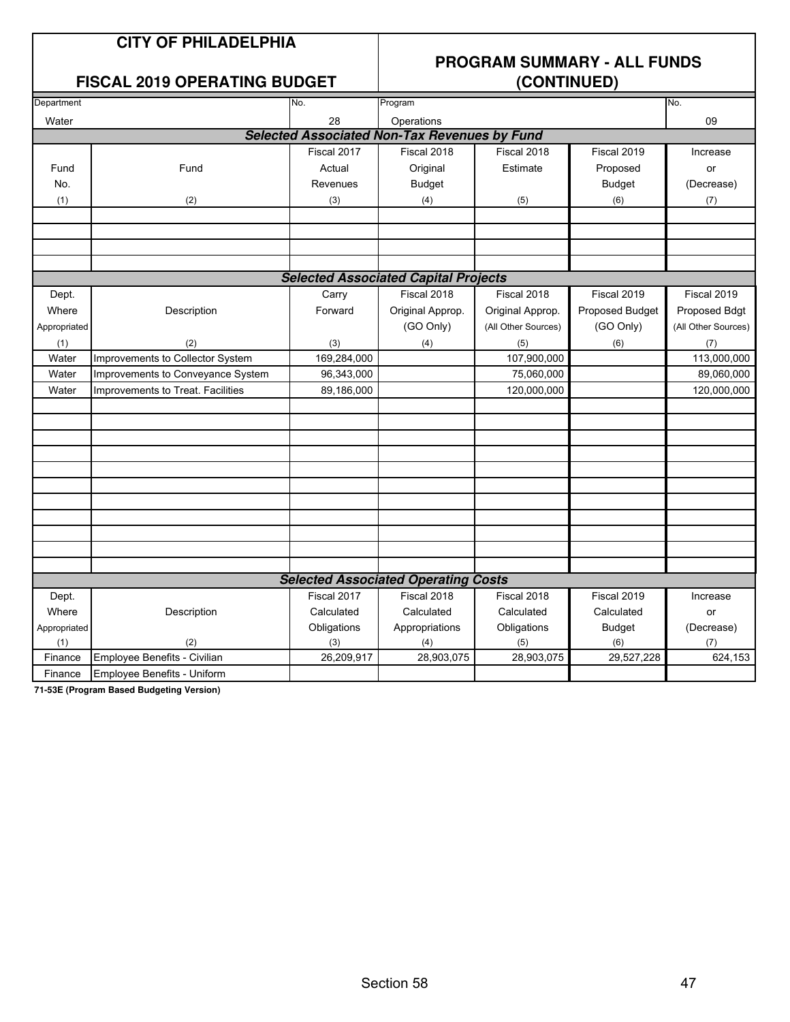#### **FISCAL 2019 OPERATING BUDGET**

### **PROGRAM SUMMARY - ALL FUNDS**

| Department                                  |                                   | No.         | Program                                             |                     |                 | No.                 |  |  |  |
|---------------------------------------------|-----------------------------------|-------------|-----------------------------------------------------|---------------------|-----------------|---------------------|--|--|--|
| Water                                       |                                   | 28          | Operations                                          |                     |                 | 09                  |  |  |  |
|                                             |                                   |             | <b>Selected Associated Non-Tax Revenues by Fund</b> |                     |                 |                     |  |  |  |
|                                             |                                   | Fiscal 2017 | Fiscal 2018                                         | Fiscal 2018         | Fiscal 2019     | Increase            |  |  |  |
| Fund                                        | Fund                              | Actual      | Original                                            | Estimate            | Proposed        | or                  |  |  |  |
| No.                                         |                                   | Revenues    | <b>Budget</b>                                       |                     | <b>Budget</b>   | (Decrease)          |  |  |  |
| (1)                                         | (2)                               | (3)         | (4)                                                 | (5)                 | (6)             | (7)                 |  |  |  |
|                                             |                                   |             |                                                     |                     |                 |                     |  |  |  |
|                                             |                                   |             |                                                     |                     |                 |                     |  |  |  |
|                                             |                                   |             |                                                     |                     |                 |                     |  |  |  |
|                                             |                                   |             |                                                     |                     |                 |                     |  |  |  |
| <b>Selected Associated Capital Projects</b> |                                   |             |                                                     |                     |                 |                     |  |  |  |
| Dept.                                       |                                   | Carry       | Fiscal 2018                                         | Fiscal 2018         | Fiscal 2019     | Fiscal 2019         |  |  |  |
| Where                                       | Description                       | Forward     | Original Approp.                                    | Original Approp.    | Proposed Budget | Proposed Bdgt       |  |  |  |
| Appropriated                                |                                   |             | (GO Only)                                           | (All Other Sources) | (GO Only)       | (All Other Sources) |  |  |  |
| (1)                                         | (2)                               | (3)         | (4)                                                 | (5)                 | (6)             | (7)                 |  |  |  |
| Water                                       | Improvements to Collector System  | 169,284,000 |                                                     | 107,900,000         |                 | 113,000,000         |  |  |  |
| Water                                       | Improvements to Conveyance System | 96,343,000  |                                                     | 75,060,000          |                 | 89,060,000          |  |  |  |
| Water                                       | Improvements to Treat. Facilities | 89,186,000  |                                                     | 120,000,000         |                 | 120,000,000         |  |  |  |
|                                             |                                   |             |                                                     |                     |                 |                     |  |  |  |
|                                             |                                   |             |                                                     |                     |                 |                     |  |  |  |
|                                             |                                   |             |                                                     |                     |                 |                     |  |  |  |
|                                             |                                   |             |                                                     |                     |                 |                     |  |  |  |
|                                             |                                   |             |                                                     |                     |                 |                     |  |  |  |
|                                             |                                   |             |                                                     |                     |                 |                     |  |  |  |
|                                             |                                   |             |                                                     |                     |                 |                     |  |  |  |
|                                             |                                   |             |                                                     |                     |                 |                     |  |  |  |
|                                             |                                   |             |                                                     |                     |                 |                     |  |  |  |
|                                             |                                   |             |                                                     |                     |                 |                     |  |  |  |
|                                             |                                   |             |                                                     |                     |                 |                     |  |  |  |
|                                             |                                   |             | <b>Selected Associated Operating Costs</b>          |                     |                 |                     |  |  |  |
| Dept.                                       |                                   | Fiscal 2017 | Fiscal 2018                                         | Fiscal 2018         | Fiscal 2019     | Increase            |  |  |  |
| Where                                       | Description                       | Calculated  | Calculated                                          | Calculated          | Calculated      | <b>or</b>           |  |  |  |
| Appropriated                                |                                   | Obligations | Appropriations                                      | Obligations         | <b>Budget</b>   | (Decrease)          |  |  |  |
| (1)                                         | (2)                               | (3)         | (4)                                                 | (5)                 | (6)             | (7)                 |  |  |  |
| Finance                                     | Employee Benefits - Civilian      | 26,209,917  | 28,903,075                                          | 28,903,075          | 29,527,228      | 624,153             |  |  |  |
| Finance                                     | Employee Benefits - Uniform       |             |                                                     |                     |                 |                     |  |  |  |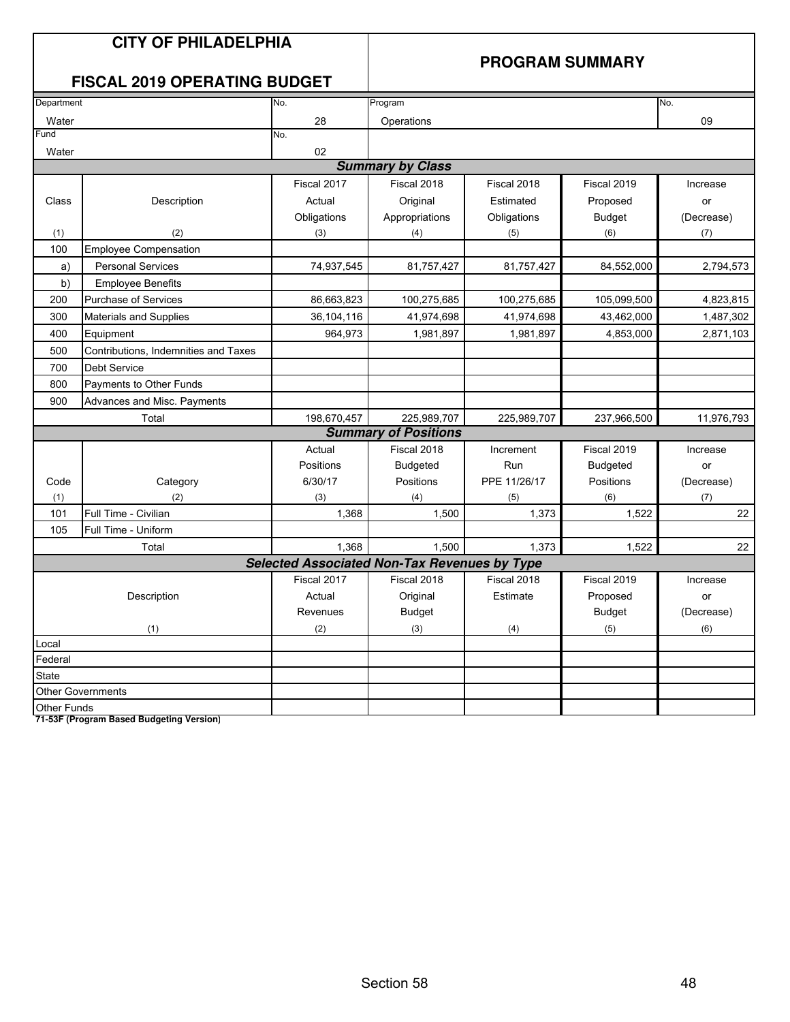#### **PROGRAM SUMMARY**

### **FISCAL 2019 OPERATING BUDGET**

| Department  |                                      | No.                                                 | Program                     |              |                 | No.        |
|-------------|--------------------------------------|-----------------------------------------------------|-----------------------------|--------------|-----------------|------------|
| Water       |                                      | 28                                                  | Operations                  |              |                 | 09         |
| Fund        |                                      | No.                                                 |                             |              |                 |            |
| Water       |                                      | 02                                                  |                             |              |                 |            |
|             |                                      |                                                     | <b>Summary by Class</b>     |              |                 |            |
|             |                                      | Fiscal 2017                                         | Fiscal 2018                 | Fiscal 2018  | Fiscal 2019     | Increase   |
| Class       | Description                          | Actual                                              | Original                    | Estimated    | Proposed        | or         |
|             |                                      | Obligations                                         | Appropriations              | Obligations  | <b>Budget</b>   | (Decrease) |
| (1)         | (2)                                  | (3)                                                 | (4)                         | (5)          | (6)             | (7)        |
| 100         | <b>Employee Compensation</b>         |                                                     |                             |              |                 |            |
| a)          | <b>Personal Services</b>             | 74,937,545                                          | 81,757,427                  | 81,757,427   | 84,552,000      | 2,794,573  |
| b)          | <b>Employee Benefits</b>             |                                                     |                             |              |                 |            |
| 200         | <b>Purchase of Services</b>          | 86,663,823                                          | 100,275,685                 | 100,275,685  | 105,099,500     | 4,823,815  |
| 300         | <b>Materials and Supplies</b>        | 36,104,116                                          | 41,974,698                  | 41,974,698   | 43,462,000      | 1,487,302  |
| 400         | Equipment                            | 964,973                                             | 1,981,897                   | 1,981,897    | 4,853,000       | 2,871,103  |
| 500         | Contributions, Indemnities and Taxes |                                                     |                             |              |                 |            |
| 700         | <b>Debt Service</b>                  |                                                     |                             |              |                 |            |
| 800         | Payments to Other Funds              |                                                     |                             |              |                 |            |
| 900         | Advances and Misc. Payments          |                                                     |                             |              |                 |            |
|             | Total                                | 198,670,457                                         | 225,989,707                 | 225,989,707  | 237,966,500     | 11,976,793 |
|             |                                      |                                                     | <b>Summary of Positions</b> |              |                 |            |
|             |                                      | Actual                                              | Fiscal 2018                 | Increment    | Fiscal 2019     | Increase   |
|             |                                      | Positions                                           | <b>Budgeted</b>             | Run          | <b>Budgeted</b> | or         |
| Code        | Category                             | 6/30/17                                             | Positions                   | PPE 11/26/17 | Positions       | (Decrease) |
| (1)         | (2)                                  | (3)                                                 | (4)                         | (5)          | (6)             | (7)        |
| 101         | Full Time - Civilian                 | 1,368                                               | 1,500                       | 1,373        | 1,522           | 22         |
| 105         | Full Time - Uniform                  |                                                     |                             |              |                 |            |
|             | Total                                | 1,368                                               | 1,500                       | 1,373        | 1,522           | 22         |
|             |                                      | <b>Selected Associated Non-Tax Revenues by Type</b> |                             |              |                 |            |
|             |                                      | Fiscal 2017                                         | Fiscal 2018                 | Fiscal 2018  | Fiscal 2019     | Increase   |
|             | Description                          | Actual                                              | Original                    | Estimate     | Proposed        | or         |
|             |                                      | Revenues                                            | <b>Budget</b>               |              | <b>Budget</b>   | (Decrease) |
|             | (1)                                  | (2)                                                 | (3)                         | (4)          | (5)             | (6)        |
| Local       |                                      |                                                     |                             |              |                 |            |
| Federal     |                                      |                                                     |                             |              |                 |            |
| State       |                                      |                                                     |                             |              |                 |            |
|             | <b>Other Governments</b>             |                                                     |                             |              |                 |            |
| Other Funds |                                      |                                                     |                             |              |                 |            |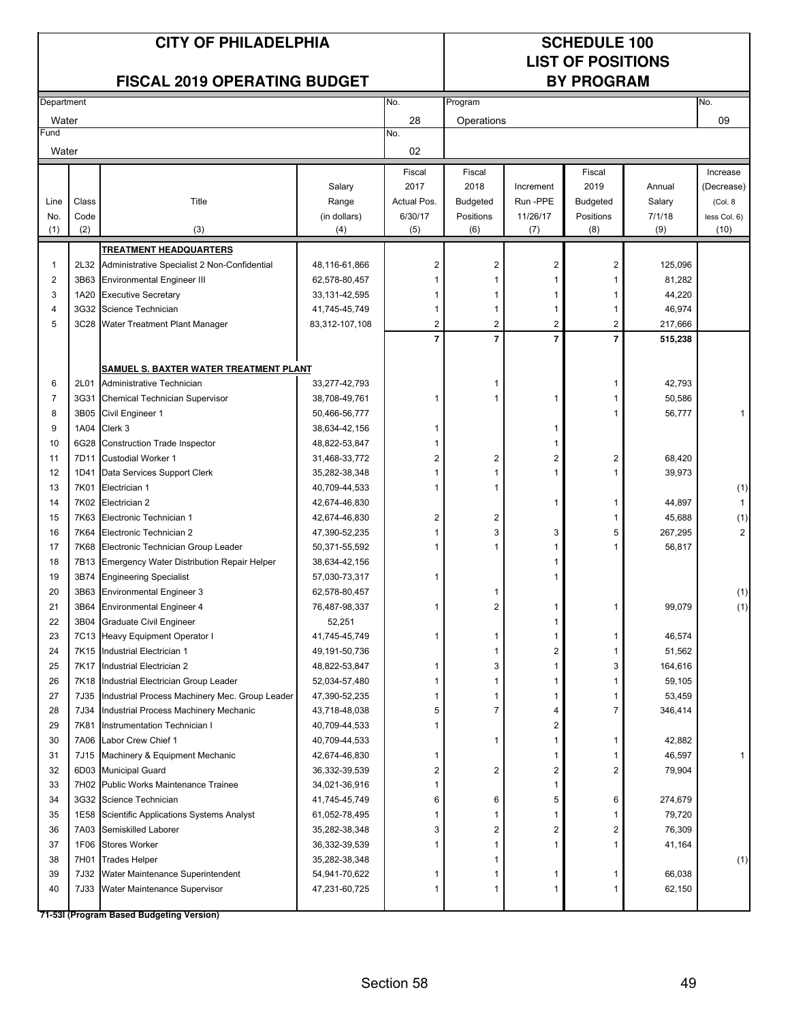### **LIST OF POSITIONS**

#### **FISCAL 2019 OPERATING BUDGET**

| Department              |              |                                                |                 | No.              | Program                 |                |                 |         | No.                 |
|-------------------------|--------------|------------------------------------------------|-----------------|------------------|-------------------------|----------------|-----------------|---------|---------------------|
| Water                   |              |                                                |                 | 28               | Operations              |                |                 |         | 09                  |
| Fund                    |              |                                                |                 | No.              |                         |                |                 |         |                     |
| Water                   |              |                                                |                 | 02               |                         |                |                 |         |                     |
|                         |              |                                                |                 | Fiscal           | Fiscal                  |                | Fiscal          |         | Increase            |
|                         |              |                                                | Salary          | 2017             | 2018                    | Increment      | 2019            | Annual  | (Decrease)          |
| Line                    | Class        | Title                                          | Range           | Actual Pos.      | <b>Budgeted</b>         | Run-PPE        | <b>Budgeted</b> | Salary  | (Col. 8)            |
| No.                     | Code         |                                                | (in dollars)    | 6/30/17          | Positions               | 11/26/17       | Positions       | 7/1/18  | less Col. 6)        |
| (1)                     | (2)          | (3)                                            | (4)             | (5)              | (6)                     | (7)            | (8)             | (9)     | (10)                |
|                         |              | <b>TREATMENT HEADQUARTERS</b>                  |                 |                  |                         |                |                 |         |                     |
| $\mathbf 1$             | 2L32         | Administrative Specialist 2 Non-Confidential   | 48,116-61,866   | 2                | 2                       | 2              | 2               | 125,096 |                     |
| $\overline{\mathbf{c}}$ | 3B63         | <b>Environmental Engineer III</b>              | 62,578-80,457   |                  | 1                       | 1              | 1               | 81,282  |                     |
| 3                       | 1A20         | <b>Executive Secretary</b>                     | 33, 131-42, 595 | 1                | 1                       | 1              | 1               | 44,220  |                     |
| $\overline{4}$          |              | 3G32 Science Technician                        | 41,745-45,749   | 1                | 1                       | 1              | 1               | 46,974  |                     |
| 5                       |              | 3C28 Water Treatment Plant Manager             | 83,312-107,108  | $\boldsymbol{2}$ | $\overline{c}$          | $\overline{2}$ | 2               | 217,666 |                     |
|                         |              |                                                |                 | $\overline{7}$   | $\overline{7}$          | $\overline{7}$ | $\overline{7}$  | 515,238 |                     |
|                         |              |                                                |                 |                  |                         |                |                 |         |                     |
|                         |              | SAMUEL S. BAXTER WATER TREATMENT PLANT         |                 |                  |                         |                |                 |         |                     |
| 6                       | 2L01         | Administrative Technician                      | 33,277-42,793   |                  | 1                       |                | 1               | 42,793  |                     |
| 7                       | 3G31         | <b>Chemical Technician Supervisor</b>          | 38,708-49,761   | 1                | 1                       | 1              | 1               | 50,586  |                     |
| 8                       | 3B05         | Civil Engineer 1                               | 50,466-56,777   |                  |                         |                |                 | 56,777  | $\mathbf{1}$        |
| 9                       | 1A04         | Clerk 3                                        | 38,634-42,156   | 1                |                         |                |                 |         |                     |
| 10                      | 6G28         | <b>Construction Trade Inspector</b>            | 48,822-53,847   |                  |                         |                |                 |         |                     |
| 11                      | 7D11         | <b>Custodial Worker 1</b>                      | 31,468-33,772   | 2                | 2                       | 2              | 2               | 68,420  |                     |
| 12                      | 1D41         |                                                |                 | 1                | 1                       | 1              |                 | 39,973  |                     |
|                         |              | Data Services Support Clerk                    | 35,282-38,348   | 1                | 1                       |                |                 |         |                     |
| 13                      | 7K01<br>7K02 | Electrician 1                                  | 40,709-44,533   |                  |                         | 1              | 1               |         | (1)<br>$\mathbf{1}$ |
| 14<br>15                | 7K63         | Electrician 2                                  | 42,674-46,830   |                  |                         |                |                 | 44,897  |                     |
|                         |              | Electronic Technician 1                        | 42,674-46,830   | 2                | $\overline{\mathbf{c}}$ |                |                 | 45,688  | (1)                 |
| 16                      | 7K64         | Electronic Technician 2                        | 47,390-52,235   |                  | 3                       | 3              | 5               | 267,295 | 2                   |
| 17                      | 7K68         | Electronic Technician Group Leader             | 50,371-55,592   | 1                | 1                       |                |                 | 56,817  |                     |
| 18                      | 7B13         | Emergency Water Distribution Repair Helper     | 38,634-42,156   |                  |                         |                |                 |         |                     |
| 19                      |              | 3B74 Engineering Specialist                    | 57,030-73,317   | 1                |                         |                |                 |         |                     |
| 20                      | 3B63         | <b>Environmental Engineer 3</b>                | 62,578-80,457   |                  | 1                       |                |                 |         | (1)                 |
| 21                      | 3B64         | <b>Environmental Engineer 4</b>                | 76,487-98,337   | 1                | 2                       |                | 1               | 99,079  | (1)                 |
| 22                      | 3B04         | Graduate Civil Engineer                        | 52,251          |                  |                         |                |                 |         |                     |
| 23                      |              | 7C13 Heavy Equipment Operator I                | 41,745-45,749   | 1                | 1                       | 1              | 1               | 46,574  |                     |
| 24                      | 7K15         | Industrial Electrician 1                       | 49, 191-50, 736 |                  | 1                       | 2              |                 | 51,562  |                     |
| 25                      |              | 7K17 Industrial Electrician 2                  | 48,822-53,847   | 1                | 3                       | 1              | 3               | 164,616 |                     |
| 26                      |              | 7K18 Industrial Electrician Group Leader       | 52,034-57,480   | 1                | 1                       | 1              | 1               | 59,105  |                     |
| 27<br>28                | 7J35<br>7J34 | Industrial Process Machinery Mec. Group Leader | 47,390-52,235   | 1                | 1<br>7                  | 1              | 1<br>7          | 53,459  |                     |
|                         |              | Industrial Process Machinery Mechanic          | 43,718-48,038   | 5                |                         | 4              |                 | 346,414 |                     |
| 29                      | 7K81         | Instrumentation Technician I                   | 40,709-44,533   | 1                |                         | 2              |                 |         |                     |
| 30                      | 7A06         | Labor Crew Chief 1                             | 40,709-44,533   |                  | 1                       | 1              | 1               | 42,882  |                     |
| 31                      | 7J15         | Machinery & Equipment Mechanic                 | 42,674-46,830   | 1                |                         | 1              | 1               | 46,597  |                     |
| 32                      |              | 6D03 Municipal Guard                           | 36,332-39,539   | 2                | 2                       | 2              | 2               | 79,904  |                     |
| 33                      |              | 7H02 Public Works Maintenance Trainee          | 34,021-36,916   | 1                |                         | 1              |                 |         |                     |
| 34                      |              | 3G32 Science Technician                        | 41,745-45,749   | 6                | 6                       | 5              | 6               | 274,679 |                     |
| 35                      | 1E58         | Scientific Applications Systems Analyst        | 61,052-78,495   |                  | 1                       | 1              | 1               | 79,720  |                     |
| 36                      | 7A03         | Semiskilled Laborer                            | 35,282-38,348   | 3                | 2                       | 2              | 2               | 76,309  |                     |
| 37                      | 1F06         | <b>Stores Worker</b>                           | 36,332-39,539   |                  | 1                       | 1              | 1               | 41,164  |                     |
| 38                      | 7H01         | <b>Trades Helper</b>                           | 35,282-38,348   |                  | 1                       |                |                 |         | (1)                 |
| 39                      | 7J32         | Water Maintenance Superintendent               | 54,941-70,622   | 1                | 1                       | 1              | 1               | 66,038  |                     |
| 40                      | <b>7J33</b>  | Water Maintenance Supervisor                   | 47,231-60,725   | 1                | 1                       | 1              | 1               | 62,150  |                     |
|                         |              | 71-53I (Program Based Budgeting Version)       |                 |                  |                         |                |                 |         |                     |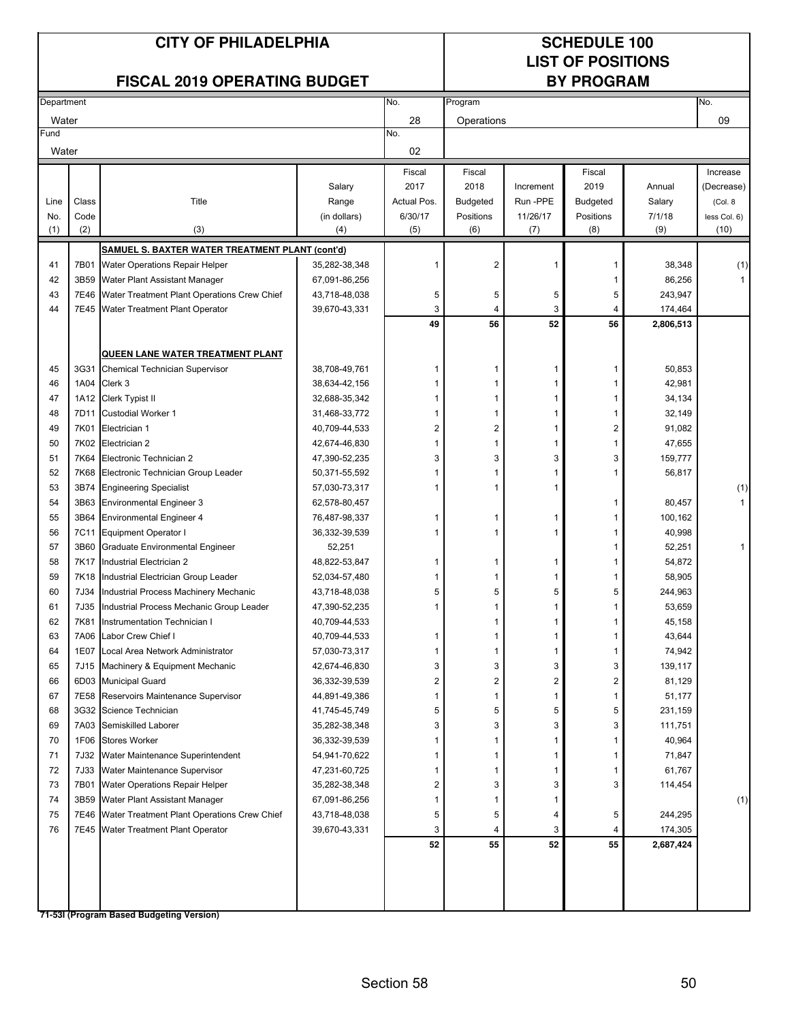### **LIST OF POSITIONS**

#### **FISCAL 2019 OPERATING BUDGET**

| Department |             |                                                  |                     | No.            | Program                      |                      |           |                  | No.                    |
|------------|-------------|--------------------------------------------------|---------------------|----------------|------------------------------|----------------------|-----------|------------------|------------------------|
| Water      |             |                                                  |                     | 28             | Operations                   |                      |           |                  | 09                     |
| Fund       |             |                                                  |                     | No.            |                              |                      |           |                  |                        |
| Water      |             |                                                  |                     | 02             |                              |                      |           |                  |                        |
|            |             |                                                  |                     | Fiscal         | Fiscal                       |                      | Fiscal    |                  | Increase               |
|            |             |                                                  |                     | 2017           | 2018                         |                      | 2019      | Annual           |                        |
| Line       | Class       | Title                                            | Salary              | Actual Pos.    |                              | Increment<br>Run-PPE | Budgeted  |                  | (Decrease)<br>(Col. 8) |
| No.        | Code        |                                                  | Range               | 6/30/17        | <b>Budgeted</b><br>Positions | 11/26/17             | Positions | Salary<br>7/1/18 |                        |
| (1)        | (2)         | (3)                                              | (in dollars)<br>(4) | (5)            | (6)                          | (7)                  | (8)       | (9)              | less Col. 6)<br>(10)   |
|            |             |                                                  |                     |                |                              |                      |           |                  |                        |
|            |             | SAMUEL S. BAXTER WATER TREATMENT PLANT (cont'd)  |                     |                |                              |                      |           |                  |                        |
| 41         | 7B01        | Water Operations Repair Helper                   | 35,282-38,348       |                | 2                            | 1                    | 1         | 38,348           | (1)                    |
| 42         |             | 3B59 Water Plant Assistant Manager               | 67,091-86,256       |                |                              |                      | 1         | 86,256           |                        |
| 43         |             | 7E46 Water Treatment Plant Operations Crew Chief | 43,718-48,038       | 5              | 5                            | 5                    | 5         | 243,947          |                        |
| 44         |             | 7E45 Water Treatment Plant Operator              | 39,670-43,331       | 3              | 4                            | 3<br>52              | 4         | 174,464          |                        |
|            |             |                                                  |                     | 49             | 56                           |                      | 56        | 2,806,513        |                        |
|            |             | QUEEN LANE WATER TREATMENT PLANT                 |                     |                |                              |                      |           |                  |                        |
| 45         |             |                                                  | 38,708-49,761       | 1              | 1                            | 1                    | 1         | 50,853           |                        |
|            | 1A04        | 3G31 Chemical Technician Supervisor              |                     |                | 1                            | 1                    | 1         |                  |                        |
| 46         |             | Clerk 3<br>1A12 Clerk Typist II                  | 38,634-42,156       |                | 1                            | 1                    |           | 42,981           |                        |
| 47         |             |                                                  | 32,688-35,342       |                |                              | -1                   | 1         | 34,134           |                        |
| 48         | 7D11        | <b>Custodial Worker 1</b>                        | 31,468-33,772       |                | 1                            |                      | 1         | 32,149           |                        |
| 49         | 7K01        | Electrician 1                                    | 40,709-44,533       | $\overline{2}$ | $\overline{c}$               | 1                    | 2         | 91,082           |                        |
| 50         |             | 7K02 Electrician 2                               | 42,674-46,830       | $\mathbf 1$    | 1                            | 1                    | 1         | 47,655           |                        |
| 51         | 7K64        | Electronic Technician 2                          | 47,390-52,235       | 3              | 3                            | 3                    | 3         | 159,777          |                        |
| 52         | 7K68        | Electronic Technician Group Leader               | 50,371-55,592       |                | 1                            | 1                    | 1         | 56,817           |                        |
| 53         | 3B74        | <b>Engineering Specialist</b>                    | 57,030-73,317       |                | 1                            | 1                    |           |                  | (1)                    |
| 54         | 3B63        | Environmental Engineer 3                         | 62,578-80,457       |                |                              |                      | 1         | 80,457           |                        |
| 55         | 3B64        | <b>Environmental Engineer 4</b>                  | 76,487-98,337       |                | 1                            | 1                    | 1         | 100,162          |                        |
| 56         | <b>7C11</b> | <b>Equipment Operator I</b>                      | 36,332-39,539       |                | 1                            | 1                    |           | 40,998           |                        |
| 57         | 3B60        | <b>Graduate Environmental Engineer</b>           | 52,251              |                |                              |                      | 1         | 52,251           |                        |
| 58         | 7K17        | Industrial Electrician 2                         | 48,822-53,847       | 1              | 1                            | 1                    | 1         | 54,872           |                        |
| 59         |             | 7K18 Industrial Electrician Group Leader         | 52,034-57,480       |                | 1                            | 1                    | 1         | 58,905           |                        |
| 60         | 7J34        | Industrial Process Machinery Mechanic            | 43,718-48,038       | 5              | 5                            | 5                    | 5         | 244,963          |                        |
| 61         | 7J35        | Industrial Process Mechanic Group Leader         | 47,390-52,235       | 1              | 1                            | 1                    | 1         | 53,659           |                        |
| 62         | 7K81        | Instrumentation Technician I                     | 40,709-44,533       |                | 1                            | 1                    | 1         | 45,158           |                        |
| 63         | 7A06        | Labor Crew Chief I                               | 40,709-44,533       | 1              | 1                            | 1                    | 1         | 43,644           |                        |
| 64         | 1E07        | Local Area Network Administrator                 | 57,030-73,317       |                | 1                            |                      |           | 74,942           |                        |
| 65         |             | 7J15 Machinery & Equipment Mechanic              | 42,674-46,830       | 3              | 3                            | 3                    | 3         | 139,117          |                        |
| 66         |             | 6D03 Municipal Guard                             | 36,332-39,539       | 2              | 2                            | 2                    | 2         | 81,129           |                        |
| 67         | 7E58        | Reservoirs Maintenance Supervisor                | 44,891-49,386       |                | 1                            | $\mathbf{1}$         | 1         | 51,177           |                        |
| 68         |             | 3G32 Science Technician                          | 41,745-45,749       | 5              | 5                            | 5                    | 5         | 231,159          |                        |
| 69         | 7A03        | Semiskilled Laborer                              | 35,282-38,348       | 3              | 3                            | 3                    | 3         | 111,751          |                        |
| 70         | 1F06        | <b>Stores Worker</b>                             | 36,332-39,539       |                | 1                            | 1                    | 1         | 40,964           |                        |
| 71         | 7J32        | Water Maintenance Superintendent                 | 54,941-70,622       |                | 1                            | -1                   | 1         | 71,847           |                        |
| 72         | 7J33        | Water Maintenance Supervisor                     | 47,231-60,725       |                | 1                            | -1                   | 1         | 61,767           |                        |
| 73         | 7B01        | Water Operations Repair Helper                   | 35,282-38,348       | 2              | 3                            | 3                    | 3         | 114,454          |                        |
| 74         |             | 3B59 Water Plant Assistant Manager               | 67,091-86,256       |                | 1                            | -1                   |           |                  | (1)                    |
| 75         |             | 7E46 Water Treatment Plant Operations Crew Chief | 43,718-48,038       | 5              | 5                            | 4                    | 5         | 244,295          |                        |
| 76         |             | 7E45 Water Treatment Plant Operator              | 39,670-43,331       | 3              | 4                            | 3                    | 4         | 174,305          |                        |
|            |             |                                                  |                     | 52             | 55                           | 52                   | 55        | 2,687,424        |                        |
|            |             |                                                  |                     |                |                              |                      |           |                  |                        |
|            |             |                                                  |                     |                |                              |                      |           |                  |                        |
|            |             |                                                  |                     |                |                              |                      |           |                  |                        |
|            |             | 71-53I (Program Based Budgeting Version)         |                     |                |                              |                      |           |                  |                        |
|            |             |                                                  |                     |                |                              |                      |           |                  |                        |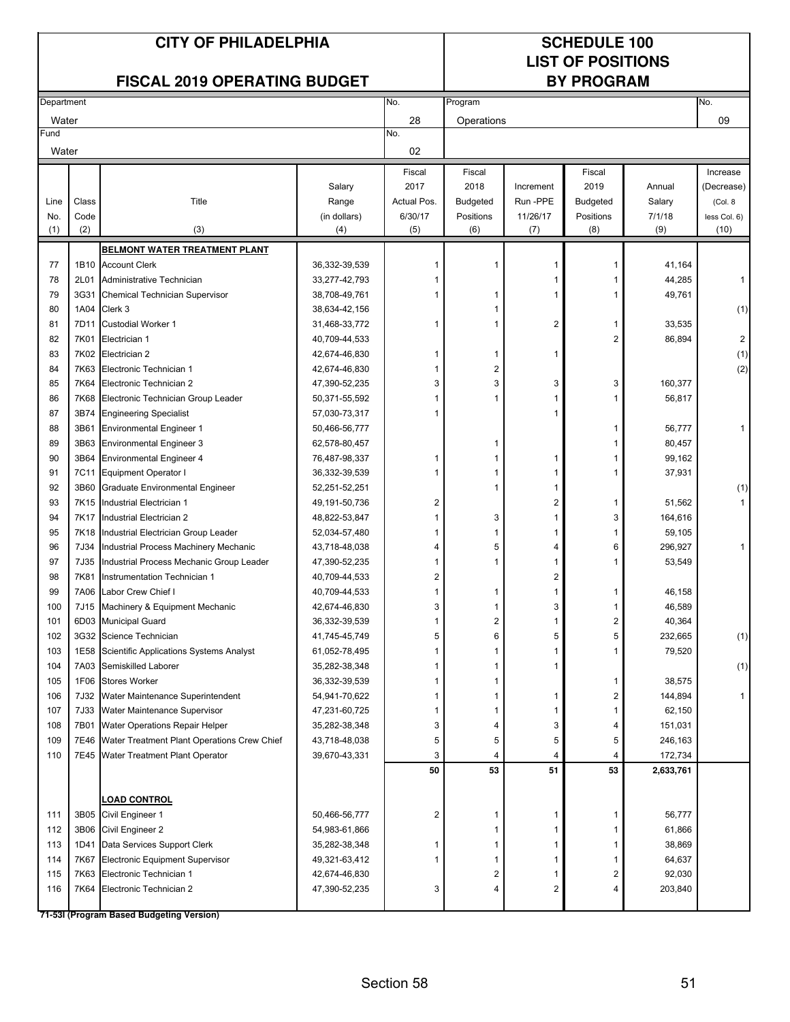### **LIST OF POSITIONS**

|            |       | <b>FISCAL 2019 OPERATING BUDGET</b>          |                                |                         |                 |           | <b>BY PROGRAM</b> |                    |                         |
|------------|-------|----------------------------------------------|--------------------------------|-------------------------|-----------------|-----------|-------------------|--------------------|-------------------------|
| Department |       |                                              |                                | No.                     | Program         |           |                   |                    | No.                     |
| Water      |       |                                              |                                | 28                      | Operations      |           |                   |                    | 09                      |
| Fund       |       |                                              |                                | No.                     |                 |           |                   |                    |                         |
| Water      |       |                                              |                                | 02                      |                 |           |                   |                    |                         |
|            |       |                                              |                                | Fiscal                  | Fiscal          |           | Fiscal            |                    | Increase                |
|            |       |                                              | Salary                         | 2017                    | 2018            | Increment | 2019              | Annual             | (Decrease)              |
| Line       | Class | Title                                        | Range                          | Actual Pos.             | <b>Budgeted</b> | Run-PPE   | Budgeted          | Salary             | (Col. 8                 |
| No.        | Code  |                                              | (in dollars)                   | 6/30/17                 | Positions       | 11/26/17  | Positions         | 7/1/18             | less Col. 6)            |
| (1)        | (2)   | (3)                                          | (4)                            | (5)                     | (6)             | (7)       | (8)               | (9)                | (10)                    |
|            |       | <b>BELMONT WATER TREATMENT PLANT</b>         |                                |                         |                 |           |                   |                    |                         |
| 77         |       | 1B10 Account Clerk                           | 36,332-39,539                  |                         | 1               |           |                   | 41,164             |                         |
| 78         | 2L01  | Administrative Technician                    | 33,277-42,793                  |                         |                 |           |                   | 44,285             | 1                       |
| 79         | 3G31  | Chemical Technician Supervisor               | 38,708-49,761                  |                         |                 |           |                   | 49,761             |                         |
| 80         |       | 1A04 Clerk 3                                 | 38,634-42,156                  |                         |                 |           |                   |                    | (1)                     |
| 81         |       | 7D11 Custodial Worker 1                      | 31,468-33,772                  |                         |                 | 2         |                   | 33,535             |                         |
| 82         | 7K01  | Electrician 1                                | 40,709-44,533                  |                         |                 |           | 2                 | 86,894             | $\overline{\mathbf{c}}$ |
| 83         |       | 7K02 Electrician 2                           | 42,674-46,830                  | 1                       | 1               | 1         |                   |                    | (1)                     |
| 84         |       | 7K63 Electronic Technician 1                 | 42,674-46,830                  | 1                       | 2               |           |                   |                    | (2)                     |
| 85         |       | 7K64 Electronic Technician 2                 | 47,390-52,235                  | 3                       | 3               | 3         | 3                 | 160,377            |                         |
| 86         | 7K68  | Electronic Technician Group Leader           | 50,371-55,592                  |                         |                 |           |                   | 56,817             |                         |
| 87         | 3B74  | <b>Engineering Specialist</b>                | 57,030-73,317                  |                         |                 | 1         |                   |                    |                         |
| 88         | 3B61  | <b>Environmental Engineer 1</b>              | 50,466-56,777                  |                         |                 |           |                   | 56,777             | 1                       |
| 89         | 3B63  | <b>Environmental Engineer 3</b>              | 62,578-80,457                  |                         | 1               |           |                   | 80,457             |                         |
| 90         | 3B64  | <b>Environmental Engineer 4</b>              | 76,487-98,337                  |                         | 1               | 1         |                   | 99,162             |                         |
| 91         |       | 7C11 Equipment Operator I                    | 36,332-39,539                  |                         | 1               | 1         |                   | 37,931             |                         |
| 92         | 3B60  | Graduate Environmental Engineer              | 52,251-52,251                  |                         | 1               | 1         |                   |                    | (1)                     |
| 93         |       | 7K15 Industrial Electrician 1                | 49, 191-50, 736                | 2                       |                 | 2         |                   | 51,562             | $\mathbf{1}$            |
| 94         |       | 7K17 Industrial Electrician 2                | 48,822-53,847                  |                         | 3               | 1         | 3                 | 164,616            |                         |
| 95         |       | 7K18 Industrial Electrician Group Leader     | 52,034-57,480                  | 1                       | 1               |           |                   | 59,105             |                         |
| 96         | 7J34  | Industrial Process Machinery Mechanic        | 43,718-48,038                  | 4                       | 5               | 4         | 6                 | 296,927            | 1                       |
| 97         | 7J35  | Industrial Process Mechanic Group Leader     | 47,390-52,235                  | 1                       | 1               | 1         |                   | 53,549             |                         |
| 98         | 7K81  | Instrumentation Technician 1                 | 40,709-44,533                  | 2                       |                 | 2         |                   |                    |                         |
| 99         | 7A06  | Labor Crew Chief I                           | 40,709-44,533                  |                         | 1               | 1         |                   | 46,158             |                         |
| 100        | 7J15  | Machinery & Equipment Mechanic               | 42,674-46,830                  | 3                       | 1               | 3         |                   | 46,589             |                         |
| 101        | 6D03  | <b>Municipal Guard</b>                       | 36,332-39,539                  |                         | $\overline{2}$  |           | 2                 | 40,364             |                         |
| 102        |       | 3G32 Science Technician                      | 41,745-45,749                  | 5                       | 6               | 5         | 5                 | 232,665            | (1)                     |
| 103        |       | 1E58 Scientific Applications Systems Analyst | 61,052-78,495                  | 1                       | 1               |           |                   | 79,520             |                         |
| 104        |       | 7A03 Semiskilled Laborer                     | 35,282-38,348                  |                         |                 | 1         |                   |                    | (1)                     |
| 105        | 1F06  | <b>Stores Worker</b>                         | 36,332-39,539                  |                         |                 |           | 1                 | 38,575             |                         |
| 106        |       | 7J32 Water Maintenance Superintendent        | 54,941-70,622                  |                         | 1               | 1         | 2                 | 144,894            | 1                       |
| 107        | 7B01  | 7J33 Water Maintenance Supervisor            | 47,231-60,725                  | 1                       | 1               | 1         |                   | 62,150             |                         |
| 108<br>109 | 7E46  | Water Operations Repair Helper               | 35,282-38,348                  | 3                       | 4               | 3         | 4                 | 151,031<br>246,163 |                         |
| 110        |       | Water Treatment Plant Operations Crew Chief  | 43,718-48,038<br>39,670-43,331 | 5<br>3                  | 5<br>4          | 5<br>4    | 5<br>4            | 172,734            |                         |
|            |       | 7E45 Water Treatment Plant Operator          |                                | 50                      | 53              | 51        | 53                | 2,633,761          |                         |
|            |       |                                              |                                |                         |                 |           |                   |                    |                         |
|            |       | <u>LOAD CONTROL</u>                          |                                |                         |                 |           |                   |                    |                         |
| 111        | 3B05  | Civil Engineer 1                             | 50,466-56,777                  | $\overline{\mathbf{c}}$ | 1               | 1         |                   | 56,777             |                         |
| 112        | 3B06  | Civil Engineer 2                             | 54,983-61,866                  |                         | 1               | 1         |                   | 61,866             |                         |
| 113        | 1D41  | Data Services Support Clerk                  | 35,282-38,348                  | 1                       | 1               | 1         |                   | 38,869             |                         |
| 114        | 7K67  | <b>Electronic Equipment Supervisor</b>       | 49,321-63,412                  |                         | 1               | 1         |                   | 64,637             |                         |
| 115        |       | 7K63 Electronic Technician 1                 | 42,674-46,830                  |                         | 2               | 1         | 2                 | 92,030             |                         |
| 116        |       | 7K64 Electronic Technician 2                 | 47,390-52,235                  | 3                       | 4               | 2         | 4                 | 203,840            |                         |
|            |       |                                              |                                |                         |                 |           |                   |                    |                         |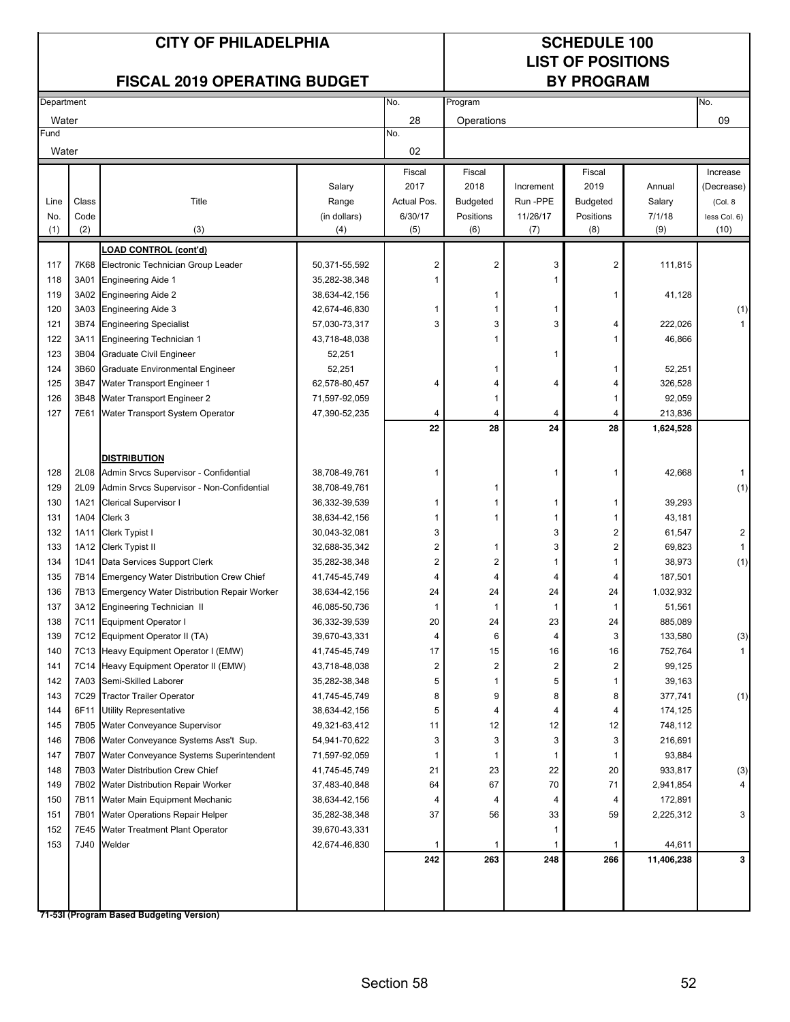### **LIST OF POSITIONS**

| <b>FISCAL 2019 OPERATING BUDGET</b> |       |                                                                          |                                | <b>BY PROGRAM</b>       |                 |           |                         |                    |                     |
|-------------------------------------|-------|--------------------------------------------------------------------------|--------------------------------|-------------------------|-----------------|-----------|-------------------------|--------------------|---------------------|
| Department                          |       |                                                                          |                                | No.                     | Program         |           |                         |                    | No.                 |
| Water                               |       |                                                                          |                                | 28                      | Operations      |           |                         |                    | 09                  |
| Fund                                |       |                                                                          |                                | No.                     |                 |           |                         |                    |                     |
| Water                               |       |                                                                          |                                | 02                      |                 |           |                         |                    |                     |
|                                     |       |                                                                          |                                | Fiscal                  | Fiscal          |           | Fiscal                  |                    | Increase            |
|                                     |       |                                                                          | Salary                         | 2017                    | 2018            | Increment | 2019                    | Annual             | (Decrease)          |
| Line                                | Class | Title                                                                    | Range                          | Actual Pos.             | <b>Budgeted</b> | Run-PPE   | <b>Budgeted</b>         | Salary             | (Col. 8             |
| No.                                 | Code  |                                                                          | (in dollars)                   | 6/30/17                 | Positions       | 11/26/17  | Positions               | 7/1/18             | less Col. 6)        |
| (1)                                 | (2)   | (3)                                                                      | (4)                            | (5)                     | (6)             | (7)       | (8)                     | (9)                | (10)                |
|                                     |       | <b>LOAD CONTROL (cont'd)</b>                                             |                                |                         |                 |           |                         |                    |                     |
| 117                                 | 7K68  | Electronic Technician Group Leader                                       | 50,371-55,592                  | $\overline{\mathbf{c}}$ | 2               | 3         | $\overline{2}$          | 111,815            |                     |
| 118                                 | 3A01  | <b>Engineering Aide 1</b>                                                | 35,282-38,348                  |                         |                 | 1         |                         |                    |                     |
| 119                                 | 3A02  | <b>Engineering Aide 2</b>                                                | 38,634-42,156                  |                         | 1               |           | 1                       | 41,128             |                     |
| 120                                 | 3A03  | <b>Engineering Aide 3</b>                                                | 42,674-46,830                  | 1                       | 1               | 1         |                         |                    | (1)                 |
| 121                                 | 3B74  | <b>Engineering Specialist</b>                                            | 57,030-73,317                  | 3                       | 3               | 3         | 4                       | 222,026            | $\mathbf{1}$        |
| 122                                 | 3A11  | <b>Engineering Technician 1</b>                                          | 43,718-48,038                  |                         |                 |           | 1                       | 46,866             |                     |
| 123                                 | 3B04  | <b>Graduate Civil Engineer</b>                                           | 52,251                         |                         |                 | 1         |                         |                    |                     |
| 124                                 | 3B60  | Graduate Environmental Engineer                                          | 52,251                         |                         | 1               |           | 1                       | 52,251             |                     |
| 125                                 | 3B47  | Water Transport Engineer 1                                               | 62,578-80,457                  | 4                       | 4               | 4         | 4                       | 326,528            |                     |
| 126                                 | 3B48  | Water Transport Engineer 2                                               | 71,597-92,059                  |                         | 1               |           | 1                       | 92,059             |                     |
| 127                                 | 7E61  | Water Transport System Operator                                          | 47,390-52,235                  | 4                       | 4               | 4         | 4                       | 213,836            |                     |
|                                     |       |                                                                          |                                | 22                      | 28              | 24        | 28                      | 1,624,528          |                     |
|                                     |       |                                                                          |                                |                         |                 |           |                         |                    |                     |
|                                     |       | <b>DISTRIBUTION</b>                                                      |                                |                         |                 |           |                         |                    |                     |
| 128                                 | 2L08  | Admin Srvcs Supervisor - Confidential                                    | 38,708-49,761                  | 1                       |                 | 1         | 1                       | 42,668             | $\mathbf{1}$        |
| 129                                 | 2L09  | Admin Srvcs Supervisor - Non-Confidential                                | 38,708-49,761                  |                         | 1               |           |                         |                    | (1)                 |
| 130                                 | 1A21  | <b>Clerical Supervisor I</b>                                             | 36,332-39,539                  | 1                       | 1               | 1         | 1                       | 39,293             |                     |
| 131                                 |       | 1A04 Clerk 3                                                             | 38,634-42,156                  | 1                       | 1               | 1         | 1                       | 43,181             |                     |
| 132                                 | 1A11  | Clerk Typist I                                                           | 30,043-32,081                  | 3                       |                 | 3         | 2                       | 61,547             | 2                   |
| 133                                 |       | 1A12 Clerk Typist II                                                     | 32,688-35,342                  | $\overline{\mathbf{c}}$ | 1               | 3         | $\overline{\mathbf{c}}$ | 69,823             | $\mathbf{1}$        |
| 134                                 | 1D41  | Data Services Support Clerk                                              | 35,282-38,348                  | 2                       | 2               | 1         | 1                       | 38,973             | (1)                 |
| 135                                 |       | 7B14 Emergency Water Distribution Crew Chief                             | 41,745-45,749                  | 4                       | 4               | 4         | 4                       | 187,501            |                     |
| 136                                 | 7B13  | Emergency Water Distribution Repair Worker                               | 38,634-42,156                  | 24                      | 24              | 24        | 24                      | 1,032,932          |                     |
| 137                                 |       | 3A12 Engineering Technician II                                           | 46,085-50,736                  | -1                      | 1               | 1         | 1                       | 51,561             |                     |
| 138<br>139                          | 7C11  | <b>Equipment Operator I</b>                                              | 36,332-39,539                  | 20                      | 24<br>6         | 23        | 24                      | 885,089<br>133,580 |                     |
| 140                                 |       | 7C12 Equipment Operator II (TA)<br>7C13 Heavy Equipment Operator I (EMW) | 39,670-43,331<br>41,745-45,749 | 4<br>17                 | 15              | 4<br>16   | 3<br>16                 | 752,764            | (3)<br>$\mathbf{1}$ |
| 141                                 |       | 7C14 Heavy Equipment Operator II (EMW)                                   | 43,718-48,038                  | 2                       | 2               | 2         | 2                       | 99,125             |                     |
| 142                                 |       | 7A03 Semi-Skilled Laborer                                                | 35,282-38,348                  | 5                       | 1               | 5         | 1                       | 39,163             |                     |
| 143                                 |       | 7C29 Tractor Trailer Operator                                            | 41,745-45,749                  | 8                       | 9               | 8         | 8                       | 377,741            | (1)                 |
| 144                                 | 6F11  | <b>Utility Representative</b>                                            | 38,634-42,156                  | 5                       | 4               | 4         | 4                       | 174,125            |                     |
| 145                                 |       | 7B05 Water Conveyance Supervisor                                         | 49,321-63,412                  | 11                      | 12              | 12        | 12                      | 748,112            |                     |
| 146                                 |       | 7B06 Water Conveyance Systems Ass't Sup.                                 | 54,941-70,622                  | 3                       | 3               | 3         | 3                       | 216,691            |                     |
| 147                                 | 7B07  | Water Conveyance Systems Superintendent                                  | 71,597-92,059                  | -1                      | 1               | 1         | 1                       | 93,884             |                     |
| 148                                 |       | 7B03 Water Distribution Crew Chief                                       | 41,745-45,749                  | 21                      | 23              | 22        | 20                      | 933,817            | (3)                 |
| 149                                 |       | 7B02 Water Distribution Repair Worker                                    | 37,483-40,848                  | 64                      | 67              | 70        | 71                      | 2,941,854          | 4                   |
| 150                                 | 7B11  | Water Main Equipment Mechanic                                            | 38,634-42,156                  |                         |                 | 4         | 4                       | 172,891            |                     |
| 151                                 | 7B01  | Water Operations Repair Helper                                           | 35,282-38,348                  | 37                      | 56              | 33        | 59                      | 2,225,312          | 3                   |
| 152                                 | 7E45  | Water Treatment Plant Operator                                           | 39,670-43,331                  |                         |                 | 1         |                         |                    |                     |
| 153                                 | 7J40  | Welder                                                                   | 42,674-46,830                  | -1                      | 1               | 1         |                         | 44,611             |                     |
|                                     |       |                                                                          |                                | 242                     | 263             | 248       | 266                     | 11,406,238         | 3                   |
|                                     |       |                                                                          |                                |                         |                 |           |                         |                    |                     |
|                                     |       |                                                                          |                                |                         |                 |           |                         |                    |                     |
|                                     |       | 71-531 (Program Rased Rudgeting Version)                                 |                                |                         |                 |           |                         |                    |                     |
|                                     |       |                                                                          |                                |                         |                 |           |                         |                    |                     |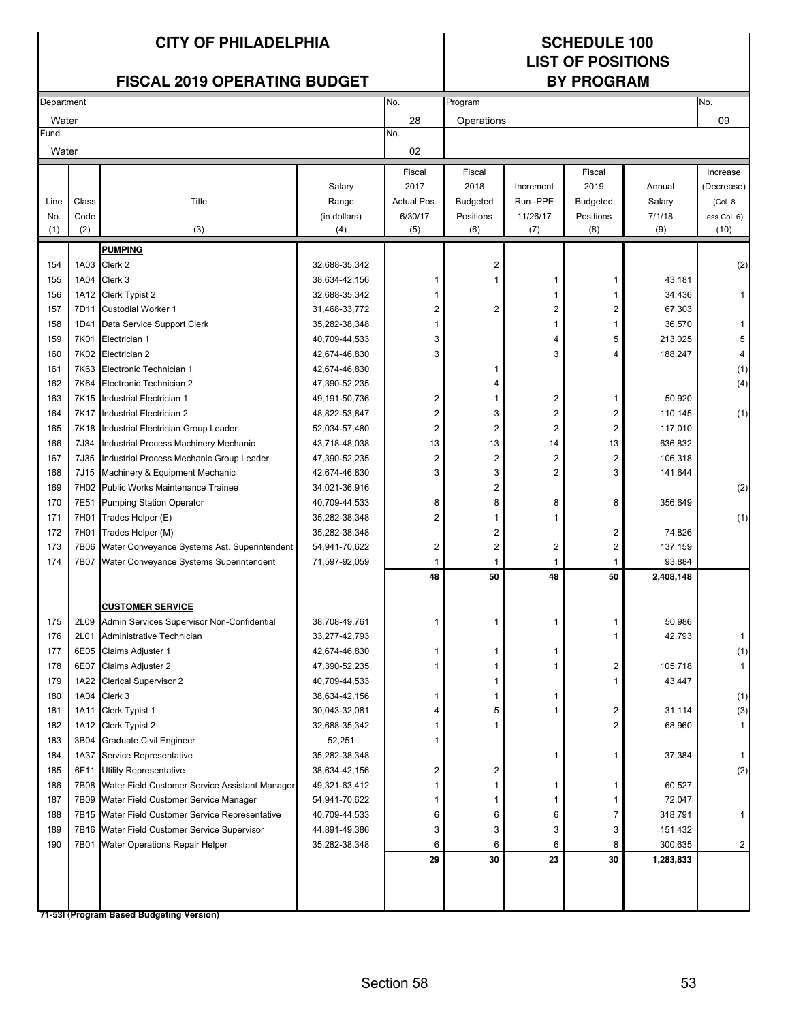### **LIST OF POSITIONS**

| <b>FISCAL 2019 OPERATING BUDGET</b> |              |                                                |                                | <b>BY PROGRAM</b>       |                         |                         |                 |           |                     |
|-------------------------------------|--------------|------------------------------------------------|--------------------------------|-------------------------|-------------------------|-------------------------|-----------------|-----------|---------------------|
| Department                          |              |                                                |                                | No.                     | Program                 |                         |                 |           | No.                 |
| Water                               |              |                                                |                                | 28                      | Operations              |                         |                 |           | 09                  |
| Fund                                |              |                                                |                                | No.                     |                         |                         |                 |           |                     |
| Water                               |              |                                                |                                | 02                      |                         |                         |                 |           |                     |
|                                     |              |                                                |                                | Fiscal                  | Fiscal                  |                         | Fiscal          |           | Increase            |
|                                     |              |                                                | Salary                         | 2017                    | 2018                    | Increment               | 2019            | Annual    | (Decrease)          |
| Line                                | Class        | Title                                          | Range                          | Actual Pos.             | <b>Budgeted</b>         | Run -PPE                | <b>Budgeted</b> | Salary    | (Col. 8             |
| No.                                 | Code         |                                                | (in dollars)                   | 6/30/17                 | Positions               | 11/26/17                | Positions       | 7/1/18    | less Col. 6)        |
| (1)                                 | (2)          | (3)                                            | (4)                            | (5)                     | (6)                     | (7)                     | (8)             | (9)       | (10)                |
|                                     |              | <b>PUMPING</b>                                 |                                |                         |                         |                         |                 |           |                     |
| 154                                 | 1A03         | Clerk 2                                        | 32,688-35,342                  |                         | $\overline{c}$          |                         |                 |           | (2)                 |
| 155                                 | 1A04         | Clerk 3                                        | 38,634-42,156                  | -1                      | 1                       | 1                       | 1               | 43,181    |                     |
| 156                                 |              | 1A12 Clerk Typist 2                            | 32,688-35,342                  | 1                       |                         | 1                       | 1               | 34,436    | $\mathbf{1}$        |
| 157                                 | 7D11         | <b>Custodial Worker 1</b>                      | 31,468-33,772                  | $\boldsymbol{2}$        | $\overline{c}$          | 2                       | 2               | 67,303    |                     |
| 158                                 | 1D41         | Data Service Support Clerk                     | 35,282-38,348                  | 1                       |                         | 1                       | 1               | 36,570    | $\mathbf{1}$        |
| 159                                 | 7K01         | Electrician 1                                  | 40,709-44,533                  | 3                       |                         | 4                       | 5               | 213,025   | 5                   |
| 160                                 | 7K02         | Electrician 2                                  | 42,674-46,830                  | 3                       |                         | 3                       | 4               | 188,247   | 4                   |
| 161                                 | 7K63         | Electronic Technician 1                        | 42,674-46,830                  |                         | 1                       |                         |                 |           | (1)                 |
| 162                                 | 7K64         | Electronic Technician 2                        | 47,390-52,235                  |                         | 4                       |                         |                 |           | (4)                 |
| 163                                 | 7K15         | Industrial Electrician 1                       | 49, 191-50, 736                | $\overline{\mathbf{c}}$ | 1                       | 2                       | $\mathbf 1$     | 50,920    |                     |
| 164                                 | 7K17         | Industrial Electrician 2                       | 48,822-53,847                  | $\overline{2}$          | 3                       | $\overline{\mathbf{c}}$ | $\overline{c}$  | 110,145   | (1)                 |
| 165                                 | 7K18         | Industrial Electrician Group Leader            | 52,034-57,480                  | $\overline{2}$          | $\overline{2}$          | $\overline{\mathbf{c}}$ | $\overline{2}$  | 117,010   |                     |
| 166                                 | 7J34         | Industrial Process Machinery Mechanic          | 43,718-48,038                  | 13                      | 13                      | 14                      | 13              | 636,832   |                     |
| 167                                 | 7J35         | Industrial Process Mechanic Group Leader       | 47,390-52,235                  | $\overline{2}$          | $\overline{\mathbf{c}}$ | 2                       | $\overline{2}$  | 106,318   |                     |
| 168                                 | 7J15         | Machinery & Equipment Mechanic                 | 42,674-46,830                  | 3                       | 3                       | $\overline{\mathbf{c}}$ | 3               | 141,644   |                     |
| 169                                 |              | 7H02 Public Works Maintenance Trainee          | 34,021-36,916                  |                         | $\overline{\mathbf{c}}$ |                         |                 |           | (2)                 |
| 170                                 | 7E51         | <b>Pumping Station Operator</b>                | 40,709-44,533                  | 8                       | 8                       | 8                       | 8               | 356,649   |                     |
| 171                                 | 7H01         | Trades Helper (E)                              | 35,282-38,348                  | $\overline{2}$          | $\mathbf{1}$            | 1                       |                 |           | (1)                 |
| 172                                 | 7H01         | Trades Helper (M)                              | 35,282-38,348                  |                         | 2                       |                         | 2               | 74,826    |                     |
| 173                                 | 7B06         | Water Conveyance Systems Ast. Superintendent   | 54,941-70,622                  | 2                       | $\overline{c}$          | 2                       | $\overline{2}$  | 137,159   |                     |
| 174                                 | 7B07         | Water Conveyance Systems Superintendent        | 71,597-92,059                  | $\mathbf 1$             | $\mathbf{1}$            | 1                       | 1               | 93,884    |                     |
|                                     |              |                                                |                                | 48                      | 50                      | 48                      | 50              | 2,408,148 |                     |
|                                     |              |                                                |                                |                         |                         |                         |                 |           |                     |
| 175                                 | 2L09         | <b>CUSTOMER SERVICE</b>                        |                                | 1                       | 1                       |                         |                 |           |                     |
|                                     |              | Admin Services Supervisor Non-Confidential     | 38,708-49,761                  |                         |                         | 1                       | 1               | 50,986    |                     |
| 176                                 | 2L01         | Administrative Technician                      | 33,277-42,793                  |                         |                         |                         | 1               | 42,793    | $\mathbf{1}$        |
| 177<br>178                          | 6E05<br>6E07 | Claims Adjuster 1<br>Claims Adjuster 2         | 42,674-46,830                  | 1                       | 1                       | 1                       |                 |           | (1)<br>$\mathbf{1}$ |
| 179                                 | 1A22         |                                                | 47,390-52,235                  |                         |                         |                         | 2<br>1          | 105,718   |                     |
| 180                                 | 1A04         | <b>Clerical Supervisor 2</b><br>Clerk 3        | 40,709-44,533<br>38,634-42,156 | 1                       | 1<br>1                  | 1                       |                 | 43,447    | (1)                 |
| 181                                 | 1A11         | Clerk Typist 1                                 | 30,043-32,081                  | 4                       | 5                       | 1                       | $\overline{2}$  | 31,114    | (3)                 |
| 182                                 | 1A12         | Clerk Typist 2                                 | 32,688-35,342                  |                         | 1                       |                         | 2               | 68,960    | $\mathbf{1}$        |
| 183                                 | 3B04         | Graduate Civil Engineer                        | 52,251                         | 1                       |                         |                         |                 |           |                     |
| 184                                 | 1A37         | Service Representative                         | 35,282-38,348                  |                         |                         | 1                       | $\mathbf{1}$    | 37,384    | $\mathbf{1}$        |
| 185                                 | 6F11         | <b>Utility Representative</b>                  | 38,634-42,156                  | $\boldsymbol{2}$        | $\overline{\mathbf{c}}$ |                         |                 |           | (2)                 |
| 186                                 | 7B08         | Water Field Customer Service Assistant Manager | 49,321-63,412                  |                         | 1                       | 1                       | 1               | 60,527    |                     |
| 187                                 | 7B09         | Water Field Customer Service Manager           | 54,941-70,622                  |                         | 1                       | 1                       | 1               | 72,047    |                     |
| 188                                 | 7B15         | Water Field Customer Service Representative    | 40,709-44,533                  | 6                       | 6                       | 6                       | 7               | 318,791   | $\mathbf{1}$        |
| 189                                 | 7B16         | Water Field Customer Service Supervisor        | 44,891-49,386                  | 3                       | 3                       | 3                       | 3               | 151,432   |                     |
| 190                                 |              | 7B01 Water Operations Repair Helper            | 35,282-38,348                  | 6                       | 6                       | 6                       | 8               | 300,635   | $\mathbf{2}$        |
|                                     |              |                                                |                                | 29                      | 30                      | 23                      | 30              | 1,283,833 |                     |
|                                     |              |                                                |                                |                         |                         |                         |                 |           |                     |
|                                     |              |                                                |                                |                         |                         |                         |                 |           |                     |
|                                     |              |                                                |                                |                         |                         |                         |                 |           |                     |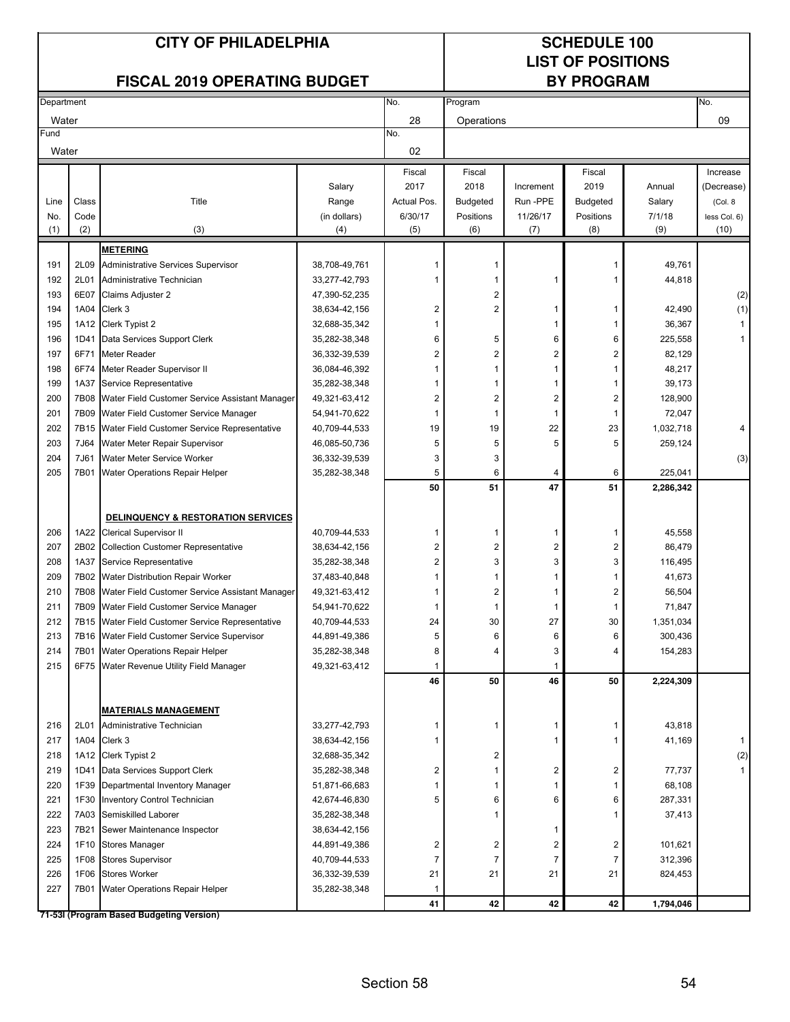### **LIST OF POSITIONS**

|            |       | <b>FISCAL 2019 OPERATING BUDGET</b>            |               |                  | <b>BY PROGRAM</b>       |           |                         |                      |                   |  |
|------------|-------|------------------------------------------------|---------------|------------------|-------------------------|-----------|-------------------------|----------------------|-------------------|--|
| Department |       |                                                |               | No.              | Program                 |           |                         |                      | No.               |  |
| Water      |       |                                                |               | 28               | Operations              |           |                         |                      | 09                |  |
| Fund       |       |                                                |               | No.              |                         |           |                         |                      |                   |  |
| Water      |       |                                                |               | 02               |                         |           |                         |                      |                   |  |
|            |       |                                                |               | Fiscal           | Fiscal                  |           | Fiscal                  |                      | Increase          |  |
|            |       |                                                | Salary        | 2017             | 2018                    | Increment | 2019                    | Annual               | (Decrease)        |  |
| Line       | Class | Title                                          | Range         | Actual Pos.      | <b>Budgeted</b>         | Run-PPE   | <b>Budgeted</b>         | Salary               | (Col. 8           |  |
| No.        | Code  |                                                | (in dollars)  | 6/30/17          | Positions               | 11/26/17  | Positions               | 7/1/18               | less Col. 6)      |  |
| (1)        | (2)   | (3)                                            | (4)           | (5)              | (6)                     | (7)       | (8)                     | (9)                  | (10)              |  |
|            |       | <b>METERING</b>                                |               |                  |                         |           |                         |                      |                   |  |
| 191        | 2L09  | Administrative Services Supervisor             | 38,708-49,761 |                  | 1                       |           | 1                       | 49,761               |                   |  |
| 192        | 2L01  | Administrative Technician                      | 33,277-42,793 | 1                | 1                       | 1         | 1                       | 44,818               |                   |  |
| 193        | 6E07  | Claims Adjuster 2                              | 47,390-52,235 |                  | 2                       |           |                         |                      | (2)               |  |
| 194        | 1A04  | Clerk 3                                        | 38,634-42,156 | $\boldsymbol{2}$ | 2                       | 1         | 1                       | 42,490               | (1)               |  |
| 195        | 1A12  | Clerk Typist 2                                 | 32,688-35,342 |                  |                         | 1         | 1                       | 36,367               | 1                 |  |
| 196        | 1D41  | Data Services Support Clerk                    | 35,282-38,348 | 6                | 5                       | 6         | 6                       | 225,558              | 1                 |  |
| 197        | 6F71  | <b>Meter Reader</b>                            | 36,332-39,539 | $\overline{2}$   | 2                       | 2         | $\overline{\mathbf{c}}$ | 82,129               |                   |  |
| 198        | 6F74  | Meter Reader Supervisor II                     | 36,084-46,392 | 1                | 1                       | 1         | 1                       | 48,217               |                   |  |
| 199        | 1A37  | Service Representative                         | 35,282-38,348 |                  | 1                       | 1         | 1                       | 39,173               |                   |  |
| 200        | 7B08  | Water Field Customer Service Assistant Manager | 49,321-63,412 | 2                | $\overline{2}$          | 2         | $\overline{\mathbf{c}}$ | 128,900              |                   |  |
| 201        | 7B09  | Water Field Customer Service Manager           | 54,941-70,622 | 1                | 1                       | 1         | 1                       | 72,047               |                   |  |
| 202        | 7B15  | Water Field Customer Service Representative    | 40,709-44,533 | 19               | 19                      | 22        | 23                      | 1,032,718            |                   |  |
| 203        | 7J64  | Water Meter Repair Supervisor                  | 46,085-50,736 | 5                | 5                       | 5         | 5                       | 259,124              |                   |  |
| 204        | 7J61  | Water Meter Service Worker                     | 36,332-39,539 | 3                | 3                       |           |                         |                      | (3)               |  |
| 205        | 7B01  | Water Operations Repair Helper                 | 35,282-38,348 | 5<br>50          | 6<br>51                 | 4<br>47   | 6<br>51                 | 225,041<br>2,286,342 |                   |  |
|            |       |                                                |               |                  |                         |           |                         |                      |                   |  |
|            |       | DELINQUENCY & RESTORATION SERVICES             |               |                  |                         |           |                         |                      |                   |  |
| 206        | 1A22  | <b>Clerical Supervisor II</b>                  | 40,709-44,533 | 1                | 1                       | 1         | 1                       | 45,558               |                   |  |
| 207        | 2B02  | <b>Collection Customer Representative</b>      | 38,634-42,156 | $\overline{2}$   | $\overline{\mathbf{c}}$ | 2         | 2                       | 86,479               |                   |  |
| 208        | 1A37  | Service Representative                         | 35,282-38,348 | 2                | 3                       | 3         | 3                       | 116,495              |                   |  |
| 209        | 7B02  | Water Distribution Repair Worker               | 37,483-40,848 |                  | 1                       | 1         | 1                       | 41,673               |                   |  |
| 210        | 7B08  | Water Field Customer Service Assistant Manager | 49,321-63,412 |                  | 2                       | 1         | 2                       | 56,504               |                   |  |
| 211        | 7B09  | Water Field Customer Service Manager           | 54,941-70,622 |                  | 1                       | 1         | 1                       | 71,847               |                   |  |
| 212        | 7B15  | Water Field Customer Service Representative    | 40,709-44,533 | 24               | 30                      | 27        | 30                      | 1,351,034            |                   |  |
| 213        |       | 7B16 Water Field Customer Service Supervisor   | 44,891-49,386 | 5                | 6                       | 6         | 6                       | 300,436              |                   |  |
| 214        |       | 7B01 Water Operations Repair Helper            | 35,282-38,348 | 8                | 4                       | 3         | 4                       | 154,283              |                   |  |
| 215        |       | 6F75 Water Revenue Utility Field Manager       | 49,321-63,412 | 1                |                         | 1         |                         |                      |                   |  |
|            |       |                                                |               | 46               | 50                      | 46        | 50                      | 2,224,309            |                   |  |
|            |       | <b>MATERIALS MANAGEMENT</b>                    |               |                  |                         |           |                         |                      |                   |  |
| 216        | 2L01  | Administrative Technician                      | 33,277-42,793 | 1                | 1                       | 1         | 1                       | 43,818               |                   |  |
| 217        | 1A04  | Clerk 3                                        | 38,634-42,156 | 1                |                         | 1         | 1                       | 41,169               | $\mathbf{1}$      |  |
| 218        |       | 1A12 Clerk Typist 2                            | 32,688-35,342 |                  | 2                       |           |                         |                      | $\left( 2\right)$ |  |
| 219        | 1D41  | Data Services Support Clerk                    | 35,282-38,348 | 2                | $\mathbf{1}$            | 2         | $\overline{c}$          | 77,737               |                   |  |
| 220        | 1F39  | Departmental Inventory Manager                 | 51,871-66,683 |                  | 1                       | 1         | 1                       | 68,108               |                   |  |
| 221        | 1F30  | Inventory Control Technician                   | 42,674-46,830 | 5                | 6                       | 6         | 6                       | 287,331              |                   |  |
| 222        | 7A03  | Semiskilled Laborer                            | 35,282-38,348 |                  | 1                       |           | 1                       | 37,413               |                   |  |
| 223        | 7B21  | Sewer Maintenance Inspector                    | 38,634-42,156 |                  |                         | 1         |                         |                      |                   |  |
| 224        | 1F10  | <b>Stores Manager</b>                          | 44,891-49,386 | 2                | $\overline{\mathbf{c}}$ | 2         | $\overline{c}$          | 101,621              |                   |  |
| 225        | 1F08  | <b>Stores Supervisor</b>                       | 40,709-44,533 | 7                | 7                       | 7         | 7                       | 312,396              |                   |  |
| 226        | 1F06  | <b>Stores Worker</b>                           | 36,332-39,539 | 21               | 21                      | 21        | 21                      | 824,453              |                   |  |
| 227        |       | 7B01 Water Operations Repair Helper            | 35,282-38,348 | 1                |                         |           |                         |                      |                   |  |
|            |       |                                                |               | 41               | 42                      | 42        | 42                      | 1,794,046            |                   |  |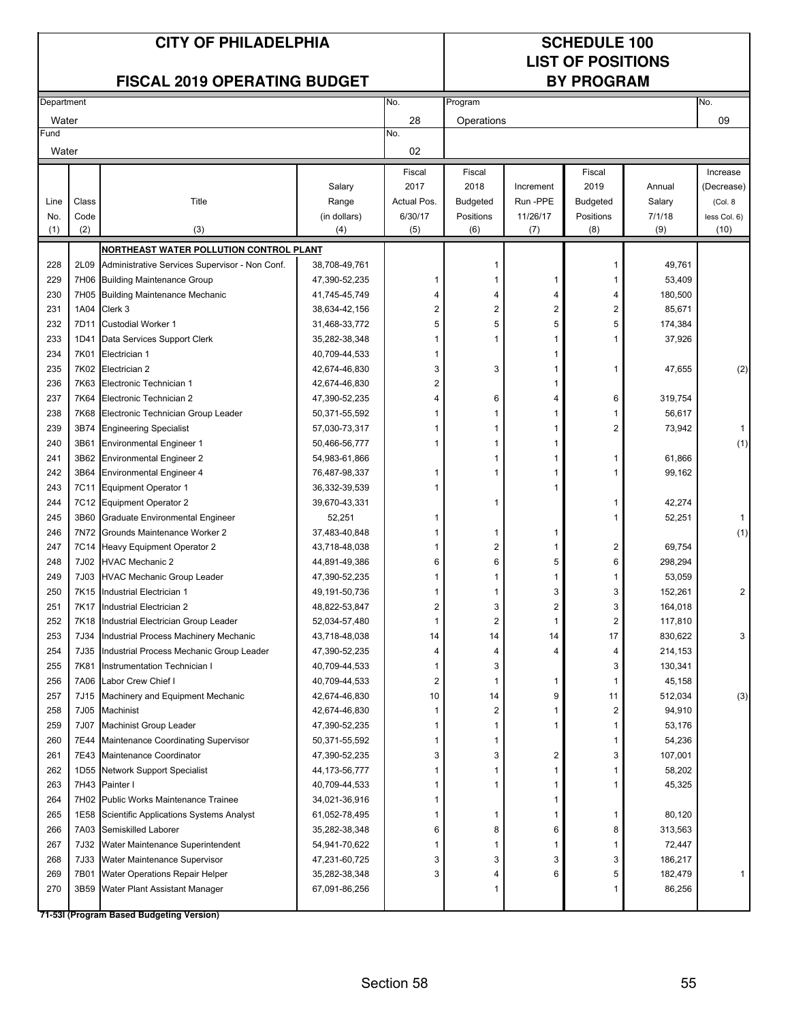### **LIST OF POSITIONS**

|            |       | <b>FISCAL 2019 OPERATING BUDGET</b>                                              |                                |                         |                 |                | <b>BY PROGRAM</b> |                    |              |
|------------|-------|----------------------------------------------------------------------------------|--------------------------------|-------------------------|-----------------|----------------|-------------------|--------------------|--------------|
| Department |       |                                                                                  |                                | No.                     | Program         |                |                   |                    | No.          |
| Water      |       |                                                                                  |                                | 28                      | Operations      |                |                   |                    | 09           |
| Fund       |       |                                                                                  |                                | No.                     |                 |                |                   |                    |              |
| Water      |       |                                                                                  |                                | 02                      |                 |                |                   |                    |              |
|            |       |                                                                                  |                                | Fiscal                  | Fiscal          |                | Fiscal            |                    | Increase     |
|            |       |                                                                                  | Salary                         | 2017                    | 2018            | Increment      | 2019              | Annual             | (Decrease)   |
| Line       | Class | Title                                                                            | Range                          | Actual Pos.             | <b>Budgeted</b> | Run-PPE        | <b>Budgeted</b>   | Salary             | (Col. 8)     |
| No.        | Code  |                                                                                  | (in dollars)                   | 6/30/17                 | Positions       | 11/26/17       | Positions         | 7/1/18             | less Col. 6) |
| (1)        | (2)   | (3)                                                                              | (4)                            | (5)                     | (6)             | (7)            | (8)               | (9)                | (10)         |
|            |       | NORTHEAST WATER POLLUTION CONTROL PLANT                                          |                                |                         |                 |                |                   |                    |              |
| 228        | 2L09  | Administrative Services Supervisor - Non Conf.                                   | 38,708-49,761                  |                         | 1               |                |                   | 49,761             |              |
| 229        |       | 7H06 Building Maintenance Group                                                  | 47,390-52,235                  | 1                       | 1               | 1              |                   | 53,409             |              |
| 230        |       | 7H05 Building Maintenance Mechanic                                               | 41,745-45,749                  | 4                       | 4               | 4              | 4                 | 180,500            |              |
| 231        |       | 1A04 Clerk 3                                                                     | 38,634-42,156                  | 2                       | 2               | 2              | 2                 | 85,671             |              |
| 232        |       | 7D11 Custodial Worker 1                                                          | 31,468-33,772                  | 5                       | 5               | 5              | 5                 | 174,384            |              |
| 233        |       | 1D41 Data Services Support Clerk                                                 | 35,282-38,348                  | 1                       | 1               |                |                   | 37,926             |              |
| 234        | 7K01  | Electrician 1                                                                    | 40,709-44,533                  | 1                       |                 | 1              |                   |                    |              |
| 235        |       | 7K02 Electrician 2                                                               | 42,674-46,830                  | 3                       | 3               | 1              | 1                 | 47,655             | (2)          |
| 236        | 7K63  | Electronic Technician 1                                                          | 42,674-46,830                  | $\overline{\mathbf{c}}$ |                 | 1              |                   |                    |              |
| 237        | 7K64  | Electronic Technician 2                                                          | 47,390-52,235                  | 4                       | 6               | 4              | 6                 | 319,754            |              |
| 238        | 7K68  | Electronic Technician Group Leader                                               | 50,371-55,592                  | 1                       | 1               | 1              |                   | 56,617             |              |
| 239        | 3B74  | <b>Engineering Specialist</b>                                                    | 57,030-73,317                  |                         |                 |                | 2                 | 73,942             | 1            |
| 240        | 3B61  | <b>Environmental Engineer 1</b>                                                  | 50,466-56,777                  |                         |                 |                |                   |                    | (1)          |
| 241        | 3B62  | <b>Environmental Engineer 2</b>                                                  | 54,983-61,866                  |                         |                 | 1              |                   | 61,866             |              |
| 242        |       | 3B64 Environmental Engineer 4                                                    | 76,487-98,337                  | 1                       |                 |                |                   | 99,162             |              |
| 243        |       | 7C11 Equipment Operator 1                                                        | 36,332-39,539                  |                         |                 | 1              |                   |                    |              |
| 244        |       | 7C12 Equipment Operator 2                                                        | 39,670-43,331                  |                         | 1               |                |                   | 42,274             |              |
| 245        |       | 3B60 Graduate Environmental Engineer                                             | 52,251                         | 1                       |                 |                |                   | 52,251             | $\mathbf{1}$ |
| 246        | 7N72  | Grounds Maintenance Worker 2                                                     | 37,483-40,848                  | 1                       | 1               | 1              |                   |                    | (1)          |
| 247        |       | 7C14 Heavy Equipment Operator 2                                                  | 43,718-48,038                  | 1                       | 2               | 1              | 2                 | 69,754             |              |
| 248        |       | 7J02 HVAC Mechanic 2                                                             | 44,891-49,386                  | 6                       | 6               | 5              | 6                 | 298,294            |              |
| 249        | 7J03  | <b>HVAC Mechanic Group Leader</b>                                                | 47,390-52,235                  | 1                       | 1               | 1              | 1                 | 53,059             |              |
| 250        | 7K15  | Industrial Electrician 1                                                         | 49, 191-50, 736                | 1                       | 1               | 3              | 3                 | 152,261            | 2            |
| 251        | 7K17  | Industrial Electrician 2                                                         | 48,822-53,847                  | 2                       | 3               | $\overline{2}$ | 3                 | 164,018            |              |
| 252        | 7K18  | Industrial Electrician Group Leader                                              | 52,034-57,480                  | 1                       | 2               | 1              | 2                 | 117,810            |              |
| 253        | 7J34  | Industrial Process Machinery Mechanic                                            | 43,718-48,038                  | 14                      | 14              | 14             | 17                | 830,622            | 3            |
| 254        | 7J35  | Industrial Process Mechanic Group Leader                                         | 47,390-52,235                  | 4                       |                 |                |                   | 214,153            |              |
| 255        | 7K81  | Instrumentation Technician I                                                     | 40,709-44,533                  | $\mathbf{1}$            | 3               |                | 3                 | 130,341            |              |
| 256        | 7A06  | Labor Crew Chief I                                                               | 40,709-44,533                  | 2                       | 1               | 1              | 1                 | 45,158             |              |
| 257        |       | 7J15 Machinery and Equipment Mechanic                                            | 42,674-46,830                  | 10                      | 14              | 9              | 11                | 512,034            | (3)          |
| 258        | 7J05  | Machinist                                                                        | 42,674-46,830                  | 1                       | 2               | 1              | 2                 | 94,910             |              |
| 259        | 7J07  | <b>Machinist Group Leader</b>                                                    | 47,390-52,235                  | 1                       | 1               | 1              |                   | 53,176             |              |
| 260        |       | 7E44 Maintenance Coordinating Supervisor                                         | 50,371-55,592                  | 1                       | 1               |                |                   | 54,236             |              |
| 261        |       | 7E43 Maintenance Coordinator                                                     | 47,390-52,235                  | 3                       | 3               | 2              | 3                 | 107,001            |              |
| 262        |       | 1D55 Network Support Specialist                                                  | 44, 173-56, 777                |                         | 1               | 1              |                   | 58,202             |              |
| 263        |       | 7H43 Painter I                                                                   | 40,709-44,533                  |                         | 1               | 1              |                   | 45,325             |              |
| 264        |       | 7H02 Public Works Maintenance Trainee<br>Scientific Applications Systems Analyst | 34,021-36,916                  |                         | 1               | 1              |                   |                    |              |
| 265        | 1E58  |                                                                                  | 61,052-78,495                  | 6                       | 8               | 1              |                   | 80,120             |              |
| 266<br>267 | 7A03  | Semiskilled Laborer<br>7J32 Water Maintenance Superintendent                     | 35,282-38,348                  | 1                       | 1               | 6              | 8                 | 313,563            |              |
| 268        | 7J33  |                                                                                  | 54,941-70,622<br>47,231-60,725 | 3                       | 3               | 1              | 3                 | 72,447             |              |
| 269        | 7B01  | Water Maintenance Supervisor<br><b>Water Operations Repair Helper</b>            | 35,282-38,348                  | 3                       | 4               | 3<br>6         | 5                 | 186,217<br>182,479 |              |
| 270        |       | 3B59 Water Plant Assistant Manager                                               | 67,091-86,256                  |                         | 1               |                |                   | 86,256             |              |
|            |       |                                                                                  |                                |                         |                 |                |                   |                    |              |
|            |       |                                                                                  |                                |                         |                 |                |                   |                    |              |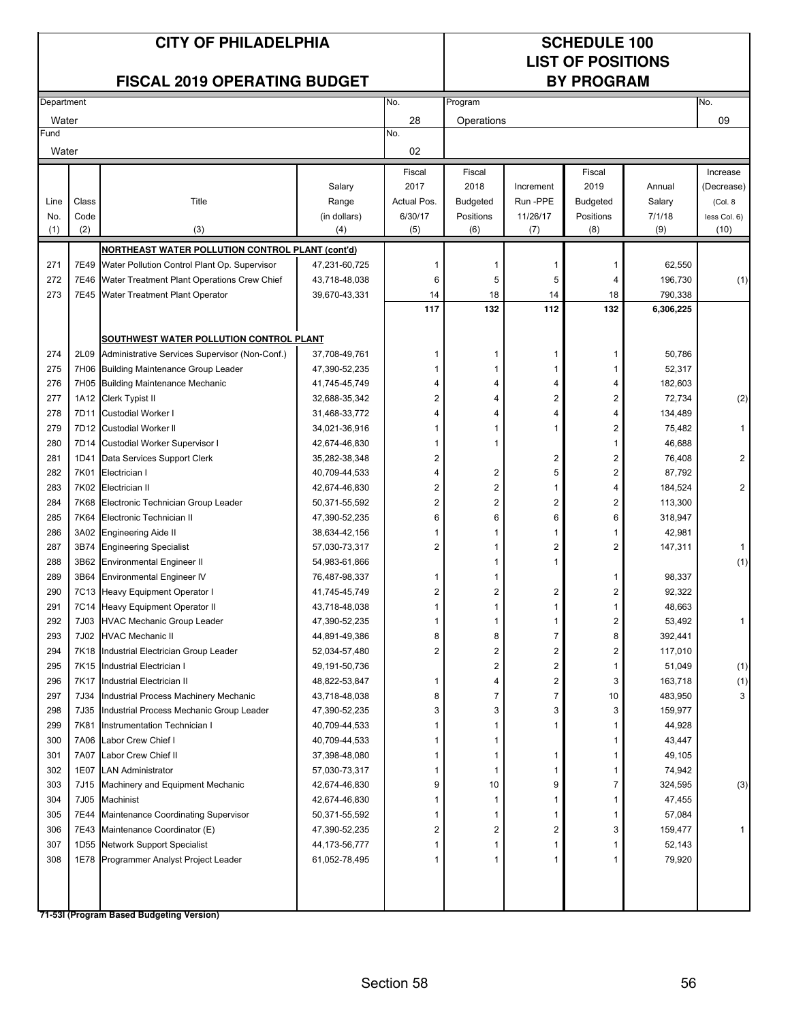### **LIST OF POSITIONS**

|            |              | <b>FISCAL 2019 OPERATING BUDGET</b>                                  |                                |                         |                 |                | <b>BY PROGRAM</b> |           |                |
|------------|--------------|----------------------------------------------------------------------|--------------------------------|-------------------------|-----------------|----------------|-------------------|-----------|----------------|
| Department |              |                                                                      |                                | No.                     | Program         |                |                   |           | No.            |
| Water      |              |                                                                      |                                | 28                      | Operations      |                |                   |           | 09             |
| Fund       |              |                                                                      |                                | No.                     |                 |                |                   |           |                |
| Water      |              |                                                                      |                                | 02                      |                 |                |                   |           |                |
|            |              |                                                                      |                                | Fiscal                  | Fiscal          |                | Fiscal            |           | Increase       |
|            |              |                                                                      | Salary                         | 2017                    | 2018            | Increment      | 2019              | Annual    | (Decrease)     |
| Line       | Class        | Title                                                                | Range                          | Actual Pos.             | <b>Budgeted</b> | Run-PPE        | Budgeted          | Salary    | (Col. 8        |
| No.        | Code         |                                                                      | (in dollars)                   | 6/30/17                 | Positions       | 11/26/17       | Positions         | 7/1/18    | less Col. 6)   |
| (1)        | (2)          | (3)                                                                  | (4)                            | (5)                     | (6)             | (7)            | (8)               | (9)       | (10)           |
|            |              | NORTHEAST WATER POLLUTION CONTROL PLANT (cont'd)                     |                                |                         |                 |                |                   |           |                |
| 271        | 7E49         | Water Pollution Control Plant Op. Supervisor                         | 47,231-60,725                  | 1                       |                 |                |                   | 62,550    |                |
| 272        | 7E46         | Water Treatment Plant Operations Crew Chief                          | 43,718-48,038                  | 6                       | 5               | 5              | 4                 | 196,730   | (1)            |
| 273        |              | 7E45 Water Treatment Plant Operator                                  | 39,670-43,331                  | 14                      | 18              | 14             | 18                | 790,338   |                |
|            |              |                                                                      |                                | 117                     | 132             | 112            | 132               | 6,306,225 |                |
|            |              |                                                                      |                                |                         |                 |                |                   |           |                |
|            |              | SOUTHWEST WATER POLLUTION CONTROL PLANT                              |                                |                         |                 |                |                   |           |                |
| 274        |              | 2L09 Administrative Services Supervisor (Non-Conf.)                  | 37,708-49,761                  | 1                       |                 |                |                   | 50,786    |                |
| 275        |              | 7H06 Building Maintenance Group Leader                               | 47,390-52,235                  | 1                       |                 |                |                   | 52,317    |                |
| 276        |              | 7H05 Building Maintenance Mechanic                                   | 41,745-45,749                  | 4                       | 4               | 4              | 4                 | 182,603   |                |
| 277        |              | 1A12 Clerk Typist II                                                 | 32,688-35,342                  | $\overline{\mathbf{c}}$ | 4               | 2              | 2                 | 72,734    | (2)            |
| 278        | 7D11         | <b>Custodial Worker I</b>                                            | 31,468-33,772                  | 4                       | Δ               | 4              | 4                 | 134,489   |                |
| 279        |              | 7D12 Custodial Worker II                                             | 34,021-36,916                  | 1                       |                 |                | 2                 | 75,482    | $\mathbf{1}$   |
| 280        |              | 7D14 Custodial Worker Supervisor I                                   | 42,674-46,830                  | 1                       |                 |                |                   | 46,688    |                |
| 281        | 1D41         | Data Services Support Clerk                                          | 35,282-38,348                  | $\overline{\mathbf{c}}$ |                 | 2              | 2                 | 76,408    | 2              |
| 282        | 7K01         | Electrician I                                                        | 40,709-44,533                  | 4                       | 2               | 5              | 2                 | 87,792    |                |
| 283        | 7K02         | Electrician II                                                       | 42,674-46,830                  | $\overline{\mathbf{c}}$ | $\overline{2}$  | 1              |                   | 184,524   | $\overline{2}$ |
| 284        | 7K68         | Electronic Technician Group Leader                                   | 50,371-55,592                  | $\overline{\mathbf{c}}$ | $\overline{2}$  | 2              | 2                 | 113,300   |                |
| 285        | 7K64         | Electronic Technician II                                             | 47,390-52,235                  | 6                       | 6               | 6              | 6                 | 318,947   |                |
| 286        |              | 3A02 Engineering Aide II                                             | 38,634-42,156                  | 1                       |                 |                |                   | 42,981    |                |
| 287<br>288 | 3B74<br>3B62 | <b>Engineering Specialist</b>                                        | 57,030-73,317<br>54,983-61,866 | $\overline{\mathbf{c}}$ |                 | 2              | 2                 | 147,311   | $\mathbf{1}$   |
| 289        | 3B64         | <b>Environmental Engineer II</b><br><b>Environmental Engineer IV</b> | 76,487-98,337                  | 1                       |                 |                |                   | 98,337    | (1)            |
| 290        |              | 7C13 Heavy Equipment Operator I                                      | 41,745-45,749                  | $\overline{\mathbf{c}}$ | $\overline{2}$  | 2              | 2                 | 92,322    |                |
| 291        |              | 7C14 Heavy Equipment Operator II                                     | 43,718-48,038                  | 1                       | 1               |                |                   | 48,663    |                |
| 292        | 7J03         | <b>HVAC Mechanic Group Leader</b>                                    | 47,390-52,235                  | 1                       |                 |                | 2                 | 53,492    | 1              |
| 293        |              | 7J02 HVAC Mechanic II                                                | 44,891-49,386                  | 8                       | 8               | 7              | 8                 | 392,441   |                |
| 294        |              | 7K18 Industrial Electrician Group Leader                             | 52,034-57,480                  | $\overline{2}$          | 2               | $\overline{2}$ | $\overline{2}$    | 117,010   |                |
| 295        |              | 7K15 Industrial Electrician I                                        | 49,191-50,736                  |                         | 2               | 2              |                   | 51,049    | (1)            |
| 296        |              | 7K17 Industrial Electrician II                                       | 48,822-53,847                  | 1                       | 4               | 2              | 3                 | 163,718   | (1)            |
| 297        |              | 7J34 Industrial Process Machinery Mechanic                           | 43,718-48,038                  | 8                       | 7               | 7              | 10                | 483,950   | 3              |
| 298        |              | 7J35 Industrial Process Mechanic Group Leader                        | 47,390-52,235                  | 3                       | 3               | 3              | 3                 | 159,977   |                |
| 299        |              | 7K81 Instrumentation Technician I                                    | 40,709-44,533                  | 1                       | 1               |                |                   | 44,928    |                |
| 300        |              | 7A06 Labor Crew Chief I                                              | 40,709-44,533                  | 1                       | 1               |                |                   | 43,447    |                |
| 301        | 7A07         | Labor Crew Chief II                                                  | 37,398-48,080                  | 1                       | 1               | 1              |                   | 49,105    |                |
| 302        | 1E07         | <b>LAN Administrator</b>                                             | 57,030-73,317                  | 1                       | 1               | 1              |                   | 74,942    |                |
| 303        | 7J15         | Machinery and Equipment Mechanic                                     | 42,674-46,830                  | 9                       | 10              | 9              | 7                 | 324,595   | (3)            |
| 304        | 7J05         | Machinist                                                            | 42,674-46,830                  | 1                       | 1               | 1              |                   | 47,455    |                |
| 305        | 7E44         | Maintenance Coordinating Supervisor                                  | 50,371-55,592                  | 1                       | 1               | 1              |                   | 57,084    |                |
| 306        | 7E43         | Maintenance Coordinator (E)                                          | 47,390-52,235                  | 2                       | 2               | 2              | 3                 | 159,477   |                |
| 307        |              | 1D55 Network Support Specialist                                      | 44, 173-56, 777                | 1                       | 1               | 1              |                   | 52,143    |                |
| 308        |              | 1E78 Programmer Analyst Project Leader                               | 61,052-78,495                  | 1                       |                 |                |                   | 79,920    |                |
|            |              |                                                                      |                                |                         |                 |                |                   |           |                |
|            |              |                                                                      |                                |                         |                 |                |                   |           |                |
|            |              |                                                                      |                                |                         |                 |                |                   |           |                |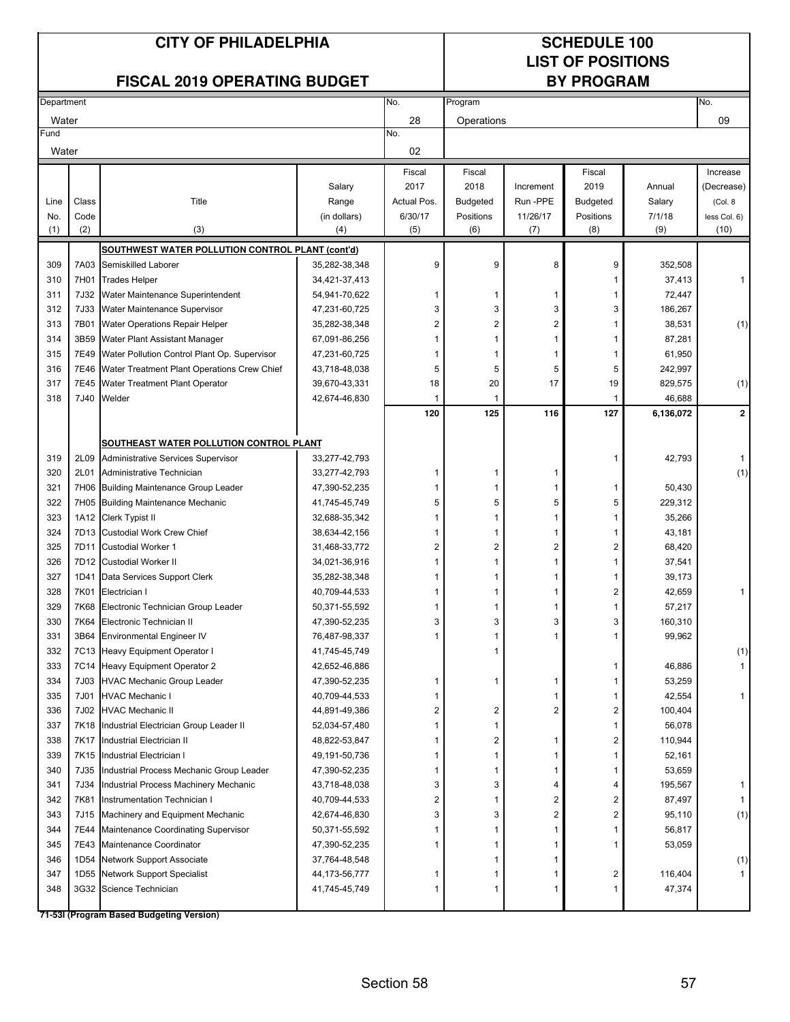### **LIST OF POSITIONS**

|            |             | <b>FISCAL 2019 OPERATING BUDGET</b>                               |                                |                |                 |           | <b>BY PROGRAM</b> |                     |                |
|------------|-------------|-------------------------------------------------------------------|--------------------------------|----------------|-----------------|-----------|-------------------|---------------------|----------------|
| Department |             |                                                                   |                                | No.            | Program         |           |                   |                     | No.            |
| Water      |             |                                                                   |                                | 28             | Operations      |           |                   |                     | 09             |
| Fund       |             |                                                                   |                                | No.            |                 |           |                   |                     |                |
| Water      |             |                                                                   |                                | 02             |                 |           |                   |                     |                |
|            |             |                                                                   |                                | Fiscal         | Fiscal          |           | Fiscal            |                     | Increase       |
|            |             |                                                                   | Salary                         | 2017           | 2018            | Increment | 2019              | Annual              | (Decrease)     |
| Line       | Class       | Title                                                             | Range                          | Actual Pos.    | <b>Budgeted</b> | Run-PPE   | <b>Budgeted</b>   | Salary              | (Col. 8)       |
| No.        | Code        |                                                                   | (in dollars)                   | 6/30/17        | Positions       | 11/26/17  | Positions         | 7/1/18              | less Col. 6)   |
| (1)        | (2)         | (3)                                                               | (4)                            | (5)            | (6)             | (7)       | (8)               | (9)                 | (10)           |
|            |             | SOUTHWEST WATER POLLUTION CONTROL PLANT (cont'd)                  |                                |                |                 |           |                   |                     |                |
| 309        |             | 7A03 Semiskilled Laborer                                          | 35,282-38,348                  | 9              | 9               | 8         | 9                 | 352,508             |                |
| 310        | 7H01        | <b>Trades Helper</b>                                              | 34,421-37,413                  |                |                 |           | 1                 | 37,413              | 1              |
| 311        | 7J32        | Water Maintenance Superintendent                                  | 54,941-70,622                  | 1              | 1               | 1         | 1                 | 72,447              |                |
| 312        | <b>7J33</b> | Water Maintenance Supervisor                                      | 47,231-60,725                  | 3              | 3               | 3         | 3                 | 186,267             |                |
| 313        | 7B01        | Water Operations Repair Helper                                    | 35,282-38,348                  | $\overline{2}$ | 2               | 2         | 1                 | 38,531              | (1)            |
| 314        | 3B59        | Water Plant Assistant Manager                                     | 67,091-86,256                  | 1              | 1               | 1         |                   | 87,281              |                |
| 315        | 7E49        | Water Pollution Control Plant Op. Supervisor                      | 47,231-60,725                  | 1              | 1               | 1         | 1                 | 61,950              |                |
| 316        |             | 7E46 Water Treatment Plant Operations Crew Chief                  | 43,718-48,038                  | 5              | 5               | 5         | 5                 | 242,997             |                |
| 317        | 7E45        | Water Treatment Plant Operator                                    | 39,670-43,331                  | 18             | 20              | 17        | 19                | 829,575             | (1)            |
| 318        | 7J40        | Welder                                                            | 42,674-46,830                  | -1<br>120      | 1<br>125        | 116       | 127               | 46,688<br>6,136,072 | $\overline{2}$ |
|            |             |                                                                   |                                |                |                 |           |                   |                     |                |
|            |             | <b>SOUTHEAST WATER POLLUTION CONTROL PLANT</b>                    |                                |                |                 |           |                   |                     |                |
| 319        | 2L09        | Administrative Services Supervisor                                | 33,277-42,793                  |                |                 |           | 1                 | 42,793              | 1              |
| 320        | 2L01        | Administrative Technician                                         | 33,277-42,793                  | 1              | 1               | 1         |                   |                     | (1)            |
| 321        |             | 7H06 Building Maintenance Group Leader                            | 47,390-52,235                  | 1              | 1               | 1         | 1                 | 50,430              |                |
| 322        | 7H05        | <b>Building Maintenance Mechanic</b>                              | 41,745-45,749                  | 5              | 5               | 5         | 5                 | 229,312             |                |
| 323        | 1A12        | Clerk Typist II                                                   | 32,688-35,342                  |                | 1               | 1         |                   | 35,266              |                |
| 324        |             | 7D13 Custodial Work Crew Chief                                    | 38,634-42,156                  | 1              | 1               | 1         | 1                 | 43,181              |                |
| 325        | 7D11        | <b>Custodial Worker 1</b>                                         | 31,468-33,772                  | 2              | 2               | 2         | 2                 | 68,420              |                |
| 326        |             | 7D12 Custodial Worker II                                          | 34,021-36,916                  | 1              | 1               | 1         | 1                 | 37,541              |                |
| 327        | 1D41        | Data Services Support Clerk                                       | 35,282-38,348                  | 1              | 1               | 1         | 1                 | 39,173              |                |
| 328        | 7K01        | Electrician I                                                     | 40,709-44,533                  | 1              | 1               | 1         | 2                 | 42,659              | 1              |
| 329        | 7K68        | Electronic Technician Group Leader                                | 50,371-55,592                  | 1              |                 | 1         | 1                 | 57,217              |                |
| 330        | 7K64        | Electronic Technician II                                          | 47,390-52,235                  | 3              | 3               | 3         | 3                 | 160,310             |                |
| 331<br>332 |             | 3B64 Environmental Engineer IV<br>7C13 Heavy Equipment Operator I | 76,487-98,337<br>41,745-45,749 | 1              |                 | 1         |                   | 99,962              |                |
| 333        |             | 7C14 Heavy Equipment Operator 2                                   | 42,652-46,886                  |                |                 |           | 1                 | 46,886              | (1)<br>1       |
| 334        | 7J03        | <b>HVAC Mechanic Group Leader</b>                                 | 47,390-52,235                  | 1              | 1               | 1         | 1                 | 53,259              |                |
| 335        | 7J01        | <b>HVAC Mechanic I</b>                                            | 40,709-44,533                  | 1              |                 | 1         | 1                 | 42,554              | 1              |
| 336        | 7J02        | <b>HVAC Mechanic II</b>                                           | 44,891-49,386                  | 2              | 2               | 2         | 2                 | 100,404             |                |
| 337        | 7K18        | Industrial Electrician Group Leader II                            | 52,034-57,480                  |                | 1               |           | 1                 | 56,078              |                |
| 338        | 7K17        | Industrial Electrician II                                         | 48,822-53,847                  |                | 2               | 1         | 2                 | 110,944             |                |
| 339        |             | 7K15 Industrial Electrician I                                     | 49,191-50,736                  |                | 1               | 1         | 1                 | 52,161              |                |
| 340        | 7J35        | Industrial Process Mechanic Group Leader                          | 47,390-52,235                  | 1              | 1               | 1         | 1                 | 53,659              |                |
| 341        | 7J34        | Industrial Process Machinery Mechanic                             | 43,718-48,038                  | 3              | 3               | 4         | 4                 | 195,567             | 1              |
| 342        | 7K81        | Instrumentation Technician I                                      | 40,709-44,533                  | 2              |                 | 2         | 2                 | 87,497              | 1              |
| 343        | 7J15        | Machinery and Equipment Mechanic                                  | 42,674-46,830                  | 3              | 3               | 2         | 2                 | 95,110              | (1)            |
| 344        |             | 7E44 Maintenance Coordinating Supervisor                          | 50,371-55,592                  |                |                 | 1         | 1                 | 56,817              |                |
| 345        | 7E43        | Maintenance Coordinator                                           | 47,390-52,235                  |                |                 | 1         |                   | 53,059              |                |
| 346        |             | 1D54 Network Support Associate                                    | 37,764-48,548                  |                | 1               | 1         |                   |                     | (1)            |
| 347<br>348 |             | 1D55 Network Support Specialist<br>3G32 Science Technician        | 44,173-56,777<br>41,745-45,749 | 1              | 1<br>1          | 1<br>1    | 2                 | 116,404<br>47,374   | 1              |
|            |             |                                                                   |                                |                |                 |           |                   |                     |                |
|            |             |                                                                   |                                |                |                 |           |                   |                     |                |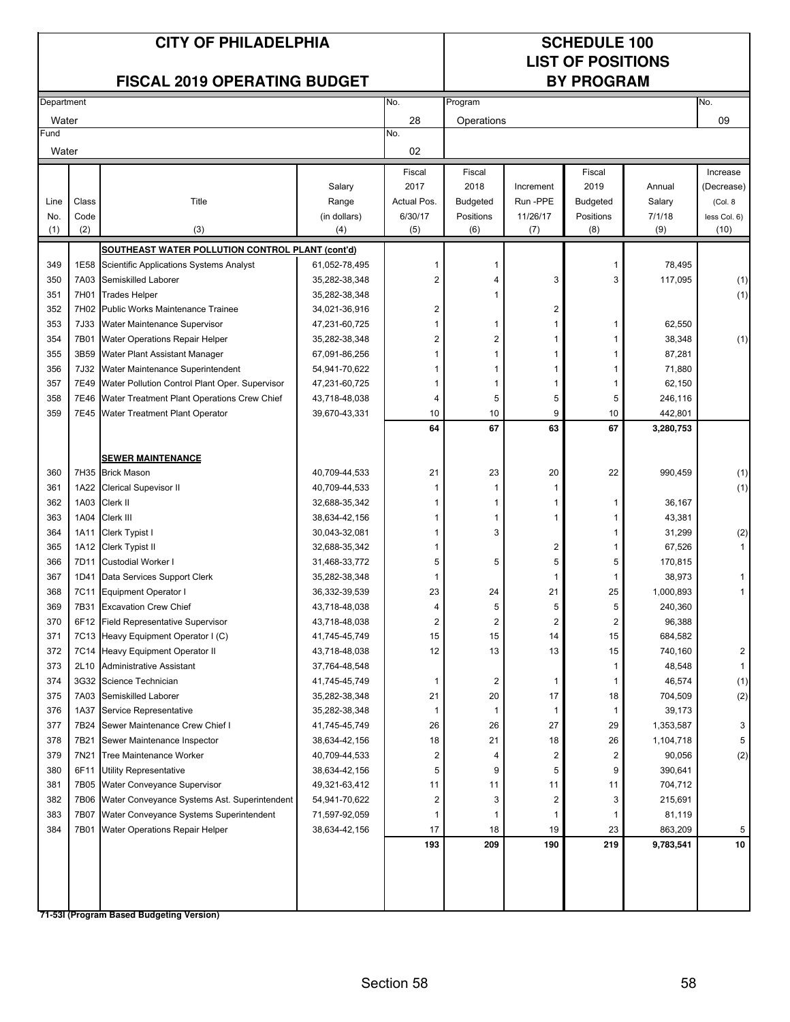### **LIST OF POSITIONS**

|            |             | <b>FISCAL 2019 OPERATING BUDGET</b>                 |                                |                         | <b>BY PROGRAM</b>       |                         |                 |                   |              |
|------------|-------------|-----------------------------------------------------|--------------------------------|-------------------------|-------------------------|-------------------------|-----------------|-------------------|--------------|
| Department |             |                                                     |                                | No.                     | Program                 |                         |                 |                   | No.          |
| Water      |             |                                                     |                                | 28                      | Operations              |                         |                 |                   | 09           |
| Fund       |             |                                                     |                                | No.                     |                         |                         |                 |                   |              |
| Water      |             |                                                     |                                | 02                      |                         |                         |                 |                   |              |
|            |             |                                                     |                                | Fiscal                  | Fiscal                  |                         | Fiscal          |                   | Increase     |
|            |             |                                                     | Salary                         | 2017                    | 2018                    | Increment               | 2019            | Annual            | (Decrease)   |
| Line       | Class       | Title                                               | Range                          | Actual Pos.             | <b>Budgeted</b>         | Run-PPE                 | <b>Budgeted</b> | Salary            | (Col. 8      |
| No.        | Code        |                                                     | (in dollars)                   | 6/30/17                 | Positions               | 11/26/17                | Positions       | 7/1/18            | less Col. 6) |
| (1)        | (2)         | (3)                                                 | (4)                            | (5)                     | (6)                     | (7)                     | (8)             | (9)               | (10)         |
|            |             | SOUTHEAST WATER POLLUTION CONTROL PLANT (cont'd)    |                                |                         |                         |                         |                 |                   |              |
| 349        | 1E58        | Scientific Applications Systems Analyst             | 61,052-78,495                  |                         | 1                       |                         | 1               | 78,495            |              |
| 350        | 7A03        | Semiskilled Laborer                                 | 35,282-38,348                  | $\overline{2}$          | 4                       | 3                       | 3               | 117,095           | (1)          |
| 351        | 7H01        | <b>Trades Helper</b>                                | 35,282-38,348                  |                         | 1                       |                         |                 |                   | (1)          |
| 352        |             | 7H02 Public Works Maintenance Trainee               | 34,021-36,916                  | 2                       |                         | 2                       |                 |                   |              |
| 353        | <b>7J33</b> | Water Maintenance Supervisor                        | 47,231-60,725                  | 1                       | 1                       | 1                       | 1               | 62,550            |              |
| 354        | 7B01        | Water Operations Repair Helper                      | 35,282-38,348                  | $\overline{\mathbf{c}}$ | $\overline{c}$          | 1                       |                 | 38,348            | (1)          |
| 355        | 3B59        | Water Plant Assistant Manager                       | 67,091-86,256                  | 1                       | $\mathbf{1}$            | 1                       |                 | 87,281            |              |
| 356        | 7J32        | Water Maintenance Superintendent                    | 54,941-70,622                  | 1                       | 1                       | 1                       |                 | 71,880            |              |
| 357        | 7E49        | Water Pollution Control Plant Oper. Supervisor      | 47,231-60,725                  | -1                      | 1                       | 1                       | 1               | 62,150            |              |
| 358        | 7E46        | Water Treatment Plant Operations Crew Chief         | 43,718-48,038                  | 4                       | 5                       | 5                       | 5               | 246,116           |              |
| 359        | 7E45        | Water Treatment Plant Operator                      | 39,670-43,331                  | 10                      | 10                      | 9                       | 10              | 442,801           |              |
|            |             |                                                     |                                | 64                      | 67                      | 63                      | 67              | 3,280,753         |              |
|            |             |                                                     |                                |                         |                         |                         |                 |                   |              |
|            |             | <b>SEWER MAINTENANCE</b>                            |                                |                         |                         |                         |                 |                   |              |
| 360        |             | 7H35 Brick Mason                                    | 40,709-44,533                  | 21                      | 23                      | 20                      | 22              | 990,459           | (1)          |
| 361        | 1A22        | <b>Clerical Supevisor II</b>                        | 40,709-44,533                  | -1                      | 1                       | 1                       |                 |                   | (1)          |
| 362        | 1A03        | Clerk II                                            | 32,688-35,342                  | 1                       | 1                       | 1                       | 1               | 36,167            |              |
| 363        | 1A04        | Clerk III                                           | 38,634-42,156                  | 1                       | 1                       | 1                       | 1               | 43,381            |              |
| 364        | 1A11        | Clerk Typist I                                      | 30,043-32,081                  | 1                       | 3                       |                         | 1               | 31,299            | (2)          |
| 365        | 1A12        | Clerk Typist II                                     | 32,688-35,342                  | 1                       |                         | 2                       | 1               | 67,526            | $\mathbf{1}$ |
| 366        | 7D11        | <b>Custodial Worker I</b>                           | 31,468-33,772                  | 5                       | 5                       | 5                       | 5               | 170,815           |              |
| 367        | 1D41        | Data Services Support Clerk                         | 35,282-38,348                  | -1                      |                         | 1                       | 1               | 38,973            | $\mathbf{1}$ |
| 368        | 7C11        | <b>Equipment Operator I</b>                         | 36,332-39,539                  | 23                      | 24                      | 21                      | 25              | 1,000,893         | 1            |
| 369        | 7B31        | <b>Excavation Crew Chief</b>                        | 43,718-48,038                  | 4                       | 5                       | 5                       | 5               | 240,360           |              |
| 370        | 6F12        | <b>Field Representative Supervisor</b>              | 43,718-48,038                  | 2                       | $\overline{2}$          | 2                       | 2               | 96,388            |              |
| 371        |             | 7C13 Heavy Equipment Operator I (C)                 | 41,745-45,749                  | 15                      | 15                      | 14                      | 15              | 684,582           |              |
| 372        |             | 7C14 Heavy Equipment Operator II                    | 43,718-48,038                  | 12                      | 13                      | 13                      | 15              | 740,160           | 2            |
| 373        | 2L10        | <b>Administrative Assistant</b>                     | 37,764-48,548                  |                         |                         |                         | -1              | 48,548            | $\mathbf{1}$ |
| 374        |             | 3G32 Science Technician<br>7A03 Semiskilled Laborer | 41,745-45,749                  | 1                       | $\overline{\mathbf{c}}$ | 1                       | -1              | 46,574            | (1)          |
| 375<br>376 | 1A37        | Service Representative                              | 35,282-38,348<br>35,282-38,348 | 21                      | 20<br>1                 | 17<br>1                 | 18<br>1         | 704,509<br>39,173 | (2)          |
| 377        | 7B24        | Sewer Maintenance Crew Chief I                      | 41,745-45,749                  | 26                      | 26                      | 27                      | 29              | 1,353,587         | 3            |
| 378        | 7B21        | Sewer Maintenance Inspector                         | 38,634-42,156                  | 18                      | 21                      | 18                      | 26              | 1,104,718         | 5            |
| 379        | 7N21        | Tree Maintenance Worker                             | 40,709-44,533                  | 2                       | 4                       | 2                       | $\overline{2}$  | 90,056            | (2)          |
| 380        | 6F11        | <b>Utility Representative</b>                       | 38,634-42,156                  | 5                       | 9                       | 5                       | 9               | 390,641           |              |
| 381        | 7B05        | Water Conveyance Supervisor                         | 49,321-63,412                  | 11                      | 11                      | 11                      | 11              | 704,712           |              |
| 382        | 7B06        | Water Conveyance Systems Ast. Superintendent        | 54,941-70,622                  | 2                       | 3                       | $\overline{\mathbf{c}}$ | 3               | 215,691           |              |
| 383        | 7B07        | Water Conveyance Systems Superintendent             | 71,597-92,059                  |                         | 1                       | 1                       | 1               | 81,119            |              |
| 384        | 7B01        | Water Operations Repair Helper                      | 38,634-42,156                  | 17                      | 18                      | 19                      | 23              | 863,209           | 5            |
|            |             |                                                     |                                | 193                     | 209                     | 190                     | 219             | 9,783,541         | 10           |
|            |             |                                                     |                                |                         |                         |                         |                 |                   |              |
|            |             |                                                     |                                |                         |                         |                         |                 |                   |              |
|            |             |                                                     |                                |                         |                         |                         |                 |                   |              |
|            |             |                                                     |                                |                         |                         |                         |                 |                   |              |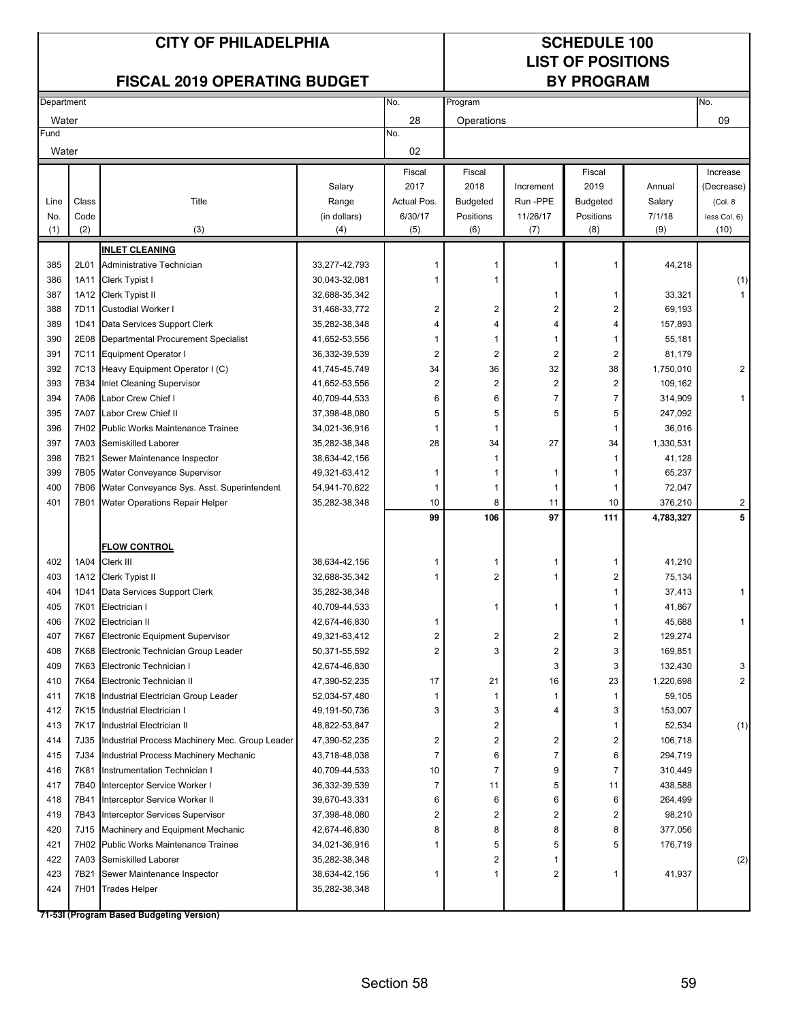### **LIST OF POSITIONS**

|            |       | <b>FISCAL 2019 OPERATING BUDGET</b>                 |                                |                         |                              |                              | <b>BY PROGRAM</b>        |                      |                              |
|------------|-------|-----------------------------------------------------|--------------------------------|-------------------------|------------------------------|------------------------------|--------------------------|----------------------|------------------------------|
| Department |       |                                                     |                                | No.                     | Program                      |                              |                          |                      | No.                          |
| Water      |       |                                                     |                                | 28                      | Operations                   |                              |                          |                      | 09                           |
| Fund       |       |                                                     |                                | No.                     |                              |                              |                          |                      |                              |
| Water      |       |                                                     |                                | 02                      |                              |                              |                          |                      |                              |
|            |       |                                                     |                                | Fiscal                  | Fiscal                       |                              | Fiscal                   |                      | Increase                     |
|            |       |                                                     | Salary                         | 2017                    | 2018                         | Increment                    | 2019                     | Annual               | (Decrease)                   |
| Line       | Class | Title                                               | Range                          | Actual Pos.             | <b>Budgeted</b>              | Run -PPE                     | <b>Budgeted</b>          | Salary               | (Col. 8                      |
| No.        | Code  |                                                     | (in dollars)                   | 6/30/17                 | Positions                    | 11/26/17                     | Positions                | 7/1/18               | less Col. 6)                 |
| (1)        | (2)   | (3)                                                 | (4)                            | (5)                     | (6)                          | (7)                          | (8)                      | (9)                  | (10)                         |
|            |       | <b>INLET CLEANING</b>                               |                                |                         |                              |                              |                          |                      |                              |
| 385        | 2L01  | Administrative Technician                           | 33,277-42,793                  |                         |                              |                              | $\overline{\phantom{a}}$ | 44,218               |                              |
| 386        | 1A11  | Clerk Typist I                                      | 30,043-32,081                  | 1                       |                              |                              |                          |                      | (1)                          |
| 387        |       | 1A12 Clerk Typist II                                | 32,688-35,342                  |                         |                              | 1                            | 1                        | 33,321               | $\mathbf{1}$                 |
| 388        | 7D11  | <b>Custodial Worker I</b>                           | 31,468-33,772                  | 2                       | $\overline{\mathbf{c}}$      | 2                            | 2                        | 69,193               |                              |
| 389        | 1D41  | Data Services Support Clerk                         | 35,282-38,348                  |                         | 4                            | 4                            | 4                        | 157,893              |                              |
| 390        | 2E08  | Departmental Procurement Specialist                 | 41,652-53,556                  | 1                       | 1                            | 1                            | 1                        | 55,181               |                              |
| 391        | 7C11  | Equipment Operator I                                | 36,332-39,539                  | $\overline{\mathbf{c}}$ | $\overline{2}$               | $\overline{\mathbf{c}}$      | $\overline{2}$           | 81,179               |                              |
| 392        |       | 7C13 Heavy Equipment Operator I (C)                 | 41,745-45,749                  | 34                      | 36                           | 32                           | 38                       | 1,750,010            | $\boldsymbol{2}$             |
| 393        | 7B34  | Inlet Cleaning Supervisor                           | 41,652-53,556                  | $\overline{\mathbf{c}}$ | $\overline{2}$               | $\overline{c}$               | $\overline{2}$           | 109,162              |                              |
| 394        | 7A06  | Labor Crew Chief I                                  | 40,709-44,533                  | 6                       | 6                            | $\overline{7}$               | 7                        | 314,909              | $\mathbf{1}$                 |
| 395        | 7A07  | Labor Crew Chief II                                 | 37,398-48,080                  | 5                       | 5                            | 5                            | 5                        | 247,092              |                              |
| 396        | 7H02  | Public Works Maintenance Trainee                    | 34,021-36,916                  | 1                       | $\overline{1}$               |                              | 1                        | 36,016               |                              |
| 397        | 7A03  | Semiskilled Laborer                                 | 35,282-38,348                  | 28                      | 34                           | 27                           | 34                       | 1,330,531            |                              |
| 398        | 7B21  | Sewer Maintenance Inspector                         | 38,634-42,156                  |                         | 1                            |                              | -1                       | 41,128               |                              |
| 399        | 7B05  | Water Conveyance Supervisor                         | 49,321-63,412                  | 1                       |                              | 1                            | -1                       | 65,237               |                              |
| 400        | 7B06  | Water Conveyance Sys. Asst. Superintendent          | 54,941-70,622                  | 1                       | 1                            | 1                            | -1                       | 72,047               |                              |
| 401        | 7B01  | Water Operations Repair Helper                      | 35,282-38,348                  | 10<br>99                | 8<br>106                     | 11<br>97                     | 10<br>111                | 376,210<br>4,783,327 | $\overline{\mathbf{c}}$<br>5 |
|            |       |                                                     |                                |                         |                              |                              |                          |                      |                              |
|            |       | <b>FLOW CONTROL</b>                                 |                                |                         |                              |                              |                          |                      |                              |
| 402        | 1A04  | Clerk III                                           | 38,634-42,156                  | 1                       | 1                            | 1                            | 1                        | 41,210               |                              |
| 403        | 1A12  | Clerk Typist II                                     | 32,688-35,342                  | 1                       | $\overline{2}$               | 1                            | 2                        | 75,134               |                              |
| 404        | 1D41  | Data Services Support Clerk                         | 35,282-38,348                  |                         |                              |                              | 1                        | 37,413               | 1                            |
| 405        | 7K01  | Electrician I                                       | 40,709-44,533                  |                         |                              | 1                            |                          | 41,867               |                              |
| 406        | 7K02  | Electrician II                                      | 42,674-46,830                  |                         |                              |                              |                          | 45,688               | $\mathbf{1}$                 |
| 407        | 7K67  | Electronic Equipment Supervisor                     | 49,321-63,412                  | 2                       | 2                            | 2                            | 2                        | 129,274              |                              |
| 408        | 7K68  | Electronic Technician Group Leader                  | 50,371-55,592                  | 2                       | 3                            | 2                            | 3                        | 169,851              |                              |
| 409        | 7K63  | Electronic Technician I                             | 42,674-46,830                  |                         |                              | 3                            | 3                        | 132,430              | 3                            |
| 410        | 7K64  | Electronic Technician II                            | 47,390-52,235                  | 17                      | 21                           | 16                           | 23                       | 1,220,698            | $\overline{2}$               |
| 411        |       | 7K18 Industrial Electrician Group Leader            | 52,034-57,480                  | 1                       | 1                            | 1                            | -1                       | 59,105               |                              |
| 412        |       | 7K15 Industrial Electrician I                       | 49, 191-50, 736                | 3                       | 3                            | 4                            | 3                        | 153,007              |                              |
| 413        | 7K17  | Industrial Electrician II                           | 48,822-53,847                  |                         | 2                            |                              | -1                       | 52,534               | (1)                          |
| 414        | 7J35  | Industrial Process Machinery Mec. Group Leader      | 47,390-52,235                  | 2                       | $\overline{\mathbf{c}}$      | 2                            | 2                        | 106,718              |                              |
| 415        | 7J34  | Industrial Process Machinery Mechanic               | 43,718-48,038                  | $\overline{7}$          | 6                            | $\overline{7}$               | 6                        | 294,719              |                              |
| 416        | 7K81  | Instrumentation Technician I                        | 40,709-44,533                  | 10                      | $\overline{7}$               | 9                            | 7                        | 310,449              |                              |
| 417        | 7B40  | Interceptor Service Worker I                        | 36,332-39,539                  | 7                       | 11                           | 5                            | 11                       | 438,588              |                              |
| 418        | 7B41  | Interceptor Service Worker II                       | 39,670-43,331                  | 6                       | 6                            | 6                            | 6                        | 264,499              |                              |
| 419        | 7B43  | Interceptor Services Supervisor                     | 37,398-48,080                  | 2                       | $\overline{2}$               | 2                            | $\overline{2}$           | 98,210               |                              |
| 420        | 7J15  | Machinery and Equipment Mechanic                    | 42,674-46,830                  | 8                       | 8                            | 8                            | 8                        | 377,056              |                              |
| 421        |       | 7H02 Public Works Maintenance Trainee               | 34,021-36,916                  |                         | 5                            | 5                            | 5                        | 176,719              |                              |
| 422<br>423 | 7B21  | 7A03 Semiskilled Laborer                            | 35,282-38,348                  | 1                       | $\overline{\mathbf{c}}$<br>1 | 1<br>$\overline{\mathbf{c}}$ | -1                       |                      | (2)                          |
| 424        | 7H01  | Sewer Maintenance Inspector<br><b>Trades Helper</b> | 38,634-42,156<br>35,282-38,348 |                         |                              |                              |                          | 41,937               |                              |
|            |       |                                                     |                                |                         |                              |                              |                          |                      |                              |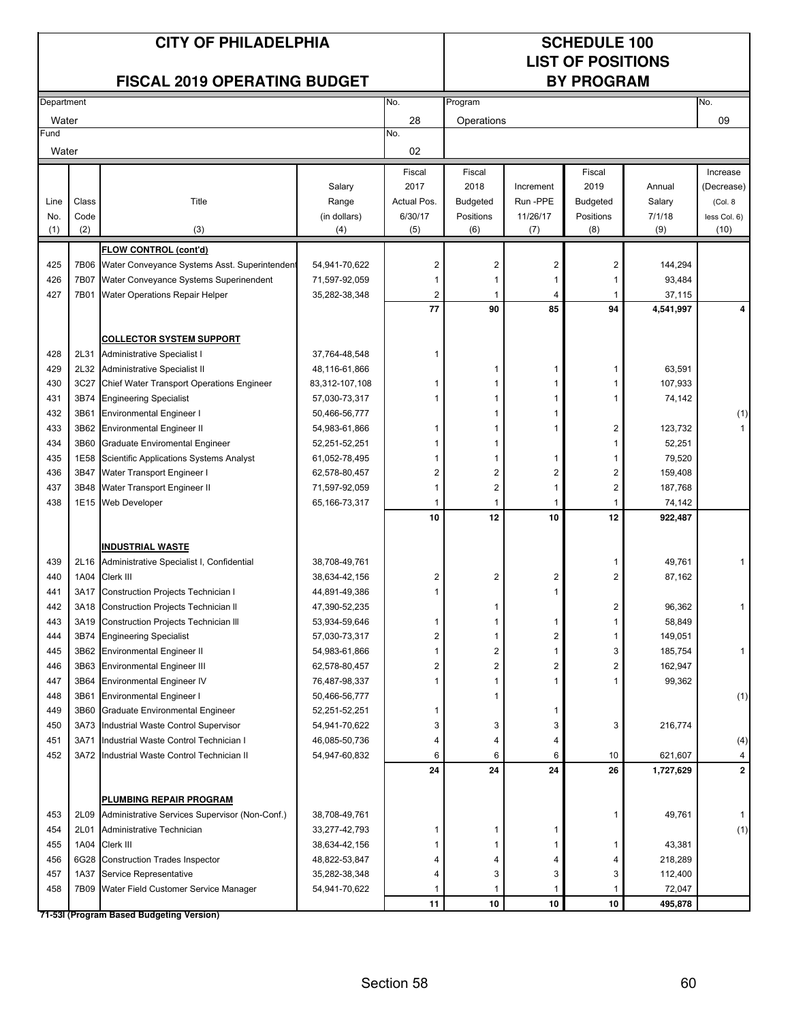### **LIST OF POSITIONS**

#### **FISCAL 2019 OPERATING BUDGET**

| <b>Department</b> |              |                                                                             |                                | No.            | Program                 |                         |                         |                    | No.          |
|-------------------|--------------|-----------------------------------------------------------------------------|--------------------------------|----------------|-------------------------|-------------------------|-------------------------|--------------------|--------------|
| Water             |              |                                                                             |                                | 28             | Operations              |                         |                         |                    | 09           |
| Fund              |              |                                                                             |                                | No.            |                         |                         |                         |                    |              |
| Water             |              |                                                                             |                                | 02             |                         |                         |                         |                    |              |
|                   |              |                                                                             |                                | Fiscal         | Fiscal                  |                         | Fiscal                  |                    | Increase     |
|                   |              |                                                                             | Salary                         | 2017           | 2018                    | Increment               | 2019                    | Annual             | (Decrease)   |
| Line              | Class        | Title                                                                       | Range                          | Actual Pos.    | <b>Budgeted</b>         | Run -PPE                | <b>Budgeted</b>         | Salary             | (Col. 8      |
| No.               | Code         |                                                                             | (in dollars)                   | 6/30/17        | Positions               | 11/26/17                | Positions               | 7/1/18             | less Col. 6) |
| (1)               | (2)          | (3)                                                                         | (4)                            | (5)            | (6)                     | (7)                     | (8)                     | (9)                | (10)         |
|                   |              | <b>FLOW CONTROL (cont'd)</b>                                                |                                |                |                         |                         |                         |                    |              |
| 425               | 7B06         | Water Conveyance Systems Asst. Superintendent                               | 54,941-70,622                  | $\overline{c}$ | 2                       | $\overline{\mathbf{c}}$ | $\overline{\mathbf{c}}$ | 144,294            |              |
| 426               | 7B07         | Water Conveyance Systems Superinendent                                      | 71,597-92,059                  | 1              | 1                       | $\mathbf{1}$            | 1                       | 93,484             |              |
| 427               | 7B01         | Water Operations Repair Helper                                              | 35,282-38,348                  | 2              | 1                       | 4                       | -1                      | 37,115             |              |
|                   |              |                                                                             |                                | 77             | 90                      | 85                      | 94                      | 4,541,997          | 4            |
|                   |              |                                                                             |                                |                |                         |                         |                         |                    |              |
|                   |              | <b>COLLECTOR SYSTEM SUPPORT</b>                                             |                                |                |                         |                         |                         |                    |              |
| 428               | 2L31         | Administrative Specialist I                                                 | 37,764-48,548                  | 1              |                         |                         |                         |                    |              |
| 429               | 2L32         | Administrative Specialist II                                                | 48,116-61,866                  |                | 1                       | 1                       | 1                       | 63,591             |              |
| 430               | 3C27         | <b>Chief Water Transport Operations Engineer</b>                            | 83,312-107,108                 | 1              | 1                       | 1                       | 1                       | 107,933            |              |
| 431               | 3B74         | <b>Engineering Specialist</b>                                               | 57,030-73,317                  | 1              | 1                       | 1                       | 1                       | 74,142             |              |
| 432               | 3B61         | <b>Environmental Engineer I</b>                                             | 50,466-56,777                  |                | 1                       | 1                       |                         |                    | (1)          |
| 433               | 3B62         | <b>Environmental Engineer II</b>                                            | 54,983-61,866                  | 1              | 1                       | 1                       | 2                       | 123,732            |              |
| 434               | 3B60         | Graduate Enviromental Engineer                                              | 52,251-52,251                  | 1              | 1                       |                         | 1                       | 52,251             |              |
| 435               | 1E58         | Scientific Applications Systems Analyst                                     | 61,052-78,495                  | 1              | 1                       | 1                       | 1                       | 79,520             |              |
| 436               | 3B47         | Water Transport Engineer I                                                  | 62,578-80,457                  | 2              | $\overline{\mathbf{c}}$ | $\boldsymbol{2}$        | $\overline{\mathbf{c}}$ | 159,408            |              |
| 437               | 3B48         | Water Transport Engineer II                                                 | 71,597-92,059                  | 1              | $\overline{c}$          | $\mathbf{1}$            | $\mathbf 2$             | 187,768            |              |
| 438               | 1E15         | <b>Web Developer</b>                                                        | 65, 166-73, 317                | 1              | 1                       | $\mathbf{1}$            | $\mathbf{1}$            | 74,142             |              |
|                   |              |                                                                             |                                | 10             | 12                      | 10                      | 12                      | 922,487            |              |
|                   |              |                                                                             |                                |                |                         |                         |                         |                    |              |
|                   |              | <b>INDUSTRIAL WASTE</b>                                                     |                                |                |                         |                         |                         |                    |              |
| 439               | 2L16         | Administrative Specialist I, Confidential                                   | 38,708-49,761                  |                |                         |                         | 1                       | 49,761             | 1            |
| 440               | 1A04         | Clerk III                                                                   | 38,634-42,156                  | 2              | $\overline{\mathbf{c}}$ | $\overline{\mathbf{c}}$ | $\overline{2}$          | 87,162             |              |
| 441               | 3A17         | Construction Projects Technician I                                          | 44,891-49,386                  | 1              |                         | $\mathbf{1}$            |                         |                    |              |
| 442               | 3A18         | Construction Projects Technician II                                         | 47,390-52,235                  |                | 1                       |                         | 2                       | 96,362             | 1            |
| 443               | 3A19         | <b>Construction Projects Technician III</b>                                 | 53,934-59,646                  | 1              | 1                       | 1                       | 1                       | 58,849             |              |
| 444               | 3B74         | <b>Engineering Specialist</b>                                               | 57,030-73,317                  | 2              | 1                       | 2                       | 1                       | 149,051            |              |
| 445               | 3B62         | <b>Environmental Engineer II</b>                                            | 54,983-61,866                  | 1              | $\overline{\mathbf{c}}$ | $\mathbf{1}$            | 3                       | 185,754            | 1            |
| 446               | 3B63         | <b>Environmental Engineer III</b>                                           | 62,578-80,457                  | $\overline{2}$ | $\overline{2}$          | $\boldsymbol{2}$        | 2                       | 162,947            |              |
| 447               | 3B64         | <b>Environmental Engineer IV</b>                                            | 76,487-98,337                  | 1              | 1                       | 1                       |                         | 99,362             |              |
| 448               | 3B61         | <b>Environmental Engineer I</b>                                             | 50,466-56,777                  |                |                         |                         |                         |                    | (1)          |
| 449               | 3B60         | <b>Graduate Environmental Engineer</b>                                      | 52,251-52,251                  | 1              |                         | 1                       |                         |                    |              |
| 450               |              | 3A73 Industrial Waste Control Supervisor                                    | 54,941-70,622                  | 3              | 3                       | 3                       | 3                       | 216,774            |              |
| 451               | 3A71         | Industrial Waste Control Technician I                                       | 46,085-50,736                  | 4              | 4                       | 4                       |                         |                    | (4)          |
| 452               |              | 3A72 Industrial Waste Control Technician II                                 | 54,947-60,832                  | 6              | 6                       | 6                       | 10                      | 621,607            | 4            |
|                   |              |                                                                             |                                | 24             | 24                      | 24                      | 26                      | 1,727,629          | $\mathbf 2$  |
|                   |              |                                                                             |                                |                |                         |                         |                         |                    |              |
|                   |              | PLUMBING REPAIR PROGRAM                                                     |                                |                |                         |                         |                         |                    |              |
| 453<br>454        | 2L09<br>2L01 | Administrative Services Supervisor (Non-Conf.)<br>Administrative Technician | 38,708-49,761                  | 1              | 1                       | 1                       | 1                       | 49,761             |              |
|                   |              |                                                                             | 33,277-42,793                  |                | 1                       | 1                       |                         |                    | (1)          |
| 455<br>456        | 1A04         | Clerk III                                                                   | 38,634-42,156                  | 4              | 4                       |                         | 1                       | 43,381             |              |
| 457               | 1A37         | 6G28 Construction Trades Inspector<br>Service Representative                | 48,822-53,847<br>35,282-38,348 | 4              | 3                       | 4<br>3                  | 4<br>3                  | 218,289<br>112,400 |              |
| 458               |              | 7B09 Water Field Customer Service Manager                                   | 54,941-70,622                  | 1              | 1                       | 1                       | -1                      | 72,047             |              |
|                   |              |                                                                             |                                | 11             | 10                      | 10                      | 10                      | 495,878            |              |
|                   |              | 71-53I (Program Based Budgeting Version)                                    |                                |                |                         |                         |                         |                    |              |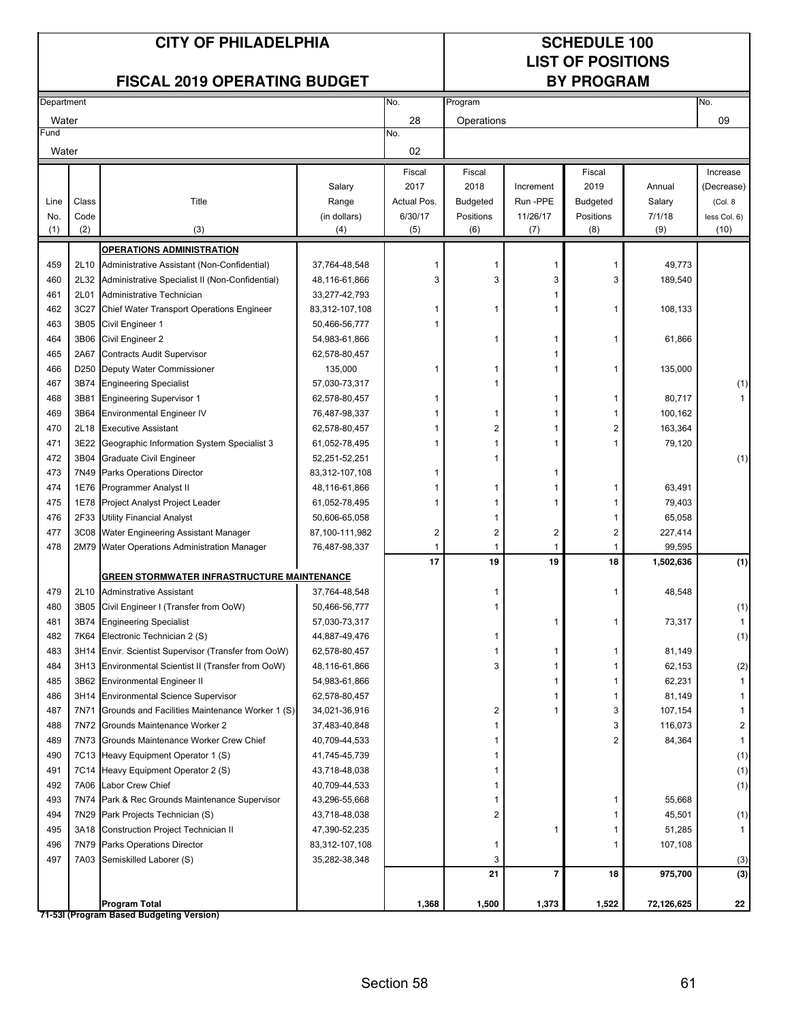### **LIST OF POSITIONS**

| <b>FISCAL 2019 OPERATING BUDGET</b> |                  |                                                      |                |                         | <b>BY PROGRAM</b>       |           |                 |            |              |  |  |
|-------------------------------------|------------------|------------------------------------------------------|----------------|-------------------------|-------------------------|-----------|-----------------|------------|--------------|--|--|
| Department                          |                  |                                                      |                | No.                     | Program                 |           |                 |            | No.          |  |  |
| Water                               |                  |                                                      |                | 28                      | Operations              |           |                 |            | 09           |  |  |
| Fund                                |                  |                                                      |                | No.                     |                         |           |                 |            |              |  |  |
| Water                               |                  |                                                      |                | 02                      |                         |           |                 |            |              |  |  |
|                                     |                  |                                                      |                | Fiscal                  | Fiscal                  |           | Fiscal          |            | Increase     |  |  |
|                                     |                  |                                                      | Salary         | 2017                    | 2018                    | Increment | 2019            | Annual     | (Decrease)   |  |  |
| Line                                | Class            | Title                                                | Range          | Actual Pos.             | <b>Budgeted</b>         | Run-PPE   | <b>Budgeted</b> | Salary     | (Col. 8)     |  |  |
| No.                                 | Code             |                                                      | (in dollars)   | 6/30/17                 | Positions               | 11/26/17  | Positions       | 7/1/18     | less Col. 6) |  |  |
| (1)                                 | (2)              | (3)                                                  | (4)            | (5)                     | (6)                     | (7)       | (8)             | (9)        | (10)         |  |  |
|                                     |                  | <b>OPERATIONS ADMINISTRATION</b>                     |                |                         |                         |           |                 |            |              |  |  |
| 459                                 | 2L10             | Administrative Assistant (Non-Confidential)          | 37,764-48,548  | 1                       | 1                       | 1         | 1               | 49,773     |              |  |  |
| 460                                 | 2L32             | Administrative Specialist II (Non-Confidential)      | 48,116-61,866  | 3                       | 3                       | 3         | 3               | 189,540    |              |  |  |
| 461                                 | 2L01             | Administrative Technician                            | 33,277-42,793  |                         |                         | 1         |                 |            |              |  |  |
| 462                                 | 3C27             | Chief Water Transport Operations Engineer            | 83,312-107,108 | 1                       | 1                       | 1         |                 | 108,133    |              |  |  |
| 463                                 | 3B05             | Civil Engineer 1                                     | 50,466-56,777  |                         |                         |           |                 |            |              |  |  |
| 464                                 | 3B06             | Civil Engineer 2                                     | 54,983-61,866  |                         | 1                       | 1         |                 | 61,866     |              |  |  |
| 465                                 | 2A67             | <b>Contracts Audit Supervisor</b>                    | 62,578-80,457  |                         |                         |           |                 |            |              |  |  |
| 466                                 | D <sub>250</sub> | Deputy Water Commissioner                            | 135,000        |                         |                         | 1         |                 | 135,000    |              |  |  |
| 467                                 | 3B74             | <b>Engineering Specialist</b>                        | 57,030-73,317  |                         |                         |           |                 |            | (1)          |  |  |
| 468                                 | 3B81             | <b>Engineering Supervisor 1</b>                      | 62,578-80,457  |                         |                         | 1         | 1               | 80,717     |              |  |  |
| 469                                 | 3B64             | Environmental Engineer IV                            | 76,487-98,337  |                         | 1                       | 1         |                 | 100,162    |              |  |  |
| 470                                 | 2L18             | <b>Executive Assistant</b>                           | 62,578-80,457  |                         | $\overline{2}$          | 1         | 2               | 163,364    |              |  |  |
| 471                                 | 3E22             | Geographic Information System Specialist 3           | 61,052-78,495  |                         |                         | 1         |                 | 79,120     |              |  |  |
| 472                                 | 3B04             | Graduate Civil Engineer                              | 52,251-52,251  |                         |                         |           |                 |            | (1)          |  |  |
| 473                                 | 7N49             | Parks Operations Director                            | 83,312-107,108 |                         |                         | 1         |                 |            |              |  |  |
| 474                                 | 1E76             | Programmer Analyst II                                | 48,116-61,866  |                         | 1                       | 1         |                 | 63,491     |              |  |  |
| 475                                 | 1E78             | Project Analyst Project Leader                       | 61,052-78,495  |                         | 1                       | 1         |                 | 79,403     |              |  |  |
| 476                                 | 2F33             | <b>Utility Financial Analyst</b>                     | 50,606-65,058  |                         | 1                       |           | 1               | 65,058     |              |  |  |
| 477                                 | 3C08             | Water Engineering Assistant Manager                  | 87,100-111,982 | $\overline{\mathbf{c}}$ | $\overline{\mathbf{c}}$ | 2         | 2               | 227,414    |              |  |  |
| 478                                 | 2M79             | Water Operations Administration Manager              | 76,487-98,337  | 1                       | 1                       | 1         | 1               | 99,595     |              |  |  |
|                                     |                  | GREEN STORMWATER INFRASTRUCTURE MAINTENANCE          |                | 17                      | 19                      | 19        | 18              | 1,502,636  | (1)          |  |  |
| 479                                 | 2L10             | <b>Adminstrative Assistant</b>                       | 37,764-48,548  |                         |                         |           |                 | 48,548     |              |  |  |
| 480                                 | 3B05             | Civil Engineer I (Transfer from OoW)                 | 50,466-56,777  |                         |                         |           |                 |            | (1)          |  |  |
| 481                                 | 3B74             | <b>Engineering Specialist</b>                        | 57,030-73,317  |                         |                         | 1         |                 | 73,317     | $\mathbf{1}$ |  |  |
| 482                                 |                  | 7K64 Electronic Technician 2 (S)                     | 44,887-49,476  |                         |                         |           |                 |            | (1)          |  |  |
| 483                                 |                  | 3H14 Envir. Scientist Supervisor (Transfer from OoW) | 62,578-80,457  |                         |                         |           |                 | 81,149     |              |  |  |
| 484                                 |                  | 3H13 Environmental Scientist II (Transfer from OoW)  | 48,116-61,866  |                         | 3                       | 1         | 1               | 62,153     | (2)          |  |  |
| 485                                 |                  | 3B62 Environmental Engineer II                       | 54,983-61,866  |                         |                         | 1         | 1               | 62,231     |              |  |  |
| 486                                 |                  | 3H14 Environmental Science Supervisor                | 62,578-80,457  |                         |                         | 1         | 1               | 81,149     | 1            |  |  |
| 487                                 | 7N71             | Grounds and Facilities Maintenance Worker 1 (S)      | 34,021-36,916  |                         | 2                       | 1         | 3               | 107,154    | 1            |  |  |
| 488                                 | 7N72             | Grounds Maintenance Worker 2                         | 37,483-40,848  |                         | 1                       |           | 3               | 116,073    | 2            |  |  |
| 489                                 |                  | 7N73 Grounds Maintenance Worker Crew Chief           | 40,709-44,533  |                         | 1                       |           | 2               | 84,364     | $\mathbf{1}$ |  |  |
| 490                                 |                  | 7C13 Heavy Equipment Operator 1 (S)                  | 41,745-45,739  |                         | 1                       |           |                 |            | (1)          |  |  |
| 491                                 |                  | 7C14 Heavy Equipment Operator 2 (S)                  | 43,718-48,038  |                         | 1                       |           |                 |            | (1)          |  |  |
| 492                                 |                  | 7A06 Labor Crew Chief                                | 40,709-44,533  |                         | 1                       |           |                 |            | (1)          |  |  |
| 493                                 |                  | 7N74 Park & Rec Grounds Maintenance Supervisor       | 43,296-55,668  |                         | 1                       |           | 1               | 55,668     |              |  |  |
| 494                                 |                  | 7N29 Park Projects Technician (S)                    | 43,718-48,038  |                         | 2                       |           |                 | 45,501     | (1)          |  |  |
| 495                                 |                  | 3A18 Construction Project Technician II              | 47,390-52,235  |                         |                         | 1         |                 | 51,285     | 1            |  |  |
| 496                                 |                  | 7N79 Parks Operations Director                       | 83,312-107,108 |                         | 1                       |           |                 | 107,108    |              |  |  |
| 497                                 |                  | 7A03 Semiskilled Laborer (S)                         | 35,282-38,348  |                         | 3                       |           |                 |            | (3)          |  |  |
|                                     |                  |                                                      |                |                         | 21                      | 7         | 18              | 975,700    | (3)          |  |  |
|                                     |                  |                                                      |                |                         |                         |           |                 |            |              |  |  |
|                                     |                  | <b>Program Total</b>                                 |                | 1,368                   | 1,500                   | 1,373     | 1,522           | 72,126,625 | 22           |  |  |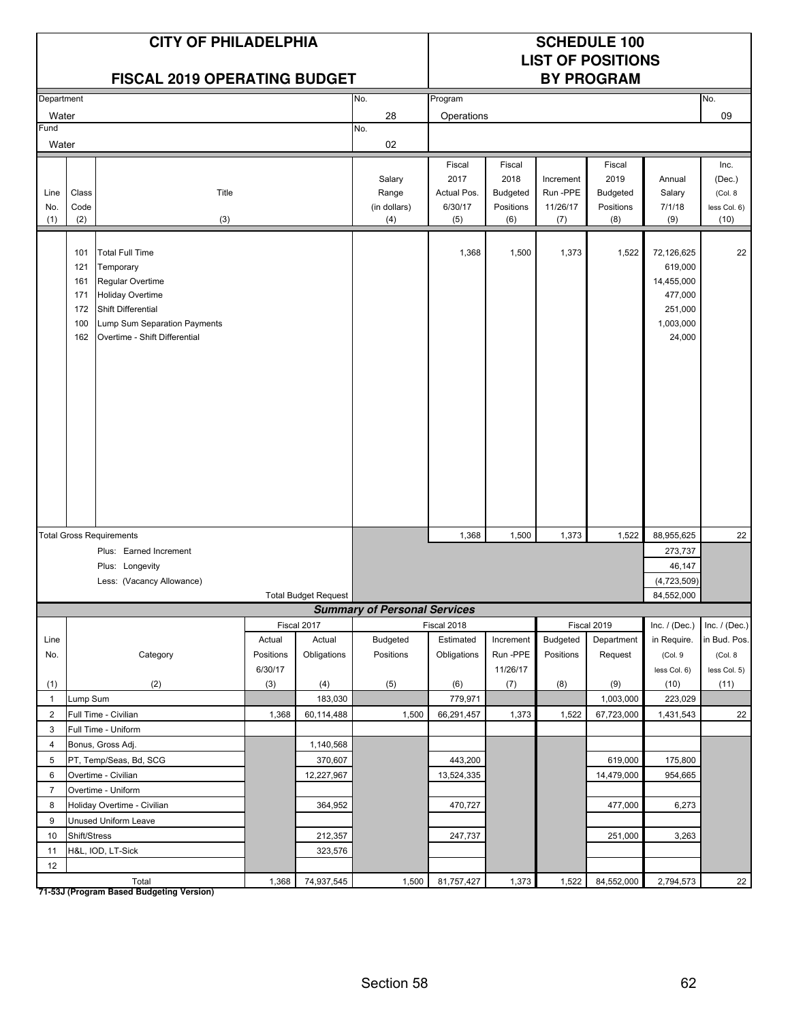|                     | <b>CITY OF PHILADELPHIA</b><br><b>FISCAL 2019 OPERATING BUDGET</b> |                                                                                                                                                                           |                  |                             |                                        |                                                 |                                                       |                                         | <b>SCHEDULE 100</b><br><b>LIST OF POSITIONS</b><br><b>BY PROGRAM</b> |                                                                                  |                                                   |
|---------------------|--------------------------------------------------------------------|---------------------------------------------------------------------------------------------------------------------------------------------------------------------------|------------------|-----------------------------|----------------------------------------|-------------------------------------------------|-------------------------------------------------------|-----------------------------------------|----------------------------------------------------------------------|----------------------------------------------------------------------------------|---------------------------------------------------|
| Department          |                                                                    |                                                                                                                                                                           |                  |                             | No.                                    | Program                                         |                                                       |                                         |                                                                      |                                                                                  | No.                                               |
| Water               |                                                                    |                                                                                                                                                                           |                  |                             | 28                                     | Operations                                      |                                                       |                                         |                                                                      |                                                                                  | 09                                                |
| Fund                |                                                                    |                                                                                                                                                                           |                  |                             | No.                                    |                                                 |                                                       |                                         |                                                                      |                                                                                  |                                                   |
| Water               |                                                                    |                                                                                                                                                                           |                  |                             | 02                                     |                                                 |                                                       |                                         |                                                                      |                                                                                  |                                                   |
| Line<br>No.<br>(1)  | Class<br>Code<br>(2)                                               | Title<br>(3)                                                                                                                                                              |                  |                             | Salary<br>Range<br>(in dollars)<br>(4) | Fiscal<br>2017<br>Actual Pos.<br>6/30/17<br>(5) | Fiscal<br>2018<br><b>Budgeted</b><br>Positions<br>(6) | Increment<br>Run-PPE<br>11/26/17<br>(7) | Fiscal<br>2019<br>Budgeted<br>Positions<br>(8)                       | Annual<br>Salary<br>7/1/18<br>(9)                                                | Inc.<br>(Dec.)<br>(Col. 8<br>less Col. 6)<br>(10) |
|                     | 101<br>121<br>161<br>171<br>172<br>100<br>162                      | <b>Total Full Time</b><br>Temporary<br>Regular Overtime<br><b>Holiday Overtime</b><br>Shift Differential<br>Lump Sum Separation Payments<br>Overtime - Shift Differential |                  |                             |                                        | 1,368                                           | 1,500                                                 | 1,373                                   | 1,522                                                                | 72,126,625<br>619,000<br>14,455,000<br>477,000<br>251,000<br>1,003,000<br>24,000 | 22                                                |
|                     |                                                                    | <b>Total Gross Requirements</b>                                                                                                                                           |                  |                             |                                        | 1,368                                           | 1,500                                                 | 1,373                                   | 1,522                                                                | 88,955,625                                                                       | 22                                                |
|                     |                                                                    | Plus: Earned Increment                                                                                                                                                    |                  |                             |                                        |                                                 |                                                       |                                         |                                                                      | 273,737                                                                          |                                                   |
|                     |                                                                    | Plus: Longevity                                                                                                                                                           |                  |                             |                                        |                                                 |                                                       |                                         |                                                                      | 46,147                                                                           |                                                   |
|                     |                                                                    | Less: (Vacancy Allowance)                                                                                                                                                 |                  |                             |                                        |                                                 |                                                       |                                         |                                                                      | (4,723,509)                                                                      |                                                   |
|                     |                                                                    |                                                                                                                                                                           |                  | <b>Total Budget Request</b> |                                        |                                                 |                                                       |                                         |                                                                      | 84,552,000                                                                       |                                                   |
|                     |                                                                    |                                                                                                                                                                           |                  |                             | <b>Summary of Personal Services</b>    |                                                 |                                                       |                                         |                                                                      |                                                                                  |                                                   |
|                     |                                                                    |                                                                                                                                                                           |                  | Fiscal 2017                 |                                        | Fiscal 2018                                     |                                                       |                                         | Fiscal 2019                                                          | Inc. $/$ (Dec.)                                                                  | Inc. $/$ (Dec.)                                   |
| Line                |                                                                    |                                                                                                                                                                           | Actual           | Actual                      | <b>Budgeted</b>                        | Estimated                                       | Increment                                             | Budgeted                                | Department                                                           | in Require.                                                                      | in Bud. Pos.                                      |
| No.                 |                                                                    | Category                                                                                                                                                                  | Positions        | Obligations                 | Positions                              | Obligations                                     | Run-PPE                                               | Positions                               | Request                                                              | (Col. 9                                                                          | (Col. 8                                           |
|                     |                                                                    | (2)                                                                                                                                                                       | 6/30/17<br>$(3)$ |                             |                                        |                                                 | 11/26/17                                              |                                         |                                                                      | less Col. 6)<br>(10)                                                             | less Col. 5)<br>(11)                              |
| (1)<br>$\mathbf{1}$ | Lump Sum                                                           |                                                                                                                                                                           |                  | (4)<br>183,030              | (5)                                    | (6)<br>779,971                                  | (7)                                                   | (8)                                     | (9)<br>1,003,000                                                     | 223,029                                                                          |                                                   |
| $\overline{2}$      |                                                                    | Full Time - Civilian                                                                                                                                                      | 1,368            | 60,114,488                  | 1,500                                  | 66,291,457                                      | 1,373                                                 | 1,522                                   | 67,723,000                                                           | 1,431,543                                                                        | 22                                                |
| $\mathbf{3}$        |                                                                    | Full Time - Uniform                                                                                                                                                       |                  |                             |                                        |                                                 |                                                       |                                         |                                                                      |                                                                                  |                                                   |
| 4                   |                                                                    | Bonus, Gross Adj.                                                                                                                                                         |                  | 1,140,568                   |                                        |                                                 |                                                       |                                         |                                                                      |                                                                                  |                                                   |
| 5                   |                                                                    | PT, Temp/Seas, Bd, SCG                                                                                                                                                    |                  | 370,607                     |                                        | 443,200                                         |                                                       |                                         | 619,000                                                              | 175,800                                                                          |                                                   |
| 6                   |                                                                    | Overtime - Civilian                                                                                                                                                       |                  | 12,227,967                  |                                        | 13,524,335                                      |                                                       |                                         | 14,479,000                                                           | 954,665                                                                          |                                                   |
| $\overline{7}$      |                                                                    | Overtime - Uniform                                                                                                                                                        |                  |                             |                                        |                                                 |                                                       |                                         |                                                                      |                                                                                  |                                                   |
| 8                   |                                                                    | Holiday Overtime - Civilian                                                                                                                                               |                  | 364,952                     |                                        | 470,727                                         |                                                       |                                         | 477,000                                                              | 6,273                                                                            |                                                   |
| 9                   |                                                                    | Unused Uniform Leave                                                                                                                                                      |                  |                             |                                        |                                                 |                                                       |                                         |                                                                      |                                                                                  |                                                   |
| 10                  | Shift/Stress                                                       |                                                                                                                                                                           |                  | 212,357                     |                                        | 247,737                                         |                                                       |                                         | 251,000                                                              | 3,263                                                                            |                                                   |
| 11                  |                                                                    | H&L, IOD, LT-Sick                                                                                                                                                         |                  | 323,576                     |                                        |                                                 |                                                       |                                         |                                                                      |                                                                                  |                                                   |
| 12                  |                                                                    |                                                                                                                                                                           |                  |                             |                                        |                                                 |                                                       |                                         |                                                                      |                                                                                  |                                                   |
|                     |                                                                    | Total                                                                                                                                                                     | 1,368            | 74,937,545                  | 1,500                                  | 81,757,427                                      | 1,373                                                 | 1,522                                   | 84,552,000                                                           | 2,794,573                                                                        | 22                                                |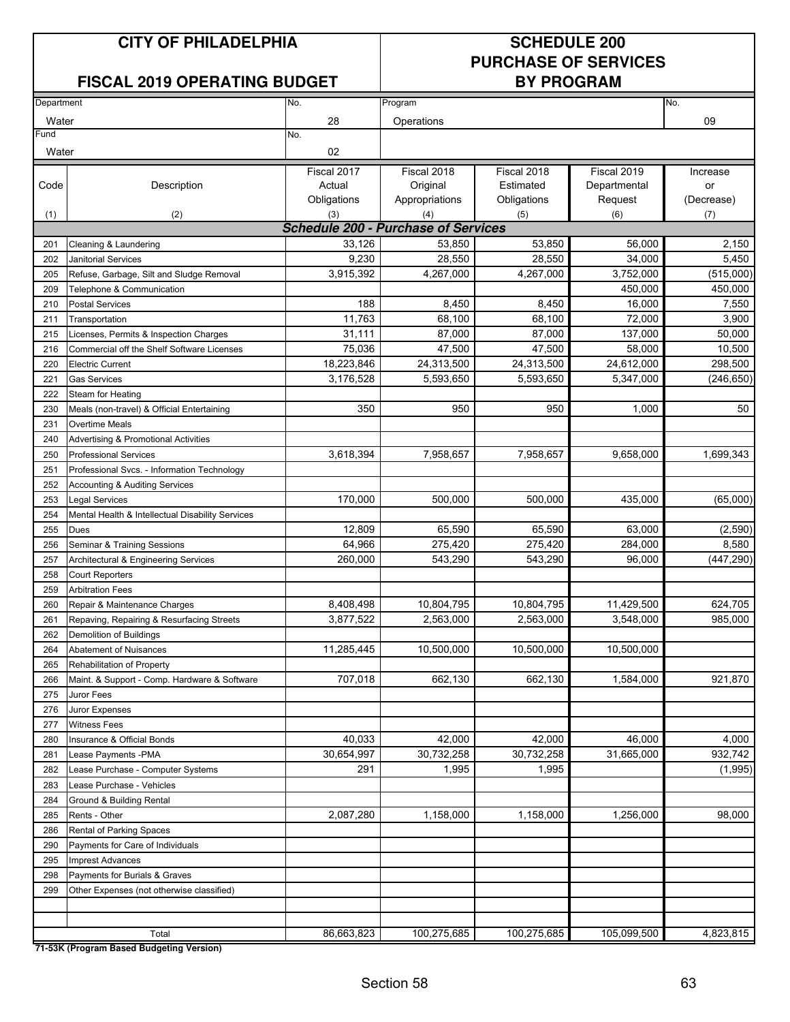#### **FISCAL 2019 OPERATING BUDGET**

### **PURCHASE OF SERVICES**

| Department |                                                  | No.                                        | Program        |             |              | No.        |
|------------|--------------------------------------------------|--------------------------------------------|----------------|-------------|--------------|------------|
| Water      |                                                  | 28                                         | Operations     |             |              | 09         |
| Fund       |                                                  | No.                                        |                |             |              |            |
| Water      |                                                  | 02                                         |                |             |              |            |
|            |                                                  | Fiscal 2017                                | Fiscal 2018    | Fiscal 2018 | Fiscal 2019  | Increase   |
| Code       | Description                                      | Actual                                     | Original       | Estimated   | Departmental | or         |
|            |                                                  | Obligations                                | Appropriations | Obligations | Request      | (Decrease) |
| (1)        | (2)                                              | (3)                                        | (4)            | (5)         | (6)          | (7)        |
|            |                                                  | <b>Schedule 200 - Purchase of Services</b> |                |             |              |            |
| 201        | Cleaning & Laundering                            | 33,126                                     | 53,850         | 53,850      | 56,000       | 2,150      |
| 202        | <b>Janitorial Services</b>                       | 9,230                                      | 28,550         | 28,550      | 34,000       | 5,450      |
| 205        | Refuse, Garbage, Silt and Sludge Removal         | 3,915,392                                  | 4,267,000      | 4,267,000   | 3,752,000    | (515,000)  |
| 209        | Telephone & Communication                        |                                            |                |             | 450,000      | 450,000    |
| 210        | <b>Postal Services</b>                           | 188                                        | 8,450          | 8,450       | 16,000       | 7,550      |
| 211        | Transportation                                   | 11,763                                     | 68,100         | 68,100      | 72,000       | 3,900      |
| 215        | Licenses, Permits & Inspection Charges           | 31,111                                     | 87,000         | 87,000      | 137,000      | 50,000     |
| 216        | Commercial off the Shelf Software Licenses       | 75,036                                     | 47,500         | 47,500      | 58,000       | 10,500     |
| 220        | <b>Electric Current</b>                          | 18,223,846                                 | 24,313,500     | 24,313,500  | 24,612,000   | 298,500    |
| 221        | <b>Gas Services</b>                              | 3,176,528                                  | 5,593,650      | 5,593,650   | 5,347,000    | (246, 650) |
| 222        | Steam for Heating                                |                                            |                |             |              |            |
| 230        | Meals (non-travel) & Official Entertaining       | 350                                        | 950            | 950         | 1,000        | 50         |
| 231        | <b>Overtime Meals</b>                            |                                            |                |             |              |            |
| 240        | Advertising & Promotional Activities             |                                            |                |             |              |            |
| 250        | <b>Professional Services</b>                     | 3,618,394                                  | 7,958,657      | 7,958,657   | 9,658,000    | 1,699,343  |
| 251        | Professional Svcs. - Information Technology      |                                            |                |             |              |            |
| 252        | <b>Accounting &amp; Auditing Services</b>        |                                            |                |             |              |            |
| 253        | <b>Legal Services</b>                            | 170,000                                    | 500,000        | 500,000     | 435,000      | (65,000)   |
| 254        | Mental Health & Intellectual Disability Services |                                            |                |             |              |            |
| 255        | <b>Dues</b>                                      | 12,809                                     | 65,590         | 65,590      | 63,000       | (2,590)    |
| 256        | Seminar & Training Sessions                      | 64,966                                     | 275,420        | 275,420     | 284,000      | 8,580      |
| 257        | Architectural & Engineering Services             | 260,000                                    | 543,290        | 543,290     | 96,000       | (447, 290) |
| 258        | <b>Court Reporters</b>                           |                                            |                |             |              |            |
| 259        | <b>Arbitration Fees</b>                          |                                            |                |             |              |            |
| 260        | Repair & Maintenance Charges                     | 8,408,498                                  | 10,804,795     | 10,804,795  | 11,429,500   | 624,705    |
| 261        | Repaving, Repairing & Resurfacing Streets        | 3,877,522                                  | 2,563,000      | 2,563,000   | 3,548,000    | 985,000    |
| 262        | Demolition of Buildings                          |                                            |                |             |              |            |
| 264        | <b>Abatement of Nuisances</b>                    | 11,285,445                                 | 10,500,000     | 10,500,000  | 10,500,000   |            |
| 265        | Rehabilitation of Property                       |                                            |                |             |              |            |
| 266        | Maint. & Support - Comp. Hardware & Software     | 707,018                                    | 662,130        | 662,130     | 1,584,000    | 921,870    |
| 275        | Juror Fees                                       |                                            |                |             |              |            |
| 276        | Juror Expenses                                   |                                            |                |             |              |            |
| 277        | <b>Witness Fees</b>                              |                                            |                |             |              |            |
| 280        | Insurance & Official Bonds                       | 40,033                                     | 42,000         | 42,000      | 46,000       | 4,000      |
| 281        | Lease Payments - PMA                             | 30,654,997                                 | 30,732,258     | 30,732,258  | 31,665,000   | 932,742    |
| 282        | Lease Purchase - Computer Systems                | 291                                        | 1,995          | 1,995       |              | (1,995)    |
| 283        | Lease Purchase - Vehicles                        |                                            |                |             |              |            |
| 284        | Ground & Building Rental                         |                                            |                |             |              |            |
| 285        | Rents - Other                                    | 2,087,280                                  | 1,158,000      | 1,158,000   | 1,256,000    | 98,000     |
| 286        | Rental of Parking Spaces                         |                                            |                |             |              |            |
| 290        | Payments for Care of Individuals                 |                                            |                |             |              |            |
| 295        | <b>Imprest Advances</b>                          |                                            |                |             |              |            |
| 298        | Payments for Burials & Graves                    |                                            |                |             |              |            |
| 299        | Other Expenses (not otherwise classified)        |                                            |                |             |              |            |
|            |                                                  |                                            |                |             |              |            |
|            |                                                  |                                            |                |             |              |            |
|            | Total                                            | 86,663,823                                 | 100,275,685    | 100,275,685 | 105,099,500  | 4,823,815  |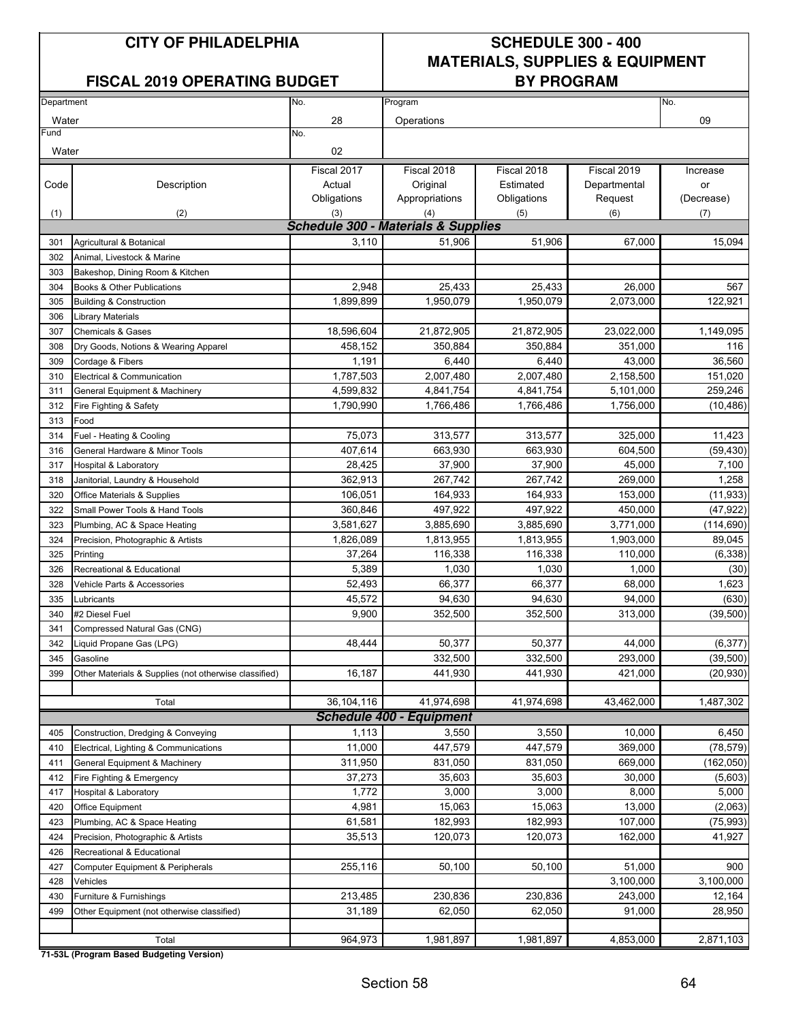#### FISCAL 2019 OPERATING BUDGET **BY PROGRAM**

### **CITY OF PHILADELPHIA SCHEDULE 300 - 400 MATERIALS, SUPPLIES & EQUIPMENT**

| Department |                                                       | No.                                            | Program                         |             |              | No.        |
|------------|-------------------------------------------------------|------------------------------------------------|---------------------------------|-------------|--------------|------------|
| Water      |                                                       | 28                                             |                                 |             |              | 09         |
| Fund       |                                                       | No.                                            | Operations                      |             |              |            |
|            |                                                       | 02                                             |                                 |             |              |            |
| Water      |                                                       |                                                |                                 |             |              |            |
|            |                                                       | Fiscal 2017                                    | Fiscal 2018                     | Fiscal 2018 | Fiscal 2019  | Increase   |
| Code       | Description                                           | Actual                                         | Original                        | Estimated   | Departmental | or         |
|            |                                                       | Obligations                                    | Appropriations                  | Obligations | Request      | (Decrease) |
| (1)        | (2)                                                   | (3)                                            | (4)                             | (5)         | (6)          | (7)        |
|            |                                                       | <b>Schedule 300 - Materials &amp; Supplies</b> |                                 |             |              |            |
| 301        | Agricultural & Botanical                              | 3,110                                          | 51,906                          | 51,906      | 67,000       | 15,094     |
| 302        | Animal, Livestock & Marine                            |                                                |                                 |             |              |            |
| 303        | Bakeshop, Dining Room & Kitchen                       |                                                |                                 |             |              |            |
| 304        | Books & Other Publications                            | 2,948                                          | 25,433                          | 25,433      | 26,000       | 567        |
| 305        | <b>Building &amp; Construction</b>                    | 1,899,899                                      | 1,950,079                       | 1,950,079   | 2,073,000    | 122,921    |
| 306        | <b>Library Materials</b>                              |                                                |                                 |             |              |            |
| 307        | <b>Chemicals &amp; Gases</b>                          | 18,596,604                                     | 21,872,905                      | 21,872,905  | 23,022,000   | 1,149,095  |
| 308        | Dry Goods, Notions & Wearing Apparel                  | 458,152                                        | 350.884                         | 350,884     | 351,000      | 116        |
| 309        | Cordage & Fibers                                      | 1,191                                          | 6,440                           | 6,440       | 43,000       | 36,560     |
| 310        | Electrical & Communication                            | 1,787,503                                      | 2,007,480                       | 2,007,480   | 2,158,500    | 151,020    |
| 311        | General Equipment & Machinery                         | 4,599,832                                      | 4,841,754                       | 4,841,754   | 5,101,000    | 259,246    |
| 312        | Fire Fighting & Safety                                | 1,790,990                                      | 1,766,486                       | 1,766,486   | 1,756,000    | (10, 486)  |
| 313        | Food                                                  |                                                |                                 |             |              |            |
| 314        | Fuel - Heating & Cooling                              | 75,073                                         | 313,577                         | 313,577     | 325,000      | 11,423     |
| 316        | General Hardware & Minor Tools                        | 407,614                                        | 663,930                         | 663.930     | 604.500      | (59, 430)  |
| 317        | <b>Hospital &amp; Laboratory</b>                      | 28,425                                         | 37,900                          | 37,900      | 45,000       | 7,100      |
| 318        | Janitorial, Laundry & Household                       | 362,913                                        | 267,742                         | 267,742     | 269,000      | 1,258      |
| 320        | Office Materials & Supplies                           | 106,051                                        | 164,933                         | 164,933     | 153,000      | (11, 933)  |
| 322        | Small Power Tools & Hand Tools                        | 360,846                                        | 497,922                         | 497,922     | 450,000      | (47, 922)  |
| 323        | Plumbing, AC & Space Heating                          | 3,581,627                                      | 3,885,690                       | 3,885,690   | 3,771,000    | (114, 690) |
| 324        | Precision, Photographic & Artists                     | 1,826,089                                      | 1,813,955                       | 1,813,955   | 1,903,000    | 89,045     |
| 325        | Printing                                              | 37,264                                         | 116,338                         | 116,338     | 110,000      | (6, 338)   |
| 326        | Recreational & Educational                            | 5,389                                          | 1,030                           | 1,030       | 1,000        | (30)       |
| 328        | Vehicle Parts & Accessories                           | 52,493                                         | 66,377                          | 66,377      | 68,000       | 1,623      |
| 335        | Lubricants                                            | 45,572                                         | 94,630                          | 94,630      | 94,000       | (630)      |
| 340        | #2 Diesel Fuel                                        | 9,900                                          | 352,500                         | 352,500     | 313,000      | (39, 500)  |
| 341        | Compressed Natural Gas (CNG)                          |                                                |                                 |             |              |            |
| 342        | Liquid Propane Gas (LPG)                              | 48,444                                         | 50,377                          | 50,377      | 44,000       | (6, 377)   |
| 345        | Gasoline                                              |                                                | 332,500                         | 332,500     | 293,000      | (39, 500)  |
| 399        | Other Materials & Supplies (not otherwise classified) | 16,187                                         | 441,930                         | 441,930     | 421,000      | (20, 930)  |
|            |                                                       |                                                |                                 |             |              |            |
|            | Total                                                 | 36,104,116                                     | 41,974,698                      | 41,974,698  | 43,462,000   | 1,487,302  |
|            |                                                       |                                                | <b>Schedule 400 - Equipment</b> |             |              |            |
| 405        | Construction, Dredging & Conveying                    | 1,113                                          | 3,550                           | 3,550       | 10,000       | 6,450      |
| 410        | Electrical, Lighting & Communications                 | 11,000                                         | 447,579                         | 447,579     | 369,000      | (78, 579)  |
| 411        | General Equipment & Machinery                         | 311,950                                        | 831,050                         | 831,050     | 669,000      | (162,050)  |
| 412        | Fire Fighting & Emergency                             | 37,273                                         | 35,603                          | 35,603      | 30,000       | (5,603)    |
| 417        | Hospital & Laboratory                                 | 1,772                                          | 3,000                           | 3,000       | 8,000        | 5,000      |
| 420        | <b>Office Equipment</b>                               | 4,981                                          | 15,063                          | 15,063      | 13,000       | (2,063)    |
| 423        | Plumbing, AC & Space Heating                          | 61,581                                         | 182,993                         | 182,993     | 107,000      | (75, 993)  |
| 424        | Precision, Photographic & Artists                     | 35,513                                         | 120,073                         | 120,073     | 162,000      | 41,927     |
| 426        | Recreational & Educational                            |                                                |                                 |             |              |            |
| 427        | Computer Equipment & Peripherals                      | 255,116                                        | 50,100                          | 50,100      | 51,000       | 900        |
| 428        | Vehicles                                              |                                                |                                 |             | 3,100,000    | 3,100,000  |
| 430        | Furniture & Furnishings                               | 213,485                                        | 230,836                         | 230,836     | 243,000      | 12,164     |
| 499        | Other Equipment (not otherwise classified)            | 31,189                                         | 62,050                          | 62,050      | 91,000       | 28,950     |
|            |                                                       |                                                |                                 |             |              |            |
|            | Total                                                 | 964,973                                        | 1,981,897                       | 1,981,897   | 4,853,000    | 2,871,103  |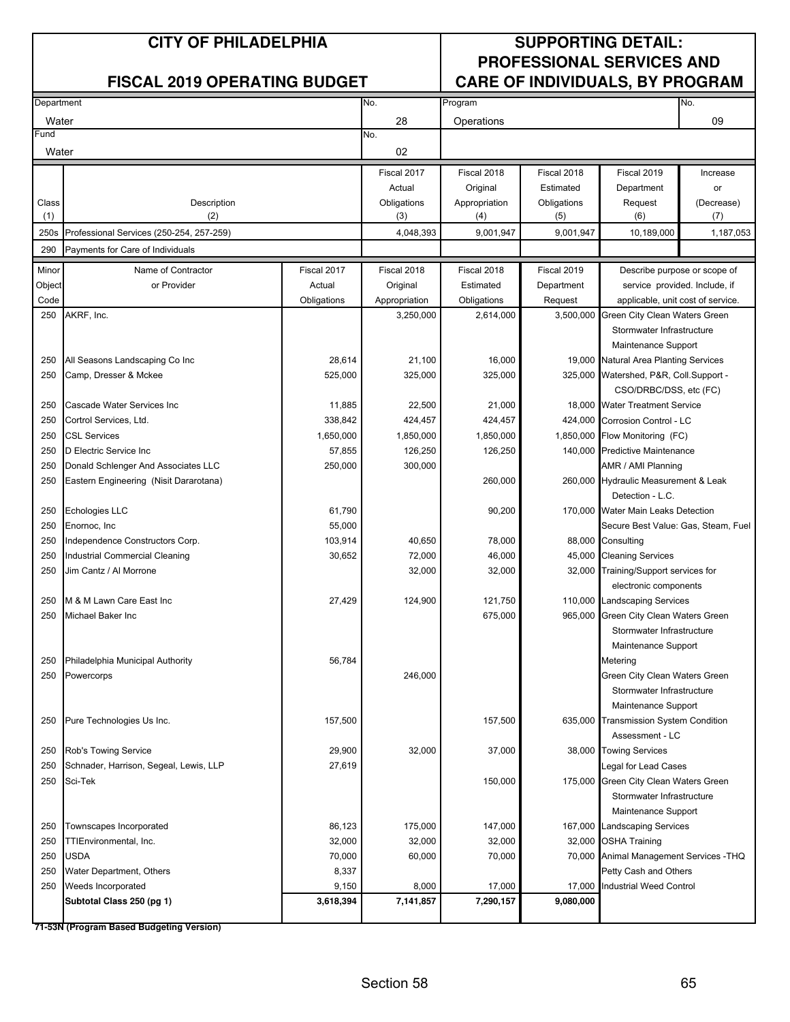#### **CITY OF PHILADELPHIA SUPPORTING DETAIL: PROFESSIONAL SERVICES AND** FISCAL 2019 OPERATING BUDGET **CARE OF INDIVIDUALS, BY PROGRAM**

| Department   |                                                 |                    | No.                | Program              |                    |                                         | No.               |
|--------------|-------------------------------------------------|--------------------|--------------------|----------------------|--------------------|-----------------------------------------|-------------------|
| Water        |                                                 |                    | 28                 |                      |                    |                                         | 09                |
| Fund         |                                                 |                    | No.                | Operations           |                    |                                         |                   |
| Water        |                                                 |                    | 02                 |                      |                    |                                         |                   |
|              |                                                 |                    |                    |                      |                    |                                         |                   |
|              |                                                 |                    | Fiscal 2017        | Fiscal 2018          | Fiscal 2018        | Fiscal 2019                             | Increase          |
|              |                                                 |                    | Actual             | Original             | Estimated          | Department                              | or                |
| Class<br>(1) | Description<br>(2)                              |                    | Obligations<br>(3) | Appropriation<br>(4) | Obligations<br>(5) | Request<br>(6)                          | (Decrease)<br>(7) |
|              |                                                 |                    |                    |                      |                    |                                         |                   |
| 250s         | Professional Services (250-254, 257-259)        |                    | 4,048,393          | 9,001,947            | 9,001,947          | 10,189,000                              | 1,187,053         |
| 290          | Payments for Care of Individuals                |                    |                    |                      |                    |                                         |                   |
| Minor        | Name of Contractor                              | Fiscal 2017        | Fiscal 2018        | Fiscal 2018          | Fiscal 2019        | Describe purpose or scope of            |                   |
| Object       | or Provider                                     | Actual             | Original           | Estimated            | Department         | service provided. Include, if           |                   |
| Code         |                                                 | Obligations        | Appropriation      | Obligations          | Request            | applicable, unit cost of service.       |                   |
| 250          | AKRF, Inc.                                      |                    | 3,250,000          | 2,614,000            |                    | 3,500,000 Green City Clean Waters Green |                   |
|              |                                                 |                    |                    |                      |                    | Stormwater Infrastructure               |                   |
|              |                                                 |                    |                    |                      |                    | Maintenance Support                     |                   |
| 250          | All Seasons Landscaping Co Inc                  | 28,614             | 21,100             | 16,000               |                    | 19,000 Natural Area Planting Services   |                   |
| 250          | Camp, Dresser & Mckee                           | 525,000            | 325,000            | 325,000              |                    | 325,000 Watershed, P&R, Coll.Support -  |                   |
|              |                                                 |                    |                    |                      |                    | CSO/DRBC/DSS, etc (FC)                  |                   |
| 250          | Cascade Water Services Inc                      | 11,885             | 22,500             | 21,000               |                    | 18,000 Water Treatment Service          |                   |
| 250          | Cortrol Services, Ltd.                          | 338,842            | 424,457            | 424,457              |                    | 424,000 Corrosion Control - LC          |                   |
| 250          | <b>CSL Services</b>                             | 1,650,000          | 1,850,000          | 1,850,000            |                    | 1,850,000 Flow Monitoring (FC)          |                   |
| 250          | D Electric Service Inc.                         | 57,855             | 126,250            | 126,250              |                    | 140,000 Predictive Maintenance          |                   |
| 250          | Donald Schlenger And Associates LLC             | 250,000            | 300,000            |                      |                    | AMR / AMI Planning                      |                   |
| 250          | Eastern Engineering (Nisit Dararotana)          |                    |                    | 260,000              |                    | 260,000 Hydraulic Measurement & Leak    |                   |
|              |                                                 |                    |                    |                      |                    | Detection - L.C.                        |                   |
| 250          | Echologies LLC                                  | 61,790             |                    | 90,200               |                    | 170,000 Water Main Leaks Detection      |                   |
| 250          | Enornoc, Inc                                    | 55,000             |                    |                      |                    | Secure Best Value: Gas, Steam, Fuel     |                   |
| 250          | Independence Constructors Corp.                 | 103,914            | 40,650             | 78,000               |                    | 88,000 Consulting                       |                   |
| 250          | Industrial Commercial Cleaning                  | 30,652             | 72,000             | 46,000               |                    | 45,000 Cleaning Services                |                   |
| 250          | Jim Cantz / Al Morrone                          |                    | 32,000             | 32,000               |                    | 32,000 Training/Support services for    |                   |
|              |                                                 |                    |                    |                      |                    | electronic components                   |                   |
| 250          | M & M Lawn Care East Inc                        | 27,429             | 124,900            | 121,750              |                    | 110,000 Landscaping Services            |                   |
| 250          | Michael Baker Inc                               |                    |                    | 675,000              |                    | 965,000 Green City Clean Waters Green   |                   |
|              |                                                 |                    |                    |                      |                    | Stormwater Infrastructure               |                   |
|              |                                                 |                    |                    |                      |                    | Maintenance Support                     |                   |
| 250          | Philadelphia Municipal Authority                | 56,784             |                    |                      |                    | Metering                                |                   |
|              | 250 Powercorps                                  |                    | 246,000            |                      |                    | Green City Clean Waters Green           |                   |
|              |                                                 |                    |                    |                      |                    | Stormwater Infrastructure               |                   |
|              |                                                 |                    |                    |                      |                    | Maintenance Support                     |                   |
| 250          | Pure Technologies Us Inc.                       | 157,500            |                    | 157,500              |                    | 635,000 Transmission System Condition   |                   |
|              |                                                 |                    |                    |                      |                    | Assessment - LC                         |                   |
| 250          | Rob's Towing Service                            | 29,900             | 32,000             | 37,000               |                    | 38,000 Towing Services                  |                   |
| 250          | Schnader, Harrison, Segeal, Lewis, LLP          | 27,619             |                    |                      |                    | Legal for Lead Cases                    |                   |
| 250          | Sci-Tek                                         |                    |                    | 150,000              |                    | 175,000 Green City Clean Waters Green   |                   |
|              |                                                 |                    |                    |                      |                    | Stormwater Infrastructure               |                   |
|              |                                                 |                    |                    |                      |                    | Maintenance Support                     |                   |
| 250          | Townscapes Incorporated                         | 86,123             | 175,000            | 147,000              |                    | 167,000 Landscaping Services            |                   |
| 250          | TTIEnvironmental, Inc.                          | 32,000             | 32,000             | 32,000               |                    | 32,000 OSHA Training                    |                   |
| 250          | <b>USDA</b>                                     | 70,000             | 60,000             | 70,000               |                    | 70,000 Animal Management Services - THQ |                   |
| 250          | Water Department, Others                        | 8,337              |                    |                      |                    | Petty Cash and Others                   |                   |
| 250          | Weeds Incorporated<br>Subtotal Class 250 (pg 1) | 9,150<br>3,618,394 | 8,000<br>7,141,857 | 17,000<br>7,290,157  | 9,080,000          | 17,000 Industrial Weed Control          |                   |
|              |                                                 |                    |                    |                      |                    |                                         |                   |
|              |                                                 |                    |                    |                      |                    |                                         |                   |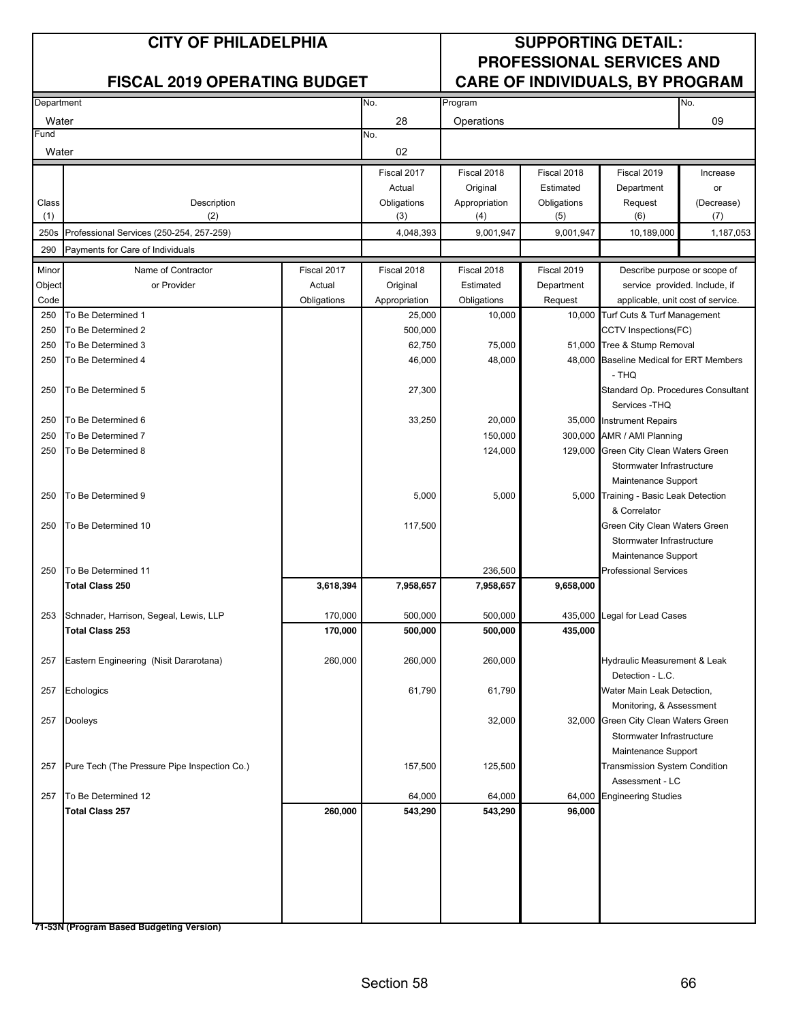#### **CITY OF PHILADELPHIA SUPPORTING DETAIL: PROFESSIONAL SERVICES AND FISCAL 2019 OPERATING BUDGET CARE OF INDIVIDUALS, BY PROGRAM**

| Department |                                              |             | No.           | Program       |             |                                         | No.                           |
|------------|----------------------------------------------|-------------|---------------|---------------|-------------|-----------------------------------------|-------------------------------|
| Water      |                                              |             | 28            | Operations    |             |                                         | 09                            |
| Fund       |                                              |             | No.           |               |             |                                         |                               |
| Water      |                                              |             | 02            |               |             |                                         |                               |
|            |                                              |             | Fiscal 2017   | Fiscal 2018   | Fiscal 2018 | Fiscal 2019                             | Increase                      |
|            |                                              |             | Actual        | Original      | Estimated   | Department                              | or                            |
| Class      | Description                                  |             | Obligations   | Appropriation | Obligations | Request                                 | (Decrease)                    |
| (1)        | (2)                                          |             | (3)           | (4)           | (5)         | (6)                                     | (7)                           |
| 250s       | Professional Services (250-254, 257-259)     |             | 4,048,393     | 9,001,947     | 9,001,947   | 10,189,000                              | 1,187,053                     |
| 290        | Payments for Care of Individuals             |             |               |               |             |                                         |                               |
| Minor      | Name of Contractor                           | Fiscal 2017 | Fiscal 2018   | Fiscal 2018   | Fiscal 2019 |                                         | Describe purpose or scope of  |
| Object     | or Provider                                  | Actual      | Original      | Estimated     | Department  |                                         | service provided. Include, if |
| Code       |                                              | Obligations | Appropriation | Obligations   | Request     | applicable, unit cost of service.       |                               |
| 250        | To Be Determined 1                           |             | 25,000        | 10,000        | 10,000      | Turf Cuts & Turf Management             |                               |
| 250        | To Be Determined 2                           |             | 500,000       |               |             | CCTV Inspections(FC)                    |                               |
| 250        | To Be Determined 3                           |             | 62,750        | 75,000        |             | 51,000 Tree & Stump Removal             |                               |
| 250        | To Be Determined 4                           |             | 46,000        | 48,000        |             | 48,000 Baseline Medical for ERT Members |                               |
|            |                                              |             |               |               |             | - THQ                                   |                               |
| 250        | To Be Determined 5                           |             | 27,300        |               |             | Standard Op. Procedures Consultant      |                               |
|            |                                              |             |               |               |             | Services - THQ                          |                               |
| 250        | To Be Determined 6                           |             | 33,250        | 20,000        |             | 35,000 Instrument Repairs               |                               |
| 250        | To Be Determined 7                           |             |               | 150,000       |             | 300,000 AMR / AMI Planning              |                               |
| 250        | To Be Determined 8                           |             |               | 124,000       |             | 129,000 Green City Clean Waters Green   |                               |
|            |                                              |             |               |               |             | Stormwater Infrastructure               |                               |
|            |                                              |             |               |               |             | Maintenance Support                     |                               |
| 250        | To Be Determined 9                           |             | 5,000         | 5,000         |             | 5,000 Training - Basic Leak Detection   |                               |
|            |                                              |             |               |               |             | & Correlator                            |                               |
| 250        | To Be Determined 10                          |             | 117,500       |               |             | Green City Clean Waters Green           |                               |
|            |                                              |             |               |               |             | Stormwater Infrastructure               |                               |
|            |                                              |             |               |               |             | Maintenance Support                     |                               |
| 250        | To Be Determined 11                          |             |               | 236,500       |             | <b>Professional Services</b>            |                               |
|            | <b>Total Class 250</b>                       | 3,618,394   | 7,958,657     | 7,958,657     | 9,658,000   |                                         |                               |
|            |                                              |             |               |               |             |                                         |                               |
| 253        | Schnader, Harrison, Segeal, Lewis, LLP       | 170,000     | 500,000       | 500,000       | 435,000     | Legal for Lead Cases                    |                               |
|            | <b>Total Class 253</b>                       | 170,000     | 500,000       | 500,000       | 435,000     |                                         |                               |
| 257        | Eastern Engineering (Nisit Dararotana)       | 260,000     | 260,000       | 260,000       |             | Hydraulic Measurement & Leak            |                               |
|            |                                              |             |               |               |             | Detection - L.C.                        |                               |
| 257        | Echologics                                   |             | 61,790        | 61,790        |             | Water Main Leak Detection,              |                               |
|            |                                              |             |               |               |             | Monitoring, & Assessment                |                               |
| 257        | Dooleys                                      |             |               | 32,000        |             | 32,000 Green City Clean Waters Green    |                               |
|            |                                              |             |               |               |             | Stormwater Infrastructure               |                               |
|            |                                              |             |               |               |             | Maintenance Support                     |                               |
| 257        | Pure Tech (The Pressure Pipe Inspection Co.) |             | 157,500       | 125,500       |             | Transmission System Condition           |                               |
|            |                                              |             |               |               |             | Assessment - LC                         |                               |
| 257        | To Be Determined 12                          |             | 64,000        | 64,000        | 64,000      | <b>Engineering Studies</b>              |                               |
|            | <b>Total Class 257</b>                       | 260,000     | 543,290       | 543,290       | 96,000      |                                         |                               |
|            |                                              |             |               |               |             |                                         |                               |
|            |                                              |             |               |               |             |                                         |                               |
|            |                                              |             |               |               |             |                                         |                               |
|            |                                              |             |               |               |             |                                         |                               |
|            |                                              |             |               |               |             |                                         |                               |
|            |                                              |             |               |               |             |                                         |                               |
|            |                                              |             |               |               |             |                                         |                               |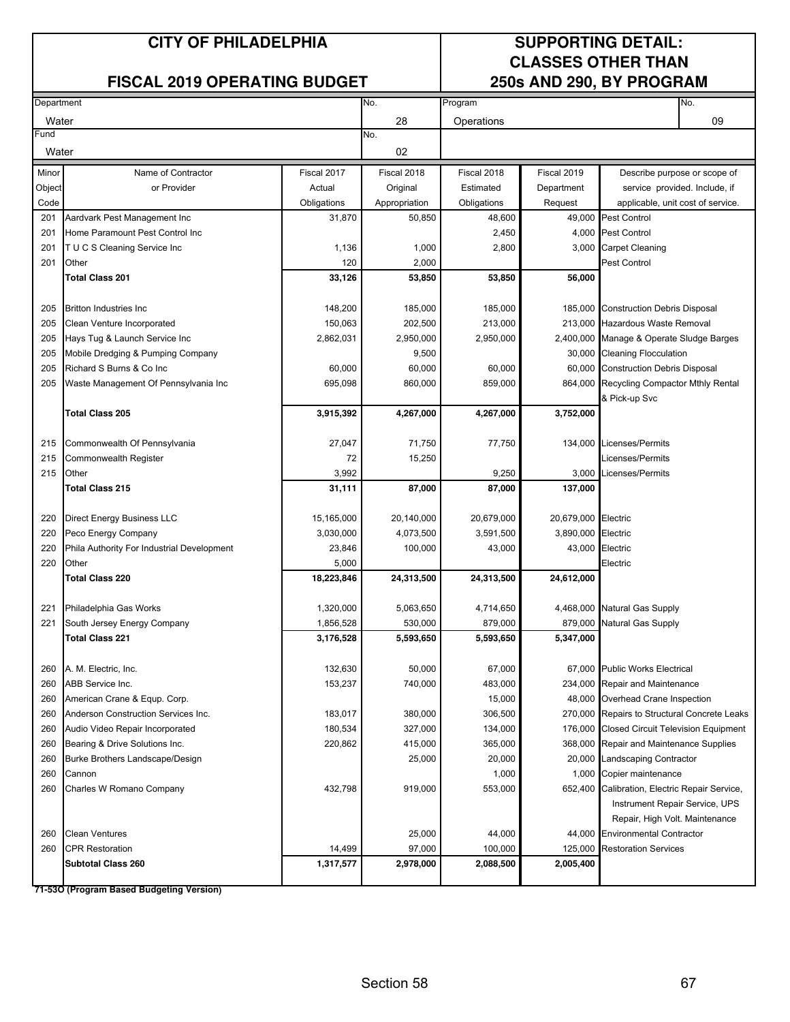#### **FISCAL 2019 OPERATING BUDGET**

# **CLASSES OTHER THAN**

| Department |                                            |             | No.           | Program     |                     | No.                                                       |
|------------|--------------------------------------------|-------------|---------------|-------------|---------------------|-----------------------------------------------------------|
| Water      |                                            |             | 28            | Operations  |                     | 09                                                        |
| Fund       |                                            |             | No.           |             |                     |                                                           |
| Water      |                                            |             | 02            |             |                     |                                                           |
| Minor      | Name of Contractor                         | Fiscal 2017 | Fiscal 2018   | Fiscal 2018 | Fiscal 2019         | Describe purpose or scope of                              |
| Object     | or Provider                                | Actual      | Original      | Estimated   | Department          | service provided. Include, if                             |
| Code       |                                            | Obligations | Appropriation | Obligations | Request             | applicable, unit cost of service.                         |
| 201        | Aardvark Pest Management Inc               | 31,870      | 50,850        | 48,600      |                     | 49,000 Pest Control                                       |
| 201        | Home Paramount Pest Control Inc            |             |               | 2,450       |                     | 4,000 Pest Control                                        |
| 201        | T U C S Cleaning Service Inc               | 1,136       | 1,000         | 2,800       |                     | 3,000 Carpet Cleaning                                     |
| 201        | Other                                      | 120         | 2,000         |             |                     | <b>Pest Control</b>                                       |
|            | <b>Total Class 201</b>                     | 33,126      | 53,850        | 53,850      | 56,000              |                                                           |
| 205        | <b>Britton Industries Inc.</b>             | 148,200     | 185,000       | 185,000     |                     | 185,000 Construction Debris Disposal                      |
| 205        | Clean Venture Incorporated                 | 150,063     | 202,500       | 213,000     |                     | 213,000 Hazardous Waste Removal                           |
| 205        | Hays Tug & Launch Service Inc              | 2,862,031   | 2,950,000     | 2,950,000   |                     | 2,400,000 Manage & Operate Sludge Barges                  |
| 205        | Mobile Dredging & Pumping Company          |             | 9,500         |             |                     | 30,000 Cleaning Flocculation                              |
| 205        | Richard S Burns & Co Inc                   | 60,000      | 60,000        | 60,000      |                     | 60,000 Construction Debris Disposal                       |
| 205        | Waste Management Of Pennsylvania Inc       | 695,098     | 860,000       | 859,000     |                     | 864,000 Recycling Compactor Mthly Rental<br>& Pick-up Svc |
|            | <b>Total Class 205</b>                     | 3,915,392   | 4,267,000     | 4,267,000   | 3,752,000           |                                                           |
|            |                                            |             |               |             |                     |                                                           |
| 215        | Commonwealth Of Pennsylvania               | 27,047      | 71,750        | 77,750      |                     | 134,000 Licenses/Permits                                  |
| 215        | Commonwealth Register                      | 72          | 15,250        |             |                     | Licenses/Permits                                          |
| 215        | Other                                      | 3,992       |               | 9,250       |                     | 3,000 Licenses/Permits                                    |
|            | <b>Total Class 215</b>                     | 31,111      | 87,000        | 87,000      | 137,000             |                                                           |
|            |                                            |             |               |             |                     |                                                           |
| 220        | <b>Direct Energy Business LLC</b>          | 15,165,000  | 20,140,000    | 20,679,000  | 20,679,000 Electric |                                                           |
| 220        | Peco Energy Company                        | 3,030,000   | 4,073,500     | 3,591,500   | 3,890,000 Electric  |                                                           |
| 220        | Phila Authority For Industrial Development | 23,846      | 100,000       | 43,000      |                     | 43,000 Electric                                           |
| 220        | Other                                      | 5,000       |               |             |                     | Electric                                                  |
|            | <b>Total Class 220</b>                     | 18,223,846  | 24,313,500    | 24,313,500  | 24,612,000          |                                                           |
| 221        | Philadelphia Gas Works                     | 1,320,000   | 5,063,650     | 4,714,650   |                     | 4,468,000 Natural Gas Supply                              |
| 221        | South Jersey Energy Company                | 1,856,528   | 530,000       | 879,000     | 879,000             | <b>Natural Gas Supply</b>                                 |
|            | <b>Total Class 221</b>                     | 3,176,528   | 5,593,650     | 5,593,650   | 5,347,000           |                                                           |
|            |                                            |             |               |             |                     |                                                           |
| 260        | A. M. Electric, Inc.                       | 132,630     | 50,000        | 67,000      |                     | 67,000 Public Works Electrical                            |
| 260        | ABB Service Inc.                           | 153,237     | 740,000       | 483,000     |                     | 234,000 Repair and Maintenance                            |
| 260        | American Crane & Equp. Corp.               |             |               | 15,000      |                     | 48,000 Overhead Crane Inspection                          |
| 260        | Anderson Construction Services Inc.        | 183,017     | 380,000       | 306,500     |                     | 270,000 Repairs to Structural Concrete Leaks              |
| 260        | Audio Video Repair Incorporated            | 180,534     | 327,000       | 134,000     |                     | 176,000 Closed Circuit Television Equipment               |
| 260        | Bearing & Drive Solutions Inc.             | 220,862     | 415,000       | 365,000     |                     | 368,000 Repair and Maintenance Supplies                   |
| 260        | Burke Brothers Landscape/Design            |             | 25,000        | 20,000      |                     | 20,000 Landscaping Contractor                             |
| 260        | Cannon                                     |             |               | 1,000       |                     | 1,000 Copier maintenance                                  |
| 260        | Charles W Romano Company                   | 432,798     | 919,000       | 553,000     |                     | 652,400 Calibration, Electric Repair Service,             |
|            |                                            |             |               |             |                     | Instrument Repair Service, UPS                            |
|            |                                            |             |               |             |                     | Repair, High Volt. Maintenance                            |
| 260        | <b>Clean Ventures</b>                      |             | 25,000        | 44,000      |                     | 44,000 Environmental Contractor                           |
| 260        | <b>CPR Restoration</b>                     | 14,499      | 97,000        | 100,000     | 125,000             | <b>Restoration Services</b>                               |
|            | <b>Subtotal Class 260</b>                  | 1,317,577   | 2,978,000     | 2,088,500   | 2,005,400           |                                                           |
|            |                                            |             |               |             |                     |                                                           |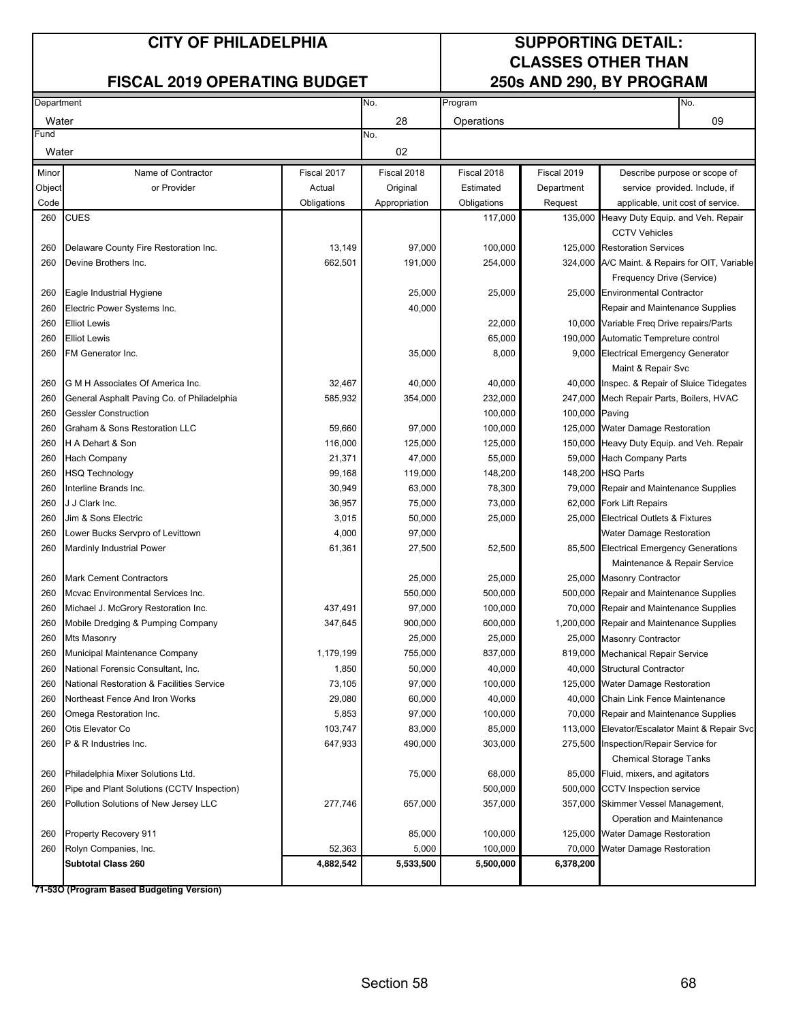#### **FISCAL 2019 OPERATING BUDGET**

## **CLASSES OTHER THAN**

| Department |                                            |             | No.           | Program     |                | No.                                            |
|------------|--------------------------------------------|-------------|---------------|-------------|----------------|------------------------------------------------|
| Water      |                                            |             | 28            | Operations  |                | 09                                             |
| Fund       |                                            |             | No.           |             |                |                                                |
| Water      |                                            |             | 02            |             |                |                                                |
| Minor      | Name of Contractor                         | Fiscal 2017 | Fiscal 2018   | Fiscal 2018 | Fiscal 2019    | Describe purpose or scope of                   |
| Object     | or Provider                                | Actual      | Original      | Estimated   | Department     | service provided. Include, if                  |
| Code       |                                            | Obligations | Appropriation | Obligations | Request        | applicable, unit cost of service.              |
| 260        | <b>CUES</b>                                |             |               | 117,000     |                | 135,000 Heavy Duty Equip. and Veh. Repair      |
|            |                                            |             |               |             |                | <b>CCTV Vehicles</b>                           |
| 260        | Delaware County Fire Restoration Inc.      | 13,149      | 97,000        | 100,000     |                | 125,000 Restoration Services                   |
| 260        | Devine Brothers Inc.                       | 662,501     | 191,000       | 254,000     |                | 324,000 A/C Maint. & Repairs for OIT, Variable |
|            |                                            |             |               |             |                | Frequency Drive (Service)                      |
| 260        | Eagle Industrial Hygiene                   |             | 25,000        | 25,000      |                | 25,000 Environmental Contractor                |
| 260        | Electric Power Systems Inc.                |             | 40,000        |             |                | Repair and Maintenance Supplies                |
| 260        | <b>Elliot Lewis</b>                        |             |               | 22,000      |                | 10,000 Variable Freq Drive repairs/Parts       |
| 260        | <b>Elliot Lewis</b>                        |             |               | 65,000      |                | 190,000 Automatic Tempreture control           |
| 260        | FM Generator Inc.                          |             | 35,000        | 8,000       |                | 9,000 Electrical Emergency Generator           |
|            |                                            |             |               |             |                | Maint & Repair Svc                             |
| 260        | G M H Associates Of America Inc.           | 32,467      | 40,000        | 40,000      |                | 40,000 Inspec. & Repair of Sluice Tidegates    |
| 260        | General Asphalt Paving Co. of Philadelphia | 585,932     | 354,000       | 232,000     |                | 247,000 Mech Repair Parts, Boilers, HVAC       |
| 260        | <b>Gessler Construction</b>                |             |               | 100,000     | 100,000 Paving |                                                |
| 260        | Graham & Sons Restoration LLC              | 59,660      | 97,000        | 100,000     |                | 125,000 Water Damage Restoration               |
| 260        | H A Dehart & Son                           | 116,000     | 125,000       | 125,000     |                | 150,000 Heavy Duty Equip. and Veh. Repair      |
| 260        | Hach Company                               | 21,371      | 47,000        | 55,000      |                | 59,000 Hach Company Parts                      |
| 260        | <b>HSQ Technology</b>                      | 99,168      | 119,000       | 148,200     |                | 148,200 HSQ Parts                              |
| 260        | Interline Brands Inc.                      | 30,949      | 63,000        | 78,300      |                | 79,000 Repair and Maintenance Supplies         |
| 260        | J J Clark Inc.                             | 36,957      | 75,000        | 73,000      |                | 62,000 Fork Lift Repairs                       |
| 260        | Jim & Sons Electric                        | 3,015       | 50,000        | 25,000      |                | 25,000 Electrical Outlets & Fixtures           |
| 260        | Lower Bucks Servpro of Levittown           | 4,000       | 97,000        |             |                | <b>Water Damage Restoration</b>                |
| 260        | <b>Mardinly Industrial Power</b>           | 61,361      | 27,500        | 52,500      |                | 85,500 Electrical Emergency Generations        |
|            |                                            |             |               |             |                | Maintenance & Repair Service                   |
| 260        | <b>Mark Cement Contractors</b>             |             | 25,000        | 25,000      |                | 25,000 Masonry Contractor                      |
| 260        | Mcvac Environmental Services Inc.          |             | 550,000       | 500,000     |                | 500,000 Repair and Maintenance Supplies        |
| 260        | Michael J. McGrory Restoration Inc.        | 437,491     | 97,000        | 100,000     |                | 70,000 Repair and Maintenance Supplies         |
| 260        | Mobile Dredging & Pumping Company          | 347,645     | 900,000       | 600,000     |                | 1,200,000 Repair and Maintenance Supplies      |
| 260        | Mts Masonry                                |             | 25,000        | 25,000      |                | 25,000 Masonry Contractor                      |
| 260        | Municipal Maintenance Company              | 1,179,199   | 755,000       | 837,000     |                | 819,000 Mechanical Repair Service              |
| 260        | National Forensic Consultant, Inc.         | 1,850       | 50,000        | 40,000      |                | 40,000 Structural Contractor                   |
| 260        | National Restoration & Facilities Service  | 73,105      | 97,000        | 100,000     |                | 125,000 Water Damage Restoration               |
| 260        | Northeast Fence And Iron Works             | 29,080      | 60,000        | 40,000      |                | 40,000 Chain Link Fence Maintenance            |
| 260        | Omega Restoration Inc.                     | 5,853       | 97,000        | 100,000     |                | 70,000 Repair and Maintenance Supplies         |
| 260        | Otis Elevator Co                           | 103,747     | 83,000        | 85,000      |                | 113,000 Elevator/Escalator Maint & Repair Svc  |
| 260        | P & R Industries Inc.                      | 647,933     | 490,000       | 303,000     |                | 275,500 Inspection/Repair Service for          |
|            |                                            |             |               |             |                | <b>Chemical Storage Tanks</b>                  |
| 260        | Philadelphia Mixer Solutions Ltd.          |             | 75,000        | 68,000      |                | 85,000 Fluid, mixers, and agitators            |
| 260        | Pipe and Plant Solutions (CCTV Inspection) |             |               | 500,000     |                | 500,000 CCTV Inspection service                |
| 260        | Pollution Solutions of New Jersey LLC      | 277,746     | 657,000       | 357,000     |                | 357,000 Skimmer Vessel Management,             |
|            |                                            |             |               |             |                | Operation and Maintenance                      |
| 260        | Property Recovery 911                      |             | 85,000        | 100,000     |                | 125,000 Water Damage Restoration               |
| 260        | Rolyn Companies, Inc.                      | 52,363      | 5,000         | 100,000     | 70,000         | <b>Water Damage Restoration</b>                |
|            | <b>Subtotal Class 260</b>                  | 4,882,542   | 5,533,500     | 5,500,000   | 6,378,200      |                                                |
|            |                                            |             |               |             |                |                                                |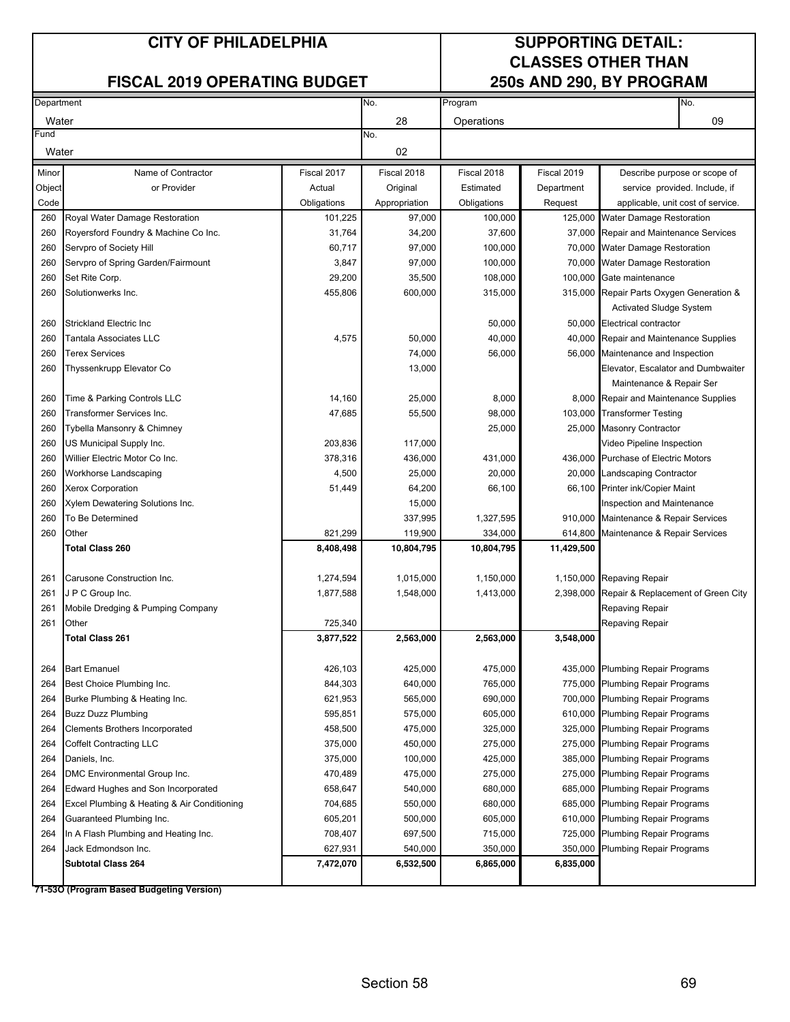#### **FISCAL 2019 OPERATING BUDGET**

## **CLASSES OTHER THAN**

| Department |                                                            |                    | No.                | Program            |             | No.                                          |
|------------|------------------------------------------------------------|--------------------|--------------------|--------------------|-------------|----------------------------------------------|
| Water      |                                                            |                    | 28                 | Operations         |             | 09                                           |
| Fund       |                                                            |                    | No.                |                    |             |                                              |
| Water      |                                                            |                    | 02                 |                    |             |                                              |
| Minor      | Name of Contractor                                         | Fiscal 2017        | Fiscal 2018        | Fiscal 2018        | Fiscal 2019 | Describe purpose or scope of                 |
| Object     | or Provider                                                | Actual             | Original           | Estimated          | Department  | service provided. Include, if                |
| Code       |                                                            | Obligations        | Appropriation      | Obligations        | Request     | applicable, unit cost of service.            |
| 260        | Royal Water Damage Restoration                             | 101,225            | 97,000             | 100,000            |             | 125,000 Water Damage Restoration             |
| 260        | Royersford Foundry & Machine Co Inc.                       | 31,764             | 34,200             | 37,600             | 37,000      | Repair and Maintenance Services              |
| 260        | Servpro of Society Hill                                    | 60,717             | 97,000             | 100,000            | 70,000      | <b>Water Damage Restoration</b>              |
| 260        | Servpro of Spring Garden/Fairmount                         | 3,847              | 97,000             | 100,000            | 70,000      | <b>Water Damage Restoration</b>              |
| 260        | Set Rite Corp.                                             | 29,200             | 35,500             | 108,000            | 100,000     | Gate maintenance                             |
| 260        | Solutionwerks Inc.                                         | 455,806            | 600,000            | 315,000            | 315,000     | Repair Parts Oxygen Generation &             |
|            |                                                            |                    |                    |                    |             | <b>Activated Sludge System</b>               |
| 260        | Strickland Electric Inc                                    |                    |                    | 50,000             |             | 50,000 Electrical contractor                 |
| 260        | Tantala Associates LLC                                     | 4,575              | 50,000             | 40,000             |             | 40,000 Repair and Maintenance Supplies       |
| 260        | <b>Terex Services</b>                                      |                    | 74,000             | 56,000             |             | 56,000 Maintenance and Inspection            |
| 260        | Thyssenkrupp Elevator Co                                   |                    | 13,000             |                    |             | Elevator, Escalator and Dumbwaiter           |
|            |                                                            |                    |                    |                    |             | Maintenance & Repair Ser                     |
| 260        | Time & Parking Controls LLC                                | 14,160             | 25,000             | 8,000              |             | 8,000 Repair and Maintenance Supplies        |
| 260        | Transformer Services Inc.                                  | 47,685             | 55,500             | 98,000             |             | 103,000 Transformer Testing                  |
| 260        | <b>Tybella Mansonry &amp; Chimney</b>                      |                    |                    | 25,000             |             | 25,000 Masonry Contractor                    |
| 260        | US Municipal Supply Inc.                                   | 203,836            | 117,000            |                    |             | Video Pipeline Inspection                    |
| 260        | Willier Electric Motor Co Inc.                             | 378,316            | 436,000            | 431,000            |             | 436,000 Purchase of Electric Motors          |
| 260        | Workhorse Landscaping                                      | 4,500              | 25,000             | 20,000             |             | 20,000 Landscaping Contractor                |
| 260        | <b>Xerox Corporation</b>                                   | 51,449             | 64,200             | 66,100             |             | 66,100 Printer ink/Copier Maint              |
| 260        | Xylem Dewatering Solutions Inc.                            |                    | 15,000             |                    |             | Inspection and Maintenance                   |
| 260        | To Be Determined                                           |                    | 337,995            | 1,327,595          | 910,000     | Maintenance & Repair Services                |
| 260        | Other                                                      | 821,299            | 119,900            | 334,000            | 614,800     | Maintenance & Repair Services                |
|            | <b>Total Class 260</b>                                     | 8,408,498          | 10,804,795         | 10,804,795         | 11,429,500  |                                              |
| 261        | Carusone Construction Inc.                                 | 1,274,594          | 1,015,000          | 1,150,000          |             | 1,150,000 Repaving Repair                    |
| 261        | J P C Group Inc.                                           | 1,877,588          | 1,548,000          | 1,413,000          |             | 2,398,000 Repair & Replacement of Green City |
| 261        | Mobile Dredging & Pumping Company                          |                    |                    |                    |             | Repaving Repair                              |
| 261        | Other                                                      | 725,340            |                    |                    |             | Repaving Repair                              |
|            | Total Class 261                                            | 3,877,522          | 2,563,000          | 2,563,000          | 3,548,000   |                                              |
|            |                                                            |                    |                    |                    |             |                                              |
| 264        | <b>Bart Emanuel</b>                                        | 426,103            | 425,000            | 475,000            |             | 435,000 Plumbing Repair Programs             |
| 264        | Best Choice Plumbing Inc.                                  | 844,303            | 640,000            | 765,000<br>690,000 |             | 775,000 Plumbing Repair Programs             |
| 264        | Burke Plumbing & Heating Inc.<br><b>Buzz Duzz Plumbing</b> | 621,953<br>595,851 | 565,000<br>575,000 | 605,000            |             | 700,000 Plumbing Repair Programs             |
| 264        | Clements Brothers Incorporated                             | 458,500            | 475,000            | 325,000            |             | 610,000 Plumbing Repair Programs             |
| 264        |                                                            | 375,000            | 450,000            |                    |             | 325,000 Plumbing Repair Programs             |
| 264        | <b>Coffelt Contracting LLC</b>                             | 375,000            |                    | 275,000            |             | 275,000 Plumbing Repair Programs             |
| 264        | Daniels, Inc.                                              |                    | 100,000            | 425,000            |             | 385,000 Plumbing Repair Programs             |
| 264        | DMC Environmental Group Inc.                               | 470,489            | 475,000            | 275,000            | 275,000     | <b>Plumbing Repair Programs</b>              |
| 264        | Edward Hughes and Son Incorporated                         | 658,647            | 540,000            | 680,000            | 685,000     | <b>Plumbing Repair Programs</b>              |
| 264        | Excel Plumbing & Heating & Air Conditioning                | 704,685            | 550,000            | 680,000            | 685,000     | Plumbing Repair Programs                     |
| 264        | Guaranteed Plumbing Inc.                                   | 605,201            | 500,000            | 605,000            | 610,000     | <b>Plumbing Repair Programs</b>              |
| 264        | In A Flash Plumbing and Heating Inc.                       | 708,407            | 697,500            | 715,000            | 725,000     | Plumbing Repair Programs                     |
| 264        | Jack Edmondson Inc.                                        | 627,931            | 540,000            | 350,000            | 350,000     | Plumbing Repair Programs                     |
|            | <b>Subtotal Class 264</b>                                  | 7,472,070          | 6,532,500          | 6,865,000          | 6,835,000   |                                              |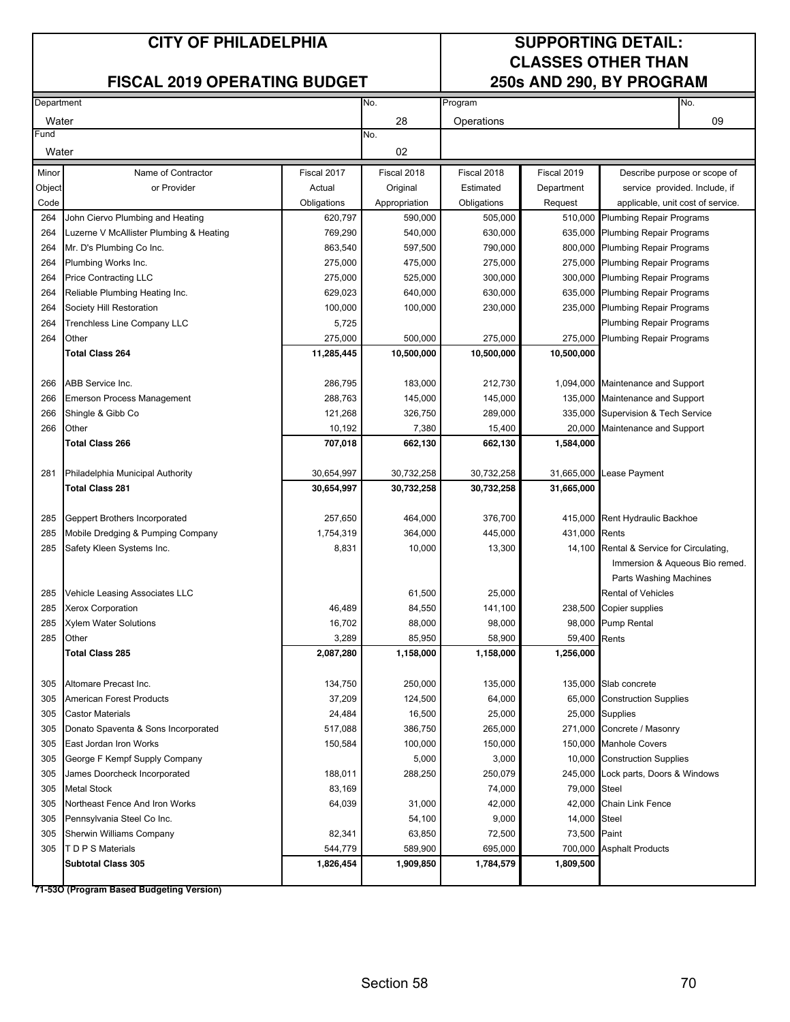#### **FISCAL 2019 OPERATING BUDGET**

# **CLASSES OTHER THAN**

| Department |                                         |                   | No.              | Program           |              | No.                                     |
|------------|-----------------------------------------|-------------------|------------------|-------------------|--------------|-----------------------------------------|
| Water      |                                         |                   | 28               | Operations        |              | 09                                      |
| Fund       |                                         |                   | No.              |                   |              |                                         |
| Water      |                                         |                   | 02               |                   |              |                                         |
| Minor      | Name of Contractor                      | Fiscal 2017       | Fiscal 2018      | Fiscal 2018       | Fiscal 2019  | Describe purpose or scope of            |
| Object     | or Provider                             | Actual            | Original         | Estimated         | Department   | service provided. Include, if           |
| Code       |                                         | Obligations       | Appropriation    | Obligations       | Request      | applicable, unit cost of service.       |
| 264        | John Ciervo Plumbing and Heating        | 620,797           | 590,000          | 505,000           | 510,000      | <b>Plumbing Repair Programs</b>         |
| 264        | Luzerne V McAllister Plumbing & Heating | 769,290           | 540,000          | 630,000           |              | 635,000 Plumbing Repair Programs        |
| 264        | Mr. D's Plumbing Co Inc.                | 863,540           | 597,500          | 790,000           |              | 800,000 Plumbing Repair Programs        |
| 264        | Plumbing Works Inc.                     | 275,000           | 475,000          | 275,000           | 275,000      | <b>Plumbing Repair Programs</b>         |
| 264        | <b>Price Contracting LLC</b>            | 275,000           | 525,000          | 300,000           | 300,000      | <b>Plumbing Repair Programs</b>         |
| 264        | Reliable Plumbing Heating Inc.          | 629,023           | 640,000          | 630,000           | 635,000      | <b>Plumbing Repair Programs</b>         |
| 264        | Society Hill Restoration                | 100,000           | 100,000          | 230,000           |              | 235,000 Plumbing Repair Programs        |
| 264        | Trenchless Line Company LLC             | 5,725             |                  |                   |              | Plumbing Repair Programs                |
| 264        | Other                                   | 275,000           | 500,000          | 275,000           | 275,000      | Plumbing Repair Programs                |
|            | <b>Total Class 264</b>                  | 11,285,445        | 10,500,000       | 10,500,000        | 10,500,000   |                                         |
| 266        | ABB Service Inc.                        | 286,795           | 183,000          | 212,730           |              | 1,094,000 Maintenance and Support       |
| 266        | <b>Emerson Process Management</b>       | 288,763           | 145,000          | 145,000           | 135,000      | Maintenance and Support                 |
| 266        | Shingle & Gibb Co                       | 121,268           | 326,750          | 289,000           |              | 335,000 Supervision & Tech Service      |
| 266        | Other                                   | 10,192            | 7,380            | 15,400            | 20,000       | Maintenance and Support                 |
|            | <b>Total Class 266</b>                  | 707,018           | 662,130          | 662,130           | 1,584,000    |                                         |
|            |                                         |                   |                  |                   |              |                                         |
| 281        | Philadelphia Municipal Authority        | 30,654,997        | 30,732,258       | 30,732,258        | 31,665,000   | Lease Payment                           |
|            | <b>Total Class 281</b>                  | 30,654,997        | 30,732,258       | 30,732,258        | 31,665,000   |                                         |
|            |                                         |                   |                  |                   |              |                                         |
| 285        | Geppert Brothers Incorporated           | 257,650           | 464,000          | 376,700           | 415,000      | Rent Hydraulic Backhoe                  |
| 285        | Mobile Dredging & Pumping Company       | 1,754,319         | 364,000          | 445,000           | 431,000      | Rents                                   |
| 285        | Safety Kleen Systems Inc.               | 8,831             | 10,000           | 13,300            | 14,100       | Rental & Service for Circulating,       |
|            |                                         |                   |                  |                   |              | Immersion & Aqueous Bio remed.          |
|            |                                         |                   |                  |                   |              | Parts Washing Machines                  |
| 285        | Vehicle Leasing Associates LLC          |                   | 61,500           | 25,000            |              | Rental of Vehicles                      |
| 285        | <b>Xerox Corporation</b>                | 46,489            | 84,550           | 141,100           |              | 238,500 Copier supplies                 |
| 285        | <b>Xylem Water Solutions</b>            | 16,702            | 88,000           | 98,000            |              | 98,000 Pump Rental                      |
| 285        | Other                                   | 3,289             | 85,950           | 58,900            | 59,400       | Rents                                   |
|            | Total Class 285                         | 2,087,280         | 1,158,000        | 1,158,000         | 1,256,000    |                                         |
| 305        | Altomare Precast Inc.                   | 134,750           | 250,000          | 135,000           |              | 135,000 Slab concrete                   |
| 305        | <b>American Forest Products</b>         | 37,209            | 124,500          | 64,000            |              | 65,000 Construction Supplies            |
| 305        | <b>Castor Materials</b>                 | 24,484            | 16,500           | 25,000            |              | 25,000 Supplies                         |
| 305        | Donato Spaventa & Sons Incorporated     | 517,088           | 386,750          | 265,000           |              | 271,000 Concrete / Masonry              |
| 305        | East Jordan Iron Works                  | 150,584           | 100,000          | 150,000           |              | 150,000 Manhole Covers                  |
| 305        | George F Kempf Supply Company           |                   | 5,000            | 3,000             |              | 10,000 Construction Supplies            |
| 305        | James Doorcheck Incorporated            | 188,011           | 288,250          | 250,079           |              | 245,000 Lock parts, Doors & Windows     |
| 305        | <b>Metal Stock</b>                      | 83,169            |                  | 74,000            | 79,000 Steel |                                         |
|            | Northeast Fence And Iron Works          |                   |                  | 42,000            | 42,000       |                                         |
| 305<br>305 | Pennsylvania Steel Co Inc.              | 64,039            | 31,000<br>54,100 | 9,000             | 14,000       | <b>Chain Link Fence</b><br><b>Steel</b> |
| 305        | Sherwin Williams Company                |                   | 63,850           |                   | 73,500       | Paint                                   |
| 305        | T D P S Materials                       | 82,341<br>544,779 | 589,900          | 72,500<br>695,000 | 700,000      | <b>Asphalt Products</b>                 |
|            | <b>Subtotal Class 305</b>               | 1,826,454         | 1,909,850        | 1,784,579         | 1,809,500    |                                         |
|            |                                         |                   |                  |                   |              |                                         |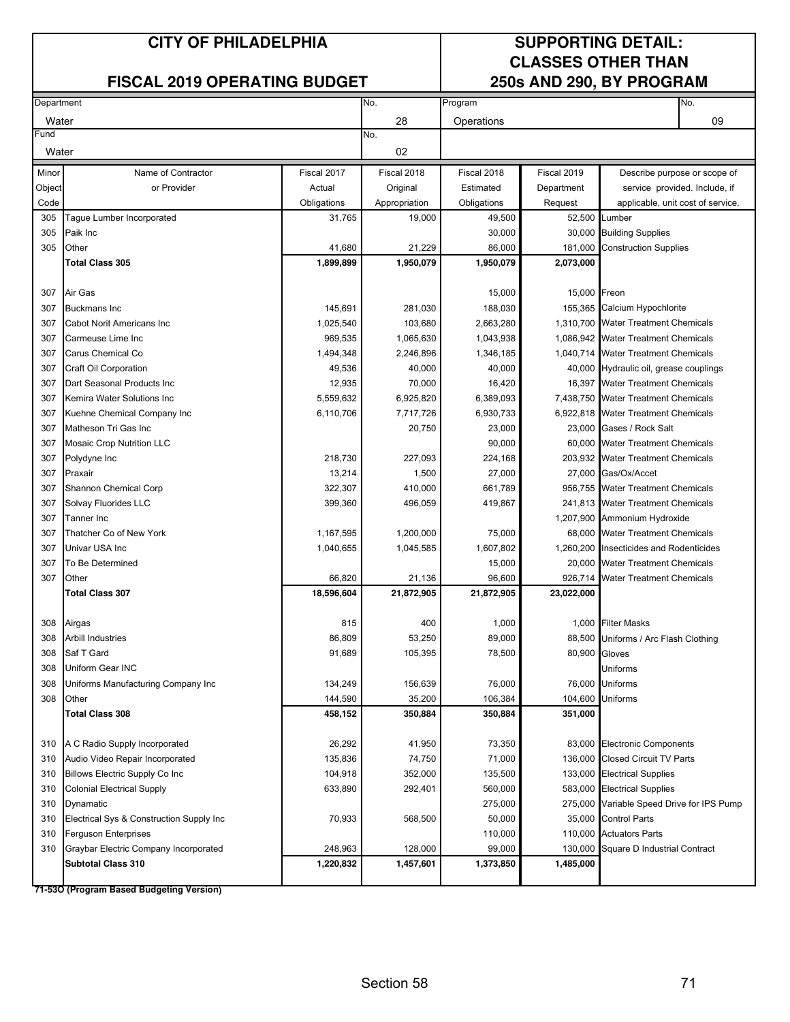#### **FISCAL 2019 OPERATING BUDGET**

# **CLASSES OTHER THAN**

| Department |                                          |             | No.           | Program     |               | No.                                       |  |  |
|------------|------------------------------------------|-------------|---------------|-------------|---------------|-------------------------------------------|--|--|
| Water      |                                          |             | 28            | Operations  |               | 09                                        |  |  |
| Fund       |                                          |             | No.           |             |               |                                           |  |  |
| Water      |                                          |             | 02            |             |               |                                           |  |  |
| Minor      | Name of Contractor                       | Fiscal 2017 | Fiscal 2018   | Fiscal 2018 | Fiscal 2019   | Describe purpose or scope of              |  |  |
| Object     | or Provider                              | Actual      | Original      | Estimated   | Department    | service provided. Include, if             |  |  |
| Code       |                                          | Obligations | Appropriation | Obligations | Request       | applicable, unit cost of service.         |  |  |
| 305        | Tague Lumber Incorporated                | 31,765      | 19,000        | 49,500      |               | 52,500 Lumber                             |  |  |
| 305        | Paik Inc                                 |             |               | 30,000      |               | 30,000 Building Supplies                  |  |  |
| 305        | Other                                    | 41,680      | 21,229        | 86,000      | 181,000       | <b>Construction Supplies</b>              |  |  |
|            | <b>Total Class 305</b>                   | 1,899,899   | 1,950,079     | 1,950,079   | 2,073,000     |                                           |  |  |
|            |                                          |             |               |             |               |                                           |  |  |
| 307        | Air Gas                                  |             |               | 15,000      | 15,000 Freon  |                                           |  |  |
| 307        | <b>Buckmans Inc</b>                      | 145,691     | 281,030       | 188,030     |               | 155,365 Calcium Hypochlorite              |  |  |
| 307        | Cabot Norit Americans Inc                | 1,025,540   | 103,680       | 2,663,280   |               | 1,310,700 Water Treatment Chemicals       |  |  |
| 307        | Carmeuse Lime Inc                        | 969,535     | 1,065,630     | 1,043,938   |               | 1,086,942 Water Treatment Chemicals       |  |  |
| 307        | Carus Chemical Co                        | 1,494,348   | 2,246,896     | 1,346,185   |               | 1,040,714 Water Treatment Chemicals       |  |  |
| 307        | Craft Oil Corporation                    | 49,536      | 40,000        | 40,000      |               | 40,000 Hydraulic oil, grease couplings    |  |  |
| 307        | Dart Seasonal Products Inc               | 12,935      | 70,000        | 16,420      |               | 16,397 Water Treatment Chemicals          |  |  |
| 307        | Kemira Water Solutions Inc               | 5,559,632   | 6,925,820     | 6,389,093   |               | 7,438,750 Water Treatment Chemicals       |  |  |
| 307        | Kuehne Chemical Company Inc              | 6,110,706   | 7,717,726     | 6,930,733   |               | 6,922,818 Water Treatment Chemicals       |  |  |
| 307        | Matheson Tri Gas Inc                     |             | 20,750        | 23,000      |               | 23,000 Gases / Rock Salt                  |  |  |
| 307        | Mosaic Crop Nutrition LLC                |             |               | 90,000      |               | 60,000 Water Treatment Chemicals          |  |  |
| 307        | Polydyne Inc                             | 218,730     | 227,093       | 224,168     |               | 203,932 Water Treatment Chemicals         |  |  |
| 307        | Praxair                                  | 13,214      | 1,500         | 27,000      |               | 27,000 Gas/Ox/Accet                       |  |  |
| 307        | Shannon Chemical Corp                    | 322,307     | 410,000       | 661,789     |               | 956,755 Water Treatment Chemicals         |  |  |
| 307        | Solvay Fluorides LLC                     | 399,360     | 496,059       | 419,867     |               | 241,813 Water Treatment Chemicals         |  |  |
| 307        | Tanner Inc                               |             |               |             |               | 1,207,900 Ammonium Hydroxide              |  |  |
| 307        | Thatcher Co of New York                  | 1,167,595   | 1,200,000     | 75,000      |               | 68,000 Water Treatment Chemicals          |  |  |
| 307        | Univar USA Inc                           | 1,040,655   | 1,045,585     | 1,607,802   |               | 1,260,200 Insecticides and Rodenticides   |  |  |
| 307        | To Be Determined                         |             |               | 15,000      |               | 20,000 Water Treatment Chemicals          |  |  |
| 307        | Other                                    | 66,820      | 21,136        | 96,600      | 926,714       | <b>Water Treatment Chemicals</b>          |  |  |
|            | <b>Total Class 307</b>                   | 18,596,604  | 21,872,905    | 21,872,905  | 23,022,000    |                                           |  |  |
|            |                                          |             |               |             |               |                                           |  |  |
| 308        | Airgas                                   | 815         | 400           | 1,000       |               | 1,000 Filter Masks                        |  |  |
| 308        | <b>Arbill Industries</b>                 | 86,809      | 53,250        | 89,000      |               | 88,500 Uniforms / Arc Flash Clothing      |  |  |
| 308        | Saf T Gard                               | 91,689      | 105,395       | 78,500      | 80,900 Gloves |                                           |  |  |
| 308        | Uniform Gear INC                         |             |               |             |               | Uniforms                                  |  |  |
| 308        | Uniforms Manufacturing Company Inc       | 134,249     | 156,639       | 76,000      |               | 76,000 Uniforms                           |  |  |
| 308        | Other                                    | 144,590     | 35,200        | 106,384     | 104,600       | Uniforms                                  |  |  |
|            | Total Class 308                          | 458,152     | 350,884       | 350,884     | 351,000       |                                           |  |  |
| 310        | A C Radio Supply Incorporated            | 26,292      | 41,950        | 73,350      |               | 83,000 Electronic Components              |  |  |
| 310        | Audio Video Repair Incorporated          | 135,836     | 74,750        | 71,000      |               | 136,000 Closed Circuit TV Parts           |  |  |
| 310        | <b>Billows Electric Supply Co Inc.</b>   | 104,918     | 352,000       | 135,500     |               | 133,000 Electrical Supplies               |  |  |
| 310        | <b>Colonial Electrical Supply</b>        | 633,890     | 292,401       | 560,000     |               | 583,000 Electrical Supplies               |  |  |
| 310        | Dynamatic                                |             |               | 275,000     |               | 275,000 Variable Speed Drive for IPS Pump |  |  |
| 310        | Electrical Sys & Construction Supply Inc | 70,933      | 568,500       | 50,000      |               | 35,000 Control Parts                      |  |  |
| 310        | Ferguson Enterprises                     |             |               | 110,000     |               | 110,000 Actuators Parts                   |  |  |
| 310        | Graybar Electric Company Incorporated    | 248,963     | 128,000       | 99,000      | 130,000       | Square D Industrial Contract              |  |  |
|            | <b>Subtotal Class 310</b>                | 1,220,832   | 1,457,601     | 1,373,850   | 1,485,000     |                                           |  |  |
|            |                                          |             |               |             |               |                                           |  |  |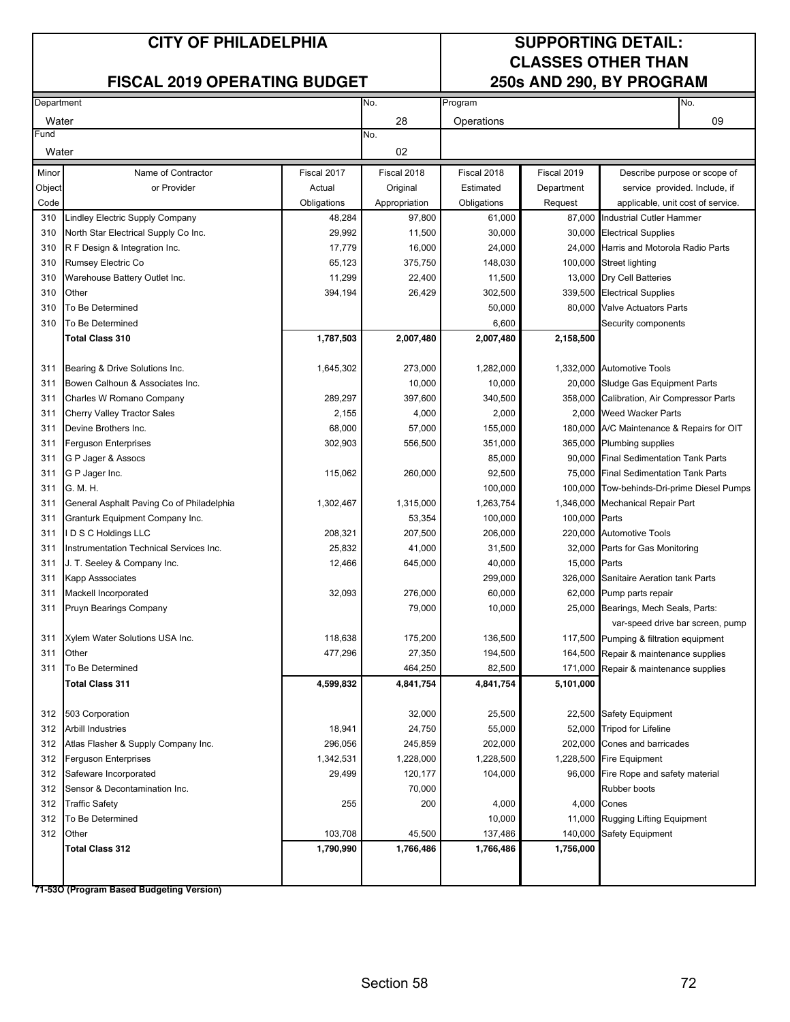#### **FISCAL 2019 OPERATING BUDGET**

# **CLASSES OTHER THAN**

| Department |                                           |             | No.           | Program     |               | No.                                        |
|------------|-------------------------------------------|-------------|---------------|-------------|---------------|--------------------------------------------|
| Water      |                                           |             | 28            | Operations  |               | 09                                         |
| Fund       |                                           |             | No.           |             |               |                                            |
| Water      |                                           |             | 02            |             |               |                                            |
| Minor      | Name of Contractor                        | Fiscal 2017 | Fiscal 2018   | Fiscal 2018 | Fiscal 2019   | Describe purpose or scope of               |
| Object     | or Provider                               | Actual      | Original      | Estimated   | Department    | service provided. Include, if              |
| Code       |                                           | Obligations | Appropriation | Obligations | Request       | applicable, unit cost of service.          |
| 310        | Lindley Electric Supply Company           | 48,284      | 97,800        | 61,000      |               | 87,000 Industrial Cutler Hammer            |
| 310        | North Star Electrical Supply Co Inc.      | 29,992      | 11,500        | 30,000      |               | 30,000 Electrical Supplies                 |
| 310        | R F Design & Integration Inc.             | 17,779      | 16,000        | 24,000      |               | 24,000 Harris and Motorola Radio Parts     |
| 310        | Rumsey Electric Co                        | 65,123      | 375,750       | 148,030     |               | 100,000 Street lighting                    |
| 310        | Warehouse Battery Outlet Inc.             | 11,299      | 22,400        | 11,500      |               | 13,000 Dry Cell Batteries                  |
| 310        | Other                                     | 394,194     | 26,429        | 302,500     |               | 339,500 Electrical Supplies                |
| 310        | To Be Determined                          |             |               | 50,000      | 80,000        | <b>Valve Actuators Parts</b>               |
| 310        | To Be Determined                          |             |               | 6,600       |               | Security components                        |
|            | <b>Total Class 310</b>                    | 1,787,503   | 2,007,480     | 2,007,480   | 2,158,500     |                                            |
|            |                                           |             |               |             |               |                                            |
| 311        | Bearing & Drive Solutions Inc.            | 1,645,302   | 273,000       | 1,282,000   |               | 1,332,000 Automotive Tools                 |
| 311        | Bowen Calhoun & Associates Inc.           |             | 10,000        | 10,000      |               | 20,000 Sludge Gas Equipment Parts          |
| 311        | Charles W Romano Company                  | 289,297     | 397,600       | 340,500     |               | 358,000 Calibration, Air Compressor Parts  |
| 311        | <b>Cherry Valley Tractor Sales</b>        | 2,155       | 4,000         | 2,000       |               | 2,000 Weed Wacker Parts                    |
| 311        | Devine Brothers Inc.                      | 68,000      | 57,000        | 155,000     |               | 180,000 A/C Maintenance & Repairs for OIT  |
| 311        | <b>Ferguson Enterprises</b>               | 302,903     | 556,500       | 351,000     |               | 365,000 Plumbing supplies                  |
| 311        | G P Jager & Assocs                        |             |               | 85,000      |               | 90,000 Final Sedimentation Tank Parts      |
| 311        | G P Jager Inc.                            | 115,062     | 260,000       | 92,500      |               | 75,000 Final Sedimentation Tank Parts      |
| 311        | G. M. H.                                  |             |               | 100,000     |               | 100,000 Tow-behinds-Dri-prime Diesel Pumps |
| 311        | General Asphalt Paving Co of Philadelphia | 1,302,467   | 1,315,000     | 1,263,754   |               | 1,346,000 Mechanical Repair Part           |
| 311        | Granturk Equipment Company Inc.           |             | 53,354        | 100,000     | 100,000 Parts |                                            |
| 311        | D S C Holdings LLC                        | 208,321     | 207,500       | 206,000     |               | 220,000 Automotive Tools                   |
| 311        | Instrumentation Technical Services Inc.   | 25,832      | 41,000        | 31,500      |               | 32,000 Parts for Gas Monitoring            |
| 311        | J. T. Seeley & Company Inc.               | 12,466      | 645,000       | 40,000      | 15,000        | Parts                                      |
| 311        | Kapp Asssociates                          |             |               | 299,000     | 326,000       | Sanitaire Aeration tank Parts              |
| 311        | Mackell Incorporated                      | 32,093      | 276,000       | 60,000      |               | 62,000 Pump parts repair                   |
| 311        | Pruyn Bearings Company                    |             | 79,000        | 10,000      |               | 25,000 Bearings, Mech Seals, Parts:        |
|            |                                           |             |               |             |               | var-speed drive bar screen, pump           |
| 311        | Xylem Water Solutions USA Inc.            | 118,638     | 175,200       | 136,500     |               | 117,500 Pumping & filtration equipment     |
| 311        | Other                                     | 477,296     | 27,350        | 194,500     |               | 164,500 Repair & maintenance supplies      |
| 311        | To Be Determined                          |             | 464,250       | 82,500      |               | 171,000 Repair & maintenance supplies      |
|            | <b>Total Class 311</b>                    | 4,599,832   | 4,841,754     | 4,841,754   | 5,101,000     |                                            |
|            |                                           |             |               |             |               |                                            |
| 312        | 503 Corporation                           |             | 32,000        | 25,500      |               | 22,500 Safety Equipment                    |
| 312        | <b>Arbill Industries</b>                  | 18,941      | 24,750        | 55,000      |               | 52,000 Tripod for Lifeline                 |
| 312        | Atlas Flasher & Supply Company Inc.       | 296,056     | 245,859       | 202,000     |               | 202,000 Cones and barricades               |
| 312        | <b>Ferguson Enterprises</b>               | 1,342,531   | 1,228,000     | 1,228,500   |               | 1,228,500 Fire Equipment                   |
| 312        | Safeware Incorporated                     | 29,499      | 120,177       | 104,000     |               | 96,000 Fire Rope and safety material       |
| 312        | Sensor & Decontamination Inc.             |             | 70,000        |             |               | Rubber boots                               |
| 312        | <b>Traffic Safety</b>                     | 255         | 200           | 4,000       |               | 4,000 Cones                                |
| 312        | To Be Determined                          |             |               | 10,000      | 11,000        | Rugging Lifting Equipment                  |
| 312        | Other                                     | 103,708     | 45,500        | 137,486     | 140,000       | <b>Safety Equipment</b>                    |
|            | Total Class 312                           | 1,790,990   | 1,766,486     | 1,766,486   | 1,756,000     |                                            |
|            |                                           |             |               |             |               |                                            |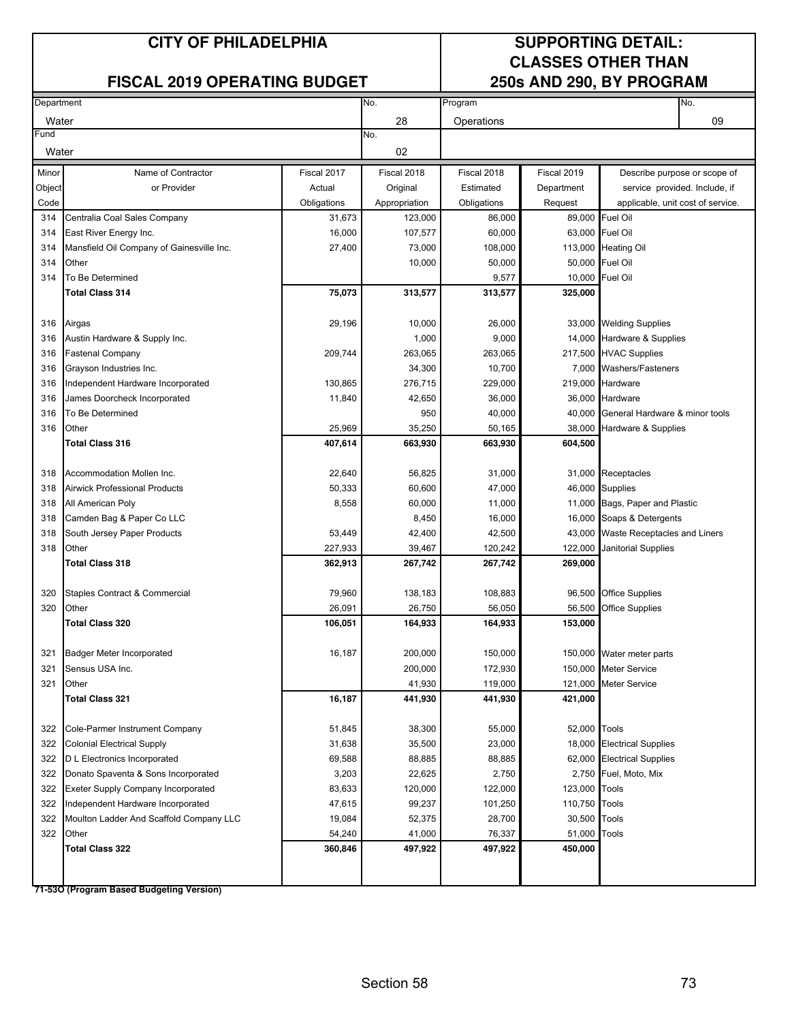### **FISCAL 2019 OPERATING BUDGET**

# **CLASSES OTHER THAN**

| Department |                                                                              |             | No.           | Program           |               | No.                                 |
|------------|------------------------------------------------------------------------------|-------------|---------------|-------------------|---------------|-------------------------------------|
| Water      |                                                                              |             | 28            | Operations        |               | 09                                  |
| Fund       |                                                                              |             | No.           |                   |               |                                     |
| Water      |                                                                              |             | 02            |                   |               |                                     |
| Minor      | Name of Contractor                                                           | Fiscal 2017 | Fiscal 2018   | Fiscal 2018       | Fiscal 2019   | Describe purpose or scope of        |
| Object     | or Provider                                                                  | Actual      | Original      | Estimated         | Department    | service provided. Include, if       |
| Code       |                                                                              | Obligations | Appropriation | Obligations       | Request       | applicable, unit cost of service.   |
| 314        | Centralia Coal Sales Company                                                 | 31,673      | 123,000       | 86,000            |               | 89,000 Fuel Oil                     |
| 314        | East River Energy Inc.                                                       | 16,000      | 107,577       | 60,000            |               | 63,000 Fuel Oil                     |
| 314        | Mansfield Oil Company of Gainesville Inc.                                    | 27,400      | 73,000        | 108,000           |               | 113,000 Heating Oil                 |
| 314        | Other                                                                        |             | 10,000        | 50,000            |               | 50,000 Fuel Oil                     |
| 314        | To Be Determined                                                             |             |               | 9,577             |               | 10,000 Fuel Oil                     |
|            | <b>Total Class 314</b>                                                       | 75,073      | 313,577       | 313,577           | 325,000       |                                     |
| 316        | Airgas                                                                       | 29,196      | 10,000        | 26,000            |               | 33,000 Welding Supplies             |
| 316        | Austin Hardware & Supply Inc.                                                |             | 1,000         | 9,000             |               | 14,000 Hardware & Supplies          |
| 316        | Fastenal Company                                                             | 209,744     | 263,065       | 263,065           |               | 217,500 HVAC Supplies               |
| 316        |                                                                              |             | 34,300        | 10,700            |               | 7,000 Washers/Fasteners             |
| 316        | Grayson Industries Inc.                                                      | 130,865     | 276,715       | 229,000           |               | 219,000 Hardware                    |
| 316        | Independent Hardware Incorporated<br>James Doorcheck Incorporated            | 11,840      | 42,650        | 36,000            |               | 36,000 Hardware                     |
| 316        | To Be Determined                                                             |             | 950           | 40,000            | 40,000        | General Hardware & minor tools      |
| 316        | Other                                                                        | 25,969      | 35,250        |                   |               |                                     |
|            | <b>Total Class 316</b>                                                       | 407,614     | 663,930       | 50,165<br>663,930 | 604,500       | 38,000 Hardware & Supplies          |
|            |                                                                              |             |               |                   |               |                                     |
| 318        | Accommodation Mollen Inc.                                                    | 22,640      | 56,825        | 31,000            |               | 31,000 Receptacles                  |
| 318        | <b>Airwick Professional Products</b>                                         | 50,333      | 60,600        | 47,000            |               | 46,000 Supplies                     |
| 318        | All American Poly                                                            | 8,558       | 60,000        | 11,000            |               | 11,000 Bags, Paper and Plastic      |
| 318        | Camden Bag & Paper Co LLC                                                    |             | 8,450         | 16,000            |               | 16,000 Soaps & Detergents           |
| 318        | South Jersey Paper Products                                                  | 53,449      | 42,400        | 42,500            |               | 43,000 Waste Receptacles and Liners |
| 318        | Other                                                                        | 227,933     | 39,467        | 120,242           | 122,000       | <b>Janitorial Supplies</b>          |
|            | <b>Total Class 318</b>                                                       | 362,913     | 267,742       | 267,742           | 269,000       |                                     |
|            |                                                                              |             |               |                   |               |                                     |
| 320        | Staples Contract & Commercial                                                | 79,960      | 138,183       | 108,883           |               | 96,500 Office Supplies              |
| 320        | Other                                                                        | 26,091      | 26,750        | 56,050            | 56,500        | <b>Office Supplies</b>              |
|            | Total Class 320                                                              | 106,051     | 164,933       | 164,933           | 153,000       |                                     |
| 321        | <b>Badger Meter Incorporated</b>                                             | 16,187      | 200,000       | 150,000           |               | 150,000 Water meter parts           |
| 321        | Sensus USA Inc.                                                              |             | 200,000       | 172,930           |               | 150,000 Meter Service               |
| 321        | Other                                                                        |             | 41,930        | 119,000           |               | 121,000 Meter Service               |
|            | <b>Total Class 321</b>                                                       | 16,187      | 441,930       | 441,930           | 421,000       |                                     |
| 322        | Cole-Parmer Instrument Company                                               | 51,845      | 38,300        | 55,000            | 52,000 Tools  |                                     |
| 322        | <b>Colonial Electrical Supply</b>                                            | 31,638      | 35,500        | 23,000            |               | 18,000 Electrical Supplies          |
| 322        | D L Electronics Incorporated                                                 | 69,588      | 88,885        | 88,885            |               | 62,000 Electrical Supplies          |
| 322        |                                                                              | 3,203       | 22,625        |                   |               |                                     |
| 322        | Donato Spaventa & Sons Incorporated                                          | 83,633      | 120,000       | 2,750<br>122,000  | 123,000 Tools | 2,750 Fuel, Moto, Mix               |
| 322        | <b>Exeter Supply Company Incorporated</b>                                    | 47,615      | 99,237        | 101,250           | 110,750 Tools |                                     |
| 322        | Independent Hardware Incorporated<br>Moulton Ladder And Scaffold Company LLC | 19,084      | 52,375        | 28,700            | 30,500 Tools  |                                     |
| 322        | Other                                                                        | 54,240      | 41,000        | 76,337            | 51,000        | Tools                               |
|            | <b>Total Class 322</b>                                                       | 360,846     | 497,922       | 497,922           | 450,000       |                                     |
|            |                                                                              |             |               |                   |               |                                     |
|            |                                                                              |             |               |                   |               |                                     |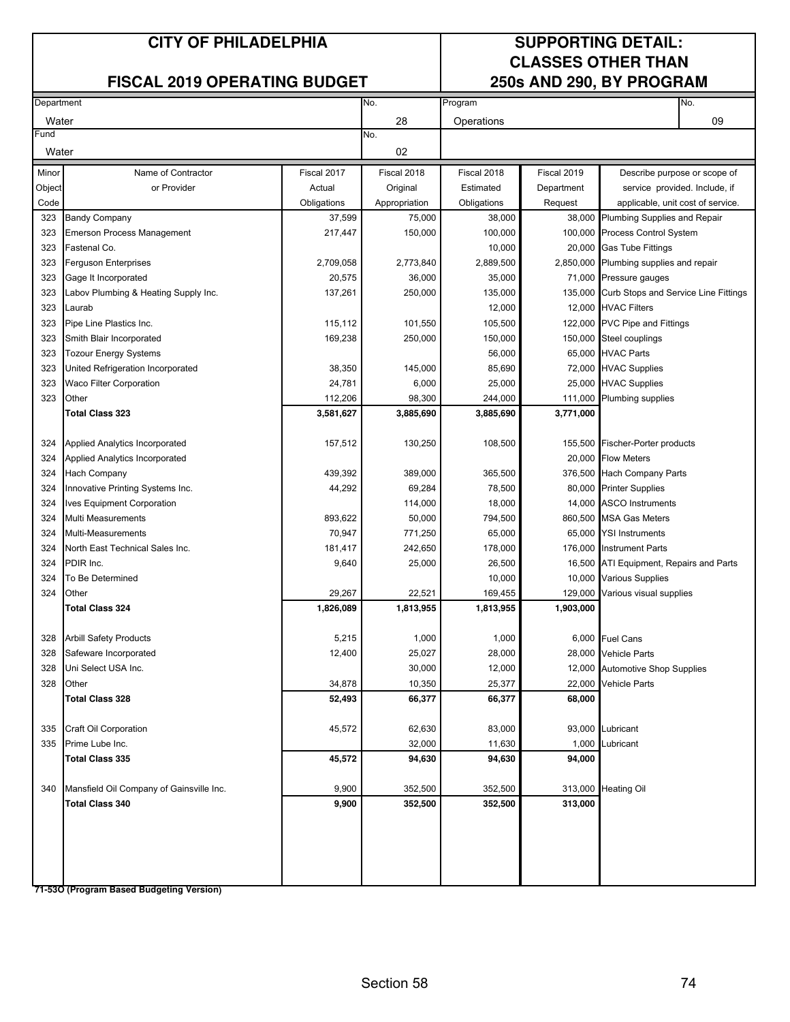### **FISCAL 2019 OPERATING BUDGET**

# **CLASSES OTHER THAN**

| Department |                                          | No.         | Program       |             |             | No.                                          |    |
|------------|------------------------------------------|-------------|---------------|-------------|-------------|----------------------------------------------|----|
| Water      |                                          |             | 28            | Operations  |             |                                              | 09 |
| Fund       |                                          |             | No.           |             |             |                                              |    |
| Water      |                                          |             | 02            |             |             |                                              |    |
| Minor      | Name of Contractor                       | Fiscal 2017 | Fiscal 2018   | Fiscal 2018 | Fiscal 2019 | Describe purpose or scope of                 |    |
| Object     | or Provider                              | Actual      | Original      | Estimated   | Department  | service provided. Include, if                |    |
| Code       |                                          | Obligations | Appropriation | Obligations | Request     | applicable, unit cost of service.            |    |
| 323        | <b>Bandy Company</b>                     | 37,599      | 75,000        | 38,000      |             | 38,000 Plumbing Supplies and Repair          |    |
| 323        | <b>Emerson Process Management</b>        | 217,447     | 150,000       | 100,000     |             | 100,000 Process Control System               |    |
| 323        | Fastenal Co.                             |             |               | 10,000      |             | 20,000 Gas Tube Fittings                     |    |
| 323        | Ferguson Enterprises                     | 2,709,058   | 2,773,840     | 2,889,500   |             | 2,850,000 Plumbing supplies and repair       |    |
| 323        | Gage It Incorporated                     | 20,575      | 36,000        | 35,000      |             | 71,000 Pressure gauges                       |    |
| 323        | Labov Plumbing & Heating Supply Inc.     | 137,261     | 250,000       | 135,000     |             | 135,000 Curb Stops and Service Line Fittings |    |
| 323        | Laurab                                   |             |               | 12,000      |             | 12,000 HVAC Filters                          |    |
| 323        | Pipe Line Plastics Inc.                  | 115,112     | 101,550       | 105,500     |             | 122,000 PVC Pipe and Fittings                |    |
| 323        | Smith Blair Incorporated                 | 169,238     | 250,000       | 150,000     |             | 150,000 Steel couplings                      |    |
| 323        | <b>Tozour Energy Systems</b>             |             |               | 56,000      |             | 65,000 HVAC Parts                            |    |
| 323        | United Refrigeration Incorporated        | 38,350      | 145,000       | 85,690      |             | 72,000 HVAC Supplies                         |    |
| 323        | <b>Waco Filter Corporation</b>           | 24,781      | 6,000         | 25,000      |             | 25,000 HVAC Supplies                         |    |
| 323        | Other                                    | 112,206     | 98,300        | 244,000     |             | 111,000 Plumbing supplies                    |    |
|            | <b>Total Class 323</b>                   | 3,581,627   | 3,885,690     | 3,885,690   | 3,771,000   |                                              |    |
|            |                                          |             |               |             |             |                                              |    |
| 324        | Applied Analytics Incorporated           | 157,512     | 130,250       | 108,500     |             | 155,500 Fischer-Porter products              |    |
| 324        | Applied Analytics Incorporated           |             |               |             |             | 20,000 Flow Meters                           |    |
| 324        | Hach Company                             | 439,392     | 389,000       | 365,500     |             | 376,500 Hach Company Parts                   |    |
| 324        | Innovative Printing Systems Inc.         | 44,292      | 69,284        | 78,500      |             | 80,000 Printer Supplies                      |    |
| 324        | Ives Equipment Corporation               |             | 114,000       | 18,000      |             | 14,000 ASCO Instruments                      |    |
| 324        | Multi Measurements                       | 893,622     | 50,000        | 794,500     |             | 860,500 MSA Gas Meters                       |    |
| 324        | Multi-Measurements                       | 70,947      | 771,250       | 65,000      | 65,000      | <b>YSI Instruments</b>                       |    |
| 324        | North East Technical Sales Inc.          | 181,417     | 242,650       | 178,000     | 176,000     | <b>Instrument Parts</b>                      |    |
| 324        | PDIR Inc.                                | 9,640       | 25,000        | 26,500      |             | 16,500 ATI Equipment, Repairs and Parts      |    |
| 324        | To Be Determined                         |             |               | 10,000      |             | 10,000 Various Supplies                      |    |
| 324        | Other                                    | 29,267      | 22,521        | 169,455     | 129,000     | Various visual supplies                      |    |
|            | <b>Total Class 324</b>                   | 1,826,089   | 1,813,955     | 1,813,955   | 1,903,000   |                                              |    |
| 328        | <b>Arbill Safety Products</b>            | 5,215       | 1,000         | 1,000       |             | 6,000 Fuel Cans                              |    |
| 328        | Safeware Incorporated                    | 12,400      | 25,027        | 28,000      |             | 28,000 Vehicle Parts                         |    |
| 328        | Uni Select USA Inc.                      |             | 30,000        | 12,000      |             | 12,000 Automotive Shop Supplies              |    |
| 328        | Other                                    | 34,878      | 10,350        | 25,377      |             | 22,000 Vehicle Parts                         |    |
|            | <b>Total Class 328</b>                   | 52,493      | 66,377        | 66,377      | 68,000      |                                              |    |
|            |                                          |             |               |             |             |                                              |    |
| 335        | <b>Craft Oil Corporation</b>             | 45,572      | 62,630        | 83,000      |             | 93,000 Lubricant                             |    |
| 335        | Prime Lube Inc.                          |             | 32,000        | 11,630      | 1,000       | Lubricant                                    |    |
|            | <b>Total Class 335</b>                   | 45,572      | 94,630        | 94,630      | 94,000      |                                              |    |
|            |                                          |             |               |             |             |                                              |    |
| 340        | Mansfield Oil Company of Gainsville Inc. | 9,900       | 352,500       | 352,500     | 313,000     | <b>Heating Oil</b>                           |    |
|            | <b>Total Class 340</b>                   | 9,900       | 352,500       | 352,500     | 313,000     |                                              |    |
|            |                                          |             |               |             |             |                                              |    |
|            |                                          |             |               |             |             |                                              |    |
|            |                                          |             |               |             |             |                                              |    |
|            |                                          |             |               |             |             |                                              |    |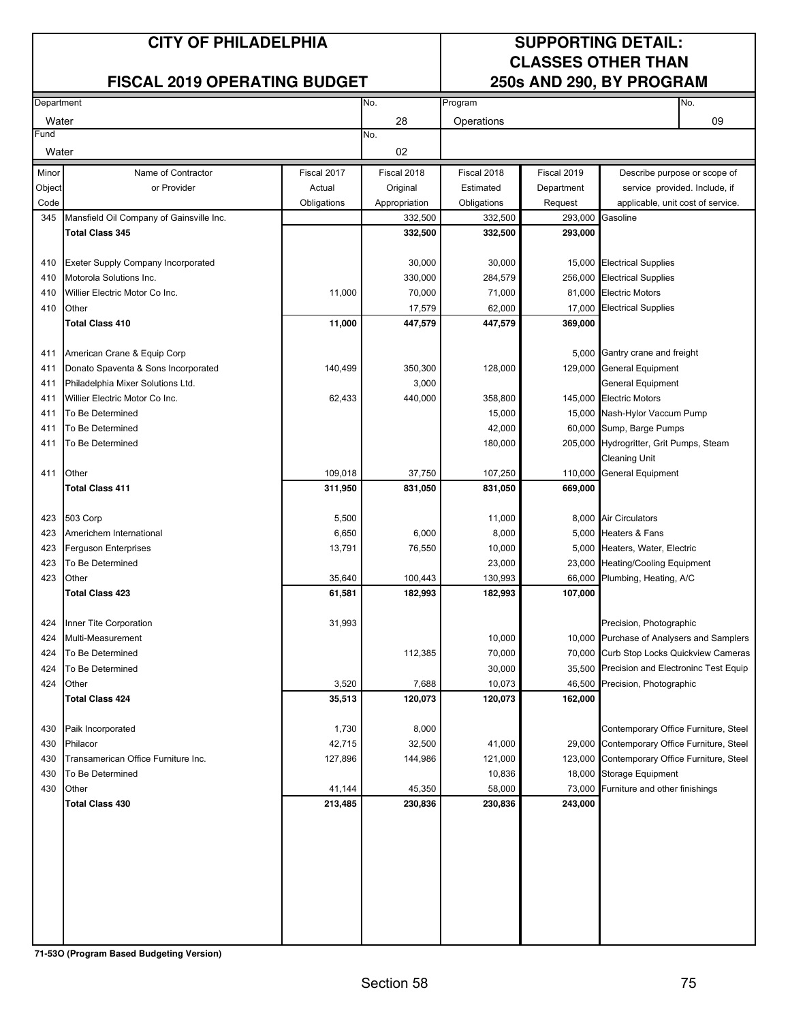## **FISCAL 2019 OPERATING BUDGET**

# **CLASSES OTHER THAN**

| Department |                                          |             | No.<br>Program |             |             |                                                               | No. |
|------------|------------------------------------------|-------------|----------------|-------------|-------------|---------------------------------------------------------------|-----|
| Water      |                                          |             | 28             | Operations  |             |                                                               | 09  |
| Fund       |                                          |             | No.            |             |             |                                                               |     |
| Water      |                                          |             | 02             |             |             |                                                               |     |
| Minor      | Name of Contractor                       | Fiscal 2017 | Fiscal 2018    | Fiscal 2018 | Fiscal 2019 |                                                               |     |
| Object     | or Provider                              | Actual      | Original       | Estimated   | Department  | Describe purpose or scope of<br>service provided. Include, if |     |
| Code       |                                          | Obligations | Appropriation  | Obligations | Request     | applicable, unit cost of service.                             |     |
| 345        | Mansfield Oil Company of Gainsville Inc. |             | 332,500        | 332,500     | 293,000     | Gasoline                                                      |     |
|            | <b>Total Class 345</b>                   |             | 332,500        | 332,500     | 293,000     |                                                               |     |
|            |                                          |             |                |             |             |                                                               |     |
| 410        | Exeter Supply Company Incorporated       |             | 30,000         | 30,000      |             | 15,000 Electrical Supplies                                    |     |
| 410        | Motorola Solutions Inc.                  |             | 330,000        | 284,579     |             | 256,000 Electrical Supplies                                   |     |
| 410        | Willier Electric Motor Co Inc.           | 11,000      | 70,000         | 71,000      |             | 81,000 Electric Motors                                        |     |
| 410        | Other                                    |             | 17,579         | 62,000      |             | 17,000 Electrical Supplies                                    |     |
|            | <b>Total Class 410</b>                   | 11,000      | 447,579        | 447,579     | 369,000     |                                                               |     |
|            |                                          |             |                |             |             |                                                               |     |
| 411        | American Crane & Equip Corp              |             |                |             |             | 5,000 Gantry crane and freight                                |     |
| 411        | Donato Spaventa & Sons Incorporated      | 140,499     | 350,300        | 128,000     |             | 129,000 General Equipment                                     |     |
| 411        | Philadelphia Mixer Solutions Ltd.        |             | 3,000          |             |             | <b>General Equipment</b>                                      |     |
| 411        | Willier Electric Motor Co Inc.           | 62,433      | 440,000        | 358,800     |             | 145.000 Electric Motors                                       |     |
| 411        | To Be Determined                         |             |                | 15,000      |             | 15,000 Nash-Hylor Vaccum Pump                                 |     |
| 411        | To Be Determined                         |             |                | 42,000      |             | 60,000 Sump, Barge Pumps                                      |     |
| 411        | To Be Determined                         |             |                | 180,000     |             | 205,000 Hydrogritter, Grit Pumps, Steam                       |     |
|            |                                          |             |                |             |             | <b>Cleaning Unit</b>                                          |     |
| 411        | Other                                    | 109,018     | 37,750         | 107,250     |             | 110,000 General Equipment                                     |     |
|            | <b>Total Class 411</b>                   | 311,950     | 831,050        | 831,050     | 669,000     |                                                               |     |
|            |                                          |             |                |             |             |                                                               |     |
| 423        | 503 Corp                                 | 5,500       |                | 11,000      |             | 8,000 Air Circulators                                         |     |
| 423        | Americhem International                  | 6,650       | 6,000          | 8,000       |             | 5,000 Heaters & Fans                                          |     |
| 423        | <b>Ferguson Enterprises</b>              | 13,791      | 76,550         | 10,000      |             | 5,000 Heaters, Water, Electric                                |     |
| 423        | To Be Determined                         |             |                | 23,000      |             | 23,000 Heating/Cooling Equipment                              |     |
| 423        | Other                                    | 35,640      | 100,443        | 130,993     |             | 66,000 Plumbing, Heating, A/C                                 |     |
|            | <b>Total Class 423</b>                   | 61,581      | 182,993        | 182,993     | 107,000     |                                                               |     |
|            |                                          |             |                |             |             |                                                               |     |
| 424        | Inner Tite Corporation                   | 31,993      |                |             |             | Precision, Photographic                                       |     |
| 424        | Multi-Measurement                        |             |                | 10,000      |             | 10,000 Purchase of Analysers and Samplers                     |     |
| 424        | To Be Determined                         |             | 112,385        | 70,000      |             | 70,000 Curb Stop Locks Quickview Cameras                      |     |
| 424        | To Be Determined                         |             |                | 30,000      |             | 35,500 Precision and Electroninc Test Equip                   |     |
| 424        | Other                                    | 3,520       | 7,688          | 10,073      |             | 46,500 Precision, Photographic                                |     |
|            | <b>Total Class 424</b>                   | 35,513      | 120,073        | 120,073     | 162,000     |                                                               |     |
|            |                                          |             |                |             |             |                                                               |     |
| 430        | Paik Incorporated                        | 1,730       | 8,000          |             |             | Contemporary Office Furniture, Steel                          |     |
| 430        | Philacor                                 | 42,715      | 32,500         | 41,000      |             | 29,000 Contemporary Office Furniture, Steel                   |     |
| 430        | Transamerican Office Furniture Inc.      | 127,896     | 144,986        | 121,000     |             | 123,000 Contemporary Office Furniture, Steel                  |     |
| 430        | To Be Determined                         |             |                | 10,836      |             | 18,000 Storage Equipment                                      |     |
| 430        | Other                                    | 41,144      | 45,350         | 58,000      |             | 73,000 Furniture and other finishings                         |     |
|            | <b>Total Class 430</b>                   | 213,485     | 230,836        | 230,836     | 243,000     |                                                               |     |
|            |                                          |             |                |             |             |                                                               |     |
|            |                                          |             |                |             |             |                                                               |     |
|            |                                          |             |                |             |             |                                                               |     |
|            |                                          |             |                |             |             |                                                               |     |
|            |                                          |             |                |             |             |                                                               |     |
|            |                                          |             |                |             |             |                                                               |     |
|            |                                          |             |                |             |             |                                                               |     |
|            |                                          |             |                |             |             |                                                               |     |
|            |                                          |             |                |             |             |                                                               |     |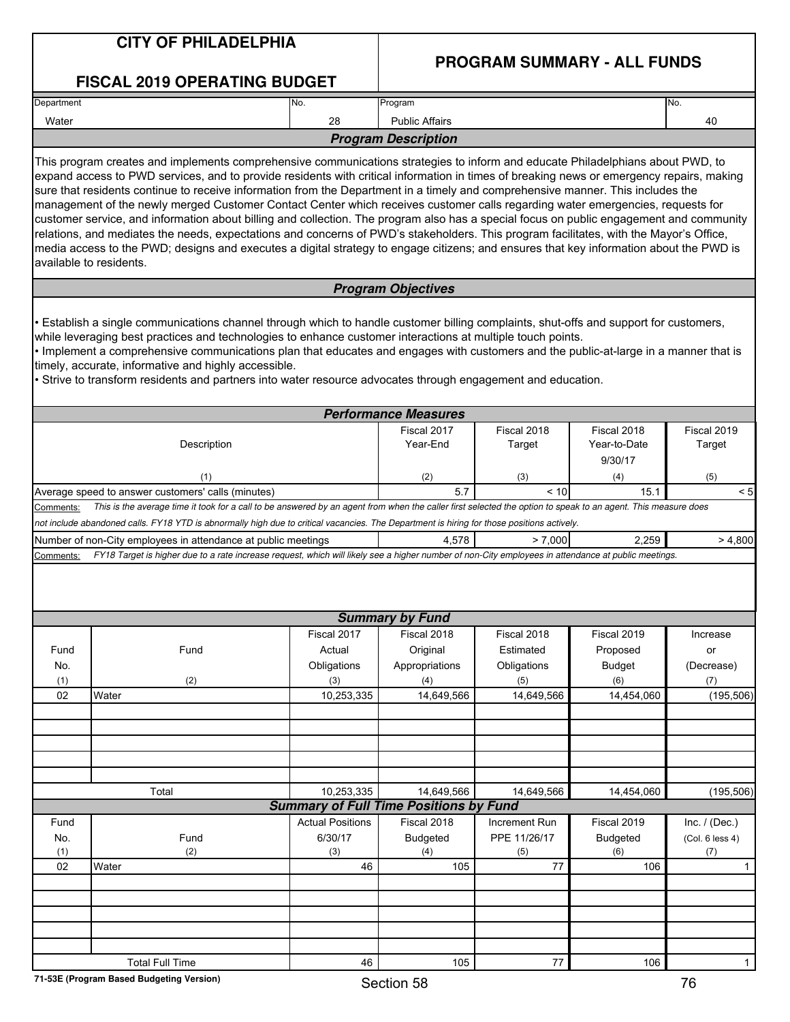|                        | <b>CITY OF PHILADELPHIA</b>                                                                                                                                                                                                                                                                                                                                                                                                                                                                                                                                                                                                                                                                                                                                                                                                                                                                                                                                                                               |                         | <b>PROGRAM SUMMARY - ALL FUNDS</b>                          |                                        |                       |                 |  |  |  |
|------------------------|-----------------------------------------------------------------------------------------------------------------------------------------------------------------------------------------------------------------------------------------------------------------------------------------------------------------------------------------------------------------------------------------------------------------------------------------------------------------------------------------------------------------------------------------------------------------------------------------------------------------------------------------------------------------------------------------------------------------------------------------------------------------------------------------------------------------------------------------------------------------------------------------------------------------------------------------------------------------------------------------------------------|-------------------------|-------------------------------------------------------------|----------------------------------------|-----------------------|-----------------|--|--|--|
|                        | <b>FISCAL 2019 OPERATING BUDGET</b>                                                                                                                                                                                                                                                                                                                                                                                                                                                                                                                                                                                                                                                                                                                                                                                                                                                                                                                                                                       |                         |                                                             |                                        |                       |                 |  |  |  |
| Department             |                                                                                                                                                                                                                                                                                                                                                                                                                                                                                                                                                                                                                                                                                                                                                                                                                                                                                                                                                                                                           | No.                     | Program                                                     |                                        |                       | No.             |  |  |  |
| Water                  |                                                                                                                                                                                                                                                                                                                                                                                                                                                                                                                                                                                                                                                                                                                                                                                                                                                                                                                                                                                                           | 28                      | <b>Public Affairs</b>                                       |                                        |                       | 40              |  |  |  |
|                        |                                                                                                                                                                                                                                                                                                                                                                                                                                                                                                                                                                                                                                                                                                                                                                                                                                                                                                                                                                                                           |                         | <b>Program Description</b>                                  |                                        |                       |                 |  |  |  |
|                        | This program creates and implements comprehensive communications strategies to inform and educate Philadelphians about PWD, to<br>expand access to PWD services, and to provide residents with critical information in times of breaking news or emergency repairs, making<br>sure that residents continue to receive information from the Department in a timely and comprehensive manner. This includes the<br>management of the newly merged Customer Contact Center which receives customer calls regarding water emergencies, requests for<br>customer service, and information about billing and collection. The program also has a special focus on public engagement and community<br>relations, and mediates the needs, expectations and concerns of PWD's stakeholders. This program facilitates, with the Mayor's Office,<br>media access to the PWD; designs and executes a digital strategy to engage citizens; and ensures that key information about the PWD is<br>available to residents. |                         |                                                             |                                        |                       |                 |  |  |  |
|                        |                                                                                                                                                                                                                                                                                                                                                                                                                                                                                                                                                                                                                                                                                                                                                                                                                                                                                                                                                                                                           |                         | <b>Program Objectives</b>                                   |                                        |                       |                 |  |  |  |
|                        | Establish a single communications channel through which to handle customer billing complaints, shut-offs and support for customers,<br>while leveraging best practices and technologies to enhance customer interactions at multiple touch points.<br>Implement a comprehensive communications plan that educates and engages with customers and the public-at-large in a manner that is<br>timely, accurate, informative and highly accessible.<br>· Strive to transform residents and partners into water resource advocates through engagement and education.                                                                                                                                                                                                                                                                                                                                                                                                                                          |                         |                                                             |                                        |                       |                 |  |  |  |
|                        |                                                                                                                                                                                                                                                                                                                                                                                                                                                                                                                                                                                                                                                                                                                                                                                                                                                                                                                                                                                                           |                         | <b>Performance Measures</b>                                 |                                        |                       |                 |  |  |  |
|                        | Description                                                                                                                                                                                                                                                                                                                                                                                                                                                                                                                                                                                                                                                                                                                                                                                                                                                                                                                                                                                               | Fiscal 2017<br>Year-End | Fiscal 2018<br>Target                                       | Fiscal 2018<br>Year-to-Date<br>9/30/17 | Fiscal 2019<br>Target |                 |  |  |  |
|                        | (1)                                                                                                                                                                                                                                                                                                                                                                                                                                                                                                                                                                                                                                                                                                                                                                                                                                                                                                                                                                                                       |                         | (2)                                                         | (3)                                    | (4)                   | (5)             |  |  |  |
| Comments:<br>Comments: | This is the average time it took for a call to be answered by an agent from when the caller first selected the option to speak to an agent. This measure does<br>not include abandoned calls. FY18 YTD is abnormally high due to critical vacancies. The Department is hiring for those positions actively.<br>Number of non-City employees in attendance at public meetings<br>FY18 Target is higher due to a rate increase request, which will likely see a higher number of non-City employees in attendance at public meetings.                                                                                                                                                                                                                                                                                                                                                                                                                                                                       |                         | 4,578                                                       | > 7,000                                | 2.259                 | > 4,800         |  |  |  |
|                        |                                                                                                                                                                                                                                                                                                                                                                                                                                                                                                                                                                                                                                                                                                                                                                                                                                                                                                                                                                                                           |                         | <b>Summary by Fund</b>                                      |                                        |                       |                 |  |  |  |
|                        |                                                                                                                                                                                                                                                                                                                                                                                                                                                                                                                                                                                                                                                                                                                                                                                                                                                                                                                                                                                                           | Fiscal 2017             | Fiscal 2018                                                 | Fiscal 2018                            | Fiscal 2019           | Increase        |  |  |  |
| Fund                   | Fund                                                                                                                                                                                                                                                                                                                                                                                                                                                                                                                                                                                                                                                                                                                                                                                                                                                                                                                                                                                                      | Actual                  | Original                                                    | Estimated                              | Proposed              | or              |  |  |  |
| No.                    |                                                                                                                                                                                                                                                                                                                                                                                                                                                                                                                                                                                                                                                                                                                                                                                                                                                                                                                                                                                                           | Obligations             | Appropriations                                              | Obligations                            | <b>Budget</b>         | (Decrease)      |  |  |  |
| (1)                    | (2)                                                                                                                                                                                                                                                                                                                                                                                                                                                                                                                                                                                                                                                                                                                                                                                                                                                                                                                                                                                                       | (3)                     | (4)                                                         | (5)                                    | (6)                   | (7)             |  |  |  |
| 02                     | Water                                                                                                                                                                                                                                                                                                                                                                                                                                                                                                                                                                                                                                                                                                                                                                                                                                                                                                                                                                                                     | 10,253,335              | 14,649,566                                                  | 14,649,566                             | 14,454,060            | (195, 506)      |  |  |  |
|                        |                                                                                                                                                                                                                                                                                                                                                                                                                                                                                                                                                                                                                                                                                                                                                                                                                                                                                                                                                                                                           |                         |                                                             |                                        |                       |                 |  |  |  |
|                        | Total                                                                                                                                                                                                                                                                                                                                                                                                                                                                                                                                                                                                                                                                                                                                                                                                                                                                                                                                                                                                     | 10,253,335              | 14,649,566<br><b>Summary of Full Time Positions by Fund</b> | 14,649,566                             | 14,454,060            | (195, 506)      |  |  |  |
| Fund                   |                                                                                                                                                                                                                                                                                                                                                                                                                                                                                                                                                                                                                                                                                                                                                                                                                                                                                                                                                                                                           | <b>Actual Positions</b> | Fiscal 2018                                                 | Increment Run                          | Fiscal 2019           | Inc. $/$ (Dec.) |  |  |  |
| No.                    | Fund                                                                                                                                                                                                                                                                                                                                                                                                                                                                                                                                                                                                                                                                                                                                                                                                                                                                                                                                                                                                      | 6/30/17                 | <b>Budgeted</b>                                             | PPE 11/26/17                           | <b>Budgeted</b>       | (Col. 6 less 4) |  |  |  |
| (1)                    | (2)                                                                                                                                                                                                                                                                                                                                                                                                                                                                                                                                                                                                                                                                                                                                                                                                                                                                                                                                                                                                       | (3)                     | (4)                                                         | (5)                                    | (6)                   | (7)             |  |  |  |
| 02                     | Water                                                                                                                                                                                                                                                                                                                                                                                                                                                                                                                                                                                                                                                                                                                                                                                                                                                                                                                                                                                                     | 46                      | 105                                                         | 77                                     | 106                   | $\mathbf{1}$    |  |  |  |
|                        |                                                                                                                                                                                                                                                                                                                                                                                                                                                                                                                                                                                                                                                                                                                                                                                                                                                                                                                                                                                                           |                         |                                                             |                                        |                       |                 |  |  |  |
|                        |                                                                                                                                                                                                                                                                                                                                                                                                                                                                                                                                                                                                                                                                                                                                                                                                                                                                                                                                                                                                           |                         |                                                             |                                        |                       |                 |  |  |  |
|                        |                                                                                                                                                                                                                                                                                                                                                                                                                                                                                                                                                                                                                                                                                                                                                                                                                                                                                                                                                                                                           |                         |                                                             |                                        |                       |                 |  |  |  |
|                        |                                                                                                                                                                                                                                                                                                                                                                                                                                                                                                                                                                                                                                                                                                                                                                                                                                                                                                                                                                                                           |                         |                                                             |                                        |                       |                 |  |  |  |
|                        | <b>Total Full Time</b>                                                                                                                                                                                                                                                                                                                                                                                                                                                                                                                                                                                                                                                                                                                                                                                                                                                                                                                                                                                    | 105                     | $77\,$                                                      | 106                                    | $\mathbf{1}$          |                 |  |  |  |

L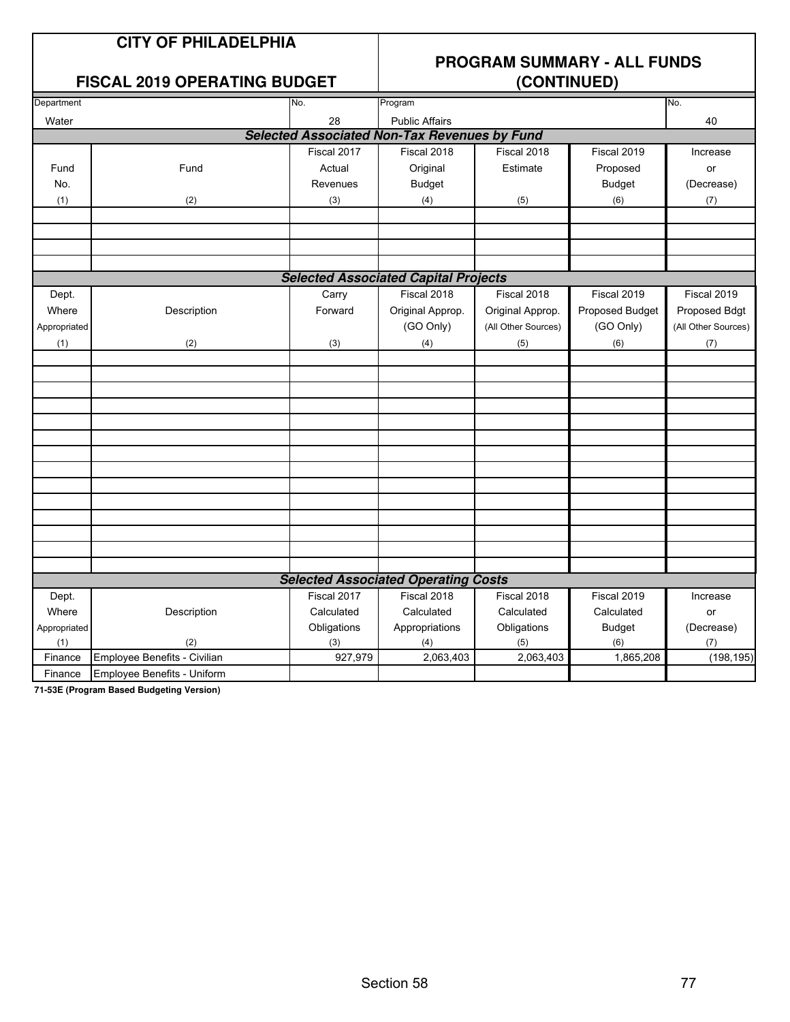### **CITY OF PHILADELPHIA**

## **PROGRAM SUMMARY - ALL FUNDS**

### **FISCAL 2019 OPERATING BUDGET**

| Department   |                              | No.         | Program                                             |                     |                 | No.                 |
|--------------|------------------------------|-------------|-----------------------------------------------------|---------------------|-----------------|---------------------|
| Water        |                              | 28          | <b>Public Affairs</b>                               |                     |                 | 40                  |
|              |                              |             | <b>Selected Associated Non-Tax Revenues by Fund</b> |                     |                 |                     |
|              |                              | Fiscal 2017 | Fiscal 2018                                         | Fiscal 2018         | Fiscal 2019     | Increase            |
| Fund         | Fund                         | Actual      | Original                                            | Estimate            | Proposed        | or                  |
| No.          |                              | Revenues    | <b>Budget</b>                                       |                     | <b>Budget</b>   | (Decrease)          |
| (1)          | (2)                          | (3)         | (4)                                                 | (5)                 | (6)             | (7)                 |
|              |                              |             |                                                     |                     |                 |                     |
|              |                              |             |                                                     |                     |                 |                     |
|              |                              |             |                                                     |                     |                 |                     |
|              |                              |             |                                                     |                     |                 |                     |
|              |                              |             | <b>Selected Associated Capital Projects</b>         |                     |                 |                     |
| Dept.        |                              | Carry       | Fiscal 2018                                         | Fiscal 2018         | Fiscal 2019     | Fiscal 2019         |
| Where        | Description                  | Forward     | Original Approp.                                    | Original Approp.    | Proposed Budget | Proposed Bdgt       |
| Appropriated |                              |             | (GO Only)                                           | (All Other Sources) | (GO Only)       | (All Other Sources) |
| (1)          | (2)                          | (3)         | (4)                                                 | (5)                 | (6)             | (7)                 |
|              |                              |             |                                                     |                     |                 |                     |
|              |                              |             |                                                     |                     |                 |                     |
|              |                              |             |                                                     |                     |                 |                     |
|              |                              |             |                                                     |                     |                 |                     |
|              |                              |             |                                                     |                     |                 |                     |
|              |                              |             |                                                     |                     |                 |                     |
|              |                              |             |                                                     |                     |                 |                     |
|              |                              |             |                                                     |                     |                 |                     |
|              |                              |             |                                                     |                     |                 |                     |
|              |                              |             |                                                     |                     |                 |                     |
|              |                              |             |                                                     |                     |                 |                     |
|              |                              |             |                                                     |                     |                 |                     |
|              |                              |             |                                                     |                     |                 |                     |
|              |                              |             | <b>Selected Associated Operating Costs</b>          |                     |                 |                     |
| Dept.        |                              | Fiscal 2017 | Fiscal 2018                                         | Fiscal 2018         | Fiscal 2019     | Increase            |
| Where        | Description                  | Calculated  | Calculated                                          | Calculated          | Calculated      | or                  |
| Appropriated |                              | Obligations | Appropriations                                      | Obligations         | <b>Budget</b>   | (Decrease)          |
| (1)          | (2)                          | (3)         | (4)                                                 | (5)                 | (6)             | (7)                 |
| Finance      | Employee Benefits - Civilian | 927,979     | 2,063,403                                           | 2,063,403           | 1,865,208       | (198, 195)          |
| Finance      | Employee Benefits - Uniform  |             |                                                     |                     |                 |                     |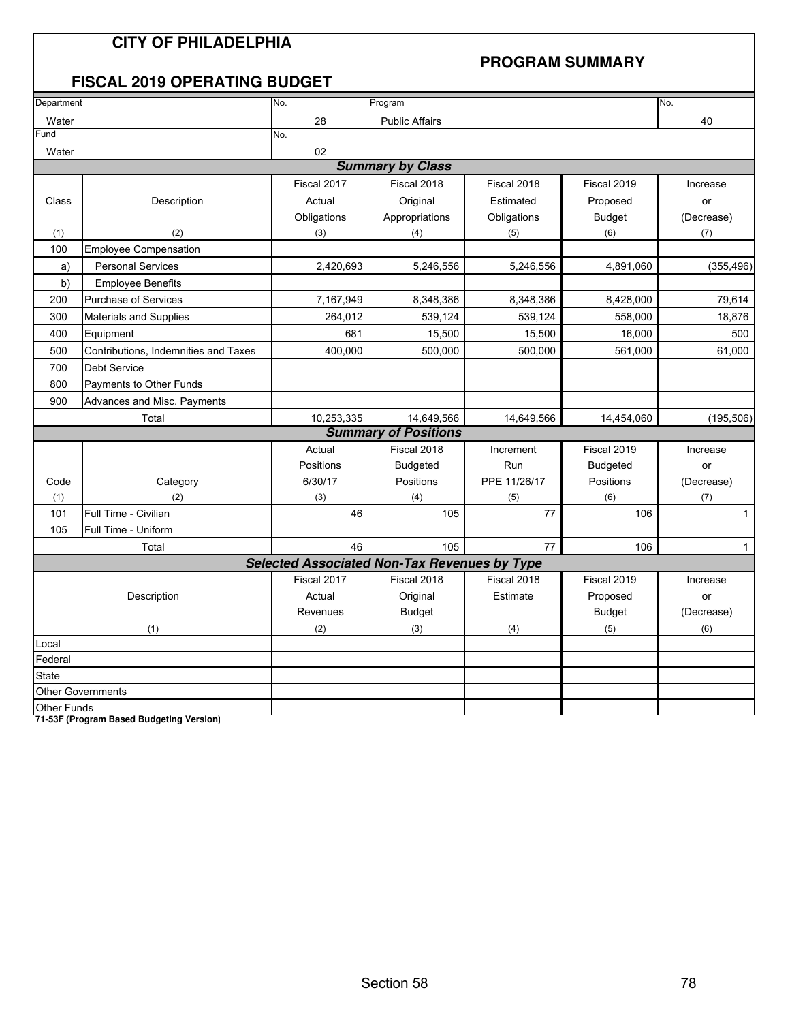## **CITY OF PHILADELPHIA**

### **PROGRAM SUMMARY**

## **FISCAL 2019 OPERATING BUDGET**

| Department         |                                      | No.                                                 | Program                     |              |                 | No.          |
|--------------------|--------------------------------------|-----------------------------------------------------|-----------------------------|--------------|-----------------|--------------|
| Water              |                                      | 28                                                  | <b>Public Affairs</b>       |              |                 | 40           |
| Fund               |                                      | No.                                                 |                             |              |                 |              |
| Water              |                                      | 02                                                  |                             |              |                 |              |
|                    |                                      |                                                     | <b>Summary by Class</b>     |              |                 |              |
|                    |                                      | Fiscal 2017                                         | Fiscal 2018                 | Fiscal 2018  | Fiscal 2019     | Increase     |
| Class              | Description                          | Actual                                              | Original                    | Estimated    | Proposed        | or           |
|                    |                                      | Obligations                                         | Appropriations              | Obligations  | <b>Budget</b>   | (Decrease)   |
| (1)                | (2)                                  | (3)                                                 | (4)                         | (5)          | (6)             | (7)          |
| 100                | <b>Employee Compensation</b>         |                                                     |                             |              |                 |              |
| a)                 | <b>Personal Services</b>             | 2,420,693                                           | 5,246,556                   | 5,246,556    | 4,891,060       | (355, 496)   |
| b)                 | <b>Employee Benefits</b>             |                                                     |                             |              |                 |              |
| 200                | <b>Purchase of Services</b>          | 7,167,949                                           | 8,348,386                   | 8,348,386    | 8,428,000       | 79,614       |
| 300                | Materials and Supplies               | 264,012                                             | 539,124                     | 539,124      | 558,000         | 18,876       |
| 400                | Equipment                            | 681                                                 | 15,500                      | 15,500       | 16,000          | 500          |
| 500                | Contributions, Indemnities and Taxes | 400,000                                             | 500,000                     | 500,000      | 561,000         | 61,000       |
| 700                | <b>Debt Service</b>                  |                                                     |                             |              |                 |              |
| 800                | Payments to Other Funds              |                                                     |                             |              |                 |              |
| 900                | Advances and Misc. Payments          |                                                     |                             |              |                 |              |
|                    | Total                                | 10,253,335                                          | 14,649,566                  | 14,649,566   | 14,454,060      | (195, 506)   |
|                    |                                      |                                                     | <b>Summary of Positions</b> |              |                 |              |
|                    |                                      | Actual                                              | Fiscal 2018                 | Increment    | Fiscal 2019     | Increase     |
|                    |                                      | Positions                                           | <b>Budgeted</b>             | Run          | <b>Budgeted</b> | or           |
| Code               | Category                             | 6/30/17                                             | Positions                   | PPE 11/26/17 | Positions       | (Decrease)   |
| (1)                | (2)                                  | (3)                                                 | (4)                         | (5)          | (6)             | (7)          |
| 101                | Full Time - Civilian                 | 46                                                  | 105                         | 77           | 106             | $\mathbf{1}$ |
| 105                | Full Time - Uniform                  |                                                     |                             |              |                 |              |
|                    | Total                                | 46                                                  | 105                         | 77           | 106             | $\mathbf{1}$ |
|                    |                                      | <b>Selected Associated Non-Tax Revenues by Type</b> |                             |              |                 |              |
|                    |                                      | Fiscal 2017                                         | Fiscal 2018                 | Fiscal 2018  | Fiscal 2019     | Increase     |
|                    | Description                          | Actual                                              | Original                    | Estimate     | Proposed        | or           |
|                    |                                      | Revenues                                            | <b>Budget</b>               |              | <b>Budget</b>   | (Decrease)   |
|                    | (1)                                  | (2)                                                 | (3)                         | (4)          | (5)             | (6)          |
| Local              |                                      |                                                     |                             |              |                 |              |
| Federal            |                                      |                                                     |                             |              |                 |              |
| <b>State</b>       |                                      |                                                     |                             |              |                 |              |
|                    | <b>Other Governments</b>             |                                                     |                             |              |                 |              |
| <b>Other Funds</b> |                                      |                                                     |                             |              |                 |              |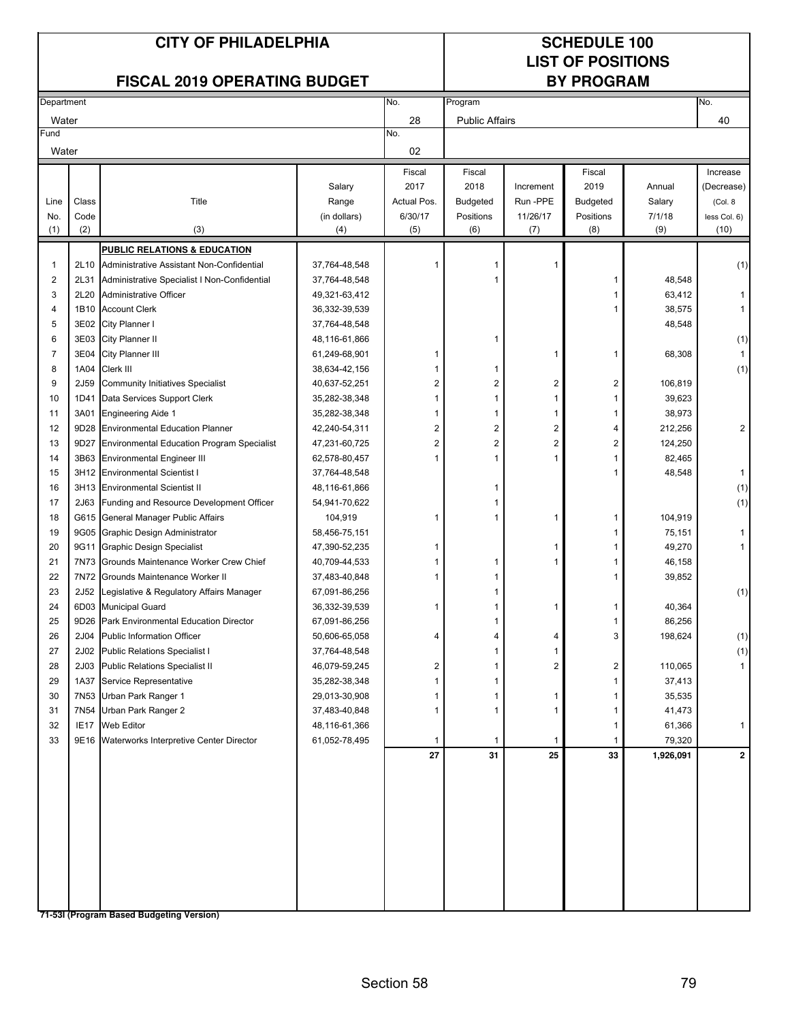## **LIST OF POSITIONS**

### **FISCAL 2019 OPERATING BUDGET**

|                | Department       |                                                   |               | No.         | Program               |              |                 |           | No.            |
|----------------|------------------|---------------------------------------------------|---------------|-------------|-----------------------|--------------|-----------------|-----------|----------------|
| Water          |                  |                                                   |               | 28          | <b>Public Affairs</b> |              |                 |           | 40             |
| Fund           |                  |                                                   |               | No.         |                       |              |                 |           |                |
| Water          |                  |                                                   |               | 02          |                       |              |                 |           |                |
|                |                  |                                                   |               | Fiscal      | Fiscal                |              | Fiscal          |           | Increase       |
|                |                  |                                                   | Salary        | 2017        | 2018                  | Increment    | 2019            | Annual    | (Decrease)     |
| Line           | Class            | Title                                             | Range         | Actual Pos. | <b>Budgeted</b>       | Run-PPE      | <b>Budgeted</b> | Salary    | (Col. 8        |
| No.            | Code             |                                                   | (in dollars)  | 6/30/17     | Positions             | 11/26/17     | Positions       | 7/1/18    | less Col. 6)   |
| (1)            | (2)              | (3)                                               | (4)           | (5)         | (6)                   | (7)          | (8)             | (9)       | (10)           |
|                |                  |                                                   |               |             |                       |              |                 |           |                |
|                |                  | <b>PUBLIC RELATIONS &amp; EDUCATION</b>           |               |             |                       |              |                 |           |                |
| 1              |                  | 2L10 Administrative Assistant Non-Confidential    | 37,764-48,548 |             | 1                     |              |                 |           | (1)            |
| $\overline{2}$ | 2L31             | Administrative Specialist I Non-Confidential      | 37,764-48,548 |             | 1                     |              | 1               | 48,548    |                |
| 3              | 2L20             | Administrative Officer                            | 49,321-63,412 |             |                       |              | 1               | 63,412    |                |
| $\overline{4}$ |                  | 1B10 Account Clerk                                | 36,332-39,539 |             |                       |              | 1               | 38,575    | 1              |
| 5              |                  | 3E02 City Planner I                               | 37,764-48,548 |             |                       |              |                 | 48,548    |                |
| 6              | 3E03             | City Planner II                                   | 48,116-61,866 |             | 1                     |              |                 |           | (1)            |
| 7              | 3E04             | City Planner III                                  | 61,249-68,901 | 1           |                       | 1            | 1               | 68,308    | 1              |
| 8              | 1A04             | Clerk III                                         | 38,634-42,156 |             | 1                     |              |                 |           | (1)            |
| 9              | 2J59             | <b>Community Initiatives Specialist</b>           | 40,637-52,251 | 2           | 2                     | 2            | 2               | 106,819   |                |
| 10             | 1D41             | Data Services Support Clerk                       | 35,282-38,348 | 1           | 1                     | $\mathbf{1}$ | 1               | 39,623    |                |
| 11             |                  | 3A01 Engineering Aide 1                           | 35,282-38,348 | 1           | 1                     | 1            | 1               | 38,973    |                |
| 12             |                  | 9D28 Environmental Education Planner              | 42,240-54,311 | 2           | 2                     | 2            | 4               | 212,256   | $\overline{2}$ |
| 13             | 9D27             | <b>Environmental Education Program Specialist</b> | 47,231-60,725 | 2           | 2                     | 2            | 2               | 124,250   |                |
| 14             |                  | 3B63 Environmental Engineer III                   | 62,578-80,457 | 1           | 1                     | 1            | 1               | 82,465    |                |
| 15             |                  | 3H12 Environmental Scientist I                    | 37,764-48,548 |             |                       |              | 1               | 48,548    | $\mathbf{1}$   |
| 16             |                  | 3H13 Environmental Scientist II                   | 48,116-61,866 |             | 1                     |              |                 |           | (1)            |
| 17             | 2J63             | Funding and Resource Development Officer          | 54,941-70,622 |             | 1                     |              |                 |           | (1)            |
| 18             |                  | G615 General Manager Public Affairs               | 104,919       | 1           | 1                     | 1            | 1               | 104,919   |                |
| 19             |                  | 9G05 Graphic Design Administrator                 | 58,456-75,151 |             |                       |              | 1               | 75,151    | 1              |
| 20             | 9G11             | <b>Graphic Design Specialist</b>                  | 47,390-52,235 |             |                       | 1            | 1               | 49,270    | 1              |
| 21             | 7N73             | Grounds Maintenance Worker Crew Chief             | 40,709-44,533 |             | 1                     | 1            | 1               | 46,158    |                |
| 22             |                  | 7N72 Grounds Maintenance Worker II                | 37,483-40,848 |             | 1                     |              |                 | 39,852    |                |
| 23             |                  | 2J52 Legislative & Regulatory Affairs Manager     | 67,091-86,256 |             | 1                     |              |                 |           | (1)            |
| 24             |                  | 6D03 Municipal Guard                              | 36,332-39,539 | 1           | 1                     | 1            | 1               | 40,364    |                |
| 25             |                  | 9D26 Park Environmental Education Director        | 67,091-86,256 |             | 1                     |              | 1               | 86,256    |                |
| 26             | 2J04             | <b>Public Information Officer</b>                 | 50,606-65,058 | 4           | 4                     | 4            | 3               | 198,624   | (1)            |
| 27             | 2J02             | <b>Public Relations Specialist I</b>              | 37,764-48,548 |             | 1                     |              |                 |           | (1)            |
| 28             |                  | 2J03 Public Relations Specialist II               | 46,079-59,245 | 2           | 1                     | 2            | 2               | 110,065   | 1              |
| 29             |                  | 1A37 Service Representative                       | 35,282-38,348 | 1           | 1                     |              | 1               | 37,413    |                |
| 30             |                  | 7N53 Urban Park Ranger 1                          | 29,013-30,908 |             | 1                     | 1            | 1               | 35,535    |                |
| 31             |                  | 7N54 Urban Park Ranger 2                          | 37,483-40,848 |             | 1                     | 1            | 1               | 41,473    |                |
| 32             | IE <sub>17</sub> | Web Editor                                        | 48,116-61,366 |             |                       |              | 1               | 61,366    | 1              |
| 33             |                  | 9E16 Waterworks Interpretive Center Director      | 61,052-78,495 | 1           | 1                     | $\mathbf{1}$ | 1               | 79,320    |                |
|                |                  |                                                   |               | 27          | 31                    | 25           | 33              | 1,926,091 | $\mathbf{2}$   |
|                |                  |                                                   |               |             |                       |              |                 |           |                |
|                |                  |                                                   |               |             |                       |              |                 |           |                |
|                |                  |                                                   |               |             |                       |              |                 |           |                |
|                |                  |                                                   |               |             |                       |              |                 |           |                |
|                |                  |                                                   |               |             |                       |              |                 |           |                |
|                |                  |                                                   |               |             |                       |              |                 |           |                |
|                |                  |                                                   |               |             |                       |              |                 |           |                |
|                |                  |                                                   |               |             |                       |              |                 |           |                |
|                |                  |                                                   |               |             |                       |              |                 |           |                |
|                |                  |                                                   |               |             |                       |              |                 |           |                |
|                |                  | 71-53I (Program Based Budgeting Version)          |               |             |                       |              |                 |           |                |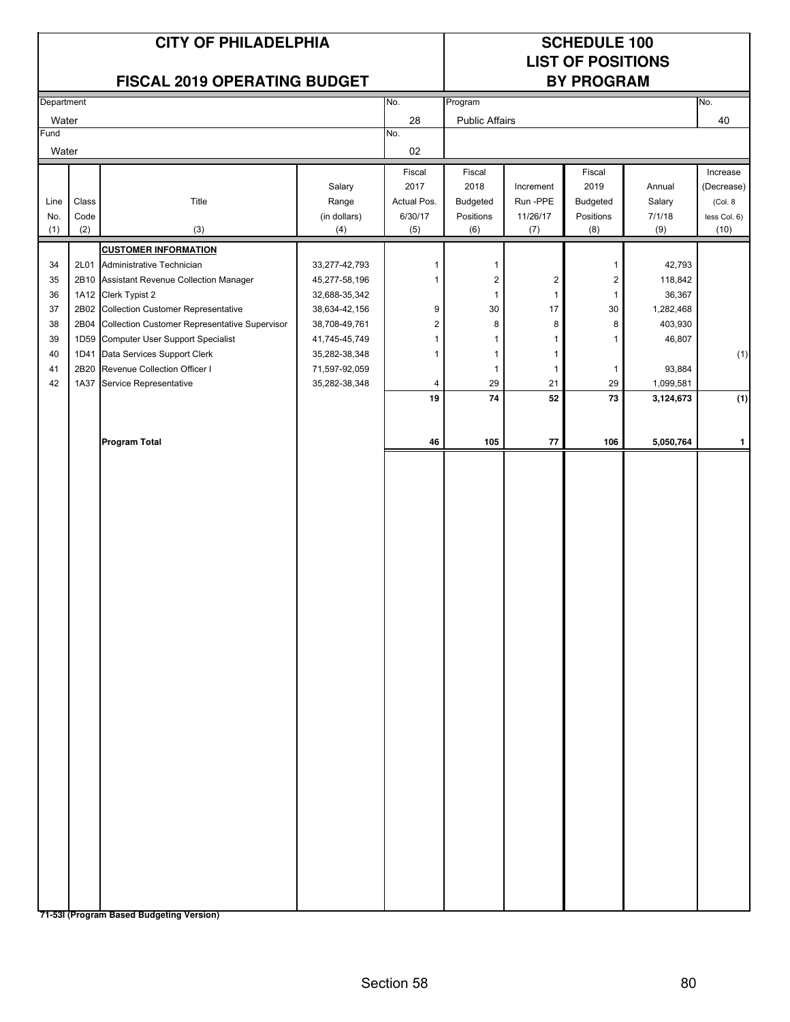| <b>CITY OF PHILADELPHIA</b> |
|-----------------------------|
|-----------------------------|

## **SCHEDULE 100 LIST OF POSITIONS**

| FISCAL 2019 OPERATING BUDGET |       |                                               |               | <b>BY PROGRAM</b> |                       |                  |                |           |              |
|------------------------------|-------|-----------------------------------------------|---------------|-------------------|-----------------------|------------------|----------------|-----------|--------------|
| Department                   |       |                                               |               | No.               | Program               |                  |                |           | No.          |
| Water                        |       |                                               |               | 28                | <b>Public Affairs</b> |                  |                |           | 40           |
| Fund                         |       |                                               |               | No.               |                       |                  |                |           |              |
| Water                        |       |                                               |               | 02                |                       |                  |                |           |              |
|                              |       |                                               |               | Fiscal            | Fiscal                |                  | Fiscal         |           | Increase     |
|                              |       |                                               | Salary        | 2017              | 2018                  | Increment        | 2019           | Annual    | (Decrease)   |
| Line                         | Class | Title                                         | Range         | Actual Pos.       | Budgeted              | Run-PPE          | Budgeted       | Salary    | (Col. 8      |
| No.                          | Code  |                                               | (in dollars)  | 6/30/17           | Positions             | 11/26/17         | Positions      | 7/1/18    | less Col. 6) |
| (1)                          | (2)   | (3)                                           | (4)           | (5)               | (6)                   | (7)              | (8)            | (9)       | (10)         |
|                              |       | <b>CUSTOMER INFORMATION</b>                   |               |                   |                       |                  |                |           |              |
| 34                           | 2L01  | Administrative Technician                     | 33,277-42,793 | 1                 | $\mathbf{1}$          |                  | $\mathbf 1$    | 42,793    |              |
| 35                           | 2B10  | Assistant Revenue Collection Manager          | 45,277-58,196 | 1                 | $\boldsymbol{2}$      | $\boldsymbol{2}$ | $\overline{2}$ | 118,842   |              |
| 36                           |       | 1A12 Clerk Typist 2                           | 32,688-35,342 |                   | $\mathbf{1}$          | $\mathbf{1}$     | $\mathbf{1}$   | 36,367    |              |
| 37                           |       | 2B02 Collection Customer Representative       | 38,634-42,156 | 9                 | 30                    | $17$             | 30             | 1,282,468 |              |
| 38                           | 2B04  | Collection Customer Representative Supervisor | 38,708-49,761 | $\mathbf 2$       | 8                     | 8                | 8              | 403,930   |              |
| 39                           |       | 1D59 Computer User Support Specialist         | 41,745-45,749 | $\mathbf{1}$      | $\mathbf{1}$          | 1                | -1             | 46,807    |              |
| 40                           |       | 1D41 Data Services Support Clerk              | 35,282-38,348 | 1                 | $\mathbf{1}$          | $\mathbf{1}$     |                |           | (1)          |
| 41                           | 2B20  | Revenue Collection Officer I                  | 71,597-92,059 |                   | $\mathbf{1}$          | $\mathbf{1}$     | $\mathbf{1}$   | 93,884    |              |
| 42                           |       | 1A37 Service Representative                   | 35,282-38,348 | 4                 | 29                    | 21               | 29             | 1,099,581 |              |
|                              |       |                                               |               | 19                | 74                    | 52               | 73             | 3,124,673 | (1)          |
|                              |       |                                               |               |                   |                       |                  |                |           |              |
|                              |       |                                               |               |                   |                       |                  |                |           |              |
|                              |       | <b>Program Total</b>                          |               | 46                | 105                   | ${\bf 77}$       | 106            | 5,050,764 | $\mathbf{1}$ |
|                              |       |                                               |               |                   |                       |                  |                |           |              |
|                              |       |                                               |               |                   |                       |                  |                |           |              |
|                              |       |                                               |               |                   |                       |                  |                |           |              |
|                              |       |                                               |               |                   |                       |                  |                |           |              |
|                              |       |                                               |               |                   |                       |                  |                |           |              |
|                              |       |                                               |               |                   |                       |                  |                |           |              |
|                              |       |                                               |               |                   |                       |                  |                |           |              |
|                              |       |                                               |               |                   |                       |                  |                |           |              |
|                              |       |                                               |               |                   |                       |                  |                |           |              |
|                              |       |                                               |               |                   |                       |                  |                |           |              |
|                              |       |                                               |               |                   |                       |                  |                |           |              |
|                              |       |                                               |               |                   |                       |                  |                |           |              |
|                              |       |                                               |               |                   |                       |                  |                |           |              |
|                              |       |                                               |               |                   |                       |                  |                |           |              |
|                              |       |                                               |               |                   |                       |                  |                |           |              |
|                              |       |                                               |               |                   |                       |                  |                |           |              |
|                              |       |                                               |               |                   |                       |                  |                |           |              |
|                              |       |                                               |               |                   |                       |                  |                |           |              |
|                              |       |                                               |               |                   |                       |                  |                |           |              |
|                              |       |                                               |               |                   |                       |                  |                |           |              |
|                              |       |                                               |               |                   |                       |                  |                |           |              |
|                              |       |                                               |               |                   |                       |                  |                |           |              |
|                              |       |                                               |               |                   |                       |                  |                |           |              |
|                              |       |                                               |               |                   |                       |                  |                |           |              |
|                              |       |                                               |               |                   |                       |                  |                |           |              |
|                              |       |                                               |               |                   |                       |                  |                |           |              |
|                              |       |                                               |               |                   |                       |                  |                |           |              |
|                              |       |                                               |               |                   |                       |                  |                |           |              |
|                              |       |                                               |               |                   |                       |                  |                |           |              |
|                              |       |                                               |               |                   |                       |                  |                |           |              |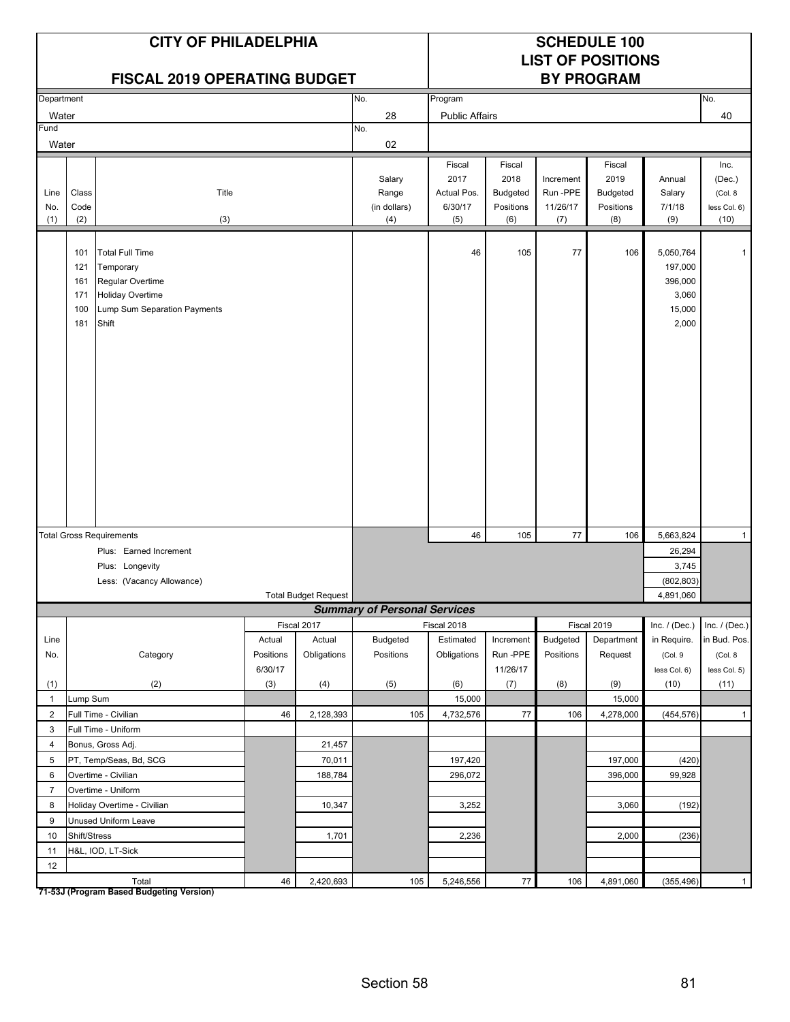|                    |                                        | <b>CITY OF PHILADELPHIA</b><br><b>FISCAL 2019 OPERATING BUDGET</b>                                                          |                      |                             |                                        | <b>SCHEDULE 100</b><br><b>LIST OF POSITIONS</b><br><b>BY PROGRAM</b> |                                                       |                                         |                                                |                                                             |                                                   |
|--------------------|----------------------------------------|-----------------------------------------------------------------------------------------------------------------------------|----------------------|-----------------------------|----------------------------------------|----------------------------------------------------------------------|-------------------------------------------------------|-----------------------------------------|------------------------------------------------|-------------------------------------------------------------|---------------------------------------------------|
| Department         |                                        |                                                                                                                             |                      |                             | No.                                    | Program                                                              |                                                       |                                         |                                                |                                                             | No.                                               |
| Water              |                                        |                                                                                                                             |                      |                             | 28                                     | <b>Public Affairs</b>                                                |                                                       |                                         |                                                |                                                             | 40                                                |
| Fund               |                                        |                                                                                                                             |                      |                             | No.                                    |                                                                      |                                                       |                                         |                                                |                                                             |                                                   |
| Water              |                                        |                                                                                                                             |                      |                             | 02                                     |                                                                      |                                                       |                                         |                                                |                                                             |                                                   |
| Line<br>No.<br>(1) | Class<br>Code<br>(2)                   | Title<br>(3)                                                                                                                |                      |                             | Salary<br>Range<br>(in dollars)<br>(4) | Fiscal<br>2017<br>Actual Pos.<br>6/30/17<br>(5)                      | Fiscal<br>2018<br><b>Budgeted</b><br>Positions<br>(6) | Increment<br>Run-PPE<br>11/26/17<br>(7) | Fiscal<br>2019<br>Budgeted<br>Positions<br>(8) | Annual<br>Salary<br>7/1/18<br>(9)                           | Inc.<br>(Dec.)<br>(Col. 8<br>less Col. 6)<br>(10) |
|                    | 101<br>121<br>161<br>171<br>100<br>181 | <b>Total Full Time</b><br>Temporary<br>Regular Overtime<br><b>Holiday Overtime</b><br>Lump Sum Separation Payments<br>Shift |                      |                             |                                        | 46                                                                   | 105                                                   | 77                                      | 106                                            | 5,050,764<br>197,000<br>396,000<br>3,060<br>15,000<br>2,000 | -1                                                |
|                    |                                        | <b>Total Gross Requirements</b>                                                                                             |                      |                             |                                        | 46                                                                   | 105                                                   | 77                                      | 106                                            | 5,663,824                                                   | $\mathbf{1}$                                      |
|                    |                                        | Plus: Earned Increment                                                                                                      |                      |                             |                                        |                                                                      |                                                       |                                         |                                                | 26,294                                                      |                                                   |
|                    |                                        | Plus: Longevity                                                                                                             |                      |                             |                                        | 3,745                                                                |                                                       |                                         |                                                |                                                             |                                                   |
|                    |                                        | Less: (Vacancy Allowance)                                                                                                   |                      |                             | (802, 803)                             |                                                                      |                                                       |                                         |                                                |                                                             |                                                   |
|                    |                                        |                                                                                                                             |                      | <b>Total Budget Request</b> |                                        |                                                                      |                                                       |                                         | 4,891,060                                      |                                                             |                                                   |
|                    |                                        |                                                                                                                             |                      |                             | <b>Summary of Personal Services</b>    |                                                                      |                                                       |                                         |                                                |                                                             |                                                   |
|                    |                                        |                                                                                                                             |                      | Fiscal 2017                 |                                        | Fiscal 2018                                                          |                                                       |                                         | Fiscal 2019                                    | Inc. $/$ (Dec.)                                             | Inc. $/$ (Dec.)                                   |
| Line               |                                        |                                                                                                                             | Actual               | Actual                      | Budgeted                               | Estimated                                                            | Increment                                             | Budgeted                                | Department                                     | in Require.                                                 | in Bud. Pos.                                      |
| No.                |                                        | Category                                                                                                                    | Positions<br>6/30/17 | Obligations                 | Positions                              | Obligations                                                          | Run-PPE<br>11/26/17                                   | Positions                               | Request                                        | (Col. 9                                                     | (Col. 8<br>less Col. 5)                           |
| (1)                |                                        | (2)                                                                                                                         | (3)                  | (4)                         | (5)                                    | (6)                                                                  | (7)                                                   | (8)                                     | (9)                                            | less Col. 6)<br>(10)                                        | (11)                                              |
| $\mathbf{1}$       | Lump Sum                               |                                                                                                                             |                      |                             |                                        | 15,000                                                               |                                                       |                                         | 15,000                                         |                                                             |                                                   |
| $\overline{2}$     |                                        | Full Time - Civilian                                                                                                        | 46                   | 2,128,393                   | 105                                    | 4,732,576                                                            | $77\,$                                                | 106                                     | 4,278,000                                      | (454, 576)                                                  | $\mathbf{1}$                                      |
| 3                  |                                        | Full Time - Uniform                                                                                                         |                      |                             |                                        |                                                                      |                                                       |                                         |                                                |                                                             |                                                   |
| $\overline{4}$     |                                        | Bonus, Gross Adj.                                                                                                           |                      | 21,457                      |                                        |                                                                      |                                                       |                                         |                                                |                                                             |                                                   |
| 5                  |                                        | PT, Temp/Seas, Bd, SCG                                                                                                      |                      | 70,011                      |                                        | 197,420                                                              |                                                       |                                         | 197,000                                        | (420)                                                       |                                                   |
| 6                  |                                        | Overtime - Civilian                                                                                                         |                      | 188,784                     |                                        | 296,072                                                              |                                                       |                                         | 396,000                                        | 99,928                                                      |                                                   |
| $\overline{7}$     |                                        | Overtime - Uniform                                                                                                          |                      |                             |                                        |                                                                      |                                                       |                                         |                                                |                                                             |                                                   |
| 8                  |                                        | Holiday Overtime - Civilian                                                                                                 |                      | 10,347                      |                                        | 3,252                                                                |                                                       |                                         | 3,060                                          | (192)                                                       |                                                   |
| 9                  |                                        | Unused Uniform Leave                                                                                                        |                      |                             |                                        |                                                                      |                                                       |                                         |                                                |                                                             |                                                   |
| 10                 | Shift/Stress                           |                                                                                                                             |                      | 1,701                       |                                        | 2,236                                                                |                                                       |                                         | 2,000                                          | (236)                                                       |                                                   |
| 11                 |                                        | H&L, IOD, LT-Sick                                                                                                           |                      |                             |                                        |                                                                      |                                                       |                                         |                                                |                                                             |                                                   |
| 12                 |                                        |                                                                                                                             |                      |                             |                                        |                                                                      |                                                       |                                         |                                                |                                                             |                                                   |
|                    |                                        | Total                                                                                                                       | 46                   | 2,420,693                   | 105                                    | 5,246,556                                                            | 77                                                    | 106                                     | 4,891,060                                      | (355, 496)                                                  | $\mathbf{1}$                                      |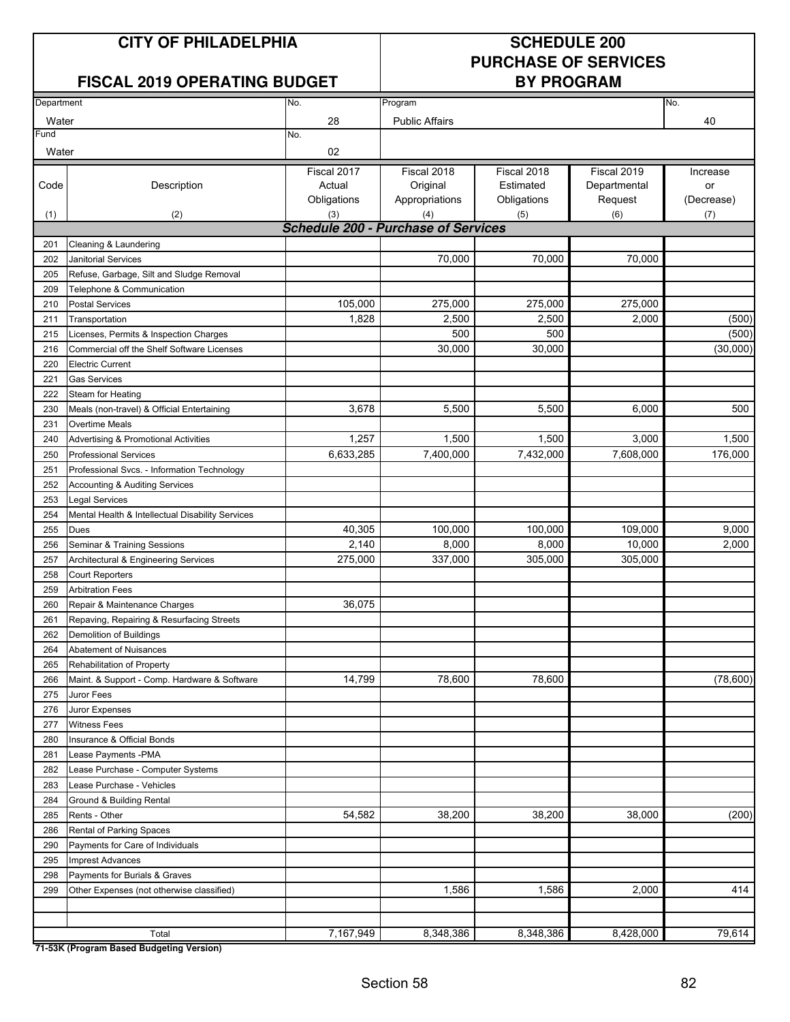### **FISCAL 2019 OPERATING BUDGET**

# **PURCHASE OF SERVICES**

|               | Department<br>No.                                |                                            | Program                                   | No.                                     |                                        |                              |
|---------------|--------------------------------------------------|--------------------------------------------|-------------------------------------------|-----------------------------------------|----------------------------------------|------------------------------|
|               |                                                  |                                            |                                           |                                         |                                        |                              |
| Water<br>Fund |                                                  | 28<br>No.                                  | <b>Public Affairs</b>                     |                                         |                                        | 40                           |
| Water         |                                                  | 02                                         |                                           |                                         |                                        |                              |
| Code          | Description                                      | Fiscal 2017<br>Actual<br>Obligations       | Fiscal 2018<br>Original<br>Appropriations | Fiscal 2018<br>Estimated<br>Obligations | Fiscal 2019<br>Departmental<br>Request | Increase<br>or<br>(Decrease) |
| (1)           | (2)                                              | (3)                                        | (4)                                       | (5)                                     | (6)                                    | (7)                          |
|               |                                                  | <b>Schedule 200 - Purchase of Services</b> |                                           |                                         |                                        |                              |
| 201           | Cleaning & Laundering                            |                                            |                                           |                                         |                                        |                              |
| 202           | Janitorial Services                              |                                            | 70,000                                    | 70,000                                  | 70,000                                 |                              |
| 205           | Refuse, Garbage, Silt and Sludge Removal         |                                            |                                           |                                         |                                        |                              |
| 209           | Telephone & Communication                        |                                            |                                           |                                         |                                        |                              |
| 210           | <b>Postal Services</b>                           | 105,000                                    | 275,000                                   | 275,000                                 | 275,000                                |                              |
| 211           | Transportation                                   | 1,828                                      | 2,500                                     | 2,500                                   | 2,000                                  | (500)                        |
| 215           | Licenses, Permits & Inspection Charges           |                                            | 500                                       | 500                                     |                                        | (500)                        |
| 216           | Commercial off the Shelf Software Licenses       |                                            | 30,000                                    | 30,000                                  |                                        | (30,000)                     |
| 220           | <b>Electric Current</b>                          |                                            |                                           |                                         |                                        |                              |
| 221           | <b>Gas Services</b>                              |                                            |                                           |                                         |                                        |                              |
| 222           | Steam for Heating                                |                                            |                                           |                                         |                                        |                              |
| 230           | Meals (non-travel) & Official Entertaining       | 3,678                                      | 5,500                                     | 5,500                                   | 6,000                                  | 500                          |
| 231           | <b>Overtime Meals</b>                            |                                            |                                           |                                         |                                        |                              |
| 240           | Advertising & Promotional Activities             | 1,257                                      | 1,500                                     | 1,500                                   | 3,000                                  | 1,500                        |
| 250           | <b>Professional Services</b>                     | 6,633,285                                  | 7,400,000                                 | 7,432,000                               | 7,608,000                              | 176,000                      |
| 251           | Professional Svcs. - Information Technology      |                                            |                                           |                                         |                                        |                              |
| 252           | Accounting & Auditing Services                   |                                            |                                           |                                         |                                        |                              |
| 253           | <b>Legal Services</b>                            |                                            |                                           |                                         |                                        |                              |
| 254           | Mental Health & Intellectual Disability Services |                                            |                                           |                                         |                                        |                              |
| 255           | <b>Dues</b>                                      | 40,305                                     | 100,000                                   | 100,000                                 | 109,000                                | 9,000                        |
| 256           | Seminar & Training Sessions                      | 2,140                                      | 8,000                                     | 8,000                                   | 10,000                                 | 2,000                        |
| 257           | Architectural & Engineering Services             | 275,000                                    | 337,000                                   | 305,000                                 | 305,000                                |                              |
| 258           | <b>Court Reporters</b>                           |                                            |                                           |                                         |                                        |                              |
| 259           | <b>Arbitration Fees</b>                          |                                            |                                           |                                         |                                        |                              |
| 260           | Repair & Maintenance Charges                     | 36,075                                     |                                           |                                         |                                        |                              |
| 261           | Repaving, Repairing & Resurfacing Streets        |                                            |                                           |                                         |                                        |                              |
| 262           | Demolition of Buildings                          |                                            |                                           |                                         |                                        |                              |
| 264           | <b>Abatement of Nuisances</b>                    |                                            |                                           |                                         |                                        |                              |
| 265           | Rehabilitation of Property                       |                                            |                                           |                                         |                                        |                              |
| 266           | Maint. & Support - Comp. Hardware & Software     | 14,799                                     | 78,600                                    | 78,600                                  |                                        | (78,600)                     |
| 275           | Juror Fees                                       |                                            |                                           |                                         |                                        |                              |
| 276           | Juror Expenses                                   |                                            |                                           |                                         |                                        |                              |
| 277           | Witness Fees                                     |                                            |                                           |                                         |                                        |                              |
| 280           | Insurance & Official Bonds                       |                                            |                                           |                                         |                                        |                              |
| 281           | Lease Payments -PMA                              |                                            |                                           |                                         |                                        |                              |
| 282           | Lease Purchase - Computer Systems                |                                            |                                           |                                         |                                        |                              |
| 283           | Lease Purchase - Vehicles                        |                                            |                                           |                                         |                                        |                              |
| 284           | Ground & Building Rental                         |                                            |                                           |                                         |                                        |                              |
| 285           | Rents - Other                                    | 54,582                                     | 38,200                                    | 38,200                                  | 38,000                                 | (200)                        |
| 286           | Rental of Parking Spaces                         |                                            |                                           |                                         |                                        |                              |
| 290           | Payments for Care of Individuals                 |                                            |                                           |                                         |                                        |                              |
| 295           | <b>Imprest Advances</b>                          |                                            |                                           |                                         |                                        |                              |
| 298           | Payments for Burials & Graves                    |                                            |                                           |                                         |                                        |                              |
| 299           | Other Expenses (not otherwise classified)        |                                            | 1,586                                     | 1,586                                   | 2,000                                  | 414                          |
|               |                                                  |                                            |                                           |                                         |                                        |                              |
|               |                                                  | 7,167,949                                  | 8,348,386                                 | 8,348,386                               | 8,428,000                              | 79,614                       |
|               | Total                                            |                                            |                                           |                                         |                                        |                              |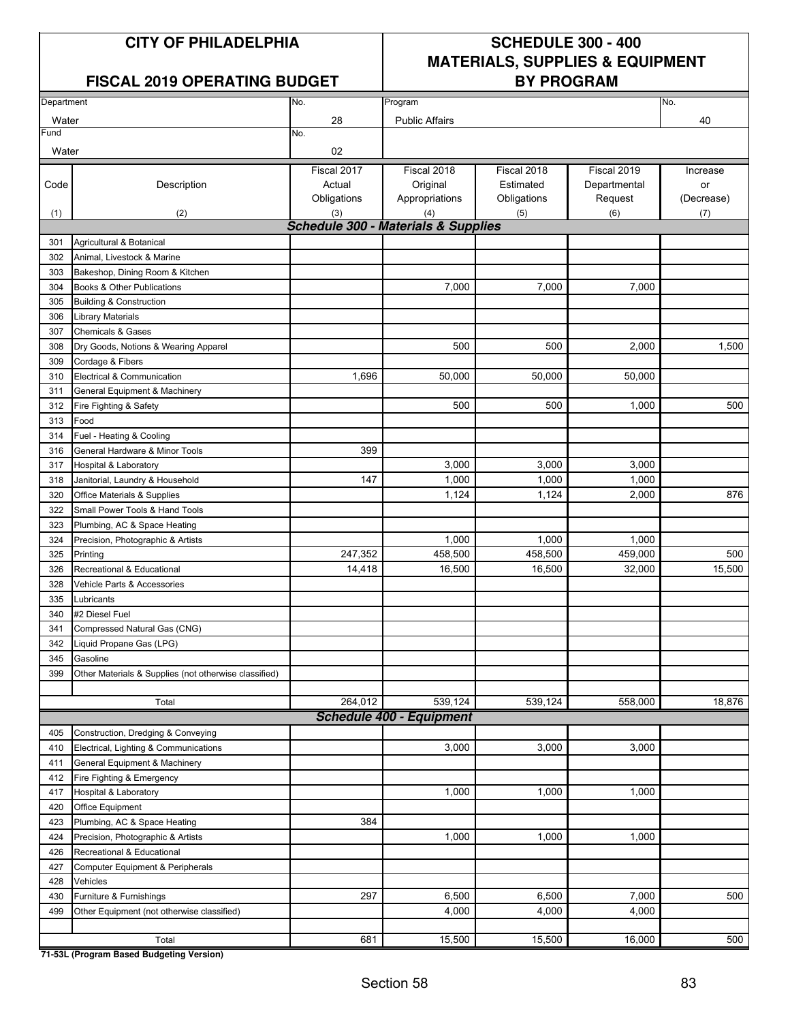### FISCAL 2019 OPERATING BUDGET **BY PROGRAM**

## **CITY OF PHILADELPHIA SCHEDULE 300 - 400 MATERIALS, SUPPLIES & EQUIPMENT**

| Department |                                                       | No.                                            | Program                                   |                                         |                                        | No.                          |
|------------|-------------------------------------------------------|------------------------------------------------|-------------------------------------------|-----------------------------------------|----------------------------------------|------------------------------|
| Water      |                                                       | 28                                             | <b>Public Affairs</b>                     |                                         |                                        | 40                           |
| Fund       |                                                       | No.                                            |                                           |                                         |                                        |                              |
| Water      |                                                       | 02                                             |                                           |                                         |                                        |                              |
| Code       | Description                                           | Fiscal 2017<br>Actual<br>Obligations           | Fiscal 2018<br>Original<br>Appropriations | Fiscal 2018<br>Estimated<br>Obligations | Fiscal 2019<br>Departmental<br>Request | Increase<br>or<br>(Decrease) |
| (1)        | (2)                                                   | (3)                                            | (4)                                       | (5)                                     | (6)                                    | (7)                          |
|            |                                                       | <b>Schedule 300 - Materials &amp; Supplies</b> |                                           |                                         |                                        |                              |
| 301        | Agricultural & Botanical                              |                                                |                                           |                                         |                                        |                              |
| 302        | Animal, Livestock & Marine                            |                                                |                                           |                                         |                                        |                              |
| 303        | Bakeshop, Dining Room & Kitchen                       |                                                |                                           |                                         |                                        |                              |
| 304        | Books & Other Publications                            |                                                | 7,000                                     | 7,000                                   | 7,000                                  |                              |
| 305        | <b>Building &amp; Construction</b>                    |                                                |                                           |                                         |                                        |                              |
| 306        | <b>Library Materials</b>                              |                                                |                                           |                                         |                                        |                              |
| 307        | <b>Chemicals &amp; Gases</b>                          |                                                |                                           |                                         |                                        |                              |
| 308        | Dry Goods, Notions & Wearing Apparel                  |                                                | 500                                       | 500                                     | 2,000                                  | 1,500                        |
| 309        | Cordage & Fibers                                      |                                                |                                           |                                         |                                        |                              |
| 310        | Electrical & Communication                            | 1,696                                          | 50,000                                    | 50,000                                  | 50,000                                 |                              |
| 311        | General Equipment & Machinery                         |                                                |                                           |                                         |                                        |                              |
| 312        | Fire Fighting & Safety                                |                                                | 500                                       | 500                                     | 1,000                                  | 500                          |
| 313        | Food                                                  |                                                |                                           |                                         |                                        |                              |
| 314        | Fuel - Heating & Cooling                              |                                                |                                           |                                         |                                        |                              |
| 316        | General Hardware & Minor Tools                        | 399                                            |                                           |                                         |                                        |                              |
| 317        | <b>Hospital &amp; Laboratory</b>                      |                                                | 3,000                                     | 3,000                                   | 3,000                                  |                              |
| 318        | Janitorial, Laundry & Household                       | 147                                            | 1,000                                     | 1,000                                   | 1,000                                  |                              |
| 320        | Office Materials & Supplies                           |                                                | 1,124                                     | 1,124                                   | 2,000                                  | 876                          |
| 322        | Small Power Tools & Hand Tools                        |                                                |                                           |                                         |                                        |                              |
| 323        | Plumbing, AC & Space Heating                          |                                                |                                           |                                         |                                        |                              |
| 324        | Precision, Photographic & Artists                     |                                                | 1,000                                     | 1,000                                   | 1,000                                  |                              |
| 325        | Printing                                              | 247,352                                        | 458,500                                   | 458,500                                 | 459,000                                | 500                          |
| 326        | Recreational & Educational                            | 14,418                                         | 16,500                                    | 16,500                                  | 32,000                                 | 15,500                       |
| 328        | Vehicle Parts & Accessories                           |                                                |                                           |                                         |                                        |                              |
| 335        | Lubricants                                            |                                                |                                           |                                         |                                        |                              |
| 340        | #2 Diesel Fuel                                        |                                                |                                           |                                         |                                        |                              |
| 341<br>342 | Compressed Natural Gas (CNG)                          |                                                |                                           |                                         |                                        |                              |
| 345        | Liquid Propane Gas (LPG)<br>Gasoline                  |                                                |                                           |                                         |                                        |                              |
| 399        |                                                       |                                                |                                           |                                         |                                        |                              |
|            | Other Materials & Supplies (not otherwise classified) |                                                |                                           |                                         |                                        |                              |
|            | Total                                                 | 264,012                                        | 539,124                                   | 539,124                                 | 558,000                                | 18,876                       |
|            |                                                       |                                                | <b>Schedule 400 - Equipment</b>           |                                         |                                        |                              |
| 405        | Construction, Dredging & Conveying                    |                                                |                                           |                                         |                                        |                              |
| 410        | Electrical, Lighting & Communications                 |                                                | 3,000                                     | 3,000                                   | 3,000                                  |                              |
| 411        | General Equipment & Machinery                         |                                                |                                           |                                         |                                        |                              |
| 412        | Fire Fighting & Emergency                             |                                                |                                           |                                         |                                        |                              |
| 417        | Hospital & Laboratory                                 |                                                | 1,000                                     | 1,000                                   | 1,000                                  |                              |
| 420        | <b>Office Equipment</b>                               |                                                |                                           |                                         |                                        |                              |
| 423        | Plumbing, AC & Space Heating                          | 384                                            |                                           |                                         |                                        |                              |
| 424        | Precision, Photographic & Artists                     |                                                | 1,000                                     | 1,000                                   | 1,000                                  |                              |
| 426        | Recreational & Educational                            |                                                |                                           |                                         |                                        |                              |
| 427        | Computer Equipment & Peripherals                      |                                                |                                           |                                         |                                        |                              |
| 428        | Vehicles                                              |                                                |                                           |                                         |                                        |                              |
| 430        | Furniture & Furnishings                               | 297                                            | 6,500                                     | 6,500                                   | 7,000                                  | 500                          |
| 499        | Other Equipment (not otherwise classified)            |                                                | 4,000                                     | 4,000                                   | 4,000                                  |                              |
|            | Total                                                 | 681                                            | 15,500                                    | 15,500                                  | 16,000                                 | 500                          |
|            |                                                       |                                                |                                           |                                         |                                        |                              |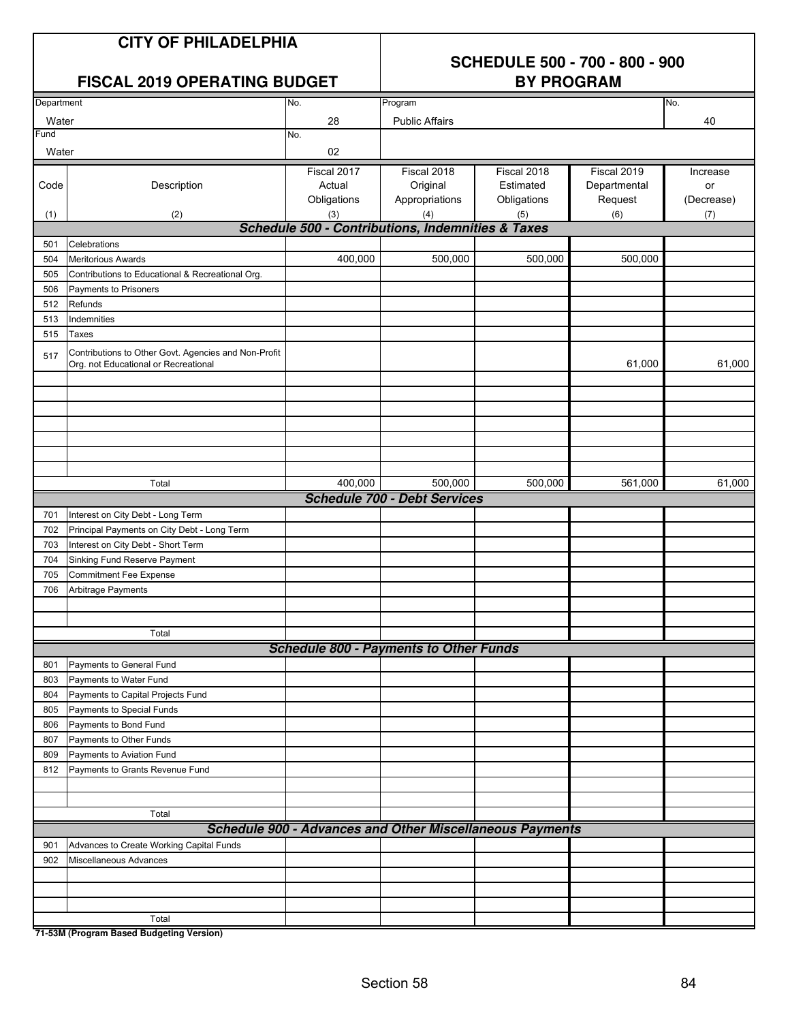## **CITY OF PHILADELPHIA**

## **SCHEDULE 500 - 700 - 800 - 900**

|            | <b>FISCAL 2019 OPERATING BUDGET</b>                                                          |                                                                 | <b>BY PROGRAM</b>                   |             |              |            |  |  |  |
|------------|----------------------------------------------------------------------------------------------|-----------------------------------------------------------------|-------------------------------------|-------------|--------------|------------|--|--|--|
| Department |                                                                                              | No.                                                             | Program                             |             |              | No.        |  |  |  |
| Water      |                                                                                              | 28                                                              | <b>Public Affairs</b>               |             |              | 40         |  |  |  |
| Fund       |                                                                                              | No.                                                             |                                     |             |              |            |  |  |  |
| Water      |                                                                                              | 02                                                              |                                     |             |              |            |  |  |  |
|            |                                                                                              | Fiscal 2017                                                     | Fiscal 2018                         | Fiscal 2018 | Fiscal 2019  | Increase   |  |  |  |
| Code       | Description                                                                                  | Actual                                                          | Original                            | Estimated   | Departmental | or         |  |  |  |
|            |                                                                                              | Obligations                                                     | Appropriations                      | Obligations | Request      | (Decrease) |  |  |  |
| (1)        | (2)                                                                                          | (3)                                                             | (4)                                 | (5)         | (6)          | (7)        |  |  |  |
|            |                                                                                              | <b>Schedule 500 - Contributions, Indemnities &amp; Taxes</b>    |                                     |             |              |            |  |  |  |
| 501        | Celebrations                                                                                 |                                                                 |                                     |             |              |            |  |  |  |
| 504        | <b>Meritorious Awards</b>                                                                    | 400,000                                                         | 500,000                             | 500,000     | 500,000      |            |  |  |  |
| 505        | Contributions to Educational & Recreational Org.                                             |                                                                 |                                     |             |              |            |  |  |  |
| 506        | Payments to Prisoners                                                                        |                                                                 |                                     |             |              |            |  |  |  |
| 512        | Refunds                                                                                      |                                                                 |                                     |             |              |            |  |  |  |
| 513        | Indemnities                                                                                  |                                                                 |                                     |             |              |            |  |  |  |
| 515        | Taxes                                                                                        |                                                                 |                                     |             |              |            |  |  |  |
| 517        | Contributions to Other Govt. Agencies and Non-Profit<br>Org. not Educational or Recreational |                                                                 |                                     |             | 61,000       | 61,000     |  |  |  |
|            |                                                                                              |                                                                 |                                     |             |              |            |  |  |  |
|            |                                                                                              |                                                                 |                                     |             |              |            |  |  |  |
|            |                                                                                              |                                                                 |                                     |             |              |            |  |  |  |
|            |                                                                                              |                                                                 |                                     |             |              |            |  |  |  |
|            |                                                                                              |                                                                 |                                     |             |              |            |  |  |  |
|            | Total                                                                                        | 400,000                                                         | 500,000                             | 500,000     | 561,000      | 61,000     |  |  |  |
|            |                                                                                              |                                                                 | <b>Schedule 700 - Debt Services</b> |             |              |            |  |  |  |
| 701        | Interest on City Debt - Long Term                                                            |                                                                 |                                     |             |              |            |  |  |  |
| 702        | Principal Payments on City Debt - Long Term                                                  |                                                                 |                                     |             |              |            |  |  |  |
| 703        | Interest on City Debt - Short Term                                                           |                                                                 |                                     |             |              |            |  |  |  |
| 704        | Sinking Fund Reserve Payment                                                                 |                                                                 |                                     |             |              |            |  |  |  |
| 705        | <b>Commitment Fee Expense</b>                                                                |                                                                 |                                     |             |              |            |  |  |  |
| 706        | Arbitrage Payments                                                                           |                                                                 |                                     |             |              |            |  |  |  |
|            |                                                                                              |                                                                 |                                     |             |              |            |  |  |  |
|            |                                                                                              |                                                                 |                                     |             |              |            |  |  |  |
|            | Total                                                                                        |                                                                 |                                     |             |              |            |  |  |  |
|            |                                                                                              | <b>Schedule 800 - Payments to Other Funds</b>                   |                                     |             |              |            |  |  |  |
| 801        | Payments to General Fund                                                                     |                                                                 |                                     |             |              |            |  |  |  |
| 803        | Payments to Water Fund                                                                       |                                                                 |                                     |             |              |            |  |  |  |
| 804        | Payments to Capital Projects Fund                                                            |                                                                 |                                     |             |              |            |  |  |  |
| 805        | Payments to Special Funds                                                                    |                                                                 |                                     |             |              |            |  |  |  |
| 806        | Payments to Bond Fund                                                                        |                                                                 |                                     |             |              |            |  |  |  |
| 807        | Payments to Other Funds                                                                      |                                                                 |                                     |             |              |            |  |  |  |
| 809        | Payments to Aviation Fund                                                                    |                                                                 |                                     |             |              |            |  |  |  |
| 812        | Payments to Grants Revenue Fund                                                              |                                                                 |                                     |             |              |            |  |  |  |
|            |                                                                                              |                                                                 |                                     |             |              |            |  |  |  |
|            | Total                                                                                        |                                                                 |                                     |             |              |            |  |  |  |
|            |                                                                                              | <b>Schedule 900 - Advances and Other Miscellaneous Payments</b> |                                     |             |              |            |  |  |  |
| 901        | Advances to Create Working Capital Funds                                                     |                                                                 |                                     |             |              |            |  |  |  |
| 902        | Miscellaneous Advances                                                                       |                                                                 |                                     |             |              |            |  |  |  |
|            |                                                                                              |                                                                 |                                     |             |              |            |  |  |  |
|            |                                                                                              |                                                                 |                                     |             |              |            |  |  |  |
|            |                                                                                              |                                                                 |                                     |             |              |            |  |  |  |
|            | Total                                                                                        |                                                                 |                                     |             |              |            |  |  |  |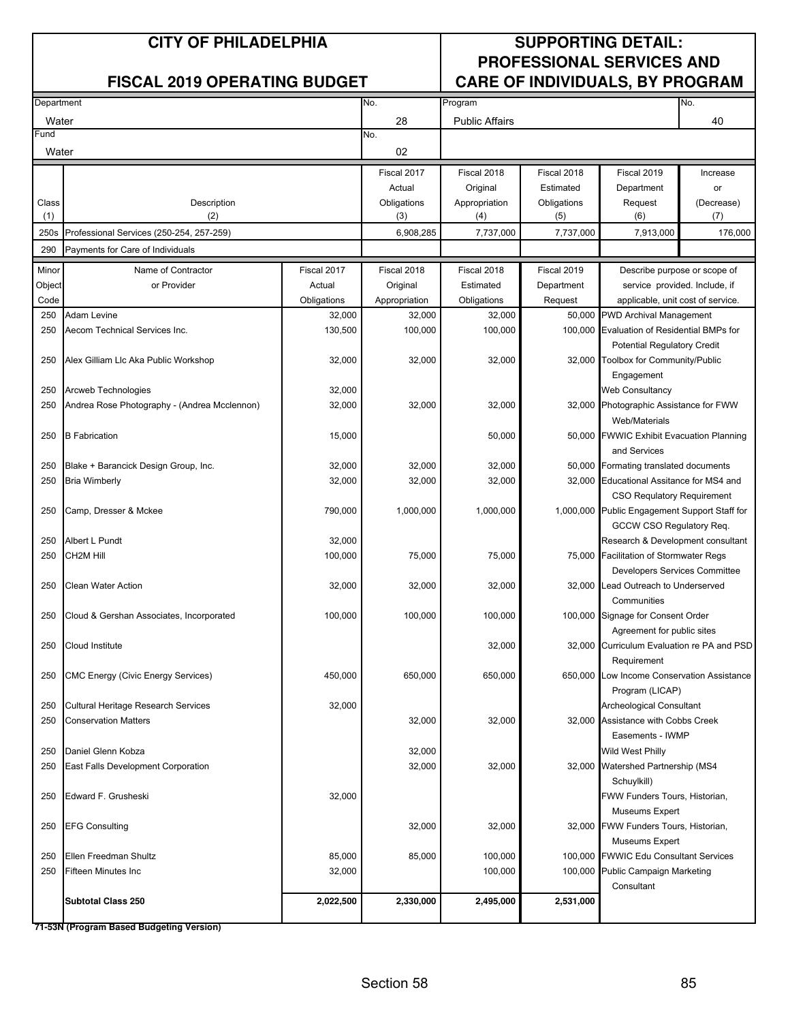| Department |                                              |                   | No.<br>Program |                       |             |                                                                             | No.        |
|------------|----------------------------------------------|-------------------|----------------|-----------------------|-------------|-----------------------------------------------------------------------------|------------|
| Water      |                                              |                   | 28             | <b>Public Affairs</b> |             |                                                                             | 40         |
| =und       |                                              |                   | No.            |                       |             |                                                                             |            |
| Water      |                                              |                   | 02             |                       |             |                                                                             |            |
|            |                                              |                   | Fiscal 2017    | Fiscal 2018           | Fiscal 2018 | Fiscal 2019                                                                 | Increase   |
|            |                                              |                   | Actual         | Original              | Estimated   | Department                                                                  | or         |
| Class      | Description                                  |                   | Obligations    | Appropriation         | Obligations | Request                                                                     | (Decrease) |
| (1)        | (2)                                          |                   | (3)            | (4)                   | (5)         | (6)                                                                         | (7)        |
| 250s       | Professional Services (250-254, 257-259)     |                   | 6,908,285      | 7,737,000             | 7,737,000   | 7,913,000                                                                   | 176,000    |
| 290        | Payments for Care of Individuals             |                   |                |                       |             |                                                                             |            |
| Minor      | Name of Contractor                           | Fiscal 2017       | Fiscal 2018    | Fiscal 2018           | Fiscal 2019 | Describe purpose or scope of                                                |            |
| Object     | or Provider                                  | Actual            | Original       | Estimated             | Department  | service provided. Include, if                                               |            |
| Code       |                                              | Obligations       | Appropriation  | Obligations           | Request     | applicable, unit cost of service.                                           |            |
| 250        | Adam Levine                                  | 32,000            | 32,000         | 32,000                |             | 50,000 PWD Archival Management                                              |            |
| 250        | Aecom Technical Services Inc.                | 130,500           | 100,000        | 100,000               |             | 100,000 Evaluation of Residential BMPs for                                  |            |
|            |                                              |                   |                |                       |             | <b>Potential Regulatory Credit</b>                                          |            |
| 250        | Alex Gilliam Llc Aka Public Workshop         | 32,000            | 32,000         | 32,000                |             | 32,000 Toolbox for Community/Public                                         |            |
|            |                                              |                   |                |                       |             | Engagement                                                                  |            |
| 250        | Arcweb Technologies                          | 32,000            |                |                       |             | <b>Web Consultancy</b>                                                      |            |
| 250        | Andrea Rose Photography - (Andrea Mcclennon) | 32,000            | 32,000         | 32,000                |             | 32,000 Photographic Assistance for FWW                                      |            |
|            |                                              |                   |                |                       |             | Web/Materials                                                               |            |
| 250        | <b>B</b> Fabrication                         | 15,000            |                | 50,000                |             | 50,000 FWWIC Exhibit Evacuation Planning                                    |            |
|            |                                              |                   |                |                       |             | and Services                                                                |            |
| 250        | Blake + Barancick Design Group, Inc.         | 32,000            | 32,000         | 32,000                |             | 50,000 Formating translated documents                                       |            |
| 250        | <b>Bria Wimberly</b>                         | 32,000            | 32,000         | 32,000                |             | 32,000 Educational Assitance for MS4 and                                    |            |
|            |                                              |                   |                |                       |             | <b>CSO Requlatory Requirement</b>                                           |            |
| 250        | Camp, Dresser & Mckee                        | 790,000           | 1,000,000      | 1,000,000             |             | 1,000,000 Public Engagement Support Staff for                               |            |
|            |                                              |                   |                |                       |             | GCCW CSO Regulatory Req.                                                    |            |
| 250<br>250 | Albert L Pundt<br>CH2M Hill                  | 32,000<br>100,000 | 75,000         |                       |             | Research & Development consultant<br>75,000 Facilitation of Stormwater Regs |            |
|            |                                              |                   |                | 75,000                |             | Developers Services Committee                                               |            |
| 250        | <b>Clean Water Action</b>                    | 32,000            | 32,000         | 32,000                |             | 32,000 Lead Outreach to Underserved                                         |            |
|            |                                              |                   |                |                       |             | Communities                                                                 |            |
| 250        | Cloud & Gershan Associates, Incorporated     | 100,000           | 100,000        | 100,000               |             | 100,000 Signage for Consent Order                                           |            |
|            |                                              |                   |                |                       |             | Agreement for public sites                                                  |            |
| 250        | Cloud Institute                              |                   |                | 32,000                |             | 32,000 Curriculum Evaluation re PA and PSD                                  |            |
|            |                                              |                   |                |                       |             | Requirement                                                                 |            |
| 250        | <b>CMC Energy (Civic Energy Services)</b>    | 450,000           | 650,000        | 650,000               |             | 650,000 Low Income Conservation Assistance                                  |            |
|            |                                              |                   |                |                       |             | Program (LICAP)                                                             |            |
| 250        | <b>Cultural Heritage Research Services</b>   | 32,000            |                |                       |             | Archeological Consultant                                                    |            |
| 250        | <b>Conservation Matters</b>                  |                   | 32,000         | 32,000                |             | 32,000 Assistance with Cobbs Creek                                          |            |
|            |                                              |                   |                |                       |             | Easements - IWMP                                                            |            |
| 250        | Daniel Glenn Kobza                           |                   | 32,000         |                       |             | <b>Wild West Philly</b>                                                     |            |
| 250        | East Falls Development Corporation           |                   | 32,000         | 32,000                |             | 32,000 Watershed Partnership (MS4                                           |            |
|            |                                              |                   |                |                       |             | Schuylkill)                                                                 |            |
| 250        | Edward F. Grusheski                          | 32,000            |                |                       |             | FWW Funders Tours, Historian,                                               |            |
|            |                                              |                   |                |                       |             | Museums Expert                                                              |            |
| 250        | <b>EFG Consulting</b>                        |                   | 32,000         | 32,000                |             | 32,000 FWW Funders Tours, Historian,                                        |            |
|            |                                              |                   |                |                       |             | Museums Expert                                                              |            |
| 250        | Ellen Freedman Shultz                        | 85,000            | 85,000         | 100,000               |             | 100,000 FWWIC Edu Consultant Services                                       |            |
| 250        | Fifteen Minutes Inc                          | 32,000            |                | 100,000               |             | 100,000 Public Campaign Marketing                                           |            |
|            | <b>Subtotal Class 250</b>                    | 2,022,500         | 2,330,000      | 2,495,000             | 2,531,000   | Consultant                                                                  |            |
|            |                                              |                   |                |                       |             |                                                                             |            |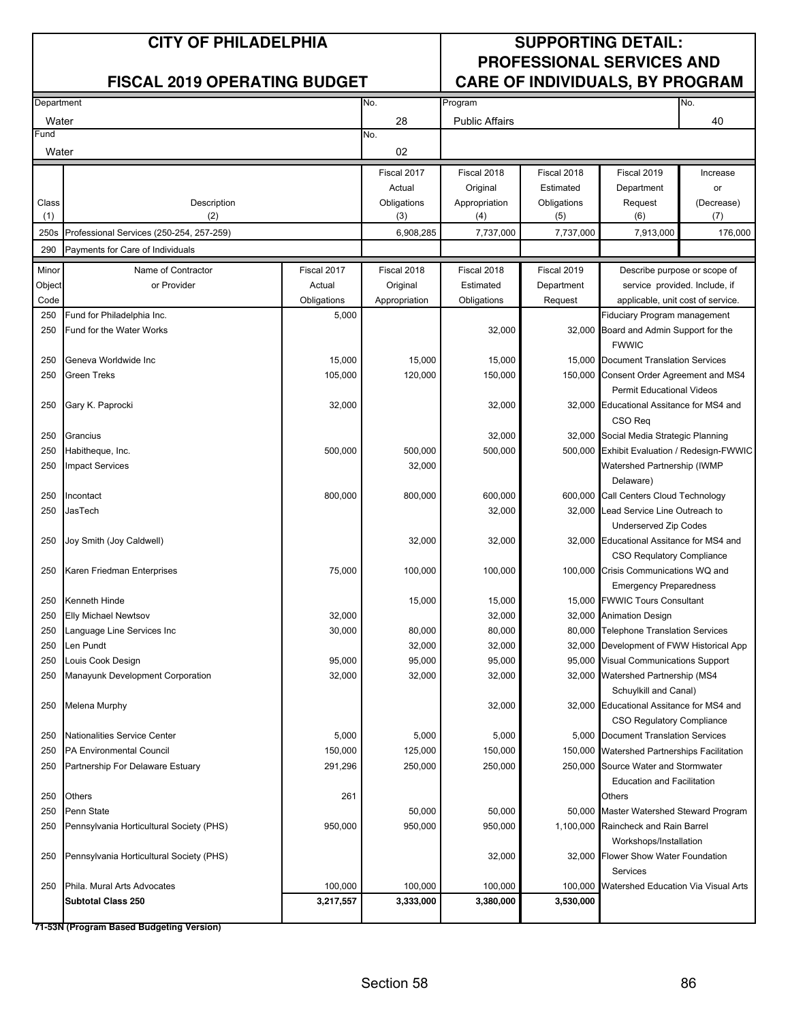| Department |                                              |             | No.           | Program               |             |                                                                             | No.                           |
|------------|----------------------------------------------|-------------|---------------|-----------------------|-------------|-----------------------------------------------------------------------------|-------------------------------|
| Water      |                                              |             | 28            | <b>Public Affairs</b> |             |                                                                             | 40                            |
| Fund       |                                              |             | No.           |                       |             |                                                                             |                               |
| Water      |                                              |             | 02            |                       |             |                                                                             |                               |
|            |                                              |             | Fiscal 2017   | Fiscal 2018           | Fiscal 2018 | Fiscal 2019                                                                 | Increase                      |
|            |                                              |             | Actual        | Original              | Estimated   | Department                                                                  | or                            |
| Class      | Description                                  |             | Obligations   | Appropriation         | Obligations | Request                                                                     | (Decrease)                    |
| (1)        | (2)                                          |             | (3)           | (4)                   | (5)         | (6)                                                                         | (7)                           |
| 250s       | Professional Services (250-254, 257-259)     |             | 6,908,285     | 7,737,000             | 7,737,000   | 7,913,000                                                                   | 176,000                       |
| 290        | Payments for Care of Individuals             |             |               |                       |             |                                                                             |                               |
| Minor      | Name of Contractor                           | Fiscal 2017 | Fiscal 2018   | Fiscal 2018           | Fiscal 2019 |                                                                             | Describe purpose or scope of  |
| Object     | or Provider                                  | Actual      | Original      | Estimated             | Department  |                                                                             | service provided. Include, if |
| Code       |                                              | Obligations | Appropriation | Obligations           | Request     | applicable, unit cost of service.                                           |                               |
| 250        | Fund for Philadelphia Inc.                   | 5,000       |               |                       |             | Fiduciary Program management                                                |                               |
| 250        | Fund for the Water Works                     |             |               | 32,000                |             | 32,000 Board and Admin Support for the                                      |                               |
|            |                                              |             |               |                       |             | <b>FWWIC</b>                                                                |                               |
| 250        | Geneva Worldwide Inc                         | 15,000      | 15,000        | 15,000                | 15,000      | <b>Document Translation Services</b>                                        |                               |
| 250        | Green Treks                                  | 105,000     | 120,000       | 150,000               |             | 150,000 Consent Order Agreement and MS4<br><b>Permit Educational Videos</b> |                               |
| 250        | Gary K. Paprocki                             | 32,000      |               | 32,000                |             | 32,000 Educational Assitance for MS4 and                                    |                               |
| 250        | Grancius                                     |             |               | 32,000                |             | CSO Req<br>32,000 Social Media Strategic Planning                           |                               |
| 250        | Habitheque, Inc.                             | 500,000     | 500,000       | 500,000               |             | 500,000 Exhibit Evaluation / Redesign-FWWIC                                 |                               |
| 250        | <b>Impact Services</b>                       |             | 32,000        |                       |             | Watershed Partnership (IWMP                                                 |                               |
|            |                                              |             |               |                       |             | Delaware)                                                                   |                               |
| 250        | Incontact                                    | 800,000     | 800,000       | 600,000               |             | 600,000 Call Centers Cloud Technology                                       |                               |
| 250        | JasTech                                      |             |               | 32,000                | 32,000      | Lead Service Line Outreach to                                               |                               |
|            |                                              |             |               |                       |             | Underserved Zip Codes                                                       |                               |
| 250        | Joy Smith (Joy Caldwell)                     |             | 32,000        | 32,000                |             | 32,000 Educational Assitance for MS4 and                                    |                               |
|            |                                              |             |               |                       |             | <b>CSO Requlatory Compliance</b>                                            |                               |
| 250        | Karen Friedman Enterprises                   | 75,000      | 100,000       | 100,000               |             | 100,000 Crisis Communications WQ and                                        |                               |
|            |                                              |             |               |                       |             | <b>Emergency Preparedness</b>                                               |                               |
| 250<br>250 | Kenneth Hinde<br><b>Elly Michael Newtsov</b> | 32,000      | 15,000        | 15,000<br>32,000      |             | 15,000 FWWIC Tours Consultant<br>32,000 Animation Design                    |                               |
| 250        | Language Line Services Inc                   | 30,000      | 80,000        | 80,000                | 80,000      | <b>Telephone Translation Services</b>                                       |                               |
| 250        | Len Pundt                                    |             | 32,000        | 32,000                | 32,000      | Development of FWW Historical App                                           |                               |
| 250        | Louis Cook Design                            | 95,000      | 95,000        | 95,000                |             | 95,000 Visual Communications Support                                        |                               |
| 250        | Manayunk Development Corporation             | 32,000      | 32,000        | 32,000                |             | 32,000 Watershed Partnership (MS4                                           |                               |
|            |                                              |             |               |                       |             | Schuylkill and Canal)                                                       |                               |
| 250        | Melena Murphy                                |             |               | 32,000                |             | 32,000 Educational Assitance for MS4 and                                    |                               |
|            |                                              |             |               |                       |             | CSO Regulatory Compliance                                                   |                               |
| 250        | Nationalities Service Center                 | 5,000       | 5,000         | 5,000                 |             | 5,000 Document Translation Services                                         |                               |
| 250        | <b>PA Environmental Council</b>              | 150,000     | 125,000       | 150,000               | 150,000     | <b>Watershed Partnerships Facilitation</b>                                  |                               |
| 250        | Partnership For Delaware Estuary             | 291,296     | 250,000       | 250,000               |             | 250,000 Source Water and Stormwater                                         |                               |
|            |                                              |             |               |                       |             | <b>Education and Facilitation</b>                                           |                               |
| 250        | Others                                       | 261         |               |                       |             | Others                                                                      |                               |
| 250        | Penn State                                   |             | 50,000        | 50,000                |             | 50,000 Master Watershed Steward Program                                     |                               |
| 250        | Pennsylvania Horticultural Society (PHS)     | 950,000     | 950,000       | 950,000               |             | 1,100,000 Raincheck and Rain Barrel<br>Workshops/Installation               |                               |
| 250        | Pennsylvania Horticultural Society (PHS)     |             |               | 32,000                | 32,000      | Flower Show Water Foundation                                                |                               |
|            |                                              |             |               |                       |             | Services                                                                    |                               |
| 250        | Phila. Mural Arts Advocates                  | 100,000     | 100,000       | 100,000               | 100,000     | Watershed Education Via Visual Arts                                         |                               |
|            | <b>Subtotal Class 250</b>                    | 3,217,557   | 3,333,000     | 3,380,000             | 3,530,000   |                                                                             |                               |
|            |                                              |             |               |                       |             |                                                                             |                               |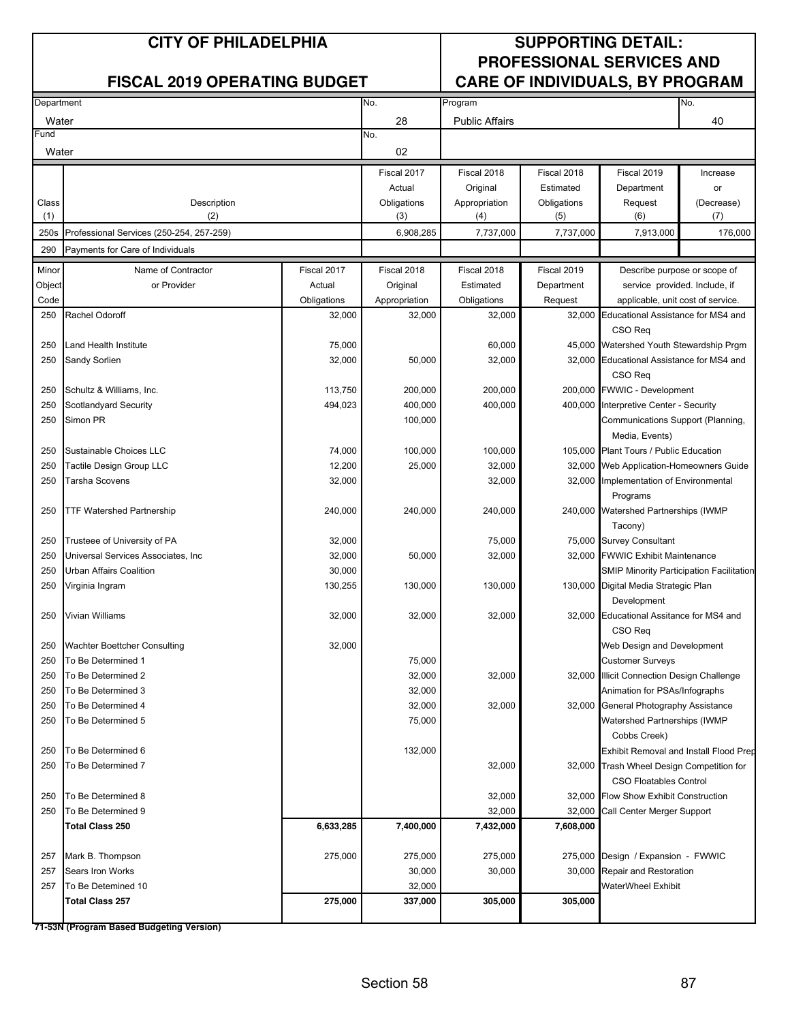| Department |                                          |             | No.           | Program               |             |                                                 | No.        |
|------------|------------------------------------------|-------------|---------------|-----------------------|-------------|-------------------------------------------------|------------|
| Water      |                                          |             | 28            | <b>Public Affairs</b> |             |                                                 | 40         |
| Fund       |                                          |             | No.           |                       |             |                                                 |            |
| Water      |                                          |             | 02            |                       |             |                                                 |            |
|            |                                          |             | Fiscal 2017   | Fiscal 2018           | Fiscal 2018 | Fiscal 2019                                     | Increase   |
|            |                                          |             | Actual        | Original              | Estimated   | Department                                      | or         |
| Class      | Description                              |             | Obligations   | Appropriation         | Obligations | Request                                         | (Decrease) |
| (1)        | (2)                                      |             | (3)           | (4)                   | (5)         | (6)                                             | (7)        |
| 250s       | Professional Services (250-254, 257-259) |             | 6,908,285     | 7,737,000             | 7,737,000   | 7,913,000                                       | 176,000    |
| 290        | Payments for Care of Individuals         |             |               |                       |             |                                                 |            |
| Minor      | Name of Contractor                       | Fiscal 2017 | Fiscal 2018   | Fiscal 2018           | Fiscal 2019 | Describe purpose or scope of                    |            |
| Object     | or Provider                              | Actual      | Original      | Estimated             | Department  | service provided. Include, if                   |            |
| Code       |                                          | Obligations | Appropriation | Obligations           | Request     | applicable, unit cost of service.               |            |
| 250        | Rachel Odoroff                           | 32,000      | 32,000        | 32,000                | 32,000      | Educational Assistance for MS4 and              |            |
|            |                                          |             |               |                       |             | CSO Reg                                         |            |
| 250        | Land Health Institute                    | 75,000      |               | 60,000                |             | 45,000 Watershed Youth Stewardship Prgm         |            |
| 250        | Sandy Sorlien                            | 32,000      | 50,000        | 32,000                |             | 32,000 Educational Assistance for MS4 and       |            |
|            |                                          |             |               |                       |             | CSO Req                                         |            |
| 250        | Schultz & Williams, Inc.                 | 113,750     | 200,000       | 200,000               |             | 200,000 FWWIC - Development                     |            |
| 250        | Scotlandyard Security                    | 494,023     | 400,000       | 400,000               |             | 400,000 Interpretive Center - Security          |            |
| 250        | Simon PR                                 |             | 100,000       |                       |             | Communications Support (Planning,               |            |
|            |                                          |             |               |                       |             | Media, Events)                                  |            |
| 250        | Sustainable Choices LLC                  | 74,000      | 100,000       | 100,000               |             | 105,000 Plant Tours / Public Education          |            |
| 250        | Tactile Design Group LLC                 | 12,200      | 25,000        | 32,000                |             | 32,000 Web Application-Homeowners Guide         |            |
| 250        | <b>Tarsha Scovens</b>                    | 32,000      |               | 32,000                |             | 32,000 Implementation of Environmental          |            |
|            |                                          |             |               |                       |             | Programs                                        |            |
| 250        | <b>TTF Watershed Partnership</b>         | 240,000     | 240,000       | 240,000               |             | 240,000 Watershed Partnerships (IWMP            |            |
|            |                                          |             |               |                       |             | Tacony)                                         |            |
| 250        | Trusteee of University of PA             | 32,000      |               | 75,000                |             | 75,000 Survey Consultant                        |            |
| 250        | Universal Services Associates, Inc       | 32,000      | 50,000        | 32,000                |             | 32,000 FWWIC Exhibit Maintenance                |            |
| 250        | Urban Affairs Coalition                  | 30,000      |               |                       |             | <b>SMIP Minority Participation Facilitation</b> |            |
| 250        | Virginia Ingram                          | 130,255     | 130,000       | 130,000               |             | 130,000 Digital Media Strategic Plan            |            |
|            |                                          |             |               |                       |             | Development                                     |            |
| 250        | Vivian Williams                          | 32,000      | 32,000        | 32,000                |             | 32,000 Educational Assitance for MS4 and        |            |
|            |                                          |             |               |                       |             | CSO Req                                         |            |
| 250        | <b>Wachter Boettcher Consulting</b>      | 32,000      |               |                       |             | Web Design and Development                      |            |
| 250        | To Be Determined 1                       |             | 75,000        |                       |             | <b>Customer Surveys</b>                         |            |
| 250        | To Be Determined 2                       |             | 32,000        | 32,000                |             | 32,000 Illicit Connection Design Challenge      |            |
| 250        | To Be Determined 3                       |             | 32,000        |                       |             | Animation for PSAs/Infographs                   |            |
| 250        | To Be Determined 4                       |             | 32,000        | 32,000                |             | 32,000 General Photography Assistance           |            |
| 250        | To Be Determined 5                       |             | 75,000        |                       |             | Watershed Partnerships (IWMP                    |            |
|            |                                          |             |               |                       |             | Cobbs Creek)                                    |            |
| 250        | To Be Determined 6                       |             | 132,000       |                       |             | Exhibit Removal and Install Flood Prep          |            |
| 250        | To Be Determined 7                       |             |               | 32,000                |             | 32,000 Trash Wheel Design Competition for       |            |
|            |                                          |             |               |                       |             | <b>CSO Floatables Control</b>                   |            |
| 250        | To Be Determined 8                       |             |               | 32,000                |             | 32,000 Flow Show Exhibit Construction           |            |
| 250        | To Be Determined 9                       |             |               | 32,000                | 32,000      | Call Center Merger Support                      |            |
|            | <b>Total Class 250</b>                   | 6,633,285   | 7,400,000     | 7,432,000             | 7,608,000   |                                                 |            |
|            |                                          |             |               |                       |             |                                                 |            |
| 257        | Mark B. Thompson                         | 275,000     | 275,000       | 275,000               |             | 275,000 Design / Expansion - FWWIC              |            |
| 257        | Sears Iron Works                         |             | 30,000        | 30,000                |             | 30,000 Repair and Restoration                   |            |
| 257        | To Be Detemined 10                       |             | 32,000        |                       |             | <b>WaterWheel Exhibit</b>                       |            |
|            | <b>Total Class 257</b>                   | 275,000     | 337,000       | 305,000               | 305,000     |                                                 |            |
|            |                                          |             |               |                       |             |                                                 |            |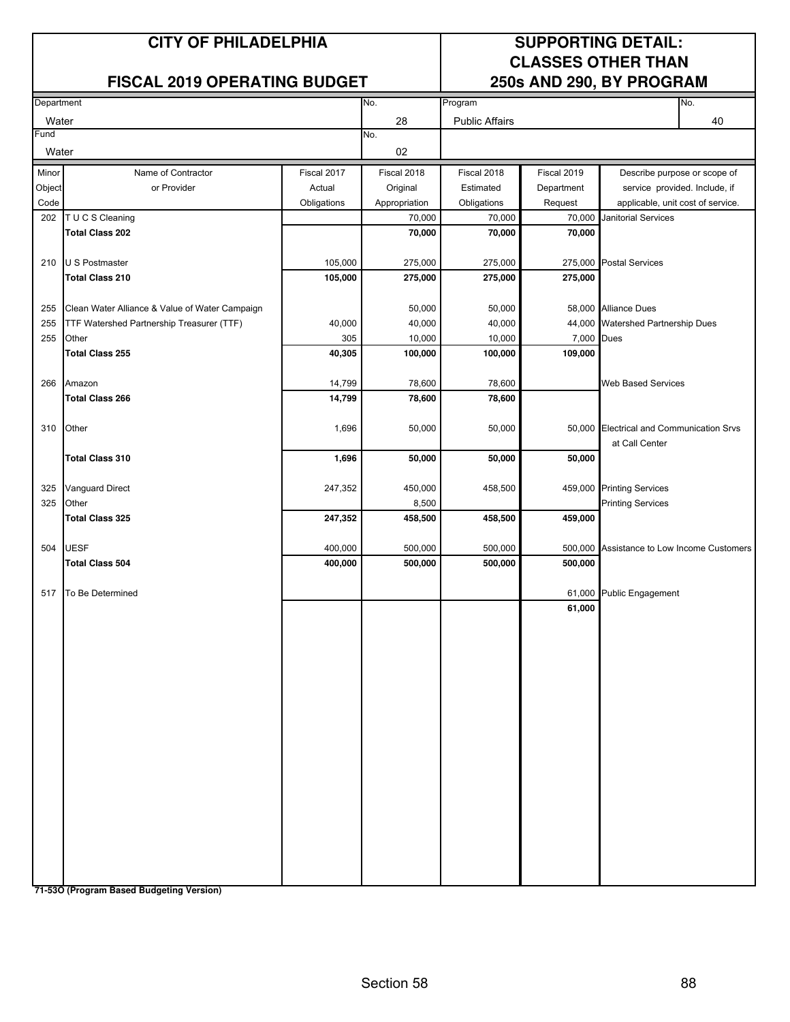### **FISCAL 2019 OPERATING BUDGET**

# **CLASSES OTHER THAN**

| Department |                                                |             | No.           | Program               |             | No.                                                        |
|------------|------------------------------------------------|-------------|---------------|-----------------------|-------------|------------------------------------------------------------|
| Water      |                                                |             | 28            | <b>Public Affairs</b> |             | 40                                                         |
| Fund       |                                                |             | No.           |                       |             |                                                            |
| Water      |                                                |             | 02            |                       |             |                                                            |
| Minor      | Name of Contractor                             | Fiscal 2017 | Fiscal 2018   | Fiscal 2018           | Fiscal 2019 | Describe purpose or scope of                               |
| Object     | or Provider                                    | Actual      | Original      | Estimated             | Department  | service provided. Include, if                              |
| Code       |                                                | Obligations | Appropriation | Obligations           | Request     | applicable, unit cost of service.                          |
| 202        | T U C S Cleaning                               |             | 70,000        | 70,000                | 70,000      | <b>Janitorial Services</b>                                 |
|            | <b>Total Class 202</b>                         |             | 70,000        | 70,000                | 70,000      |                                                            |
| 210        | U S Postmaster                                 | 105,000     | 275,000       | 275,000               | 275,000     | <b>Postal Services</b>                                     |
|            | <b>Total Class 210</b>                         | 105,000     | 275,000       | 275,000               | 275,000     |                                                            |
| 255        | Clean Water Alliance & Value of Water Campaign |             | 50,000        | 50,000                |             | 58,000 Alliance Dues                                       |
| 255        | TTF Watershed Partnership Treasurer (TTF)      | 40,000      | 40,000        | 40,000                |             | 44,000 Watershed Partnership Dues                          |
| 255        | Other                                          | 305         | 10,000        | 10,000                | 7,000       | <b>Dues</b>                                                |
|            | <b>Total Class 255</b>                         | 40,305      | 100,000       | 100,000               | 109,000     |                                                            |
| 266        | Amazon                                         | 14,799      | 78,600        | 78,600                |             | <b>Web Based Services</b>                                  |
|            | <b>Total Class 266</b>                         | 14,799      | 78,600        | 78,600                |             |                                                            |
|            |                                                |             |               |                       |             |                                                            |
| 310        | Other                                          | 1,696       | 50,000        | 50,000                | 50,000      | <b>Electrical and Communication Srvs</b><br>at Call Center |
|            | <b>Total Class 310</b>                         | 1,696       | 50,000        | 50,000                | 50,000      |                                                            |
| 325        | <b>Vanguard Direct</b>                         | 247,352     | 450,000       | 458,500               | 459,000     | <b>Printing Services</b>                                   |
| 325        | Other                                          |             | 8,500         |                       |             | <b>Printing Services</b>                                   |
|            | <b>Total Class 325</b>                         | 247,352     | 458,500       | 458,500               | 459,000     |                                                            |
|            |                                                |             |               |                       |             |                                                            |
|            | 504 UESF                                       | 400,000     | 500,000       | 500,000               | 500,000     | Assistance to Low Income Customers                         |
|            | <b>Total Class 504</b>                         | 400,000     | 500,000       | 500,000               | 500,000     |                                                            |
| 517        | To Be Determined                               |             |               |                       | 61,000      | <b>Public Engagement</b>                                   |
|            |                                                |             |               |                       | 61,000      |                                                            |
|            |                                                |             |               |                       |             |                                                            |
|            |                                                |             |               |                       |             |                                                            |
|            |                                                |             |               |                       |             |                                                            |
|            |                                                |             |               |                       |             |                                                            |
|            |                                                |             |               |                       |             |                                                            |
|            |                                                |             |               |                       |             |                                                            |
|            |                                                |             |               |                       |             |                                                            |
|            |                                                |             |               |                       |             |                                                            |
|            |                                                |             |               |                       |             |                                                            |
|            |                                                |             |               |                       |             |                                                            |
|            |                                                |             |               |                       |             |                                                            |
|            |                                                |             |               |                       |             |                                                            |
|            |                                                |             |               |                       |             |                                                            |
|            |                                                |             |               |                       |             |                                                            |
|            |                                                |             |               |                       |             |                                                            |
|            |                                                |             |               |                       |             |                                                            |
|            |                                                |             |               |                       |             |                                                            |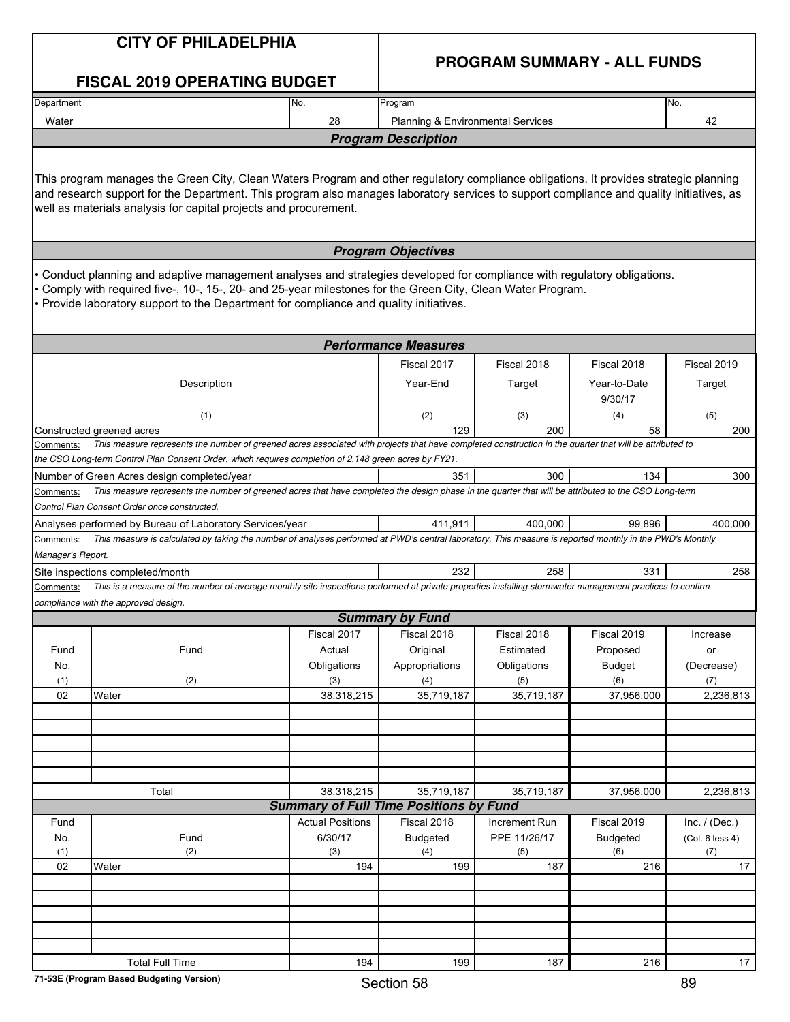|                                | <b>CITY OF PHILADELPHIA</b><br><b>FISCAL 2019 OPERATING BUDGET</b>                                                                                                                                                                                                                                                                                    |                                               |                                   | <b>PROGRAM SUMMARY - ALL FUNDS</b> |                         |                 |
|--------------------------------|-------------------------------------------------------------------------------------------------------------------------------------------------------------------------------------------------------------------------------------------------------------------------------------------------------------------------------------------------------|-----------------------------------------------|-----------------------------------|------------------------------------|-------------------------|-----------------|
| Department                     |                                                                                                                                                                                                                                                                                                                                                       | No.                                           | Program                           |                                    |                         | No.             |
| Water                          |                                                                                                                                                                                                                                                                                                                                                       | 28                                            | Planning & Environmental Services |                                    |                         | 42              |
|                                |                                                                                                                                                                                                                                                                                                                                                       |                                               | <b>Program Description</b>        |                                    |                         |                 |
|                                | This program manages the Green City, Clean Waters Program and other regulatory compliance obligations. It provides strategic planning<br>and research support for the Department. This program also manages laboratory services to support compliance and quality initiatives, as<br>well as materials analysis for capital projects and procurement. |                                               |                                   |                                    |                         |                 |
|                                |                                                                                                                                                                                                                                                                                                                                                       |                                               | <b>Program Objectives</b>         |                                    |                         |                 |
|                                | Conduct planning and adaptive management analyses and strategies developed for compliance with regulatory obligations.<br>Comply with required five-, 10-, 15-, 20- and 25-year milestones for the Green City, Clean Water Program.<br>• Provide laboratory support to the Department for compliance and quality initiatives.                         |                                               |                                   |                                    |                         |                 |
|                                |                                                                                                                                                                                                                                                                                                                                                       |                                               | <b>Performance Measures</b>       |                                    |                         |                 |
|                                |                                                                                                                                                                                                                                                                                                                                                       |                                               | Fiscal 2017                       | Fiscal 2018                        | Fiscal 2018             | Fiscal 2019     |
|                                | Description                                                                                                                                                                                                                                                                                                                                           |                                               | Year-End                          | Target                             | Year-to-Date<br>9/30/17 | Target          |
|                                | (1)                                                                                                                                                                                                                                                                                                                                                   |                                               | (2)                               | (3)                                | (4)                     | (5)             |
|                                | Constructed greened acres                                                                                                                                                                                                                                                                                                                             |                                               | 129                               | 200                                | 58                      | 200             |
| Comments:                      | This measure represents the number of greened acres associated with projects that have completed construction in the quarter that will be attributed to<br>the CSO Long-term Control Plan Consent Order, which requires completion of 2,148 green acres by FY21.                                                                                      |                                               |                                   |                                    |                         |                 |
|                                | Number of Green Acres design completed/year                                                                                                                                                                                                                                                                                                           |                                               | 351                               | 300                                | 134                     | 300             |
| Comments:                      | This measure represents the number of greened acres that have completed the design phase in the quarter that will be attributed to the CSO Long-term<br>Control Plan Consent Order once constructed.                                                                                                                                                  |                                               |                                   |                                    |                         |                 |
|                                | Analyses performed by Bureau of Laboratory Services/year                                                                                                                                                                                                                                                                                              |                                               | 411,911                           | 400.000                            | 99.896                  | 400,000         |
| Comments:<br>Manager's Report. | This measure is calculated by taking the number of analyses performed at PWD's central laboratory. This measure is reported monthly in the PWD's Monthly                                                                                                                                                                                              |                                               |                                   |                                    |                         |                 |
|                                | Site inspections completed/month                                                                                                                                                                                                                                                                                                                      |                                               | 232                               | 258                                | 331                     | 258             |
| Comments:                      | This is a measure of the number of average monthly site inspections performed at private properties installing stormwater management practices to confirm                                                                                                                                                                                             |                                               |                                   |                                    |                         |                 |
|                                | compliance with the approved design.                                                                                                                                                                                                                                                                                                                  |                                               | <b>Summary by Fund</b>            |                                    |                         |                 |
|                                |                                                                                                                                                                                                                                                                                                                                                       | Fiscal 2017                                   | Fiscal 2018                       | Fiscal 2018                        | Fiscal 2019             | Increase        |
| Fund                           | Fund                                                                                                                                                                                                                                                                                                                                                  | Actual                                        | Original                          | Estimated                          | Proposed                | or              |
| No.                            |                                                                                                                                                                                                                                                                                                                                                       | Obligations                                   | Appropriations                    | Obligations                        | <b>Budget</b>           | (Decrease)      |
| (1)                            | (2)                                                                                                                                                                                                                                                                                                                                                   | (3)                                           | (4)                               | (5)                                | (6)                     | (7)             |
| 02                             | Water                                                                                                                                                                                                                                                                                                                                                 | 38,318,215                                    | 35,719,187                        | 35,719,187                         | 37,956,000              | 2,236,813       |
|                                |                                                                                                                                                                                                                                                                                                                                                       |                                               |                                   |                                    |                         |                 |
|                                |                                                                                                                                                                                                                                                                                                                                                       |                                               |                                   |                                    |                         |                 |
|                                | Total                                                                                                                                                                                                                                                                                                                                                 | 38,318,215                                    | 35,719,187                        | 35,719,187                         | 37,956,000              | 2,236,813       |
|                                |                                                                                                                                                                                                                                                                                                                                                       | <b>Summary of Full Time Positions by Fund</b> |                                   |                                    |                         |                 |
| Fund                           |                                                                                                                                                                                                                                                                                                                                                       | <b>Actual Positions</b>                       | Fiscal 2018                       | Increment Run                      | Fiscal 2019             | Inc. $/$ (Dec.) |
| No.                            | Fund                                                                                                                                                                                                                                                                                                                                                  | 6/30/17                                       | Budgeted                          | PPE 11/26/17                       | <b>Budgeted</b>         | (Col. 6 less 4) |
| (1)<br>02                      | (2)<br>Water                                                                                                                                                                                                                                                                                                                                          | (3)<br>194                                    | (4)<br>199                        | (5)<br>187                         | (6)<br>216              | (7)<br>17       |
|                                |                                                                                                                                                                                                                                                                                                                                                       |                                               |                                   |                                    |                         |                 |
|                                |                                                                                                                                                                                                                                                                                                                                                       |                                               |                                   |                                    |                         |                 |
|                                |                                                                                                                                                                                                                                                                                                                                                       |                                               |                                   |                                    |                         |                 |
|                                |                                                                                                                                                                                                                                                                                                                                                       |                                               |                                   |                                    |                         |                 |
|                                | <b>Total Full Time</b>                                                                                                                                                                                                                                                                                                                                | 194                                           | 199                               | 187                                | 216                     | 17              |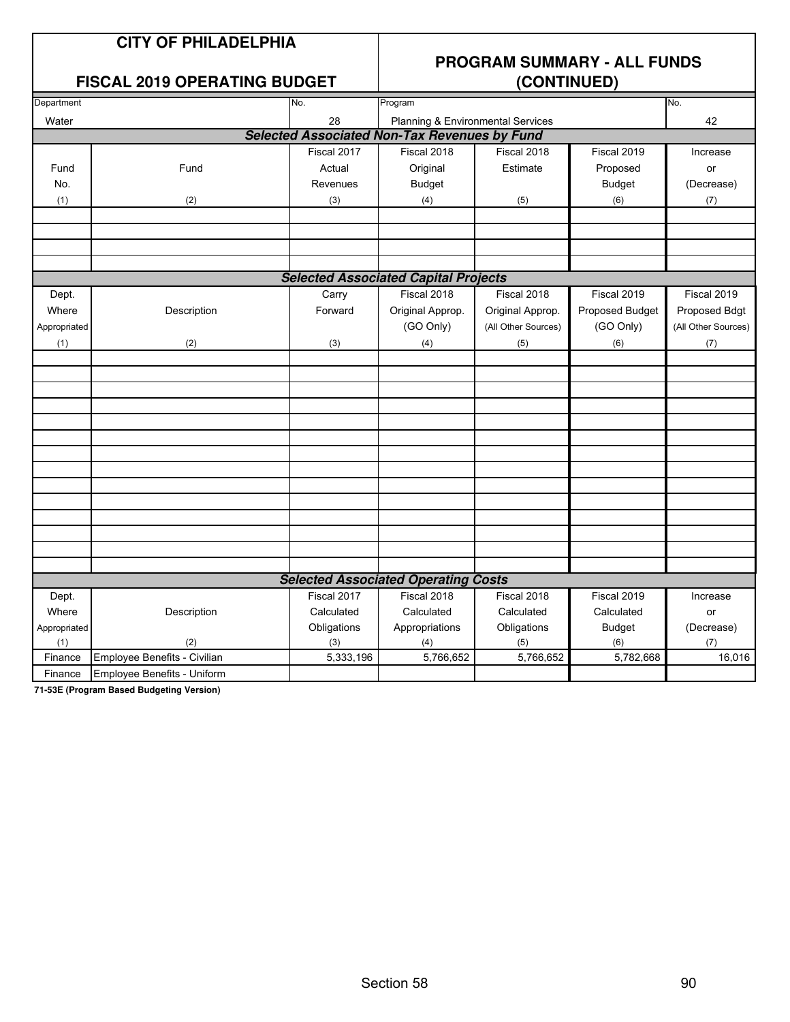### **CITY OF PHILADELPHIA**

### **FISCAL 2019 OPERATING BUDGET**

## **PROGRAM SUMMARY - ALL FUNDS**

| Department   |                              | No.         | Program                                             |                     |                 | No.                 |
|--------------|------------------------------|-------------|-----------------------------------------------------|---------------------|-----------------|---------------------|
| Water        |                              | 28          | Planning & Environmental Services                   |                     |                 | 42                  |
|              |                              |             | <b>Selected Associated Non-Tax Revenues by Fund</b> |                     |                 |                     |
|              |                              | Fiscal 2017 | Fiscal 2018                                         | Fiscal 2018         | Fiscal 2019     | Increase            |
| Fund         | Fund                         | Actual      | Original                                            | Estimate            | Proposed        | or                  |
| No.          |                              | Revenues    | <b>Budget</b>                                       |                     | <b>Budget</b>   | (Decrease)          |
| (1)          | (2)                          | (3)         | (4)                                                 | (5)                 | (6)             | (7)                 |
|              |                              |             |                                                     |                     |                 |                     |
|              |                              |             |                                                     |                     |                 |                     |
|              |                              |             |                                                     |                     |                 |                     |
|              |                              |             |                                                     |                     |                 |                     |
|              |                              |             | <b>Selected Associated Capital Projects</b>         |                     |                 |                     |
| Dept.        |                              | Carry       | Fiscal 2018                                         | Fiscal 2018         | Fiscal 2019     | Fiscal 2019         |
| Where        | Description                  | Forward     | Original Approp.                                    | Original Approp.    | Proposed Budget | Proposed Bdgt       |
| Appropriated |                              |             | (GO Only)                                           | (All Other Sources) | (GO Only)       | (All Other Sources) |
| (1)          | (2)                          | (3)         | (4)                                                 | (5)                 | (6)             | (7)                 |
|              |                              |             |                                                     |                     |                 |                     |
|              |                              |             |                                                     |                     |                 |                     |
|              |                              |             |                                                     |                     |                 |                     |
|              |                              |             |                                                     |                     |                 |                     |
|              |                              |             |                                                     |                     |                 |                     |
|              |                              |             |                                                     |                     |                 |                     |
|              |                              |             |                                                     |                     |                 |                     |
|              |                              |             |                                                     |                     |                 |                     |
|              |                              |             |                                                     |                     |                 |                     |
|              |                              |             |                                                     |                     |                 |                     |
|              |                              |             |                                                     |                     |                 |                     |
|              |                              |             |                                                     |                     |                 |                     |
|              |                              |             |                                                     |                     |                 |                     |
|              |                              |             |                                                     |                     |                 |                     |
|              |                              |             | <b>Selected Associated Operating Costs</b>          |                     |                 |                     |
| Dept.        |                              | Fiscal 2017 | Fiscal 2018                                         | Fiscal 2018         | Fiscal 2019     | Increase            |
| Where        | Description                  | Calculated  | Calculated                                          | Calculated          | Calculated      | or                  |
| Appropriated |                              | Obligations | Appropriations                                      | Obligations         | <b>Budget</b>   | (Decrease)          |
| (1)          | (2)                          | (3)         | (4)                                                 | (5)                 | (6)             | (7)                 |
| Finance      | Employee Benefits - Civilian | 5,333,196   | 5,766,652                                           | 5,766,652           | 5,782,668       | 16,016              |
| Finance      | Employee Benefits - Uniform  |             |                                                     |                     |                 |                     |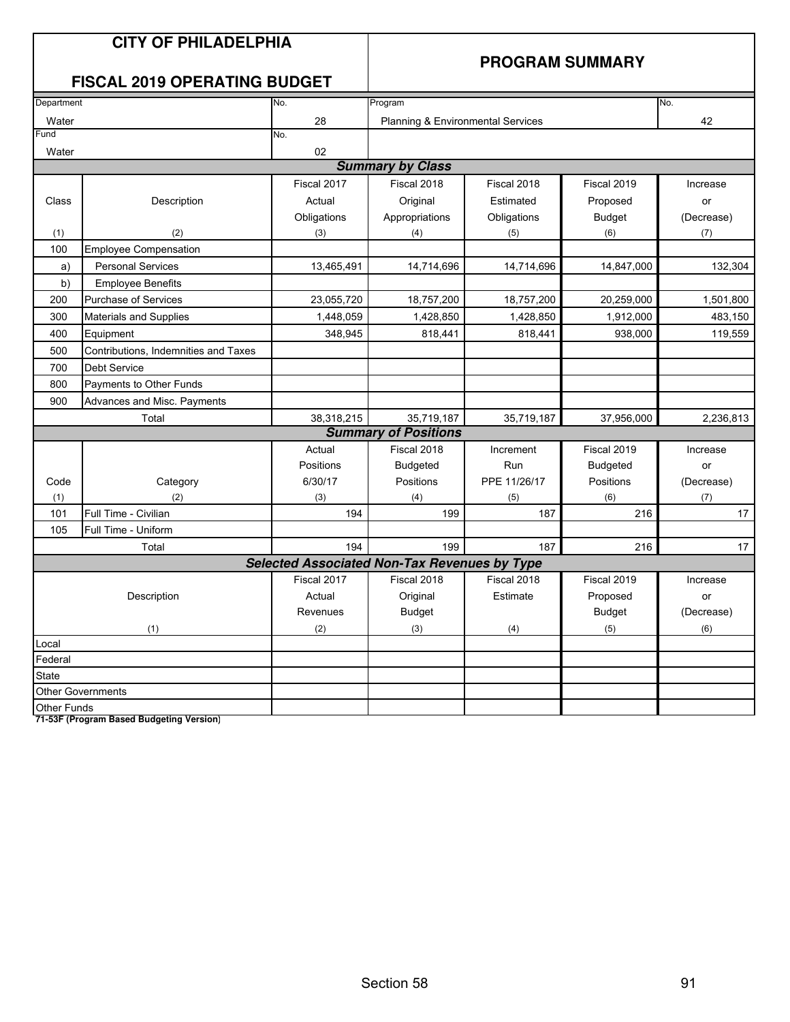|             | <b>CITY OF PHILADELPHIA</b><br><b>FISCAL 2019 OPERATING BUDGET</b> |                                              |                                   |              | <b>PROGRAM SUMMARY</b> |            |
|-------------|--------------------------------------------------------------------|----------------------------------------------|-----------------------------------|--------------|------------------------|------------|
| Department  |                                                                    | No.                                          | Program                           |              |                        | No.        |
| Water       |                                                                    | 28                                           | Planning & Environmental Services |              |                        | 42         |
| Fund        |                                                                    | No.                                          |                                   |              |                        |            |
| Water       |                                                                    | 02                                           |                                   |              |                        |            |
|             |                                                                    |                                              | <b>Summary by Class</b>           |              |                        |            |
|             |                                                                    | Fiscal 2017                                  | Fiscal 2018                       | Fiscal 2018  | Fiscal 2019            | Increase   |
| Class       | Description                                                        | Actual                                       | Original                          | Estimated    | Proposed               | or         |
|             |                                                                    | Obligations                                  | Appropriations                    | Obligations  | <b>Budget</b>          | (Decrease) |
| (1)         | (2)                                                                | (3)                                          | (4)                               | (5)          | (6)                    | (7)        |
| 100         | <b>Employee Compensation</b>                                       |                                              |                                   |              |                        |            |
| a)          | <b>Personal Services</b>                                           | 13,465,491                                   | 14,714,696                        | 14,714,696   | 14,847,000             | 132,304    |
| b)          | <b>Employee Benefits</b>                                           |                                              |                                   |              |                        |            |
| 200         | Purchase of Services                                               | 23,055,720                                   | 18,757,200                        | 18,757,200   | 20,259,000             | 1,501,800  |
| 300         | Materials and Supplies                                             | 1,448,059                                    | 1,428,850                         | 1,428,850    | 1,912,000              | 483,150    |
| 400         | Equipment                                                          | 348,945                                      | 818,441                           | 818,441      | 938,000                | 119,559    |
| 500         | Contributions, Indemnities and Taxes                               |                                              |                                   |              |                        |            |
| 700         | Debt Service                                                       |                                              |                                   |              |                        |            |
| 800         | Payments to Other Funds                                            |                                              |                                   |              |                        |            |
| 900         | Advances and Misc. Payments                                        |                                              |                                   |              |                        |            |
|             | Total                                                              | 38,318,215                                   | 35,719,187                        | 35,719,187   | 37,956,000             | 2,236,813  |
|             |                                                                    |                                              | <b>Summary of Positions</b>       |              |                        |            |
|             |                                                                    | Actual                                       | Fiscal 2018                       | Increment    | Fiscal 2019            | Increase   |
|             |                                                                    | Positions                                    | <b>Budgeted</b>                   | Run          | <b>Budgeted</b>        | or         |
| Code        | Category                                                           | 6/30/17                                      | Positions                         | PPE 11/26/17 | Positions              | (Decrease) |
| (1)         | (2)                                                                | (3)                                          | (4)                               | (5)          | (6)                    | (7)        |
| 101         | Full Time - Civilian                                               | 194                                          | 199                               | 187          | 216                    | 17         |
| 105         | Full Time - Uniform                                                |                                              |                                   |              |                        |            |
|             | Total                                                              | 194                                          | 199                               | 187          | 216                    | 17         |
|             |                                                                    | Selected Associated Non-Tax Revenues by Type |                                   |              |                        |            |
|             |                                                                    | Fiscal 2017                                  | Fiscal 2018                       | Fiscal 2018  | Fiscal 2019            | Increase   |
|             | Description                                                        | Actual                                       | Original                          | Estimate     | Proposed               | or         |
|             |                                                                    | Revenues                                     | <b>Budget</b>                     |              | <b>Budget</b>          | (Decrease) |
|             | (1)                                                                | (2)                                          | (3)                               | (4)          | (5)                    | (6)        |
| Local       |                                                                    |                                              |                                   |              |                        |            |
| Federal     |                                                                    |                                              |                                   |              |                        |            |
| State       |                                                                    |                                              |                                   |              |                        |            |
|             | <b>Other Governments</b>                                           |                                              |                                   |              |                        |            |
| Other Funds |                                                                    |                                              |                                   |              |                        |            |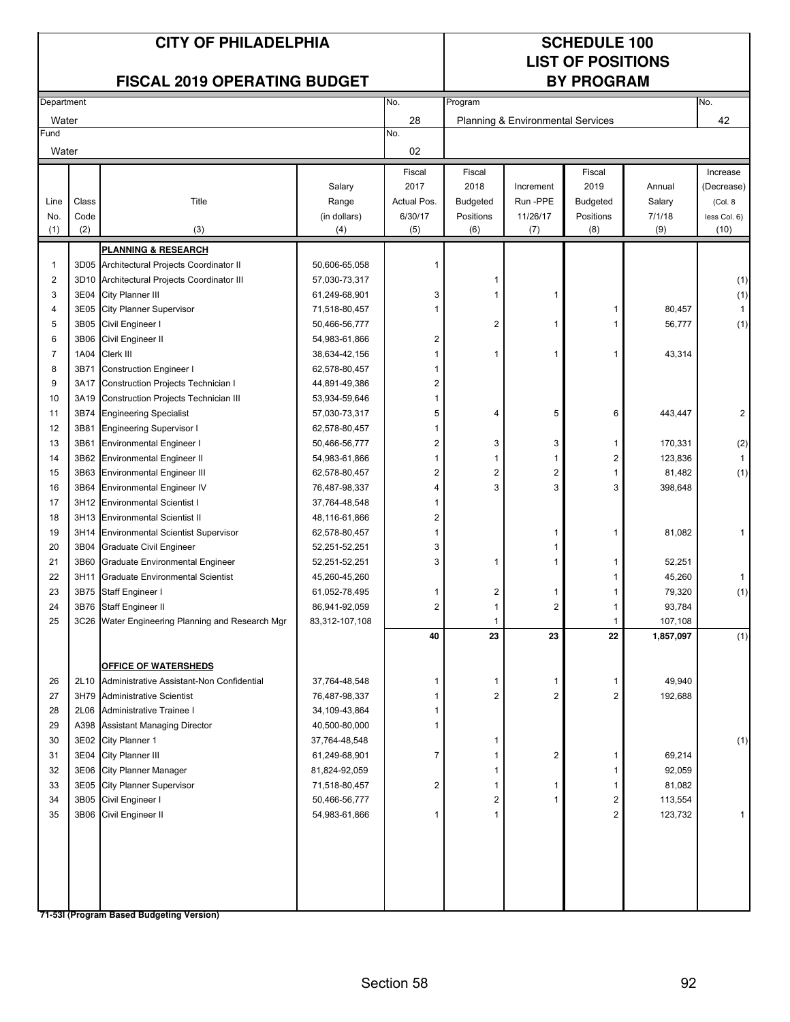## **LIST OF POSITIONS**

### **FISCAL 2019 OPERATING BUDGET**

|                | Department |                                             |                | No.                     | Program                 |                                   | No.                     |           |              |
|----------------|------------|---------------------------------------------|----------------|-------------------------|-------------------------|-----------------------------------|-------------------------|-----------|--------------|
| Water          |            |                                             |                | 28                      |                         | Planning & Environmental Services |                         |           | 42           |
| Fund           |            |                                             |                | No.                     |                         |                                   |                         |           |              |
| Water          |            |                                             |                | 02                      |                         |                                   |                         |           |              |
|                |            |                                             |                | Fiscal                  | Fiscal                  |                                   | Fiscal                  |           | Increase     |
|                |            |                                             | Salary         | 2017                    | 2018                    | Increment                         | 2019                    | Annual    | (Decrease)   |
| Line           | Class      | Title                                       | Range          | Actual Pos.             | <b>Budgeted</b>         | Run -PPE                          | Budgeted                | Salary    | (Col. 8)     |
| No.            | Code       |                                             | (in dollars)   | 6/30/17                 | Positions               | 11/26/17                          | Positions               | 7/1/18    | less Col. 6) |
| (1)            | (2)        | (3)                                         | (4)            | (5)                     | (6)                     | (7)                               | (8)                     | (9)       | (10)         |
|                |            | <b>PLANNING &amp; RESEARCH</b>              |                |                         |                         |                                   |                         |           |              |
| $\mathbf 1$    |            | 3D05 Architectural Projects Coordinator II  | 50,606-65,058  |                         |                         |                                   |                         |           |              |
| $\overline{2}$ |            | 3D10 Architectural Projects Coordinator III | 57,030-73,317  |                         | 1                       |                                   |                         |           | (1)          |
| 3              | 3E04       | City Planner III                            | 61,249-68,901  | 3                       | 1                       | 1                                 |                         |           | (1)          |
| $\overline{4}$ | 3E05       | <b>City Planner Supervisor</b>              | 71,518-80,457  | 1                       |                         |                                   | 1                       | 80,457    | $\mathbf{1}$ |
| 5              | 3B05       | Civil Engineer I                            | 50,466-56,777  |                         | 2                       | 1                                 | 1                       | 56,777    | (1)          |
| 6              | 3B06       | Civil Engineer II                           | 54,983-61,866  | 2                       |                         |                                   |                         |           |              |
| $\overline{7}$ | 1A04       | Clerk III                                   | 38,634-42,156  |                         | 1                       | 1                                 | 1                       | 43,314    |              |
| 8              | 3B71       | <b>Construction Engineer I</b>              | 62,578-80,457  |                         |                         |                                   |                         |           |              |
| 9              | 3A17       | Construction Projects Technician I          | 44,891-49,386  | 2                       |                         |                                   |                         |           |              |
| 10             | 3A19       | Construction Projects Technician III        | 53,934-59,646  | 1                       |                         |                                   |                         |           |              |
| 11             | 3B74       | <b>Engineering Specialist</b>               | 57,030-73,317  | 5                       | 4                       | 5                                 | 6                       | 443,447   | 2            |
| 12             | 3B81       | <b>Engineering Supervisor I</b>             | 62,578-80,457  | 1                       |                         |                                   |                         |           |              |
| 13             | 3B61       | <b>Environmental Engineer I</b>             | 50,466-56,777  | 2                       | 3                       | 3                                 | 1                       | 170,331   | (2)          |
| 14             | 3B62       | <b>Environmental Engineer II</b>            | 54,983-61,866  |                         | 1                       | 1                                 | 2                       | 123,836   | $\mathbf{1}$ |
| 15             | 3B63       | <b>Environmental Engineer III</b>           | 62,578-80,457  | 2                       | $\overline{\mathbf{c}}$ | 2                                 | 1                       | 81,482    | (1)          |
| 16             | 3B64       | <b>Environmental Engineer IV</b>            | 76,487-98,337  | 4                       | 3                       | 3                                 | 3                       | 398,648   |              |
| 17             |            | 3H12 Environmental Scientist I              | 37,764-48,548  | 1                       |                         |                                   |                         |           |              |
| 18             | 3H13       | <b>Environmental Scientist II</b>           | 48,116-61,866  | 2                       |                         |                                   |                         |           |              |
| 19             | 3H14       | <b>Environmental Scientist Supervisor</b>   | 62,578-80,457  |                         |                         | 1                                 | 1                       | 81,082    | 1            |
| 20             | 3B04       | Graduate Civil Engineer                     | 52,251-52,251  | 3                       |                         |                                   |                         |           |              |
| 21             | 3B60       | Graduate Environmental Engineer             | 52,251-52,251  | 3                       | 1                       | 1                                 | 1                       | 52,251    |              |
| 22             | 3H11       | <b>Graduate Environmental Scientist</b>     | 45,260-45,260  |                         |                         |                                   | 1                       | 45,260    | 1            |
| 23             | 3B75       | Staff Engineer I                            | 61,052-78,495  | 1                       | $\overline{\mathbf{c}}$ | 1                                 | 1                       | 79,320    | (1)          |
| 24             | 3B76       | Staff Engineer II                           | 86,941-92,059  | $\overline{2}$          | 1                       | 2                                 | 1                       | 93,784    |              |
| 25             | 3C26       | Water Engineering Planning and Research Mgr | 83,312-107,108 |                         | 1                       |                                   | 1                       | 107,108   |              |
|                |            |                                             |                | 40                      | 23                      | 23                                | 22                      | 1,857,097 | (1)          |
|                |            |                                             |                |                         |                         |                                   |                         |           |              |
|                |            | <b>OFFICE OF WATERSHEDS</b>                 |                |                         |                         |                                   |                         |           |              |
| 26             | 2L10       | Administrative Assistant-Non Confidential   | 37,764-48,548  |                         | 1                       | 1                                 | 1                       | 49,940    |              |
| 27             | 3H79       | <b>Administrative Scientist</b>             | 76,487-98,337  |                         | $\overline{c}$          | $\overline{c}$                    | $\overline{2}$          | 192,688   |              |
| 28             | 2L06       | Administrative Trainee I                    | 34,109-43,864  |                         |                         |                                   |                         |           |              |
| 29             | A398       | <b>Assistant Managing Director</b>          | 40,500-80,000  |                         |                         |                                   |                         |           |              |
| 30             | 3E02       | City Planner 1                              | 37,764-48,548  |                         | 1                       |                                   |                         |           | (1)          |
| 31             | 3E04       | City Planner III                            | 61,249-68,901  | 7                       | 1                       | 2                                 | 1                       | 69,214    |              |
| 32             | 3E06       | <b>City Planner Manager</b>                 | 81,824-92,059  |                         | 1                       |                                   | 1                       | 92,059    |              |
| 33             | 3E05       | <b>City Planner Supervisor</b>              | 71,518-80,457  | $\overline{\mathbf{c}}$ | 1                       | 1                                 | 1                       | 81,082    |              |
| 34             | 3B05       | Civil Engineer I                            | 50,466-56,777  |                         | $\overline{\mathbf{c}}$ | 1                                 | $\overline{\mathbf{c}}$ | 113,554   |              |
| 35             |            | 3B06 Civil Engineer II                      | 54,983-61,866  | 1                       | 1                       |                                   | $\overline{2}$          | 123,732   | 1            |
|                |            |                                             |                |                         |                         |                                   |                         |           |              |
|                |            |                                             |                |                         |                         |                                   |                         |           |              |
|                |            |                                             |                |                         |                         |                                   |                         |           |              |
|                |            |                                             |                |                         |                         |                                   |                         |           |              |
|                |            |                                             |                |                         |                         |                                   |                         |           |              |
|                |            |                                             |                |                         |                         |                                   |                         |           |              |
|                |            | 71-53I (Program Based Budgeting Version)    |                |                         |                         |                                   |                         |           |              |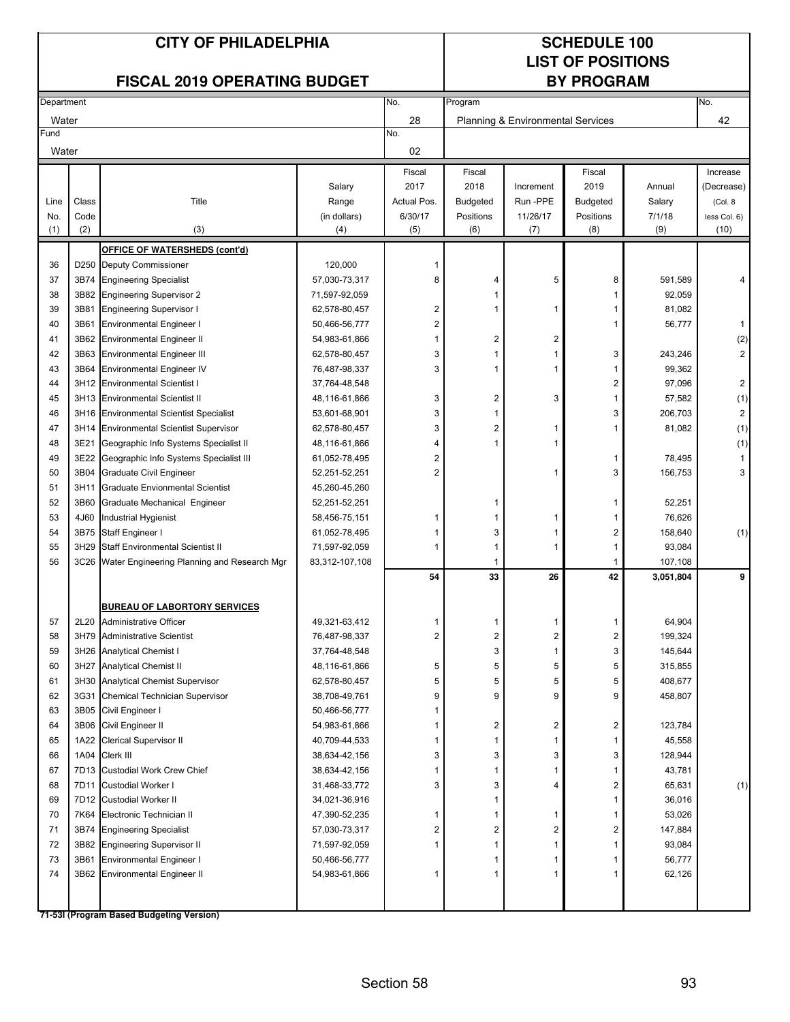## **LIST OF POSITIONS**

### **FISCAL 2019 OPERATING BUDGET**

| Department |       |                                                                                 |                | No.            |                         | No.                               |                 |           |                     |
|------------|-------|---------------------------------------------------------------------------------|----------------|----------------|-------------------------|-----------------------------------|-----------------|-----------|---------------------|
| Water      |       |                                                                                 |                | 28             |                         | Planning & Environmental Services |                 |           | 42                  |
| Fund       |       |                                                                                 |                | No.            |                         |                                   |                 |           |                     |
| Water      |       |                                                                                 |                | 02             |                         |                                   |                 |           |                     |
|            |       |                                                                                 |                | Fiscal         | Fiscal                  |                                   | Fiscal          |           | Increase            |
|            |       |                                                                                 | Salary         | 2017           | 2018                    | Increment                         | 2019            | Annual    | (Decrease)          |
| Line       | Class | Title                                                                           | Range          | Actual Pos.    | <b>Budgeted</b>         | Run -PPE                          | <b>Budgeted</b> | Salary    | (Col. 8             |
| No.        | Code  |                                                                                 | (in dollars)   | 6/30/17        | Positions               | 11/26/17                          | Positions       | 7/1/18    | less Col. 6)        |
| (1)        | (2)   | (3)                                                                             | (4)            | (5)            | (6)                     | (7)                               | (8)             | (9)       | (10)                |
|            |       | <b>OFFICE OF WATERSHEDS (cont'd)</b>                                            |                |                |                         |                                   |                 |           |                     |
| 36         |       | D250 Deputy Commissioner                                                        | 120,000        | 1              |                         |                                   |                 |           |                     |
| 37         | 3B74  | <b>Engineering Specialist</b>                                                   | 57,030-73,317  | 8              | 4                       | 5                                 | 8               | 591,589   | 4                   |
| 38         | 3B82  | <b>Engineering Supervisor 2</b>                                                 | 71,597-92,059  |                |                         |                                   | 1               | 92,059    |                     |
| 39         | 3B81  | <b>Engineering Supervisor I</b>                                                 | 62,578-80,457  | $\overline{2}$ | 1                       | 1                                 | 1               | 81,082    |                     |
| 40         | 3B61  | <b>Environmental Engineer I</b>                                                 | 50,466-56,777  | $\overline{2}$ |                         |                                   | 1               | 56,777    | 1                   |
| 41         | 3B62  | <b>Environmental Engineer II</b>                                                | 54,983-61,866  |                | 2                       | $\overline{2}$                    |                 |           | (2)                 |
| 42         | 3B63  | <b>Environmental Engineer III</b>                                               | 62,578-80,457  | 3              | 1                       | $\overline{1}$                    | 3               | 243,246   | 2                   |
| 43         | 3B64  | <b>Environmental Engineer IV</b>                                                | 76,487-98,337  | 3              | 1                       | $\mathbf 1$                       | 1               | 99,362    |                     |
| 44         |       | 3H12 Environmental Scientist I                                                  | 37,764-48,548  |                |                         |                                   | 2               | 97,096    | $\overline{c}$      |
| 45         |       | 3H13 Environmental Scientist II                                                 | 48,116-61,866  | 3              | 2                       | 3                                 | 1               | 57,582    | (1)                 |
| 46         |       | 3H16 Environmental Scientist Specialist                                         | 53,601-68,901  | 3              | 1                       |                                   | 3               | 206,703   | $\overline{c}$      |
| 47         |       | 3H14 Environmental Scientist Supervisor                                         | 62,578-80,457  | 3              | 2                       | -1                                | 1               | 81,082    | (1)                 |
| 48         | 3E21  |                                                                                 | 48,116-61,866  | 4              | 1                       | 1                                 |                 |           |                     |
| 49         | 3E22  | Geographic Info Systems Specialist II<br>Geographic Info Systems Specialist III | 61,052-78,495  | $\overline{2}$ |                         |                                   | 1               | 78,495    | (1)<br>$\mathbf{1}$ |
|            |       |                                                                                 |                | $\overline{2}$ |                         |                                   | 3               |           | 3                   |
| 50         | 3B04  | Graduate Civil Engineer                                                         | 52,251-52,251  |                |                         | -1                                |                 | 156,753   |                     |
| 51         | 3H11  | <b>Graduate Envionmental Scientist</b>                                          | 45,260-45,260  |                |                         |                                   |                 |           |                     |
| 52         | 3B60  | Graduate Mechanical Engineer                                                    | 52,251-52,251  |                |                         |                                   | 1               | 52,251    |                     |
| 53         | 4J60  | Industrial Hygienist                                                            | 58,456-75,151  |                |                         | -1                                |                 | 76,626    |                     |
| 54         | 3B75  | Staff Engineer I                                                                | 61,052-78,495  |                | 3                       | 1                                 | 2               | 158,640   | (1)                 |
| 55         | 3H29  | Staff Environmental Scientist II                                                | 71,597-92,059  | 1              | 1                       | 1                                 | 1               | 93,084    |                     |
| 56         |       | 3C26 Water Engineering Planning and Research Mgr                                | 83,312-107,108 |                |                         |                                   | -1              | 107,108   |                     |
|            |       |                                                                                 |                | 54             | 33                      | 26                                | 42              | 3,051,804 | 9                   |
|            |       | <b>BUREAU OF LABORTORY SERVICES</b>                                             |                |                |                         |                                   |                 |           |                     |
| 57         | 2L20  | <b>Administrative Officer</b>                                                   | 49,321-63,412  | 1              | 1                       | -1                                | 1               | 64,904    |                     |
| 58         |       | 3H79 Administrative Scientist                                                   | 76,487-98,337  | $\overline{2}$ | 2                       | $\overline{2}$                    | 2               | 199,324   |                     |
| 59         |       | 3H26 Analytical Chemist I                                                       | 37,764-48,548  |                | 3                       | $\mathbf 1$                       | 3               | 145,644   |                     |
| 60         |       | 3H27 Analytical Chemist II                                                      | 48,116-61,866  | 5              | 5                       | 5                                 | 5               | 315,855   |                     |
| 61         |       | 3H30 Analytical Chemist Supervisor                                              | 62,578-80,457  | 5              | 5                       | 5                                 | 5               | 408,677   |                     |
| 62         | 3G31  | Chemical Technician Supervisor                                                  | 38,708-49,761  | 9              | 9                       | 9                                 | 9               | 458,807   |                     |
| 63         |       | 3B05 Civil Engineer I                                                           | 50,466-56,777  |                |                         |                                   |                 |           |                     |
| 64         |       | 3B06 Civil Engineer II                                                          | 54,983-61,866  |                | $\overline{\mathbf{c}}$ | $\overline{c}$                    | $\overline{2}$  | 123,784   |                     |
| 65         |       | 1A22 Clerical Supervisor II                                                     | 40,709-44,533  |                | 1                       | $\mathbf{1}$                      | 1               | 45,558    |                     |
| 66         |       | 1A04 Clerk III                                                                  | 38,634-42,156  | 3              | 3                       | 3                                 | 3               | 128,944   |                     |
| 67         |       | 7D13 Custodial Work Crew Chief                                                  | 38,634-42,156  |                | 1                       | $\mathbf{1}$                      | 1               | 43,781    |                     |
| 68         |       | 7D11 Custodial Worker I                                                         | 31,468-33,772  | 3              | 3                       | 4                                 | 2               | 65,631    | (1)                 |
| 69         |       | 7D12 Custodial Worker II                                                        | 34,021-36,916  |                | 1                       |                                   | 1               | 36,016    |                     |
| 70         | 7K64  | Electronic Technician II                                                        | 47,390-52,235  | 1              | 1                       | $\mathbf 1$                       | 1               | 53,026    |                     |
| 71         | 3B74  | <b>Engineering Specialist</b>                                                   | 57,030-73,317  | 2              | 2                       | $\overline{c}$                    | 2               | 147,884   |                     |
| 72         | 3B82  | <b>Engineering Supervisor II</b>                                                | 71,597-92,059  |                | 1                       | $\mathbf{1}$                      | 1               | 93,084    |                     |
| 73         | 3B61  | <b>Environmental Engineer I</b>                                                 | 50,466-56,777  |                | 1                       | 1                                 | 1               | 56,777    |                     |
| 74         |       | 3B62 Environmental Engineer II                                                  | 54,983-61,866  | 1              | 1                       | $\mathbf 1$                       | 1               | 62,126    |                     |
|            |       |                                                                                 |                |                |                         |                                   |                 |           |                     |
|            |       |                                                                                 |                |                |                         |                                   |                 |           |                     |
|            |       | 71-53I (Program Based Budgeting Version)                                        |                |                |                         |                                   |                 |           |                     |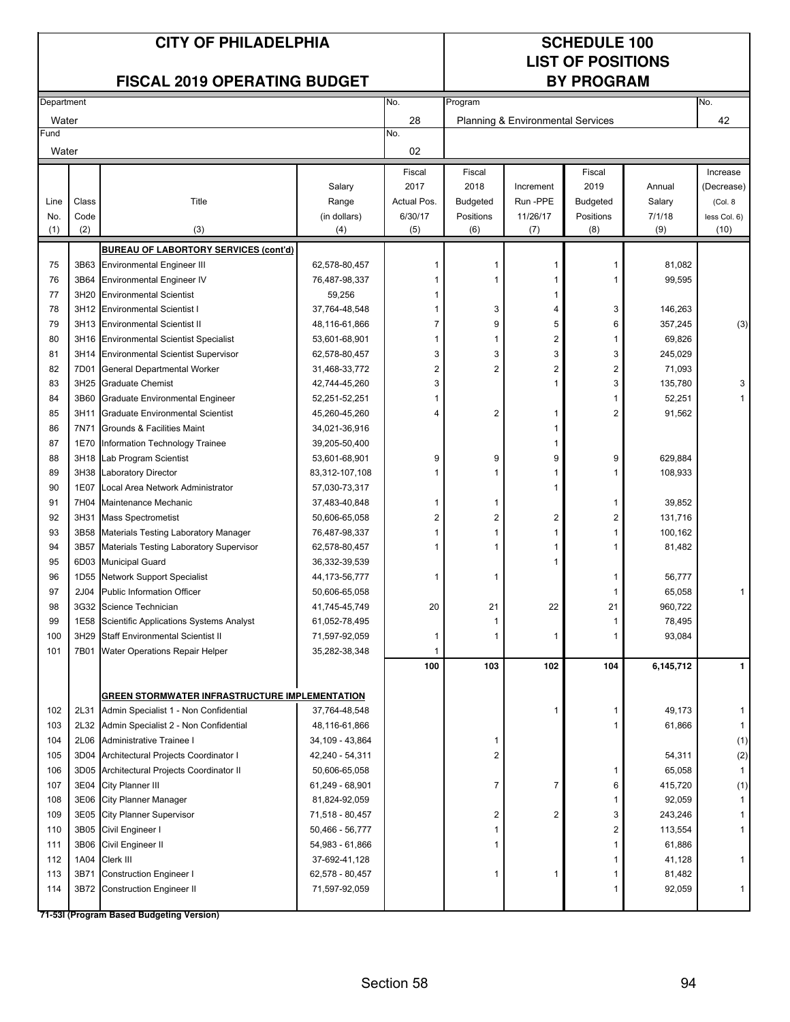## **LIST OF POSITIONS**

### **FISCAL 2019 OPERATING BUDGET**

| 28<br>42<br>Water<br>Planning & Environmental Services<br>No.<br>02<br>Water<br>Fiscal<br>Fiscal<br>Fiscal<br>Increase<br>2017<br>2018<br>2019<br>Salary<br>Annual<br>(Decrease)<br>Increment<br>Class<br>Title<br>Actual Pos.<br>Run-PPE<br>Range<br><b>Budgeted</b><br><b>Budgeted</b><br>Salary<br>(Col. 8<br>Line<br>Code<br>6/30/17<br>11/26/17<br>Positions<br>7/1/18<br>No.<br>(in dollars)<br>Positions<br>less Col. 6)<br>(1)<br>(2)<br>(3)<br>(5)<br>(6)<br>(8)<br>(9)<br>(10)<br>(7)<br>(4)<br><b>BUREAU OF LABORTORY SERVICES (cont'd)</b><br>75<br>3B63 Environmental Engineer III<br>62,578-80,457<br>81,082<br>1<br>1<br>1<br>99,595<br>76<br>3B64<br><b>Environmental Engineer IV</b><br>76,487-98,337<br>1<br>1<br>1<br>77<br>3H20<br><b>Environmental Scientist</b><br>59,256<br>1<br>3<br>78<br>3H12<br><b>Environmental Scientist I</b><br>37,764-48,548<br>4<br>3<br>146,263<br>9<br>5<br>79<br>3H13<br><b>Environmental Scientist II</b><br>48,116-61,866<br>6<br>357,245<br>(3)<br>7<br>$\overline{\mathbf{c}}$<br>80<br>3H16<br><b>Environmental Scientist Specialist</b><br>53,601-68,901<br>1<br>69,826<br>1<br>3<br>3<br>81<br>3H14<br><b>Environmental Scientist Supervisor</b><br>3<br>3<br>245,029<br>62,578-80,457<br>2<br>2<br>82<br>7D01<br>General Departmental Worker<br>2<br>2<br>71,093<br>31,468-33,772<br>3<br>83<br>3H25<br><b>Graduate Chemist</b><br>42,744-45,260<br>3<br>135,780<br>3<br>1<br>3B60<br>52,251<br>84<br>Graduate Environmental Engineer<br>52,251-52,251<br>1<br>1<br>2<br>2<br>85<br>3H11<br><b>Graduate Environmental Scientist</b><br>91,562<br>45,260-45,260<br>4<br>1<br>7N71<br>86<br>Grounds & Facilities Maint<br>34,021-36,916<br>1<br>87<br>1E70<br>Information Technology Trainee<br>39,205-50,400<br>1<br>9<br>9<br>88<br>3H18<br>Lab Program Scientist<br>53,601-68,901<br>9<br>9<br>629,884<br>3H38 Laboratory Director<br>89<br>83,312-107,108<br>108,933<br>1<br>1<br>1<br>90<br>1E07<br>Local Area Network Administrator<br>57,030-73,317<br>1<br>91<br>7H04<br>Maintenance Mechanic<br>39,852<br>37,483-40,848<br>1<br>1<br>-1<br>$\overline{\mathbf{c}}$<br>2<br>2<br>92<br>3H31<br><b>Mass Spectrometist</b><br>50,606-65,058<br>2<br>131,716<br>3B58<br>100,162<br>93<br>Materials Testing Laboratory Manager<br>1<br>1<br>76,487-98,337<br>1<br>94<br>3B57<br>Materials Testing Laboratory Supervisor<br>62,578-80,457<br>81,482<br>1<br>1<br>95<br>6D03 Municipal Guard<br>36,332-39,539<br>96<br>1D55 Network Support Specialist<br>56,777<br>44, 173-56, 777<br>1<br>1<br>1<br>65,058<br>97<br>2J04<br><b>Public Information Officer</b><br>50,606-65,058<br>1<br>1<br>20<br>21<br>22<br>21<br>960,722<br>98<br>3G32 Science Technician<br>41,745-45,749<br>99<br>1E58<br>78,495<br>Scientific Applications Systems Analyst<br>61,052-78,495<br>1<br>1<br>3H29<br>93,084<br>100<br><b>Staff Environmental Scientist II</b><br>71,597-92,059<br>-1<br>1<br>1<br>1<br>101<br>7B01<br>Water Operations Repair Helper<br>35,282-38,348<br>100<br>103<br>102<br>104<br>6,145,712<br>$\mathbf{1}$<br>GREEN STORMWATER INFRASTRUCTURE IMPLEMENTATION<br>2L31<br>Admin Specialist 1 - Non Confidential<br>102<br>37,764-48,548<br>1<br>49,173<br>1<br>1<br>103<br>2L32 Admin Specialist 2 - Non Confidential<br>48,116-61,866<br>61,866<br>1<br>1<br>104<br>2L06 Administrative Trainee I<br>34,109 - 43,864<br>(1)<br>1<br>$\overline{\mathbf{c}}$<br>3D04 Architectural Projects Coordinator I<br>(2)<br>105<br>42,240 - 54,311<br>54,311<br>3D05 Architectural Projects Coordinator II<br>65,058<br>106<br>50,606-65,058<br>$\mathbf{1}$<br>1<br>3E04 City Planner III<br>7<br>107<br>61,249 - 68,901<br>7<br>6<br>415,720<br>(1)<br>3E06 City Planner Manager<br>108<br>81,824-92,059<br>92,059<br>$\mathbf{1}$<br>1<br>109<br>3E05 City Planner Supervisor<br>2<br>$\overline{c}$<br>71,518 - 80,457<br>3<br>243,246<br>3B05 Civil Engineer I<br>2<br>110<br>50,466 - 56,777<br>113,554<br>1<br>1<br>3B06 Civil Engineer II<br>111<br>54,983 - 61,866<br>61,886<br>1<br>1<br>1A04<br>Clerk III<br>41,128<br>112<br>37-692-41,128<br>1<br>3B71<br><b>Construction Engineer I</b><br>113<br>62,578 - 80,457<br>81,482<br>1<br>-1<br>1<br>3B72 Construction Engineer II<br>71,597-92,059<br>92,059<br>114<br>1<br>1 | Department |  | No. | Program | No. |  |  |
|--------------------------------------------------------------------------------------------------------------------------------------------------------------------------------------------------------------------------------------------------------------------------------------------------------------------------------------------------------------------------------------------------------------------------------------------------------------------------------------------------------------------------------------------------------------------------------------------------------------------------------------------------------------------------------------------------------------------------------------------------------------------------------------------------------------------------------------------------------------------------------------------------------------------------------------------------------------------------------------------------------------------------------------------------------------------------------------------------------------------------------------------------------------------------------------------------------------------------------------------------------------------------------------------------------------------------------------------------------------------------------------------------------------------------------------------------------------------------------------------------------------------------------------------------------------------------------------------------------------------------------------------------------------------------------------------------------------------------------------------------------------------------------------------------------------------------------------------------------------------------------------------------------------------------------------------------------------------------------------------------------------------------------------------------------------------------------------------------------------------------------------------------------------------------------------------------------------------------------------------------------------------------------------------------------------------------------------------------------------------------------------------------------------------------------------------------------------------------------------------------------------------------------------------------------------------------------------------------------------------------------------------------------------------------------------------------------------------------------------------------------------------------------------------------------------------------------------------------------------------------------------------------------------------------------------------------------------------------------------------------------------------------------------------------------------------------------------------------------------------------------------------------------------------------------------------------------------------------------------------------------------------------------------------------------------------------------------------------------------------------------------------------------------------------------------------------------------------------------------------------------------------------------------------------------------------------------------------------------------------------------------------------------------------------------------------------------------------------------------------------------------------------------------------------------------------------------------------------------------------------------------------------------------------------------------------------------------------------------------------------------------------------------------------------------------------------------------------------------------------------------------------------------------------------------------------------------------------------------------------------------------------------------------------------|------------|--|-----|---------|-----|--|--|
|                                                                                                                                                                                                                                                                                                                                                                                                                                                                                                                                                                                                                                                                                                                                                                                                                                                                                                                                                                                                                                                                                                                                                                                                                                                                                                                                                                                                                                                                                                                                                                                                                                                                                                                                                                                                                                                                                                                                                                                                                                                                                                                                                                                                                                                                                                                                                                                                                                                                                                                                                                                                                                                                                                                                                                                                                                                                                                                                                                                                                                                                                                                                                                                                                                                                                                                                                                                                                                                                                                                                                                                                                                                                                                                                                                                                                                                                                                                                                                                                                                                                                                                                                                                                                                                                                                  |            |  |     |         |     |  |  |
|                                                                                                                                                                                                                                                                                                                                                                                                                                                                                                                                                                                                                                                                                                                                                                                                                                                                                                                                                                                                                                                                                                                                                                                                                                                                                                                                                                                                                                                                                                                                                                                                                                                                                                                                                                                                                                                                                                                                                                                                                                                                                                                                                                                                                                                                                                                                                                                                                                                                                                                                                                                                                                                                                                                                                                                                                                                                                                                                                                                                                                                                                                                                                                                                                                                                                                                                                                                                                                                                                                                                                                                                                                                                                                                                                                                                                                                                                                                                                                                                                                                                                                                                                                                                                                                                                                  | Fund       |  |     |         |     |  |  |
|                                                                                                                                                                                                                                                                                                                                                                                                                                                                                                                                                                                                                                                                                                                                                                                                                                                                                                                                                                                                                                                                                                                                                                                                                                                                                                                                                                                                                                                                                                                                                                                                                                                                                                                                                                                                                                                                                                                                                                                                                                                                                                                                                                                                                                                                                                                                                                                                                                                                                                                                                                                                                                                                                                                                                                                                                                                                                                                                                                                                                                                                                                                                                                                                                                                                                                                                                                                                                                                                                                                                                                                                                                                                                                                                                                                                                                                                                                                                                                                                                                                                                                                                                                                                                                                                                                  |            |  |     |         |     |  |  |
|                                                                                                                                                                                                                                                                                                                                                                                                                                                                                                                                                                                                                                                                                                                                                                                                                                                                                                                                                                                                                                                                                                                                                                                                                                                                                                                                                                                                                                                                                                                                                                                                                                                                                                                                                                                                                                                                                                                                                                                                                                                                                                                                                                                                                                                                                                                                                                                                                                                                                                                                                                                                                                                                                                                                                                                                                                                                                                                                                                                                                                                                                                                                                                                                                                                                                                                                                                                                                                                                                                                                                                                                                                                                                                                                                                                                                                                                                                                                                                                                                                                                                                                                                                                                                                                                                                  |            |  |     |         |     |  |  |
|                                                                                                                                                                                                                                                                                                                                                                                                                                                                                                                                                                                                                                                                                                                                                                                                                                                                                                                                                                                                                                                                                                                                                                                                                                                                                                                                                                                                                                                                                                                                                                                                                                                                                                                                                                                                                                                                                                                                                                                                                                                                                                                                                                                                                                                                                                                                                                                                                                                                                                                                                                                                                                                                                                                                                                                                                                                                                                                                                                                                                                                                                                                                                                                                                                                                                                                                                                                                                                                                                                                                                                                                                                                                                                                                                                                                                                                                                                                                                                                                                                                                                                                                                                                                                                                                                                  |            |  |     |         |     |  |  |
|                                                                                                                                                                                                                                                                                                                                                                                                                                                                                                                                                                                                                                                                                                                                                                                                                                                                                                                                                                                                                                                                                                                                                                                                                                                                                                                                                                                                                                                                                                                                                                                                                                                                                                                                                                                                                                                                                                                                                                                                                                                                                                                                                                                                                                                                                                                                                                                                                                                                                                                                                                                                                                                                                                                                                                                                                                                                                                                                                                                                                                                                                                                                                                                                                                                                                                                                                                                                                                                                                                                                                                                                                                                                                                                                                                                                                                                                                                                                                                                                                                                                                                                                                                                                                                                                                                  |            |  |     |         |     |  |  |
|                                                                                                                                                                                                                                                                                                                                                                                                                                                                                                                                                                                                                                                                                                                                                                                                                                                                                                                                                                                                                                                                                                                                                                                                                                                                                                                                                                                                                                                                                                                                                                                                                                                                                                                                                                                                                                                                                                                                                                                                                                                                                                                                                                                                                                                                                                                                                                                                                                                                                                                                                                                                                                                                                                                                                                                                                                                                                                                                                                                                                                                                                                                                                                                                                                                                                                                                                                                                                                                                                                                                                                                                                                                                                                                                                                                                                                                                                                                                                                                                                                                                                                                                                                                                                                                                                                  |            |  |     |         |     |  |  |
|                                                                                                                                                                                                                                                                                                                                                                                                                                                                                                                                                                                                                                                                                                                                                                                                                                                                                                                                                                                                                                                                                                                                                                                                                                                                                                                                                                                                                                                                                                                                                                                                                                                                                                                                                                                                                                                                                                                                                                                                                                                                                                                                                                                                                                                                                                                                                                                                                                                                                                                                                                                                                                                                                                                                                                                                                                                                                                                                                                                                                                                                                                                                                                                                                                                                                                                                                                                                                                                                                                                                                                                                                                                                                                                                                                                                                                                                                                                                                                                                                                                                                                                                                                                                                                                                                                  |            |  |     |         |     |  |  |
|                                                                                                                                                                                                                                                                                                                                                                                                                                                                                                                                                                                                                                                                                                                                                                                                                                                                                                                                                                                                                                                                                                                                                                                                                                                                                                                                                                                                                                                                                                                                                                                                                                                                                                                                                                                                                                                                                                                                                                                                                                                                                                                                                                                                                                                                                                                                                                                                                                                                                                                                                                                                                                                                                                                                                                                                                                                                                                                                                                                                                                                                                                                                                                                                                                                                                                                                                                                                                                                                                                                                                                                                                                                                                                                                                                                                                                                                                                                                                                                                                                                                                                                                                                                                                                                                                                  |            |  |     |         |     |  |  |
|                                                                                                                                                                                                                                                                                                                                                                                                                                                                                                                                                                                                                                                                                                                                                                                                                                                                                                                                                                                                                                                                                                                                                                                                                                                                                                                                                                                                                                                                                                                                                                                                                                                                                                                                                                                                                                                                                                                                                                                                                                                                                                                                                                                                                                                                                                                                                                                                                                                                                                                                                                                                                                                                                                                                                                                                                                                                                                                                                                                                                                                                                                                                                                                                                                                                                                                                                                                                                                                                                                                                                                                                                                                                                                                                                                                                                                                                                                                                                                                                                                                                                                                                                                                                                                                                                                  |            |  |     |         |     |  |  |
|                                                                                                                                                                                                                                                                                                                                                                                                                                                                                                                                                                                                                                                                                                                                                                                                                                                                                                                                                                                                                                                                                                                                                                                                                                                                                                                                                                                                                                                                                                                                                                                                                                                                                                                                                                                                                                                                                                                                                                                                                                                                                                                                                                                                                                                                                                                                                                                                                                                                                                                                                                                                                                                                                                                                                                                                                                                                                                                                                                                                                                                                                                                                                                                                                                                                                                                                                                                                                                                                                                                                                                                                                                                                                                                                                                                                                                                                                                                                                                                                                                                                                                                                                                                                                                                                                                  |            |  |     |         |     |  |  |
|                                                                                                                                                                                                                                                                                                                                                                                                                                                                                                                                                                                                                                                                                                                                                                                                                                                                                                                                                                                                                                                                                                                                                                                                                                                                                                                                                                                                                                                                                                                                                                                                                                                                                                                                                                                                                                                                                                                                                                                                                                                                                                                                                                                                                                                                                                                                                                                                                                                                                                                                                                                                                                                                                                                                                                                                                                                                                                                                                                                                                                                                                                                                                                                                                                                                                                                                                                                                                                                                                                                                                                                                                                                                                                                                                                                                                                                                                                                                                                                                                                                                                                                                                                                                                                                                                                  |            |  |     |         |     |  |  |
|                                                                                                                                                                                                                                                                                                                                                                                                                                                                                                                                                                                                                                                                                                                                                                                                                                                                                                                                                                                                                                                                                                                                                                                                                                                                                                                                                                                                                                                                                                                                                                                                                                                                                                                                                                                                                                                                                                                                                                                                                                                                                                                                                                                                                                                                                                                                                                                                                                                                                                                                                                                                                                                                                                                                                                                                                                                                                                                                                                                                                                                                                                                                                                                                                                                                                                                                                                                                                                                                                                                                                                                                                                                                                                                                                                                                                                                                                                                                                                                                                                                                                                                                                                                                                                                                                                  |            |  |     |         |     |  |  |
|                                                                                                                                                                                                                                                                                                                                                                                                                                                                                                                                                                                                                                                                                                                                                                                                                                                                                                                                                                                                                                                                                                                                                                                                                                                                                                                                                                                                                                                                                                                                                                                                                                                                                                                                                                                                                                                                                                                                                                                                                                                                                                                                                                                                                                                                                                                                                                                                                                                                                                                                                                                                                                                                                                                                                                                                                                                                                                                                                                                                                                                                                                                                                                                                                                                                                                                                                                                                                                                                                                                                                                                                                                                                                                                                                                                                                                                                                                                                                                                                                                                                                                                                                                                                                                                                                                  |            |  |     |         |     |  |  |
|                                                                                                                                                                                                                                                                                                                                                                                                                                                                                                                                                                                                                                                                                                                                                                                                                                                                                                                                                                                                                                                                                                                                                                                                                                                                                                                                                                                                                                                                                                                                                                                                                                                                                                                                                                                                                                                                                                                                                                                                                                                                                                                                                                                                                                                                                                                                                                                                                                                                                                                                                                                                                                                                                                                                                                                                                                                                                                                                                                                                                                                                                                                                                                                                                                                                                                                                                                                                                                                                                                                                                                                                                                                                                                                                                                                                                                                                                                                                                                                                                                                                                                                                                                                                                                                                                                  |            |  |     |         |     |  |  |
|                                                                                                                                                                                                                                                                                                                                                                                                                                                                                                                                                                                                                                                                                                                                                                                                                                                                                                                                                                                                                                                                                                                                                                                                                                                                                                                                                                                                                                                                                                                                                                                                                                                                                                                                                                                                                                                                                                                                                                                                                                                                                                                                                                                                                                                                                                                                                                                                                                                                                                                                                                                                                                                                                                                                                                                                                                                                                                                                                                                                                                                                                                                                                                                                                                                                                                                                                                                                                                                                                                                                                                                                                                                                                                                                                                                                                                                                                                                                                                                                                                                                                                                                                                                                                                                                                                  |            |  |     |         |     |  |  |
|                                                                                                                                                                                                                                                                                                                                                                                                                                                                                                                                                                                                                                                                                                                                                                                                                                                                                                                                                                                                                                                                                                                                                                                                                                                                                                                                                                                                                                                                                                                                                                                                                                                                                                                                                                                                                                                                                                                                                                                                                                                                                                                                                                                                                                                                                                                                                                                                                                                                                                                                                                                                                                                                                                                                                                                                                                                                                                                                                                                                                                                                                                                                                                                                                                                                                                                                                                                                                                                                                                                                                                                                                                                                                                                                                                                                                                                                                                                                                                                                                                                                                                                                                                                                                                                                                                  |            |  |     |         |     |  |  |
|                                                                                                                                                                                                                                                                                                                                                                                                                                                                                                                                                                                                                                                                                                                                                                                                                                                                                                                                                                                                                                                                                                                                                                                                                                                                                                                                                                                                                                                                                                                                                                                                                                                                                                                                                                                                                                                                                                                                                                                                                                                                                                                                                                                                                                                                                                                                                                                                                                                                                                                                                                                                                                                                                                                                                                                                                                                                                                                                                                                                                                                                                                                                                                                                                                                                                                                                                                                                                                                                                                                                                                                                                                                                                                                                                                                                                                                                                                                                                                                                                                                                                                                                                                                                                                                                                                  |            |  |     |         |     |  |  |
|                                                                                                                                                                                                                                                                                                                                                                                                                                                                                                                                                                                                                                                                                                                                                                                                                                                                                                                                                                                                                                                                                                                                                                                                                                                                                                                                                                                                                                                                                                                                                                                                                                                                                                                                                                                                                                                                                                                                                                                                                                                                                                                                                                                                                                                                                                                                                                                                                                                                                                                                                                                                                                                                                                                                                                                                                                                                                                                                                                                                                                                                                                                                                                                                                                                                                                                                                                                                                                                                                                                                                                                                                                                                                                                                                                                                                                                                                                                                                                                                                                                                                                                                                                                                                                                                                                  |            |  |     |         |     |  |  |
|                                                                                                                                                                                                                                                                                                                                                                                                                                                                                                                                                                                                                                                                                                                                                                                                                                                                                                                                                                                                                                                                                                                                                                                                                                                                                                                                                                                                                                                                                                                                                                                                                                                                                                                                                                                                                                                                                                                                                                                                                                                                                                                                                                                                                                                                                                                                                                                                                                                                                                                                                                                                                                                                                                                                                                                                                                                                                                                                                                                                                                                                                                                                                                                                                                                                                                                                                                                                                                                                                                                                                                                                                                                                                                                                                                                                                                                                                                                                                                                                                                                                                                                                                                                                                                                                                                  |            |  |     |         |     |  |  |
|                                                                                                                                                                                                                                                                                                                                                                                                                                                                                                                                                                                                                                                                                                                                                                                                                                                                                                                                                                                                                                                                                                                                                                                                                                                                                                                                                                                                                                                                                                                                                                                                                                                                                                                                                                                                                                                                                                                                                                                                                                                                                                                                                                                                                                                                                                                                                                                                                                                                                                                                                                                                                                                                                                                                                                                                                                                                                                                                                                                                                                                                                                                                                                                                                                                                                                                                                                                                                                                                                                                                                                                                                                                                                                                                                                                                                                                                                                                                                                                                                                                                                                                                                                                                                                                                                                  |            |  |     |         |     |  |  |
|                                                                                                                                                                                                                                                                                                                                                                                                                                                                                                                                                                                                                                                                                                                                                                                                                                                                                                                                                                                                                                                                                                                                                                                                                                                                                                                                                                                                                                                                                                                                                                                                                                                                                                                                                                                                                                                                                                                                                                                                                                                                                                                                                                                                                                                                                                                                                                                                                                                                                                                                                                                                                                                                                                                                                                                                                                                                                                                                                                                                                                                                                                                                                                                                                                                                                                                                                                                                                                                                                                                                                                                                                                                                                                                                                                                                                                                                                                                                                                                                                                                                                                                                                                                                                                                                                                  |            |  |     |         |     |  |  |
|                                                                                                                                                                                                                                                                                                                                                                                                                                                                                                                                                                                                                                                                                                                                                                                                                                                                                                                                                                                                                                                                                                                                                                                                                                                                                                                                                                                                                                                                                                                                                                                                                                                                                                                                                                                                                                                                                                                                                                                                                                                                                                                                                                                                                                                                                                                                                                                                                                                                                                                                                                                                                                                                                                                                                                                                                                                                                                                                                                                                                                                                                                                                                                                                                                                                                                                                                                                                                                                                                                                                                                                                                                                                                                                                                                                                                                                                                                                                                                                                                                                                                                                                                                                                                                                                                                  |            |  |     |         |     |  |  |
|                                                                                                                                                                                                                                                                                                                                                                                                                                                                                                                                                                                                                                                                                                                                                                                                                                                                                                                                                                                                                                                                                                                                                                                                                                                                                                                                                                                                                                                                                                                                                                                                                                                                                                                                                                                                                                                                                                                                                                                                                                                                                                                                                                                                                                                                                                                                                                                                                                                                                                                                                                                                                                                                                                                                                                                                                                                                                                                                                                                                                                                                                                                                                                                                                                                                                                                                                                                                                                                                                                                                                                                                                                                                                                                                                                                                                                                                                                                                                                                                                                                                                                                                                                                                                                                                                                  |            |  |     |         |     |  |  |
|                                                                                                                                                                                                                                                                                                                                                                                                                                                                                                                                                                                                                                                                                                                                                                                                                                                                                                                                                                                                                                                                                                                                                                                                                                                                                                                                                                                                                                                                                                                                                                                                                                                                                                                                                                                                                                                                                                                                                                                                                                                                                                                                                                                                                                                                                                                                                                                                                                                                                                                                                                                                                                                                                                                                                                                                                                                                                                                                                                                                                                                                                                                                                                                                                                                                                                                                                                                                                                                                                                                                                                                                                                                                                                                                                                                                                                                                                                                                                                                                                                                                                                                                                                                                                                                                                                  |            |  |     |         |     |  |  |
|                                                                                                                                                                                                                                                                                                                                                                                                                                                                                                                                                                                                                                                                                                                                                                                                                                                                                                                                                                                                                                                                                                                                                                                                                                                                                                                                                                                                                                                                                                                                                                                                                                                                                                                                                                                                                                                                                                                                                                                                                                                                                                                                                                                                                                                                                                                                                                                                                                                                                                                                                                                                                                                                                                                                                                                                                                                                                                                                                                                                                                                                                                                                                                                                                                                                                                                                                                                                                                                                                                                                                                                                                                                                                                                                                                                                                                                                                                                                                                                                                                                                                                                                                                                                                                                                                                  |            |  |     |         |     |  |  |
|                                                                                                                                                                                                                                                                                                                                                                                                                                                                                                                                                                                                                                                                                                                                                                                                                                                                                                                                                                                                                                                                                                                                                                                                                                                                                                                                                                                                                                                                                                                                                                                                                                                                                                                                                                                                                                                                                                                                                                                                                                                                                                                                                                                                                                                                                                                                                                                                                                                                                                                                                                                                                                                                                                                                                                                                                                                                                                                                                                                                                                                                                                                                                                                                                                                                                                                                                                                                                                                                                                                                                                                                                                                                                                                                                                                                                                                                                                                                                                                                                                                                                                                                                                                                                                                                                                  |            |  |     |         |     |  |  |
|                                                                                                                                                                                                                                                                                                                                                                                                                                                                                                                                                                                                                                                                                                                                                                                                                                                                                                                                                                                                                                                                                                                                                                                                                                                                                                                                                                                                                                                                                                                                                                                                                                                                                                                                                                                                                                                                                                                                                                                                                                                                                                                                                                                                                                                                                                                                                                                                                                                                                                                                                                                                                                                                                                                                                                                                                                                                                                                                                                                                                                                                                                                                                                                                                                                                                                                                                                                                                                                                                                                                                                                                                                                                                                                                                                                                                                                                                                                                                                                                                                                                                                                                                                                                                                                                                                  |            |  |     |         |     |  |  |
|                                                                                                                                                                                                                                                                                                                                                                                                                                                                                                                                                                                                                                                                                                                                                                                                                                                                                                                                                                                                                                                                                                                                                                                                                                                                                                                                                                                                                                                                                                                                                                                                                                                                                                                                                                                                                                                                                                                                                                                                                                                                                                                                                                                                                                                                                                                                                                                                                                                                                                                                                                                                                                                                                                                                                                                                                                                                                                                                                                                                                                                                                                                                                                                                                                                                                                                                                                                                                                                                                                                                                                                                                                                                                                                                                                                                                                                                                                                                                                                                                                                                                                                                                                                                                                                                                                  |            |  |     |         |     |  |  |
|                                                                                                                                                                                                                                                                                                                                                                                                                                                                                                                                                                                                                                                                                                                                                                                                                                                                                                                                                                                                                                                                                                                                                                                                                                                                                                                                                                                                                                                                                                                                                                                                                                                                                                                                                                                                                                                                                                                                                                                                                                                                                                                                                                                                                                                                                                                                                                                                                                                                                                                                                                                                                                                                                                                                                                                                                                                                                                                                                                                                                                                                                                                                                                                                                                                                                                                                                                                                                                                                                                                                                                                                                                                                                                                                                                                                                                                                                                                                                                                                                                                                                                                                                                                                                                                                                                  |            |  |     |         |     |  |  |
|                                                                                                                                                                                                                                                                                                                                                                                                                                                                                                                                                                                                                                                                                                                                                                                                                                                                                                                                                                                                                                                                                                                                                                                                                                                                                                                                                                                                                                                                                                                                                                                                                                                                                                                                                                                                                                                                                                                                                                                                                                                                                                                                                                                                                                                                                                                                                                                                                                                                                                                                                                                                                                                                                                                                                                                                                                                                                                                                                                                                                                                                                                                                                                                                                                                                                                                                                                                                                                                                                                                                                                                                                                                                                                                                                                                                                                                                                                                                                                                                                                                                                                                                                                                                                                                                                                  |            |  |     |         |     |  |  |
|                                                                                                                                                                                                                                                                                                                                                                                                                                                                                                                                                                                                                                                                                                                                                                                                                                                                                                                                                                                                                                                                                                                                                                                                                                                                                                                                                                                                                                                                                                                                                                                                                                                                                                                                                                                                                                                                                                                                                                                                                                                                                                                                                                                                                                                                                                                                                                                                                                                                                                                                                                                                                                                                                                                                                                                                                                                                                                                                                                                                                                                                                                                                                                                                                                                                                                                                                                                                                                                                                                                                                                                                                                                                                                                                                                                                                                                                                                                                                                                                                                                                                                                                                                                                                                                                                                  |            |  |     |         |     |  |  |
|                                                                                                                                                                                                                                                                                                                                                                                                                                                                                                                                                                                                                                                                                                                                                                                                                                                                                                                                                                                                                                                                                                                                                                                                                                                                                                                                                                                                                                                                                                                                                                                                                                                                                                                                                                                                                                                                                                                                                                                                                                                                                                                                                                                                                                                                                                                                                                                                                                                                                                                                                                                                                                                                                                                                                                                                                                                                                                                                                                                                                                                                                                                                                                                                                                                                                                                                                                                                                                                                                                                                                                                                                                                                                                                                                                                                                                                                                                                                                                                                                                                                                                                                                                                                                                                                                                  |            |  |     |         |     |  |  |
|                                                                                                                                                                                                                                                                                                                                                                                                                                                                                                                                                                                                                                                                                                                                                                                                                                                                                                                                                                                                                                                                                                                                                                                                                                                                                                                                                                                                                                                                                                                                                                                                                                                                                                                                                                                                                                                                                                                                                                                                                                                                                                                                                                                                                                                                                                                                                                                                                                                                                                                                                                                                                                                                                                                                                                                                                                                                                                                                                                                                                                                                                                                                                                                                                                                                                                                                                                                                                                                                                                                                                                                                                                                                                                                                                                                                                                                                                                                                                                                                                                                                                                                                                                                                                                                                                                  |            |  |     |         |     |  |  |
|                                                                                                                                                                                                                                                                                                                                                                                                                                                                                                                                                                                                                                                                                                                                                                                                                                                                                                                                                                                                                                                                                                                                                                                                                                                                                                                                                                                                                                                                                                                                                                                                                                                                                                                                                                                                                                                                                                                                                                                                                                                                                                                                                                                                                                                                                                                                                                                                                                                                                                                                                                                                                                                                                                                                                                                                                                                                                                                                                                                                                                                                                                                                                                                                                                                                                                                                                                                                                                                                                                                                                                                                                                                                                                                                                                                                                                                                                                                                                                                                                                                                                                                                                                                                                                                                                                  |            |  |     |         |     |  |  |
|                                                                                                                                                                                                                                                                                                                                                                                                                                                                                                                                                                                                                                                                                                                                                                                                                                                                                                                                                                                                                                                                                                                                                                                                                                                                                                                                                                                                                                                                                                                                                                                                                                                                                                                                                                                                                                                                                                                                                                                                                                                                                                                                                                                                                                                                                                                                                                                                                                                                                                                                                                                                                                                                                                                                                                                                                                                                                                                                                                                                                                                                                                                                                                                                                                                                                                                                                                                                                                                                                                                                                                                                                                                                                                                                                                                                                                                                                                                                                                                                                                                                                                                                                                                                                                                                                                  |            |  |     |         |     |  |  |
|                                                                                                                                                                                                                                                                                                                                                                                                                                                                                                                                                                                                                                                                                                                                                                                                                                                                                                                                                                                                                                                                                                                                                                                                                                                                                                                                                                                                                                                                                                                                                                                                                                                                                                                                                                                                                                                                                                                                                                                                                                                                                                                                                                                                                                                                                                                                                                                                                                                                                                                                                                                                                                                                                                                                                                                                                                                                                                                                                                                                                                                                                                                                                                                                                                                                                                                                                                                                                                                                                                                                                                                                                                                                                                                                                                                                                                                                                                                                                                                                                                                                                                                                                                                                                                                                                                  |            |  |     |         |     |  |  |
|                                                                                                                                                                                                                                                                                                                                                                                                                                                                                                                                                                                                                                                                                                                                                                                                                                                                                                                                                                                                                                                                                                                                                                                                                                                                                                                                                                                                                                                                                                                                                                                                                                                                                                                                                                                                                                                                                                                                                                                                                                                                                                                                                                                                                                                                                                                                                                                                                                                                                                                                                                                                                                                                                                                                                                                                                                                                                                                                                                                                                                                                                                                                                                                                                                                                                                                                                                                                                                                                                                                                                                                                                                                                                                                                                                                                                                                                                                                                                                                                                                                                                                                                                                                                                                                                                                  |            |  |     |         |     |  |  |
|                                                                                                                                                                                                                                                                                                                                                                                                                                                                                                                                                                                                                                                                                                                                                                                                                                                                                                                                                                                                                                                                                                                                                                                                                                                                                                                                                                                                                                                                                                                                                                                                                                                                                                                                                                                                                                                                                                                                                                                                                                                                                                                                                                                                                                                                                                                                                                                                                                                                                                                                                                                                                                                                                                                                                                                                                                                                                                                                                                                                                                                                                                                                                                                                                                                                                                                                                                                                                                                                                                                                                                                                                                                                                                                                                                                                                                                                                                                                                                                                                                                                                                                                                                                                                                                                                                  |            |  |     |         |     |  |  |
|                                                                                                                                                                                                                                                                                                                                                                                                                                                                                                                                                                                                                                                                                                                                                                                                                                                                                                                                                                                                                                                                                                                                                                                                                                                                                                                                                                                                                                                                                                                                                                                                                                                                                                                                                                                                                                                                                                                                                                                                                                                                                                                                                                                                                                                                                                                                                                                                                                                                                                                                                                                                                                                                                                                                                                                                                                                                                                                                                                                                                                                                                                                                                                                                                                                                                                                                                                                                                                                                                                                                                                                                                                                                                                                                                                                                                                                                                                                                                                                                                                                                                                                                                                                                                                                                                                  |            |  |     |         |     |  |  |
|                                                                                                                                                                                                                                                                                                                                                                                                                                                                                                                                                                                                                                                                                                                                                                                                                                                                                                                                                                                                                                                                                                                                                                                                                                                                                                                                                                                                                                                                                                                                                                                                                                                                                                                                                                                                                                                                                                                                                                                                                                                                                                                                                                                                                                                                                                                                                                                                                                                                                                                                                                                                                                                                                                                                                                                                                                                                                                                                                                                                                                                                                                                                                                                                                                                                                                                                                                                                                                                                                                                                                                                                                                                                                                                                                                                                                                                                                                                                                                                                                                                                                                                                                                                                                                                                                                  |            |  |     |         |     |  |  |
|                                                                                                                                                                                                                                                                                                                                                                                                                                                                                                                                                                                                                                                                                                                                                                                                                                                                                                                                                                                                                                                                                                                                                                                                                                                                                                                                                                                                                                                                                                                                                                                                                                                                                                                                                                                                                                                                                                                                                                                                                                                                                                                                                                                                                                                                                                                                                                                                                                                                                                                                                                                                                                                                                                                                                                                                                                                                                                                                                                                                                                                                                                                                                                                                                                                                                                                                                                                                                                                                                                                                                                                                                                                                                                                                                                                                                                                                                                                                                                                                                                                                                                                                                                                                                                                                                                  |            |  |     |         |     |  |  |
|                                                                                                                                                                                                                                                                                                                                                                                                                                                                                                                                                                                                                                                                                                                                                                                                                                                                                                                                                                                                                                                                                                                                                                                                                                                                                                                                                                                                                                                                                                                                                                                                                                                                                                                                                                                                                                                                                                                                                                                                                                                                                                                                                                                                                                                                                                                                                                                                                                                                                                                                                                                                                                                                                                                                                                                                                                                                                                                                                                                                                                                                                                                                                                                                                                                                                                                                                                                                                                                                                                                                                                                                                                                                                                                                                                                                                                                                                                                                                                                                                                                                                                                                                                                                                                                                                                  |            |  |     |         |     |  |  |
|                                                                                                                                                                                                                                                                                                                                                                                                                                                                                                                                                                                                                                                                                                                                                                                                                                                                                                                                                                                                                                                                                                                                                                                                                                                                                                                                                                                                                                                                                                                                                                                                                                                                                                                                                                                                                                                                                                                                                                                                                                                                                                                                                                                                                                                                                                                                                                                                                                                                                                                                                                                                                                                                                                                                                                                                                                                                                                                                                                                                                                                                                                                                                                                                                                                                                                                                                                                                                                                                                                                                                                                                                                                                                                                                                                                                                                                                                                                                                                                                                                                                                                                                                                                                                                                                                                  |            |  |     |         |     |  |  |
|                                                                                                                                                                                                                                                                                                                                                                                                                                                                                                                                                                                                                                                                                                                                                                                                                                                                                                                                                                                                                                                                                                                                                                                                                                                                                                                                                                                                                                                                                                                                                                                                                                                                                                                                                                                                                                                                                                                                                                                                                                                                                                                                                                                                                                                                                                                                                                                                                                                                                                                                                                                                                                                                                                                                                                                                                                                                                                                                                                                                                                                                                                                                                                                                                                                                                                                                                                                                                                                                                                                                                                                                                                                                                                                                                                                                                                                                                                                                                                                                                                                                                                                                                                                                                                                                                                  |            |  |     |         |     |  |  |
|                                                                                                                                                                                                                                                                                                                                                                                                                                                                                                                                                                                                                                                                                                                                                                                                                                                                                                                                                                                                                                                                                                                                                                                                                                                                                                                                                                                                                                                                                                                                                                                                                                                                                                                                                                                                                                                                                                                                                                                                                                                                                                                                                                                                                                                                                                                                                                                                                                                                                                                                                                                                                                                                                                                                                                                                                                                                                                                                                                                                                                                                                                                                                                                                                                                                                                                                                                                                                                                                                                                                                                                                                                                                                                                                                                                                                                                                                                                                                                                                                                                                                                                                                                                                                                                                                                  |            |  |     |         |     |  |  |
|                                                                                                                                                                                                                                                                                                                                                                                                                                                                                                                                                                                                                                                                                                                                                                                                                                                                                                                                                                                                                                                                                                                                                                                                                                                                                                                                                                                                                                                                                                                                                                                                                                                                                                                                                                                                                                                                                                                                                                                                                                                                                                                                                                                                                                                                                                                                                                                                                                                                                                                                                                                                                                                                                                                                                                                                                                                                                                                                                                                                                                                                                                                                                                                                                                                                                                                                                                                                                                                                                                                                                                                                                                                                                                                                                                                                                                                                                                                                                                                                                                                                                                                                                                                                                                                                                                  |            |  |     |         |     |  |  |
|                                                                                                                                                                                                                                                                                                                                                                                                                                                                                                                                                                                                                                                                                                                                                                                                                                                                                                                                                                                                                                                                                                                                                                                                                                                                                                                                                                                                                                                                                                                                                                                                                                                                                                                                                                                                                                                                                                                                                                                                                                                                                                                                                                                                                                                                                                                                                                                                                                                                                                                                                                                                                                                                                                                                                                                                                                                                                                                                                                                                                                                                                                                                                                                                                                                                                                                                                                                                                                                                                                                                                                                                                                                                                                                                                                                                                                                                                                                                                                                                                                                                                                                                                                                                                                                                                                  |            |  |     |         |     |  |  |
|                                                                                                                                                                                                                                                                                                                                                                                                                                                                                                                                                                                                                                                                                                                                                                                                                                                                                                                                                                                                                                                                                                                                                                                                                                                                                                                                                                                                                                                                                                                                                                                                                                                                                                                                                                                                                                                                                                                                                                                                                                                                                                                                                                                                                                                                                                                                                                                                                                                                                                                                                                                                                                                                                                                                                                                                                                                                                                                                                                                                                                                                                                                                                                                                                                                                                                                                                                                                                                                                                                                                                                                                                                                                                                                                                                                                                                                                                                                                                                                                                                                                                                                                                                                                                                                                                                  |            |  |     |         |     |  |  |
|                                                                                                                                                                                                                                                                                                                                                                                                                                                                                                                                                                                                                                                                                                                                                                                                                                                                                                                                                                                                                                                                                                                                                                                                                                                                                                                                                                                                                                                                                                                                                                                                                                                                                                                                                                                                                                                                                                                                                                                                                                                                                                                                                                                                                                                                                                                                                                                                                                                                                                                                                                                                                                                                                                                                                                                                                                                                                                                                                                                                                                                                                                                                                                                                                                                                                                                                                                                                                                                                                                                                                                                                                                                                                                                                                                                                                                                                                                                                                                                                                                                                                                                                                                                                                                                                                                  |            |  |     |         |     |  |  |
|                                                                                                                                                                                                                                                                                                                                                                                                                                                                                                                                                                                                                                                                                                                                                                                                                                                                                                                                                                                                                                                                                                                                                                                                                                                                                                                                                                                                                                                                                                                                                                                                                                                                                                                                                                                                                                                                                                                                                                                                                                                                                                                                                                                                                                                                                                                                                                                                                                                                                                                                                                                                                                                                                                                                                                                                                                                                                                                                                                                                                                                                                                                                                                                                                                                                                                                                                                                                                                                                                                                                                                                                                                                                                                                                                                                                                                                                                                                                                                                                                                                                                                                                                                                                                                                                                                  |            |  |     |         |     |  |  |
|                                                                                                                                                                                                                                                                                                                                                                                                                                                                                                                                                                                                                                                                                                                                                                                                                                                                                                                                                                                                                                                                                                                                                                                                                                                                                                                                                                                                                                                                                                                                                                                                                                                                                                                                                                                                                                                                                                                                                                                                                                                                                                                                                                                                                                                                                                                                                                                                                                                                                                                                                                                                                                                                                                                                                                                                                                                                                                                                                                                                                                                                                                                                                                                                                                                                                                                                                                                                                                                                                                                                                                                                                                                                                                                                                                                                                                                                                                                                                                                                                                                                                                                                                                                                                                                                                                  |            |  |     |         |     |  |  |
|                                                                                                                                                                                                                                                                                                                                                                                                                                                                                                                                                                                                                                                                                                                                                                                                                                                                                                                                                                                                                                                                                                                                                                                                                                                                                                                                                                                                                                                                                                                                                                                                                                                                                                                                                                                                                                                                                                                                                                                                                                                                                                                                                                                                                                                                                                                                                                                                                                                                                                                                                                                                                                                                                                                                                                                                                                                                                                                                                                                                                                                                                                                                                                                                                                                                                                                                                                                                                                                                                                                                                                                                                                                                                                                                                                                                                                                                                                                                                                                                                                                                                                                                                                                                                                                                                                  |            |  |     |         |     |  |  |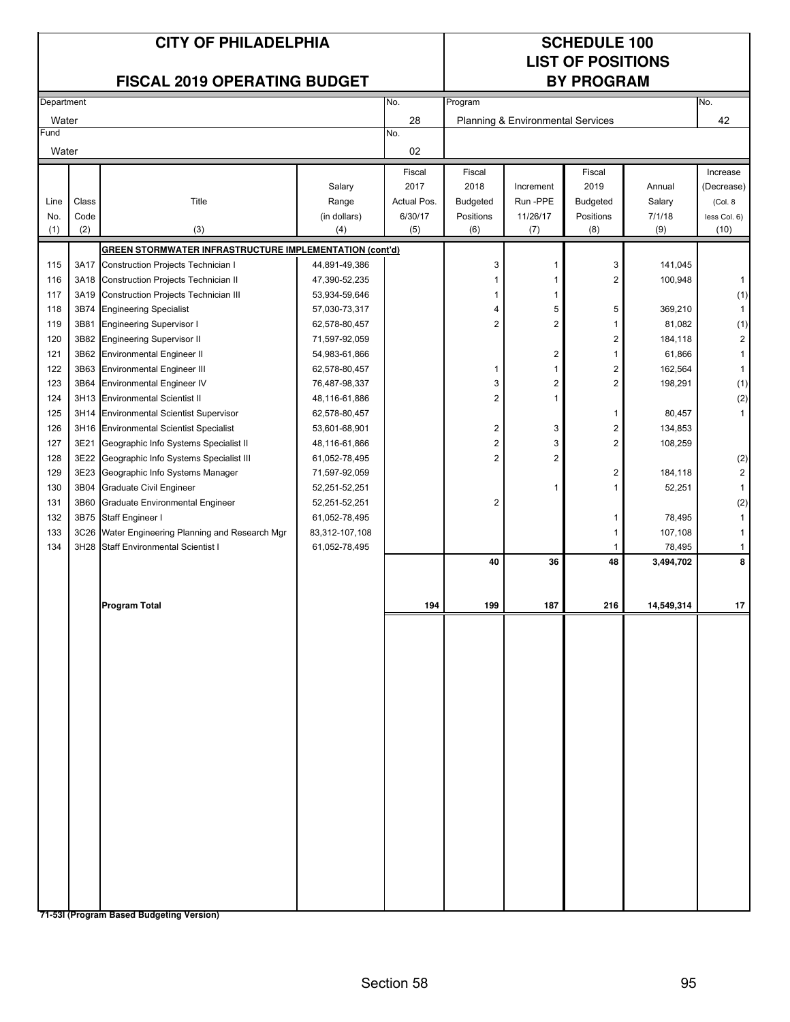## No. No. 28 42 Water Planning & Environmental Services No. 02 Fiscal Fiscal Fiscal Increase Salary 2017 2018 Increment 2019 Annual (Decrease) Line Class Number 2011 Title The Range Actual Pos. Budgeted Run -PPE Budgeted Salary (Col. 8 No. Code (in dollars) 6/30/17 Positions 11/26/17 Positions 7/1/18 less Col. 6) (1) (2) (3) (3) (4) (5) (6) (7) (8) (9) (9) (10) **GREEN STORMWATER INFRASTRUCTURE IMPLEMENTATION (cont'd)** 115 3A17 Construction Projects Technician I 44,891-49,386  $\vert$  3 141,045 116 3A18 Construction Projects Technician II 47,390-52,235 | 100,948 100,948 117 3A19 Construction Projects Technician III 53,934-59,646 1 1 (1) 118 3B74 Engineering Specialist 1 57,030-73,317 | 1 4 5 5 5 369,210 1 119 3B81 Engineering Supervisor I and C2,578-80,457 | 2 | 2 | 1 81,082 | 1) 120 3B82 Engineering Supervisor II 71,597-92,059 2 184,118 2 184,118 2 184,118 2 121 3B62 Environmental Engineer II **54,983-61,866** 2 1 61,866 1 61,866 1 61,866 1 61,866 1 61,866 1 61,866 1 61, 122 3B63 Environmental Engineer III **62,578-80,457** 1 1 1 1 1 2 162,564 1 123 3B64 Environmental Engineer IV 76,487-98,337 3 3 2 2 198,291 (1) 124 3H13 Environmental Scientist II 48,116-61,886 2 1 (2) 1 125 3H14 Environmental Scientist Supervisor 62,578-80,457 1 80,457 1 126 3H16 Environmental Scientist Specialist 153,601-68,901 2 3 3 3 3 4,853 127 3E21 Geographic Info Systems Specialist II 48,116-61,866 2 3 3 3 3 408,259 128 3E22 Geographic Info Systems Specialist III 61,052-78,495 2 2 (2) 129 3E23 Geographic Info Systems Manager 171,597-92,059 2 184,118 2 184,118 2 184,118 2 184,118 2 184,118 2 1 130 3B04 Graduate Civil Engineer 1 52,251-52,251 1 1 1 1 52,251 1 1 52,251 1 1 52,251 1 1 1 52,251 1 1 1 52,251 131 3B60 Graduate Environmental Engineer 1992, 1992, 1993, 251-52,251 2 (2) 2 (2) 2 (2) 2 (2) 2 (2) 2 (2) 2 (2) 132 3B75 Staff Engineer I 61,052-78,495 1 78,495 1 133 3C26 Water Engineering Planning and Research Mgr 83,312-107,108 1 107,108 1 107,108 1 107,108 1 107,108 1 134 3H28 Staff Environmental Scientist I 61,052-78,495 1 78,495 1 78,495 1 78,495 1 78,495 1 78,495 1 78,495 1 **40 36 48 3,494,702 8 Program Total 194 199 187 216 14,549,314 17 CITY OF PHILADELPHIA CITY OF PHILADELPHIA LIST OF POSITIONS FISCAL 2019 OPERATING BUDGET BY PROGRAM** Department **Program** Program Program **Program** Program Program Program Program Program Program Program Program Program Program Program Program Program Program Program Program Program Program Program Program Program Program Fund **Water**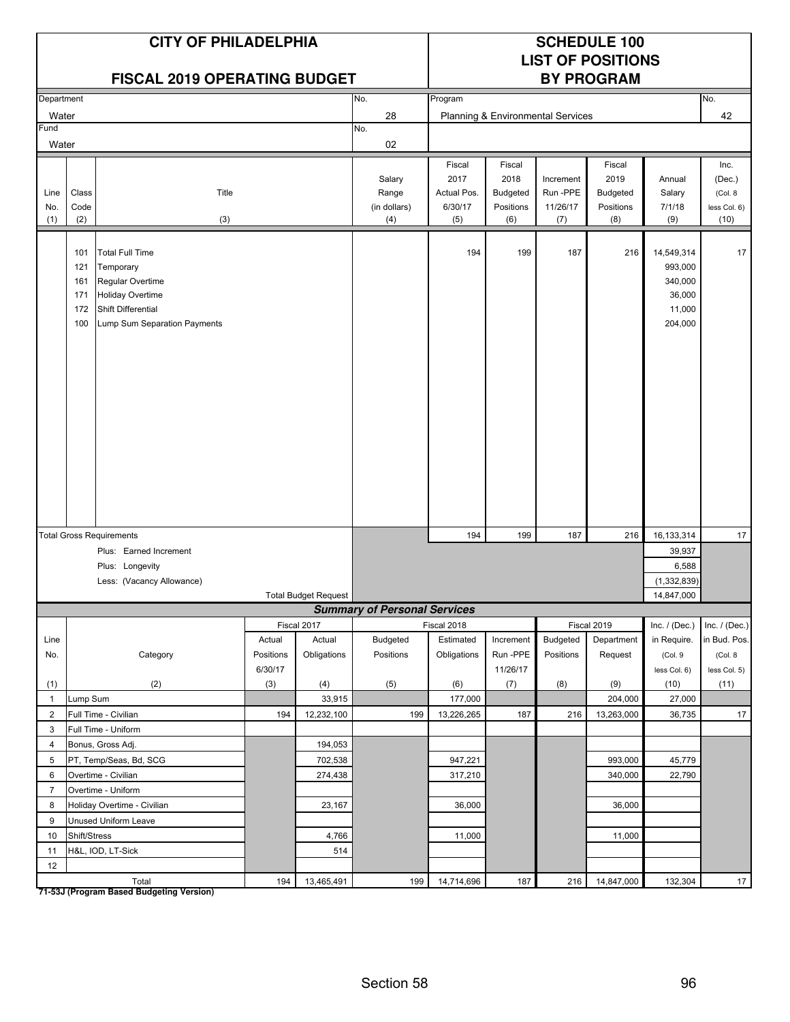|                    |                                        | <b>CITY OF PHILADELPHIA</b><br><b>FISCAL 2019 OPERATING BUDGET</b>                                                                       |           |                             |                                        |                                                 |                                                       |                                         | <b>SCHEDULE 100</b><br><b>LIST OF POSITIONS</b><br><b>BY PROGRAM</b> |                                                                 |                                                   |
|--------------------|----------------------------------------|------------------------------------------------------------------------------------------------------------------------------------------|-----------|-----------------------------|----------------------------------------|-------------------------------------------------|-------------------------------------------------------|-----------------------------------------|----------------------------------------------------------------------|-----------------------------------------------------------------|---------------------------------------------------|
| Department         |                                        |                                                                                                                                          |           |                             | No.                                    | Program                                         |                                                       |                                         |                                                                      |                                                                 | No.                                               |
| Water              |                                        |                                                                                                                                          |           |                             | 28                                     |                                                 |                                                       | Planning & Environmental Services       |                                                                      |                                                                 | 42                                                |
| Fund               |                                        |                                                                                                                                          |           |                             | No.                                    |                                                 |                                                       |                                         |                                                                      |                                                                 |                                                   |
| Water              |                                        |                                                                                                                                          |           |                             | 02                                     |                                                 |                                                       |                                         |                                                                      |                                                                 |                                                   |
| Line<br>No.<br>(1) | Class<br>Code<br>(2)                   | Title<br>(3)                                                                                                                             |           |                             | Salary<br>Range<br>(in dollars)<br>(4) | Fiscal<br>2017<br>Actual Pos.<br>6/30/17<br>(5) | Fiscal<br>2018<br><b>Budgeted</b><br>Positions<br>(6) | Increment<br>Run-PPE<br>11/26/17<br>(7) | Fiscal<br>2019<br>Budgeted<br>Positions<br>(8)                       | Annual<br>Salary<br>7/1/18<br>(9)                               | Inc.<br>(Dec.)<br>(Col. 8<br>less Col. 6)<br>(10) |
|                    | 101<br>121<br>161<br>171<br>172<br>100 | <b>Total Full Time</b><br>Temporary<br>Regular Overtime<br><b>Holiday Overtime</b><br>Shift Differential<br>Lump Sum Separation Payments |           |                             |                                        | 194                                             | 199                                                   | 187                                     | 216                                                                  | 14,549,314<br>993,000<br>340,000<br>36,000<br>11,000<br>204,000 | 17                                                |
|                    |                                        | <b>Total Gross Requirements</b>                                                                                                          |           |                             |                                        | 194                                             | 199                                                   | 187                                     | 216                                                                  | 16,133,314                                                      | 17                                                |
|                    |                                        | Plus: Earned Increment                                                                                                                   |           |                             |                                        |                                                 |                                                       |                                         |                                                                      | 39,937                                                          |                                                   |
|                    |                                        | Plus: Longevity                                                                                                                          |           |                             |                                        |                                                 |                                                       |                                         |                                                                      | 6,588                                                           |                                                   |
|                    |                                        | Less: (Vacancy Allowance)                                                                                                                |           |                             |                                        |                                                 |                                                       |                                         |                                                                      | (1, 332, 839)                                                   |                                                   |
|                    |                                        |                                                                                                                                          |           | <b>Total Budget Request</b> |                                        |                                                 |                                                       |                                         |                                                                      | 14,847,000                                                      |                                                   |
|                    |                                        |                                                                                                                                          |           |                             | <b>Summary of Personal Services</b>    |                                                 |                                                       |                                         |                                                                      |                                                                 |                                                   |
|                    |                                        |                                                                                                                                          |           | Fiscal 2017                 |                                        | Fiscal 2018                                     |                                                       |                                         | Fiscal 2019                                                          | Inc. $/$ (Dec.)                                                 | Inc. $/$ (Dec.)                                   |
| Line               |                                        |                                                                                                                                          | Actual    | Actual                      | <b>Budgeted</b>                        | Estimated                                       | Increment                                             | <b>Budgeted</b>                         | Department                                                           | in Require.                                                     | in Bud. Pos.                                      |
| No.                |                                        | Category                                                                                                                                 | Positions | Obligations                 | Positions                              | Obligations                                     | Run-PPE                                               | Positions                               | Request                                                              | (Col.9                                                          | (Col. 8)                                          |
|                    |                                        |                                                                                                                                          | 6/30/17   |                             |                                        |                                                 | 11/26/17                                              |                                         |                                                                      | less Col. 6)                                                    | less Col. 5)                                      |
| (1)                |                                        | (2)                                                                                                                                      | (3)       | (4)                         | (5)                                    | (6)                                             | (7)                                                   | (8)                                     | (9)                                                                  | (10)                                                            | (11)                                              |
| $\mathbf{1}$       | Lump Sum                               |                                                                                                                                          |           | 33,915                      |                                        | 177,000                                         |                                                       |                                         | 204,000                                                              | 27,000                                                          |                                                   |
| $\overline{2}$     |                                        | Full Time - Civilian                                                                                                                     | 194       | 12,232,100                  | 199                                    | 13,226,265                                      | 187                                                   | 216                                     | 13,263,000                                                           | 36,735                                                          | 17                                                |
| $\mathbf{3}$       |                                        | Full Time - Uniform                                                                                                                      |           |                             |                                        |                                                 |                                                       |                                         |                                                                      |                                                                 |                                                   |
| 4                  |                                        | Bonus, Gross Adj.                                                                                                                        |           | 194,053                     |                                        |                                                 |                                                       |                                         |                                                                      |                                                                 |                                                   |
| 5<br>6             |                                        | PT, Temp/Seas, Bd, SCG<br>Overtime - Civilian                                                                                            |           | 702,538<br>274,438          |                                        | 947,221<br>317,210                              |                                                       |                                         | 993,000<br>340,000                                                   | 45,779<br>22,790                                                |                                                   |
| $\overline{7}$     |                                        | Overtime - Uniform                                                                                                                       |           |                             |                                        |                                                 |                                                       |                                         |                                                                      |                                                                 |                                                   |
| 8                  |                                        | Holiday Overtime - Civilian                                                                                                              |           | 23,167                      |                                        | 36,000                                          |                                                       |                                         | 36,000                                                               |                                                                 |                                                   |
| 9                  |                                        | Unused Uniform Leave                                                                                                                     |           |                             |                                        |                                                 |                                                       |                                         |                                                                      |                                                                 |                                                   |
| 10                 | Shift/Stress                           |                                                                                                                                          |           | 4,766                       |                                        | 11,000                                          |                                                       |                                         | 11,000                                                               |                                                                 |                                                   |
| 11                 |                                        | H&L, IOD, LT-Sick                                                                                                                        |           | 514                         |                                        |                                                 |                                                       |                                         |                                                                      |                                                                 |                                                   |
| 12                 |                                        |                                                                                                                                          |           |                             |                                        |                                                 |                                                       |                                         |                                                                      |                                                                 |                                                   |
|                    |                                        | Total                                                                                                                                    | 194       | 13,465,491                  | 199                                    | 14,714,696                                      | 187                                                   | 216                                     | 14,847,000                                                           | 132,304                                                         | 17                                                |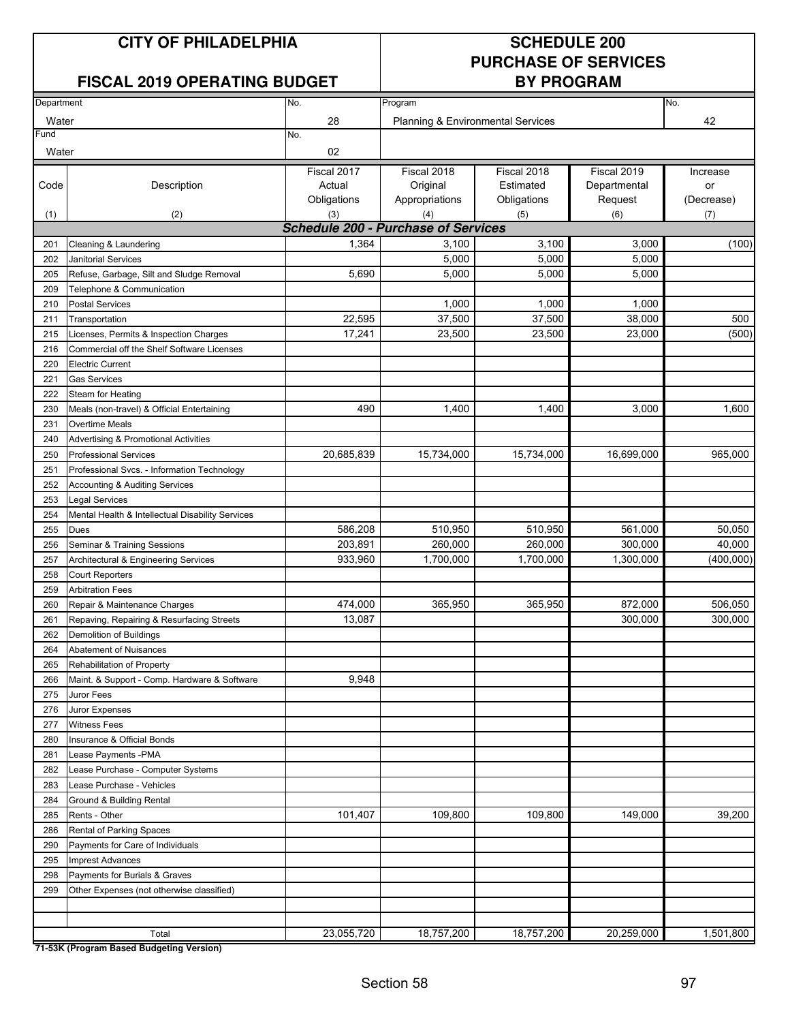### **FISCAL 2019 OPERATING BUDGET**

## **PURCHASE OF SERVICES**

| Department<br>No. |                                                  |                                            | Program<br>No.                               |             |              |            |  |  |  |
|-------------------|--------------------------------------------------|--------------------------------------------|----------------------------------------------|-------------|--------------|------------|--|--|--|
|                   |                                                  |                                            | <b>Planning &amp; Environmental Services</b> |             |              |            |  |  |  |
| Water<br>Fund     |                                                  | 28<br>No.                                  |                                              |             |              | 42         |  |  |  |
| Water             |                                                  | 02                                         |                                              |             |              |            |  |  |  |
|                   |                                                  | Fiscal 2017                                | Fiscal 2018                                  | Fiscal 2018 | Fiscal 2019  | Increase   |  |  |  |
| Code              | Description                                      | Actual                                     | Original                                     | Estimated   | Departmental | or         |  |  |  |
|                   |                                                  | Obligations                                | Appropriations                               | Obligations | Request      | (Decrease) |  |  |  |
| (1)               | (2)                                              | (3)                                        | (4)                                          | (5)         | (6)          | (7)        |  |  |  |
|                   |                                                  | <b>Schedule 200 - Purchase of Services</b> |                                              |             |              |            |  |  |  |
| 201               | Cleaning & Laundering                            | 1,364                                      | 3,100                                        | 3,100       | 3,000        | (100)      |  |  |  |
| 202               | <b>Janitorial Services</b>                       |                                            | 5,000                                        | 5,000       | 5,000        |            |  |  |  |
| 205               | Refuse, Garbage, Silt and Sludge Removal         | 5,690                                      | 5,000                                        | 5,000       | 5,000        |            |  |  |  |
| 209               | Telephone & Communication                        |                                            |                                              |             |              |            |  |  |  |
| 210               | <b>Postal Services</b>                           |                                            | 1,000                                        | 1,000       | 1,000        |            |  |  |  |
| 211               | Transportation                                   | 22,595                                     | 37,500                                       | 37,500      | 38,000       | 500        |  |  |  |
| 215               | Licenses, Permits & Inspection Charges           | 17,241                                     | 23,500                                       | 23,500      | 23,000       | (500)      |  |  |  |
| 216               | Commercial off the Shelf Software Licenses       |                                            |                                              |             |              |            |  |  |  |
| 220               | <b>Electric Current</b>                          |                                            |                                              |             |              |            |  |  |  |
| 221               | <b>Gas Services</b>                              |                                            |                                              |             |              |            |  |  |  |
| 222               | Steam for Heating                                |                                            |                                              |             |              |            |  |  |  |
| 230               | Meals (non-travel) & Official Entertaining       | 490                                        | 1,400                                        | 1,400       | 3,000        | 1,600      |  |  |  |
| 231               | Overtime Meals                                   |                                            |                                              |             |              |            |  |  |  |
| 240               | <b>Advertising &amp; Promotional Activities</b>  |                                            |                                              |             |              |            |  |  |  |
| 250               | <b>Professional Services</b>                     | 20,685,839                                 | 15,734,000                                   | 15,734,000  | 16,699,000   | 965,000    |  |  |  |
| 251               | Professional Svcs. - Information Technology      |                                            |                                              |             |              |            |  |  |  |
| 252               | Accounting & Auditing Services                   |                                            |                                              |             |              |            |  |  |  |
| 253               | Legal Services                                   |                                            |                                              |             |              |            |  |  |  |
| 254               | Mental Health & Intellectual Disability Services |                                            |                                              |             |              |            |  |  |  |
| 255               | Dues                                             | 586,208                                    | 510,950                                      | 510,950     | 561,000      | 50,050     |  |  |  |
| 256               | Seminar & Training Sessions                      | 203,891                                    | 260,000                                      | 260,000     | 300,000      | 40,000     |  |  |  |
| 257               | Architectural & Engineering Services             | 933,960                                    | 1,700,000                                    | 1,700,000   | 1,300,000    | (400,000)  |  |  |  |
| 258               | <b>Court Reporters</b>                           |                                            |                                              |             |              |            |  |  |  |
| 259               | <b>Arbitration Fees</b>                          |                                            |                                              |             |              |            |  |  |  |
| 260               | Repair & Maintenance Charges                     | 474,000                                    | 365,950                                      | 365,950     | 872,000      | 506,050    |  |  |  |
| 261               | Repaving, Repairing & Resurfacing Streets        | 13,087                                     |                                              |             | 300,000      | 300,000    |  |  |  |
| 262               | Demolition of Buildings                          |                                            |                                              |             |              |            |  |  |  |
| 264               | Abatement of Nuisances                           |                                            |                                              |             |              |            |  |  |  |
| 265               | <b>Rehabilitation of Property</b>                |                                            |                                              |             |              |            |  |  |  |
| 266               | Maint. & Support - Comp. Hardware & Software     | 9,948                                      |                                              |             |              |            |  |  |  |
| 275               | Juror Fees                                       |                                            |                                              |             |              |            |  |  |  |
| 276               | Juror Expenses                                   |                                            |                                              |             |              |            |  |  |  |
| 277               | <b>Witness Fees</b>                              |                                            |                                              |             |              |            |  |  |  |
| 280               | Insurance & Official Bonds                       |                                            |                                              |             |              |            |  |  |  |
| 281               | Lease Payments - PMA                             |                                            |                                              |             |              |            |  |  |  |
| 282               | Lease Purchase - Computer Systems                |                                            |                                              |             |              |            |  |  |  |
| 283               | Lease Purchase - Vehicles                        |                                            |                                              |             |              |            |  |  |  |
| 284               | Ground & Building Rental                         |                                            |                                              |             |              |            |  |  |  |
| 285               | Rents - Other                                    | 101,407                                    | 109,800                                      | 109,800     | 149,000      | 39,200     |  |  |  |
| 286               | Rental of Parking Spaces                         |                                            |                                              |             |              |            |  |  |  |
| 290               | Payments for Care of Individuals                 |                                            |                                              |             |              |            |  |  |  |
| 295               | <b>Imprest Advances</b>                          |                                            |                                              |             |              |            |  |  |  |
| 298               | Payments for Burials & Graves                    |                                            |                                              |             |              |            |  |  |  |
| 299               | Other Expenses (not otherwise classified)        |                                            |                                              |             |              |            |  |  |  |
|                   |                                                  |                                            |                                              |             |              |            |  |  |  |
|                   |                                                  |                                            |                                              |             |              |            |  |  |  |
|                   | Total                                            | 23,055,720                                 | 18,757,200                                   | 18,757,200  | 20,259,000   | 1,501,800  |  |  |  |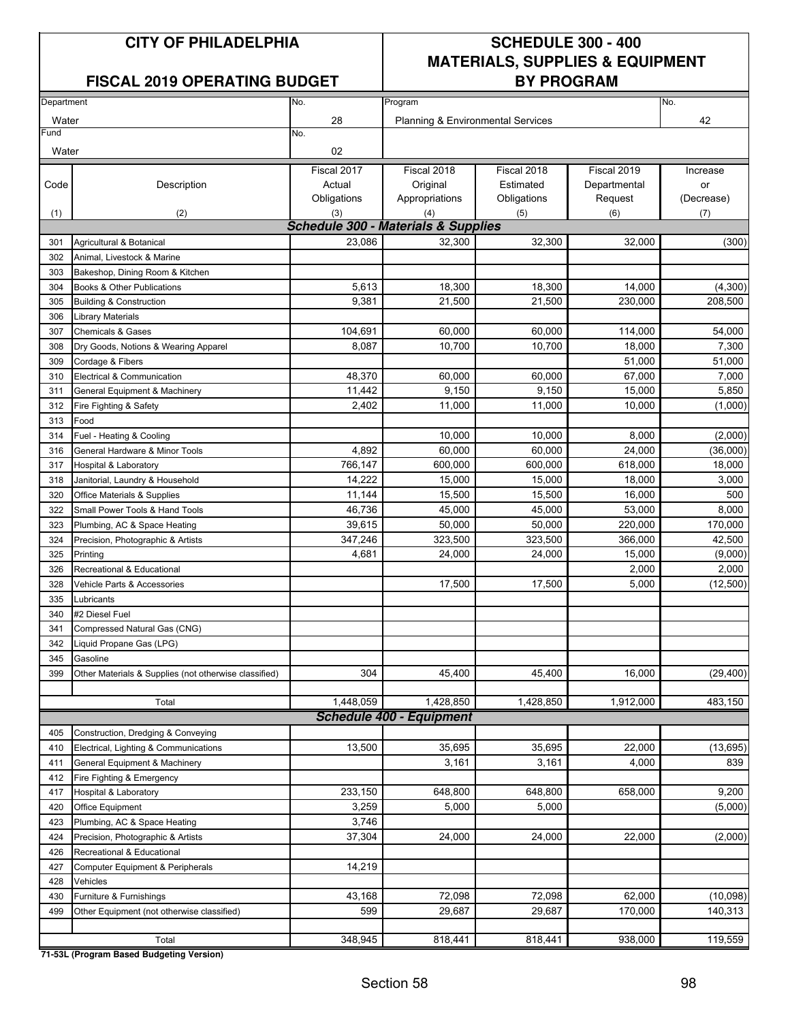### FISCAL 2019 OPERATING BUDGET **BY PROGRAM**

## **CITY OF PHILADELPHIA SCHEDULE 300 - 400 MATERIALS, SUPPLIES & EQUIPMENT**

| Department |                                                                   | No.                                            | No.                                                     |                   |                   |                     |
|------------|-------------------------------------------------------------------|------------------------------------------------|---------------------------------------------------------|-------------------|-------------------|---------------------|
| Water      |                                                                   | 28                                             | Program<br><b>Planning &amp; Environmental Services</b> |                   | 42                |                     |
| Fund       |                                                                   | No.                                            |                                                         |                   |                   |                     |
| Water      |                                                                   | 02                                             |                                                         |                   |                   |                     |
|            |                                                                   | Fiscal 2017                                    | Fiscal 2018                                             | Fiscal 2018       | Fiscal 2019       | Increase            |
| Code       | Description                                                       | Actual                                         | Original                                                | Estimated         | Departmental      | or                  |
|            |                                                                   | Obligations                                    | Appropriations                                          | Obligations       | Request           | (Decrease)          |
| (1)        | (2)                                                               | (3)                                            | (4)                                                     | (5)               | (6)               | (7)                 |
|            |                                                                   | <b>Schedule 300 - Materials &amp; Supplies</b> |                                                         |                   |                   |                     |
| 301        | Agricultural & Botanical                                          | 23,086                                         | 32,300                                                  | 32,300            | 32,000            | (300)               |
| 302        | Animal, Livestock & Marine                                        |                                                |                                                         |                   |                   |                     |
| 303        | Bakeshop, Dining Room & Kitchen                                   |                                                |                                                         |                   |                   |                     |
| 304        | Books & Other Publications                                        | 5,613                                          | 18,300                                                  | 18,300            | 14,000            | (4, 300)            |
| 305        | <b>Building &amp; Construction</b>                                | 9,381                                          | 21,500                                                  | 21,500            | 230,000           | 208,500             |
| 306        | <b>Library Materials</b>                                          |                                                |                                                         |                   |                   |                     |
| 307        | <b>Chemicals &amp; Gases</b>                                      | 104,691                                        | 60,000                                                  | 60,000            | 114,000           | 54,000              |
| 308        | Dry Goods, Notions & Wearing Apparel                              | 8,087                                          | 10,700                                                  | 10,700            | 18,000            | 7,300               |
| 309        | Cordage & Fibers                                                  |                                                |                                                         |                   | 51,000            | 51,000              |
| 310        | Electrical & Communication                                        | 48,370                                         | 60.000                                                  | 60,000            | 67,000            | 7,000               |
| 311        | General Equipment & Machinery                                     | 11,442                                         | 9,150                                                   | 9,150             | 15,000            | 5,850               |
| 312        | Fire Fighting & Safety                                            | 2,402                                          | 11,000                                                  | 11,000            | 10,000            | (1,000)             |
| 313        | Food                                                              |                                                | 10,000                                                  | 10,000            |                   |                     |
| 314        | Fuel - Heating & Cooling                                          |                                                | 60.000                                                  | 60.000            | 8,000             | (2,000)<br>(36,000) |
| 316        | General Hardware & Minor Tools                                    | 4,892                                          |                                                         |                   | 24,000            |                     |
| 317        | <b>Hospital &amp; Laboratory</b>                                  | 766,147<br>14,222                              | 600,000<br>15,000                                       | 600,000<br>15,000 | 618,000<br>18,000 | 18,000<br>3,000     |
| 318<br>320 | Janitorial, Laundry & Household                                   | 11,144                                         | 15,500                                                  | 15,500            | 16,000            | 500                 |
| 322        | Office Materials & Supplies<br>Small Power Tools & Hand Tools     | 46,736                                         | 45,000                                                  | 45,000            | 53,000            | 8,000               |
| 323        |                                                                   | 39,615                                         | 50,000                                                  | 50,000            | 220,000           | 170,000             |
| 324        | Plumbing, AC & Space Heating<br>Precision, Photographic & Artists | 347,246                                        | 323,500                                                 | 323,500           | 366,000           | 42,500              |
| 325        | Printing                                                          | 4,681                                          | 24,000                                                  | 24,000            | 15,000            | (9,000)             |
| 326        | Recreational & Educational                                        |                                                |                                                         |                   | 2,000             | 2,000               |
| 328        | Vehicle Parts & Accessories                                       |                                                | 17,500                                                  | 17,500            | 5,000             | (12, 500)           |
| 335        | Lubricants                                                        |                                                |                                                         |                   |                   |                     |
| 340        | #2 Diesel Fuel                                                    |                                                |                                                         |                   |                   |                     |
| 341        | Compressed Natural Gas (CNG)                                      |                                                |                                                         |                   |                   |                     |
| 342        | Liquid Propane Gas (LPG)                                          |                                                |                                                         |                   |                   |                     |
| 345        | Gasoline                                                          |                                                |                                                         |                   |                   |                     |
| 399        | Other Materials & Supplies (not otherwise classified)             | 304                                            | 45,400                                                  | 45,400            | 16,000            | (29, 400)           |
|            |                                                                   |                                                |                                                         |                   |                   |                     |
|            | Total                                                             | 1,448,059                                      | 1,428,850                                               | 1,428,850         | 1,912,000         | 483,150             |
|            |                                                                   |                                                | <b>Schedule 400 - Equipment</b>                         |                   |                   |                     |
| 405        | Construction, Dredging & Conveying                                |                                                |                                                         |                   |                   |                     |
| 410        | Electrical, Lighting & Communications                             | 13,500                                         | 35,695                                                  | 35,695            | 22,000            | (13, 695)           |
| 411        | General Equipment & Machinery                                     |                                                | 3,161                                                   | 3,161             | 4,000             | 839                 |
| 412        | Fire Fighting & Emergency                                         |                                                |                                                         |                   |                   |                     |
| 417        | Hospital & Laboratory                                             | 233,150                                        | 648,800                                                 | 648,800           | 658,000           | 9,200               |
| 420        | <b>Office Equipment</b>                                           | 3,259                                          | 5,000                                                   | 5,000             |                   | (5,000)             |
| 423        | Plumbing, AC & Space Heating                                      | 3,746                                          |                                                         |                   |                   |                     |
| 424        | Precision, Photographic & Artists                                 | 37,304                                         | 24,000                                                  | 24,000            | 22,000            | (2,000)             |
| 426        | Recreational & Educational                                        |                                                |                                                         |                   |                   |                     |
| 427        | Computer Equipment & Peripherals                                  | 14,219                                         |                                                         |                   |                   |                     |
| 428        | Vehicles                                                          |                                                |                                                         |                   |                   |                     |
| 430        | Furniture & Furnishings                                           | 43,168                                         | 72,098                                                  | 72,098            | 62,000            | (10,098)            |
| 499        | Other Equipment (not otherwise classified)                        | 599                                            | 29,687                                                  | 29,687            | 170,000           | 140,313             |
|            |                                                                   |                                                |                                                         |                   |                   |                     |
|            | Total                                                             | 348,945                                        | 818,441                                                 | 818,441           | 938,000           | 119,559             |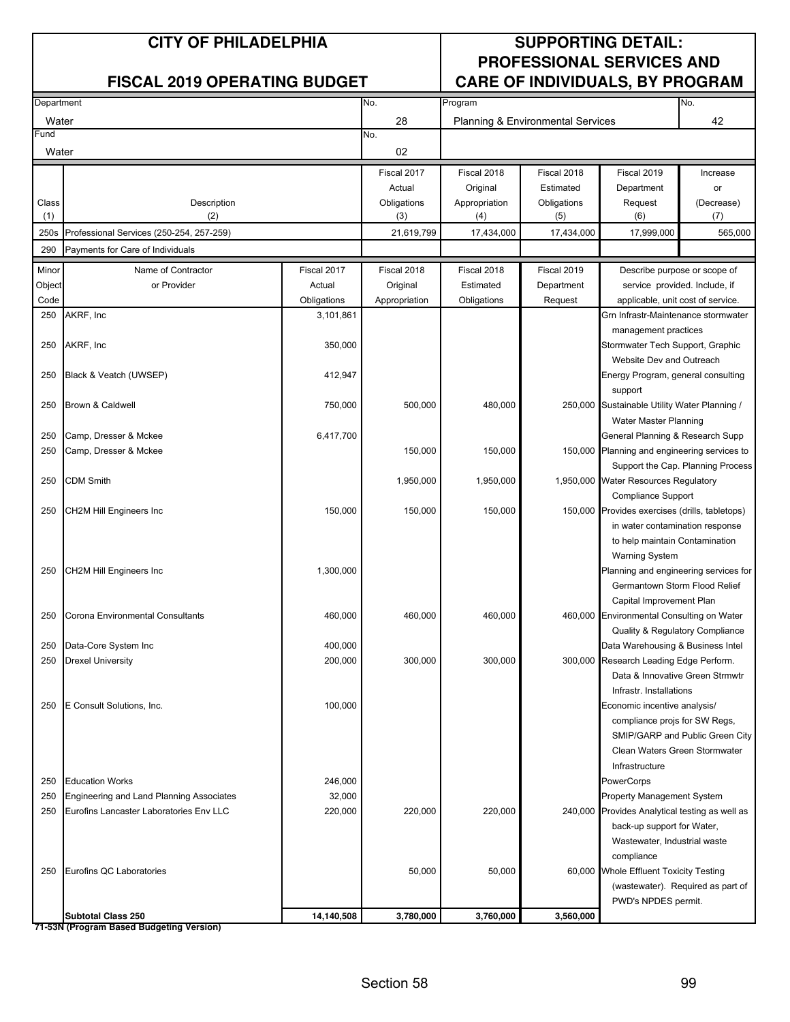| Department |                                          | No.         | Program       |                                   |             | No.                                            |                                   |
|------------|------------------------------------------|-------------|---------------|-----------------------------------|-------------|------------------------------------------------|-----------------------------------|
| Water      |                                          |             | 28            | Planning & Environmental Services |             |                                                | 42                                |
| Fund       |                                          |             | No.           |                                   |             |                                                |                                   |
| Water      |                                          |             | 02            |                                   |             |                                                |                                   |
|            |                                          |             | Fiscal 2017   | Fiscal 2018                       | Fiscal 2018 | Fiscal 2019                                    | Increase                          |
|            |                                          |             | Actual        | Original                          | Estimated   | Department                                     | or                                |
| Class      | Description                              |             | Obligations   | Appropriation                     | Obligations | Request                                        | (Decrease)                        |
| (1)        | (2)                                      |             | (3)           | (4)                               | (5)         | (6)                                            | (7)                               |
| 250s       | Professional Services (250-254, 257-259) |             | 21,619,799    | 17,434,000                        | 17,434,000  | 17,999,000                                     | 565,000                           |
| 290        | Payments for Care of Individuals         |             |               |                                   |             |                                                |                                   |
| Minor      | Name of Contractor                       | Fiscal 2017 | Fiscal 2018   | Fiscal 2018                       | Fiscal 2019 | Describe purpose or scope of                   |                                   |
| Object     | or Provider                              | Actual      | Original      | Estimated                         | Department  | service provided. Include, if                  |                                   |
| Code       |                                          | Obligations | Appropriation | Obligations                       | Request     | applicable, unit cost of service.              |                                   |
| 250        | AKRF, Inc                                | 3,101,861   |               |                                   |             | Grn Infrastr-Maintenance stormwater            |                                   |
|            |                                          |             |               |                                   |             | management practices                           |                                   |
| 250        | AKRF, Inc                                | 350,000     |               |                                   |             | Stormwater Tech Support, Graphic               |                                   |
|            |                                          |             |               |                                   |             | Website Dev and Outreach                       |                                   |
| 250        | Black & Veatch (UWSEP)                   | 412,947     |               |                                   |             | Energy Program, general consulting             |                                   |
|            |                                          |             |               |                                   |             | support                                        |                                   |
| 250        | Brown & Caldwell                         | 750,000     | 500,000       | 480,000                           |             | 250,000 Sustainable Utility Water Planning /   |                                   |
|            |                                          |             |               |                                   |             | Water Master Planning                          |                                   |
| 250        | Camp, Dresser & Mckee                    | 6,417,700   |               |                                   |             | General Planning & Research Supp               |                                   |
| 250        | Camp, Dresser & Mckee                    |             | 150,000       | 150,000                           |             | 150,000 Planning and engineering services to   |                                   |
|            |                                          |             |               |                                   |             | Support the Cap. Planning Process              |                                   |
| 250        | <b>CDM Smith</b>                         |             | 1,950,000     | 1,950,000                         |             | 1,950,000 Water Resources Regulatory           |                                   |
|            |                                          |             |               |                                   |             | Compliance Support                             |                                   |
| 250        | CH2M Hill Engineers Inc                  | 150,000     | 150,000       | 150,000                           |             | 150,000 Provides exercises (drills, tabletops) |                                   |
|            |                                          |             |               |                                   |             | in water contamination response                |                                   |
|            |                                          |             |               |                                   |             | to help maintain Contamination                 |                                   |
|            |                                          |             |               |                                   |             | <b>Warning System</b>                          |                                   |
| 250        | CH2M Hill Engineers Inc                  | 1,300,000   |               |                                   |             | Planning and engineering services for          |                                   |
|            |                                          |             |               |                                   |             | Germantown Storm Flood Relief                  |                                   |
|            |                                          |             |               |                                   |             | Capital Improvement Plan                       |                                   |
| 250        | Corona Environmental Consultants         | 460,000     | 460,000       | 460,000                           |             | 460,000 Environmental Consulting on Water      |                                   |
|            |                                          |             |               |                                   |             | Quality & Regulatory Compliance                |                                   |
| 250        | Data-Core System Inc                     | 400,000     |               |                                   |             | Data Warehousing & Business Intel              |                                   |
| 250        | <b>Drexel University</b>                 | 200,000     | 300,000       | 300,000                           |             | 300,000 Research Leading Edge Perform.         |                                   |
|            |                                          |             |               |                                   |             | Data & Innovative Green Strmwtr                |                                   |
|            |                                          |             |               |                                   |             | Infrastr. Installations                        |                                   |
| 250        | E Consult Solutions, Inc.                | 100,000     |               |                                   |             | Economic incentive analysis/                   |                                   |
|            |                                          |             |               |                                   |             | compliance projs for SW Regs,                  |                                   |
|            |                                          |             |               |                                   |             |                                                | SMIP/GARP and Public Green City   |
|            |                                          |             |               |                                   |             | Clean Waters Green Stormwater                  |                                   |
|            |                                          |             |               |                                   |             | Infrastructure                                 |                                   |
| 250        | <b>Education Works</b>                   | 246,000     |               |                                   |             | PowerCorps                                     |                                   |
| 250        | Engineering and Land Planning Associates | 32,000      |               |                                   |             | Property Management System                     |                                   |
| 250        | Eurofins Lancaster Laboratories Env LLC  | 220,000     | 220,000       | 220,000                           |             | 240,000 Provides Analytical testing as well as |                                   |
|            |                                          |             |               |                                   |             | back-up support for Water,                     |                                   |
|            |                                          |             |               |                                   |             | Wastewater, Industrial waste                   |                                   |
|            |                                          |             |               |                                   |             | compliance                                     |                                   |
| 250        | Eurofins QC Laboratories                 |             | 50,000        | 50,000                            |             | 60,000 Whole Effluent Toxicity Testing         |                                   |
|            |                                          |             |               |                                   |             |                                                | (wastewater). Required as part of |
|            | <b>Subtotal Class 250</b>                | 14,140,508  | 3,780,000     | 3,760,000                         | 3,560,000   | PWD's NPDES permit.                            |                                   |
|            |                                          |             |               |                                   |             |                                                |                                   |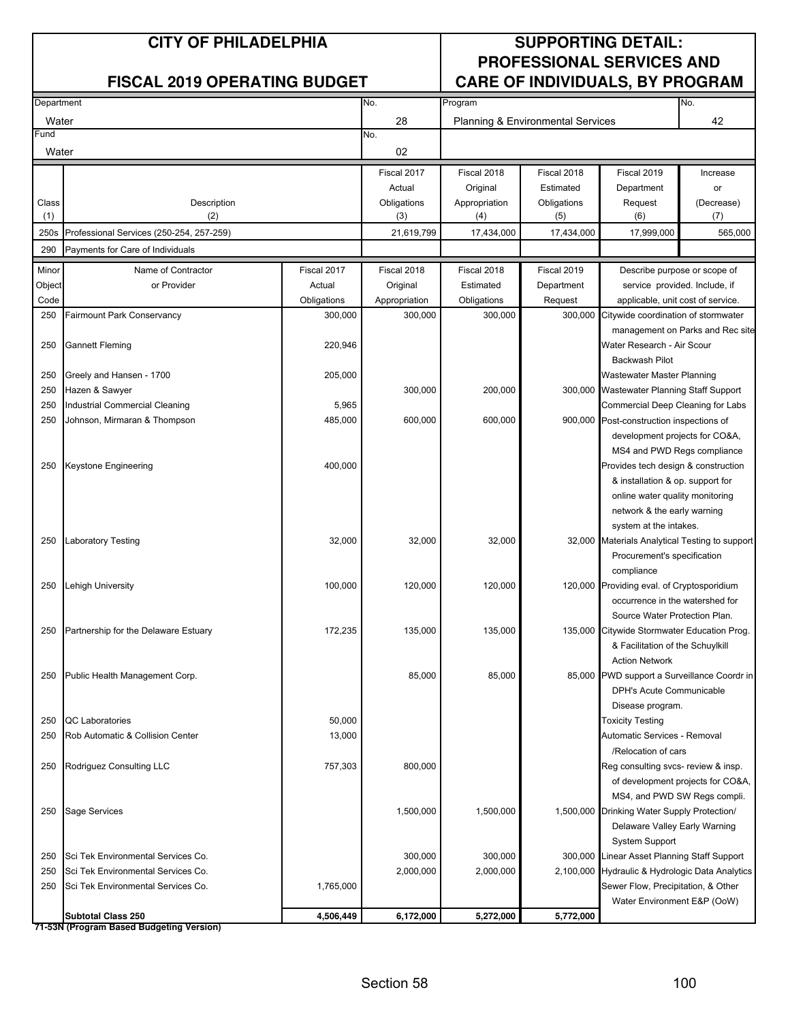| Department |                                          |             | No.           | Program       |                                                    |                                                 | No.                               |
|------------|------------------------------------------|-------------|---------------|---------------|----------------------------------------------------|-------------------------------------------------|-----------------------------------|
| Water      |                                          |             | 28            |               | 42<br><b>Planning &amp; Environmental Services</b> |                                                 |                                   |
| Fund       |                                          |             | No.           |               |                                                    |                                                 |                                   |
| Water      |                                          |             | 02            |               |                                                    |                                                 |                                   |
|            |                                          |             | Fiscal 2017   | Fiscal 2018   | Fiscal 2018                                        | Fiscal 2019                                     | Increase                          |
|            |                                          |             | Actual        | Original      | Estimated                                          | Department                                      | or                                |
| Class      | Description                              |             | Obligations   | Appropriation | Obligations                                        | Request                                         | (Decrease)                        |
| (1)        | (2)                                      |             | (3)           | (4)           | (5)                                                | (6)                                             | (7)                               |
| 250s       | Professional Services (250-254, 257-259) |             | 21,619,799    | 17,434,000    | 17,434,000                                         | 17,999,000                                      | 565,000                           |
| 290        | Payments for Care of Individuals         |             |               |               |                                                    |                                                 |                                   |
| Minor      | Name of Contractor                       | Fiscal 2017 | Fiscal 2018   | Fiscal 2018   | Fiscal 2019                                        | Describe purpose or scope of                    |                                   |
| Object     | or Provider                              | Actual      | Original      | Estimated     | Department                                         | service provided. Include, if                   |                                   |
| Code       |                                          | Obligations | Appropriation | Obligations   | Request                                            | applicable, unit cost of service.               |                                   |
| 250        | Fairmount Park Conservancy               | 300,000     | 300,000       | 300,000       | 300,000                                            | Citywide coordination of stormwater             |                                   |
|            |                                          |             |               |               |                                                    |                                                 | management on Parks and Rec site  |
| 250        | <b>Gannett Fleming</b>                   | 220,946     |               |               |                                                    | Water Research - Air Scour                      |                                   |
|            |                                          |             |               |               |                                                    | <b>Backwash Pilot</b>                           |                                   |
| 250        | Greely and Hansen - 1700                 | 205,000     |               |               |                                                    | Wastewater Master Planning                      |                                   |
| 250        | Hazen & Sawyer                           |             | 300,000       | 200,000       |                                                    | 300,000 Wastewater Planning Staff Support       |                                   |
| 250        | Industrial Commercial Cleaning           | 5,965       |               |               |                                                    | Commercial Deep Cleaning for Labs               |                                   |
| 250        | Johnson, Mirmaran & Thompson             | 485,000     | 600,000       | 600,000       |                                                    | 900,000 Post-construction inspections of        |                                   |
|            |                                          |             |               |               |                                                    | development projects for CO&A,                  |                                   |
|            |                                          |             |               |               |                                                    | MS4 and PWD Regs compliance                     |                                   |
| 250        | Keystone Engineering                     | 400,000     |               |               |                                                    | Provides tech design & construction             |                                   |
|            |                                          |             |               |               |                                                    | & installation & op. support for                |                                   |
|            |                                          |             |               |               |                                                    | online water quality monitoring                 |                                   |
|            |                                          |             |               |               |                                                    | network & the early warning                     |                                   |
|            |                                          |             |               |               |                                                    | system at the intakes.                          |                                   |
| 250        | <b>Laboratory Testing</b>                | 32,000      | 32,000        | 32,000        |                                                    | 32,000 Materials Analytical Testing to support  |                                   |
|            |                                          |             |               |               |                                                    | Procurement's specification<br>compliance       |                                   |
| 250        | Lehigh University                        | 100,000     | 120,000       | 120,000       |                                                    | 120,000 Providing eval. of Cryptosporidium      |                                   |
|            |                                          |             |               |               |                                                    | occurrence in the watershed for                 |                                   |
|            |                                          |             |               |               |                                                    | Source Water Protection Plan.                   |                                   |
| 250        | Partnership for the Delaware Estuary     | 172,235     | 135,000       | 135,000       |                                                    | 135,000 Citywide Stormwater Education Prog.     |                                   |
|            |                                          |             |               |               |                                                    | & Facilitation of the Schuylkill                |                                   |
|            |                                          |             |               |               |                                                    | <b>Action Network</b>                           |                                   |
| 250        | Public Health Management Corp.           |             | 85,000        | 85,000        |                                                    | 85,000 PWD support a Surveillance Coordr in     |                                   |
|            |                                          |             |               |               |                                                    | DPH's Acute Communicable                        |                                   |
|            |                                          |             |               |               |                                                    | Disease program.                                |                                   |
| 250        | <b>QC</b> Laboratories                   | 50,000      |               |               |                                                    | <b>Toxicity Testing</b>                         |                                   |
| 250        | Rob Automatic & Collision Center         | 13,000      |               |               |                                                    | Automatic Services - Removal                    |                                   |
|            |                                          |             |               |               |                                                    | /Relocation of cars                             |                                   |
| 250        | Rodriguez Consulting LLC                 | 757,303     | 800,000       |               |                                                    | Reg consulting svcs- review & insp.             |                                   |
|            |                                          |             |               |               |                                                    |                                                 | of development projects for CO&A, |
|            |                                          |             |               |               |                                                    | MS4, and PWD SW Regs compli.                    |                                   |
| 250        | Sage Services                            |             | 1,500,000     | 1,500,000     |                                                    | 1,500,000 Drinking Water Supply Protection/     |                                   |
|            |                                          |             |               |               |                                                    | Delaware Valley Early Warning                   |                                   |
|            |                                          |             |               |               |                                                    | <b>System Support</b>                           |                                   |
| 250        | Sci Tek Environmental Services Co.       |             | 300,000       | 300,000       |                                                    | 300,000 Linear Asset Planning Staff Support     |                                   |
| 250        | Sci Tek Environmental Services Co.       |             | 2,000,000     | 2,000,000     |                                                    | 2,100,000 Hydraulic & Hydrologic Data Analytics |                                   |
| 250        | Sci Tek Environmental Services Co.       | 1,765,000   |               |               |                                                    | Sewer Flow, Precipitation, & Other              |                                   |
|            |                                          |             |               |               |                                                    | Water Environment E&P (OoW)                     |                                   |
|            | <b>Subtotal Class 250</b>                | 4,506,449   | 6,172,000     | 5,272,000     | 5,772,000                                          |                                                 |                                   |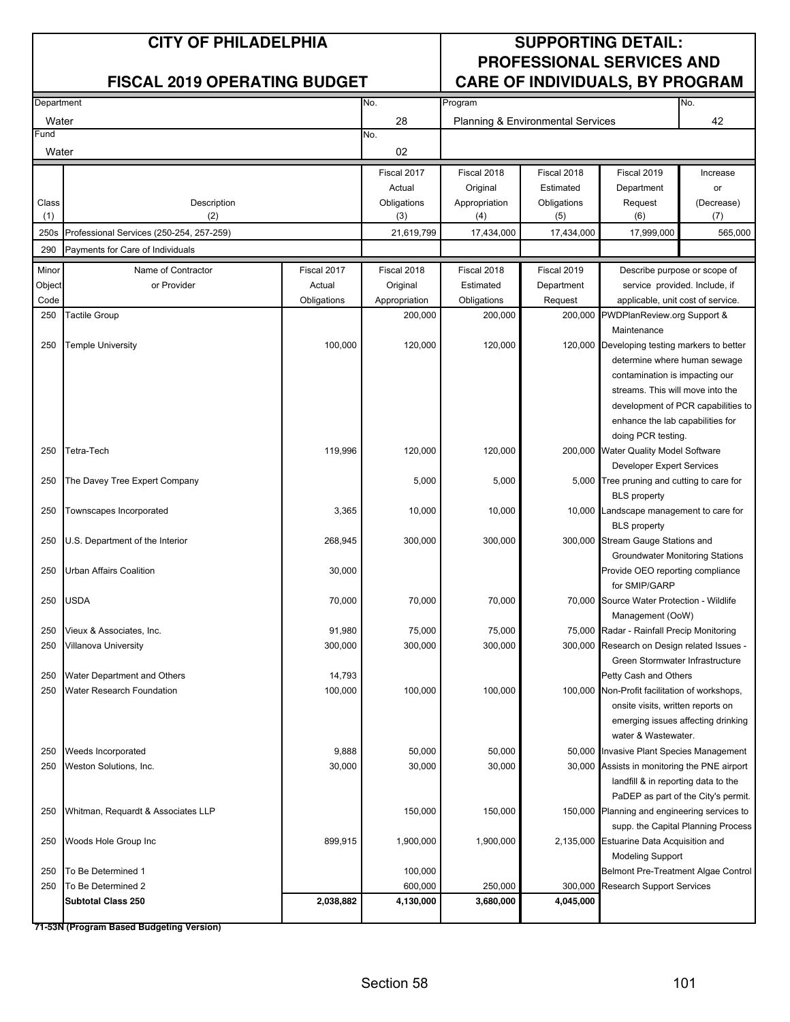| Department |                                          |             | No.<br>Program |                                              |             | No.                                                           |                                     |
|------------|------------------------------------------|-------------|----------------|----------------------------------------------|-------------|---------------------------------------------------------------|-------------------------------------|
| Water      |                                          |             | 28             | <b>Planning &amp; Environmental Services</b> |             |                                                               | 42                                  |
| Fund       |                                          |             | No.            |                                              |             |                                                               |                                     |
| Water      |                                          |             | 02             |                                              |             |                                                               |                                     |
|            |                                          |             | Fiscal 2017    | Fiscal 2018                                  | Fiscal 2018 | Fiscal 2019                                                   | Increase                            |
|            |                                          |             | Actual         | Original                                     | Estimated   | Department                                                    | or                                  |
| Class      | Description                              |             | Obligations    | Appropriation                                | Obligations | Request                                                       | (Decrease)                          |
| (1)        | (2)                                      |             | (3)            | (4)                                          | (5)         | (6)                                                           | (7)                                 |
| 250s       | Professional Services (250-254, 257-259) |             | 21,619,799     | 17,434,000                                   | 17,434,000  | 17,999,000                                                    | 565,000                             |
| 290        | Payments for Care of Individuals         |             |                |                                              |             |                                                               |                                     |
| Minor      | Name of Contractor                       | Fiscal 2017 | Fiscal 2018    | Fiscal 2018                                  | Fiscal 2019 | Describe purpose or scope of                                  |                                     |
| Object     | or Provider                              | Actual      | Original       | Estimated                                    | Department  | service provided. Include, if                                 |                                     |
| Code       |                                          | Obligations | Appropriation  | Obligations                                  | Request     | applicable, unit cost of service.                             |                                     |
| 250        | Tactile Group                            |             | 200,000        | 200,000                                      | 200,000     | PWDPlanReview.org Support &                                   |                                     |
|            |                                          |             |                |                                              |             | Maintenance                                                   |                                     |
| 250        | <b>Temple University</b>                 | 100,000     | 120,000        | 120,000                                      |             | 120,000 Developing testing markers to better                  |                                     |
|            |                                          |             |                |                                              |             | determine where human sewage                                  |                                     |
|            |                                          |             |                |                                              |             | contamination is impacting our                                |                                     |
|            |                                          |             |                |                                              |             | streams. This will move into the                              |                                     |
|            |                                          |             |                |                                              |             |                                                               | development of PCR capabilities to  |
|            |                                          |             |                |                                              |             | enhance the lab capabilities for                              |                                     |
|            |                                          |             |                |                                              |             | doing PCR testing.                                            |                                     |
| 250        | Tetra-Tech                               | 119,996     | 120,000        | 120,000                                      |             | 200,000 Water Quality Model Software                          |                                     |
|            |                                          |             |                |                                              |             | <b>Developer Expert Services</b>                              |                                     |
| 250        | The Davey Tree Expert Company            |             | 5,000          | 5,000                                        |             | 5,000 Tree pruning and cutting to care for                    |                                     |
|            |                                          |             |                |                                              |             | <b>BLS</b> property                                           |                                     |
| 250        | Townscapes Incorporated                  | 3,365       | 10,000         | 10,000                                       |             | 10,000 Landscape management to care for                       |                                     |
|            |                                          |             |                |                                              |             | <b>BLS</b> property                                           |                                     |
| 250        | U.S. Department of the Interior          | 268,945     | 300,000        | 300,000                                      |             | 300,000 Stream Gauge Stations and                             |                                     |
|            |                                          |             |                |                                              |             | Groundwater Monitoring Stations                               |                                     |
| 250        | Urban Affairs Coalition                  | 30,000      |                |                                              |             | Provide OEO reporting compliance                              |                                     |
|            |                                          |             |                |                                              |             | for SMIP/GARP<br>70,000 Source Water Protection - Wildlife    |                                     |
| 250        | USDA                                     | 70,000      | 70,000         | 70,000                                       |             |                                                               |                                     |
| 250        | Vieux & Associates, Inc.                 | 91,980      | 75,000         | 75,000                                       |             | Management (OoW)<br>75,000 Radar - Rainfall Precip Monitoring |                                     |
| 250        | Villanova University                     | 300,000     | 300,000        | 300,000                                      |             | 300,000 Research on Design related Issues -                   |                                     |
|            |                                          |             |                |                                              |             | Green Stormwater Infrastructure                               |                                     |
| 250        | Water Department and Others              | 14,793      |                |                                              |             | Petty Cash and Others                                         |                                     |
| 250        | Water Research Foundation                | 100,000     | 100,000        | 100,000                                      |             | 100,000 Non-Profit facilitation of workshops,                 |                                     |
|            |                                          |             |                |                                              |             | onsite visits, written reports on                             |                                     |
|            |                                          |             |                |                                              |             |                                                               | emerging issues affecting drinking  |
|            |                                          |             |                |                                              |             | water & Wastewater.                                           |                                     |
| 250        | Weeds Incorporated                       | 9,888       | 50,000         | 50,000                                       |             | 50,000 Invasive Plant Species Management                      |                                     |
| 250        | Weston Solutions, Inc.                   | 30,000      | 30,000         | 30,000                                       |             | 30,000 Assists in monitoring the PNE airport                  |                                     |
|            |                                          |             |                |                                              |             | landfill & in reporting data to the                           |                                     |
|            |                                          |             |                |                                              |             |                                                               | PaDEP as part of the City's permit. |
| 250        | Whitman, Requardt & Associates LLP       |             | 150,000        | 150,000                                      |             | 150,000 Planning and engineering services to                  |                                     |
|            |                                          |             |                |                                              |             |                                                               | supp. the Capital Planning Process  |
| 250        | Woods Hole Group Inc                     | 899,915     | 1,900,000      | 1,900,000                                    |             | 2,135,000 Estuarine Data Acquisition and                      |                                     |
|            |                                          |             |                |                                              |             | <b>Modeling Support</b>                                       |                                     |
| 250        | To Be Determined 1                       |             | 100,000        |                                              |             | Belmont Pre-Treatment Algae Control                           |                                     |
| 250        | To Be Determined 2                       |             | 600,000        | 250,000                                      | 300,000     | <b>Research Support Services</b>                              |                                     |
|            | <b>Subtotal Class 250</b>                | 2,038,882   | 4,130,000      | 3,680,000                                    | 4,045,000   |                                                               |                                     |
|            |                                          |             |                |                                              |             |                                                               |                                     |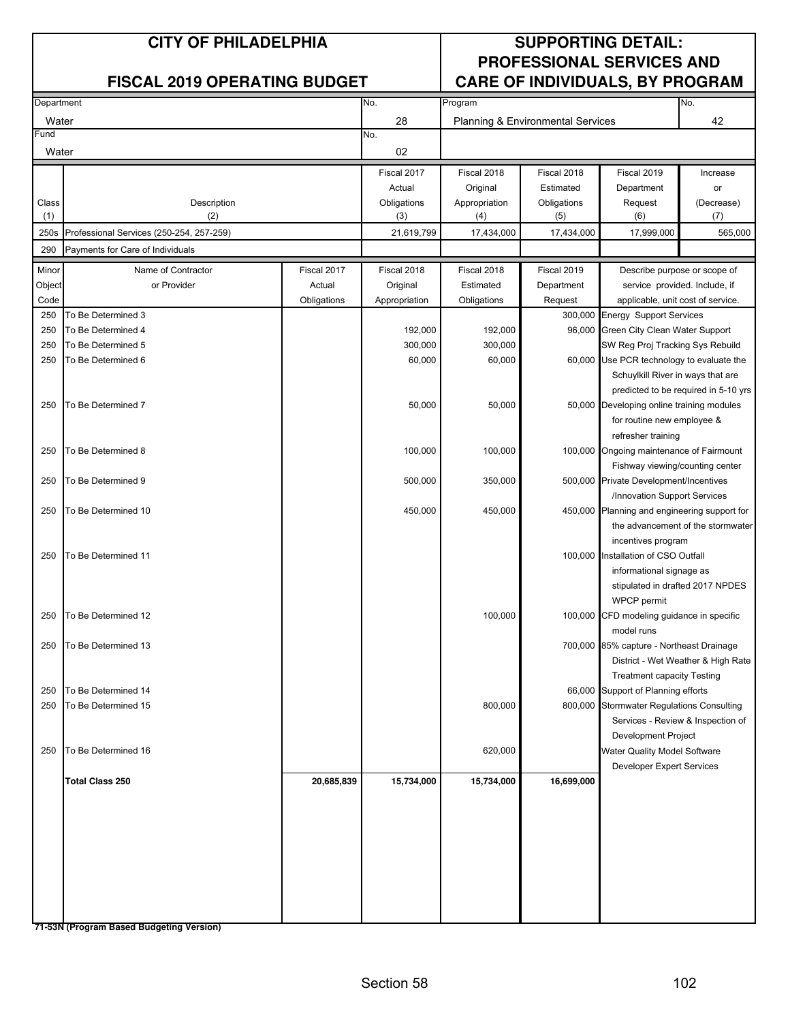| Department |                                          | No.         | Program       |               |                                   | No.                                                                          |                                      |
|------------|------------------------------------------|-------------|---------------|---------------|-----------------------------------|------------------------------------------------------------------------------|--------------------------------------|
| Water      |                                          |             | 28            |               | Planning & Environmental Services |                                                                              | 42                                   |
| Fund       |                                          |             | No.           |               |                                   |                                                                              |                                      |
| Water      |                                          |             | 02            |               |                                   |                                                                              |                                      |
|            |                                          |             | Fiscal 2017   | Fiscal 2018   | Fiscal 2018                       | Fiscal 2019                                                                  | Increase                             |
|            |                                          |             | Actual        | Original      | Estimated                         | Department                                                                   | or                                   |
| Class      | Description                              |             | Obligations   | Appropriation | Obligations                       | Request                                                                      | (Decrease)                           |
| (1)        | (2)                                      |             | (3)           | (4)           | (5)                               | (6)                                                                          | (7)                                  |
| 250s       | Professional Services (250-254, 257-259) |             | 21,619,799    | 17,434,000    | 17,434,000                        | 17,999,000                                                                   | 565,000                              |
| 290        | Payments for Care of Individuals         |             |               |               |                                   |                                                                              |                                      |
| Minor      | Name of Contractor                       | Fiscal 2017 | Fiscal 2018   | Fiscal 2018   | Fiscal 2019                       |                                                                              | Describe purpose or scope of         |
| Object     | or Provider                              | Actual      | Original      | Estimated     | Department                        |                                                                              | service provided. Include, if        |
| Code       |                                          | Obligations | Appropriation | Obligations   | Request                           | applicable, unit cost of service.                                            |                                      |
| 250        | To Be Determined 3                       |             |               |               |                                   | 300,000 Energy Support Services                                              |                                      |
| 250        | To Be Determined 4                       |             | 192,000       | 192,000       |                                   | 96,000 Green City Clean Water Support                                        |                                      |
| 250        | To Be Determined 5                       |             | 300,000       | 300,000       |                                   | SW Reg Proj Tracking Sys Rebuild                                             |                                      |
| 250        | To Be Determined 6                       |             | 60,000        | 60,000        |                                   | 60,000 Use PCR technology to evaluate the                                    |                                      |
|            |                                          |             |               |               |                                   | Schuylkill River in ways that are                                            |                                      |
|            |                                          |             |               |               |                                   |                                                                              | predicted to be required in 5-10 yrs |
| 250        | To Be Determined 7                       |             | 50,000        | 50,000        |                                   | 50,000 Developing online training modules                                    |                                      |
|            |                                          |             |               |               |                                   | for routine new employee &                                                   |                                      |
|            |                                          |             |               |               |                                   | refresher training                                                           |                                      |
| 250        | To Be Determined 8                       |             | 100,000       | 100,000       |                                   | 100,000 Ongoing maintenance of Fairmount                                     |                                      |
|            |                                          |             |               |               |                                   | Fishway viewing/counting center                                              |                                      |
| 250        | To Be Determined 9                       |             | 500,000       | 350,000       |                                   | 500,000 Private Development/Incentives                                       |                                      |
| 250        | To Be Determined 10                      |             | 450,000       | 450,000       |                                   | /Innovation Support Services<br>450,000 Planning and engineering support for |                                      |
|            |                                          |             |               |               |                                   |                                                                              | the advancement of the stormwater    |
|            |                                          |             |               |               |                                   | incentives program                                                           |                                      |
| 250        | To Be Determined 11                      |             |               |               |                                   | 100,000 Installation of CSO Outfall                                          |                                      |
|            |                                          |             |               |               |                                   | informational signage as                                                     |                                      |
|            |                                          |             |               |               |                                   |                                                                              | stipulated in drafted 2017 NPDES     |
|            |                                          |             |               |               |                                   | WPCP permit                                                                  |                                      |
| 250        | To Be Determined 12                      |             |               | 100,000       |                                   | 100,000 CFD modeling guidance in specific                                    |                                      |
|            |                                          |             |               |               |                                   | model runs                                                                   |                                      |
| 250        | To Be Determined 13                      |             |               |               |                                   | 700,000 85% capture - Northeast Drainage                                     |                                      |
|            |                                          |             |               |               |                                   |                                                                              | District - Wet Weather & High Rate   |
|            |                                          |             |               |               |                                   | <b>Treatment capacity Testing</b>                                            |                                      |
| 250        | To Be Determined 14                      |             |               |               |                                   | 66,000 Support of Planning efforts                                           |                                      |
| 250        | To Be Determined 15                      |             |               | 800,000       |                                   | 800,000 Stormwater Regulations Consulting                                    |                                      |
|            |                                          |             |               |               |                                   |                                                                              | Services - Review & Inspection of    |
|            |                                          |             |               |               |                                   | Development Project                                                          |                                      |
| 250        | To Be Determined 16                      |             |               | 620,000       |                                   | Water Quality Model Software                                                 |                                      |
|            |                                          |             |               |               |                                   | Developer Expert Services                                                    |                                      |
|            | <b>Total Class 250</b>                   | 20,685,839  | 15,734,000    | 15,734,000    | 16,699,000                        |                                                                              |                                      |
|            |                                          |             |               |               |                                   |                                                                              |                                      |
|            |                                          |             |               |               |                                   |                                                                              |                                      |
|            |                                          |             |               |               |                                   |                                                                              |                                      |
|            |                                          |             |               |               |                                   |                                                                              |                                      |
|            |                                          |             |               |               |                                   |                                                                              |                                      |
|            |                                          |             |               |               |                                   |                                                                              |                                      |
|            |                                          |             |               |               |                                   |                                                                              |                                      |
|            |                                          |             |               |               |                                   |                                                                              |                                      |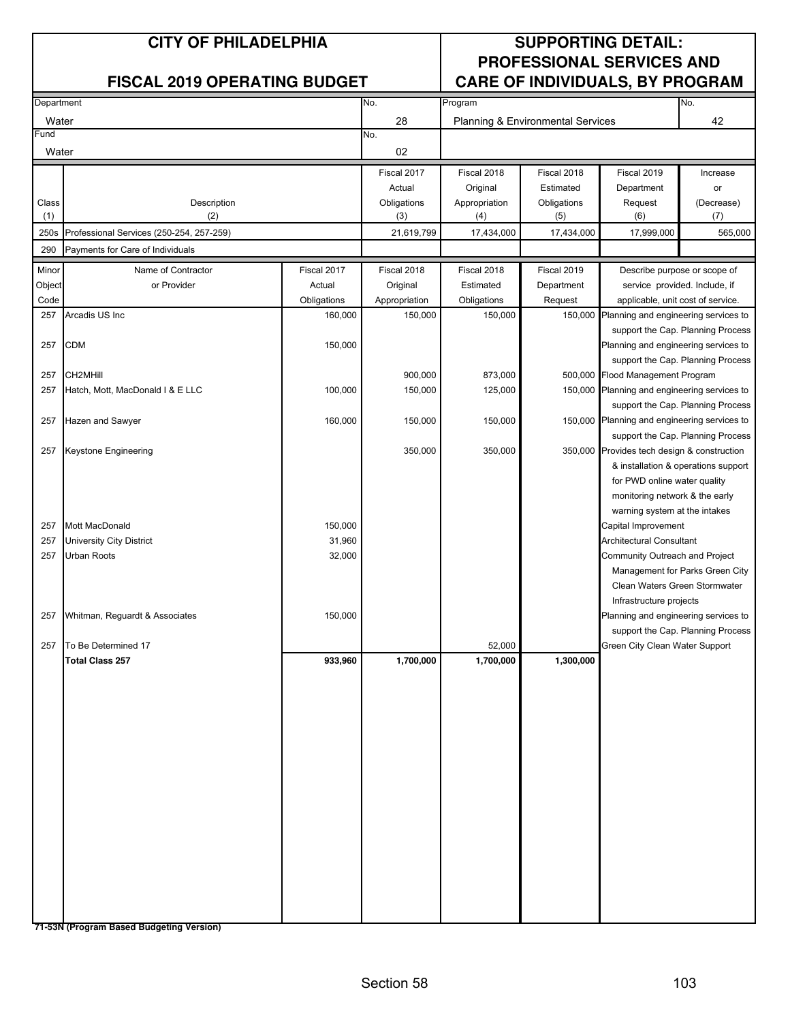| Department |                                          | No.         | Program       |               |                                   | No.                                          |                                     |
|------------|------------------------------------------|-------------|---------------|---------------|-----------------------------------|----------------------------------------------|-------------------------------------|
| Water      |                                          |             | 28            |               | Planning & Environmental Services |                                              | 42                                  |
| Fund       |                                          |             | No.           |               |                                   |                                              |                                     |
| Water      |                                          |             | 02            |               |                                   |                                              |                                     |
|            |                                          |             | Fiscal 2017   | Fiscal 2018   | Fiscal 2018                       | Fiscal 2019                                  | Increase                            |
|            |                                          |             | Actual        | Original      | Estimated                         | Department                                   | or                                  |
| Class      | Description                              |             | Obligations   | Appropriation | Obligations                       | Request                                      | (Decrease)                          |
| (1)        | (2)                                      |             | (3)           | (4)           | (5)                               | (6)                                          | (7)                                 |
| 250s       | Professional Services (250-254, 257-259) |             | 21,619,799    | 17,434,000    | 17,434,000                        | 17,999,000                                   | 565,000                             |
| 290        | Payments for Care of Individuals         |             |               |               |                                   |                                              |                                     |
| Minor      | Name of Contractor                       | Fiscal 2017 | Fiscal 2018   | Fiscal 2018   | Fiscal 2019                       | Describe purpose or scope of                 |                                     |
| Object     | or Provider                              | Actual      | Original      | Estimated     | Department                        | service provided. Include, if                |                                     |
| Code       |                                          | Obligations | Appropriation | Obligations   | Request                           | applicable, unit cost of service.            |                                     |
| 257        | Arcadis US Inc                           | 160,000     | 150,000       | 150,000       | 150,000                           | Planning and engineering services to         |                                     |
|            |                                          |             |               |               |                                   |                                              | support the Cap. Planning Process   |
| 257        | <b>CDM</b>                               | 150,000     |               |               |                                   | Planning and engineering services to         |                                     |
|            |                                          |             |               |               |                                   |                                              | support the Cap. Planning Process   |
| 257        | CH2MHill                                 |             | 900,000       | 873,000       |                                   | 500,000 Flood Management Program             |                                     |
| 257        | Hatch, Mott, MacDonald I & E LLC         | 100,000     | 150,000       | 125,000       |                                   | 150,000 Planning and engineering services to | support the Cap. Planning Process   |
| 257        | Hazen and Sawyer                         | 160,000     | 150,000       | 150,000       |                                   | 150,000 Planning and engineering services to |                                     |
|            |                                          |             |               |               |                                   |                                              | support the Cap. Planning Process   |
| 257        | Keystone Engineering                     |             | 350,000       | 350,000       |                                   | 350,000 Provides tech design & construction  |                                     |
|            |                                          |             |               |               |                                   |                                              | & installation & operations support |
|            |                                          |             |               |               |                                   | for PWD online water quality                 |                                     |
|            |                                          |             |               |               |                                   | monitoring network & the early               |                                     |
|            |                                          |             |               |               |                                   | warning system at the intakes                |                                     |
| 257        | Mott MacDonald                           | 150,000     |               |               |                                   | Capital Improvement                          |                                     |
| 257        | <b>University City District</b>          | 31,960      |               |               |                                   | Architectural Consultant                     |                                     |
| 257        | Urban Roots                              | 32,000      |               |               |                                   | Community Outreach and Project               |                                     |
|            |                                          |             |               |               |                                   |                                              | Management for Parks Green City     |
|            |                                          |             |               |               |                                   | Clean Waters Green Stormwater                |                                     |
|            |                                          |             |               |               |                                   | Infrastructure projects                      |                                     |
| 257        | Whitman, Reguardt & Associates           | 150,000     |               |               |                                   | Planning and engineering services to         |                                     |
| 257        | To Be Determined 17                      |             |               | 52,000        |                                   | Green City Clean Water Support               | support the Cap. Planning Process   |
|            | <b>Total Class 257</b>                   | 933,960     | 1,700,000     | 1,700,000     | 1,300,000                         |                                              |                                     |
|            |                                          |             |               |               |                                   |                                              |                                     |
|            |                                          |             |               |               |                                   |                                              |                                     |
|            |                                          |             |               |               |                                   |                                              |                                     |
|            |                                          |             |               |               |                                   |                                              |                                     |
|            |                                          |             |               |               |                                   |                                              |                                     |
|            |                                          |             |               |               |                                   |                                              |                                     |
|            |                                          |             |               |               |                                   |                                              |                                     |
|            |                                          |             |               |               |                                   |                                              |                                     |
|            |                                          |             |               |               |                                   |                                              |                                     |
|            |                                          |             |               |               |                                   |                                              |                                     |
|            |                                          |             |               |               |                                   |                                              |                                     |
|            |                                          |             |               |               |                                   |                                              |                                     |
|            |                                          |             |               |               |                                   |                                              |                                     |
|            |                                          |             |               |               |                                   |                                              |                                     |
|            |                                          |             |               |               |                                   |                                              |                                     |
|            |                                          |             |               |               |                                   |                                              |                                     |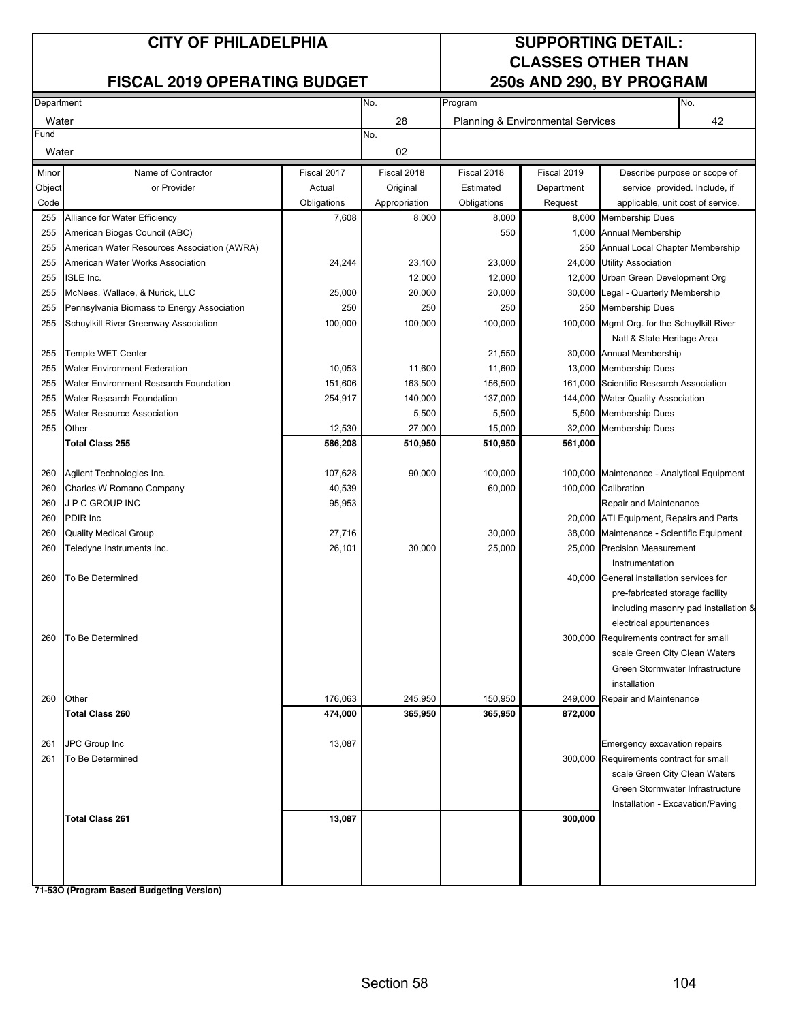### **FISCAL 2019 OPERATING BUDGET**

# **CLASSES OTHER THAN**

| Department |                                             | No.         | Program       |                                   |             | No.                                        |                                      |
|------------|---------------------------------------------|-------------|---------------|-----------------------------------|-------------|--------------------------------------------|--------------------------------------|
| Water      |                                             |             | 28            | Planning & Environmental Services |             |                                            | 42                                   |
| Fund       |                                             |             | No.           |                                   |             |                                            |                                      |
| Water      |                                             |             | 02            |                                   |             |                                            |                                      |
| Minor      | Name of Contractor                          | Fiscal 2017 | Fiscal 2018   | Fiscal 2018                       | Fiscal 2019 |                                            | Describe purpose or scope of         |
| Object     | or Provider                                 | Actual      | Original      | Estimated                         | Department  |                                            | service provided. Include, if        |
| Code       |                                             | Obligations | Appropriation | Obligations                       | Request     | applicable, unit cost of service.          |                                      |
| 255        | Alliance for Water Efficiency               | 7,608       | 8,000         | 8,000                             | 8,000       | <b>Membership Dues</b>                     |                                      |
| 255        | American Biogas Council (ABC)               |             |               | 550                               |             | 1,000 Annual Membership                    |                                      |
| 255        | American Water Resources Association (AWRA) |             |               |                                   |             | 250 Annual Local Chapter Membership        |                                      |
| 255        | American Water Works Association            | 24,244      | 23,100        | 23,000                            | 24,000      | <b>Utility Association</b>                 |                                      |
| 255        | ISLE Inc.                                   |             | 12,000        | 12,000                            | 12,000      | Urban Green Development Org                |                                      |
| 255        | McNees, Wallace, & Nurick, LLC              | 25,000      | 20,000        | 20,000                            |             | 30,000 Legal - Quarterly Membership        |                                      |
| 255        | Pennsylvania Biomass to Energy Association  | 250         | 250           | 250                               | 250         | <b>Membership Dues</b>                     |                                      |
| 255        | Schuylkill River Greenway Association       | 100,000     | 100,000       | 100,000                           | 100,000     | Mgmt Org. for the Schuylkill River         |                                      |
|            |                                             |             |               |                                   |             | Natl & State Heritage Area                 |                                      |
| 255        | Temple WET Center                           |             |               | 21,550                            |             | 30,000 Annual Membership                   |                                      |
| 255        | Water Environment Federation                | 10,053      | 11,600        | 11,600                            | 13,000      | <b>Membership Dues</b>                     |                                      |
| 255        | Water Environment Research Foundation       | 151,606     | 163,500       | 156,500                           | 161,000     | Scientific Research Association            |                                      |
| 255        | Water Research Foundation                   | 254,917     | 140,000       | 137,000                           |             | 144,000 Water Quality Association          |                                      |
| 255        | Water Resource Association                  |             | 5,500         | 5,500                             | 5,500       | <b>Membership Dues</b>                     |                                      |
| 255        | Other                                       | 12,530      | 27,000        | 15,000                            | 32,000      | <b>Membership Dues</b>                     |                                      |
|            | <b>Total Class 255</b>                      | 586,208     | 510,950       | 510,950                           | 561,000     |                                            |                                      |
| 260        | Agilent Technologies Inc.                   | 107,628     | 90,000        | 100,000                           |             | 100,000 Maintenance - Analytical Equipment |                                      |
| 260        | Charles W Romano Company                    | 40,539      |               | 60,000                            |             | 100,000 Calibration                        |                                      |
| 260        | J P C GROUP INC                             | 95,953      |               |                                   |             | Repair and Maintenance                     |                                      |
| 260        | PDIR Inc                                    |             |               |                                   |             | 20,000 ATI Equipment, Repairs and Parts    |                                      |
| 260        | <b>Quality Medical Group</b>                | 27,716      |               | 30,000                            |             | 38,000 Maintenance - Scientific Equipment  |                                      |
| 260        | Teledyne Instruments Inc.                   | 26,101      | 30,000        | 25,000                            | 25,000      | <b>Precision Measurement</b>               |                                      |
|            |                                             |             |               |                                   |             | Instrumentation                            |                                      |
| 260        | To Be Determined                            |             |               |                                   |             | 40,000 General installation services for   |                                      |
|            |                                             |             |               |                                   |             | pre-fabricated storage facility            |                                      |
|            |                                             |             |               |                                   |             |                                            | including masonry pad installation & |
|            |                                             |             |               |                                   |             | electrical appurtenances                   |                                      |
| 260        | To Be Determined                            |             |               |                                   | 300,000     | Requirements contract for small            |                                      |
|            |                                             |             |               |                                   |             | scale Green City Clean Waters              |                                      |
|            |                                             |             |               |                                   |             | Green Stormwater Infrastructure            |                                      |
|            |                                             |             |               |                                   |             | installation                               |                                      |
| 260        | Other                                       | 176,063     | 245,950       | 150,950                           | 249,000     | Repair and Maintenance                     |                                      |
|            | <b>Total Class 260</b>                      | 474,000     | 365,950       | 365,950                           | 872,000     |                                            |                                      |
|            |                                             |             |               |                                   |             |                                            |                                      |
| 261        | JPC Group Inc                               | 13,087      |               |                                   |             | Emergency excavation repairs               |                                      |
| 261        | To Be Determined                            |             |               |                                   | 300,000     | Requirements contract for small            |                                      |
|            |                                             |             |               |                                   |             | scale Green City Clean Waters              |                                      |
|            |                                             |             |               |                                   |             | Green Stormwater Infrastructure            |                                      |
|            |                                             |             |               |                                   |             | Installation - Excavation/Paving           |                                      |
|            | <b>Total Class 261</b>                      | 13,087      |               |                                   | 300,000     |                                            |                                      |
|            |                                             |             |               |                                   |             |                                            |                                      |
|            |                                             |             |               |                                   |             |                                            |                                      |
|            |                                             |             |               |                                   |             |                                            |                                      |
|            |                                             |             |               |                                   |             |                                            |                                      |